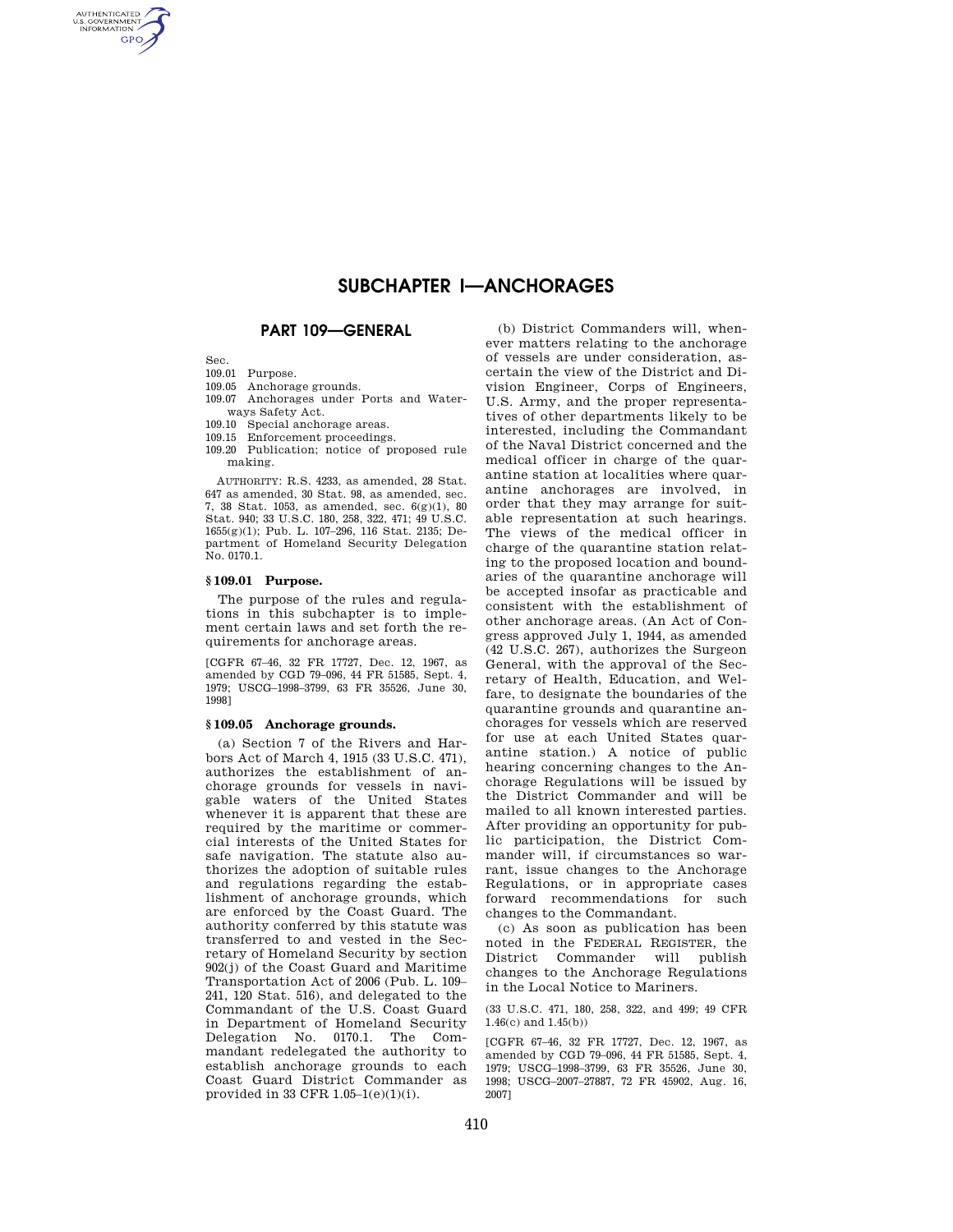# **SUBCHAPTER I—ANCHORAGES**

# **PART 109—GENERAL**

Sec.

AUTHENTICATED<br>U.S. GOVERNMENT<br>INFORMATION **GPO** 

- 109.01 Purpose.
- 109.05 Anchorage grounds.
- 109.07 Anchorages under Ports and Water-
- ways Safety Act.
- 109.10 Special anchorage areas.
- 109.15 Enforcement proceedings.
- 109.20 Publication; notice of proposed rule making.

AUTHORITY: R.S. 4233, as amended, 28 Stat. 647 as amended, 30 Stat. 98, as amended, sec. 7, 38 Stat. 1053, as amended, sec. 6(g)(1), 80 Stat. 940; 33 U.S.C. 180, 258, 322, 471; 49 U.S.C. 1655(g)(1); Pub. L. 107–296, 116 Stat. 2135; Department of Homeland Security Delegation No. 0170.1.

## **§ 109.01 Purpose.**

The purpose of the rules and regulations in this subchapter is to implement certain laws and set forth the requirements for anchorage areas.

[CGFR 67–46, 32 FR 17727, Dec. 12, 1967, as amended by CGD 79–096, 44 FR 51585, Sept. 4, 1979; USCG–1998–3799, 63 FR 35526, June 30, 1998]

# **§ 109.05 Anchorage grounds.**

(a) Section 7 of the Rivers and Harbors Act of March 4, 1915 (33 U.S.C. 471), authorizes the establishment of anchorage grounds for vessels in navigable waters of the United States whenever it is apparent that these are required by the maritime or commercial interests of the United States for safe navigation. The statute also authorizes the adoption of suitable rules and regulations regarding the establishment of anchorage grounds, which are enforced by the Coast Guard. The authority conferred by this statute was transferred to and vested in the Secretary of Homeland Security by section 902(j) of the Coast Guard and Maritime Transportation Act of 2006 (Pub. L. 109– 241, 120 Stat. 516), and delegated to the Commandant of the U.S. Coast Guard in Department of Homeland Security Delegation No. 0170.1. The Commandant redelegated the authority to establish anchorage grounds to each Coast Guard District Commander as provided in 33 CFR  $1.05-1(e)(1)(i)$ .

(b) District Commanders will, whenever matters relating to the anchorage of vessels are under consideration, ascertain the view of the District and Division Engineer, Corps of Engineers, U.S. Army, and the proper representatives of other departments likely to be interested, including the Commandant of the Naval District concerned and the medical officer in charge of the quarantine station at localities where quarantine anchorages are involved, in order that they may arrange for suitable representation at such hearings. The views of the medical officer in charge of the quarantine station relating to the proposed location and boundaries of the quarantine anchorage will be accepted insofar as practicable and consistent with the establishment of other anchorage areas. (An Act of Congress approved July 1, 1944, as amended (42 U.S.C. 267), authorizes the Surgeon General, with the approval of the Secretary of Health, Education, and Welfare, to designate the boundaries of the quarantine grounds and quarantine anchorages for vessels which are reserved for use at each United States quarantine station.) A notice of public hearing concerning changes to the Anchorage Regulations will be issued by the District Commander and will be mailed to all known interested parties. After providing an opportunity for public participation, the District Commander will, if circumstances so warrant, issue changes to the Anchorage Regulations, or in appropriate cases forward recommendations for such changes to the Commandant.

(c) As soon as publication has been noted in the FEDERAL REGISTER, the District Commander will publish changes to the Anchorage Regulations in the Local Notice to Mariners.

(33 U.S.C. 471, 180, 258, 322, and 499; 49 CFR 1.46(c) and 1.45(b))

[CGFR 67–46, 32 FR 17727, Dec. 12, 1967, as amended by CGD 79–096, 44 FR 51585, Sept. 4, 1979; USCG–1998–3799, 63 FR 35526, June 30, 1998; USCG–2007–27887, 72 FR 45902, Aug. 16, 2007]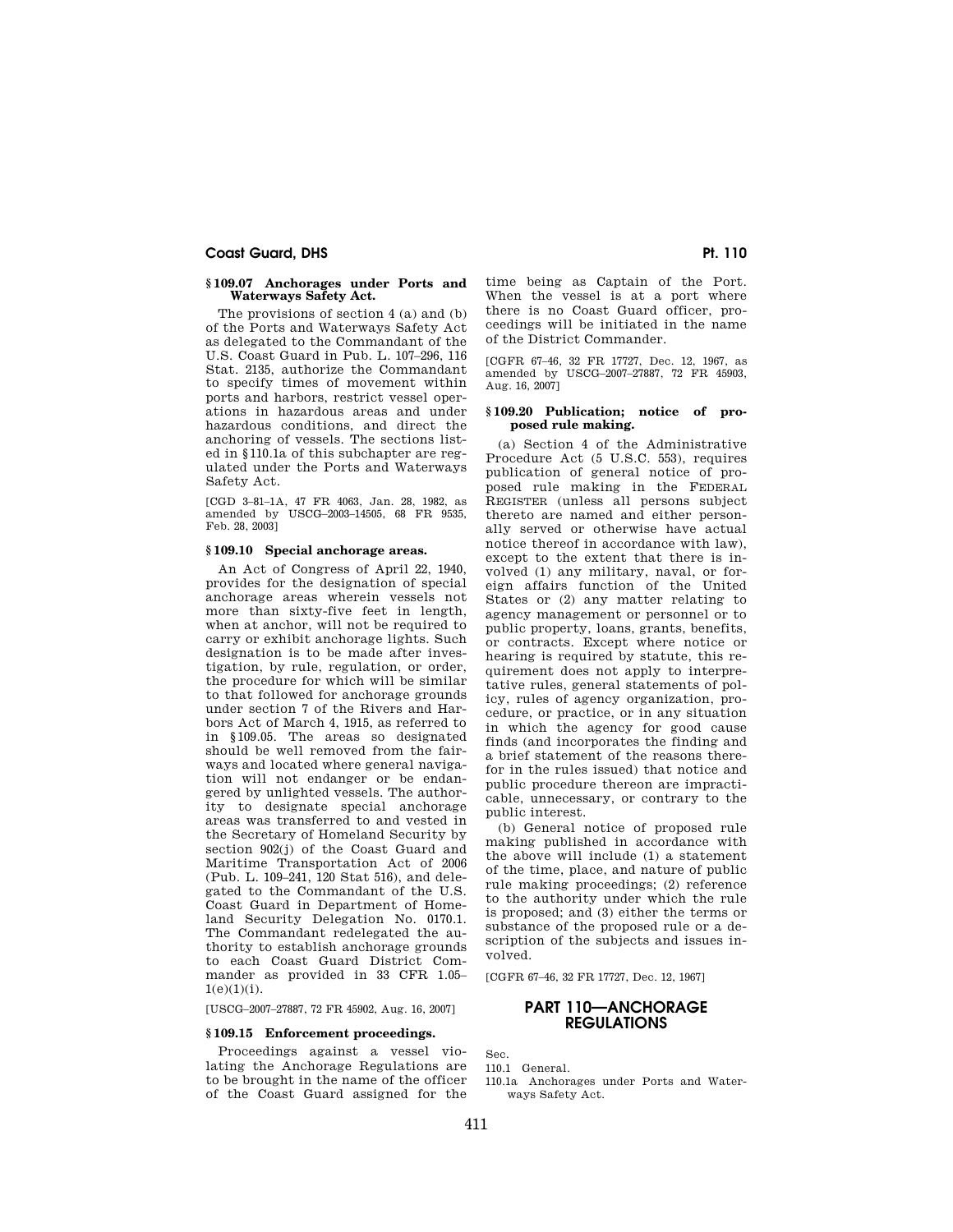# **Coast Guard, DHS** Pt. 110 **Pt. 110**

## **§ 109.07 Anchorages under Ports and Waterways Safety Act.**

The provisions of section 4 (a) and (b) of the Ports and Waterways Safety Act as delegated to the Commandant of the U.S. Coast Guard in Pub. L. 107–296, 116 Stat. 2135, authorize the Commandant to specify times of movement within ports and harbors, restrict vessel operations in hazardous areas and under hazardous conditions, and direct the anchoring of vessels. The sections listed in §110.1a of this subchapter are regulated under the Ports and Waterways Safety Act.

[CGD 3–81–1A, 47 FR 4063, Jan. 28, 1982, as amended by USCG–2003–14505, 68 FR 9535, Feb. 28, 2003]

# **§ 109.10 Special anchorage areas.**

An Act of Congress of April 22, 1940, provides for the designation of special anchorage areas wherein vessels not more than sixty-five feet in length, when at anchor, will not be required to carry or exhibit anchorage lights. Such designation is to be made after investigation, by rule, regulation, or order, the procedure for which will be similar to that followed for anchorage grounds under section 7 of the Rivers and Harbors Act of March 4, 1915, as referred to in §109.05. The areas so designated should be well removed from the fairways and located where general navigation will not endanger or be endangered by unlighted vessels. The authority to designate special anchorage areas was transferred to and vested in the Secretary of Homeland Security by section 902(j) of the Coast Guard and Maritime Transportation Act of 2006 (Pub. L. 109–241, 120 Stat 516), and delegated to the Commandant of the U.S. Coast Guard in Department of Homeland Security Delegation No. 0170.1. The Commandant redelegated the authority to establish anchorage grounds to each Coast Guard District Commander as provided in 33 CFR 1.05–  $1(e)(1)(i)$ .

[USCG–2007–27887, 72 FR 45902, Aug. 16, 2007]

# **§ 109.15 Enforcement proceedings.**

Proceedings against a vessel violating the Anchorage Regulations are to be brought in the name of the officer of the Coast Guard assigned for the time being as Captain of the Port. When the vessel is at a port where there is no Coast Guard officer, proceedings will be initiated in the name of the District Commander.

[CGFR 67–46, 32 FR 17727, Dec. 12, 1967, as amended by USCG–2007–27887, 72 FR 45903, Aug. 16, 2007]

## **§ 109.20 Publication; notice of proposed rule making.**

(a) Section 4 of the Administrative Procedure Act (5 U.S.C. 553), requires publication of general notice of proposed rule making in the FEDERAL REGISTER (unless all persons subject thereto are named and either personally served or otherwise have actual notice thereof in accordance with law), except to the extent that there is involved (1) any military, naval, or foreign affairs function of the United States or (2) any matter relating to agency management or personnel or to public property, loans, grants, benefits, or contracts. Except where notice or hearing is required by statute, this requirement does not apply to interpretative rules, general statements of policy, rules of agency organization, procedure, or practice, or in any situation in which the agency for good cause finds (and incorporates the finding and a brief statement of the reasons therefor in the rules issued) that notice and public procedure thereon are impracticable, unnecessary, or contrary to the public interest.

(b) General notice of proposed rule making published in accordance with the above will include (1) a statement of the time, place, and nature of public rule making proceedings; (2) reference to the authority under which the rule is proposed; and (3) either the terms or substance of the proposed rule or a description of the subjects and issues involved.

[CGFR 67–46, 32 FR 17727, Dec. 12, 1967]

# **PART 110—ANCHORAGE REGULATIONS**

Sec.

- 110.1 General.
- 110.1a Anchorages under Ports and Waterways Safety Act.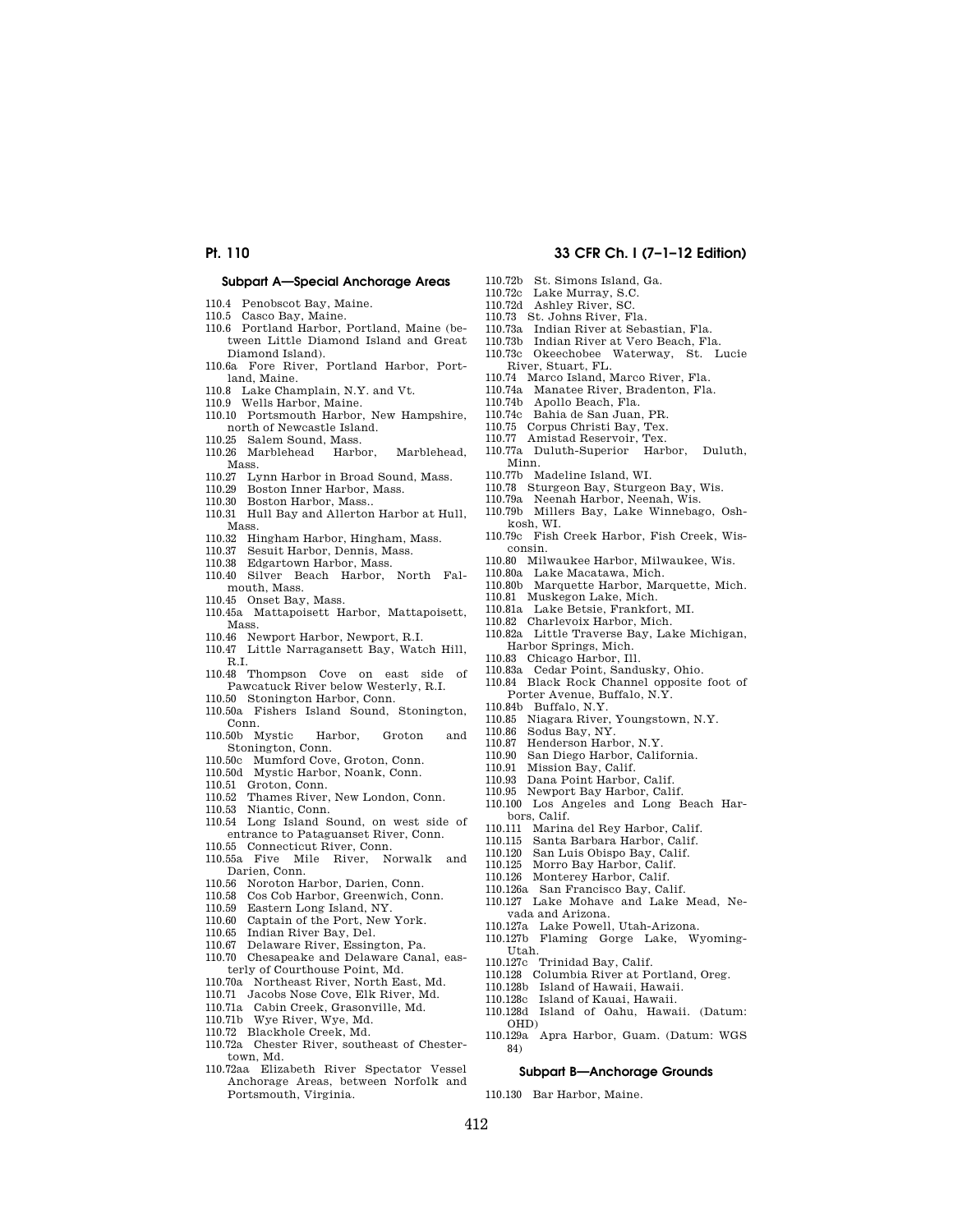## **Subpart A—Special Anchorage Areas**

- 110.4 Penobscot Bay, Maine.
- 110.5 Casco Bay, Maine.
- 110.6 Portland Harbor, Portland, Maine (between Little Diamond Island and Great Diamond Island).
- 110.6a Fore River, Portland Harbor, Portland, Maine.
- 110.8 Lake Champlain, N.Y. and Vt.
- 110.9 Wells Harbor, Maine.
- 110.10 Portsmouth Harbor, New Hampshire, north of Newcastle Island.
- 110.25 Salem Sound, Mass.
- 110.26 Marblehead Harbor, Marblehead, Mass.
- 110.27 Lynn Harbor in Broad Sound, Mass.
- 110.29 Boston Inner Harbor, Mass.
- 110.30 Boston Harbor, Mass..
- 110.31 Hull Bay and Allerton Harbor at Hull, Mass.
- 110.32 Hingham Harbor, Hingham, Mass.<br>110.37 Sesuit Harbor, Dennis, Mass.
- Sesuit Harbor, Dennis, Mass.
- 110.38 Edgartown Harbor, Mass.
- 110.40 Silver Beach Harbor, North Falmouth, Mass.
- 110.45 Onset Bay, Mass.
- 110.45a Mattapoisett Harbor, Mattapoisett, Mass.
- 
- 110.46 Newport Harbor, Newport, R.I.<br>110.47 Little Narragansett Bay, Wat Little Narragansett Bay, Watch Hill, R.I.
- 110.48 Thompson Cove on east side of Pawcatuck River below Westerly, R.I.
- 110.50 Stonington Harbor, Conn.
- 110.50a Fishers Island Sound, Stonington, Conn.
- 110.50b Mystic Harbor, Groton and Stonington, Conn.
- 110.50c Mumford Cove, Groton, Conn.
- 110.50d Mystic Harbor, Noank, Conn.
- 110.51 Groton, Conn.
- 110.52 Thames River, New London, Conn.
- 110.53 Niantic, Conn. 110.54 Long Island Sound, on west side of
- entrance to Pataguanset River, Conn. 110.55 Connecticut River, Conn.
- 110.55a Five Mile River, Norwalk and Darien, Conn.
- 110.56 Noroton Harbor, Darien, Conn.
- 110.58 Cos Cob Harbor, Greenwich, Conn.
- 110.59 Eastern Long Island, NY.
- 110.60 Captain of the Port, New York.
- 110.65 Indian River Bay, Del.
- 110.67 Delaware River, Essington, Pa.
- 110.70 Chesapeake and Delaware Canal, easterly of Courthouse Point, Md.
- 110.70a Northeast River, North East, Md.
- 110.71 Jacobs Nose Cove, Elk River, Md.
- 110.71a Cabin Creek, Grasonville, Md.
- 110.71b Wye River, Wye, Md.
- 110.72 Blackhole Creek, Md.
- 110.72a Chester River, southeast of Chestertown, Md.
- 110.72aa Elizabeth River Spectator Vessel Anchorage Areas, between Norfolk and Portsmouth, Virginia.
- **Pt. 110 33 CFR Ch. I (7–1–12 Edition)** 
	- 110.72b St. Simons Island, Ga. 110.72c Lake Murray, S.C.
	- 110.72d Ashley River, SC.
	- 110.73 St. Johns River, Fla.
	-
	- 110.73a Indian River at Sebastian, Fla. 110.73b Indian River at Vero Beach, Fla.
	- Okeechobee Waterway, St. Lucie
		- River, Stuart, FL.
		- 110.74 Marco Island, Marco River, Fla.
		- 110.74a Manatee River, Bradenton, Fla.
		- 110.74b Apollo Beach, Fla.
		- 110.74c Bahia de San Juan, PR.
		- 110.75 Corpus Christi Bay, Tex. 110.77 Amistad Reservoir, Tex.
		-
		- 110.77a Duluth-Superior Harbor, Duluth, Minn.
		- 110.77b Madeline Island, WI.
		- 110.78 Sturgeon Bay, Sturgeon Bay, Wis.
		- 110.79a Neenah Harbor, Neenah, Wis.
		- 110.79b Millers Bay, Lake Winnebago, Oshkosh, WI.
		- 110.79c Fish Creek Harbor, Fish Creek, Wisconsin.
		- 110.80 Milwaukee Harbor, Milwaukee, Wis.
		- 110.80a Lake Macatawa, Mich.
	- 110.80b Marquette Harbor, Marquette, Mich.
	- 110.81 Muskegon Lake, Mich.
	- 110.81a Lake Betsie, Frankfort, MI. 110.82 Charlevoix Harbor, Mich.
	- 110.82a Little Traverse Bay, Lake Michigan, Harbor Springs, Mich.
	- 110.83 Chicago Harbor, Ill.
	- 110.83a Cedar Point, Sandusky, Ohio.
	- 110.84 Black Rock Channel opposite foot of Porter Avenue, Buffalo, N.Y.
	- 110.84b Buffalo, N.Y.
	- 110.85 Niagara River, Youngstown, N.Y.
	- Sodus Bay, NY.
	-
	- 110.87 Henderson Harbor, N.Y.<br>110.90 San Diego Harbor, Calii San Diego Harbor, California.
	- 110.91 Mission Bay, Calif.
	- 110.93 Dana Point Harbor, Calif.
	- 110.95 Newport Bay Harbor, Calif.
	- 110.100 Los Angeles and Long Beach Harbors, Calif.
	-
	- 110.111 Marina del Rey Harbor, Calif. 110.115 Santa Barbara Harbor, Calif.
	- 110.120 San Luis Obispo Bay, Calif.<br>110.125 Morro Bay Harbor. Calif.
	- Morro Bay Harbor, Calif.
	- 110.126 Monterey Harbor, Calif.
	- 110.126a San Francisco Bay, Calif.
	- 110.127 Lake Mohave and Lake Mead, Nevada and Arizona.
	- 110.127a Lake Powell, Utah-Arizona.
	- 110.127b Flaming Gorge Lake, Wyoming-Utah.
	-
	- 110.127c Trinidad Bay, Calif. 110.128 Columbia River at Portland, Oreg.
	- 110.128b Island of Hawaii, Hawaii.
	- 110.128c Island of Kauai, Hawaii.

110.130 Bar Harbor, Maine.

412

84)

110.128d Island of Oahu, Hawaii. (Datum: OHD) 110.129a Apra Harbor, Guam. (Datum: WGS

**Subpart B—Anchorage Grounds**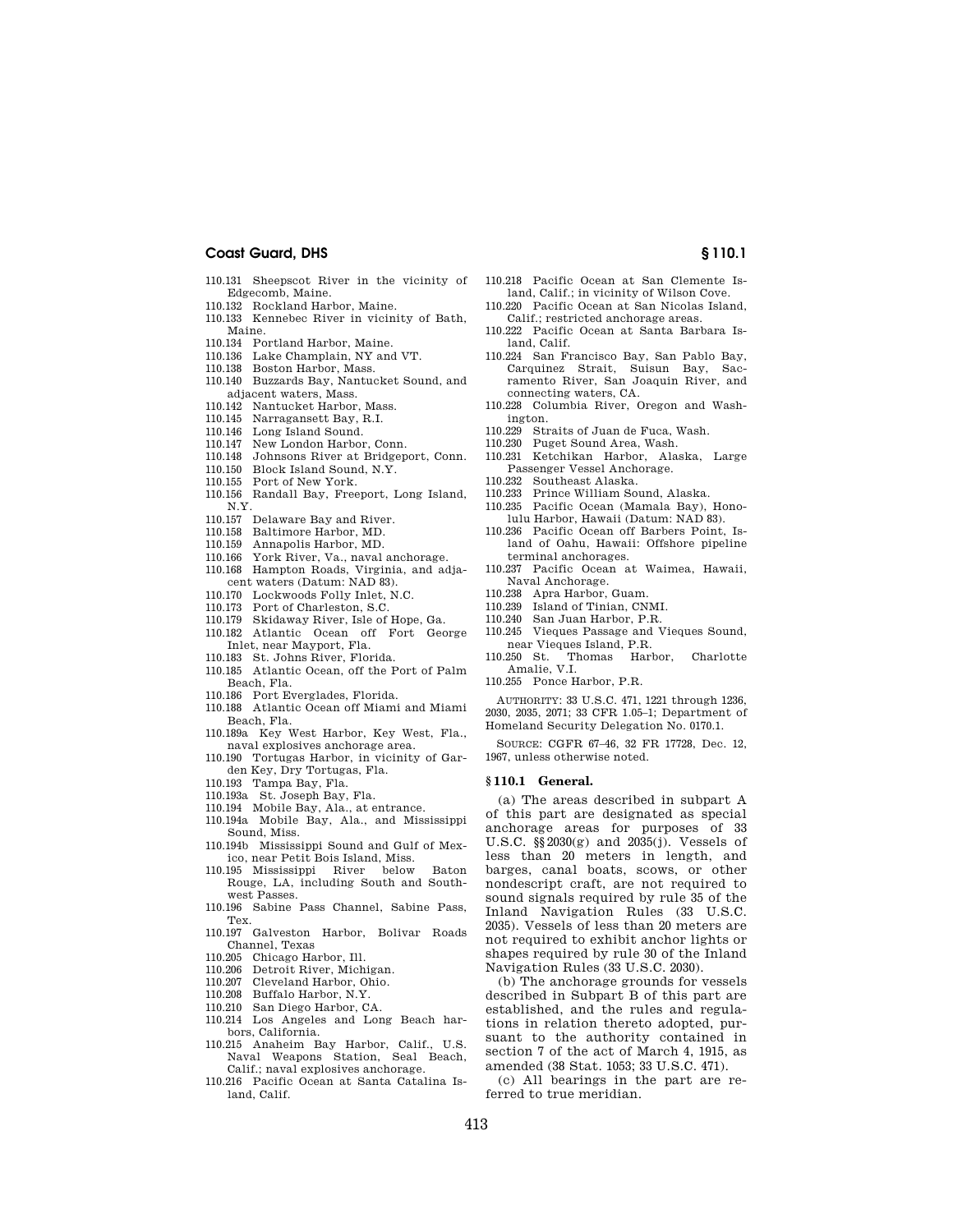- 110.131 Sheepscot River in the vicinity of Edgecomb, Maine.
- 110.132 Rockland Harbor, Maine.
- 110.133 Kennebec River in vicinity of Bath, Maine.
- 110.134 Portland Harbor, Maine.
- 110.136 Lake Champlain, NY and VT.<br>110.138 Boston Harbor, Mass.
- Boston Harbor, Mass.
- 110.140 Buzzards Bay, Nantucket Sound, and adjacent waters, Mass.
- 110.142 Nantucket Harbor, Mass.
- 110.145 Narragansett Bay, R.I.
- 110.146 Long Island Sound.
- 110.147 New London Harbor, Conn.
- 110.148 Johnsons River at Bridgeport, Conn.
- 110.150 Block Island Sound, N.Y.
- 110.155 Port of New York.
- 110.156 Randall Bay, Freeport, Long Island, N.Y.
- 110.157 Delaware Bay and River.
- 
- 110.158 Baltimore Harbor, MD.<br>110.159 Annapolis Harbor, MD. Annapolis Harbor, MD.
- 110.166 York River, Va., naval anchorage.
- 110.168 Hampton Roads, Virginia, and adjacent waters (Datum: NAD 83).
- 110.170 Lockwoods Folly Inlet, N.C.
- 110.173 Port of Charleston, S.C.
- 110.179 Skidaway River, Isle of Hope, Ga.
- 110.182 Atlantic Ocean off Fort George
- Inlet, near Mayport, Fla.
- 110.183 St. Johns River, Florida.
- 110.185 Atlantic Ocean, off the Port of Palm Beach, Fla.
- 110.186 Port Everglades, Florida.
- 110.188 Atlantic Ocean off Miami and Miami Beach, Fla.
- 110.189a Key West Harbor, Key West, Fla., naval explosives anchorage area.
- 110.190 Tortugas Harbor, in vicinity of Garden Key, Dry Tortugas, Fla.
- 110.193 Tampa Bay, Fla.
- 110.193a St. Joseph Bay, Fla.
- 110.194 Mobile Bay, Ala., at entrance.
- 110.194a Mobile Bay, Ala., and Mississippi Sound, Miss.
- 110.194b Mississippi Sound and Gulf of Mexico, near Petit Bois Island, Miss.
- 110.195 Mississippi River below Baton Rouge, LA, including South and Southwest Passes.
- 110.196 Sabine Pass Channel, Sabine Pass, Tex.
- 110.197 Galveston Harbor, Bolivar Roads Channel, Texas
- 110.205 Chicago Harbor, Ill.
- 110.206 Detroit River, Michigan.
- 110.207 Cleveland Harbor, Ohio.
- 110.208 Buffalo Harbor, N.Y.
- 110.210 San Diego Harbor, CA.
- 110.214 Los Angeles and Long Beach harbors, California.
- 110.215 Anaheim Bay Harbor, Calif., U.S. Naval Weapons Station, Seal Beach, Calif.; naval explosives anchorage.
- 110.216 Pacific Ocean at Santa Catalina Island, Calif.
- 110.218 Pacific Ocean at San Clemente Island, Calif.; in vicinity of Wilson Cove. 110.220 Pacific Ocean at San Nicolas Island,
- Calif.; restricted anchorage areas.
- 110.222 Pacific Ocean at Santa Barbara Island, Calif.
- 110.224 San Francisco Bay, San Pablo Bay, Carquinez Strait, Suisun Bay, Sacramento River, San Joaquin River, and connecting waters, CA.
- 110.228 Columbia River, Oregon and Washington.
- 110.229 Straits of Juan de Fuca, Wash.<br>110.230 Puget Sound Area, Wash.
- Puget Sound Area, Wash.
- 110.231 Ketchikan Harbor, Alaska, Large Passenger Vessel Anchorage.
- 
- 110.232 Southeast Alaska.<br>110.233 Prince William Sou Prince William Sound, Alaska.
- 110.235 Pacific Ocean (Mamala Bay), Hono-
- lulu Harbor, Hawaii (Datum: NAD 83). 110.236 Pacific Ocean off Barbers Point, Is-
- land of Oahu, Hawaii: Offshore pipeline terminal anchorages.
- 110.237 Pacific Ocean at Waimea, Hawaii, Naval Anchorage.
- 110.238 Apra Harbor, Guam.
- 110.239 Island of Tinian, CNMI.
- 110.240 San Juan Harbor, P.R.
- 110.245 Vieques Passage and Vieques Sound,
- near Vieques Island, P.R.<br>250 St. Thomas Harbor, 110.250 St. Thomas Harbor, Charlotte Amalie, V.I.
- 110.255 Ponce Harbor, P.R.

AUTHORITY: 33 U.S.C. 471, 1221 through 1236, 2030, 2035, 2071; 33 CFR 1.05–1; Department of Homeland Security Delegation No. 0170.1.

SOURCE: CGFR 67–46, 32 FR 17728, Dec. 12, 1967, unless otherwise noted.

#### **§ 110.1 General.**

(a) The areas described in subpart A of this part are designated as special anchorage areas for purposes of 33 U.S.C. §§2030(g) and 2035(j). Vessels of less than 20 meters in length, and barges, canal boats, scows, or other nondescript craft, are not required to sound signals required by rule 35 of the Inland Navigation Rules (33 U.S.C. 2035). Vessels of less than 20 meters are not required to exhibit anchor lights or shapes required by rule 30 of the Inland Navigation Rules (33 U.S.C. 2030).

(b) The anchorage grounds for vessels described in Subpart B of this part are established, and the rules and regulations in relation thereto adopted, pursuant to the authority contained in section 7 of the act of March 4, 1915, as amended (38 Stat. 1053; 33 U.S.C. 471).

(c) All bearings in the part are referred to true meridian.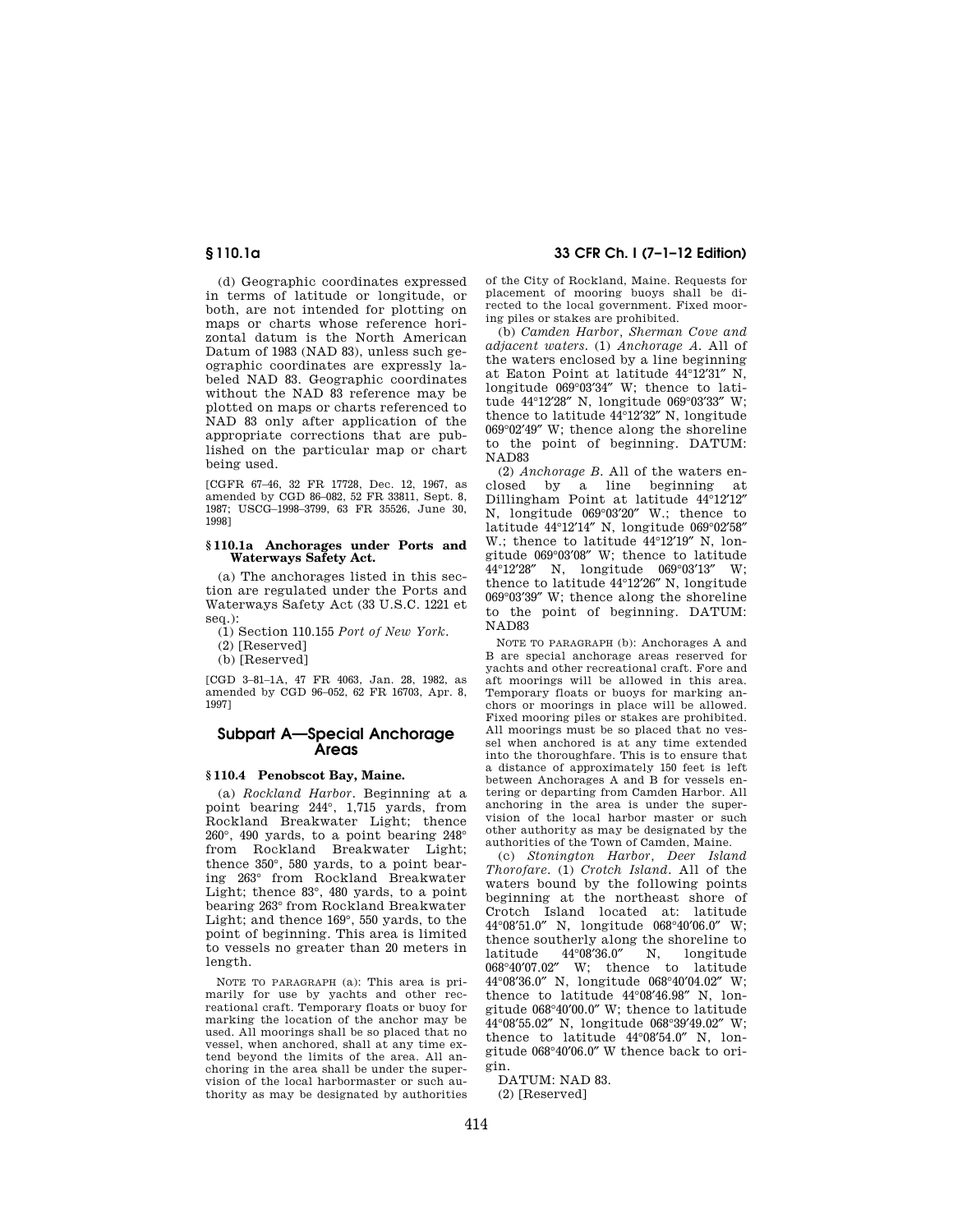(d) Geographic coordinates expressed in terms of latitude or longitude, or both, are not intended for plotting on maps or charts whose reference horizontal datum is the North American Datum of 1983 (NAD 83), unless such geographic coordinates are expressly labeled NAD 83. Geographic coordinates without the NAD 83 reference may be plotted on maps or charts referenced to NAD 83 only after application of the appropriate corrections that are published on the particular map or chart being used.

[CGFR 67–46, 32 FR 17728, Dec. 12, 1967, as amended by CGD 86–082, 52 FR 33811, Sept. 8, 1987; USCG–1998–3799, 63 FR 35526, June 30, 1998]

# **§ 110.1a Anchorages under Ports and Waterways Safety Act.**

(a) The anchorages listed in this section are regulated under the Ports and Waterways Safety Act (33 U.S.C. 1221 et seq.):

(1) Section 110.155 *Port of New York.* 

(2) [Reserved]

(b) [Reserved]

[CGD 3–81–1A, 47 FR 4063, Jan. 28, 1982, as amended by CGD 96–052, 62 FR 16703, Apr. 8, 1997]

# **Subpart A—Special Anchorage Areas**

## **§ 110.4 Penobscot Bay, Maine.**

(a) *Rockland Harbor.* Beginning at a point bearing 244°, 1,715 yards, from Rockland Breakwater Light; thence 260°, 490 yards, to a point bearing 248° from Rockland Breakwater Light; thence 350°, 580 yards, to a point bearing 263° from Rockland Breakwater Light; thence 83°, 480 yards, to a point bearing 263° from Rockland Breakwater Light; and thence 169°, 550 yards, to the point of beginning. This area is limited to vessels no greater than 20 meters in length.

NOTE TO PARAGRAPH (a): This area is primarily for use by yachts and other recreational craft. Temporary floats or buoy for marking the location of the anchor may be used. All moorings shall be so placed that no vessel, when anchored, shall at any time extend beyond the limits of the area. All anchoring in the area shall be under the supervision of the local harbormaster or such authority as may be designated by authorities

**§ 110.1a 33 CFR Ch. I (7–1–12 Edition)** 

of the City of Rockland, Maine. Requests for placement of mooring buoys shall be directed to the local government. Fixed mooring piles or stakes are prohibited.

(b) *Camden Harbor, Sherman Cove and adjacent waters.* (1) *Anchorage A.* All of the waters enclosed by a line beginning at Eaton Point at latitude 44°12′31″ N, longitude 069°03′34″ W; thence to latitude 44°12′28″ N, longitude 069°03′33″ W; thence to latitude 44°12′32″ N, longitude 069°02′49″ W; thence along the shoreline to the point of beginning. DATUM: NAD83

(2) *Anchorage B.* All of the waters enclosed by a line beginning at Dillingham Point at latitude 44°12′12″ N, longitude 069°03′20″ W.; thence to latitude 44°12′14″ N, longitude 069°02′58″ W.; thence to latitude 44°12′19″ N, longitude 069°03′08″ W; thence to latitude 44°12′28″ N, longitude 069°03′13″ W; thence to latitude 44°12′26″ N, longitude 069°03′39″ W; thence along the shoreline to the point of beginning. DATUM: NAD83

NOTE TO PARAGRAPH (b): Anchorages A and B are special anchorage areas reserved for yachts and other recreational craft. Fore and aft moorings will be allowed in this area. Temporary floats or buoys for marking anchors or moorings in place will be allowed. Fixed mooring piles or stakes are prohibited. All moorings must be so placed that no vessel when anchored is at any time extended into the thoroughfare. This is to ensure that a distance of approximately 150 feet is left between Anchorages A and B for vessels entering or departing from Camden Harbor. All anchoring in the area is under the supervision of the local harbor master or such other authority as may be designated by the authorities of the Town of Camden, Maine.

(c) *Stonington Harbor, Deer Island Thorofare*. (1) *Crotch Island.* All of the waters bound by the following points beginning at the northeast shore of Crotch Island located at: latitude 44°08′51.0″ N, longitude 068°40′06.0″ W; thence southerly along the shoreline to<br>latitude  $44^{\circ}08'36.0''$  N. longitude latitude 44°08′36.0″ N, longitude 068°40′07.02″ W; thence to latitude 44°08′36.0″ N, longitude 068°40′04.02″ W; thence to latitude 44°08′46.98″ N, longitude 068°40′00.0″ W; thence to latitude 44°08′55.02″ N, longitude 068°39′49.02″ W; thence to latitude 44°08′54.0″ N, longitude 068°40′06.0″ W thence back to origin.

DATUM: NAD 83. (2) [Reserved]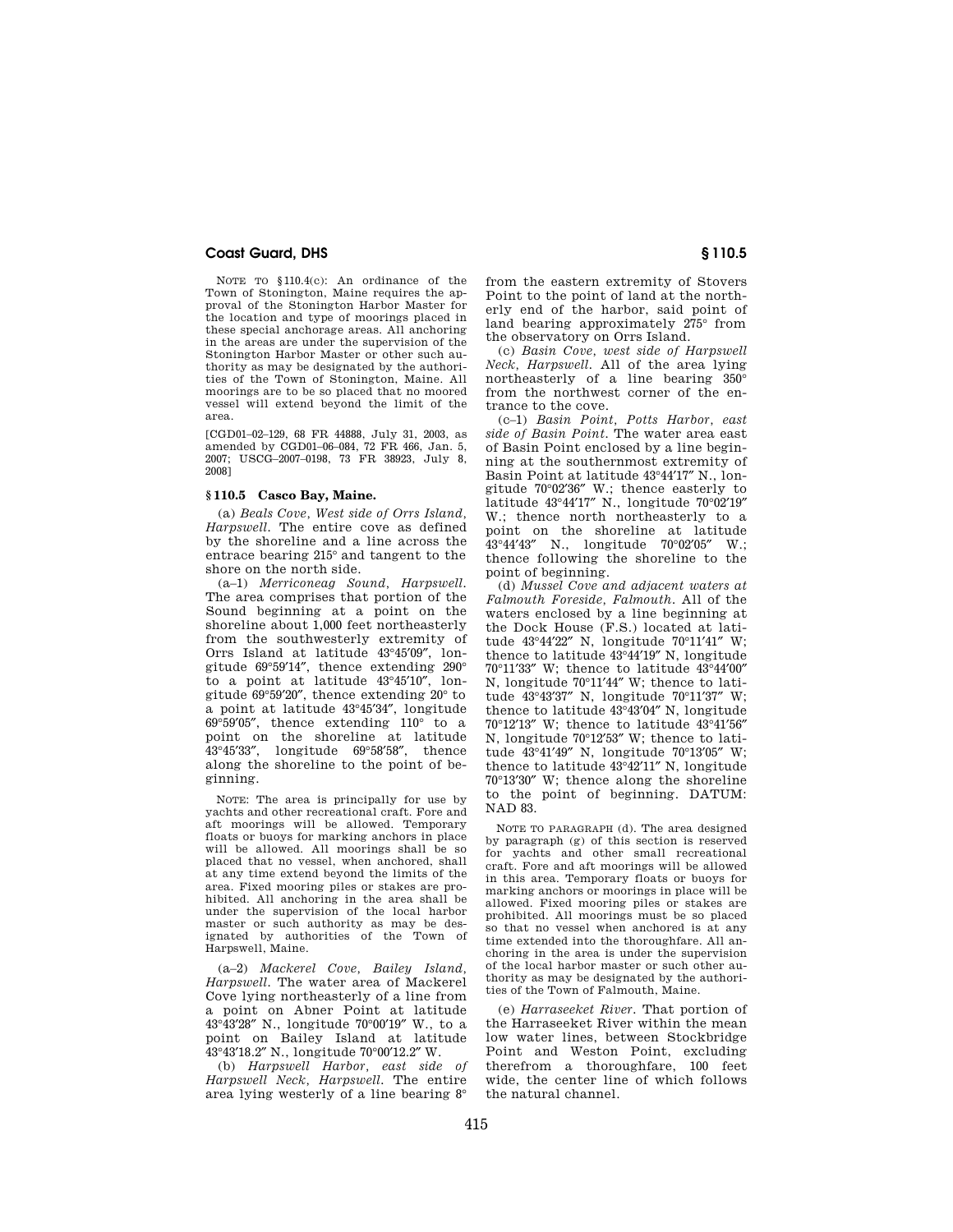NOTE TO §110.4(c): An ordinance of the Town of Stonington, Maine requires the approval of the Stonington Harbor Master for the location and type of moorings placed in these special anchorage areas. All anchoring in the areas are under the supervision of the Stonington Harbor Master or other such authority as may be designated by the authorities of the Town of Stonington, Maine. All moorings are to be so placed that no moored vessel will extend beyond the limit of the area.

[CGD01–02–129, 68 FR 44888, July 31, 2003, as amended by CGD01–06–084, 72 FR 466, Jan. 5, 2007; USCG–2007–0198, 73 FR 38923, July 8, 2008]

# **§ 110.5 Casco Bay, Maine.**

(a) *Beals Cove, West side of Orrs Island, Harpswell.* The entire cove as defined by the shoreline and a line across the entrace bearing 215° and tangent to the shore on the north side.

(a–1) *Merriconeag Sound, Harpswell.*  The area comprises that portion of the Sound beginning at a point on the shoreline about 1,000 feet northeasterly from the southwesterly extremity of Orrs Island at latitude 43°45′09″, longitude 69°59′14″, thence extending 290° to a point at latitude 43°45′10″, longitude 69°59′20″, thence extending 20° to a point at latitude 43°45′34″, longitude 69°59′05″, thence extending 110° to a point on the shoreline at latitude 43°45′33″, longitude 69°58′58″, thence along the shoreline to the point of beginning.

NOTE: The area is principally for use by yachts and other recreational craft. Fore and aft moorings will be allowed. Temporary floats or buoys for marking anchors in place will be allowed. All moorings shall be so placed that no vessel, when anchored, shall at any time extend beyond the limits of the area. Fixed mooring piles or stakes are prohibited. All anchoring in the area shall be under the supervision of the local harbor master or such authority as may be designated by authorities of the Town of Harpswell, Maine.

(a–2) *Mackerel Cove, Bailey Island, Harpswell.* The water area of Mackerel Cove lying northeasterly of a line from a point on Abner Point at latitude 43°43′28″ N., longitude 70°00′19″ W., to a point on Bailey Island at latitude 43°43′18.2″ N., longitude 70°00′12.2″ W.

(b) *Harpswell Harbor, east side of Harpswell Neck, Harpswell.* The entire area lying westerly of a line bearing 8° from the eastern extremity of Stovers Point to the point of land at the northerly end of the harbor, said point of land bearing approximately 275° from the observatory on Orrs Island.

(c) *Basin Cove, west side of Harpswell Neck, Harpswell.* All of the area lying northeasterly of a line bearing 350° from the northwest corner of the entrance to the cove.

(c–1) *Basin Point, Potts Harbor, east side of Basin Point.* The water area east of Basin Point enclosed by a line beginning at the southernmost extremity of Basin Point at latitude 43°44′17″ N., longitude 70°02′36″ W.; thence easterly to latitude 43°44′17″ N., longitude 70°02′19″ W.; thence north northeasterly to a point on the shoreline at latitude 43°44′43″ N., longitude 70°02′05″ W.; thence following the shoreline to the point of beginning.

(d) *Mussel Cove and adjacent waters at Falmouth Foreside, Falmouth.* All of the waters enclosed by a line beginning at the Dock House (F.S.) located at latitude 43°44′22″ N, longitude 70°11′41″ W; thence to latitude 43°44′19″ N, longitude 70°11′33″ W; thence to latitude 43°44′00″ N, longitude 70°11′44″ W; thence to latitude 43°43′37″ N, longitude 70°11′37″ W; thence to latitude 43°43′04″ N, longitude 70°12′13″ W; thence to latitude 43°41′56″ N, longitude 70°12′53″ W; thence to latitude 43°41′49″ N, longitude 70°13′05″ W; thence to latitude 43°42′11″ N, longitude 70°13′30″ W; thence along the shoreline to the point of beginning. DATUM: NAD 83.

NOTE TO PARAGRAPH (d). The area designed by paragraph (g) of this section is reserved for yachts and other small recreational craft. Fore and aft moorings will be allowed in this area. Temporary floats or buoys for marking anchors or moorings in place will be allowed. Fixed mooring piles or stakes are prohibited. All moorings must be so placed so that no vessel when anchored is at any time extended into the thoroughfare. All anchoring in the area is under the supervision of the local harbor master or such other authority as may be designated by the authorities of the Town of Falmouth, Maine.

(e) *Harraseeket River.* That portion of the Harraseeket River within the mean low water lines, between Stockbridge Point and Weston Point, excluding therefrom a thoroughfare, 100 feet wide, the center line of which follows the natural channel.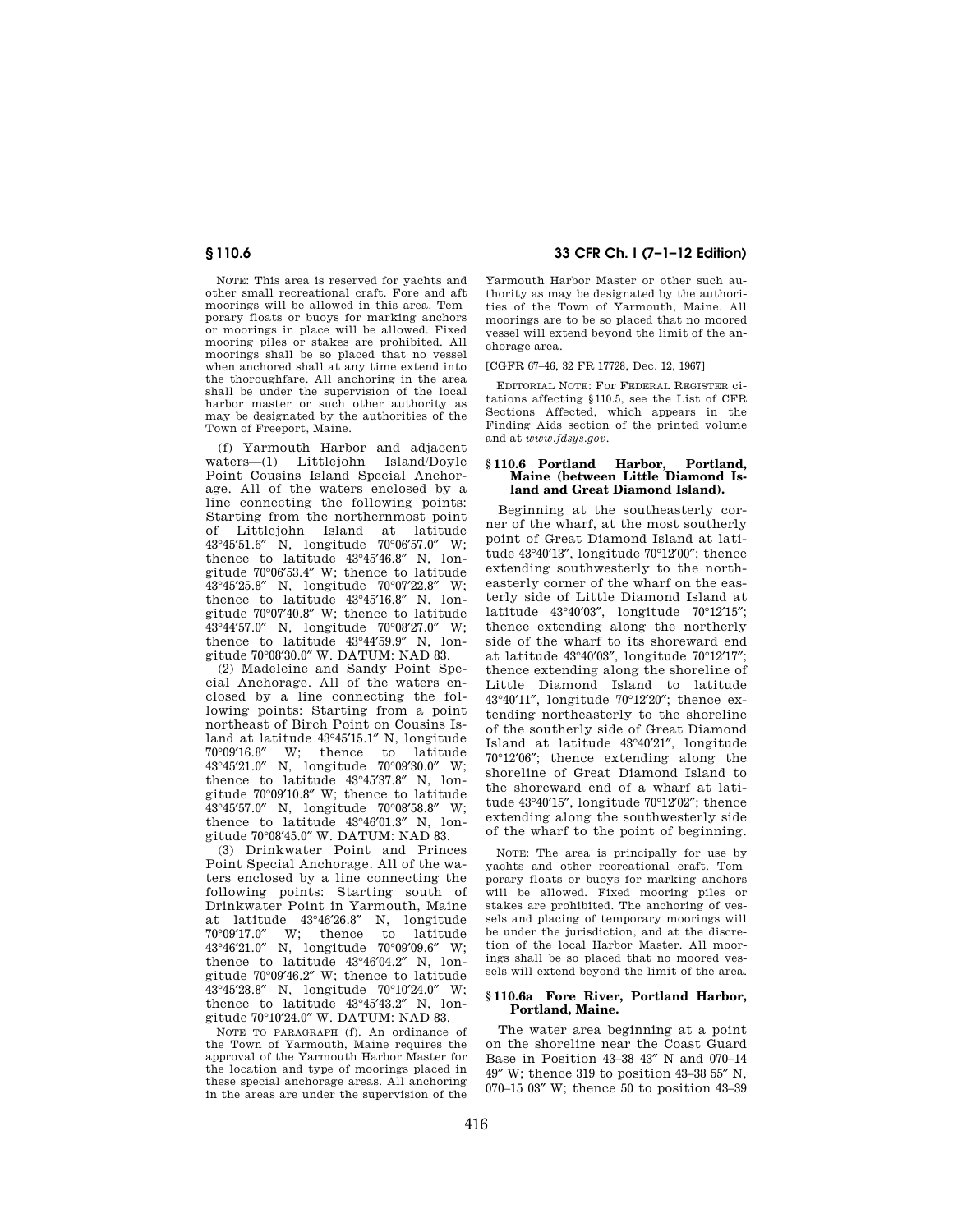NOTE: This area is reserved for yachts and other small recreational craft. Fore and aft moorings will be allowed in this area. Temporary floats or buoys for marking anchors or moorings in place will be allowed. Fixed mooring piles or stakes are prohibited. All moorings shall be so placed that no vessel when anchored shall at any time extend into the thoroughfare. All anchoring in the area shall be under the supervision of the local harbor master or such other authority as may be designated by the authorities of the Town of Freeport, Maine.

(f) Yarmouth Harbor and adjacent waters—(1) Littlejohn Island/Doyle Point Cousins Island Special Anchorage. All of the waters enclosed by a line connecting the following points: Starting from the northernmost point of Littlejohn Island at latitude 43°45′51.6″ N, longitude 70°06′57.0″ W; thence to latitude 43°45′46.8″ N, longitude 70°06′53.4″ W; thence to latitude 43°45′25.8″ N, longitude 70°07′22.8″ W; thence to latitude 43°45′16.8″ N, longitude 70°07′40.8″ W; thence to latitude 43°44′57.0″ N, longitude 70°08′27.0″ W; thence to latitude 43°44′59.9″ N, longitude 70°08′30.0″ W. DATUM: NAD 83.

(2) Madeleine and Sandy Point Special Anchorage. All of the waters enclosed by a line connecting the following points: Starting from a point northeast of Birch Point on Cousins Island at latitude 43°45′15.1″ N, longitude 70°09′16.8″ W; thence to latitude 43°45′21.0″ N, longitude 70°09′30.0″ W; thence to latitude 43°45′37.8″ N, longitude 70°09′10.8″ W; thence to latitude 43°45′57.0″ N, longitude 70°08′58.8″ W; thence to latitude 43°46′01.3″ N, longitude 70°08′45.0″ W. DATUM: NAD 83.

(3) Drinkwater Point and Princes Point Special Anchorage. All of the waters enclosed by a line connecting the following points: Starting south of Drinkwater Point in Yarmouth, Maine at latitude 43°46′26.8″ N, longitude W; thence to latitude 43°46′21.0″ N, longitude 70°09′09.6″ W; thence to latitude 43°46′04.2″ N, longitude 70°09′46.2″ W; thence to latitude 43°45′28.8″ N, longitude 70°10′24.0″ W; thence to latitude 43°45′43.2″ N, longitude 70°10′24.0″ W. DATUM: NAD 83.

NOTE TO PARAGRAPH (f). An ordinance of the Town of Yarmouth, Maine requires the approval of the Yarmouth Harbor Master for the location and type of moorings placed in these special anchorage areas. All anchoring in the areas are under the supervision of the

**§ 110.6 33 CFR Ch. I (7–1–12 Edition)** 

Yarmouth Harbor Master or other such authority as may be designated by the authorities of the Town of Yarmouth, Maine. All moorings are to be so placed that no moored vessel will extend beyond the limit of the anchorage area.

[CGFR 67–46, 32 FR 17728, Dec. 12, 1967]

EDITORIAL NOTE: For FEDERAL REGISTER citations affecting §110.5, see the List of CFR Sections Affected, which appears in the Finding Aids section of the printed volume and at *www.fdsys.gov*.

# **§ 110.6 Portland Harbor, Portland, Maine (between Little Diamond Island and Great Diamond Island).**

Beginning at the southeasterly corner of the wharf, at the most southerly point of Great Diamond Island at latitude 43°40′13″, longitude 70°12′00″; thence extending southwesterly to the northeasterly corner of the wharf on the easterly side of Little Diamond Island at latitude 43°40′03″, longitude 70°12′15″; thence extending along the northerly side of the wharf to its shoreward end at latitude 43°40′03″, longitude 70°12′17″; thence extending along the shoreline of Little Diamond Island to latitude 43°40′11″, longitude 70°12′20″; thence extending northeasterly to the shoreline of the southerly side of Great Diamond Island at latitude 43°40′21″, longitude 70°12′06″; thence extending along the shoreline of Great Diamond Island to the shoreward end of a wharf at latitude 43°40′15″, longitude 70°12′02″; thence extending along the southwesterly side of the wharf to the point of beginning.

NOTE: The area is principally for use by yachts and other recreational craft. Temporary floats or buoys for marking anchors will be allowed. Fixed mooring piles or stakes are prohibited. The anchoring of vessels and placing of temporary moorings will be under the jurisdiction, and at the discretion of the local Harbor Master. All moorings shall be so placed that no moored vessels will extend beyond the limit of the area.

## **§ 110.6a Fore River, Portland Harbor, Portland, Maine.**

The water area beginning at a point on the shoreline near the Coast Guard Base in Position 43–38 43″ N and 070–14 49″ W; thence 319 to position 43–38 55″ N, 070–15 03″ W; thence 50 to position 43–39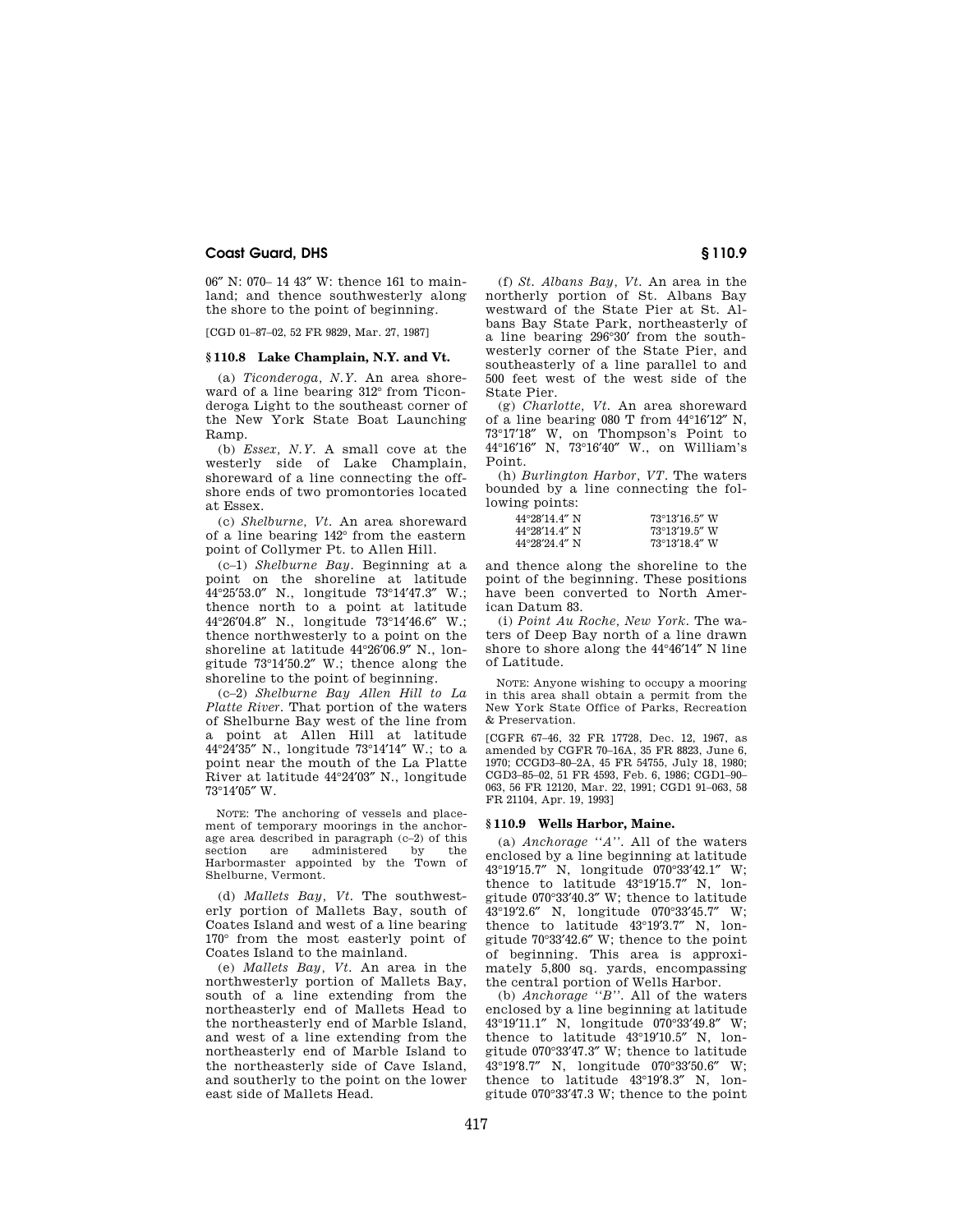06″ N: 070– 14 43″ W: thence 161 to mainland; and thence southwesterly along the shore to the point of beginning.

[CGD 01–87–02, 52 FR 9829, Mar. 27, 1987]

# **§ 110.8 Lake Champlain, N.Y. and Vt.**

(a) *Ticonderoga, N.Y.* An area shoreward of a line bearing 312° from Ticonderoga Light to the southeast corner of the New York State Boat Launching Ramp.

(b) *Essex, N.Y.* A small cove at the westerly side of Lake Champlain, shoreward of a line connecting the offshore ends of two promontories located at Essex.

(c) *Shelburne, Vt.* An area shoreward of a line bearing 142° from the eastern point of Collymer Pt. to Allen Hill.

(c–1) *Shelburne Bay.* Beginning at a point on the shoreline at latitude 44°25′53.0″ N., longitude 73°14′47.3″ W.; thence north to a point at latitude 44°26′04.8″ N., longitude 73°14′46.6″ W.; thence northwesterly to a point on the shoreline at latitude 44°26′06.9″ N., longitude 73°14′50.2″ W.; thence along the shoreline to the point of beginning.

(c–2) *Shelburne Bay Allen Hill to La Platte River.* That portion of the waters of Shelburne Bay west of the line from a point at Allen Hill at latitude 44°24′35″ N., longitude 73°14′14″ W.; to a point near the mouth of the La Platte River at latitude 44°24′03″ N., longitude 73°14′05″ W.

NOTE: The anchoring of vessels and placement of temporary moorings in the anchorage area described in paragraph (c–2) of this section are administered by the Harbormaster appointed by the Town of Shelburne, Vermont.

(d) *Mallets Bay, Vt.* The southwesterly portion of Mallets Bay, south of Coates Island and west of a line bearing 170° from the most easterly point of Coates Island to the mainland.

(e) *Mallets Bay, Vt.* An area in the northwesterly portion of Mallets Bay, south of a line extending from the northeasterly end of Mallets Head to the northeasterly end of Marble Island, and west of a line extending from the northeasterly end of Marble Island to the northeasterly side of Cave Island, and southerly to the point on the lower east side of Mallets Head.

(f) *St. Albans Bay, Vt.* An area in the northerly portion of St. Albans Bay westward of the State Pier at St. Albans Bay State Park, northeasterly of a line bearing 296°30′ from the southwesterly corner of the State Pier, and southeasterly of a line parallel to and 500 feet west of the west side of the State Pier.

(g) *Charlotte, Vt.* An area shoreward of a line bearing 080 T from 44°16′12″ N, 73°17′18″ W, on Thompson's Point to 44°16′16″ N, 73°16′40″ W., on William's Point.

(h) *Burlington Harbor, VT.* The waters bounded by a line connecting the following points:

| $44^{\circ}28'14.4''$ N | $73^{\circ}13'16.5''$ W |
|-------------------------|-------------------------|
| $44^{\circ}28'14.4''$ N | $73^{\circ}13'19.5''$ W |
| $44^{\circ}28'24$ 4" N  | $73^{\circ}13'18.4''$ W |

and thence along the shoreline to the point of the beginning. These positions have been converted to North American Datum 83.

(i) *Point Au Roche, New York.* The waters of Deep Bay north of a line drawn shore to shore along the 44°46′14″ N line of Latitude.

NOTE: Anyone wishing to occupy a mooring in this area shall obtain a permit from the New York State Office of Parks, Recreation & Preservation.

[CGFR 67–46, 32 FR 17728, Dec. 12, 1967, as amended by CGFR 70–16A, 35 FR 8823, June 6, 1970; CCGD3–80–2A, 45 FR 54755, July 18, 1980; CGD3–85–02, 51 FR 4593, Feb. 6, 1986; CGD1–90– 063, 56 FR 12120, Mar. 22, 1991; CGD1 91–063, 58 FR 21104, Apr. 19, 1993]

#### **§ 110.9 Wells Harbor, Maine.**

(a) *Anchorage ''A''.* All of the waters enclosed by a line beginning at latitude 43°19′15.7″ N, longitude 070°33′42.1″ W; thence to latitude 43°19′15.7″ N, longitude 070°33'40.3" W; thence to latitude  $43^{\circ}19'2.6''$  N. longitude 070°33'45.7" W: 43°19'2.6" N, longitude 070°33'45.7" thence to latitude 43°19′3.7″ N, longitude 70°33′42.6″ W; thence to the point of beginning. This area is approximately 5,800 sq. yards, encompassing the central portion of Wells Harbor.

(b) *Anchorage ''B''.* All of the waters enclosed by a line beginning at latitude 43°19′11.1″ N, longitude 070°33′49.8″ W; thence to latitude 43°19′10.5″ N, longitude 070°33′47.3″ W; thence to latitude 43°19′8.7″ N, longitude 070°33′50.6″ W; thence to latitude 43°19′8.3″ N, longitude 070°33′47.3 W; thence to the point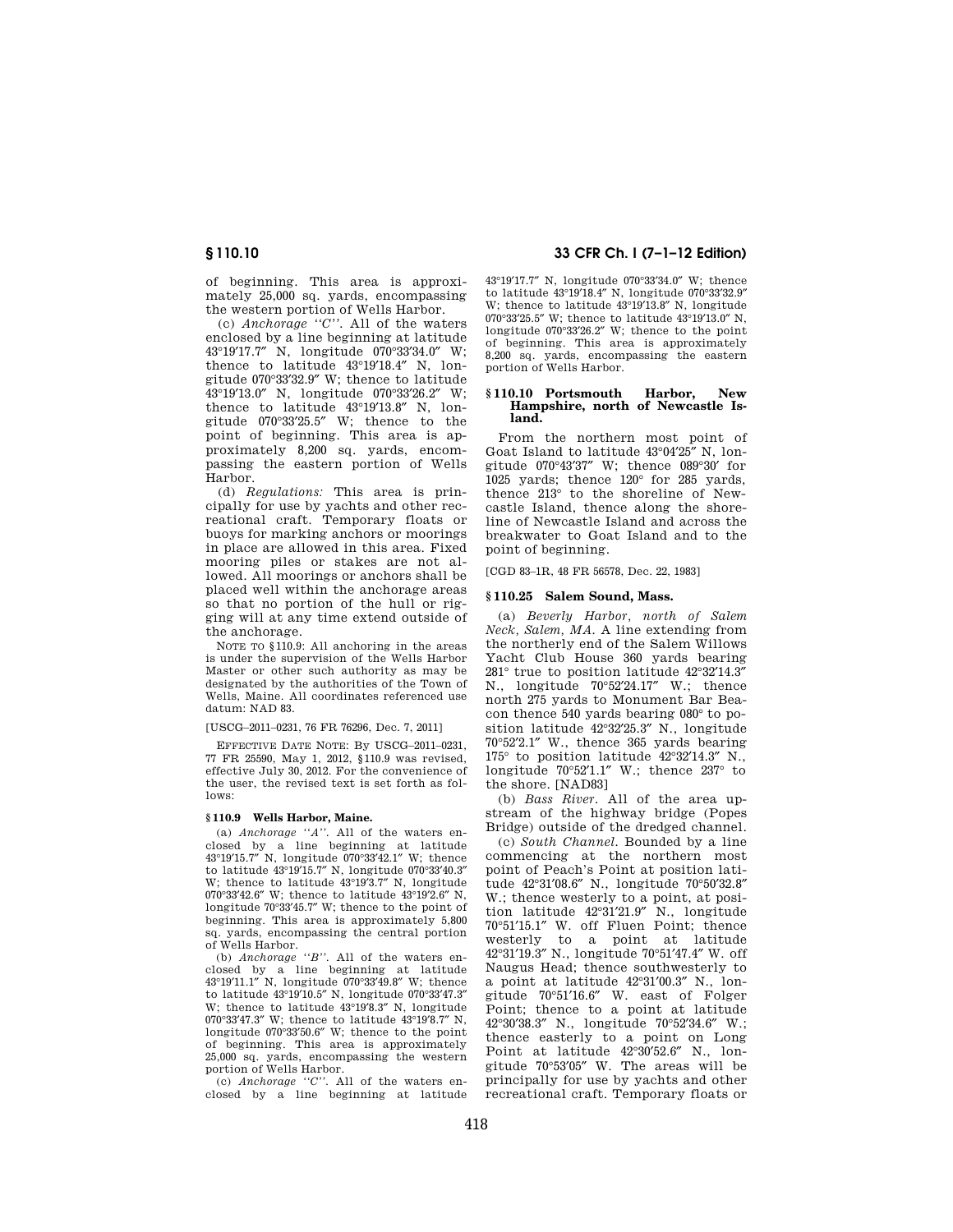of beginning. This area is approximately 25,000 sq. yards, encompassing the western portion of Wells Harbor.

(c) *Anchorage ''C''.* All of the waters enclosed by a line beginning at latitude 43°19′17.7″ N, longitude 070°33′34.0″ W; thence to latitude 43°19′18.4″ N, longitude 070°33′32.9″ W; thence to latitude 43°19′13.0″ N, longitude 070°33′26.2″ W; thence to latitude 43°19′13.8″ N, longitude 070°33′25.5″ W; thence to the point of beginning. This area is approximately 8,200 sq. yards, encompassing the eastern portion of Wells Harbor.

(d) *Regulations:* This area is principally for use by yachts and other recreational craft. Temporary floats or buoys for marking anchors or moorings in place are allowed in this area. Fixed mooring piles or stakes are not allowed. All moorings or anchors shall be placed well within the anchorage areas so that no portion of the hull or rigging will at any time extend outside of the anchorage.

NOTE TO §110.9: All anchoring in the areas is under the supervision of the Wells Harbor Master or other such authority as may be designated by the authorities of the Town of Wells, Maine. All coordinates referenced use datum: NAD 83.

[USCG–2011–0231, 76 FR 76296, Dec. 7, 2011]

EFFECTIVE DATE NOTE: By USCG–2011–0231, 77 FR 25590, May 1, 2012, §110.9 was revised, effective July 30, 2012. For the convenience of the user, the revised text is set forth as follows:

## **§ 110.9 Wells Harbor, Maine.**

(a) *Anchorage ''A''.* All of the waters enclosed by a line beginning at latitude 43°19′15.7″ N, longitude 070°33′42.1″ W; thence to latitude 43°19′15.7″ N, longitude 070°33′40.3″ W; thence to latitude  $43^{\circ}19^{\circ}3.7^{\prime\prime}$  N, longitude 070°33′42.6″ W; thence to latitude 43°19′2.6″ N, longitude 70°33′45.7″ W; thence to the point of beginning. This area is approximately 5,800 sq. yards, encompassing the central portion of Wells Harbor.

(b) *Anchorage ''B''.* All of the waters enclosed by a line beginning at latitude 43°19′11.1″ N, longitude 070°33′49.8″ W; thence to latitude 43°19′10.5″ N, longitude 070°33′47.3″ W; thence to latitude 43°19′8.3″ N, longitude 070°33′47.3″ W; thence to latitude 43°19′8.7″ N, longitude 070°33′50.6″ W; thence to the point of beginning. This area is approximately 25,000 sq. yards, encompassing the western portion of Wells Harbor.

(c) *Anchorage ''C''.* All of the waters enclosed by a line beginning at latitude

**§ 110.10 33 CFR Ch. I (7–1–12 Edition)** 

43°19′17.7″ N, longitude 070°33′34.0″ W; thence to latitude 43°19′18.4″ N, longitude 070°33′32.9″ W; thence to latitude 43°19′13.8″ N, longitude 070°33′25.5″ W; thence to latitude 43°19′13.0″ N, longitude 070°33′26.2″ W; thence to the point of beginning. This area is approximately 8,200 sq. yards, encompassing the eastern portion of Wells Harbor.

## **§ 110.10 Portsmouth Harbor, New Hampshire, north of Newcastle Island.**

From the northern most point of Goat Island to latitude 43°04′25″ N, longitude 070°43′37″ W; thence 089°30′ for 1025 yards; thence 120° for 285 yards, thence 213° to the shoreline of Newcastle Island, thence along the shoreline of Newcastle Island and across the breakwater to Goat Island and to the point of beginning.

[CGD 83–1R, 48 FR 56578, Dec. 22, 1983]

## **§ 110.25 Salem Sound, Mass.**

(a) *Beverly Harbor, north of Salem Neck, Salem, MA.* A line extending from the northerly end of the Salem Willows Yacht Club House 360 yards bearing 281° true to position latitude 42°32′14.3″ N., longitude 70°52′24.17″ W.; thence north 275 yards to Monument Bar Beacon thence 540 yards bearing 080° to position latitude 42°32′25.3″ N., longitude 70°52′2.1″ W., thence 365 yards bearing 175° to position latitude 42°32′14.3″ N., longitude 70°52′1.1″ W.; thence 237° to the shore. [NAD83]

(b) *Bass River.* All of the area upstream of the highway bridge (Popes Bridge) outside of the dredged channel.

(c) *South Channel.* Bounded by a line commencing at the northern most point of Peach's Point at position latitude 42°31′08.6″ N., longitude 70°50′32.8″ W.; thence westerly to a point, at position latitude 42°31′21.9″ N., longitude 70°51′15.1″ W. off Fluen Point; thence westerly to a point at latitude 42°31′19.3″ N., longitude 70°51′47.4″ W. off Naugus Head; thence southwesterly to a point at latitude 42°31′00.3″ N., longitude 70°51′16.6″ W. east of Folger Point; thence to a point at latitude 42°30′38.3″ N., longitude 70°52′34.6″ W.; thence easterly to a point on Long Point at latitude 42°30′52.6″ N., longitude 70°53′05″ W. The areas will be principally for use by yachts and other recreational craft. Temporary floats or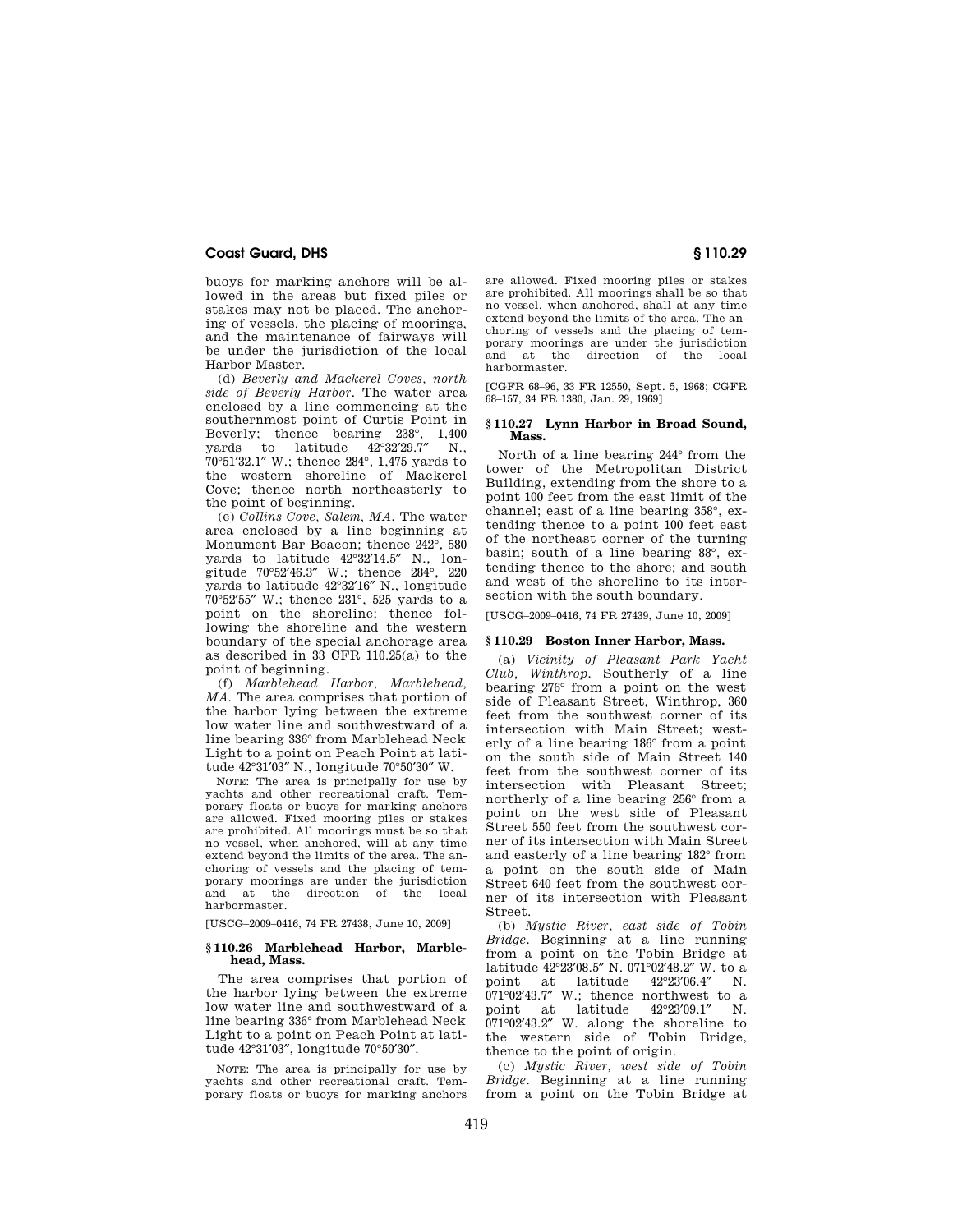buoys for marking anchors will be allowed in the areas but fixed piles or stakes may not be placed. The anchoring of vessels, the placing of moorings, and the maintenance of fairways will be under the jurisdiction of the local Harbor Master.

(d) *Beverly and Mackerel Coves, north side of Beverly Harbor.* The water area enclosed by a line commencing at the southernmost point of Curtis Point in Beverly; thence bearing 238°, 1,400 yards to latitude 42°32′29.7″ N., 70°51′32.1″ W.; thence 284°, 1,475 yards to the western shoreline of Mackerel Cove; thence north northeasterly to the point of beginning.

(e) *Collins Cove, Salem, MA.* The water area enclosed by a line beginning at Monument Bar Beacon; thence 242°, 580 yards to latitude 42°32′14.5″ N., longitude 70°52′46.3″ W.; thence 284°, 220 yards to latitude 42°32′16″ N., longitude 70°52′55″ W.; thence 231°, 525 yards to a point on the shoreline; thence following the shoreline and the western boundary of the special anchorage area as described in 33 CFR 110.25(a) to the point of beginning.

(f) *Marblehead Harbor, Marblehead, MA.* The area comprises that portion of the harbor lying between the extreme low water line and southwestward of a line bearing 336° from Marblehead Neck Light to a point on Peach Point at latitude 42°31′03″ N., longitude 70°50′30″ W.

NOTE: The area is principally for use by yachts and other recreational craft. Temporary floats or buoys for marking anchors are allowed. Fixed mooring piles or stakes are prohibited. All moorings must be so that no vessel, when anchored, will at any time extend beyond the limits of the area. The anchoring of vessels and the placing of temporary moorings are under the jurisdiction and at the direction of the local harbormaster.

[USCG–2009–0416, 74 FR 27438, June 10, 2009]

### **§ 110.26 Marblehead Harbor, Marblehead, Mass.**

The area comprises that portion of the harbor lying between the extreme low water line and southwestward of a line bearing 336° from Marblehead Neck Light to a point on Peach Point at latitude 42°31′03″, longitude 70°50′30″.

NOTE: The area is principally for use by yachts and other recreational craft. Temporary floats or buoys for marking anchors are allowed. Fixed mooring piles or stakes are prohibited. All moorings shall be so that no vessel, when anchored, shall at any time extend beyond the limits of the area. The anchoring of vessels and the placing of temporary moorings are under the jurisdiction and at the direction of the local harbormaster.

[CGFR 68–96, 33 FR 12550, Sept. 5, 1968; CGFR 68–157, 34 FR 1380, Jan. 29, 1969]

# **§ 110.27 Lynn Harbor in Broad Sound, Mass.**

North of a line bearing 244° from the tower of the Metropolitan District Building, extending from the shore to a point 100 feet from the east limit of the channel; east of a line bearing 358°, extending thence to a point 100 feet east of the northeast corner of the turning basin; south of a line bearing 88°, extending thence to the shore; and south and west of the shoreline to its intersection with the south boundary.

[USCG–2009–0416, 74 FR 27439, June 10, 2009]

# **§ 110.29 Boston Inner Harbor, Mass.**

(a) *Vicinity of Pleasant Park Yacht Club, Winthrop.* Southerly of a line bearing 276° from a point on the west side of Pleasant Street, Winthrop, 360 feet from the southwest corner of its intersection with Main Street; westerly of a line bearing 186° from a point on the south side of Main Street 140 feet from the southwest corner of its intersection with Pleasant Street; northerly of a line bearing 256° from a point on the west side of Pleasant Street 550 feet from the southwest corner of its intersection with Main Street and easterly of a line bearing 182° from a point on the south side of Main Street 640 feet from the southwest corner of its intersection with Pleasant Street.

(b) *Mystic River, east side of Tobin Bridge.* Beginning at a line running from a point on the Tobin Bridge at latitude 42°23′08.5″ N. 071°02′48.2″ W. to a point at latitude 42°23′06.4″ N.  $071^{\circ}02'43.7''$  W.; thence northwest to a point at latitude  $42^{\circ}23'09.1''$  N. point at latitude 42°23′09.1″ N. 071°02′43.2″ W. along the shoreline to the western side of Tobin Bridge, thence to the point of origin.

(c) *Mystic River, west side of Tobin Bridge.* Beginning at a line running from a point on the Tobin Bridge at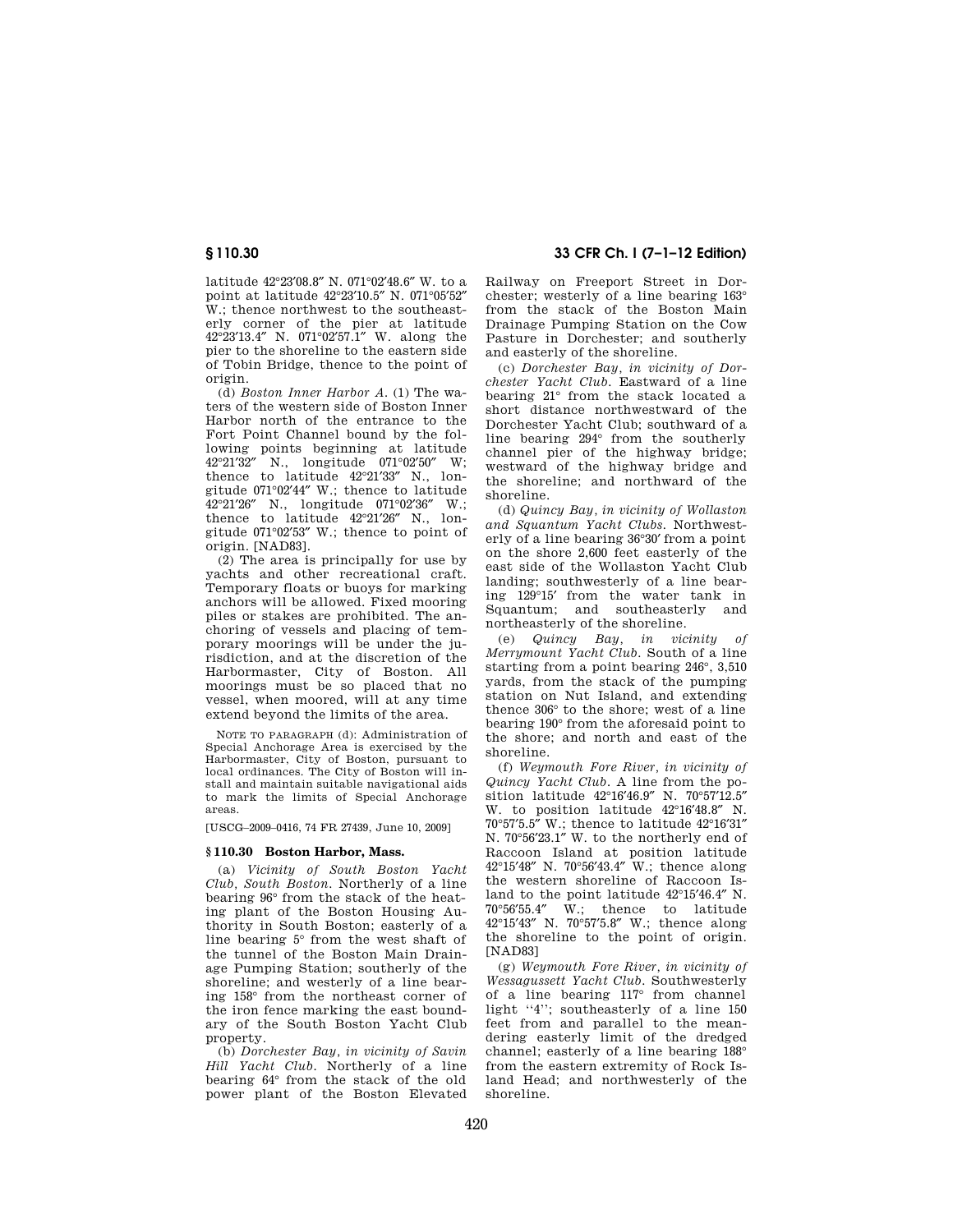latitude 42°23′08.8″ N. 071°02′48.6″ W. to a point at latitude 42°23′10.5″ N. 071°05′52″ W.; thence northwest to the southeasterly corner of the pier at latitude 42°23′13.4″ N. 071°02′57.1″ W. along the pier to the shoreline to the eastern side of Tobin Bridge, thence to the point of origin.

(d) *Boston Inner Harbor A.* (1) The waters of the western side of Boston Inner Harbor north of the entrance to the Fort Point Channel bound by the following points beginning at latitude 42°21′32″ N., longitude 071°02′50″ W; thence to latitude 42°21′33″ N., longitude 071°02′44″ W.; thence to latitude 42°21′26″ N., longitude 071°02′36″ W.; thence to latitude 42°21′26″ N., longitude 071°02′53″ W.; thence to point of origin. [NAD83].

(2) The area is principally for use by yachts and other recreational craft. Temporary floats or buoys for marking anchors will be allowed. Fixed mooring piles or stakes are prohibited. The anchoring of vessels and placing of temporary moorings will be under the jurisdiction, and at the discretion of the Harbormaster, City of Boston. All moorings must be so placed that no vessel, when moored, will at any time extend beyond the limits of the area.

NOTE TO PARAGRAPH (d): Administration of Special Anchorage Area is exercised by the Harbormaster, City of Boston, pursuant to local ordinances. The City of Boston will install and maintain suitable navigational aids to mark the limits of Special Anchorage areas.

[USCG–2009–0416, 74 FR 27439, June 10, 2009]

## **§ 110.30 Boston Harbor, Mass.**

(a) *Vicinity of South Boston Yacht Club, South Boston.* Northerly of a line bearing 96° from the stack of the heating plant of the Boston Housing Authority in South Boston; easterly of a line bearing 5° from the west shaft of the tunnel of the Boston Main Drainage Pumping Station; southerly of the shoreline; and westerly of a line bearing 158° from the northeast corner of the iron fence marking the east boundary of the South Boston Yacht Club property.

(b) *Dorchester Bay, in vicinity of Savin Hill Yacht Club.* Northerly of a line bearing 64° from the stack of the old power plant of the Boston Elevated

**§ 110.30 33 CFR Ch. I (7–1–12 Edition)** 

Railway on Freeport Street in Dorchester; westerly of a line bearing 163° from the stack of the Boston Main Drainage Pumping Station on the Cow Pasture in Dorchester; and southerly and easterly of the shoreline.

(c) *Dorchester Bay, in vicinity of Dorchester Yacht Club.* Eastward of a line bearing 21° from the stack located a short distance northwestward of the Dorchester Yacht Club; southward of a line bearing 294° from the southerly channel pier of the highway bridge; westward of the highway bridge and the shoreline; and northward of the shoreline.

(d) *Quincy Bay, in vicinity of Wollaston and Squantum Yacht Clubs.* Northwesterly of a line bearing 36°30′ from a point on the shore 2,600 feet easterly of the east side of the Wollaston Yacht Club landing; southwesterly of a line bearing 129°15′ from the water tank in Squantum; and southeasterly and northeasterly of the shoreline.

(e) *Quincy Bay, in vicinity of Merrymount Yacht Club.* South of a line starting from a point bearing 246°, 3,510 yards, from the stack of the pumping station on Nut Island, and extending thence 306° to the shore; west of a line bearing 190° from the aforesaid point to the shore; and north and east of the shoreline.

(f) *Weymouth Fore River, in vicinity of Quincy Yacht Club.* A line from the position latitude 42°16′46.9″ N. 70°57′12.5″ W. to position latitude 42°16′48.8″ N. 70°57′5.5″ W.; thence to latitude 42°16′31″ N. 70°56′23.1″ W. to the northerly end of Raccoon Island at position latitude 42°15′48″ N. 70°56′43.4″ W.; thence along the western shoreline of Raccoon Island to the point latitude 42°15′46.4″ N. 70°56′55.4″ W.; thence to latitude 42°15′43″ N. 70°57′5.8″ W.; thence along the shoreline to the point of origin. [NAD83]

(g) *Weymouth Fore River, in vicinity of Wessagussett Yacht Club.* Southwesterly of a line bearing 117° from channel light "4"; southeasterly of a line 150 feet from and parallel to the meandering easterly limit of the dredged channel; easterly of a line bearing 188° from the eastern extremity of Rock Island Head; and northwesterly of the shoreline.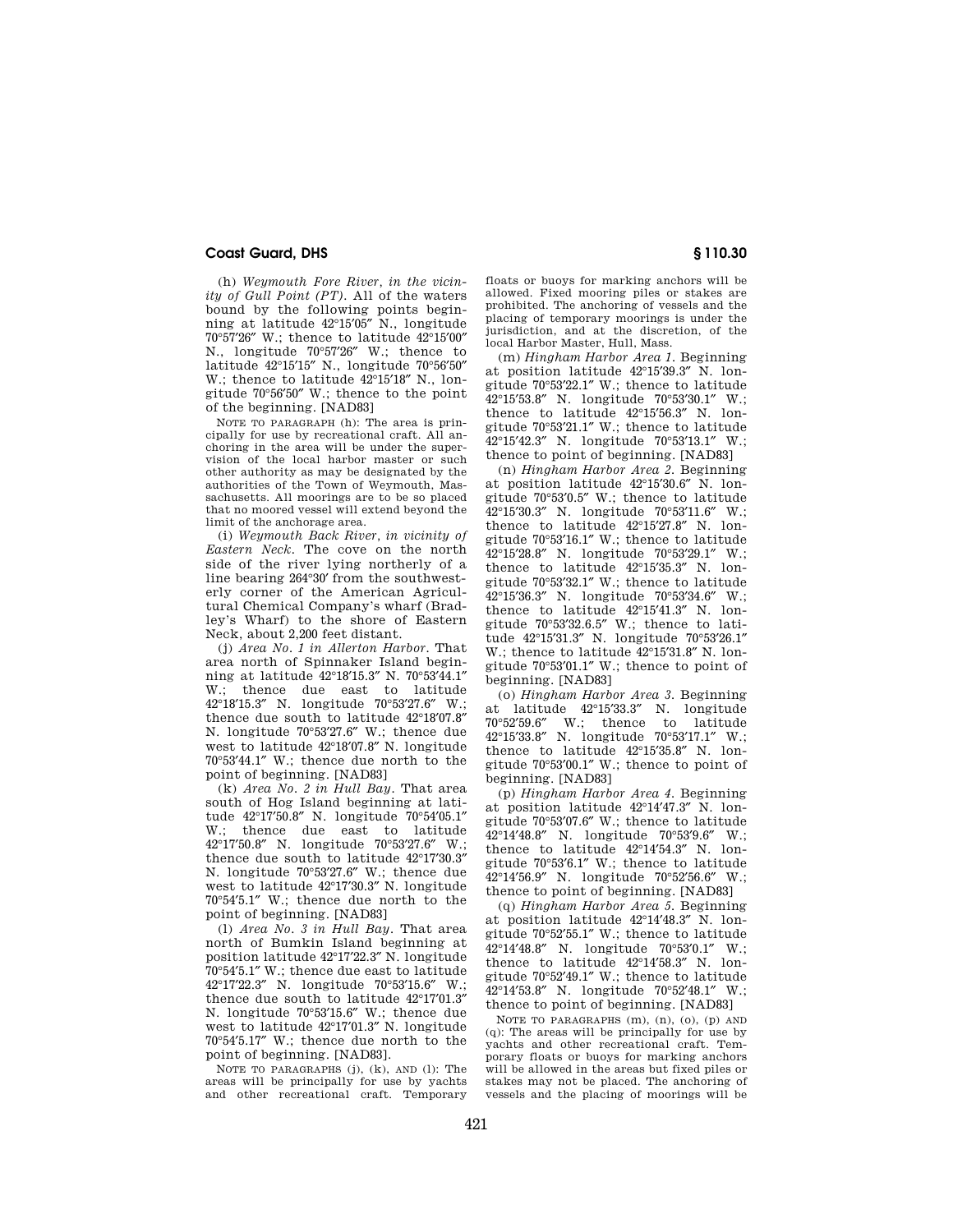(h) *Weymouth Fore River, in the vicinity of Gull Point (PT).* All of the waters bound by the following points beginning at latitude 42°15′05″ N., longitude 70°57′26″ W.; thence to latitude 42°15′00″ N., longitude 70°57′26″ W.; thence to latitude 42°15′15″ N., longitude 70°56′50″ W.; thence to latitude 42°15′18″ N., longitude 70°56′50″ W.; thence to the point of the beginning. [NAD83]

NOTE TO PARAGRAPH (h): The area is principally for use by recreational craft. All anchoring in the area will be under the supervision of the local harbor master or such other authority as may be designated by the authorities of the Town of Weymouth, Massachusetts. All moorings are to be so placed that no moored vessel will extend beyond the limit of the anchorage area.

(i) *Weymouth Back River, in vicinity of Eastern Neck.* The cove on the north side of the river lying northerly of a line bearing 264°30′ from the southwesterly corner of the American Agricultural Chemical Company's wharf (Bradley's Wharf) to the shore of Eastern Neck, about 2,200 feet distant.

(j) *Area No. 1 in Allerton Harbor.* That area north of Spinnaker Island beginning at latitude  $42^{\circ}18'15.3''$  N. 70°53′ $44.1''$ <br>W thence due east to latitude thence due east to 42°18′15.3″ N. longitude 70°53′27.6″ W.; thence due south to latitude 42°18′07.8″ N. longitude 70°53′27.6″ W.; thence due west to latitude 42°18′07.8″ N. longitude 70°53′44.1″ W.; thence due north to the point of beginning. [NAD83]

(k) *Area No. 2 in Hull Bay.* That area south of Hog Island beginning at latitude 42°17′50.8″ N. longitude 70°54′05.1″ W.; thence due east to latitude 42°17′50.8″ N. longitude 70°53′27.6″ W.; thence due south to latitude 42°17′30.3″ N. longitude 70°53′27.6″ W.; thence due west to latitude 42°17′30.3″ N. longitude 70°54′5.1″ W.; thence due north to the point of beginning. [NAD83]

(l) *Area No. 3 in Hull Bay.* That area north of Bumkin Island beginning at position latitude 42°17′22.3″ N. longitude 70°54′5.1″ W.; thence due east to latitude 42°17′22.3″ N. longitude 70°53′15.6″ W.; thence due south to latitude 42°17′01.3″ N. longitude 70°53′15.6″ W.; thence due west to latitude 42°17′01.3″ N. longitude 70°54′5.17″ W.; thence due north to the point of beginning. [NAD83].

NOTE TO PARAGRAPHS (j), (k), AND (l): The areas will be principally for use by yachts and other recreational craft. Temporary floats or buoys for marking anchors will be allowed. Fixed mooring piles or stakes are prohibited. The anchoring of vessels and the placing of temporary moorings is under the jurisdiction, and at the discretion, of the local Harbor Master, Hull, Mass.

(m) *Hingham Harbor Area 1.* Beginning at position latitude 42°15′39.3″ N. longitude 70°53′22.1″ W.; thence to latitude 42°15′53.8″ N. longitude 70°53′30.1″ W.; thence to latitude 42°15′56.3″ N. longitude  $70^{\circ}53'21.1''$  W.; thence to latitude  $42^{\circ}15'42.3''$  N. longitude  $70^{\circ}53'13.1''$  W.: 42°15'42.3" N. longitude 70°53'13.1" thence to point of beginning. [NAD83]

(n) *Hingham Harbor Area 2.* Beginning at position latitude 42°15′30.6″ N. longitude 70°53′0.5″ W.; thence to latitude 42°15′30.3″ N. longitude 70°53′11.6″ W.; thence to latitude 42°15′27.8″ N. longitude 70°53′16.1″ W.; thence to latitude 42°15′28.8″ N. longitude 70°53′29.1″ W.; thence to latitude 42°15′35.3″ N. longitude 70°53′32.1″ W.; thence to latitude 42°15′36.3″ N. longitude 70°53′34.6″ W.; thence to latitude 42°15′41.3″ N. longitude 70°53′32.6.5″ W.; thence to latitude 42°15′31.3″ N. longitude 70°53′26.1″ W.; thence to latitude 42°15′31.8″ N. longitude 70°53′01.1″ W.; thence to point of beginning. [NAD83]

(o) *Hingham Harbor Area 3.* Beginning at latitude 42°15′33.3″ N. longitude W.; thence to latitude<br>N. longitude 70°53'17.1″ W.:  $42^{\circ}15'33.8''$  N. longitude  $70^{\circ}53'17.1''$ thence to latitude 42°15′35.8″ N. longitude 70°53′00.1″ W.; thence to point of beginning. [NAD83]

(p) *Hingham Harbor Area 4.* Beginning at position latitude 42°14′47.3″ N. longitude 70°53′07.6″ W.; thence to latitude 42°14′48.8″ N. longitude 70°53′9.6″ W.; thence to latitude 42°14′54.3″ N. longitude 70°53′6.1″ W.; thence to latitude 42°14′56.9″ N. longitude 70°52′56.6″ W.; thence to point of beginning. [NAD83]

(q) *Hingham Harbor Area 5.* Beginning at position latitude 42°14′48.3″ N. longitude 70°52′55.1″ W.; thence to latitude 42°14′48.8″ N. longitude 70°53′0.1″ W.; thence to latitude 42°14′58.3″ N. longitude 70°52′49.1″ W.; thence to latitude 42°14′53.8″ N. longitude 70°52′48.1″ W.; thence to point of beginning. [NAD83]

NOTE TO PARAGRAPHS  $(m)$ ,  $(n)$ ,  $(o)$ ,  $(p)$  and  $(a)$ : The areas will be principally for use by yachts and other recreational craft. Temporary floats or buoys for marking anchors will be allowed in the areas but fixed piles or stakes may not be placed. The anchoring of vessels and the placing of moorings will be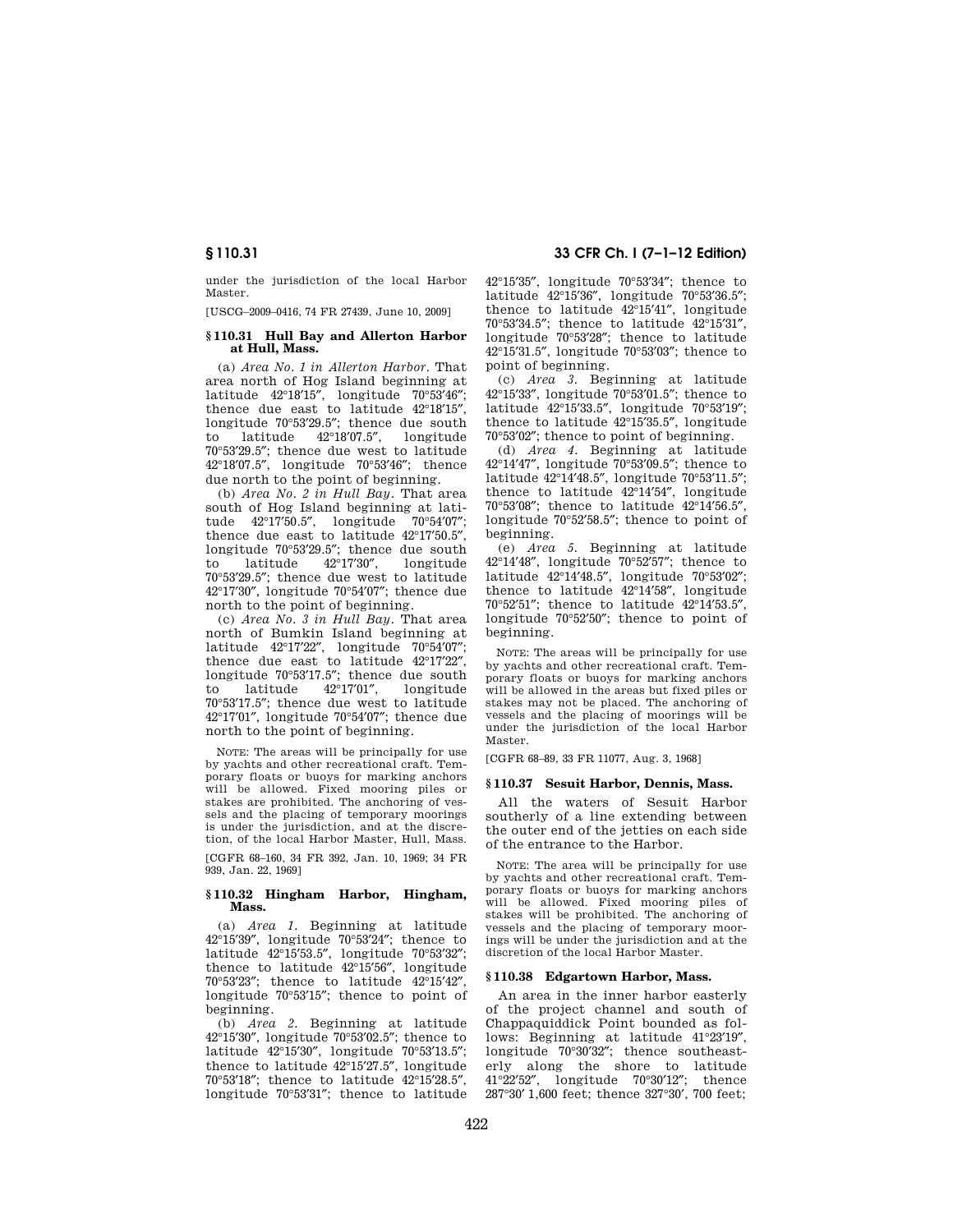under the jurisdiction of the local Harbor Master.

[USCG–2009–0416, 74 FR 27439, June 10, 2009]

## **§ 110.31 Hull Bay and Allerton Harbor at Hull, Mass.**

(a) *Area No. 1 in Allerton Harbor.* That area north of Hog Island beginning at latitude 42°18′15″, longitude 70°53′46″; thence due east to latitude 42°18′15″, longitude 70°53′29.5″; thence due south to latitude 42°18′07.5″, longitude 70°53′29.5″; thence due west to latitude 42°18′07.5″, longitude 70°53′46″; thence due north to the point of beginning.

(b) *Area No. 2 in Hull Bay.* That area south of Hog Island beginning at latitude 42°17′50.5″, longitude 70°54′07″; thence due east to latitude 42°17′50.5″, longitude 70°53'29.5"; thence due south<br>to latitude 42°17'30", longitude to latitude  $42^{\circ}17'30''$ , 70°53′29.5″; thence due west to latitude 42°17′30″, longitude 70°54′07″; thence due north to the point of beginning.

(c) *Area No. 3 in Hull Bay.* That area north of Bumkin Island beginning at latitude 42°17′22″, longitude 70°54′07″; thence due east to latitude 42°17′22″, longitude 70°53'17.5"; thence due south<br>to latitude 42°17'01". longitude  $42^{\circ}17'01'',$ 70°53′17.5″; thence due west to latitude 42°17′01″, longitude 70°54′07″; thence due north to the point of beginning.

NOTE: The areas will be principally for use by yachts and other recreational craft. Temporary floats or buoys for marking anchors will be allowed. Fixed mooring piles or stakes are prohibited. The anchoring of vessels and the placing of temporary moorings is under the jurisdiction, and at the discretion, of the local Harbor Master, Hull, Mass.

[CGFR 68–160, 34 FR 392, Jan. 10, 1969; 34 FR 939, Jan. 22, 1969]

## **§ 110.32 Hingham Harbor, Hingham, Mass.**

(a) *Area 1.* Beginning at latitude 42°15′39″, longitude 70°53′24″; thence to latitude 42°15′53.5″, longitude 70°53′32″; thence to latitude 42°15′56″, longitude 70°53′23″; thence to latitude 42°15′42″, longitude 70°53′15″; thence to point of beginning.

(b) *Area 2.* Beginning at latitude 42°15′30″, longitude 70°53′02.5″; thence to latitude 42°15′30″, longitude 70°53′13.5″; thence to latitude 42°15′27.5″, longitude 70°53′18″; thence to latitude 42°15′28.5″, longitude 70°53′31″; thence to latitude

# **§ 110.31 33 CFR Ch. I (7–1–12 Edition)**

42°15′35″, longitude 70°53′34″; thence to latitude 42°15′36″, longitude 70°53′36.5″; thence to latitude 42°15′41″, longitude 70°53′34.5″; thence to latitude 42°15′31″, longitude 70°53′28″; thence to latitude 42°15′31.5″, longitude 70°53′03″; thence to point of beginning.

(c) *Area 3.* Beginning at latitude 42°15′33″, longitude 70°53′01.5″; thence to latitude 42°15′33.5″, longitude 70°53′19″; thence to latitude 42°15′35.5″, longitude 70°53′02″; thence to point of beginning.

(d) *Area 4.* Beginning at latitude 42°14′47″, longitude 70°53′09.5″; thence to latitude 42°14′48.5″, longitude 70°53′11.5″; thence to latitude 42°14′54″, longitude 70°53′08″; thence to latitude 42°14′56.5″, longitude 70°52′58.5″; thence to point of beginning.

(e) *Area 5.* Beginning at latitude 42°14′48″, longitude 70°52′57″; thence to latitude 42°14′48.5″, longitude 70°53′02″; thence to latitude 42°14′58″, longitude 70°52′51″; thence to latitude 42°14′53.5″, longitude 70°52′50″; thence to point of beginning.

NOTE: The areas will be principally for use by yachts and other recreational craft. Temporary floats or buoys for marking anchors will be allowed in the areas but fixed piles or stakes may not be placed. The anchoring of vessels and the placing of moorings will be under the jurisdiction of the local Harbor Master.

[CGFR 68–89, 33 FR 11077, Aug. 3, 1968]

## **§ 110.37 Sesuit Harbor, Dennis, Mass.**

All the waters of Sesuit Harbor southerly of a line extending between the outer end of the jetties on each side of the entrance to the Harbor.

NOTE: The area will be principally for use by yachts and other recreational craft. Temporary floats or buoys for marking anchors will be allowed. Fixed mooring piles of stakes will be prohibited. The anchoring of vessels and the placing of temporary moorings will be under the jurisdiction and at the discretion of the local Harbor Master.

## **§ 110.38 Edgartown Harbor, Mass.**

An area in the inner harbor easterly of the project channel and south of Chappaquiddick Point bounded as follows: Beginning at latitude 41°23′19″, longitude 70°30′32″; thence southeasterly along the shore to latitude 41°22′52″, longitude 70°30′12″; thence 287°30′ 1,600 feet; thence 327°30′, 700 feet;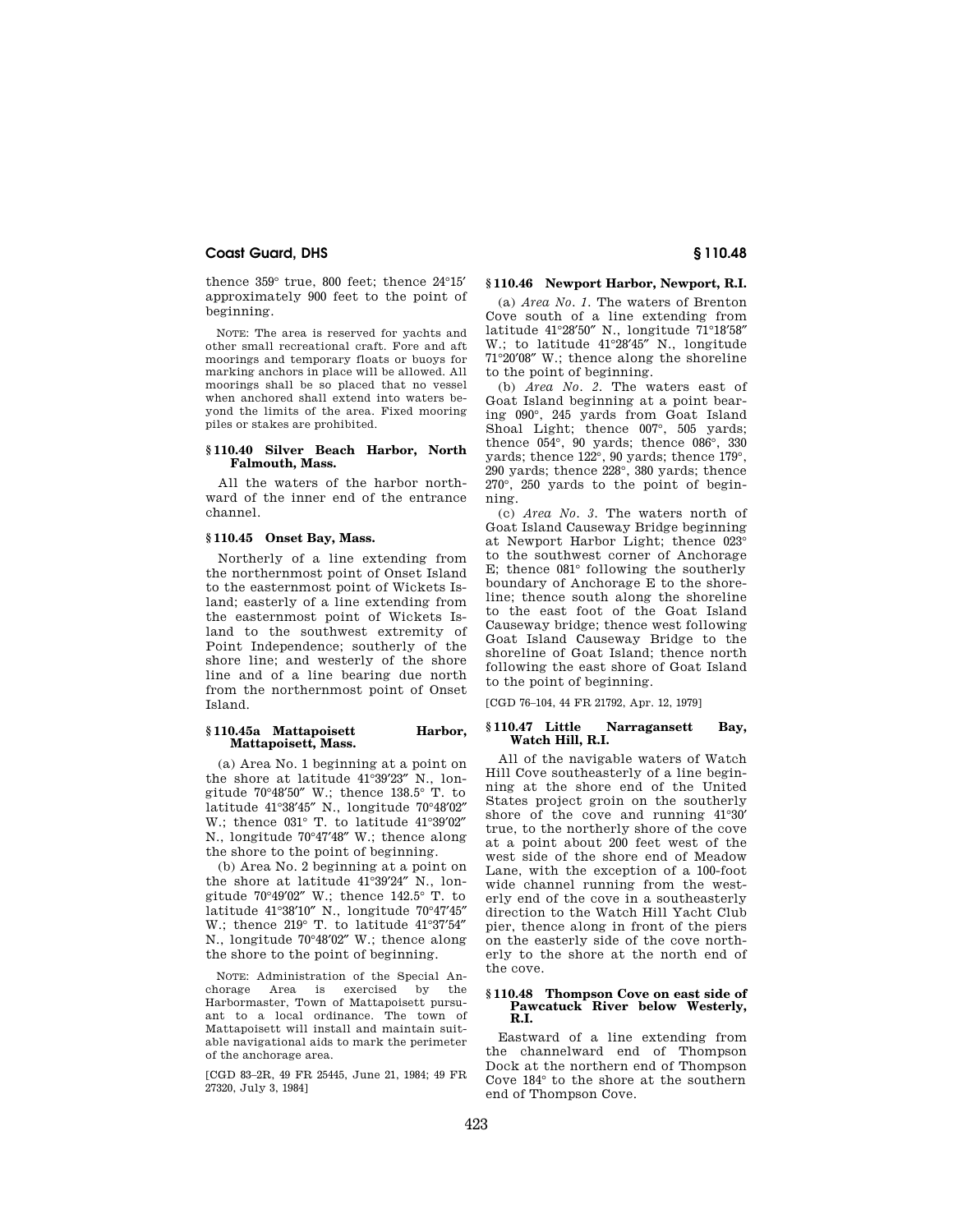thence 359° true, 800 feet; thence 24°15′ approximately 900 feet to the point of beginning.

NOTE: The area is reserved for yachts and other small recreational craft. Fore and aft moorings and temporary floats or buoys for marking anchors in place will be allowed. All moorings shall be so placed that no vessel when anchored shall extend into waters beyond the limits of the area. Fixed mooring piles or stakes are prohibited.

# **§ 110.40 Silver Beach Harbor, North Falmouth, Mass.**

All the waters of the harbor northward of the inner end of the entrance channel.

# **§ 110.45 Onset Bay, Mass.**

Northerly of a line extending from the northernmost point of Onset Island to the easternmost point of Wickets Island; easterly of a line extending from the easternmost point of Wickets Island to the southwest extremity of Point Independence; southerly of the shore line; and westerly of the shore line and of a line bearing due north from the northernmost point of Onset Island.

## **§ 110.45a Mattapoisett Harbor, Mattapoisett, Mass.**

(a) Area No. 1 beginning at a point on the shore at latitude 41°39′23″ N., longitude 70°48′50″ W.; thence 138.5° T. to latitude 41°38′45″ N., longitude 70°48′02″ W.; thence 031° T. to latitude 41°39′02″ N., longitude 70°47′48″ W.; thence along the shore to the point of beginning.

(b) Area No. 2 beginning at a point on the shore at latitude 41°39′24″ N., longitude 70°49′02″ W.; thence 142.5° T. to latitude 41°38′10″ N., longitude 70°47′45″ W.; thence 219° T. to latitude 41°37′54″ N., longitude 70°48′02″ W.; thence along the shore to the point of beginning.

NOTE: Administration of the Special Anchorage Area is exercised by the Harbormaster, Town of Mattapoisett pursuant to a local ordinance. The town of Mattapoisett will install and maintain suitable navigational aids to mark the perimeter of the anchorage area.

[CGD 83–2R, 49 FR 25445, June 21, 1984; 49 FR 27320, July 3, 1984]

# **§ 110.46 Newport Harbor, Newport, R.I.**

(a) *Area No. 1.* The waters of Brenton Cove south of a line extending from latitude 41°28′50″ N., longitude 71°18′58″ W.; to latitude 41°28′45″ N., longitude 71°20′08″ W.; thence along the shoreline to the point of beginning.

(b) *Area No. 2.* The waters east of Goat Island beginning at a point bearing 090°, 245 yards from Goat Island Shoal Light; thence 007°, 505 yards; thence 054°, 90 yards; thence 086°, 330 yards; thence 122°, 90 yards; thence 179°, 290 yards; thence 228°, 380 yards; thence 270°, 250 yards to the point of beginning.

(c) *Area No. 3.* The waters north of Goat Island Causeway Bridge beginning at Newport Harbor Light; thence 023° to the southwest corner of Anchorage E; thence 081° following the southerly boundary of Anchorage E to the shoreline; thence south along the shoreline to the east foot of the Goat Island Causeway bridge; thence west following Goat Island Causeway Bridge to the shoreline of Goat Island; thence north following the east shore of Goat Island to the point of beginning.

[CGD 76–104, 44 FR 21792, Apr. 12, 1979]

# **§ 110.47 Little Narragansett Bay, Watch Hill, R.I.**

All of the navigable waters of Watch Hill Cove southeasterly of a line beginning at the shore end of the United States project groin on the southerly shore of the cove and running 41°30′ true, to the northerly shore of the cove at a point about 200 feet west of the west side of the shore end of Meadow Lane, with the exception of a 100-foot wide channel running from the westerly end of the cove in a southeasterly direction to the Watch Hill Yacht Club pier, thence along in front of the piers on the easterly side of the cove northerly to the shore at the north end of the cove.

#### **§ 110.48 Thompson Cove on east side of Pawcatuck River below Westerly, R.I.**

Eastward of a line extending from the channelward end of Thompson Dock at the northern end of Thompson Cove 184° to the shore at the southern end of Thompson Cove.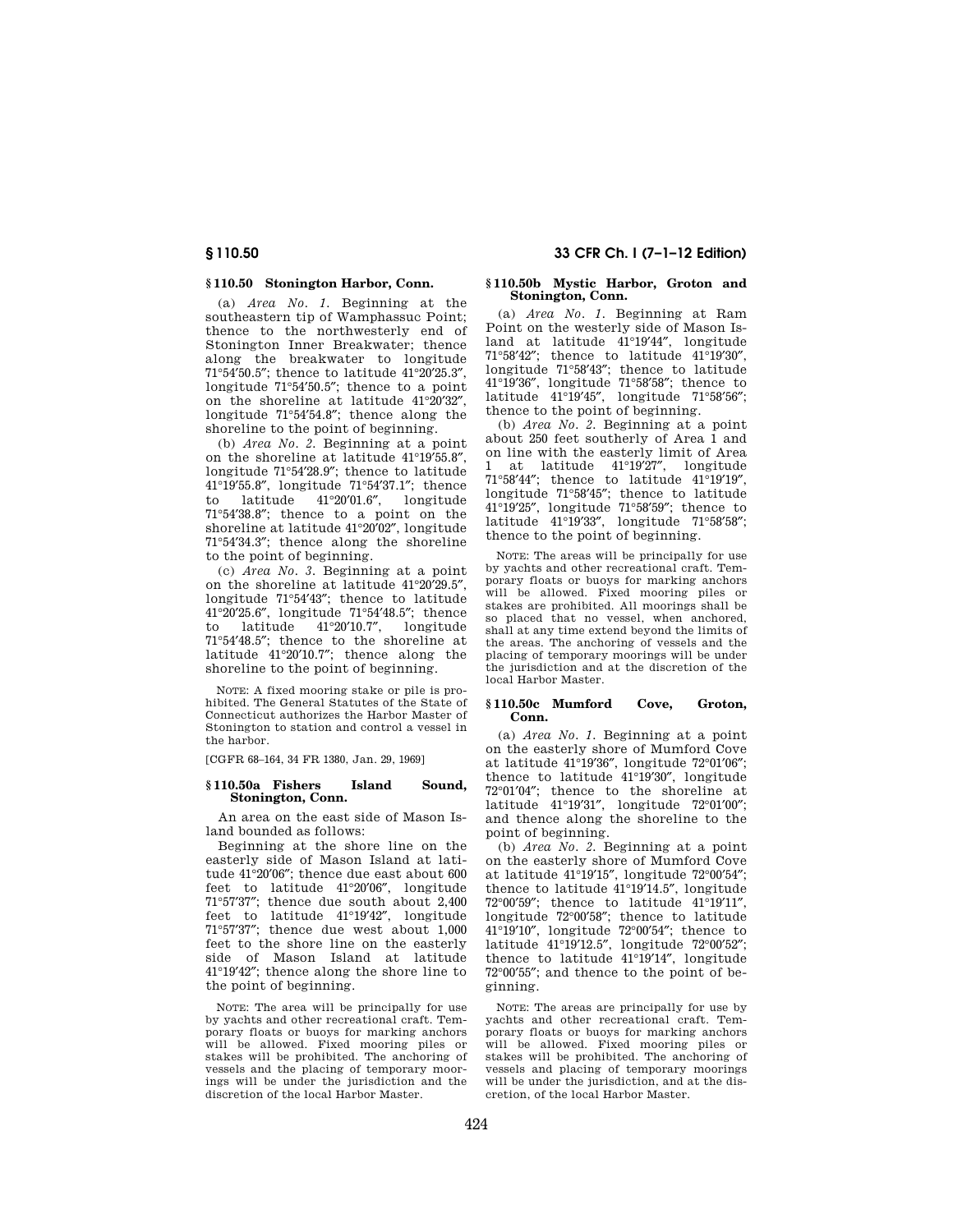# **§ 110.50 Stonington Harbor, Conn.**

(a) *Area No. 1.* Beginning at the southeastern tip of Wamphassuc Point; thence to the northwesterly end of Stonington Inner Breakwater; thence along the breakwater to longitude 71°54′50.5″; thence to latitude 41°20′25.3″, longitude 71°54′50.5″; thence to a point on the shoreline at latitude 41°20'32" longitude 71°54′54.8″; thence along the shoreline to the point of beginning.

(b) *Area No. 2.* Beginning at a point on the shoreline at latitude 41°19′55.8″, longitude 71°54′28.9″; thence to latitude 41°19′55.8″, longitude 71°54′37.1″; thence to latitude 41°20′01.6″, longitude 71°54′38.8″; thence to a point on the shoreline at latitude 41°20′02″, longitude 71°54′34.3″; thence along the shoreline to the point of beginning.

(c) *Area No. 3.* Beginning at a point on the shoreline at latitude 41°20′29.5″, longitude 71°54′43″; thence to latitude 41°20′25.6″, longitude 71°54′48.5″; thence to latitude 41°20′10.7″, longitude 71°54′48.5″; thence to the shoreline at latitude 41°20′10.7″; thence along the shoreline to the point of beginning.

NOTE: A fixed mooring stake or pile is prohibited. The General Statutes of the State of Connecticut authorizes the Harbor Master of Stonington to station and control a vessel in the harbor.

[CGFR 68–164, 34 FR 1380, Jan. 29, 1969]

## **§ 110.50a Fishers Island Sound, Stonington, Conn.**

An area on the east side of Mason Island bounded as follows:

Beginning at the shore line on the easterly side of Mason Island at latitude 41°20′06″; thence due east about 600 feet to latitude 41°20′06″, longitude 71°57′37″; thence due south about 2,400 feet to latitude 41°19′42″, longitude 71°57′37″; thence due west about 1,000 feet to the shore line on the easterly side of Mason Island at latitude 41°19′42″; thence along the shore line to the point of beginning.

NOTE: The area will be principally for use by yachts and other recreational craft. Temporary floats or buoys for marking anchors will be allowed. Fixed mooring piles or stakes will be prohibited. The anchoring of vessels and the placing of temporary moorings will be under the jurisdiction and the discretion of the local Harbor Master.

# **§ 110.50 33 CFR Ch. I (7–1–12 Edition)**

## **§ 110.50b Mystic Harbor, Groton and Stonington, Conn.**

(a) *Area No. 1.* Beginning at Ram Point on the westerly side of Mason Island at latitude 41°19′44″, longitude 71°58′42″; thence to latitude 41°19′30″, longitude 71°58′43″; thence to latitude 41°19′36″, longitude 71°58′58″; thence to latitude 41°19′45″, longitude 71°58′56″; thence to the point of beginning.

(b) *Area No. 2.* Beginning at a point about 250 feet southerly of Area 1 and on line with the easterly limit of Area 1 at latitude 41°19′27″, longitude 71°58′44″; thence to latitude 41°19′19″, longitude 71°58′45″; thence to latitude 41°19′25″, longitude 71°58′59″; thence to latitude 41°19′33″, longitude 71°58′58″; thence to the point of beginning.

NOTE: The areas will be principally for use by yachts and other recreational craft. Temporary floats or buoys for marking anchors will be allowed. Fixed mooring piles or stakes are prohibited. All moorings shall be so placed that no vessel, when anchored, shall at any time extend beyond the limits of the areas. The anchoring of vessels and the placing of temporary moorings will be under the jurisdiction and at the discretion of the local Harbor Master.

# **§ 110.50c Mumford Cove, Groton, Conn.**

(a) *Area No. 1.* Beginning at a point on the easterly shore of Mumford Cove at latitude 41°19′36″, longitude 72°01′06″; thence to latitude 41°19′30″, longitude 72°01′04″; thence to the shoreline at latitude 41°19′31″, longitude 72°01′00″; and thence along the shoreline to the point of beginning.

(b) *Area No. 2.* Beginning at a point on the easterly shore of Mumford Cove at latitude 41°19′15″, longitude 72°00′54″; thence to latitude 41°19′14.5″, longitude 72°00′59″; thence to latitude 41°19′11″, longitude 72°00′58″; thence to latitude 41°19′10″, longitude 72°00′54″; thence to latitude 41°19′12.5″, longitude 72°00′52″; thence to latitude 41°19′14″, longitude 72°00′55″; and thence to the point of beginning.

NOTE: The areas are principally for use by yachts and other recreational craft. Temporary floats or buoys for marking anchors will be allowed. Fixed mooring piles or stakes will be prohibited. The anchoring of vessels and placing of temporary moorings will be under the jurisdiction, and at the discretion, of the local Harbor Master.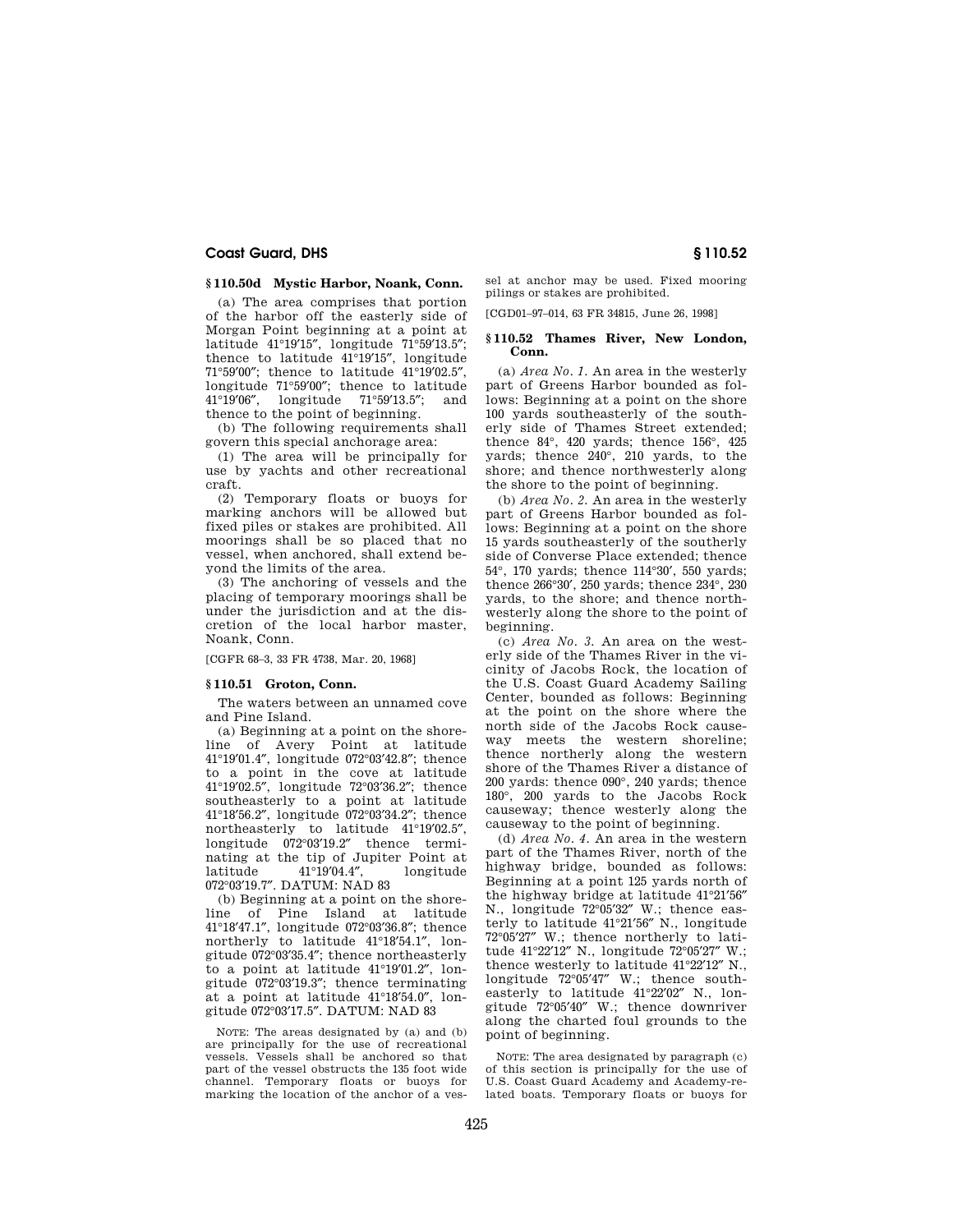# **§ 110.50d Mystic Harbor, Noank, Conn.**

(a) The area comprises that portion of the harbor off the easterly side of Morgan Point beginning at a point at latitude 41°19′15″, longitude 71°59′13.5″; thence to latitude 41°19′15″, longitude 71°59′00″; thence to latitude 41°19′02.5″, longitude 71°59′00″; thence to latitude 41°19′06″, longitude 71°59′13.5″; and thence to the point of beginning.

(b) The following requirements shall govern this special anchorage area:

(1) The area will be principally for use by yachts and other recreational craft.

(2) Temporary floats or buoys for marking anchors will be allowed but fixed piles or stakes are prohibited. All moorings shall be so placed that no vessel, when anchored, shall extend beyond the limits of the area.

(3) The anchoring of vessels and the placing of temporary moorings shall be under the jurisdiction and at the discretion of the local harbor master, Noank, Conn.

[CGFR 68–3, 33 FR 4738, Mar. 20, 1968]

## **§ 110.51 Groton, Conn.**

The waters between an unnamed cove and Pine Island.

(a) Beginning at a point on the shoreline of Avery Point at latitude 41°19′01.4″, longitude 072°03′42.8″; thence to a point in the cove at latitude 41°19′02.5″, longitude 72°03′36.2″; thence southeasterly to a point at latitude 41°18′56.2″, longitude 072°03′34.2″; thence northeasterly to latitude 41°19′02.5″, longitude 072°03′19.2″ thence terminating at the tip of Jupiter Point at latitude 41°19′04.4″, longitude 072°03′19.7″. DATUM: NAD 83

(b) Beginning at a point on the shoreline of Pine Island at latitude 41°18′47.1″, longitude 072°03′36.8″; thence northerly to latitude 41°18′54.1″, longitude 072°03′35.4″; thence northeasterly to a point at latitude 41°19′01.2″, longitude 072°03′19.3″; thence terminating at a point at latitude 41°18′54.0″, longitude 072°03′17.5″. DATUM: NAD 83

NOTE: The areas designated by (a) and (b) are principally for the use of recreational vessels. Vessels shall be anchored so that part of the vessel obstructs the 135 foot wide channel. Temporary floats or buoys for marking the location of the anchor of a vessel at anchor may be used. Fixed mooring pilings or stakes are prohibited.

[CGD01–97–014, 63 FR 34815, June 26, 1998]

## **§ 110.52 Thames River, New London, Conn.**

(a) *Area No. 1.* An area in the westerly part of Greens Harbor bounded as follows: Beginning at a point on the shore 100 yards southeasterly of the southerly side of Thames Street extended; thence 84°, 420 yards; thence 156°, 425 yards; thence 240°, 210 yards, to the shore; and thence northwesterly along the shore to the point of beginning.

(b) *Area No. 2.* An area in the westerly part of Greens Harbor bounded as follows: Beginning at a point on the shore 15 yards southeasterly of the southerly side of Converse Place extended; thence 54°, 170 yards; thence 114°30′, 550 yards; thence 266°30′, 250 yards; thence 234°, 230 yards, to the shore; and thence northwesterly along the shore to the point of beginning.

(c) *Area No. 3.* An area on the westerly side of the Thames River in the vicinity of Jacobs Rock, the location of the U.S. Coast Guard Academy Sailing Center, bounded as follows: Beginning at the point on the shore where the north side of the Jacobs Rock causeway meets the western shoreline; thence northerly along the western shore of the Thames River a distance of 200 yards: thence 090°, 240 yards; thence 180°, 200 yards to the Jacobs Rock causeway; thence westerly along the causeway to the point of beginning.

(d) *Area No. 4.* An area in the western part of the Thames River, north of the highway bridge, bounded as follows: Beginning at a point 125 yards north of the highway bridge at latitude 41°21′56″ N., longitude 72°05′32″ W.; thence easterly to latitude 41°21′56″ N., longitude 72°05′27″ W.; thence northerly to latitude 41°22′12″ N., longitude 72°05′27″ W.; thence westerly to latitude 41°22′12″ N., longitude 72°05′47″ W.; thence southeasterly to latitude 41°22′02″ N., longitude 72°05′40″ W.; thence downriver along the charted foul grounds to the point of beginning.

NOTE: The area designated by paragraph (c) of this section is principally for the use of U.S. Coast Guard Academy and Academy-related boats. Temporary floats or buoys for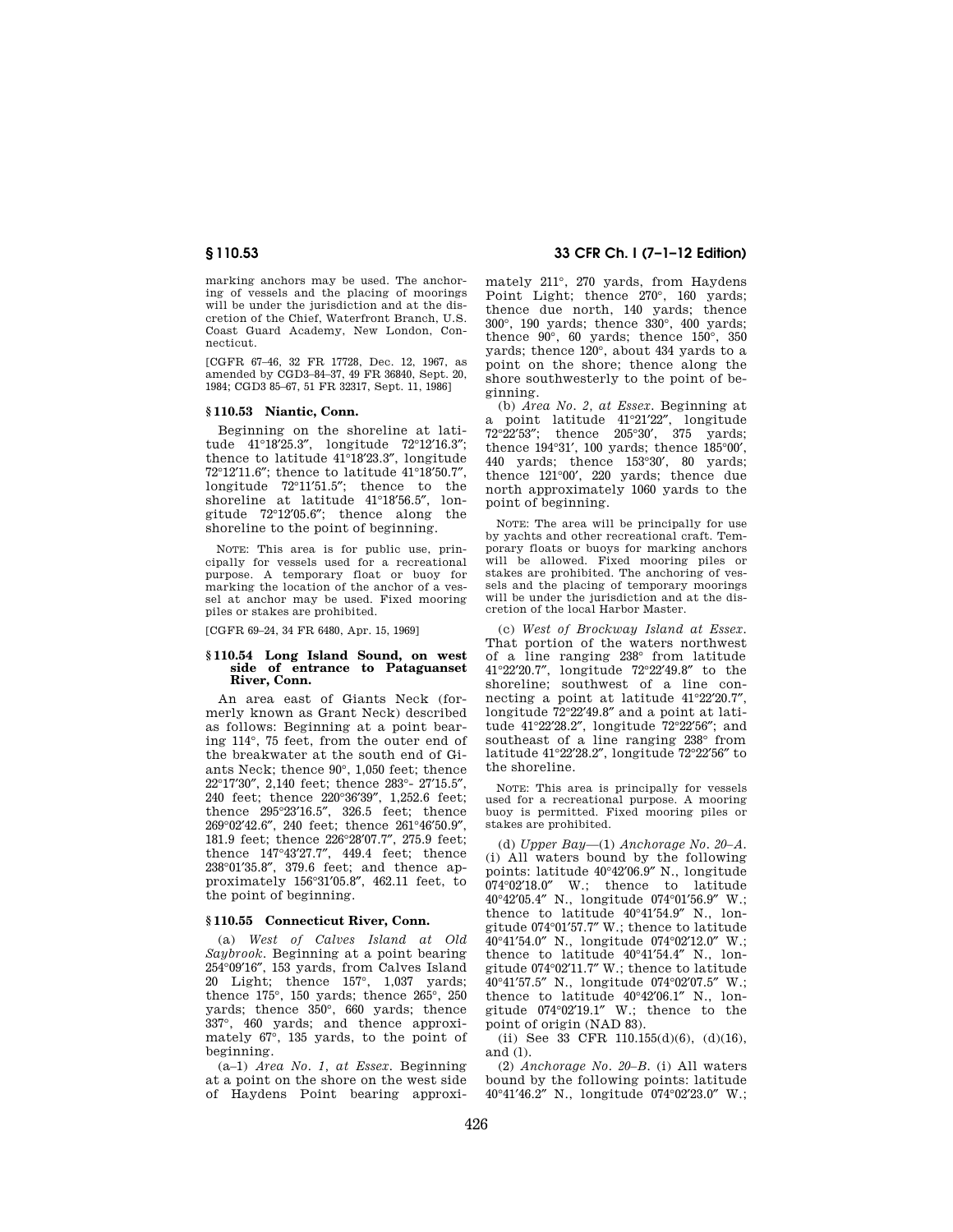marking anchors may be used. The anchoring of vessels and the placing of moorings will be under the jurisdiction and at the discretion of the Chief, Waterfront Branch, U.S. Coast Guard Academy, New London, Connecticut.

[CGFR 67–46, 32 FR 17728, Dec. 12, 1967, as amended by CGD3–84–37, 49 FR 36840, Sept. 20, 1984; CGD3 85–67, 51 FR 32317, Sept. 11, 1986]

## **§ 110.53 Niantic, Conn.**

Beginning on the shoreline at latitude 41°18′25.3″, longitude 72°12′16.3″; thence to latitude 41°18′23.3″, longitude 72°12′11.6″; thence to latitude 41°18′50.7″, longitude 72°11′51.5″; thence to the shoreline at latitude 41°18′56.5″, longitude 72°12′05.6″; thence along the shoreline to the point of beginning.

NOTE: This area is for public use, principally for vessels used for a recreational purpose. A temporary float or buoy for marking the location of the anchor of a vessel at anchor may be used. Fixed mooring piles or stakes are prohibited.

[CGFR 69–24, 34 FR 6480, Apr. 15, 1969]

## **§ 110.54 Long Island Sound, on west side of entrance to Pataguanset River, Conn.**

An area east of Giants Neck (formerly known as Grant Neck) described as follows: Beginning at a point bearing 114°, 75 feet, from the outer end of the breakwater at the south end of Giants Neck; thence 90°, 1,050 feet; thence 22°17′30″, 2,140 feet; thence 283°- 27′15.5″, 240 feet; thence 220°36′39″, 1,252.6 feet; thence 295°23′16.5″, 326.5 feet; thence 269°02′42.6″, 240 feet; thence 261°46′50.9″, 181.9 feet; thence 226°28′07.7″, 275.9 feet; thence 147°43′27.7″, 449.4 feet; thence 238°01′35.8″, 379.6 feet; and thence approximately 156°31′05.8″, 462.11 feet, to the point of beginning.

# **§ 110.55 Connecticut River, Conn.**

(a) *West of Calves Island at Old Saybrook.* Beginning at a point bearing 254°09′16″, 153 yards, from Calves Island 20 Light; thence 157°, 1,037 yards; thence 175°, 150 yards; thence 265°, 250 yards; thence 350°, 660 yards; thence 337°, 460 yards; and thence approximately 67°, 135 yards, to the point of beginning.

(a–1) *Area No. 1, at Essex.* Beginning at a point on the shore on the west side of Haydens Point bearing approxi-

# **§ 110.53 33 CFR Ch. I (7–1–12 Edition)**

mately 211°, 270 yards, from Haydens Point Light; thence 270°, 160 yards; thence due north, 140 yards; thence 300°, 190 yards; thence 330°, 400 yards; thence  $90^\circ$ , 60 yards; thence  $150^\circ$ , 350 yards; thence 120°, about 434 yards to a point on the shore; thence along the shore southwesterly to the point of beginning.

(b) *Area No. 2, at Essex.* Beginning at a point latitude  $41^{\circ}21'22''$ , longitude  $72^{\circ}22'53''$ ; thence  $205^{\circ}30'$ ,  $375$  yards; thence  $205°30'$ ,  $375$  yards; thence 194°31′, 100 yards; thence 185°00′, 440 yards; thence 153°30′, 80 yards; thence 121°00′, 220 yards; thence due north approximately 1060 yards to the point of beginning.

NOTE: The area will be principally for use by yachts and other recreational craft. Temporary floats or buoys for marking anchors will be allowed. Fixed mooring piles or stakes are prohibited. The anchoring of vessels and the placing of temporary moorings will be under the jurisdiction and at the discretion of the local Harbor Master.

(c) *West of Brockway Island at Essex.*  That portion of the waters northwest of a line ranging 238° from latitude 41°22′20.7″, longitude 72°22′49.8″ to the shoreline; southwest of a line connecting a point at latitude 41°22′20.7″, longitude 72°22′49.8″ and a point at latitude 41°22′28.2″, longitude 72°22′56″; and southeast of a line ranging 238° from latitude 41°22′28.2″, longitude 72°22′56″ to the shoreline.

NOTE: This area is principally for vessels used for a recreational purpose. A mooring buoy is permitted. Fixed mooring piles or stakes are prohibited.

(d) *Upper Bay—*(1) *Anchorage No. 20–A.*  (i) All waters bound by the following points: latitude 40°42′06.9″ N., longitude 074°02′18.0″ W.; thence to latitude 40°42′05.4″ N., longitude 074°01′56.9″ W.; thence to latitude 40°41′54.9″ N., longitude 074°01′57.7″ W.; thence to latitude 40°41′54.0″ N., longitude 074°02′12.0″ W.; thence to latitude 40°41′54.4″ N., longitude 074°02′11.7″ W.; thence to latitude 40°41′57.5″ N., longitude 074°02′07.5″ W.; thence to latitude 40°42′06.1″ N., longitude 074°02′19.1″ W.; thence to the point of origin (NAD 83).

(ii) See 33 CFR  $110.155(d)(6)$ ,  $(d)(16)$ , and (l).

(2) *Anchorage No. 20–B.* (i) All waters bound by the following points: latitude 40°41′46.2″ N., longitude 074°02′23.0″ W.;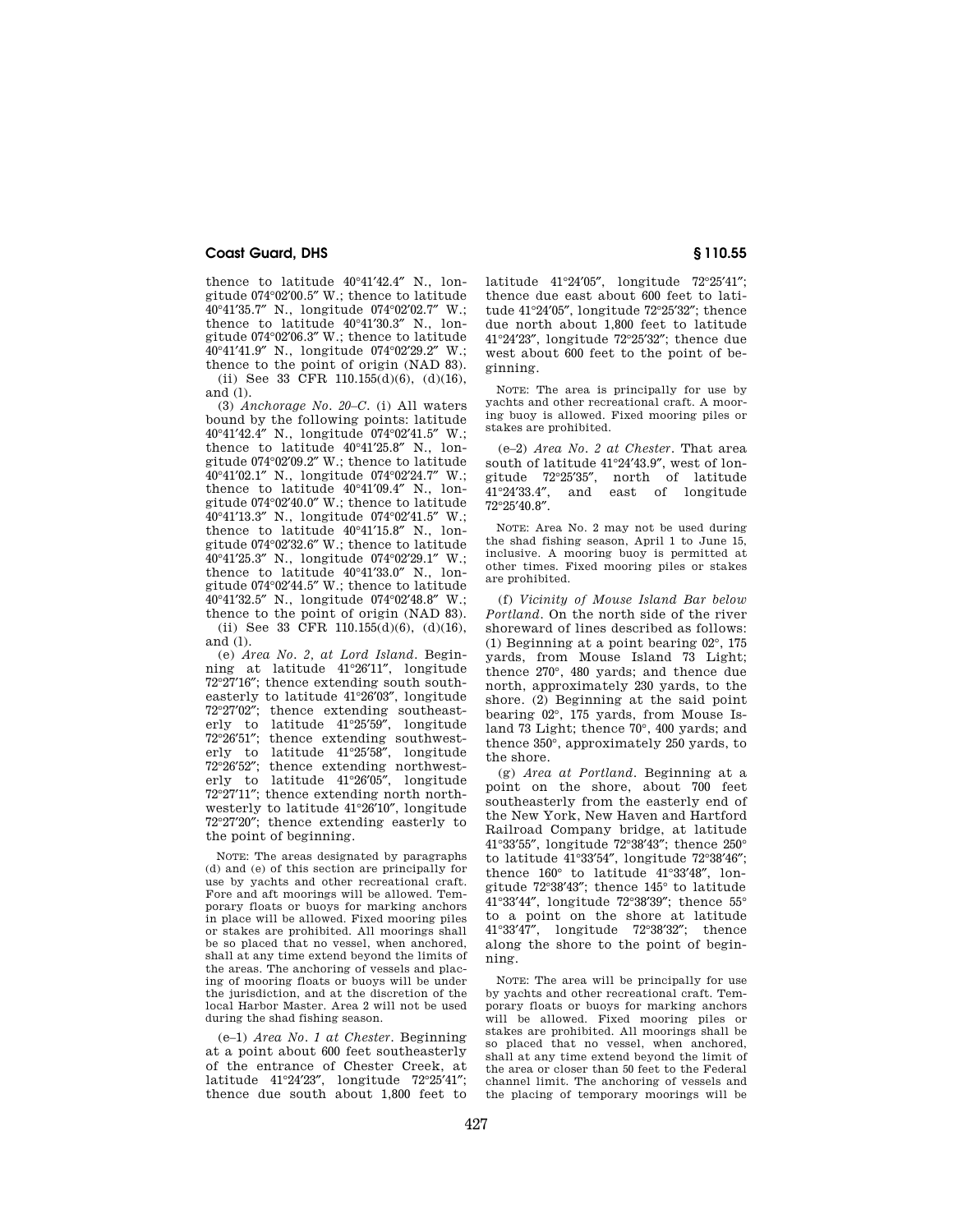thence to latitude 40°41′42.4″ N., longitude 074°02′00.5″ W.; thence to latitude 40°41′35.7″ N., longitude 074°02′02.7″ W.; thence to latitude 40°41′30.3″ N., longitude 074°02′06.3″ W.; thence to latitude 40°41′41.9″ N., longitude 074°02′29.2″ W.; thence to the point of origin (NAD 83).

(ii) See 33 CFR 110.155(d)(6), (d)(16), and (l).

(3) *Anchorage No. 20–C.* (i) All waters bound by the following points: latitude 40°41′42.4″ N., longitude 074°02′41.5″ W.; thence to latitude 40°41′25.8″ N., longitude 074°02′09.2″ W.; thence to latitude 40°41′02.1″ N., longitude 074°02′24.7″ W.; thence to latitude 40°41′09.4″ N., longitude 074°02′40.0″ W.; thence to latitude 40°41′13.3″ N., longitude 074°02′41.5″ W.; thence to latitude 40°41′15.8″ N., longitude 074°02′32.6″ W.; thence to latitude 40°41′25.3″ N., longitude 074°02′29.1″ W.; thence to latitude 40°41′33.0″ N., longitude 074°02′44.5″ W.; thence to latitude 40°41′32.5″ N., longitude 074°02′48.8″ W.; thence to the point of origin (NAD 83).

(ii) See 33 CFR 110.155(d)(6), (d)(16), and (l).

(e) *Area No. 2, at Lord Island.* Beginning at latitude 41°26′11″, longitude 72°27′16″; thence extending south southeasterly to latitude 41°26′03″, longitude 72°27′02″; thence extending southeasterly to latitude 41°25′59″, longitude 72°26′51″; thence extending southwesterly to latitude 41°25′58″, longitude 72°26′52″; thence extending northwesterly to latitude 41°26′05″, longitude 72°27′11″; thence extending north northwesterly to latitude 41°26′10″, longitude 72°27′20″; thence extending easterly to the point of beginning.

NOTE: The areas designated by paragraphs (d) and (e) of this section are principally for use by yachts and other recreational craft. Fore and aft moorings will be allowed. Temporary floats or buoys for marking anchors in place will be allowed. Fixed mooring piles or stakes are prohibited. All moorings shall be so placed that no vessel, when anchored, shall at any time extend beyond the limits of the areas. The anchoring of vessels and placing of mooring floats or buoys will be under the jurisdiction, and at the discretion of the local Harbor Master. Area 2 will not be used during the shad fishing season.

(e–1) *Area No. 1 at Chester.* Beginning at a point about 600 feet southeasterly of the entrance of Chester Creek, at latitude 41°24′23″, longitude 72°25′41″; thence due south about 1,800 feet to latitude 41°24′05″, longitude 72°25′41″; thence due east about 600 feet to latitude 41°24′05″, longitude 72°25′32″; thence due north about 1,800 feet to latitude 41°24′23″, longitude 72°25′32″; thence due west about 600 feet to the point of beginning.

NOTE: The area is principally for use by yachts and other recreational craft. A mooring buoy is allowed. Fixed mooring piles or stakes are prohibited.

(e–2) *Area No. 2 at Chester.* That area south of latitude 41°24′43.9″, west of longitude 72°25′35″, north of latitude 41°24′33.4″, and east of longitude 72°25′40.8″.

NOTE: Area No. 2 may not be used during the shad fishing season, April 1 to June 15, inclusive. A mooring buoy is permitted at other times. Fixed mooring piles or stakes are prohibited.

(f) *Vicinity of Mouse Island Bar below Portland.* On the north side of the river shoreward of lines described as follows: (1) Beginning at a point bearing 02°, 175 yards, from Mouse Island 73 Light; thence 270°, 480 yards; and thence due north, approximately 230 yards, to the shore. (2) Beginning at the said point bearing 02°, 175 yards, from Mouse Island 73 Light; thence 70°, 400 yards; and thence 350°, approximately 250 yards, to the shore.

(g) *Area at Portland.* Beginning at a point on the shore, about 700 feet southeasterly from the easterly end of the New York, New Haven and Hartford Railroad Company bridge, at latitude 41°33′55″, longitude 72°38′43″; thence 250° to latitude 41°33′54″, longitude 72°38′46″; thence 160° to latitude 41°33′48″, longitude 72°38′43″; thence 145° to latitude 41°33′44″, longitude 72°38′39″; thence 55° to a point on the shore at latitude 41°33′47″, longitude 72°38′32″; thence along the shore to the point of beginning.

NOTE: The area will be principally for use by yachts and other recreational craft. Temporary floats or buoys for marking anchors will be allowed. Fixed mooring piles or stakes are prohibited. All moorings shall be so placed that no vessel, when anchored, shall at any time extend beyond the limit of the area or closer than 50 feet to the Federal channel limit. The anchoring of vessels and the placing of temporary moorings will be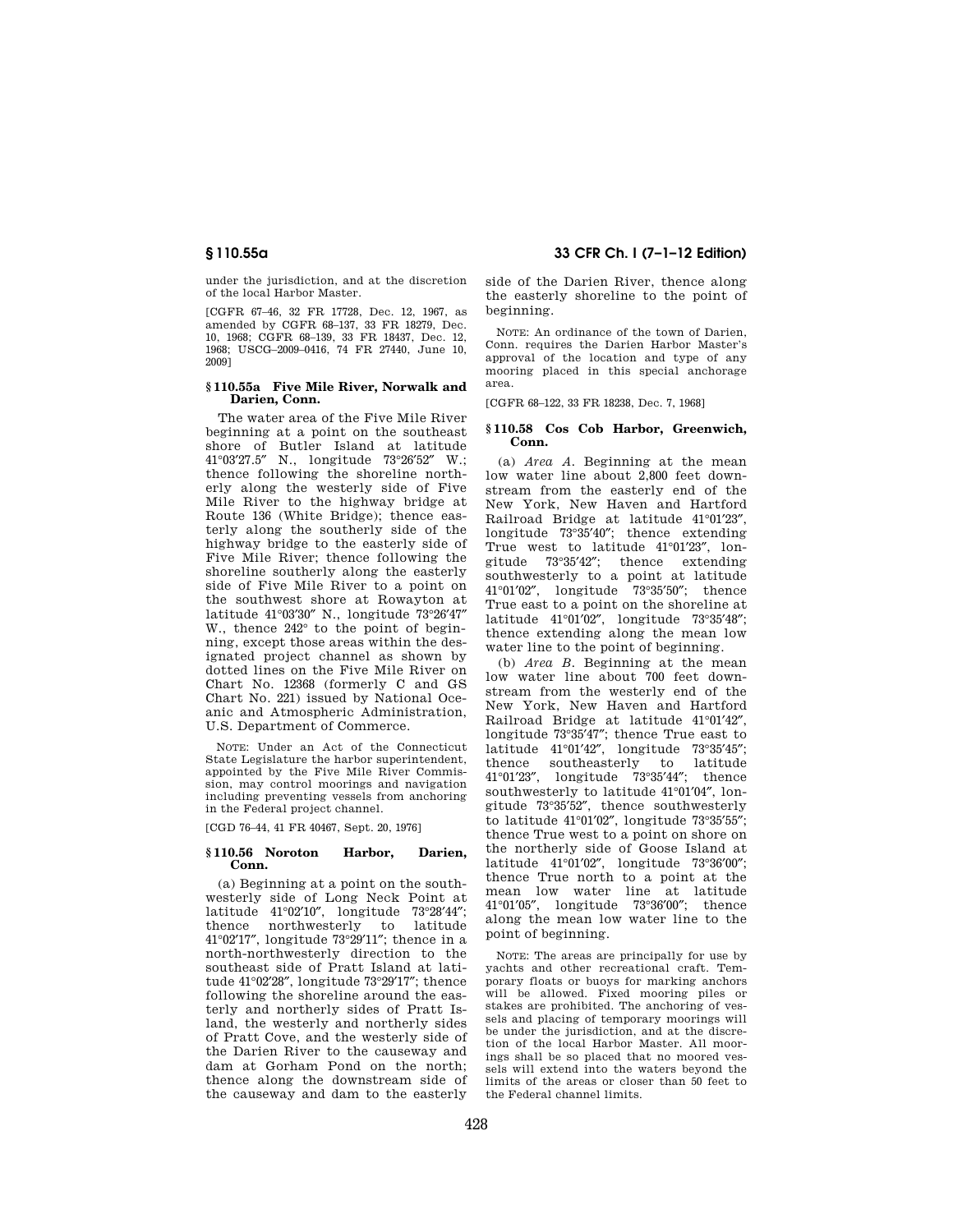under the jurisdiction, and at the discretion of the local Harbor Master.

[CGFR 67–46, 32 FR 17728, Dec. 12, 1967, as amended by CGFR 68–137, 33 FR 18279, Dec. 10, 1968; CGFR 68–139, 33 FR 18437, Dec. 12, 1968; USCG–2009–0416, 74 FR 27440, June 10, 2009]

## **§ 110.55a Five Mile River, Norwalk and Darien, Conn.**

The water area of the Five Mile River beginning at a point on the southeast shore of Butler Island at latitude<br>41°03'27.5" N., longitude 73°26'52" W.: N., longitude 73°26'52" W.; thence following the shoreline northerly along the westerly side of Five Mile River to the highway bridge at Route 136 (White Bridge); thence easterly along the southerly side of the highway bridge to the easterly side of Five Mile River; thence following the shoreline southerly along the easterly side of Five Mile River to a point on the southwest shore at Rowayton at latitude 41°03′30″ N., longitude 73°26′47″ W., thence 242° to the point of beginning, except those areas within the designated project channel as shown by dotted lines on the Five Mile River on Chart No. 12368 (formerly C and GS Chart No. 221) issued by National Oceanic and Atmospheric Administration, U.S. Department of Commerce.

NOTE: Under an Act of the Connecticut State Legislature the harbor superintendent, appointed by the Five Mile River Commission, may control moorings and navigation including preventing vessels from anchoring in the Federal project channel.

[CGD 76–44, 41 FR 40467, Sept. 20, 1976]

## **§ 110.56 Noroton Harbor, Darien, Conn.**

(a) Beginning at a point on the southwesterly side of Long Neck Point at latitude 41°02′10″, longitude 73°28′44″; thence northwesterly to 41°02′17″, longitude 73°29′11″; thence in a north-northwesterly direction to the southeast side of Pratt Island at latitude 41°02′28″, longitude 73°29′17″; thence following the shoreline around the easterly and northerly sides of Pratt Island, the westerly and northerly sides of Pratt Cove, and the westerly side of the Darien River to the causeway and dam at Gorham Pond on the north; thence along the downstream side of the causeway and dam to the easterly

# **§ 110.55a 33 CFR Ch. I (7–1–12 Edition)**

side of the Darien River, thence along the easterly shoreline to the point of beginning.

NOTE: An ordinance of the town of Darien, Conn. requires the Darien Harbor Master's approval of the location and type of any mooring placed in this special anchorage area.

[CGFR 68–122, 33 FR 18238, Dec. 7, 1968]

## **§ 110.58 Cos Cob Harbor, Greenwich, Conn.**

(a) *Area A.* Beginning at the mean low water line about 2,800 feet downstream from the easterly end of the New York, New Haven and Hartford Railroad Bridge at latitude 41°01′23″, longitude 73°35′40″; thence extending True west to latitude 41°01′23″, longitude 73°35′42″; thence extending southwesterly to a point at latitude 41°01′02″, longitude 73°35′50″; thence True east to a point on the shoreline at latitude 41°01′02″, longitude 73°35′48″; thence extending along the mean low water line to the point of beginning.

(b) *Area B.* Beginning at the mean low water line about 700 feet downstream from the westerly end of the New York, New Haven and Hartford Railroad Bridge at latitude 41°01′42″, longitude 73°35′47″; thence True east to latitude 41°01′42″, longitude 73°35′45″; thence southeasterly to latitude 41°01′23″, longitude 73°35′44″; thence southwesterly to latitude 41°01′04″, longitude 73°35′52″, thence southwesterly to latitude 41°01′02″, longitude 73°35′55″; thence True west to a point on shore on the northerly side of Goose Island at latitude 41°01′02″, longitude 73°36′00″; thence True north to a point at the mean low water line at latitude 41°01′05″, longitude 73°36′00″; thence along the mean low water line to the point of beginning.

NOTE: The areas are principally for use by yachts and other recreational craft. Temporary floats or buoys for marking anchors will be allowed. Fixed mooring piles or stakes are prohibited. The anchoring of vessels and placing of temporary moorings will be under the jurisdiction, and at the discretion of the local Harbor Master. All moorings shall be so placed that no moored vessels will extend into the waters beyond the limits of the areas or closer than 50 feet to the Federal channel limits.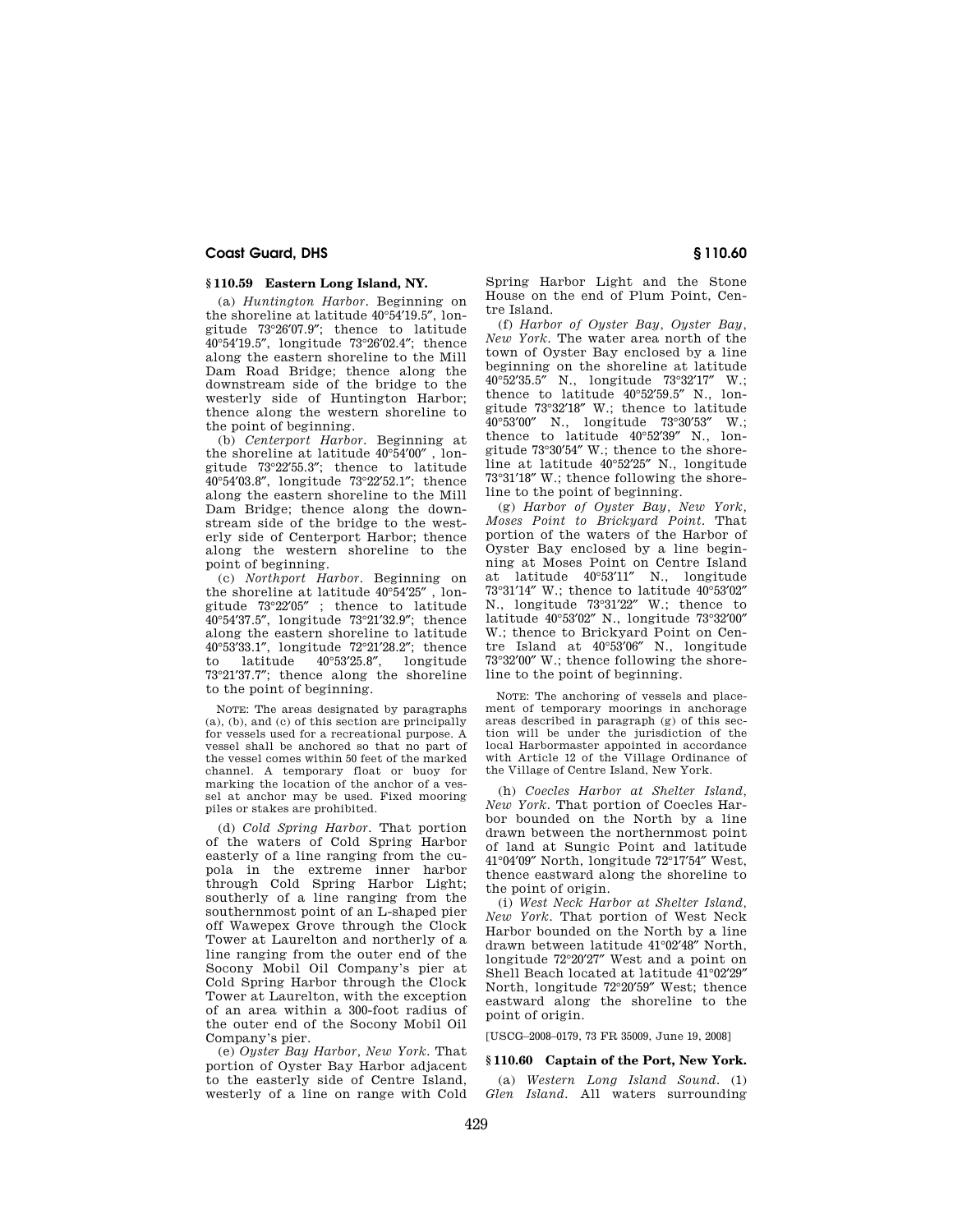## **§ 110.59 Eastern Long Island, NY.**

(a) *Huntington Harbor.* Beginning on the shoreline at latitude 40°54′19.5″, longitude 73°26′07.9″; thence to latitude 40°54′19.5″, longitude 73°26′02.4″; thence along the eastern shoreline to the Mill Dam Road Bridge; thence along the downstream side of the bridge to the westerly side of Huntington Harbor; thence along the western shoreline to the point of beginning.

(b) *Centerport Harbor.* Beginning at the shoreline at latitude 40°54′00″ , longitude 73°22′55.3″; thence to latitude 40°54′03.8″, longitude 73°22′52.1″; thence along the eastern shoreline to the Mill Dam Bridge; thence along the downstream side of the bridge to the westerly side of Centerport Harbor; thence along the western shoreline to the point of beginning.

(c) *Northport Harbor.* Beginning on the shoreline at latitude 40°54′25″ , longitude 73°22′05″ ; thence to latitude 40°54′37.5″, longitude 73°21′32.9″; thence along the eastern shoreline to latitude 40°53′33.1″, longitude 72°21′28.2″; thence<br>to latitude 40°53′25.8″, longitude to latitude 40°53′25.8″, longitude 73°21′37.7″; thence along the shoreline to the point of beginning.

NOTE: The areas designated by paragraphs (a), (b), and (c) of this section are principally for vessels used for a recreational purpose. A vessel shall be anchored so that no part of the vessel comes within 50 feet of the marked channel. A temporary float or buoy for marking the location of the anchor of a vessel at anchor may be used. Fixed mooring piles or stakes are prohibited.

(d) *Cold Spring Harbor.* That portion of the waters of Cold Spring Harbor easterly of a line ranging from the cupola in the extreme inner harbor through Cold Spring Harbor Light; southerly of a line ranging from the southernmost point of an L-shaped pier off Wawepex Grove through the Clock Tower at Laurelton and northerly of a line ranging from the outer end of the Socony Mobil Oil Company's pier at Cold Spring Harbor through the Clock Tower at Laurelton, with the exception of an area within a 300-foot radius of the outer end of the Socony Mobil Oil Company's pier.

(e) *Oyster Bay Harbor, New York.* That portion of Oyster Bay Harbor adjacent to the easterly side of Centre Island, westerly of a line on range with Cold

Spring Harbor Light and the Stone House on the end of Plum Point, Centre Island.

(f) *Harbor of Oyster Bay, Oyster Bay, New York.* The water area north of the town of Oyster Bay enclosed by a line beginning on the shoreline at latitude 40°52′35.5″ N., longitude 73°32′17″ W.; thence to latitude 40°52′59.5″ N., longitude 73°32′18″ W.; thence to latitude 40°53′00″ N., longitude 73°30′53″ W.; thence to latitude 40°52′39″ N., longitude 73°30′54″ W.; thence to the shoreline at latitude 40°52′25″ N., longitude 73°31′18″ W.; thence following the shoreline to the point of beginning.

(g) *Harbor of Oyster Bay, New York, Moses Point to Brickyard Point.* That portion of the waters of the Harbor of Oyster Bay enclosed by a line beginning at Moses Point on Centre Island at latitude 40°53′11″ N., longitude 73°31′14″ W.; thence to latitude 40°53′02″ N., longitude 73°31′22″ W.; thence to latitude 40°53′02″ N., longitude 73°32′00″ W.; thence to Brickyard Point on Centre Island at 40°53′06″ N., longitude 73°32′00″ W.; thence following the shoreline to the point of beginning.

NOTE: The anchoring of vessels and placement of temporary moorings in anchorage areas described in paragraph (g) of this section will be under the jurisdiction of the local Harbormaster appointed in accordance with Article 12 of the Village Ordinance of the Village of Centre Island, New York.

(h) *Coecles Harbor at Shelter Island, New York.* That portion of Coecles Harbor bounded on the North by a line drawn between the northernmost point of land at Sungic Point and latitude 41°04′09″ North, longitude 72°17′54″ West, thence eastward along the shoreline to the point of origin.

(i) *West Neck Harbor at Shelter Island, New York.* That portion of West Neck Harbor bounded on the North by a line drawn between latitude 41°02′48″ North, longitude 72°20′27″ West and a point on Shell Beach located at latitude 41°02′29″ North, longitude 72°20′59″ West; thence eastward along the shoreline to the point of origin.

[USCG–2008–0179, 73 FR 35009, June 19, 2008]

## **§ 110.60 Captain of the Port, New York.**

(a) *Western Long Island Sound.* (1) *Glen Island.* All waters surrounding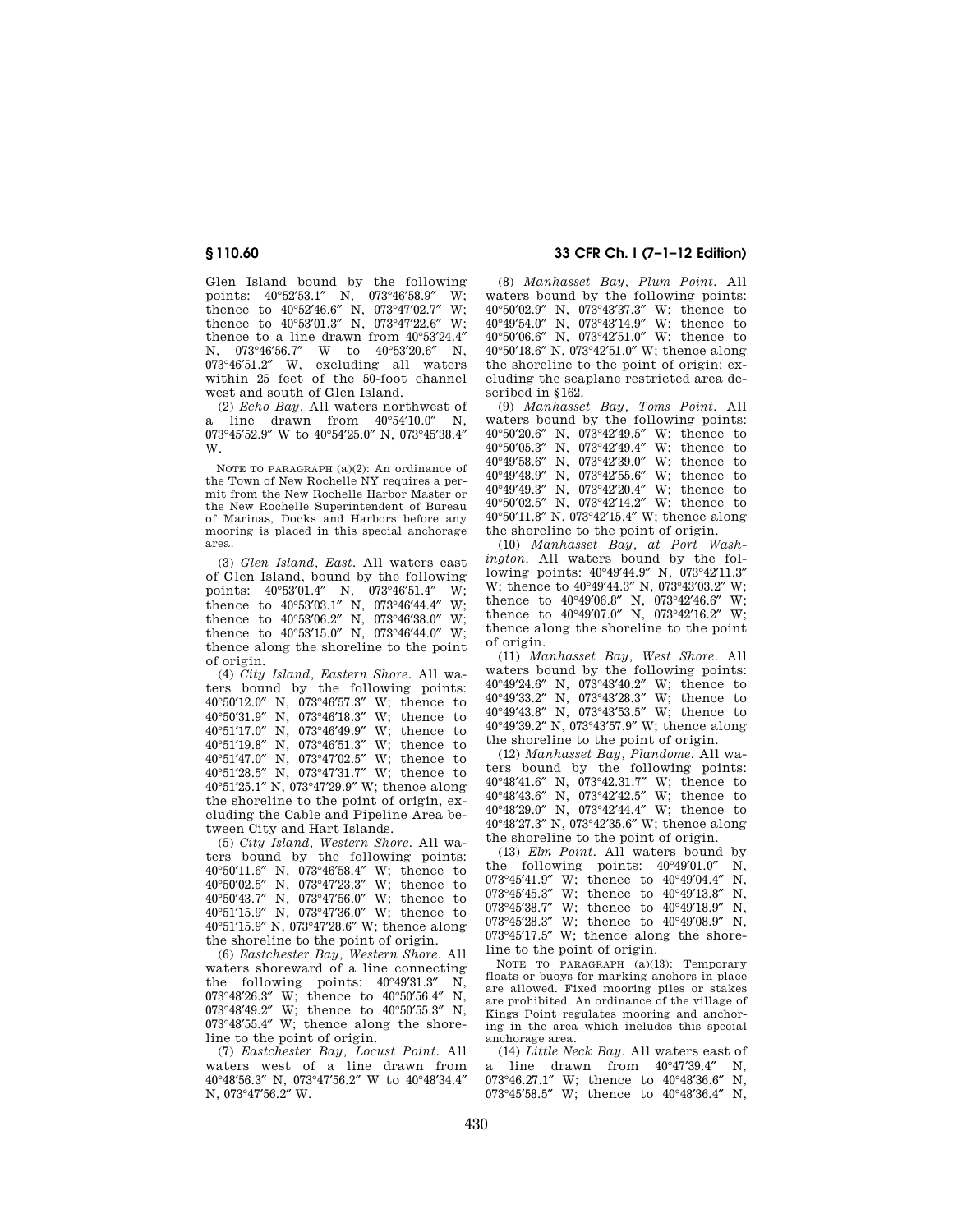Glen Island bound by the following points: 40°52′53.1″ N, 073°46′58.9″ W; thence to 40°52′46.6″ N, 073°47′02.7″ W; thence to 40°53′01.3″ N, 073°47′22.6″ W; thence to a line drawn from 40°53′24.4″ N, 073°46'56.7" W to 40°53'20.6" N, 073°46′51.2″ W, excluding all waters within 25 feet of the 50-foot channel west and south of Glen Island.

(2) *Echo Bay.* All waters northwest of a line drawn from 40°54′10.0″ N, 073°45′52.9″ W to 40°54′25.0″ N, 073°45′38.4″ W.

NOTE TO PARAGRAPH (a)(2): An ordinance of the Town of New Rochelle NY requires a permit from the New Rochelle Harbor Master or the New Rochelle Superintendent of Bureau of Marinas, Docks and Harbors before any mooring is placed in this special anchorage area.

(3) *Glen Island, East.* All waters east of Glen Island, bound by the following points: 40°53′01.4″ N, 073°46′51.4″ W; thence to  $40^{\circ}53'03.1''$  N,  $073^{\circ}46'44.4''$  W; thence to  $40^{\circ}53'06.2''$  N,  $073^{\circ}46'38.0''$  W; thence to  $40^{\circ}53'15.0''$  N,  $073^{\circ}46'44.0''$  W; thence along the shoreline to the point of origin.

(4) *City Island, Eastern Shore.* All waters bound by the following points: 40°50′12.0″ N, 073°46′57.3″ W; thence to 40°50′31.9″ N, 073°46′18.3″ W; thence to 40°51′17.0″ N, 073°46′49.9″ W; thence to 40°51′19.8″ N, 073°46′51.3″ W; thence to 40°51′47.0″ N, 073°47′02.5″ W; thence to 40°51′28.5″ N, 073°47′31.7″ W; thence to 40°51′25.1″ N, 073°47′29.9″ W; thence along the shoreline to the point of origin, excluding the Cable and Pipeline Area between City and Hart Islands.

(5) *City Island, Western Shore.* All waters bound by the following points: °50′11.6″ N, 073°46′58.4″ W; thence to °50′02.5″ N, 073°47′23.3″ W; thence to °50′43.7″ N, 073°47′56.0″ W; thence to °51′15.9″ N, 073°47′36.0″ W; thence to °51′15.9″ N, 073°47′28.6″ W; thence along the shoreline to the point of origin.

(6) *Eastchester Bay, Western Shore.* All waters shoreward of a line connecting the following points: 40°49′31.3″ N, 073°48′26.3″ W; thence to 40°50′56.4″ N, 073°48′49.2″ W; thence to 40°50′55.3″ N, 073°48′55.4″ W; thence along the shoreline to the point of origin.

(7) *Eastchester Bay, Locust Point.* All waters west of a line drawn from 40°48′56.3″ N, 073°47′56.2″ W to 40°48′34.4″ N, 073°47′56.2″ W.

# **§ 110.60 33 CFR Ch. I (7–1–12 Edition)**

(8) *Manhasset Bay, Plum Point.* All waters bound by the following points: 40°50′02.9″ N, 073°43′37.3″ W; thence to 40°49′54.0″ N, 073°43′14.9″ W; thence to 40°50′06.6″ N, 073°42′51.0″ W; thence to 40°50′18.6″ N, 073°42′51.0″ W; thence along the shoreline to the point of origin; excluding the seaplane restricted area described in §162.

(9) *Manhasset Bay, Toms Point.* All waters bound by the following points: °50′20.6″ N, 073°42′49.5″ W; thence to °50′05.3″ N, 073°42′49.4″ W; thence to °49′58.6″ N, 073°42′39.0″ W; thence to °49′48.9″ N, 073°42′55.6″ W; thence to °49′49.3″ N, 073°42′20.4″ W; thence to °50′02.5″ N, 073°42′14.2″ W; thence to °50′11.8″ N, 073°42′15.4″ W; thence along the shoreline to the point of origin.

(10) *Manhasset Bay, at Port Washington.* All waters bound by the following points: 40°49′44.9″ N, 073°42′11.3″ W; thence to 40°49′44.3″ N, 073°43′03.2″ W; thence to 40°49′06.8″ N, 073°42′46.6″ W; thence to 40°49′07.0″ N, 073°42′16.2″ W; thence along the shoreline to the point of origin.

(11) *Manhasset Bay, West Shore.* All waters bound by the following points: 40°49′24.6″ N, 073°43′40.2″ W; thence to 40°49′33.2″ N, 073°43′28.3″ W; thence to 40°49′43.8″ N, 073°43′53.5″ W; thence to 40°49′39.2″ N, 073°43′57.9″ W; thence along the shoreline to the point of origin.

(12) *Manhasset Bay, Plandome.* All waters bound by the following points: 40°48′41.6″ N, 073°42.31.7″ W; thence to 40°48′43.6″ N, 073°42′42.5″ W; thence to 40°48′29.0″ N, 073°42′44.4″ W; thence to 40°48′27.3″ N, 073°42′35.6″ W; thence along the shoreline to the point of origin.

(13) *Elm Point.* All waters bound by the following points: 40°49′01.0″ N, °45′41.9″ W; thence to 40°49′04.4″ N, °45′45.3″ W; thence to 40°49′13.8″ N, °45′38.7″ W; thence to 40°49′18.9″ N, °45′28.3″ W; thence to 40°49′08.9″ N, °45′17.5″ W; thence along the shoreline to the point of origin.

NOTE TO PARAGRAPH (a)(13): Temporary floats or buoys for marking anchors in place are allowed. Fixed mooring piles or stakes are prohibited. An ordinance of the village of Kings Point regulates mooring and anchoring in the area which includes this special anchorage area.

(14) *Little Neck Bay.* All waters east of a line drawn from 40°47′39.4″ N, 073°46.27.1″ W; thence to 40°48′36.6″ N, 073°45′58.5″ W; thence to 40°48′36.4″ N,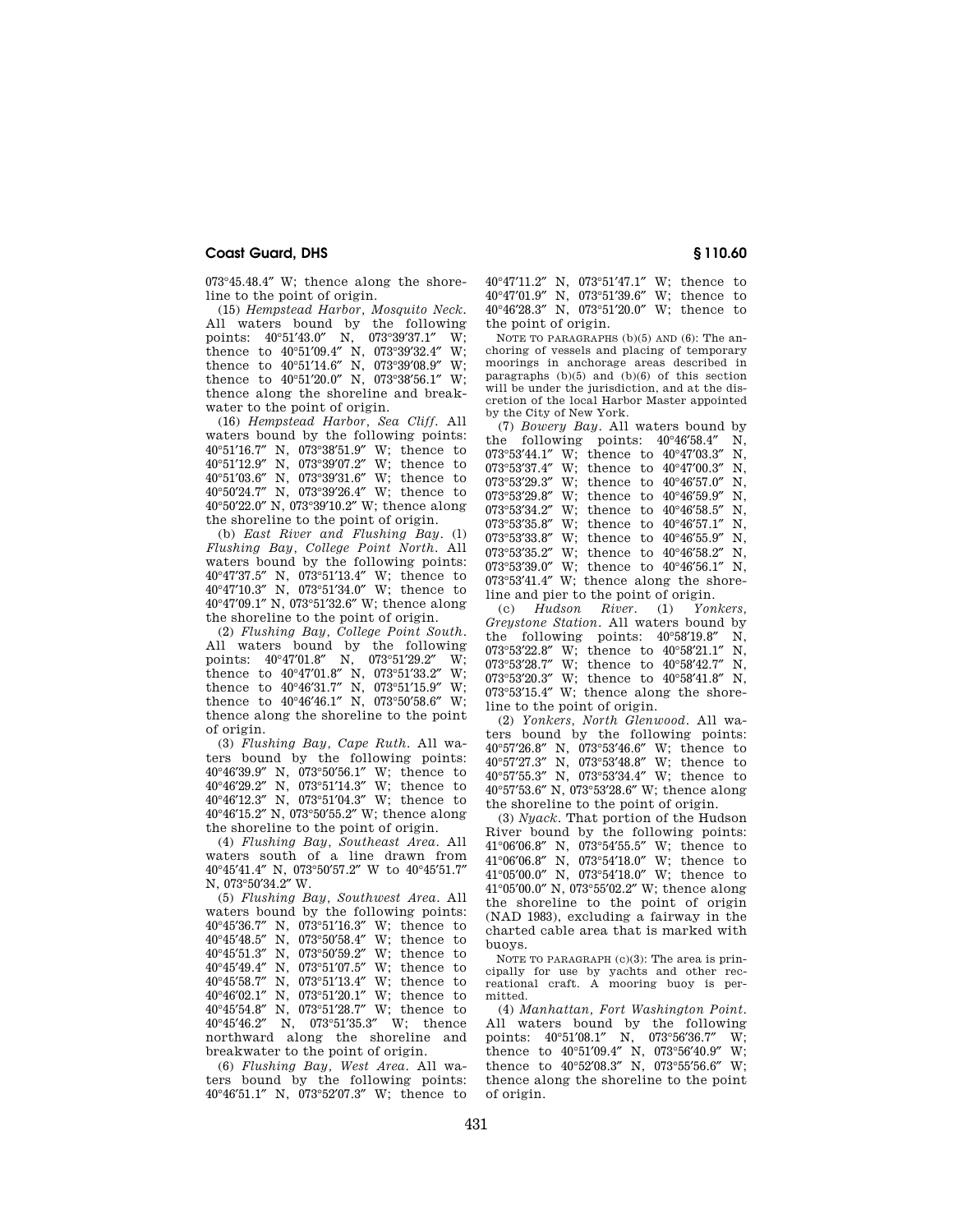073°45.48.4″ W; thence along the shoreline to the point of origin.

(15) *Hempstead Harbor, Mosquito Neck.*  All waters bound by the following points: 40°51′43.0″ N, 073°39′37.1″ W; thence to 40°51′09.4″ N, 073°39′32.4″ W; thence to  $40^{\circ}51'14.6''$  N,  $073^{\circ}39'08.9''$  W; thence to  $40^{\circ}51'20.0''$  N,  $073^{\circ}38'56.1''$  W; thence along the shoreline and breakwater to the point of origin.

(16) *Hempstead Harbor, Sea Cliff.* All waters bound by the following points: °51′16.7″ N, 073°38′51.9″ W; thence to °51′12.9″ N, 073°39′07.2″ W; thence to °51′03.6″ N, 073°39′31.6″ W; thence to °50′24.7″ N, 073°39′26.4″ W; thence to °50′22.0″ N, 073°39′10.2″ W; thence along the shoreline to the point of origin.

(b) *East River and Flushing Bay*. (l) *Flushing Bay, College Point North*. All waters bound by the following points: 40°47′37.5″ N, 073°51′13.4″ W; thence to 40°47′10.3″ N, 073°51′34.0″ W; thence to 40°47′09.1″ N, 073°51′32.6″ W; thence along the shoreline to the point of origin.

(2) *Flushing Bay, College Point South*. All waters bound by the following<br>noints:  $40^{\circ}47'01.8''$  N.  $073^{\circ}51'29.2''$  W: points:  $40^{\circ}47'01.8''$  N,  $073^{\circ}51'29.2''$ thence to 40°47′01.8″ N, 073°51′33.2″ W; thence to 40°46′31.7″ N, 073°51′15.9″ W; thence to  $40^{\circ}46'46.1''$  N,  $073^{\circ}50'58.6''$  W; thence along the shoreline to the point of origin.

(3) *Flushing Bay, Cape Ruth*. All waters bound by the following points: 40°46′39.9″ N, 073°50′56.1″ W; thence to 40°46′29.2″ N, 073°51′14.3″ W; thence to 40°46′12.3″ N, 073°51′04.3″ W; thence to 40°46′15.2″ N, 073°50′55.2″ W; thence along the shoreline to the point of origin.

(4) *Flushing Bay, Southeast Area*. All waters south of a line drawn from 40°45′41.4″ N, 073°50′57.2″ W to 40°45′51.7″ N, 073°50′34.2″ W.

(5) *Flushing Bay, Southwest Area*. All waters bound by the following points: °45′36.7″ N, 073°51′16.3″ W; thence to °45′48.5″ N, 073°50′58.4″ W; thence to °45′51.3″ N, 073°50′59.2″ W; thence to °45′49.4″ N, 073°51′07.5″ W; thence to °45′58.7″ N, 073°51′13.4″ W; thence to °46′02.1″ N, 073°51′20.1″ W; thence to °45′54.8″ N, 073°51′28.7″ W; thence to °45′46.2″ N, 073°51′35.3″ W; thence northward along the shoreline and breakwater to the point of origin.

(6) *Flushing Bay, West Area*. All waters bound by the following points: 40°46′51.1″ N, 073°52′07.3″ W; thence to

°47′11.2″ N, 073°51′47.1″ W; thence to °47′01.9″ N, 073°51′39.6″ W; thence to °46′28.3″ N, 073°51′20.0″ W; thence to the point of origin.

NOTE TO PARAGRAPHS (b)(5) AND (6): The anchoring of vessels and placing of temporary moorings in anchorage areas described in paragraphs (b)(5) and (b)(6) of this section will be under the jurisdiction, and at the discretion of the local Harbor Master appointed by the City of New York.

(7) *Bowery Bay*. All waters bound by the following points: 40°46′58.4″ N,  $073^{\circ}53'44.1''$  W; thence to  $40^{\circ}47'03.3''$  N,  $073^{\circ}53'37.4''$  W; thence to  $40^{\circ}47'00.3''$  N 073°53'37.4" W; thence to 40°47'00.3" 073°53'29.3" W; thence to 40°46'57.0" N,  $073^{\circ}53'29.8''$  W; thence to  $40^{\circ}46'59.9''$  N,  $073^{\circ}53'34.2''$  W; thence to  $40^{\circ}46'58.5''$  N 073°53′34.2″ W; thence to 40°46′58.5″ N, 073°53′35.8″ W; thence to 40°46′57.1″ N, 073°53′33.8″ W; thence to 40°46′55.9″ N, 073°53′35.2″ W; thence to 40°46′58.2″ N, 073°53′39.0″ W; thence to 40°46′56.1″ N, 073°53′41.4″ W; thence along the shoreline and pier to the point of origin.

(c) *Hudson River*. (1) *Yonkers, Greystone Station*. All waters bound by the following points: 40°58′19.8″ N, 073°53′22.8″ W; thence to 40°58′21.1″ N, 073°53′28.7″ W; thence to 40°58′42.7″ N, 073°53′20.3″ W; thence to 40°58′41.8″ N, 073°53′15.4″ W; thence along the shoreline to the point of origin.

(2) *Yonkers, North Glenwood*. All waters bound by the following points: 40°57′26.8″ N, 073°53′46.6″ W; thence to 40°57′27.3″ N, 073°53′48.8″ W; thence to 40°57′55.3″ N, 073°53′34.4″ W; thence to 40°57′53.6″ N, 073°53′28.6″ W; thence along the shoreline to the point of origin.

(3) *Nyack*. That portion of the Hudson River bound by the following points: 41°06′06.8″ N, 073°54′55.5″ W; thence to 41°06′06.8″ N, 073°54′18.0″ W; thence to 41°05′00.0″ N, 073°54′18.0″ W; thence to 41°05′00.0″ N, 073°55′02.2″ W; thence along the shoreline to the point of origin (NAD 1983), excluding a fairway in the charted cable area that is marked with buoys.

NOTE TO PARAGRAPH (c)(3): The area is principally for use by yachts and other recreational craft. A mooring buoy is permitted.

(4) *Manhattan, Fort Washington Point*. All waters bound by the following points: 40°51′08.1″ N, 073°56′36.7″ W; thence to 40°51′09.4″ N, 073°56′40.9″ W; thence to 40°52′08.3″ N, 073°55′56.6″ W; thence along the shoreline to the point of origin.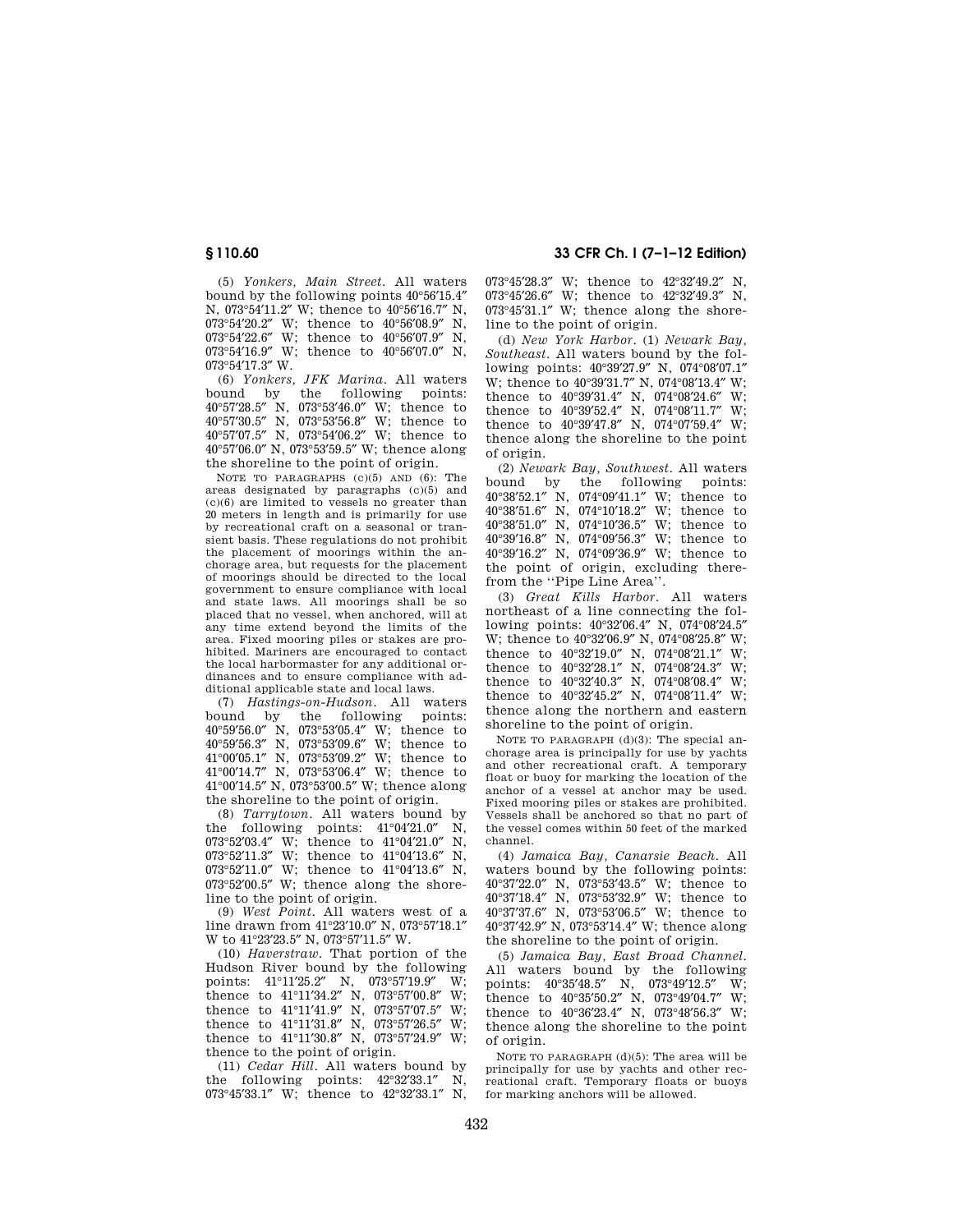(5) *Yonkers, Main Street*. All waters bound by the following points 40°56′15.4″ N, 073°54′11.2″ W; thence to 40°56′16.7″ N, 073°54′20.2″ W; thence to 40°56′08.9″ N, 073°54′22.6″ W; thence to 40°56′07.9″ N, 073°54'16.9" W; thence to 40°56'07.0" N, 073°54′17.3″ W.

(6) *Yonkers, JFK Marina*. All waters bound by the following points: 40°57′28.5″ N, 073°53′46.0″ W; thence to 40°57′30.5″ N, 073°53′56.8″ W; thence to 40°57′07.5″ N, 073°54′06.2″ W; thence to 40°57′06.0″ N, 073°53′59.5″ W; thence along the shoreline to the point of origin.

NOTE TO PARAGRAPHS (c)(5) AND (6): The areas designated by paragraphs (c)(5) and (c)(6) are limited to vessels no greater than 20 meters in length and is primarily for use by recreational craft on a seasonal or transient basis. These regulations do not prohibit the placement of moorings within the anchorage area, but requests for the placement of moorings should be directed to the local government to ensure compliance with local and state laws. All moorings shall be so placed that no vessel, when anchored, will at any time extend beyond the limits of the area. Fixed mooring piles or stakes are prohibited. Mariners are encouraged to contact the local harbormaster for any additional ordinances and to ensure compliance with additional applicable state and local laws.

(7) *Hastings-on-Hudson*. All waters bound by the following points: °59′56.0″ N, 073°53′05.4″ W; thence to °59′56.3″ N, 073°53′09.6″ W; thence to °00′05.1″ N, 073°53′09.2″ W; thence to °00′14.7″ N, 073°53′06.4″ W; thence to °00′14.5″ N, 073°53′00.5″ W; thence along the shoreline to the point of origin.

(8) *Tarrytown*. All waters bound by the following points: 41°04′21.0″ N, 073°52′03.4″ W; thence to 41°04′21.0″ N, 073°52′11.3″ W; thence to 41°04′13.6″ N, 073°52′11.0″ W; thence to 41°04′13.6″ N,  $073°52'00.5''$  W; thence along the shoreline to the point of origin.

(9) *West Point*. All waters west of a line drawn from 41°23′10.0″ N, 073°57′18.1″ W to 41°23′23.5″ N, 073°57′11.5″ W.

(10) *Haverstraw*. That portion of the Hudson River bound by the following points: 41°11′25.2″ N, 073°57′19.9″ W; thence to 41°11′34.2″ N, 073°57′00.8″ W; thence to 41°11′41.9″ N, 073°57′07.5″ W; thence to 41°11′31.8″ N, 073°57′26.5″ W; thence to 41°11′30.8″ N, 073°57′24.9″ W; thence to the point of origin.

(11) *Cedar Hill*. All waters bound by the following points: 42°32′33.1″ N, 073°45′33.1″ W; thence to 42°32′33.1″ N,

# **§ 110.60 33 CFR Ch. I (7–1–12 Edition)**

°45′28.3″ W; thence to 42°32′49.2″ N, °45′26.6″ W; thence to 42°32′49.3″ N, °45′31.1″ W; thence along the shoreline to the point of origin.

(d) *New York Harbor*. (1) *Newark Bay, Southeast*. All waters bound by the following points: 40°39′27.9″ N, 074°08′07.1″ W; thence to 40°39′31.7″ N, 074°08′13.4″ W; thence to 40°39′31.4″ N, 074°08′24.6″ W; thence to 40°39′52.4″ N, 074°08′11.7″ W; thence to 40°39′47.8″ N, 074°07′59.4″ W; thence along the shoreline to the point of origin.

(2) *Newark Bay, Southwest*. All waters bound by the following points: 40°38′52.1″ N, 074°09′41.1″ W; thence to 40°38′51.6″ N, 074°10′18.2″ W; thence to 40°38′51.0″ N, 074°10′36.5″ W; thence to 40°39′16.8″ N, 074°09′56.3″ W; thence to 40°39′16.2″ N, 074°09′36.9″ W; thence to the point of origin, excluding therefrom the ''Pipe Line Area''.

(3) *Great Kills Harbor*. All waters northeast of a line connecting the following points: 40°32′06.4″ N, 074°08′24.5″ W; thence to 40°32′06.9″ N, 074°08′25.8″ W; thence to 40°32′19.0″ N, 074°08′21.1″ W; thence to 40°32′28.1″ N, 074°08′24.3″ W; thence to 40°32′40.3″ N, 074°08′08.4″ W; thence to 40°32′45.2″ N, 074°08′11.4″ W; thence along the northern and eastern shoreline to the point of origin.

NOTE TO PARAGRAPH (d)(3): The special anchorage area is principally for use by yachts and other recreational craft. A temporary float or buoy for marking the location of the anchor of a vessel at anchor may be used. Fixed mooring piles or stakes are prohibited. Vessels shall be anchored so that no part of the vessel comes within 50 feet of the marked channel.

(4) *Jamaica Bay, Canarsie Beach*. All waters bound by the following points: 40°37′22.0″ N, 073°53′43.5″ W; thence to 40°37′18.4″ N, 073°53′32.9″ W; thence to 40°37′37.6″ N, 073°53′06.5″ W; thence to 40°37′42.9″ N, 073°53′14.4″ W; thence along the shoreline to the point of origin.

(5) *Jamaica Bay, East Broad Channel*. All waters bound by the following points: 40°35′48.5″ N, 073°49′12.5″ W; thence to 40°35′50.2″ N, 073°49′04.7″ W; thence to 40°36′23.4″ N, 073°48′56.3″ W; thence along the shoreline to the point of origin.

NOTE TO PARAGRAPH (d)(5): The area will be principally for use by yachts and other recreational craft. Temporary floats or buoys for marking anchors will be allowed.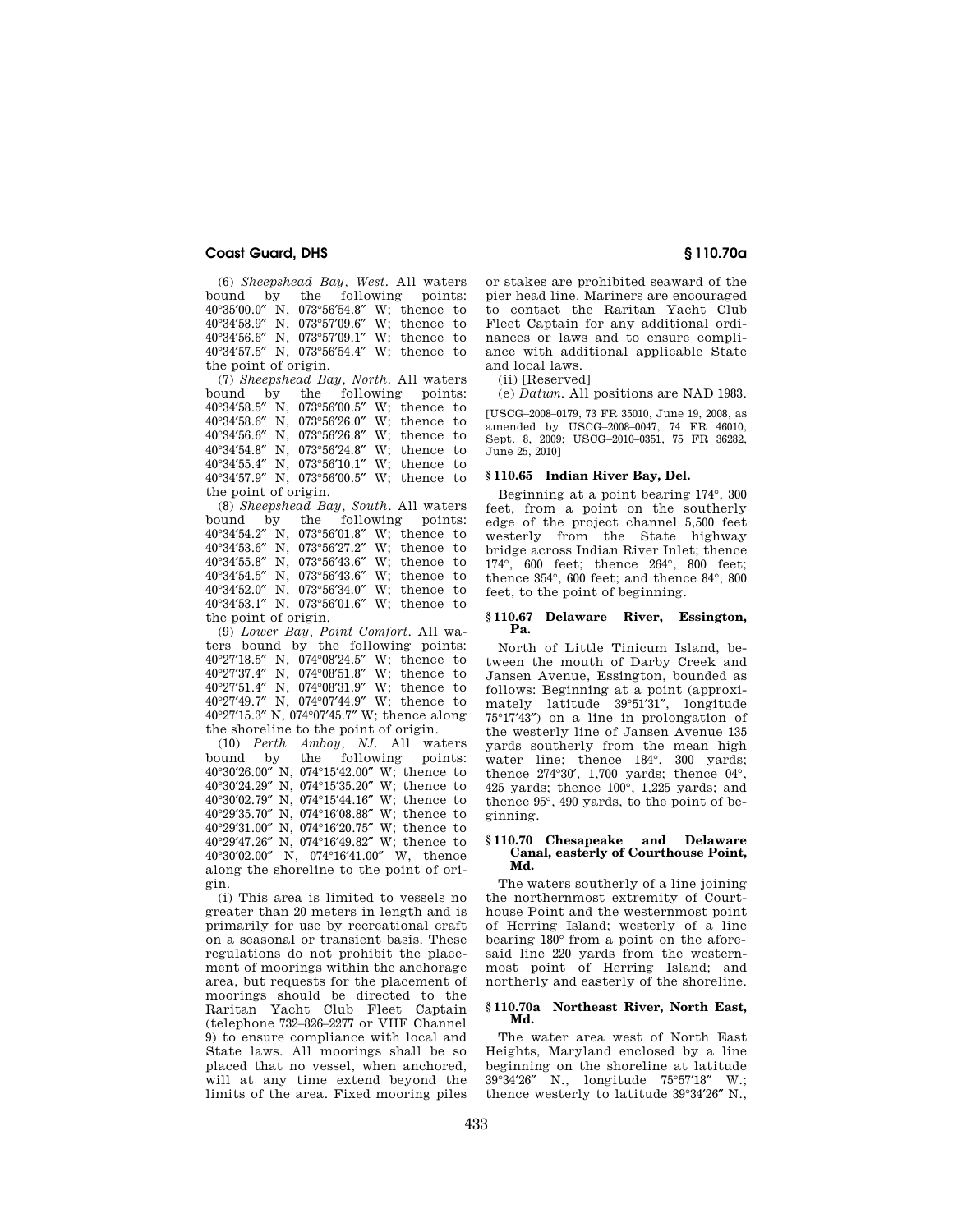(6) *Sheepshead Bay, West.* All waters bound by the following points: 40°35′00.0″ N, 073°56′54.8″ W; thence to 40°34′58.9″ N, 073°57′09.6″ W; thence to 40°34′56.6″ N, 073°57′09.1″ W; thence to 40°34′57.5″ N, 073°56′54.4″ W; thence to the point of origin.

(7) *Sheepshead Bay, North.* All waters bound by the following points: °34′58.5″ N, 073°56′00.5″ W; thence to °34′58.6″ N, 073°56′26.0″ W; thence to °34′56.6″ N, 073°56′26.8″ W; thence to °34′54.8″ N, 073°56′24.8″ W; thence to °34′55.4″ N, 073°56′10.1″ W; thence to °34′57.9″ N, 073°56′00.5″ W; thence to the point of origin.

(8) *Sheepshead Bay, South*. All waters following points: °34′54.2″ N, 073°56′01.8″ W; thence to °34′53.6″ N, 073°56′27.2″ W; thence to °34′55.8″ N, 073°56′43.6″ W; thence to °34′54.5″ N, 073°56′43.6″ W; thence to °34′52.0″ N, 073°56′34.0″ W; thence to °34′53.1″ N, 073°56′01.6″ W; thence to the point of origin.

(9) *Lower Bay, Point Comfort*. All waters bound by the following points: °27′18.5″ N, 074°08′24.5″ W; thence to °27′37.4″ N, 074°08′51.8″ W; thence to °27′51.4″ N, 074°08′31.9″ W; thence to °27′49.7″ N, 074°07′44.9″ W; thence to °27′15.3″ N, 074°07′45.7″ W; thence along the shoreline to the point of origin.

(10) *Perth Amboy, NJ.* All waters<br>hound by the following points: the following points: °30′26.00″ N, 074°15′42.00″ W; thence to °30′24.29″ N, 074°15′35.20″ W; thence to °30′02.79″ N, 074°15′44.16″ W; thence to °29′35.70″ N, 074°16′08.88″ W; thence to °29′31.00″ N, 074°16′20.75″ W; thence to °29′47.26″ N, 074°16′49.82″ W; thence to °30′02.00″ N, 074°16′41.00″ W, thence along the shoreline to the point of origin.

(i) This area is limited to vessels no greater than 20 meters in length and is primarily for use by recreational craft on a seasonal or transient basis. These regulations do not prohibit the placement of moorings within the anchorage area, but requests for the placement of moorings should be directed to the Raritan Yacht Club Fleet Captain (telephone 732–826–2277 or VHF Channel 9) to ensure compliance with local and State laws. All moorings shall be so placed that no vessel, when anchored, will at any time extend beyond the limits of the area. Fixed mooring piles

or stakes are prohibited seaward of the pier head line. Mariners are encouraged to contact the Raritan Yacht Club Fleet Captain for any additional ordinances or laws and to ensure compliance with additional applicable State and local laws.

(ii) [Reserved]

(e) *Datum*. All positions are NAD 1983.

[USCG–2008–0179, 73 FR 35010, June 19, 2008, as amended by USCG–2008–0047, 74 FR 46010, Sept. 8, 2009; USCG–2010–0351, 75 FR 36282, June 25, 2010]

## **§ 110.65 Indian River Bay, Del.**

Beginning at a point bearing 174°, 300 feet, from a point on the southerly edge of the project channel 5,500 feet westerly from the State highway bridge across Indian River Inlet; thence 174°, 600 feet; thence 264°, 800 feet; thence 354°, 600 feet; and thence 84°, 800 feet, to the point of beginning.

#### **§ 110.67 Delaware River, Essington, Pa.**

North of Little Tinicum Island, between the mouth of Darby Creek and Jansen Avenue, Essington, bounded as follows: Beginning at a point (approximately latitude 39°51′31″, longitude 75°17′43″) on a line in prolongation of the westerly line of Jansen Avenue 135 yards southerly from the mean high water line; thence 184°, 300 yards; thence 274°30′, 1,700 yards; thence 04°, 425 yards; thence 100°, 1,225 yards; and thence 95°, 490 yards, to the point of beginning.

## **§ 110.70 Chesapeake and Delaware Canal, easterly of Courthouse Point, Md.**

The waters southerly of a line joining the northernmost extremity of Courthouse Point and the westernmost point of Herring Island; westerly of a line bearing 180° from a point on the aforesaid line 220 yards from the westernmost point of Herring Island; and northerly and easterly of the shoreline.

#### **§ 110.70a Northeast River, North East, Md.**

The water area west of North East Heights, Maryland enclosed by a line beginning on the shoreline at latitude 39°34′26″ N., longitude 75°57′18″ W.; thence westerly to latitude 39°34′26″ N.,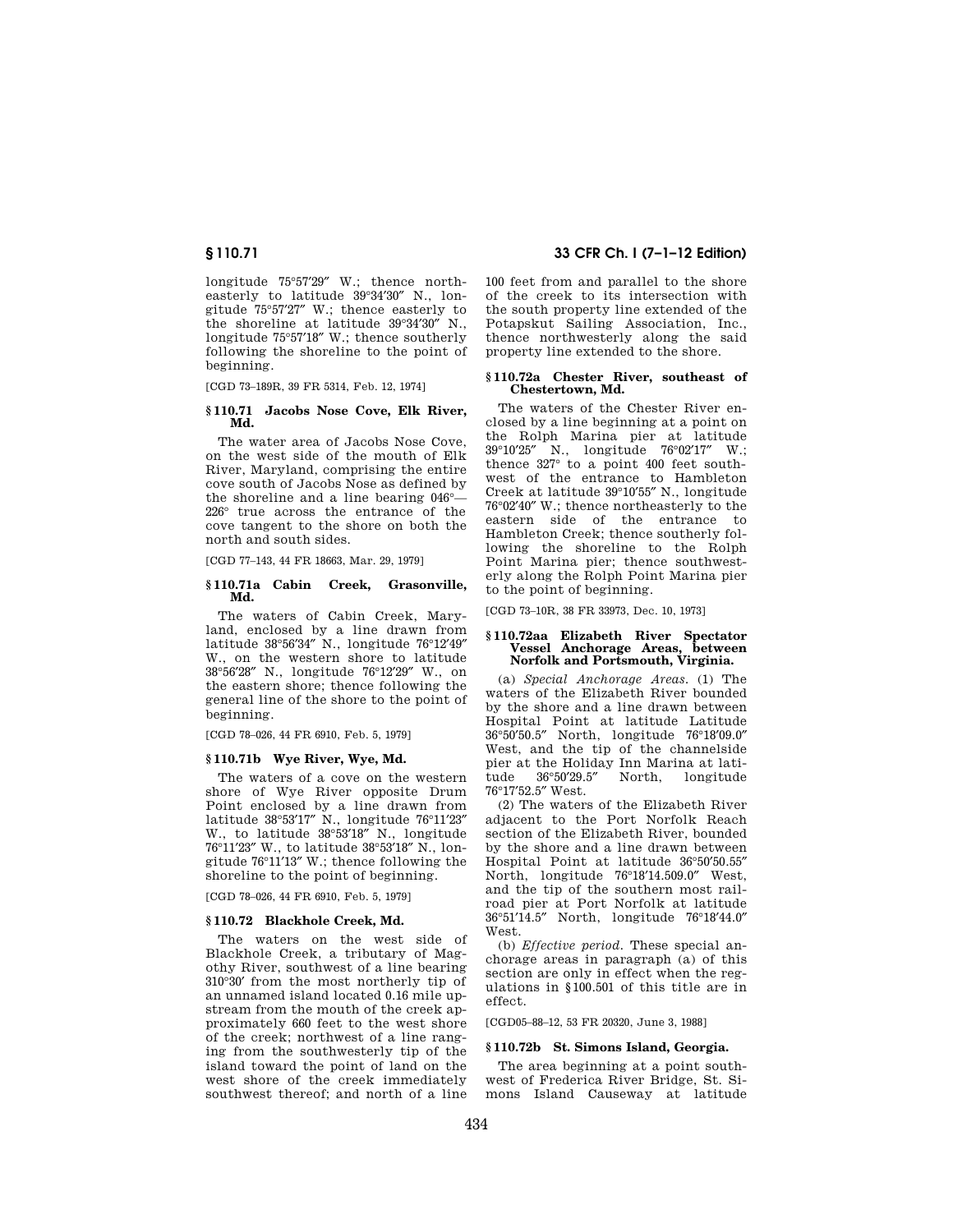longitude 75°57′29″ W.; thence northeasterly to latitude 39°34′30″ N., longitude 75°57′27″ W.; thence easterly to the shoreline at latitude 39°34′30″ N., longitude 75°57′18″ W.; thence southerly following the shoreline to the point of beginning.

[CGD 73–189R, 39 FR 5314, Feb. 12, 1974]

## **§ 110.71 Jacobs Nose Cove, Elk River, Md.**

The water area of Jacobs Nose Cove, on the west side of the mouth of Elk River, Maryland, comprising the entire cove south of Jacobs Nose as defined by the shoreline and a line bearing 046°— 226° true across the entrance of the cove tangent to the shore on both the north and south sides.

[CGD 77–143, 44 FR 18663, Mar. 29, 1979]

# **§ 110.71a Cabin Creek, Grasonville, Md.**

The waters of Cabin Creek, Maryland, enclosed by a line drawn from latitude 38°56′34″ N., longitude 76°12′49″ W., on the western shore to latitude 38°56′28″ N., longitude 76°12′29″ W., on the eastern shore; thence following the general line of the shore to the point of beginning.

[CGD 78–026, 44 FR 6910, Feb. 5, 1979]

# **§ 110.71b Wye River, Wye, Md.**

The waters of a cove on the western shore of Wye River opposite Drum Point enclosed by a line drawn from latitude 38°53′17″ N., longitude 76°11′23″ W., to latitude 38°53′18″ N., longitude 76°11′23″ W., to latitude 38°53′18″ N., longitude 76°11′13″ W.; thence following the shoreline to the point of beginning.

[CGD 78–026, 44 FR 6910, Feb. 5, 1979]

# **§ 110.72 Blackhole Creek, Md.**

The waters on the west side of Blackhole Creek, a tributary of Magothy River, southwest of a line bearing 310°30′ from the most northerly tip of an unnamed island located 0.16 mile upstream from the mouth of the creek approximately 660 feet to the west shore of the creek; northwest of a line ranging from the southwesterly tip of the island toward the point of land on the west shore of the creek immediately southwest thereof; and north of a line

# **§ 110.71 33 CFR Ch. I (7–1–12 Edition)**

100 feet from and parallel to the shore of the creek to its intersection with the south property line extended of the Potapskut Sailing Association, Inc., thence northwesterly along the said property line extended to the shore.

## **§ 110.72a Chester River, southeast of Chestertown, Md.**

The waters of the Chester River enclosed by a line beginning at a point on the Rolph Marina pier at latitude 39°10′25″ N., longitude 76°02′17″ W.; thence 327° to a point 400 feet southwest of the entrance to Hambleton Creek at latitude 39°10′55″ N., longitude 76°02′40″ W.; thence northeasterly to the eastern side of the entrance to Hambleton Creek; thence southerly following the shoreline to the Rolph Point Marina pier; thence southwesterly along the Rolph Point Marina pier to the point of beginning.

[CGD 73–10R, 38 FR 33973, Dec. 10, 1973]

## **§ 110.72aa Elizabeth River Spectator Vessel Anchorage Areas, Norfolk and Portsmouth, Virginia.**

(a) *Special Anchorage Areas.* (1) The waters of the Elizabeth River bounded by the shore and a line drawn between Hospital Point at latitude Latitude 36°50′50.5″ North, longitude 76°18′09.0″ West, and the tip of the channelside pier at the Holiday Inn Marina at latitude 36°50′29.5″ North, longitude 76°17′52.5″ West.

(2) The waters of the Elizabeth River adjacent to the Port Norfolk Reach section of the Elizabeth River, bounded by the shore and a line drawn between Hospital Point at latitude 36°50′50.55″ North, longitude 76°18′14.509.0″ West, and the tip of the southern most railroad pier at Port Norfolk at latitude 36°51′14.5″ North, longitude 76°18′44.0″ West.

(b) *Effective period.* These special anchorage areas in paragraph (a) of this section are only in effect when the regulations in §100.501 of this title are in effect.

[CGD05–88–12, 53 FR 20320, June 3, 1988]

# **§ 110.72b St. Simons Island, Georgia.**

The area beginning at a point southwest of Frederica River Bridge, St. Simons Island Causeway at latitude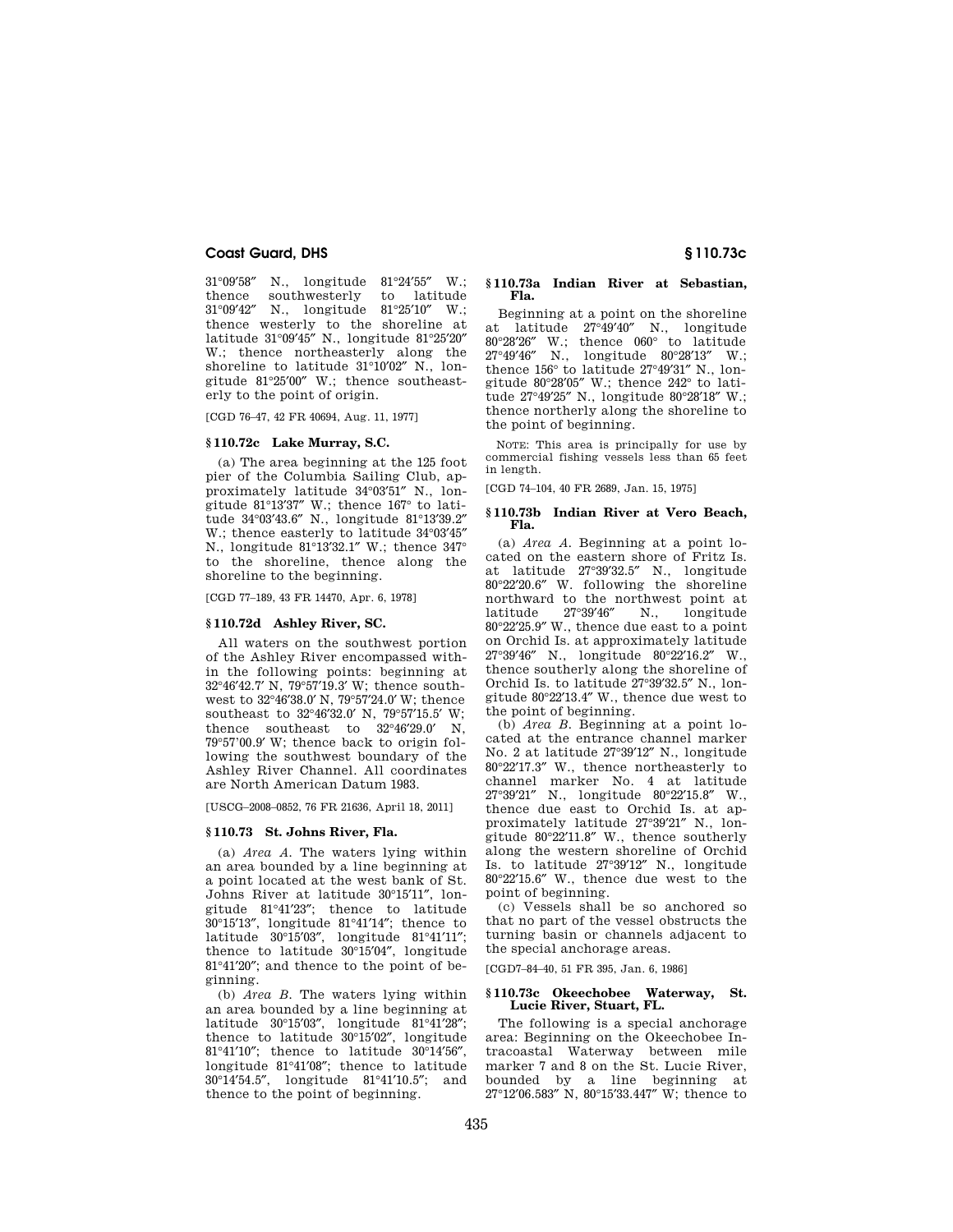31°09′58″ N., longitude 81°24′55″ W.; southwesterly to latitude<br>N., longitude  $81^{\circ}25'10''$  W.;  $31°09'42''$  N., longitude thence westerly to the shoreline at latitude 31°09′45″ N., longitude 81°25′20″ W.; thence northeasterly along the shoreline to latitude 31°10'02" N., longitude 81°25′00″ W.; thence southeasterly to the point of origin.

[CGD 76–47, 42 FR 40694, Aug. 11, 1977]

# **§ 110.72c Lake Murray, S.C.**

(a) The area beginning at the 125 foot pier of the Columbia Sailing Club, approximately latitude 34°03′51″ N., longitude 81°13′37″ W.; thence 167° to latitude 34°03′43.6″ N., longitude 81°13′39.2″ W.; thence easterly to latitude 34°03′45″ N., longitude 81°13′32.1″ W.; thence 347° to the shoreline, thence along the shoreline to the beginning.

[CGD 77–189, 43 FR 14470, Apr. 6, 1978]

# **§ 110.72d Ashley River, SC.**

All waters on the southwest portion of the Ashley River encompassed within the following points: beginning at 32°46′42.7′ N, 79°57′19.3′ W; thence southwest to 32°46′38.0′ N, 79°57′24.0′ W; thence southeast to 32°46′32.0′ N, 79°57′15.5′ W; thence southeast to 32°46′29.0′ N, 79°57'00.9′ W; thence back to origin following the southwest boundary of the Ashley River Channel. All coordinates are North American Datum 1983.

[USCG–2008–0852, 76 FR 21636, April 18, 2011]

#### **§ 110.73 St. Johns River, Fla.**

(a) *Area A.* The waters lying within an area bounded by a line beginning at a point located at the west bank of St. Johns River at latitude 30°15′11″, longitude 81°41′23″; thence to latitude 30°15′13″, longitude 81°41′14″; thence to latitude 30°15′03″, longitude 81°41′11″; thence to latitude 30°15′04″, longitude 81°41′20″; and thence to the point of beginning.

(b) *Area B.* The waters lying within an area bounded by a line beginning at latitude 30°15′03″, longitude 81°41′28″; thence to latitude 30°15′02″, longitude 81°41′10″; thence to latitude 30°14′56″, longitude 81°41′08″; thence to latitude 30°14′54.5″, longitude 81°41′10.5″; and thence to the point of beginning.

## **§ 110.73a Indian River at Sebastian, Fla.**

Beginning at a point on the shoreline at latitude 27°49′40″ N., longitude  $80^{\circ}28'26''$  W.; thence  $060^{\circ}$  to latitude  $27^{\circ}49'46''$  N., longitude  $80^{\circ}28'13''$  W.;  $27^{\circ}49'46''$  N., longitude  $80^{\circ}28'13''$ thence 156° to latitude 27°49′31″ N., longitude 80°28′05″ W.; thence 242° to latitude 27°49′25″ N., longitude 80°28′18″ W.; thence northerly along the shoreline to the point of beginning.

NOTE: This area is principally for use by commercial fishing vessels less than 65 feet in length.

[CGD 74–104, 40 FR 2689, Jan. 15, 1975]

## **§ 110.73b Indian River at Vero Beach, Fla.**

(a) *Area A.* Beginning at a point located on the eastern shore of Fritz Is. at latitude 27°39′32.5″ N., longitude 80°22′20.6″ W. following the shoreline northward to the northwest point at<br>latitude 27°39'46" N longitude  $27^{\circ}39'46''$  N., 80°22′25.9″ W., thence due east to a point on Orchid Is. at approximately latitude 27°39′46″ N., longitude 80°22′16.2″ W., thence southerly along the shoreline of Orchid Is. to latitude 27°39′32.5″ N., longitude 80°22′13.4″ W., thence due west to the point of beginning.

(b) *Area B.* Beginning at a point located at the entrance channel marker No. 2 at latitude 27°39′12″ N., longitude 80°22′17.3″ W., thence northeasterly to channel marker No. 4 at latitude 27°39′21″ N., longitude 80°22′15.8″ W., thence due east to Orchid Is. at approximately latitude 27°39′21″ N., longitude 80°22′11.8″ W., thence southerly along the western shoreline of Orchid Is. to latitude 27°39′12″ N., longitude 80°22′15.6″ W., thence due west to the point of beginning.

(c) Vessels shall be so anchored so that no part of the vessel obstructs the turning basin or channels adjacent to the special anchorage areas.

[CGD7–84–40, 51 FR 395, Jan. 6, 1986]

## **§ 110.73c Okeechobee Waterway, St. Lucie River, Stuart, FL.**

The following is a special anchorage area: Beginning on the Okeechobee Intracoastal Waterway between mile marker 7 and 8 on the St. Lucie River, bounded by a line beginning at 27°12′06.583″ N, 80°15′33.447″ W; thence to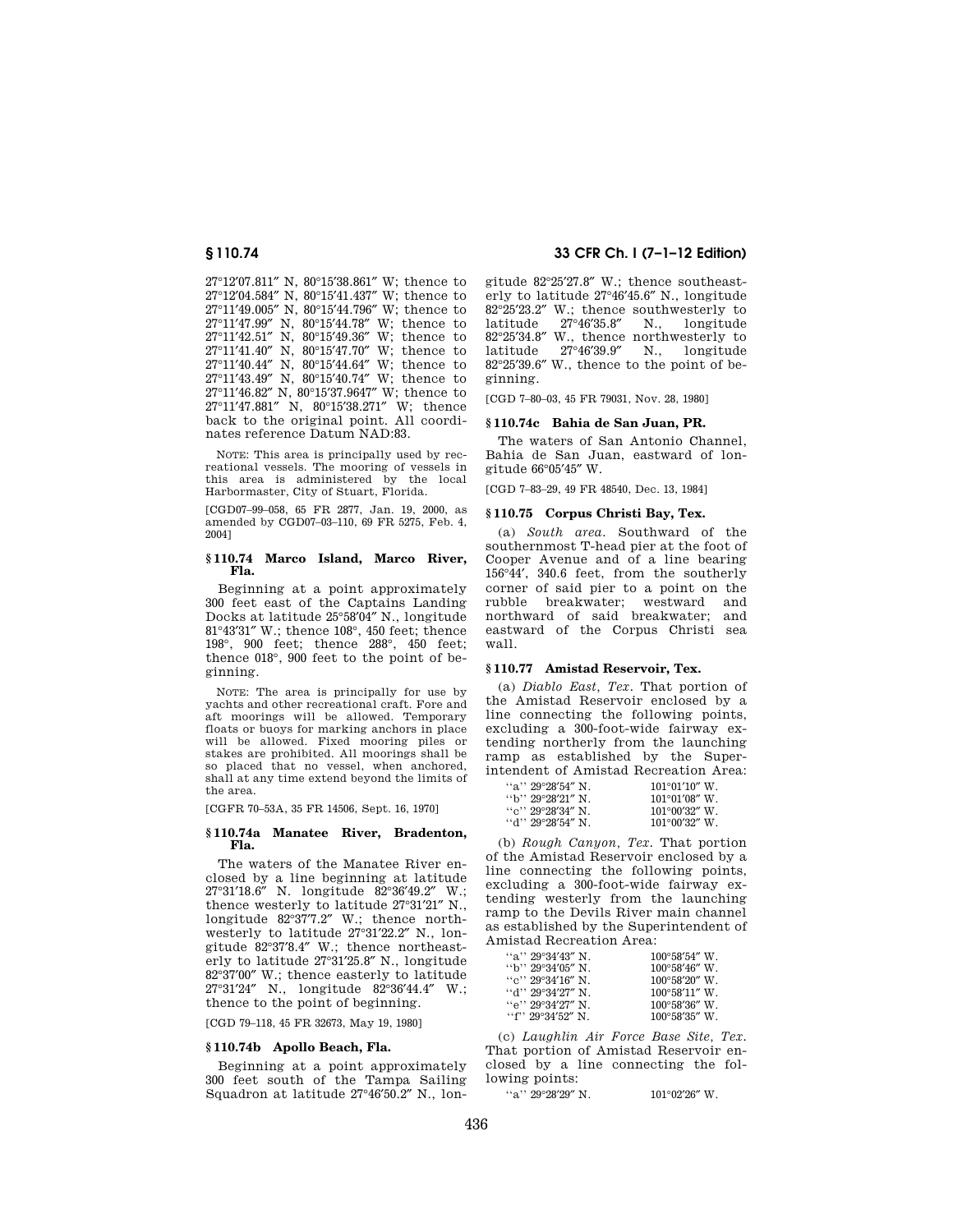°12′07.811″ N, 80°15′38.861″ W; thence to °12′04.584″ N, 80°15′41.437″ W; thence to °11′49.005″ N, 80°15′44.796″ W; thence to °11′47.99″ N, 80°15′44.78″ W; thence to °11′42.51″ N, 80°15′49.36″ W; thence to °11′41.40″ N, 80°15′47.70″ W; thence to °11′40.44″ N, 80°15′44.64″ W; thence to °11′43.49″ N, 80°15′40.74″ W; thence to °11′46.82″ N, 80°15′37.9647″ W; thence to °11′47.881″ N, 80°15′38.271″ W; thence back to the original point. All coordinates reference Datum NAD:83.

NOTE: This area is principally used by recreational vessels. The mooring of vessels in this area is administered by the local Harbormaster, City of Stuart, Florida.

[CGD07–99–058, 65 FR 2877, Jan. 19, 2000, as amended by CGD07–03–110, 69 FR 5275, Feb. 4, 2004]

## **§ 110.74 Marco Island, Marco River, Fla.**

Beginning at a point approximately 300 feet east of the Captains Landing Docks at latitude 25°58′04″ N., longitude 81°43′31″ W.; thence 108°, 450 feet; thence 198°, 900 feet; thence 288°, 450 feet; thence 018°, 900 feet to the point of beginning.

NOTE: The area is principally for use by yachts and other recreational craft. Fore and aft moorings will be allowed. Temporary floats or buoys for marking anchors in place will be allowed. Fixed mooring piles or stakes are prohibited. All moorings shall be so placed that no vessel, when anchored, shall at any time extend beyond the limits of the area.

[CGFR 70–53A, 35 FR 14506, Sept. 16, 1970]

## **§ 110.74a Manatee River, Bradenton, Fla.**

The waters of the Manatee River enclosed by a line beginning at latitude 27°31′18.6″ N. longitude 82°36′49.2″ W.; thence westerly to latitude 27°31′21″ N., longitude 82°37′7.2″ W.; thence northwesterly to latitude 27°31′22.2″ N., longitude 82°37′8.4″ W.; thence northeasterly to latitude 27°31′25.8″ N., longitude 82°37′00″ W.; thence easterly to latitude 27°31′24″ N., longitude 82°36′44.4″ W.; thence to the point of beginning.

[CGD 79–118, 45 FR 32673, May 19, 1980]

## **§ 110.74b Apollo Beach, Fla.**

Beginning at a point approximately 300 feet south of the Tampa Sailing Squadron at latitude 27°46′50.2″ N., lon-

**§ 110.74 33 CFR Ch. I (7–1–12 Edition)** 

gitude 82°25′27.8″ W.; thence southeasterly to latitude 27°46′45.6″ N., longitude  $82^{\circ}25'23.2''$  W.; thence southwesterly to latitude  $27^{\circ}46'35.8''$  N., longitude  $27^\circ 46'35.8''$  $82^{\circ}25'34.8'' \text{ W., thence northwesterly to latitude } 27^{\circ}46'39.9'' \text{ N., longitude}$ latitude 27°46′39.9″ N., longitude 82°25′39.6″ W., thence to the point of beginning.

[CGD 7–80–03, 45 FR 79031, Nov. 28, 1980]

#### **§ 110.74c Bahia de San Juan, PR.**

The waters of San Antonio Channel, Bahia de San Juan, eastward of longitude 66°05′45″ W.

[CGD 7–83–29, 49 FR 48540, Dec. 13, 1984]

# **§ 110.75 Corpus Christi Bay, Tex.**

(a) *South area.* Southward of the southernmost T-head pier at the foot of Cooper Avenue and of a line bearing 156°44′, 340.6 feet, from the southerly corner of said pier to a point on the rubble breakwater; westward and northward of said breakwater; and eastward of the Corpus Christi sea wall.

## **§ 110.77 Amistad Reservoir, Tex.**

(a) *Diablo East, Tex.* That portion of the Amistad Reservoir enclosed by a line connecting the following points, excluding a 300-foot-wide fairway extending northerly from the launching ramp as established by the Superintendent of Amistad Recreation Area:

| "a" $29^{\circ}28'54''$ N.                              | $101^{\circ}01'10''$ W. |
|---------------------------------------------------------|-------------------------|
| $\rm{``b''\,29^{\circ}28^{\prime}21^{\prime\prime}\,N}$ | $101^{\circ}01'08''$ W. |
| "c" $29^{\circ}28'34''$ N.                              | $101^{\circ}00'32''$ W. |
| ''d'' 29°28′54″ N                                       | $101^{\circ}00'32''$ W. |

(b) *Rough Canyon, Tex.* That portion of the Amistad Reservoir enclosed by a line connecting the following points, excluding a 300-foot-wide fairway extending westerly from the launching ramp to the Devils River main channel as established by the Superintendent of Amistad Recreation Area:

| "a" $29^{\circ}34'43''$ N.                                | $100^{\circ}58'54''$ W. |
|-----------------------------------------------------------|-------------------------|
| $\rm{``b''\,29^{\circ}34^{\prime}05^{\prime\prime}\,N}$ . | $100^{\circ}58'46''$ W. |
| ``c" 29°34'16" N.                                         | $100^{\circ}58'20''$ W. |
| ''d'' 29°34′27″ N                                         | $100^{\circ}58'11''$ W. |
| "e" 29°34′27″ N                                           | $100^{\circ}58'36''$ W. |
| ''f'' 29°34′52″ N                                         | $100^{\circ}58'35''$ W. |

(c) *Laughlin Air Force Base Site, Tex.*  That portion of Amistad Reservoir enclosed by a line connecting the following points:

''a'' 29°28′29″ N. 101°02′26″ W.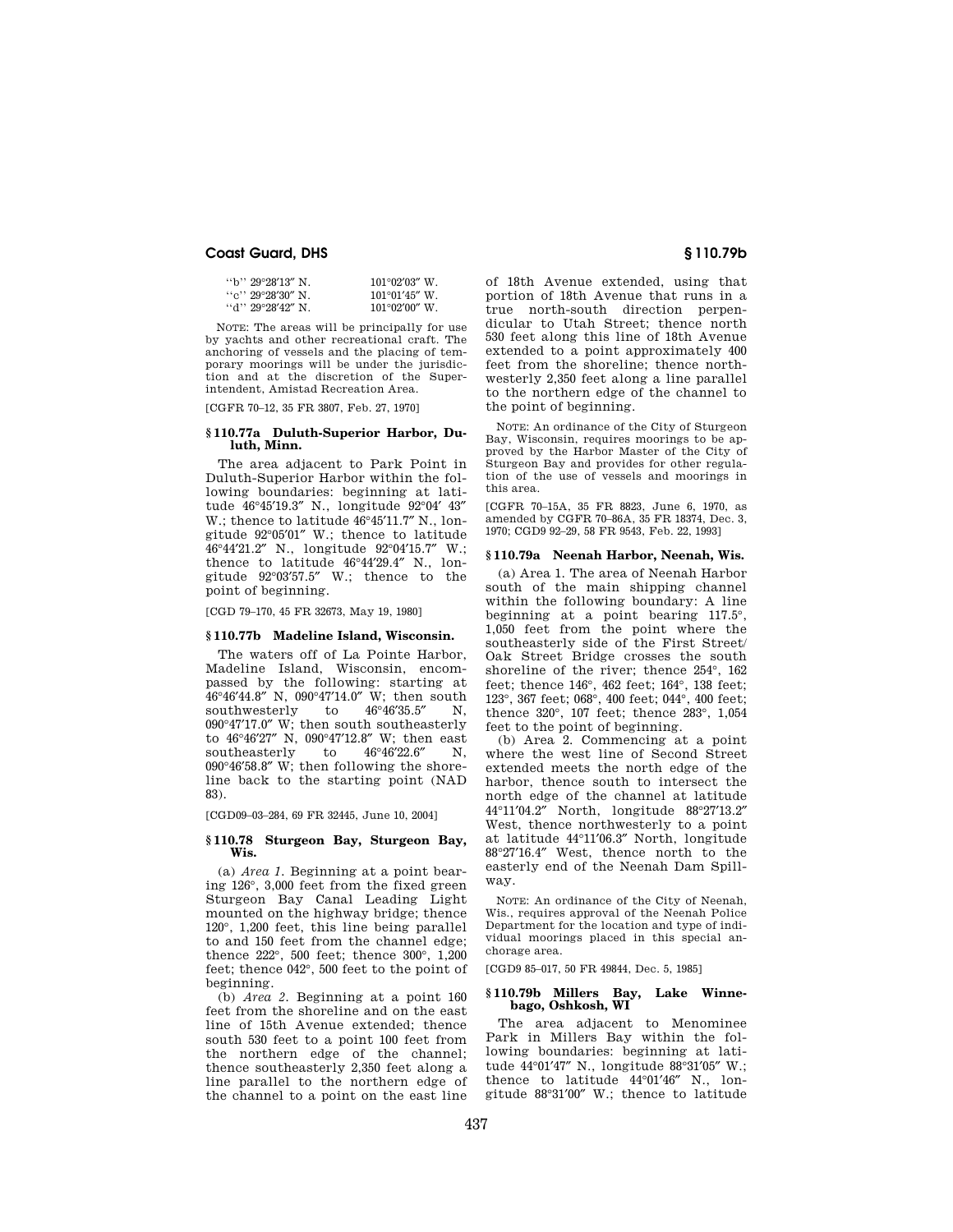| "b" 29°28′13″ N            | $101^{\circ}02'03''$ W. |
|----------------------------|-------------------------|
| "c" $29^{\circ}28'30''$ N. | $101^{\circ}01'45''$ W. |
| "d" $29^{\circ}28'42''$ N. | $101^{\circ}02'00''$ W. |

NOTE: The areas will be principally for use by yachts and other recreational craft. The anchoring of vessels and the placing of temporary moorings will be under the jurisdiction and at the discretion of the Superintendent, Amistad Recreation Area.

[CGFR 70–12, 35 FR 3807, Feb. 27, 1970]

# **§ 110.77a Duluth-Superior Harbor, Duluth, Minn.**

The area adjacent to Park Point in Duluth-Superior Harbor within the following boundaries: beginning at latitude 46°45′19.3″ N., longitude 92°04′ 43″ W.; thence to latitude 46°45′11.7″ N., longitude  $92^{\circ}05'01''$  W.; thence to latitude  $46^{\circ}44'21.2''$  N.; longitude  $92^{\circ}04'15.7''$  W.; 46°44'21.2" N., longitude 92°04'15.7" thence to latitude 46°44′29.4″ N., longitude 92°03′57.5″ W.; thence to the point of beginning.

[CGD 79–170, 45 FR 32673, May 19, 1980]

# **§ 110.77b Madeline Island, Wisconsin.**

The waters off of La Pointe Harbor, Madeline Island, Wisconsin, encompassed by the following: starting at  $46^{\circ}46'44.8''$  N, 090°47'14.0" W; then south southwesterly to  $46^{\circ}46'35.5''$  N, southwesterly to  $46^{\circ}46^{\prime}35.5^{\prime\prime}$  N, 090°47′17.0″ W; then south southeasterly to 46°46′27″ N, 090°47′12.8″ W; then east southeasterly to  $46^{\circ}46^{\prime}22.6^{\prime\prime}$  N, 090°46′58.8″ W; then following the shoreline back to the starting point (NAD 83).

[CGD09–03–284, 69 FR 32445, June 10, 2004]

## **§ 110.78 Sturgeon Bay, Sturgeon Bay, Wis.**

(a) *Area 1.* Beginning at a point bearing 126°, 3,000 feet from the fixed green Sturgeon Bay Canal Leading Light mounted on the highway bridge; thence 120°, 1,200 feet, this line being parallel to and 150 feet from the channel edge; thence 222°, 500 feet; thence 300°, 1,200 feet; thence 042°, 500 feet to the point of beginning.

(b) *Area 2.* Beginning at a point 160 feet from the shoreline and on the east line of 15th Avenue extended; thence south 530 feet to a point 100 feet from the northern edge of the channel; thence southeasterly 2,350 feet along a line parallel to the northern edge of the channel to a point on the east line

of 18th Avenue extended, using that portion of 18th Avenue that runs in a true north-south direction perpendicular to Utah Street; thence north 530 feet along this line of 18th Avenue extended to a point approximately 400 feet from the shoreline; thence northwesterly 2,350 feet along a line parallel to the northern edge of the channel to the point of beginning.

NOTE: An ordinance of the City of Sturgeon Bay, Wisconsin, requires moorings to be approved by the Harbor Master of the City of Sturgeon Bay and provides for other regulation of the use of vessels and moorings in this area.

[CGFR 70–15A, 35 FR 8823, June 6, 1970, as amended by CGFR 70–86A, 35 FR 18374, Dec. 3, 1970; CGD9 92–29, 58 FR 9543, Feb. 22, 1993]

# **§ 110.79a Neenah Harbor, Neenah, Wis.**

(a) Area 1. The area of Neenah Harbor south of the main shipping channel within the following boundary: A line beginning at a point bearing 117.5°, 1,050 feet from the point where the southeasterly side of the First Street/ Oak Street Bridge crosses the south shoreline of the river; thence 254°, 162 feet; thence 146°, 462 feet; 164°, 138 feet; 123°, 367 feet; 068°, 400 feet; 044°, 400 feet; thence 320°, 107 feet; thence 283°, 1,054 feet to the point of beginning.

(b) Area 2. Commencing at a point where the west line of Second Street extended meets the north edge of the harbor, thence south to intersect the north edge of the channel at latitude 44°11′04.2″ North, longitude 88°27′13.2″ West, thence northwesterly to a point at latitude 44°11′06.3″ North, longitude 88°27′16.4″ West, thence north to the easterly end of the Neenah Dam Spillway.

NOTE: An ordinance of the City of Neenah, Wis., requires approval of the Neenah Police Department for the location and type of individual moorings placed in this special anchorage area.

[CGD9 85–017, 50 FR 49844, Dec. 5, 1985]

## **§ 110.79b Millers Bay, Lake Winnebago, Oshkosh, WI**

The area adjacent to Menominee Park in Millers Bay within the following boundaries: beginning at latitude 44°01′47″ N., longitude 88°31′05″ W.; thence to latitude 44°01′46″ N., longitude 88°31′00″ W.; thence to latitude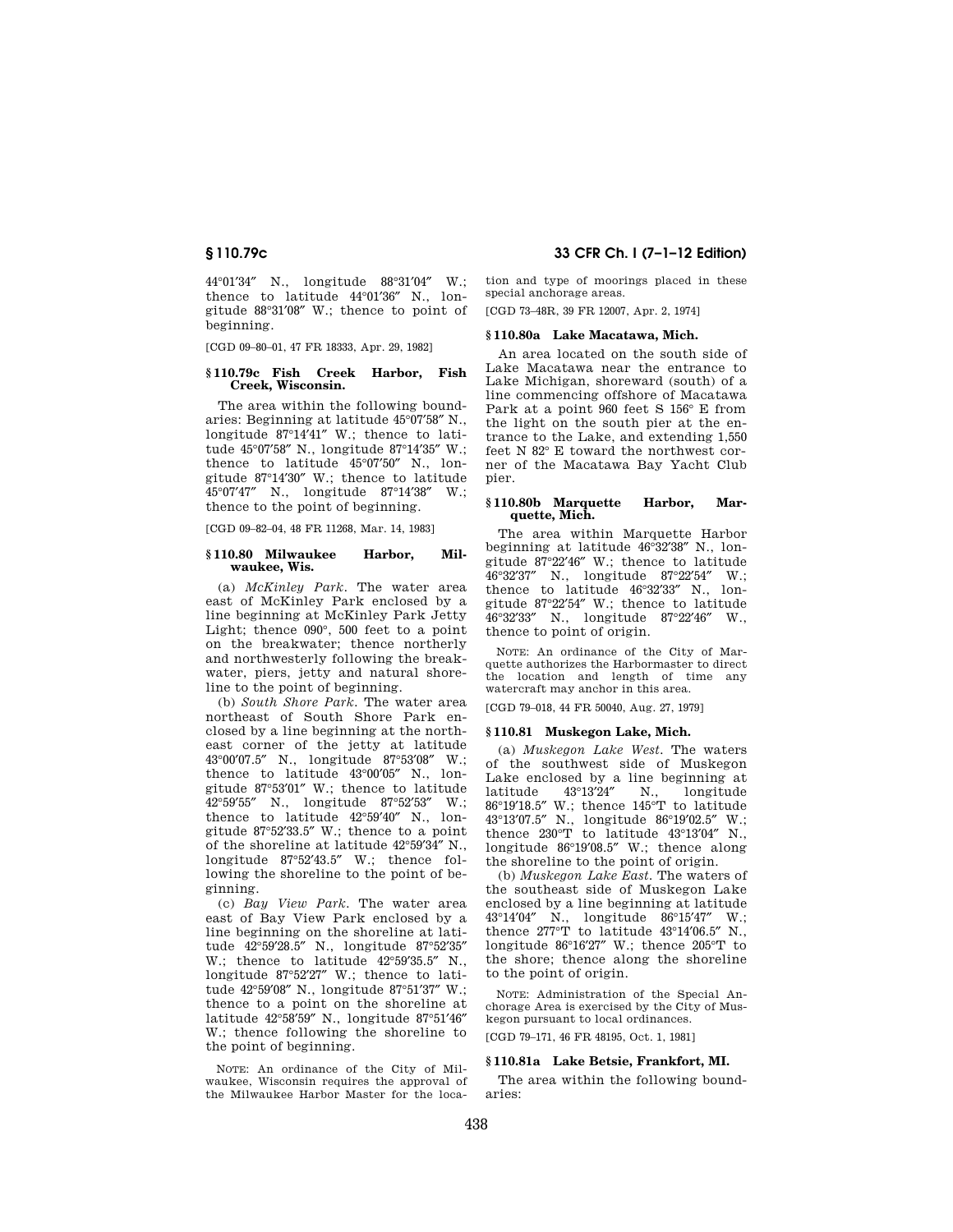44°01′34″ N., longitude 88°31′04″ W.; thence to latitude 44°01′36″ N., longitude 88°31′08″ W.; thence to point of beginning.

[CGD 09–80–01, 47 FR 18333, Apr. 29, 1982]

## **§ 110.79c Fish Creek Harbor, Fish Creek, Wisconsin.**

The area within the following boundaries: Beginning at latitude 45°07′58″ N., longitude 87°14′41″ W.; thence to latitude 45°07′58″ N., longitude 87°14′35″ W.; thence to latitude 45°07′50″ N., longitude 87°14′30″ W.; thence to latitude 45°07'47" N., longitude 87°14'38" thence to the point of beginning.

[CGD 09–82–04, 48 FR 11268, Mar. 14, 1983]

## **§ 110.80 Milwaukee Harbor, Milwaukee, Wis.**

(a) *McKinley Park.* The water area east of McKinley Park enclosed by a line beginning at McKinley Park Jetty Light; thence 090°, 500 feet to a point on the breakwater; thence northerly and northwesterly following the breakwater, piers, jetty and natural shoreline to the point of beginning.

(b) *South Shore Park.* The water area northeast of South Shore Park enclosed by a line beginning at the northeast corner of the jetty at latitude 43°00′07.5″ N., longitude 87°53′08″ W.; thence to latitude 43°00′05″ N., longitude 87°53′01″ W.; thence to latitude 42°59′55″ N., longitude 87°52′53″ W.; thence to latitude 42°59′40″ N., longitude 87°52′33.5″ W.; thence to a point of the shoreline at latitude 42°59′34″ N., longitude 87°52′43.5″ W.; thence following the shoreline to the point of beginning.

(c) *Bay View Park.* The water area east of Bay View Park enclosed by a line beginning on the shoreline at latitude 42°59′28.5″ N., longitude 87°52′35″ W.; thence to latitude  $42^{\circ}59'35.5''$  N., longitude 87°52′27″ W.; thence to latitude 42°59′08″ N., longitude 87°51′37″ W.; thence to a point on the shoreline at latitude 42°58′59″ N., longitude 87°51′46″ W.; thence following the shoreline to the point of beginning.

NOTE: An ordinance of the City of Milwaukee, Wisconsin requires the approval of the Milwaukee Harbor Master for the loca-

**§ 110.79c 33 CFR Ch. I (7–1–12 Edition)** 

tion and type of moorings placed in these special anchorage areas.

[CGD 73–48R, 39 FR 12007, Apr. 2, 1974]

## **§ 110.80a Lake Macatawa, Mich.**

An area located on the south side of Lake Macatawa near the entrance to Lake Michigan, shoreward (south) of a line commencing offshore of Macatawa Park at a point 960 feet S 156° E from the light on the south pier at the entrance to the Lake, and extending 1,550 feet N 82° E toward the northwest corner of the Macatawa Bay Yacht Club pier.

# **§ 110.80b Marquette Harbor, Marquette, Mich.**

The area within Marquette Harbor beginning at latitude 46°32′38″ N., longitude  $87^{\circ}22'46''$  W.; thence to latitude  $46^{\circ}32'37''$  N., longitude  $87^{\circ}22'54''$  W.; 46°32'37" N., longitude 87°22'54" thence to latitude 46°32′33″ N., longitude 87°22′54″ W.; thence to latitude 46°32′33″ N., longitude 87°22′46″ W., thence to point of origin.

NOTE: An ordinance of the City of Marquette authorizes the Harbormaster to direct the location and length of time any watercraft may anchor in this area.

[CGD 79–018, 44 FR 50040, Aug. 27, 1979]

#### **§ 110.81 Muskegon Lake, Mich.**

(a) *Muskegon Lake West.* The waters of the southwest side of Muskegon Lake enclosed by a line beginning at latitude 43°13′24″ N., longitude 86°19′18.5″ W.; thence 145°T to latitude 43°13′07.5″ N., longitude 86°19′02.5″ W.; thence 230°T to latitude 43°13′04″ N., longitude 86°19′08.5″ W.; thence along the shoreline to the point of origin.

(b) *Muskegon Lake East.* The waters of the southeast side of Muskegon Lake enclosed by a line beginning at latitude 43°14′04″ N., longitude 86°15′47″ W.; thence 277°T to latitude 43°14′06.5″ N., longitude 86°16′27″ W.; thence 205°T to the shore; thence along the shoreline to the point of origin.

NOTE: Administration of the Special Anchorage Area is exercised by the City of Muskegon pursuant to local ordinances.

[CGD 79–171, 46 FR 48195, Oct. 1, 1981]

## **§ 110.81a Lake Betsie, Frankfort, MI.**

The area within the following boundaries: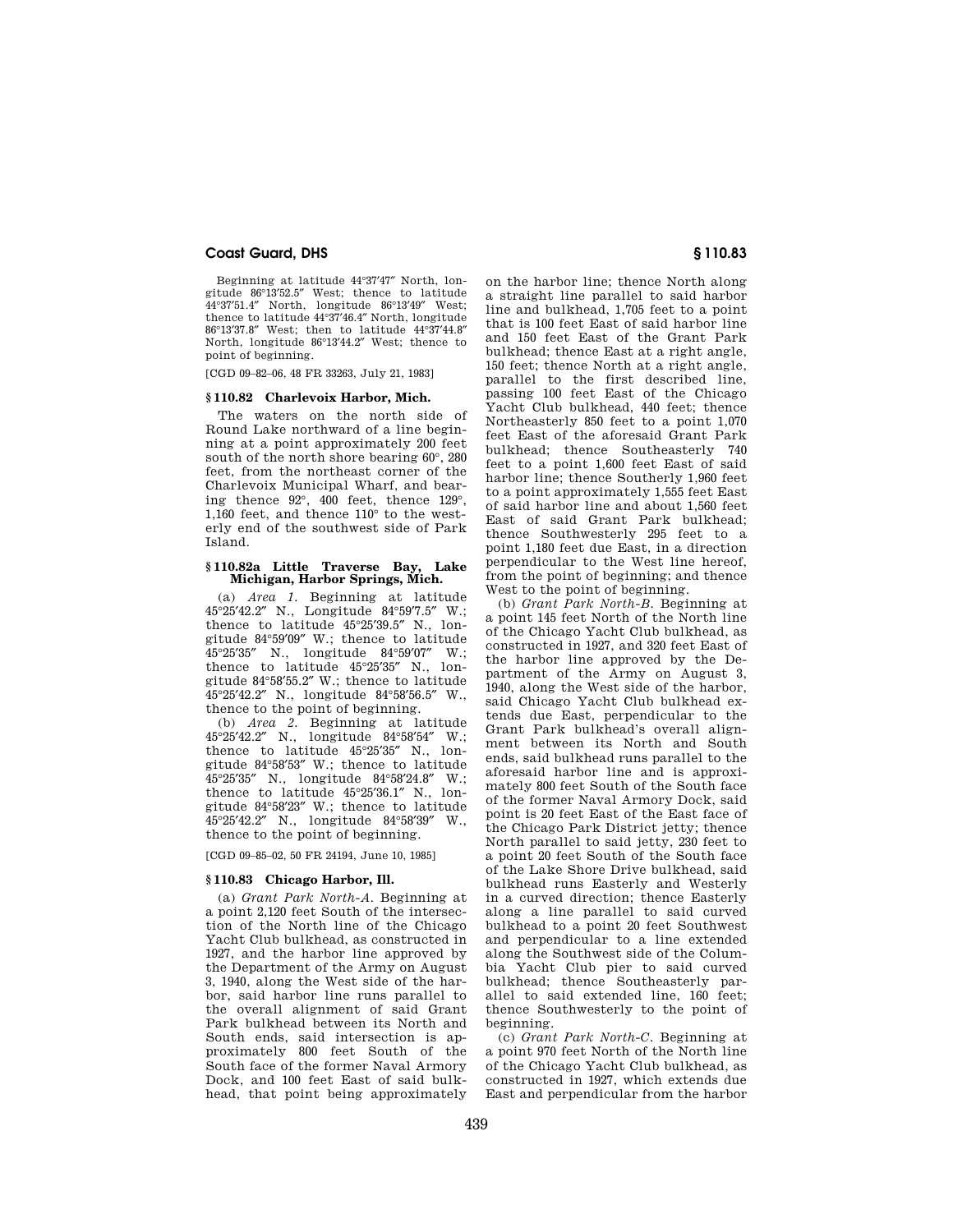Beginning at latitude 44°37′47″ North, longitude 86°13′52.5″ West; thence to latitude 44°37′51.4″ North, longitude 86°13′49″ West; thence to latitude 44°37′46.4″ North, longitude 86°13′37.8″ West; then to latitude 44°37′44.8″ North, longitude 86°13′44.2″ West; thence to point of beginning.

[CGD 09–82–06, 48 FR 33263, July 21, 1983]

#### **§ 110.82 Charlevoix Harbor, Mich.**

The waters on the north side of Round Lake northward of a line beginning at a point approximately 200 feet south of the north shore bearing 60°, 280 feet, from the northeast corner of the Charlevoix Municipal Wharf, and bearing thence 92°, 400 feet, thence 129°, 1,160 feet, and thence 110° to the westerly end of the southwest side of Park Island.

## **§ 110.82a Little Traverse Bay, Lake Michigan, Harbor Springs, Mich.**

(a) *Area 1.* Beginning at latitude 45°25′42.2″ N., Longitude 84°59′7.5″ W.; thence to latitude 45°25′39.5″ N., longitude 84°59′09″ W.; thence to latitude 45°25′35″ N., longitude 84°59′07″ W.; thence to latitude 45°25′35″ N., longitude 84°58′55.2″ W.; thence to latitude 45°25′42.2″ N., longitude 84°58′56.5″ W., thence to the point of beginning.

(b) *Area 2.* Beginning at latitude 45°25′42.2″ N., longitude 84°58′54″ W.; thence to latitude 45°25′35″ N., longitude 84°58′53″ W.; thence to latitude 45°25′35″ N., longitude 84°58′24.8″ W.; thence to latitude 45°25′36.1″ N., longitude 84°58′23″ W.; thence to latitude 45°25′42.2″ N., longitude 84°58′39″ W., thence to the point of beginning.

[CGD 09–85–02, 50 FR 24194, June 10, 1985]

## **§ 110.83 Chicago Harbor, Ill.**

(a) *Grant Park North-A.* Beginning at a point 2,120 feet South of the intersection of the North line of the Chicago Yacht Club bulkhead, as constructed in 1927, and the harbor line approved by the Department of the Army on August 3, 1940, along the West side of the harbor, said harbor line runs parallel to the overall alignment of said Grant Park bulkhead between its North and South ends, said intersection is approximately 800 feet South of the South face of the former Naval Armory Dock, and 100 feet East of said bulkhead, that point being approximately

on the harbor line; thence North along a straight line parallel to said harbor line and bulkhead, 1,705 feet to a point that is 100 feet East of said harbor line and 150 feet East of the Grant Park bulkhead; thence East at a right angle, 150 feet; thence North at a right angle, parallel to the first described line, passing 100 feet East of the Chicago Yacht Club bulkhead, 440 feet; thence Northeasterly 850 feet to a point 1,070 feet East of the aforesaid Grant Park bulkhead; thence Southeasterly 740 feet to a point 1,600 feet East of said harbor line; thence Southerly 1,960 feet to a point approximately 1,555 feet East of said harbor line and about 1,560 feet East of said Grant Park bulkhead; thence Southwesterly 295 feet to a point 1,180 feet due East, in a direction perpendicular to the West line hereof, from the point of beginning; and thence West to the point of beginning.

(b) *Grant Park North-B.* Beginning at a point 145 feet North of the North line of the Chicago Yacht Club bulkhead, as constructed in 1927, and 320 feet East of the harbor line approved by the Department of the Army on August 3, 1940, along the West side of the harbor, said Chicago Yacht Club bulkhead extends due East, perpendicular to the Grant Park bulkhead's overall alignment between its North and South ends, said bulkhead runs parallel to the aforesaid harbor line and is approximately 800 feet South of the South face of the former Naval Armory Dock, said point is 20 feet East of the East face of the Chicago Park District jetty; thence North parallel to said jetty, 230 feet to a point 20 feet South of the South face of the Lake Shore Drive bulkhead, said bulkhead runs Easterly and Westerly in a curved direction; thence Easterly along a line parallel to said curved bulkhead to a point 20 feet Southwest and perpendicular to a line extended along the Southwest side of the Columbia Yacht Club pier to said curved bulkhead; thence Southeasterly parallel to said extended line, 160 feet; thence Southwesterly to the point of beginning.

(c) *Grant Park North-C.* Beginning at a point 970 feet North of the North line of the Chicago Yacht Club bulkhead, as constructed in 1927, which extends due East and perpendicular from the harbor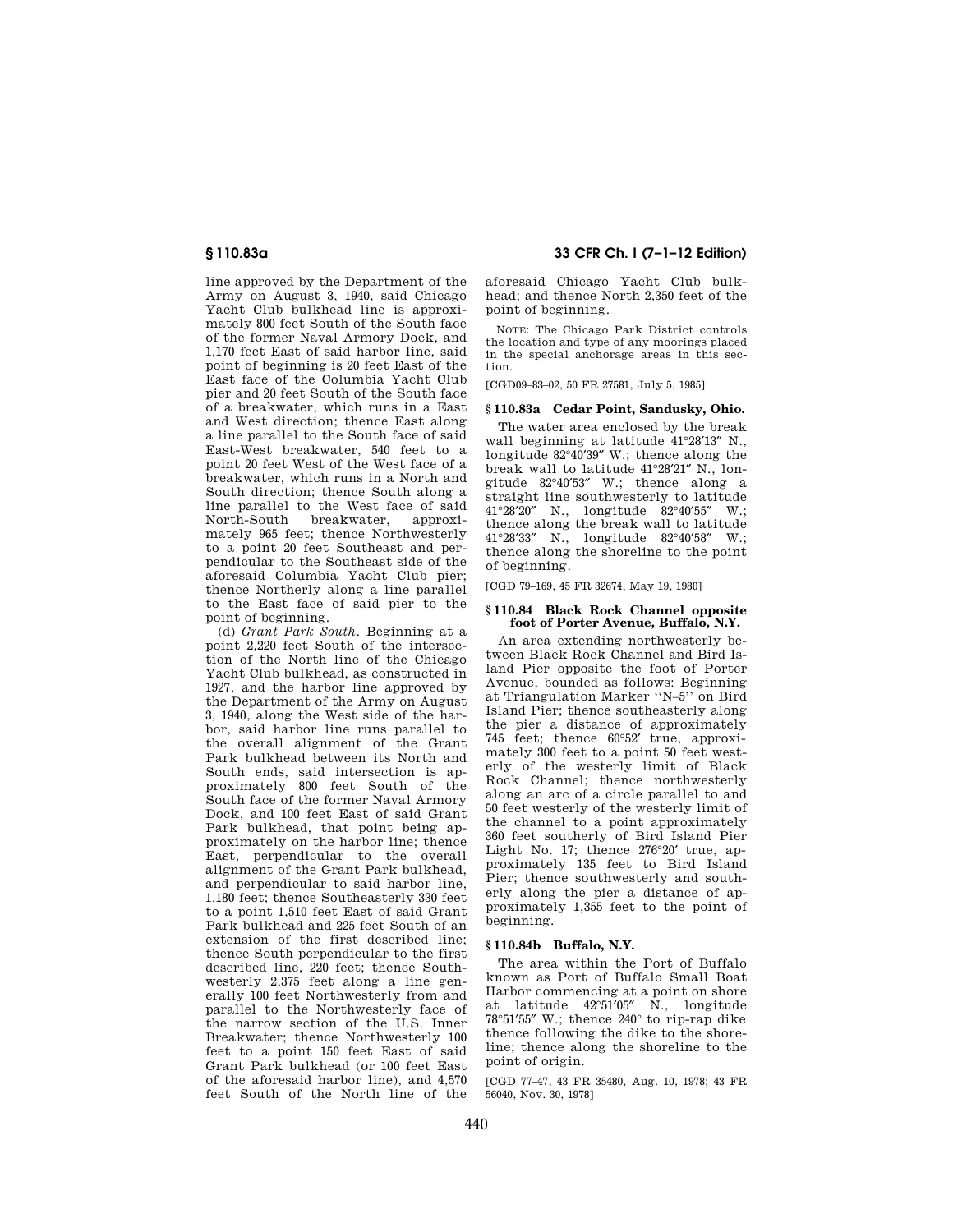line approved by the Department of the Army on August 3, 1940, said Chicago Yacht Club bulkhead line is approximately 800 feet South of the South face of the former Naval Armory Dock, and 1,170 feet East of said harbor line, said point of beginning is 20 feet East of the East face of the Columbia Yacht Club pier and 20 feet South of the South face of a breakwater, which runs in a East and West direction; thence East along a line parallel to the South face of said East-West breakwater, 540 feet to a point 20 feet West of the West face of a breakwater, which runs in a North and South direction; thence South along a line parallel to the West face of said breakwater, approximately 965 feet; thence Northwesterly to a point 20 feet Southeast and perpendicular to the Southeast side of the aforesaid Columbia Yacht Club pier; thence Northerly along a line parallel to the East face of said pier to the point of beginning.

(d) *Grant Park South.* Beginning at a point 2,220 feet South of the intersection of the North line of the Chicago Yacht Club bulkhead, as constructed in 1927, and the harbor line approved by the Department of the Army on August 3, 1940, along the West side of the harbor, said harbor line runs parallel to the overall alignment of the Grant Park bulkhead between its North and South ends, said intersection is approximately 800 feet South of the South face of the former Naval Armory Dock, and 100 feet East of said Grant Park bulkhead, that point being approximately on the harbor line; thence East, perpendicular to the overall alignment of the Grant Park bulkhead, and perpendicular to said harbor line, 1,180 feet; thence Southeasterly 330 feet to a point 1,510 feet East of said Grant Park bulkhead and 225 feet South of an extension of the first described line; thence South perpendicular to the first described line, 220 feet; thence Southwesterly 2,375 feet along a line generally 100 feet Northwesterly from and parallel to the Northwesterly face of the narrow section of the U.S. Inner Breakwater; thence Northwesterly 100 feet to a point 150 feet East of said Grant Park bulkhead (or 100 feet East of the aforesaid harbor line), and 4,570 feet South of the North line of the

# **§ 110.83a 33 CFR Ch. I (7–1–12 Edition)**

aforesaid Chicago Yacht Club bulkhead; and thence North 2,350 feet of the point of beginning.

NOTE: The Chicago Park District controls the location and type of any moorings placed in the special anchorage areas in this section.

[CGD09–83–02, 50 FR 27581, July 5, 1985]

# **§ 110.83a Cedar Point, Sandusky, Ohio.**

The water area enclosed by the break wall beginning at latitude 41°28′13″ N., longitude 82°40′39″ W.; thence along the break wall to latitude 41°28′21″ N., longitude 82°40′53″ W.; thence along a straight line southwesterly to latitude<br> $41^{\circ}28^{\prime}20^{\prime\prime}$  N longitude  $82^{\circ}40^{\prime}55^{\prime\prime}$  W. N., longitude 82°40'55" W.: thence along the break wall to latitude 41°28′33″ N., longitude 82°40′58″ W.; thence along the shoreline to the point of beginning.

[CGD 79–169, 45 FR 32674, May 19, 1980]

## **§ 110.84 Black Rock Channel opposite foot of Porter Avenue, Buffalo, N.Y.**

An area extending northwesterly between Black Rock Channel and Bird Island Pier opposite the foot of Porter Avenue, bounded as follows: Beginning at Triangulation Marker ''N–5'' on Bird Island Pier; thence southeasterly along the pier a distance of approximately 745 feet; thence 60°52′ true, approximately 300 feet to a point 50 feet westerly of the westerly limit of Black Rock Channel; thence northwesterly along an arc of a circle parallel to and 50 feet westerly of the westerly limit of the channel to a point approximately 360 feet southerly of Bird Island Pier Light No. 17; thence 276°20′ true, approximately 135 feet to Bird Island Pier; thence southwesterly and southerly along the pier a distance of approximately 1,355 feet to the point of beginning.

# **§ 110.84b Buffalo, N.Y.**

The area within the Port of Buffalo known as Port of Buffalo Small Boat Harbor commencing at a point on shore at latitude 42°51′05″ N., longitude 78°51′55″ W.; thence 240° to rip-rap dike thence following the dike to the shoreline; thence along the shoreline to the point of origin.

[CGD 77–47, 43 FR 35480, Aug. 10, 1978; 43 FR 56040, Nov. 30, 1978]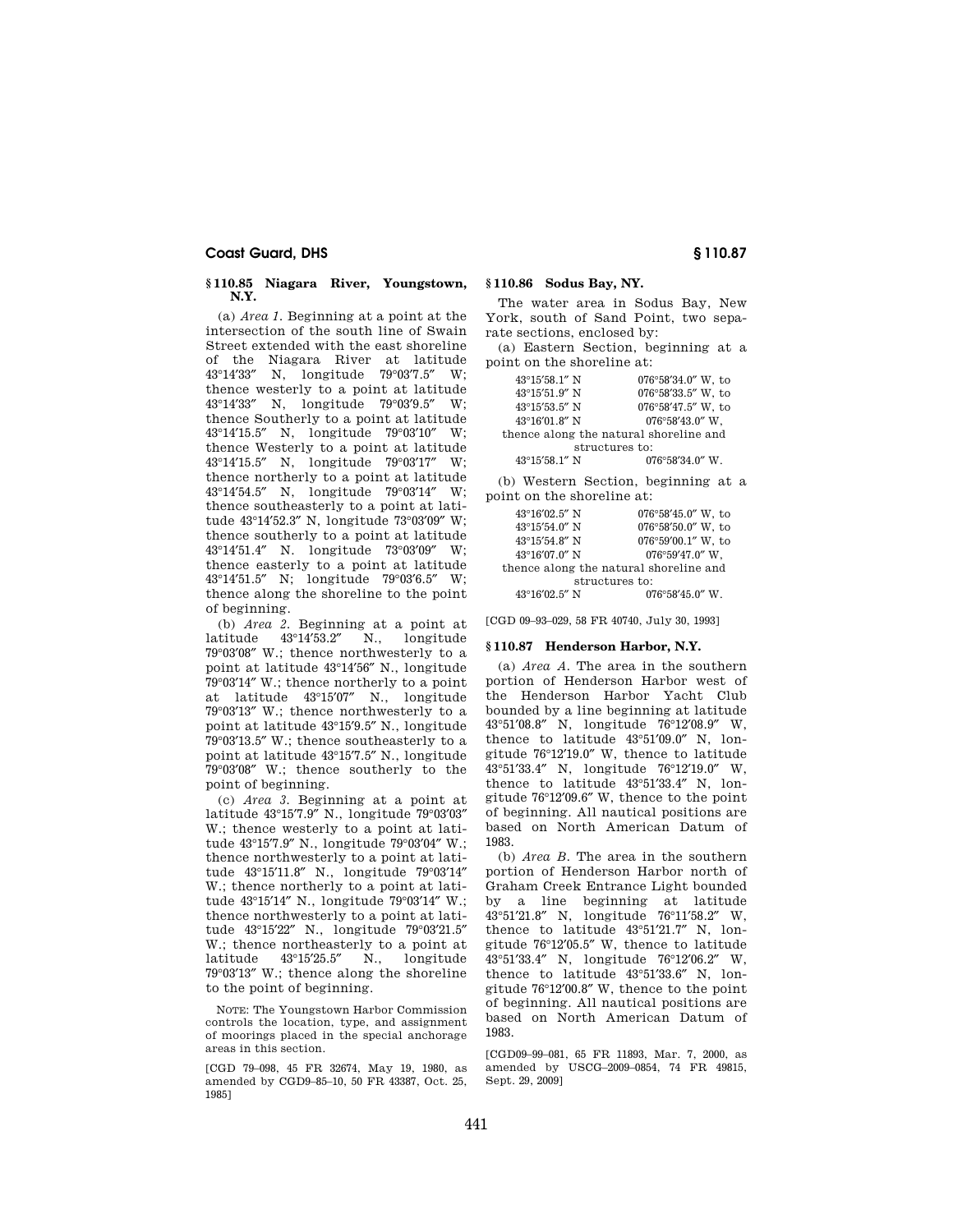## **§ 110.85 Niagara River, Youngstown, N.Y.**

(a) *Area 1.* Beginning at a point at the intersection of the south line of Swain Street extended with the east shoreline of the Niagara River at latitude 43°14′33″ N, longitude 79°03′7.5″ W; thence westerly to a point at latitude 43°14′33″ N, longitude 79°03′9.5″ W; thence Southerly to a point at latitude 43°14′15.5″ N, longitude 79°03′10″ W; thence Westerly to a point at latitude 43°14′15.5″ N, longitude 79°03′17″ W; thence northerly to a point at latitude 43°14′54.5″ N, longitude 79°03′14″ W; thence southeasterly to a point at latitude 43°14′52.3″ N, longitude 73°03′09″ W; thence southerly to a point at latitude 43°14′51.4″ N. longitude 73°03′09″ W; thence easterly to a point at latitude 43°14′51.5″ N; longitude 79°03′6.5″ W; thence along the shoreline to the point of beginning.

(b) *Area 2.* Beginning at a point at latitude 43°14′53.2″ N., longitude 79°03′08″ W.; thence northwesterly to a point at latitude 43°14′56″ N., longitude 79°03′14″ W.; thence northerly to a point at latitude 43°15′07″ N., longitude 79°03′13″ W.; thence northwesterly to a point at latitude 43°15′9.5″ N., longitude 79°03′13.5″ W.; thence southeasterly to a point at latitude 43°15′7.5″ N., longitude 79°03′08″ W.; thence southerly to the point of beginning.

(c) *Area 3.* Beginning at a point at latitude 43°15′7.9″ N., longitude 79°03′03″ W.; thence westerly to a point at latitude 43°15′7.9″ N., longitude 79°03′04″ W.; thence northwesterly to a point at latitude 43°15′11.8″ N., longitude 79°03′14″ W.; thence northerly to a point at latitude 43°15′14″ N., longitude 79°03′14″ W.; thence northwesterly to a point at latitude 43°15′22″ N., longitude 79°03′21.5″ W.; thence northeasterly to a point at latitude 43°15′25.5″ N., longitude 79°03′13″ W.; thence along the shoreline to the point of beginning.

NOTE: The Youngstown Harbor Commission controls the location, type, and assignment of moorings placed in the special anchorage areas in this section.

[CGD 79–098, 45 FR 32674, May 19, 1980, as amended by CGD9–85–10, 50 FR 43387, Oct. 25, 1985]

# **§ 110.86 Sodus Bay, NY.**

The water area in Sodus Bay, New York, south of Sand Point, two separate sections, enclosed by:

(a) Eastern Section, beginning at a point on the shoreline at:

| 43°15'58.1" N                          | 076°58'34.0" W, to        |  |
|----------------------------------------|---------------------------|--|
| 43°15'51.9" N                          | 076°58'33.5" W. to        |  |
| 43°15'53.5" N                          | 076°58'47.5" W. to        |  |
| 43°16'01.8" N                          | $076^{\circ}58'43.0''$ W, |  |
| thence along the natural shoreline and |                           |  |
| structures to:                         |                           |  |
| $43^{\circ}15'58$ 1" N                 | $076^{\circ}58'34.0''$ W  |  |

(b) Western Section, beginning at a point on the shoreline at:

| 43°16'02.5" N                          | $076^{\circ}58'45.0''$ W, to |  |
|----------------------------------------|------------------------------|--|
| 43°15'54.0" N                          | 076°58'50.0" W, to           |  |
| 43°15′54.8″ N                          | 076°59'00.1" W, to           |  |
| $43^{\circ}16'07.0''$ N                | 076°59'47.0" W.              |  |
| thence along the natural shoreline and |                              |  |
| structures to:                         |                              |  |
| 43°16'02.5" N                          | $076^{\circ}58'45.0''$ W.    |  |

[CGD 09–93–029, 58 FR 40740, July 30, 1993]

#### **§ 110.87 Henderson Harbor, N.Y.**

(a) *Area A.* The area in the southern portion of Henderson Harbor west of the Henderson Harbor Yacht Club bounded by a line beginning at latitude 43°51′08.8″ N, longitude 76°12′08.9″ W, thence to latitude 43°51′09.0″ N, longitude 76°12′19.0″ W, thence to latitude 43°51′33.4″ N, longitude 76°12′19.0″ W, thence to latitude 43°51′33.4″ N, longitude 76°12′09.6″ W, thence to the point of beginning. All nautical positions are based on North American Datum of 1983.

(b) *Area B.* The area in the southern portion of Henderson Harbor north of Graham Creek Entrance Light bounded by a line beginning at latitude 43°51′21.8″ N, longitude 76°11′58.2″ W, thence to latitude 43°51′21.7″ N, longitude 76°12′05.5″ W, thence to latitude 43°51′33.4″ N, longitude 76°12′06.2″ W, thence to latitude 43°51′33.6″ N, longitude 76°12′00.8″ W, thence to the point of beginning. All nautical positions are based on North American Datum of 1983.

[CGD09–99–081, 65 FR 11893, Mar. 7, 2000, as amended by USCG–2009–0854, 74 FR 49815, Sept. 29, 2009]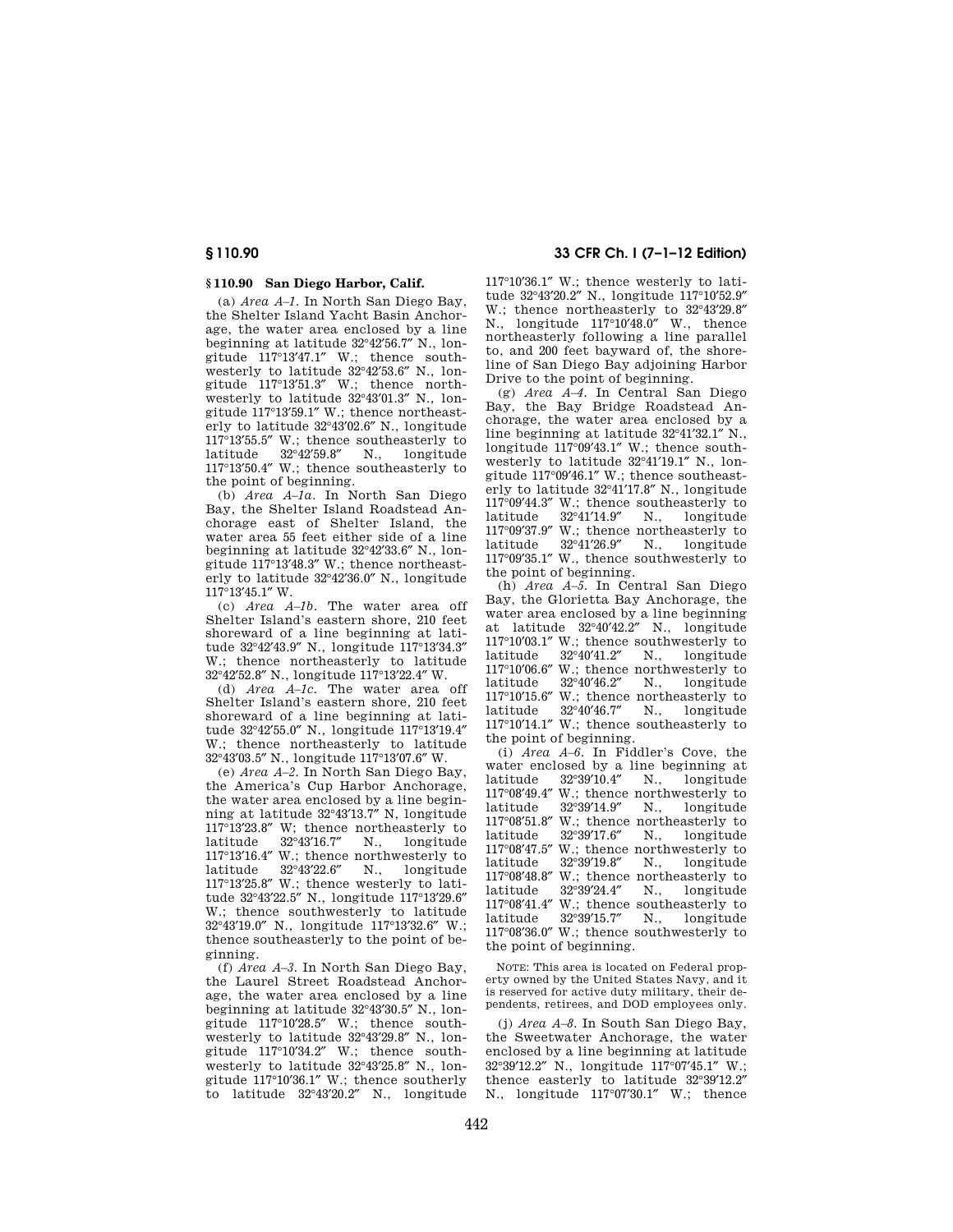# **§ 110.90 San Diego Harbor, Calif.**

(a) *Area A–1.* In North San Diego Bay, the Shelter Island Yacht Basin Anchorage, the water area enclosed by a line beginning at latitude 32°42′56.7″ N., longitude 117°13′47.1″ W.; thence southwesterly to latitude 32°42′53.6″ N., longitude 117°13′51.3″ W.; thence northwesterly to latitude 32°43′01.3″ N., longitude 117°13′59.1″ W.; thence northeasterly to latitude 32°43′02.6″ N., longitude 117°13′55.5″ W.; thence southeasterly to latitude 32°42′59.8″ N., longitude 117°13′50.4″ W.; thence southeasterly to the point of beginning.

(b) *Area A–1a.* In North San Diego Bay, the Shelter Island Roadstead Anchorage east of Shelter Island, the water area 55 feet either side of a line beginning at latitude 32°42′33.6″ N., longitude 117°13′48.3″ W.; thence northeasterly to latitude 32°42′36.0″ N., longitude 117°13′45.1″ W.

(c) *Area A–1b.* The water area off Shelter Island's eastern shore, 210 feet shoreward of a line beginning at latitude 32°42′43.9″ N., longitude 117°13′34.3″ W.; thence northeasterly to latitude 32°42′52.8″ N., longitude 117°13′22.4″ W.

(d) *Area A–1c.* The water area off Shelter Island's eastern shore, 210 feet shoreward of a line beginning at latitude 32°42′55.0″ N., longitude 117°13′19.4″ W.; thence northeasterly to latitude 32°43′03.5″ N., longitude 117°13′07.6″ W.

(e) *Area A–2.* In North San Diego Bay, the America's Cup Harbor Anchorage, the water area enclosed by a line beginning at latitude 32°43′13.7″ N, longitude  $117^{\circ}13'23.8''$  W; thence northeasterly to latitude  $32^{\circ}43'16.7''$  N., longitude latitude 32°43′16.7″ N., longitude  $117^{\circ}13'16.4''$  W.; thence northwesterly to latitude  $32^{\circ}43'22.6''$  N., longitude latitude 32°43′22.6″ N., longitude 117°13′25.8″ W.; thence westerly to latitude 32°43′22.5″ N., longitude 117°13′29.6″ W.; thence southwesterly to latitude 32°43′19.0″ N., longitude 117°13′32.6″ W.; thence southeasterly to the point of beginning.

(f) *Area A–3.* In North San Diego Bay, the Laurel Street Roadstead Anchorage, the water area enclosed by a line beginning at latitude 32°43′30.5″ N., longitude 117°10′28.5″ W.; thence southwesterly to latitude 32°43′29.8″ N., longitude 117°10′34.2″ W.; thence southwesterly to latitude 32°43′25.8″ N., longitude 117°10′36.1″ W.; thence southerly to latitude 32°43′20.2″ N., longitude

# **§ 110.90 33 CFR Ch. I (7–1–12 Edition)**

117°10′36.1″ W.; thence westerly to latitude 32°43′20.2″ N., longitude 117°10′52.9″ W.; thence northeasterly to 32°43′29.8″ N., longitude 117°10′48.0″ W., thence northeasterly following a line parallel to, and 200 feet bayward of, the shoreline of San Diego Bay adjoining Harbor Drive to the point of beginning.

(g) *Area A–4.* In Central San Diego Bay, the Bay Bridge Roadstead Anchorage, the water area enclosed by a line beginning at latitude 32°41′32.1″ N., longitude 117°09′43.1″ W.; thence southwesterly to latitude 32°41′19.1″ N., longitude 117°09′46.1″ W.; thence southeasterly to latitude 32°41′17.8″ N., longitude  $117^{\circ}09'44.3''$  W.; thence southeasterly to latitude  $32^{\circ}41'14.9''$  N., longitude latitude 32°41′14.9″ N., longitude 117°09′37.9″ W.; thence northeasterly to latitude 32°41′26.9″ N., longitude 117°09′35.1″ W., thence southwesterly to the point of beginning.

(h) *Area A–5.* In Central San Diego Bay, the Glorietta Bay Anchorage, the water area enclosed by a line beginning at latitude 32°40′42.2″ N., longitude  $117^{\circ}10'03.1''$  W.; thence southwesterly to latitude  $32^{\circ}40'41.2''$  N. longitude longitude  $117^{\circ}10'06.6''$  W.; thence northwesterly to latitude  $32^{\circ}40'46.2''$  N., longitude latitude 32°40′46.2″ N., longitude 117°10′15.6″ W.; thence northeasterly to latitude 32°40′46.7″ N., longitude 117°10′14.1″ W.; thence southeasterly to the point of beginning.

(i) *Area A–6.* In Fiddler's Cove, the water enclosed by a line beginning at latitude  $32^{\circ}39'10.4''$  N., longitude latitude 32°39′10.4″ N., longitude 117°08′49.4″ W.; thence northwesterly to latitude 32°39′14.9″ N., longitude  $117^{\circ}08'51.8''$  W.; thence northeasterly to latitude  $32^{\circ}39'17.6''$  N., longitude latitude 32°39′17.6″ N., longitude 117°08′47.5″ W.; thence northwesterly to latitude 32°39′19.8″ N., longitude 117°08′48.8″ W.; thence northeasterly to latitude 32°39′24.4″ N., longitude  $117^{\circ}08'41.4''$  W.; thence southeasterly to latitude  $32^{\circ}39'15.7''$  N., longitude latitude 32°39′15.7″ N., longitude 117°08′36.0″ W.; thence southwesterly to the point of beginning.

NOTE: This area is located on Federal property owned by the United States Navy, and it is reserved for active duty military, their dependents, retirees, and DOD employees only.

(j) *Area A–8.* In South San Diego Bay, the Sweetwater Anchorage, the water enclosed by a line beginning at latitude 32°39′12.2″ N., longitude 117°07′45.1″ W.; thence easterly to latitude 32°39′12.2″ N., longitude 117°07′30.1″ W.; thence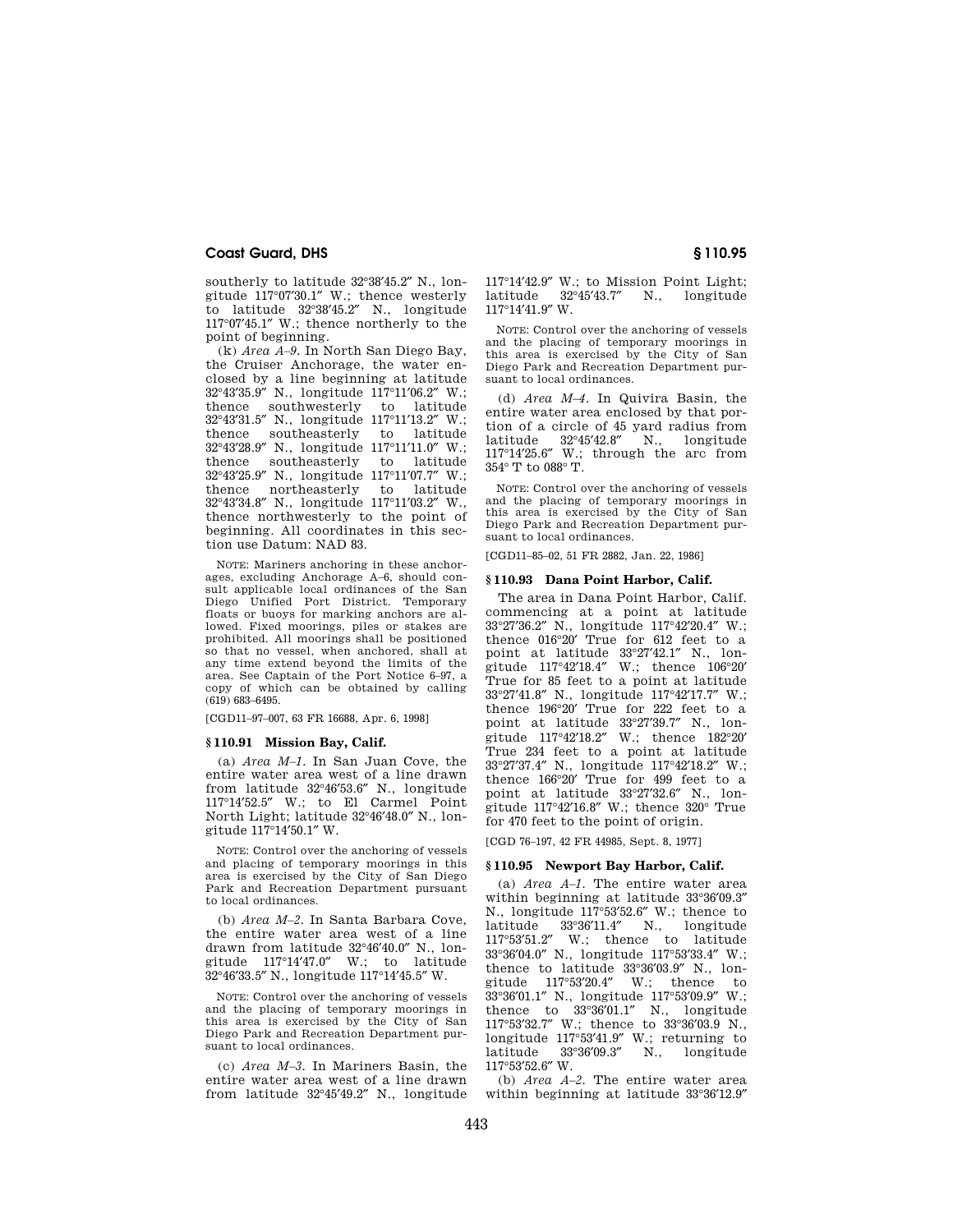southerly to latitude 32°38′45.2″ N., longitude 117°07′30.1″ W.; thence westerly to latitude 32°38′45.2″ N., longitude 117°07′45.1″ W.; thence northerly to the point of beginning.

(k) *Area A–9.* In North San Diego Bay, the Cruiser Anchorage, the water enclosed by a line beginning at latitude 32°43′35.9″ N., longitude 117°11′06.2″ W.; thence southwesterly to latitude 32°43'31.5" N., longitude 117°11'13.2" W.;<br>thence southeasterly to latitude southeasterly  $32^{\circ}43'28.9''$  N., longitude  $117^{\circ}11'11.0''$  W.;<br>thence southeasterly to latitude southeasterly to 32°43′25.9″ N., longitude 117°11′07.7″ W.; thence northeasterly to latitude 32°43′34.8″ N., longitude 117°11′03.2″ W., thence northwesterly to the point of beginning. All coordinates in this section use Datum: NAD 83.

NOTE: Mariners anchoring in these anchorages, excluding Anchorage A–6, should consult applicable local ordinances of the San Diego Unified Port District. Temporary floats or buoys for marking anchors are allowed. Fixed moorings, piles or stakes are prohibited. All moorings shall be positioned so that no vessel, when anchored, shall at any time extend beyond the limits of the area. See Captain of the Port Notice 6–97, a copy of which can be obtained by calling (619) 683–6495.

[CGD11–97–007, 63 FR 16688, Apr. 6, 1998]

# **§ 110.91 Mission Bay, Calif.**

(a) *Area M–1.* In San Juan Cove, the entire water area west of a line drawn from latitude 32°46′53.6″ N., longitude 117°14′52.5″ W.; to El Carmel Point North Light; latitude 32°46′48.0″ N., longitude 117°14′50.1″ W.

NOTE: Control over the anchoring of vessels and placing of temporary moorings in this area is exercised by the City of San Diego Park and Recreation Department pursuant to local ordinances.

(b) *Area M–2.* In Santa Barbara Cove, the entire water area west of a line drawn from latitude 32°46′40.0″ N., longitude 117°14′47.0″ W.; to latitude 32°46′33.5″ N., longitude 117°14′45.5″ W.

NOTE: Control over the anchoring of vessels and the placing of temporary moorings in this area is exercised by the City of San Diego Park and Recreation Department pursuant to local ordinances.

(c) *Area M–3.* In Mariners Basin, the entire water area west of a line drawn from latitude 32°45′49.2″ N., longitude 117°14′42.9″ W.; to Mission Point Light; latitude 32°45′43.7″ N., longitude 117°14′41.9″ W.

NOTE: Control over the anchoring of vessels and the placing of temporary moorings in this area is exercised by the City of San Diego Park and Recreation Department pursuant to local ordinances.

(d) *Area M–4.* In Quivira Basin, the entire water area enclosed by that portion of a circle of 45 yard radius from latitude 32°45′42.8″ N., longitude 117°14′25.6″ W.; through the arc from 354° T to 088° T.

NOTE: Control over the anchoring of vessels and the placing of temporary moorings in this area is exercised by the City of San Diego Park and Recreation Department pursuant to local ordinances.

[CGD11–85–02, 51 FR 2882, Jan. 22, 1986]

## **§ 110.93 Dana Point Harbor, Calif.**

The area in Dana Point Harbor, Calif. commencing at a point at latitude 33°27′36.2″ N., longitude 117°42′20.4″ W.; thence 016°20′ True for 612 feet to a point at latitude 33°27′42.1″ N., longitude 117°42′18.4″ W.; thence 106°20′ True for 85 feet to a point at latitude 33°27′41.8″ N., longitude 117°42′17.7″ W.; thence 196°20′ True for 222 feet to a point at latitude 33°27′39.7″ N., longitude 117°42′18.2″ W.; thence 182°20′ True 234 feet to a point at latitude 33°27′37.4″ N., longitude 117°42′18.2″ W.; thence 166°20′ True for 499 feet to a point at latitude 33°27′32.6″ N., longitude 117°42′16.8″ W.; thence 320° True for 470 feet to the point of origin.

[CGD 76–197, 42 FR 44985, Sept. 8, 1977]

# **§ 110.95 Newport Bay Harbor, Calif.**

(a) *Area A–1.* The entire water area within beginning at latitude 33°36′09.3″ N., longitude 117°53′52.6″ W.; thence to latitude 33°36′11.4″ N., longitude 117°53′51.2″ W.; thence to latitude 33°36′04.0″ N., longitude 117°53′33.4″ W.; thence to latitude 33°36′03.9″ N., longitude 117°53′20.4″ W.; thence to 33°36′01.1″ N., longitude 117°53′09.9″ W.; thence to 33°36′01.1″ N., longitude 117°53′32.7″ W.; thence to 33°36′03.9 N., longitude 117°53'41.9" W.; returning to<br>latitude 33°36'09.3" N., longitude latitude 33°36′09.3″ N., longitude 117°53′52.6″ W.

(b) *Area A–2.* The entire water area within beginning at latitude 33°36′12.9″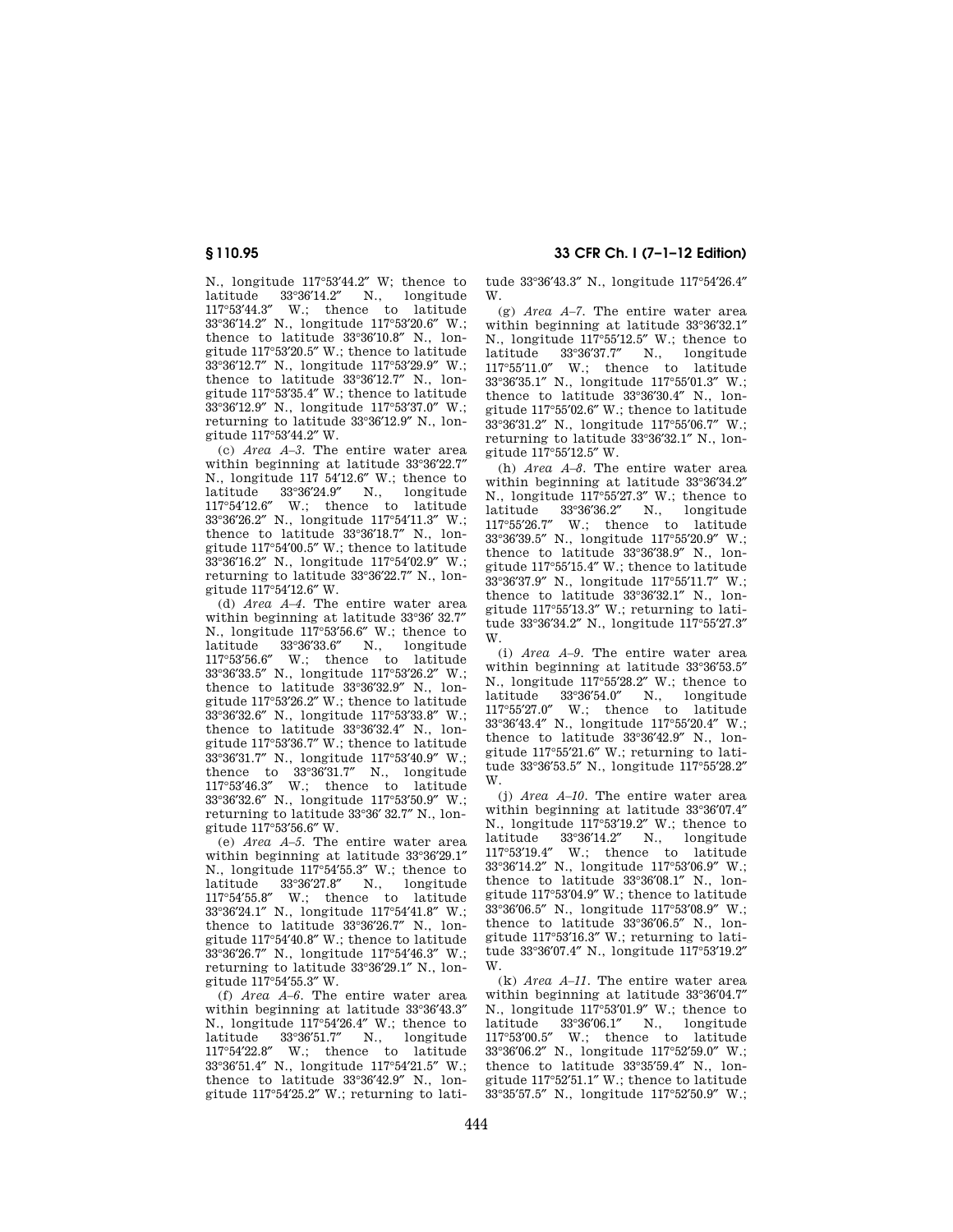117°53′44.3″ W.; thence to latitude 33°36′14.2″ N., longitude 117°53′20.6″ W.; thence to latitude 33°36′10.8″ N., longitude 117°53′20.5″ W.; thence to latitude 33°36′12.7″ N., longitude 117°53′29.9″ W.; thence to latitude 33°36′12.7″ N., longitude 117°53′35.4″ W.; thence to latitude 33°36′12.9″ N., longitude 117°53′37.0″ W.; returning to latitude 33°36′12.9″ N., longitude 117°53′44.2″ W.

N., longitude 117°53′44.2″ W; thence to latitude 33°36′14.2″ N., longitude

(c) *Area A–3.* The entire water area within beginning at latitude 33°36′22.7″ N., longitude 117 54′12.6″ W.; thence to latitude 33°36′24.9″ N., longitude 117°54′12.6″ W.; thence to latitude 33°36′26.2″ N., longitude 117°54′11.3″ W.; thence to latitude 33°36′18.7″ N., longitude 117°54′00.5″ W.; thence to latitude 33°36′16.2″ N., longitude 117°54′02.9″ W.; returning to latitude 33°36′22.7″ N., longitude 117°54′12.6″ W.

(d) *Area A–4.* The entire water area within beginning at latitude 33°36′ 32.7″ N., longitude 117°53′56.6″ W.; thence to latitude 33°36′33.6″ N., longitude 117°53′56.6″ W.; thence to latitude 33°36′33.5″ N., longitude 117°53′26.2″ W.; thence to latitude 33°36′32.9″ N., longitude 117°53′26.2″ W.; thence to latitude 33°36′32.6″ N., longitude 117°53′33.8″ W.; thence to latitude 33°36′32.4″ N., longitude 117°53′36.7″ W.; thence to latitude 33°36′31.7″ N., longitude 117°53′40.9″ W.; thence to 33°36′31.7″ N., longitude 117°53′46.3″ W.; thence to latitude 33°36′32.6″ N., longitude 117°53′50.9″ W.; returning to latitude 33°36′ 32.7″ N., longitude 117°53′56.6″ W.

(e) *Area A–5.* The entire water area within beginning at latitude 33°36′29.1″ N., longitude 117°54′55.3″ W.; thence to latitude 33°36′27.8″ N., longitude 117°54′55.8″ W.; thence to latitude 33°36′24.1″ N., longitude 117°54′41.8″ W.; thence to latitude 33°36′26.7″ N., longitude 117°54′40.8″ W.; thence to latitude 33°36′26.7″ N., longitude 117°54′46.3″ W.; returning to latitude 33°36′29.1″ N., longitude 117°54′55.3″ W.

(f) *Area A–6.* The entire water area within beginning at latitude 33°36′43.3″ N., longitude 117°54′26.4″ W.; thence to latitude 33°36′51.7″ N., longitude 117°54′22.8″ W.; thence to latitude 33°36′51.4″ N., longitude 117°54′21.5″ W.; thence to latitude 33°36′42.9″ N., longitude 117°54′25.2″ W.; returning to lati-

**§ 110.95 33 CFR Ch. I (7–1–12 Edition)** 

tude 33°36′43.3″ N., longitude 117°54′26.4″ W.

(g) *Area A–7.* The entire water area within beginning at latitude 33°36′32.1″ N., longitude 117°55′12.5″ W.; thence to latitude 33°36′37.7″ N., longitude 117°55′11.0″ W.; thence to latitude 33°36′35.1″ N., longitude 117°55′01.3″ W.; thence to latitude 33°36′30.4″ N., longitude 117°55′02.6″ W.; thence to latitude 33°36′31.2″ N., longitude 117°55′06.7″ W.; returning to latitude 33°36′32.1″ N., longitude 117°55′12.5″ W.

(h) *Area A–8.* The entire water area within beginning at latitude 33°36′34.2″ N., longitude 117°55′27.3″ W.; thence to latitude 33°36′36.2″ N., longitude 117°55′26.7″ W.; thence to latitude 33°36′39.5″ N., longitude 117°55′20.9″ W.; thence to latitude 33°36′38.9″ N., longitude 117°55′15.4″ W.; thence to latitude 33°36′37.9″ N., longitude 117°55′11.7″ W.; thence to latitude 33°36′32.1″ N., longitude 117°55′13.3″ W.; returning to latitude 33°36′34.2″ N., longitude 117°55′27.3″ W.

(i) *Area A–9.* The entire water area within beginning at latitude 33°36′53.5″ N., longitude 117°55′28.2″ W.; thence to latitude 33°36′54.0″ N., longitude 117°55′27.0″ W.; thence to latitude 33°36′43.4″ N., longitude 117°55′20.4″ W.; thence to latitude 33°36′42.9″ N., longitude 117°55′21.6″ W.; returning to latitude 33°36′53.5″ N., longitude 117°55′28.2″ W.

(j) *Area A–10.* The entire water area within beginning at latitude 33°36′07.4″ N., longitude 117°53′19.2″ W.; thence to latitude 33°36′14.2″ N., longitude 117°53′19.4″ W.; thence to latitude 33°36′14.2″ N., longitude 117°53′06.9″ W.; thence to latitude 33°36′08.1″ N., longitude 117°53′04.9″ W.; thence to latitude 33°36′06.5″ N., longitude 117°53′08.9″ W.; thence to latitude 33°36′06.5″ N., longitude 117°53′16.3″ W.; returning to latitude 33°36′07.4″ N., longitude 117°53′19.2″ W.

(k) *Area A–11.* The entire water area within beginning at latitude 33°36′04.7″ N., longitude 117°53′01.9″ W.; thence to latitude 33°36′06.1″ N., longitude 117°53′00.5″ W.; thence to latitude 33°36′06.2″ N., longitude 117°52′59.0″ W.; thence to latitude 33°35′59.4″ N., longitude 117°52′51.1″ W.; thence to latitude 33°35′57.5″ N., longitude 117°52′50.9″ W.;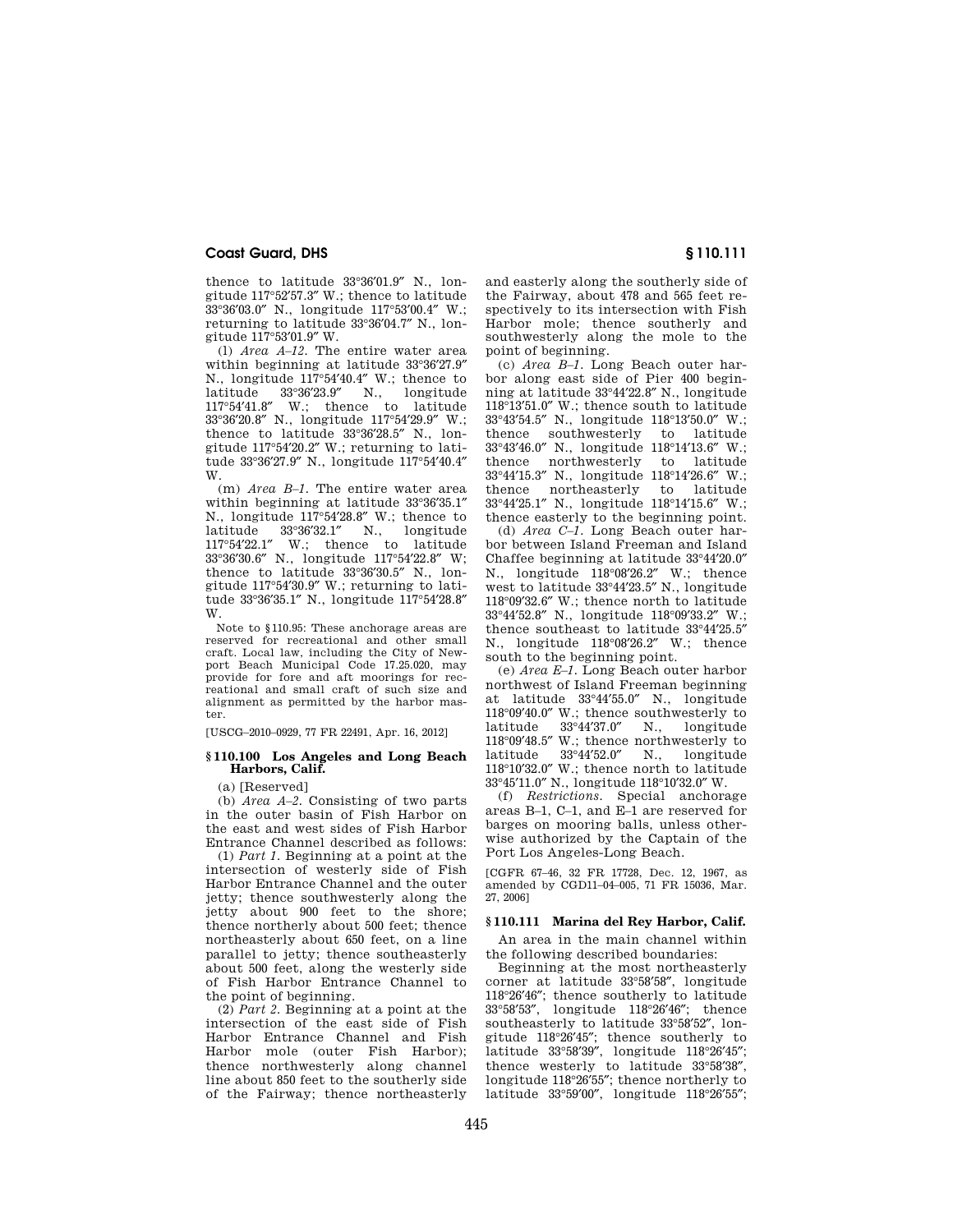thence to latitude 33°36′01.9″ N., longitude 117°52′57.3″ W.; thence to latitude 33°36′03.0″ N., longitude 117°53′00.4″ W.; returning to latitude 33°36′04.7″ N., longitude 117°53′01.9″ W.

(l) *Area A–12.* The entire water area within beginning at latitude 33°36′27.9″ N., longitude 117°54′40.4″ W.; thence to latitude 33°36′23.9″ N., longitude 117°54′41.8″ W.; thence to latitude 33°36′20.8″ N., longitude 117°54′29.9″ W.; thence to latitude 33°36′28.5″ N., longitude 117°54′20.2″ W.; returning to latitude 33°36′27.9″ N., longitude 117°54′40.4″ W.

(m) *Area B–1.* The entire water area within beginning at latitude 33°36′35.1″ N., longitude 117°54′28.8″ W.; thence to 11, 11, 11, 100<br>117°54′22.1″ W.; thence to latitude W.; thence to latitude 33°36′30.6″ N., longitude 117°54′22.8″ W; thence to latitude 33°36′30.5″ N., longitude 117°54′30.9″ W.; returning to latitude 33°36′35.1″ N., longitude 117°54′28.8″ W.

Note to §110.95: These anchorage areas are reserved for recreational and other small craft. Local law, including the City of Newport Beach Municipal Code 17.25.020, may provide for fore and aft moorings for recreational and small craft of such size and alignment as permitted by the harbor master.

[USCG–2010–0929, 77 FR 22491, Apr. 16, 2012]

# **§ 110.100 Los Angeles and Long Beach Harbors, Calif.**

(a) [Reserved]

(b) *Area A–2.* Consisting of two parts in the outer basin of Fish Harbor on the east and west sides of Fish Harbor Entrance Channel described as follows:

(1) *Part 1.* Beginning at a point at the intersection of westerly side of Fish Harbor Entrance Channel and the outer jetty; thence southwesterly along the jetty about 900 feet to the shore; thence northerly about 500 feet; thence northeasterly about 650 feet, on a line parallel to jetty; thence southeasterly about 500 feet, along the westerly side of Fish Harbor Entrance Channel to the point of beginning.

(2) *Part 2.* Beginning at a point at the intersection of the east side of Fish Harbor Entrance Channel and Fish Harbor mole (outer Fish Harbor); thence northwesterly along channel line about 850 feet to the southerly side of the Fairway; thence northeasterly and easterly along the southerly side of the Fairway, about 478 and 565 feet respectively to its intersection with Fish Harbor mole; thence southerly and southwesterly along the mole to the point of beginning.

(c) *Area B–1.* Long Beach outer harbor along east side of Pier 400 beginning at latitude 33°44′22.8″ N., longitude 118°13′51.0″ W.; thence south to latitude 33°43'54.5" N., longitude 118°13'50.0" W.;<br>thence southwesterly to latitude southwesterly  $33^{\circ}43'46.0''$  N., longitude  $118^{\circ}14'13.6''$  W.;<br>thence northwesterly to latitude northwesterly to 33°44′15.3″ N., longitude 118°14′26.6″ W.; thence northeasterly to latitude 33°44′25.1″ N., longitude 118°14′15.6″ W.; thence easterly to the beginning point.

(d) *Area C–1.* Long Beach outer harbor between Island Freeman and Island Chaffee beginning at latitude 33°44′20.0″ N., longitude 118°08′26.2″ W.; thence west to latitude 33°44′23.5″ N., longitude 118°09′32.6″ W.; thence north to latitude 33°44′52.8″ N., longitude 118°09′33.2″ W.; thence southeast to latitude 33°44′25.5″ N., longitude 118°08′26.2″ W.; thence south to the beginning point.

(e) *Area E–1.* Long Beach outer harbor northwest of Island Freeman beginning at latitude 33°44′55.0″ N., longitude  $118°09'40.0''$  W.; thence southwesterly to latitude  $33°44'37.0''$  N., longitude latitude 33°44′37.0″ N., longitude 118°09′48.5″ W.; thence northwesterly to latitude 33°44′52.0″ N., longitude 118°10′32.0″ W.; thence north to latitude 33°45′11.0″ N., longitude 118°10′32.0″ W.

(f) *Restrictions.* Special anchorage areas B–1, C–1, and E–1 are reserved for barges on mooring balls, unless otherwise authorized by the Captain of the Port Los Angeles-Long Beach.

[CGFR 67–46, 32 FR 17728, Dec. 12, 1967, as amended by CGD11–04–005, 71 FR 15036, Mar. 27, 2006]

# **§ 110.111 Marina del Rey Harbor, Calif.**

An area in the main channel within the following described boundaries:

Beginning at the most northeasterly corner at latitude 33°58′58″, longitude 118°26′46″; thence southerly to latitude 33°58′53″, longitude 118°26′46″; thence southeasterly to latitude 33°58′52″, longitude 118°26′45″; thence southerly to latitude 33°58′39″, longitude 118°26′45″; thence westerly to latitude 33°58′38″, longitude 118°26′55″; thence northerly to latitude 33°59′00″, longitude 118°26′55″;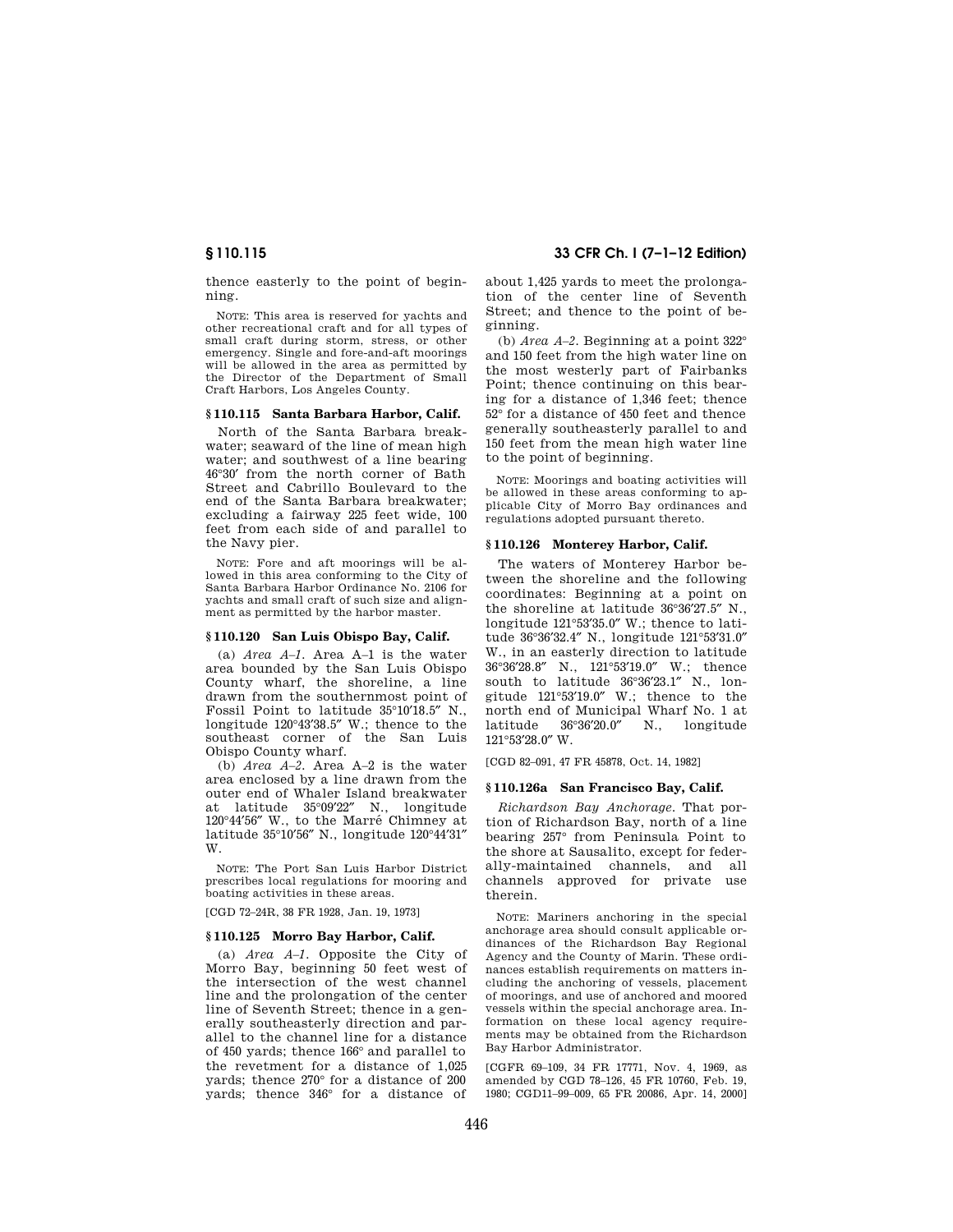thence easterly to the point of beginning.

NOTE: This area is reserved for yachts and other recreational craft and for all types of small craft during storm, stress, or other emergency. Single and fore-and-aft moorings will be allowed in the area as permitted by the Director of the Department of Small Craft Harbors, Los Angeles County.

#### **§ 110.115 Santa Barbara Harbor, Calif.**

North of the Santa Barbara breakwater; seaward of the line of mean high water; and southwest of a line bearing 46°30′ from the north corner of Bath Street and Cabrillo Boulevard to the end of the Santa Barbara breakwater; excluding a fairway 225 feet wide, 100 feet from each side of and parallel to the Navy pier.

NOTE: Fore and aft moorings will be allowed in this area conforming to the City of Santa Barbara Harbor Ordinance No. 2106 for yachts and small craft of such size and alignment as permitted by the harbor master.

## **§ 110.120 San Luis Obispo Bay, Calif.**

(a) *Area A–1.* Area A–1 is the water area bounded by the San Luis Obispo County wharf, the shoreline, a line drawn from the southernmost point of Fossil Point to latitude 35°10′18.5″ N., longitude 120°43′38.5″ W.; thence to the southeast corner of the San Luis Obispo County wharf.

(b) *Area A–2.* Area A–2 is the water area enclosed by a line drawn from the outer end of Whaler Island breakwater at latitude 35°09′22″ N., longitude 120°44′56″ W., to the Marre´ Chimney at latitude 35°10′56″ N., longitude 120°44′31″ W.

NOTE: The Port San Luis Harbor District prescribes local regulations for mooring and boating activities in these areas.

[CGD 72–24R, 38 FR 1928, Jan. 19, 1973]

#### **§ 110.125 Morro Bay Harbor, Calif.**

(a) *Area A–1.* Opposite the City of Morro Bay, beginning 50 feet west of the intersection of the west channel line and the prolongation of the center line of Seventh Street; thence in a generally southeasterly direction and parallel to the channel line for a distance of 450 yards; thence 166° and parallel to the revetment for a distance of 1,025 yards; thence 270° for a distance of 200 yards; thence 346° for a distance of

# **§ 110.115 33 CFR Ch. I (7–1–12 Edition)**

about 1,425 yards to meet the prolongation of the center line of Seventh Street; and thence to the point of beginning.

(b) *Area A–2.* Beginning at a point 322° and 150 feet from the high water line on the most westerly part of Fairbanks Point; thence continuing on this bearing for a distance of 1,346 feet; thence 52° for a distance of 450 feet and thence generally southeasterly parallel to and 150 feet from the mean high water line to the point of beginning.

NOTE: Moorings and boating activities will be allowed in these areas conforming to applicable City of Morro Bay ordinances and regulations adopted pursuant thereto.

## **§ 110.126 Monterey Harbor, Calif.**

The waters of Monterey Harbor between the shoreline and the following coordinates: Beginning at a point on the shoreline at latitude 36°36′27.5″ N., longitude 121°53′35.0″ W.; thence to latitude 36°36′32.4″ N., longitude 121°53′31.0″ W., in an easterly direction to latitude 36°36′28.8″ N., 121°53′19.0″ W.; thence south to latitude 36°36′23.1″ N., longitude 121°53′19.0″ W.; thence to the north end of Municipal Wharf No. 1 at latitude 36°36′20.0″ N., longitude 121°53′28.0″ W.

[CGD 82–091, 47 FR 45878, Oct. 14, 1982]

# **§ 110.126a San Francisco Bay, Calif.**

*Richardson Bay Anchorage.* That portion of Richardson Bay, north of a line bearing 257° from Peninsula Point to the shore at Sausalito, except for federally-maintained channels, and all channels approved for private use therein.

NOTE: Mariners anchoring in the special anchorage area should consult applicable ordinances of the Richardson Bay Regional Agency and the County of Marin. These ordinances establish requirements on matters including the anchoring of vessels, placement of moorings, and use of anchored and moored vessels within the special anchorage area. Information on these local agency requirements may be obtained from the Richardson Bay Harbor Administrator.

[CGFR 69–109, 34 FR 17771, Nov. 4, 1969, as amended by CGD 78–126, 45 FR 10760, Feb. 19, 1980; CGD11–99–009, 65 FR 20086, Apr. 14, 2000]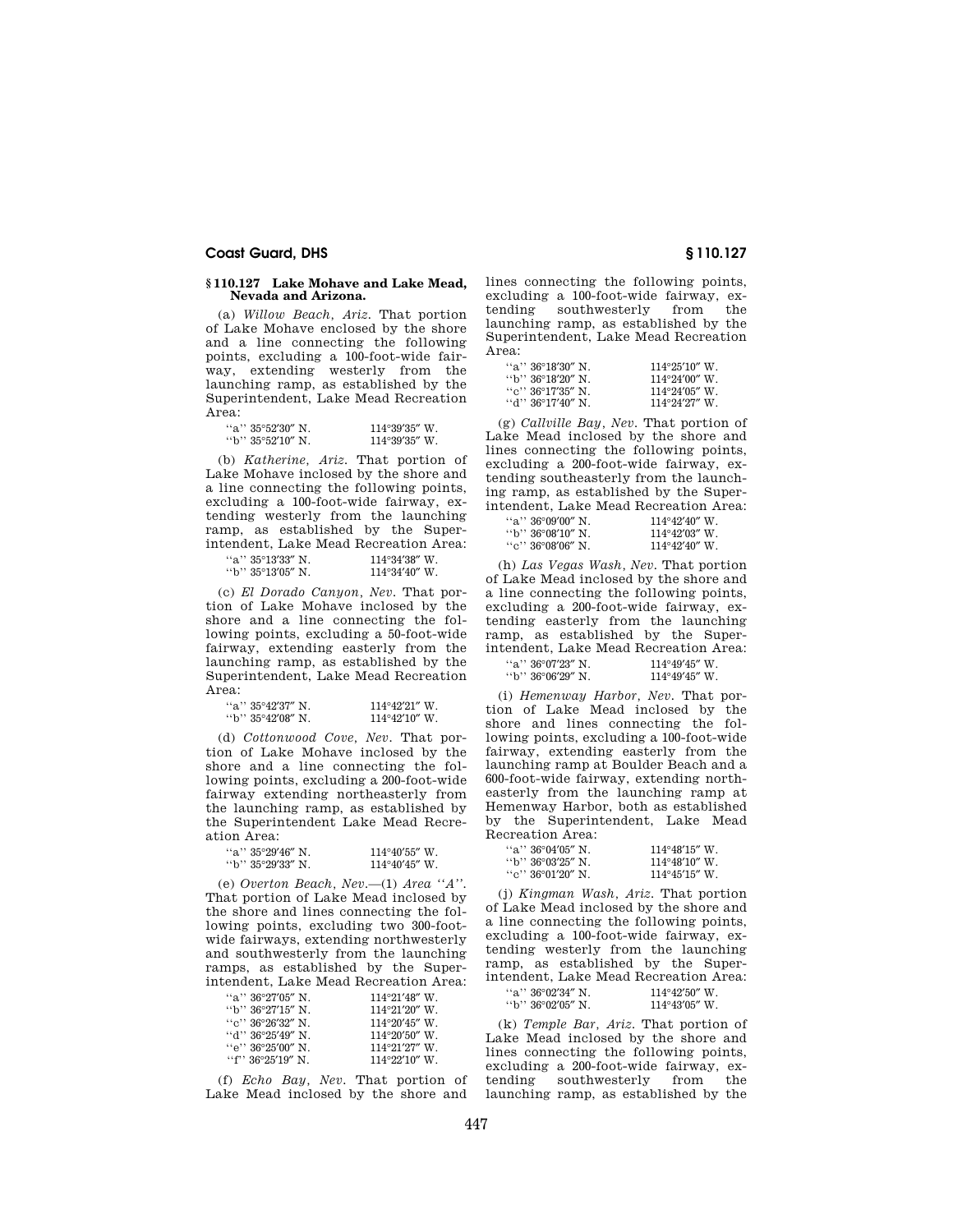### **§ 110.127 Lake Mohave and Lake Mead, Nevada and Arizona.**

(a) *Willow Beach, Ariz.* That portion of Lake Mohave enclosed by the shore and a line connecting the following points, excluding a 100-foot-wide fairway, extending westerly from the launching ramp, as established by the Superintendent, Lake Mead Recreation Area:

| "a" $35^{\circ}52'30''$ N. | $114^{\circ}39'35''$ W. |
|----------------------------|-------------------------|
| "b" $35^{\circ}52'10''$ N. | $114^{\circ}39'35''$ W. |

(b) *Katherine, Ariz.* That portion of Lake Mohave inclosed by the shore and a line connecting the following points, excluding a 100-foot-wide fairway, extending westerly from the launching ramp, as established by the Superintendent, Lake Mead Recreation Area:

| "a" 35°13'33" N.         | $114^{\circ}34'38''$ W. |
|--------------------------|-------------------------|
| $\cdot$ b'' 35°13′05″ N. | $114^{\circ}34'40''$ W. |

(c) *El Dorado Canyon, Nev.* That portion of Lake Mohave inclosed by the shore and a line connecting the following points, excluding a 50-foot-wide fairway, extending easterly from the launching ramp, as established by the Superintendent, Lake Mead Recreation Area:

| "a" $35^{\circ}42'37''$ N. | $114^{\circ}42'21''$ W. |
|----------------------------|-------------------------|
| $\degree$ b'' 35°42′08″ N. | $114^{\circ}42'10''$ W. |

(d) *Cottonwood Cove, Nev.* That portion of Lake Mohave inclosed by the shore and a line connecting the following points, excluding a 200-foot-wide fairway extending northeasterly from the launching ramp, as established by the Superintendent Lake Mead Recreation Area:

| "a'' 35°29′46″ N.  | $114^{\circ}40'55''$ W. |  |
|--------------------|-------------------------|--|
| ''b'' 35°29′33″ N. | $114^{\circ}40'45''$ W. |  |

(e) *Overton Beach, Nev.*—(1) *Area ''A''.*  That portion of Lake Mead inclosed by the shore and lines connecting the following points, excluding two 300-footwide fairways, extending northwesterly and southwesterly from the launching ramps, as established by the Superintendent, Lake Mead Recreation Area:

| "a" $36^{\circ}27'05''$ N. | $114^{\circ}21'48''$ W.                      |
|----------------------------|----------------------------------------------|
| $\lq\lq b$ " 36°27'15″ N.  | $114^{\circ}21'20''$ W.                      |
| ``c" 36°26'32" N.          | $114^{\circ}20'45''$ W.                      |
| $\cdot$ d'' 36°25′49″ N .  | $114^{\circ}20'50''$ W.                      |
| "e" $36^{\circ}25'00''$ N. | $114^{\circ}21^{\prime}27^{\prime\prime}$ W. |
| "f" $36^{\circ}25'19''$ N. | $114^{\circ}22'10''$ W.                      |

(f) *Echo Bay, Nev.* That portion of Lake Mead inclosed by the shore and

lines connecting the following points, excluding a 100-foot-wide fairway, extending southwesterly from the launching ramp, as established by the Superintendent, Lake Mead Recreation Area:

| "a" 36°18'30" N            | $114^{\circ}25'10''$ W  |
|----------------------------|-------------------------|
| $\lq\lq b$ " 36°18′20″ N . | $114^{\circ}24'00''$ W. |
| ''e'' 36°17′35″ N⊥         | $114^{\circ}24'05''$ W. |
| ''d'' 36°17′40″ N .        | $114^{\circ}24'27''$ W  |

(g) *Callville Bay, Nev.* That portion of Lake Mead inclosed by the shore and lines connecting the following points, excluding a 200-foot-wide fairway, extending southeasterly from the launching ramp, as established by the Superintendent, Lake Mead Recreation Area:

| "a" 36°09'00" N    | $114^{\circ}42'40''$ W. |
|--------------------|-------------------------|
| ''b'' 36°08′10″ N. | $114^{\circ}42'03''$ W. |
| ``c" 36°08'06" N.  | $114^{\circ}42'40''$ W  |

(h) *Las Vegas Wash, Nev.* That portion of Lake Mead inclosed by the shore and a line connecting the following points, excluding a 200-foot-wide fairway, extending easterly from the launching ramp, as established by the Superintendent, Lake Mead Recreation Area:

| "a" $36^{\circ}07^{\prime}23^{\prime\prime}$ N. | $114^{\circ}49'45''$ W. |  |
|-------------------------------------------------|-------------------------|--|
| $\cdot$ b'' 36°06′29″ N.                        | $114^{\circ}49'45''$ W. |  |

(i) *Hemenway Harbor, Nev.* That portion of Lake Mead inclosed by the shore and lines connecting the following points, excluding a 100-foot-wide fairway, extending easterly from the launching ramp at Boulder Beach and a 600-foot-wide fairway, extending northeasterly from the launching ramp at Hemenway Harbor, both as established by the Superintendent, Lake Mead Recreation Area:

| "a" 36°04′05" N    | $114^{\circ}48'15''$ W. |
|--------------------|-------------------------|
| "b" 36°03′25″ N.   | $114^{\circ}48'10''$ W. |
| ''e'' 36°01′20″ N⊥ | $114^{\circ}45'15''$ W. |

(j) *Kingman Wash, Ariz.* That portion of Lake Mead inclosed by the shore and a line connecting the following points, excluding a 100-foot-wide fairway, extending westerly from the launching ramp, as established by the Superintendent, Lake Mead Recreation Area:

| "a" $36^{\circ}02'34''$ N. | $114^{\circ}42'50''$ W. |
|----------------------------|-------------------------|
| $\cdot$ b'' 36°02′05″ N.   | $114^{\circ}43'05''$ W. |

(k) *Temple Bar, Ariz.* That portion of Lake Mead inclosed by the shore and lines connecting the following points, excluding a 200-foot-wide fairway, extending southwesterly from the launching ramp, as established by the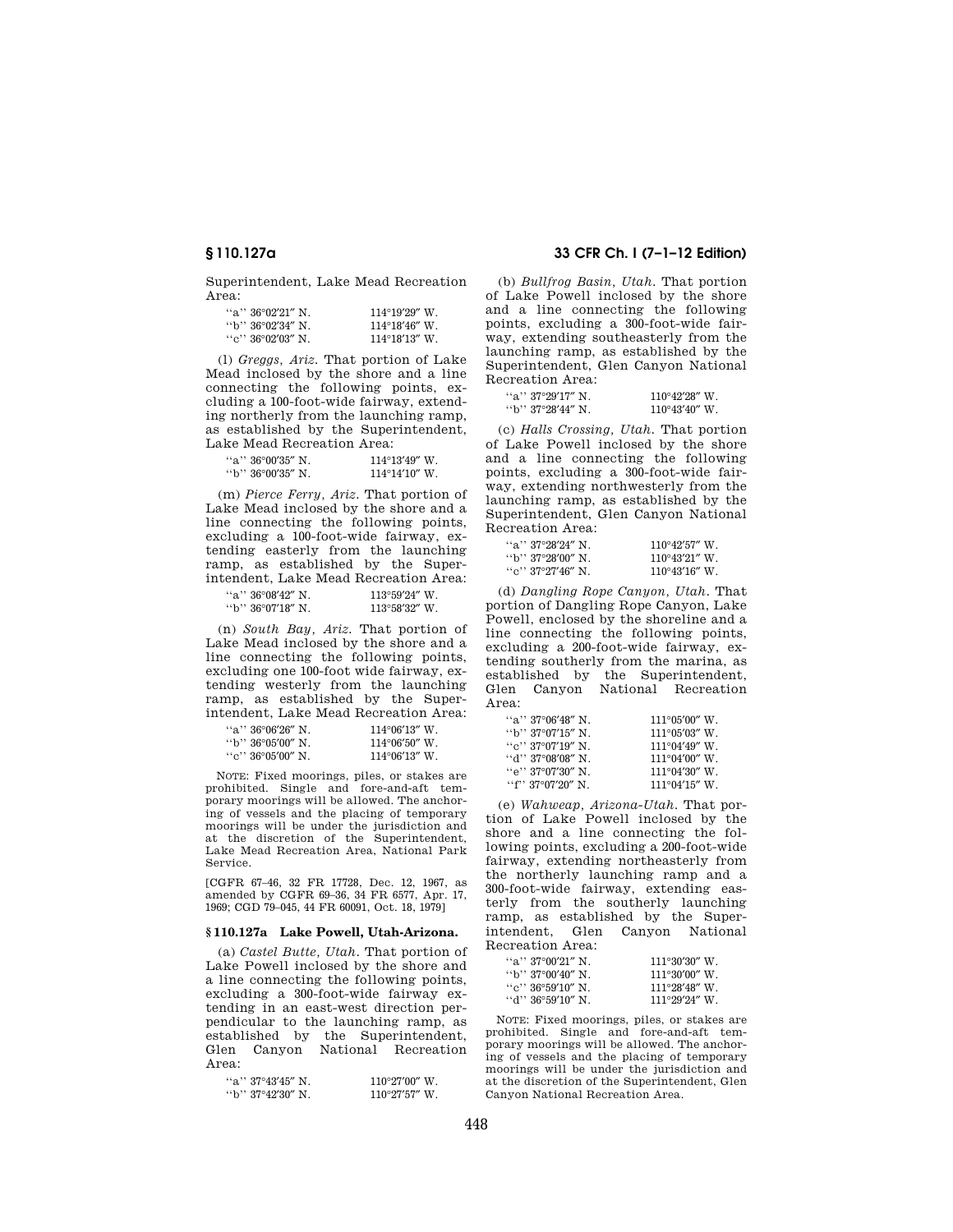Superintendent, Lake Mead Recreation Area:

| "a" 36°02′21" N    | $114^{\circ}19'29''$ W. |
|--------------------|-------------------------|
| "b" 36°02′34″ N    | $114^{\circ}18'46''$ W. |
| ''c'' 36°02′03″ N. | $114^{\circ}18'13''$ W. |

(l) *Greggs, Ariz.* That portion of Lake Mead inclosed by the shore and a line connecting the following points, excluding a 100-foot-wide fairway, extending northerly from the launching ramp, as established by the Superintendent, Lake Mead Recreation Area:

| "a" $36^{\circ}00'35''$ N. | $114^{\circ}13'49''$ W. |
|----------------------------|-------------------------|
| "b" 36°00′35″ N.           | $114^{\circ}14'10''$ W. |

(m) *Pierce Ferry, Ariz.* That portion of Lake Mead inclosed by the shore and a line connecting the following points, excluding a 100-foot-wide fairway, extending easterly from the launching ramp, as established by the Superintendent, Lake Mead Recreation Area:

| "a" $36^{\circ}08'42''$ N. | $113^{\circ}59'24''$ W. |
|----------------------------|-------------------------|
| $\cdot$ 'b'' 36°07'18" N.  | $113^{\circ}58'32''$ W. |

(n) *South Bay, Ariz.* That portion of Lake Mead inclosed by the shore and a line connecting the following points, excluding one 100-foot wide fairway, extending westerly from the launching ramp, as established by the Superintendent, Lake Mead Recreation Area:

| "a" 36°06′26″ N   | $114^{\circ}06'13''$ W. |
|-------------------|-------------------------|
| "b" 36°05′00″ N.  | $114^{\circ}06'50''$ W. |
| ``c" 36°05'00" N. | $114^{\circ}06'13''$ W. |

NOTE: Fixed moorings, piles, or stakes are prohibited. Single and fore-and-aft temporary moorings will be allowed. The anchoring of vessels and the placing of temporary moorings will be under the jurisdiction and at the discretion of the Superintendent, Lake Mead Recreation Area, National Park Service.

[CGFR 67–46, 32 FR 17728, Dec. 12, 1967, as amended by CGFR 69–36, 34 FR 6577, Apr. 17, 1969; CGD 79–045, 44 FR 60091, Oct. 18, 1979]

## **§ 110.127a Lake Powell, Utah-Arizona.**

(a) *Castel Butte, Utah.* That portion of Lake Powell inclosed by the shore and a line connecting the following points, excluding a 300-foot-wide fairway extending in an east-west direction perpendicular to the launching ramp, as established by the Superintendent, Glen Canyon National Recreation Area:

| "a" $37^{\circ}43'45''$ N. | $110^{\circ}27'00''$ W. |
|----------------------------|-------------------------|
| "b" 37°42′30″ N.           | $110^{\circ}27'57''$ W. |

# **§ 110.127a 33 CFR Ch. I (7–1–12 Edition)**

(b) *Bullfrog Basin, Utah.* That portion of Lake Powell inclosed by the shore and a line connecting the following points, excluding a 300-foot-wide fairway, extending southeasterly from the launching ramp, as established by the Superintendent, Glen Canyon National Recreation Area:

| "a" $37^{\circ}29'17''$ N. | $110^{\circ}42'28''$ W. |
|----------------------------|-------------------------|
| "b" 37°28'44" N.           | $110^{\circ}43'40''$ W. |

(c) *Halls Crossing, Utah.* That portion of Lake Powell inclosed by the shore and a line connecting the following points, excluding a 300-foot-wide fairway, extending northwesterly from the launching ramp, as established by the Superintendent, Glen Canyon National Recreation Area:

| "a" 37°28′24″ N   | $110^{\circ}42'57''$ W. |
|-------------------|-------------------------|
| "b" 37°28′00″ N   | $110^{\circ}43'21''$ W. |
| ''e'' 37°27′46″ N | $110^{\circ}43'16''$ W. |

(d) *Dangling Rope Canyon, Utah.* That portion of Dangling Rope Canyon, Lake Powell, enclosed by the shoreline and a line connecting the following points, excluding a 200-foot-wide fairway, extending southerly from the marina, as established by the Superintendent, Glen Canyon National Recreation Area:

| "a" 37°06'48" N                                 | $111^{\circ}05'00''$ W. |
|-------------------------------------------------|-------------------------|
| $\rm{``b''\,37^o07'15''\,N}$ .                  | $111^{\circ}05'03''$ W. |
| ``c" 37°07'19" N.                               | $111^{\circ}04'49''$ W. |
| $``d"37°08'08"$ N .                             | $111^{\circ}04'00''$ W. |
| "e" 37°07′30″ N.                                | $111^{\circ}04'30''$ W. |
| "f" $37^{\circ}07^{\prime}20^{\prime\prime}$ N. | $111^{\circ}04'15''$ W. |

(e) *Wahweap, Arizona-Utah.* That portion of Lake Powell inclosed by the shore and a line connecting the following points, excluding a 200-foot-wide fairway, extending northeasterly from the northerly launching ramp and a 300-foot-wide fairway, extending easterly from the southerly launching ramp, as established by the Superintendent, Glen Canyon National Recreation Area:

| "a" $37^{\circ}00'21''$ N. | $111^{\circ}30'30''$ W |
|----------------------------|------------------------|
| ''b'' 37°00′40″ N⊥         | $111^{\circ}30'00''$ W |
| ''e'' 36°59′10″ N⊥         | $111^{\circ}28'48''$ W |
| ''đ'' 36°59′10″ N .        | $111^{\circ}29'24''$ W |

NOTE: Fixed moorings, piles, or stakes are prohibited. Single and fore-and-aft temporary moorings will be allowed. The anchoring of vessels and the placing of temporary moorings will be under the jurisdiction and at the discretion of the Superintendent, Glen Canyon National Recreation Area.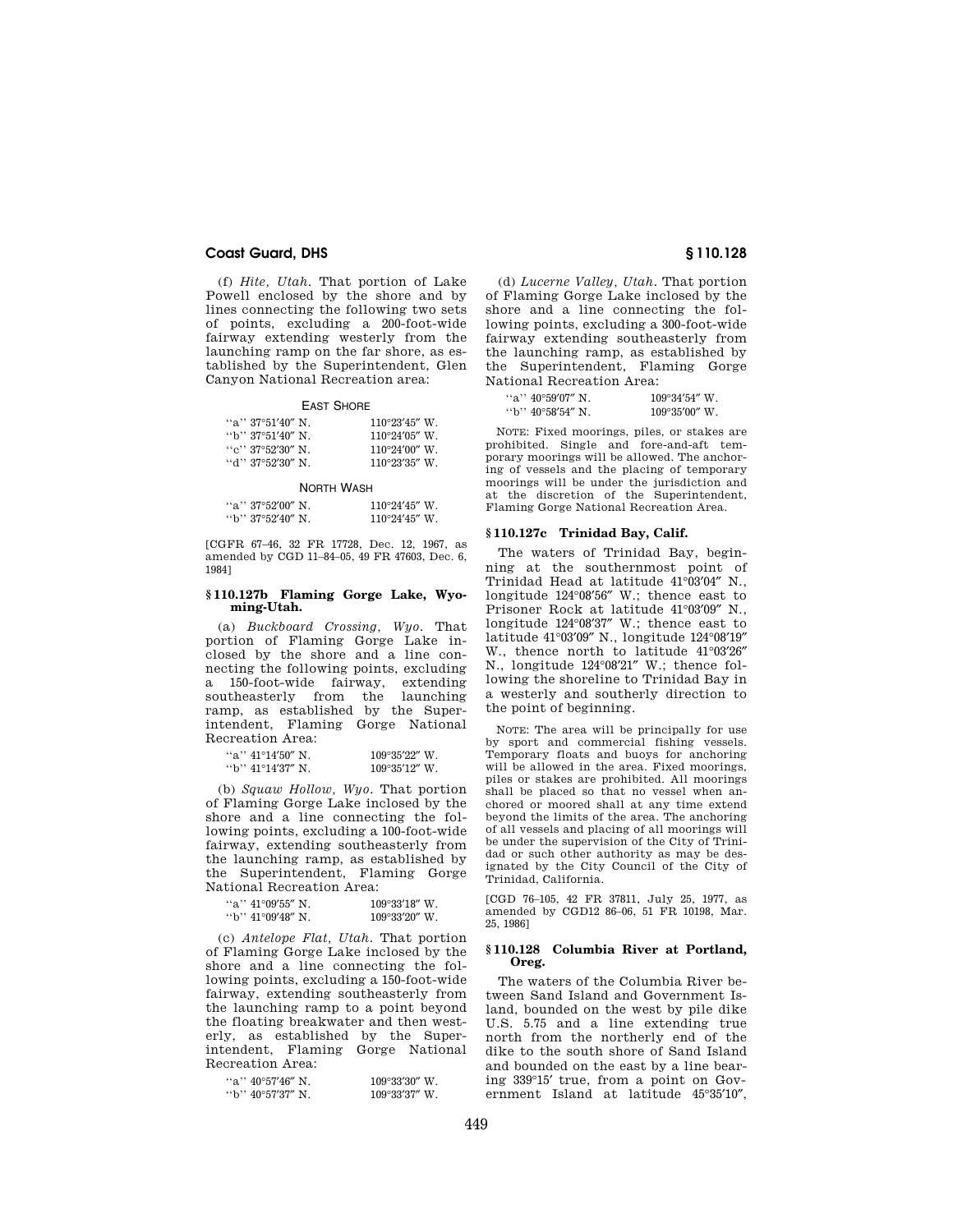(f) *Hite, Utah.* That portion of Lake Powell enclosed by the shore and by lines connecting the following two sets of points, excluding a 200-foot-wide fairway extending westerly from the launching ramp on the far shore, as established by the Superintendent, Glen Canyon National Recreation area:

#### EAST SHORE

| "a" 37°51′40″ N    | $110^{\circ}23'45''$ W. |
|--------------------|-------------------------|
| ''b'' 37°51′40″ N⊥ | $110^{\circ}24'05''$ W. |
| ''e'' 37°52′30″ N  | $110^{\circ}24'00''$ W. |
| ''d'' 37°52′30″ N  | $110^{\circ}23'35''$ W. |

#### NORTH WASH

| "a" $37^{\circ}52'00''$ N. | $110^{\circ}24'45''$ W. |
|----------------------------|-------------------------|
| $\cdot$ b'' 37°52′40″ N.   | $110^{\circ}24'45''$ W. |

[CGFR 67–46, 32 FR 17728, Dec. 12, 1967, as amended by CGD 11–84–05, 49 FR 47603, Dec. 6, 1984]

#### **§ 110.127b Flaming Gorge Lake, Wyoming-Utah.**

(a) *Buckboard Crossing, Wyo.* That portion of Flaming Gorge Lake inclosed by the shore and a line connecting the following points, excluding a 150-foot-wide fairway, extending southeasterly from the launching ramp, as established by the Superintendent, Flaming Gorge National Recreation Area:

| "a'' 41°14′50″ N.  | $109^{\circ}35'22''$ W. |
|--------------------|-------------------------|
| ''b'' 41°14′37″ N. | $109^{\circ}35'12''$ W. |

(b) *Squaw Hollow, Wyo.* That portion of Flaming Gorge Lake inclosed by the shore and a line connecting the following points, excluding a 100-foot-wide fairway, extending southeasterly from the launching ramp, as established by the Superintendent, Flaming Gorge National Recreation Area:

| "a" $41^{\circ}09'55''$ N. | $109^{\circ}33'18''$ W. |
|----------------------------|-------------------------|
| "b" $41^{\circ}09'48''$ N. | $109^{\circ}33'20''$ W. |

(c) *Antelope Flat, Utah.* That portion of Flaming Gorge Lake inclosed by the shore and a line connecting the following points, excluding a 150-foot-wide fairway, extending southeasterly from the launching ramp to a point beyond the floating breakwater and then westerly, as established by the Superintendent, Flaming Gorge National Recreation Area:

| $``a"$ 40°57'46" N. | $109^{\circ}33'30''$ W. |
|---------------------|-------------------------|
| "b" 40°57′37″ N.    | $109^{\circ}33'37''$ W. |

(d) *Lucerne Valley, Utah.* That portion of Flaming Gorge Lake inclosed by the shore and a line connecting the following points, excluding a 300-foot-wide fairway extending southeasterly from the launching ramp, as established by the Superintendent, Flaming Gorge National Recreation Area:

| "a" 40°59'07" N          | $109^{\circ}34'54''$ W. |
|--------------------------|-------------------------|
| $\cdot$ b'' 40°58'54" N. | $109^{\circ}35'00''$ W. |

NOTE: Fixed moorings, piles, or stakes are prohibited. Single and fore-and-aft temporary moorings will be allowed. The anchoring of vessels and the placing of temporary moorings will be under the jurisdiction and at the discretion of the Superintendent, Flaming Gorge National Recreation Area.

### **§ 110.127c Trinidad Bay, Calif.**

The waters of Trinidad Bay, beginning at the southernmost point of Trinidad Head at latitude 41°03′04″ N., longitude 124°08′56″ W.; thence east to Prisoner Rock at latitude 41°03′09″ N., longitude 124°08′37″ W.; thence east to latitude 41°03′09″ N., longitude 124°08′19″ W., thence north to latitude 41°03′26″ N., longitude 124°08′21″ W.; thence following the shoreline to Trinidad Bay in a westerly and southerly direction to the point of beginning.

NOTE: The area will be principally for use by sport and commercial fishing vessels. Temporary floats and buoys for anchoring will be allowed in the area. Fixed moorings, piles or stakes are prohibited. All moorings shall be placed so that no vessel when anchored or moored shall at any time extend beyond the limits of the area. The anchoring of all vessels and placing of all moorings will be under the supervision of the City of Trinidad or such other authority as may be designated by the City Council of the City of Trinidad, California.

[CGD 76–105, 42 FR 37811, July 25, 1977, as amended by CGD12 86–06, 51 FR 10198, Mar. 25, 1986]

### **§ 110.128 Columbia River at Portland, Oreg.**

The waters of the Columbia River between Sand Island and Government Island, bounded on the west by pile dike U.S. 5.75 and a line extending true north from the northerly end of the dike to the south shore of Sand Island and bounded on the east by a line bearing 339°15′ true, from a point on Government Island at latitude 45°35′10″,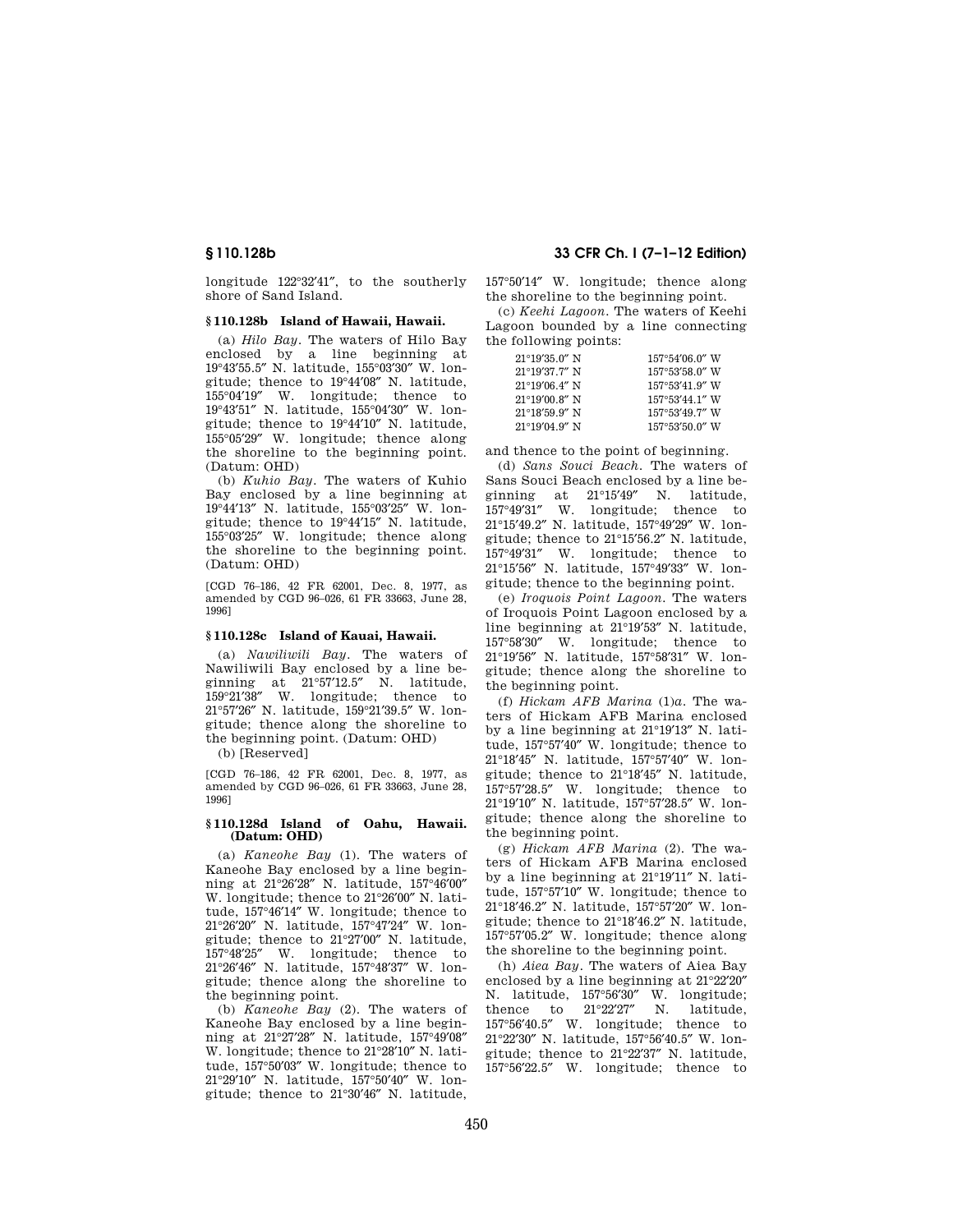longitude 122°32′41″, to the southerly shore of Sand Island.

## **§ 110.128b Island of Hawaii, Hawaii.**

(a) *Hilo Bay.* The waters of Hilo Bay enclosed by a line beginning at 19°43′55.5″ N. latitude, 155°03′30″ W. longitude; thence to 19°44′08″ N. latitude, 155°04′19″ W. longitude; thence to 19°43′51″ N. latitude, 155°04′30″ W. longitude; thence to 19°44′10″ N. latitude, 155°05′29″ W. longitude; thence along the shoreline to the beginning point. (Datum: OHD)

(b) *Kuhio Bay.* The waters of Kuhio Bay enclosed by a line beginning at 19°44′13″ N. latitude, 155°03′25″ W. longitude; thence to 19°44′15″ N. latitude, 155°03′25″ W. longitude; thence along the shoreline to the beginning point. (Datum: OHD)

[CGD 76–186, 42 FR 62001, Dec. 8, 1977, as amended by CGD 96–026, 61 FR 33663, June 28, 1996]

# **§ 110.128c Island of Kauai, Hawaii.**

(a) *Nawiliwili Bay.* The waters of Nawiliwili Bay enclosed by a line beginning at 21°57′12.5″ N. latitude, 159°21′38″ W. longitude; thence to 21°57′26″ N. latitude, 159°21′39.5″ W. longitude; thence along the shoreline to the beginning point. (Datum: OHD)

(b) [Reserved]

[CGD 76–186, 42 FR 62001, Dec. 8, 1977, as amended by CGD 96–026, 61 FR 33663, June 28, 1996]

### **§ 110.128d Island of Oahu, Hawaii. (Datum: OHD)**

(a) *Kaneohe Bay* (1). The waters of Kaneohe Bay enclosed by a line beginning at 21°26′28″ N. latitude, 157°46′00″ W. longitude; thence to 21°26′00″ N. latitude, 157°46′14″ W. longitude; thence to 21°26′20″ N. latitude, 157°47′24″ W. longitude; thence to 21°27′00″ N. latitude, 157°48′25″ W. longitude; thence to 21°26′46″ N. latitude, 157°48′37″ W. longitude; thence along the shoreline to the beginning point.

(b) *Kaneohe Bay* (2). The waters of Kaneohe Bay enclosed by a line beginning at 21°27′28″ N. latitude, 157°49′08″ W. longitude; thence to 21°28′10″ N. latitude, 157°50′03″ W. longitude; thence to 21°29′10″ N. latitude, 157°50′40″ W. longitude; thence to 21°30′46″ N. latitude,

**§ 110.128b 33 CFR Ch. I (7–1–12 Edition)** 

157°50′14″ W. longitude; thence along the shoreline to the beginning point.

(c) *Keehi Lagoon.* The waters of Keehi Lagoon bounded by a line connecting the following points:

| $21^{\circ}19'35.0''$ N | $157^{\circ}54'06.0''$ W |
|-------------------------|--------------------------|
| $21^{\circ}19'37.7''$ N | $157^{\circ}53'58.0''$ W |
| $21^{\circ}19'06.4''$ N | $157^{\circ}53'41.9''$ W |
| $21^{\circ}19'00.8''$ N | $157^{\circ}53'44.1''$ W |
| $21^{\circ}18'59.9''$ N | $157^{\circ}53'49.7''$ W |
| $21^{\circ}19'04.9''$ N | $157^{\circ}53'50$ 0" W  |

and thence to the point of beginning.

(d) *Sans Souci Beach.* The waters of Sans Souci Beach enclosed by a line beginning at 21°15′49″ N. latitude, 157°49′31″ W. longitude; thence to 21°15′49.2″ N. latitude, 157°49′29″ W. longitude; thence to 21°15′56.2″ N. latitude, 157°49′31″ W. longitude; thence to 21°15′56″ N. latitude, 157°49′33″ W. longitude; thence to the beginning point.

(e) *Iroquois Point Lagoon.* The waters of Iroquois Point Lagoon enclosed by a line beginning at 21°19′53″ N. latitude, 157°58′30″ W. longitude; thence to 21°19′56″ N. latitude, 157°58′31″ W. longitude; thence along the shoreline to the beginning point.

(f) *Hickam AFB Marina* (1)*a.* The waters of Hickam AFB Marina enclosed by a line beginning at 21°19′13″ N. latitude, 157°57′40″ W. longitude; thence to 21°18′45″ N. latitude, 157°57′40″ W. longitude; thence to 21°18′45″ N. latitude, 157°57′28.5″ W. longitude; thence to 21°19′10″ N. latitude, 157°57′28.5″ W. longitude; thence along the shoreline to the beginning point.

(g) *Hickam AFB Marina* (2). The waters of Hickam AFB Marina enclosed by a line beginning at 21°19′11″ N. latitude, 157°57′10″ W. longitude; thence to 21°18′46.2″ N. latitude, 157°57′20″ W. longitude; thence to 21°18′46.2″ N. latitude, 157°57′05.2″ W. longitude; thence along the shoreline to the beginning point.

(h) *Aiea Bay.* The waters of Aiea Bay enclosed by a line beginning at 21°22′20″ N. latitude, 157°56′30″ W. longitude;<br>thence to 21°22′27″ N. latitude, thence to 21°22′27″ N. latitude, 157°56′40.5″ W. longitude; thence to 21°22′30″ N. latitude, 157°56′40.5″ W. longitude; thence to 21°22′37″ N. latitude, 157°56′22.5″ W. longitude; thence to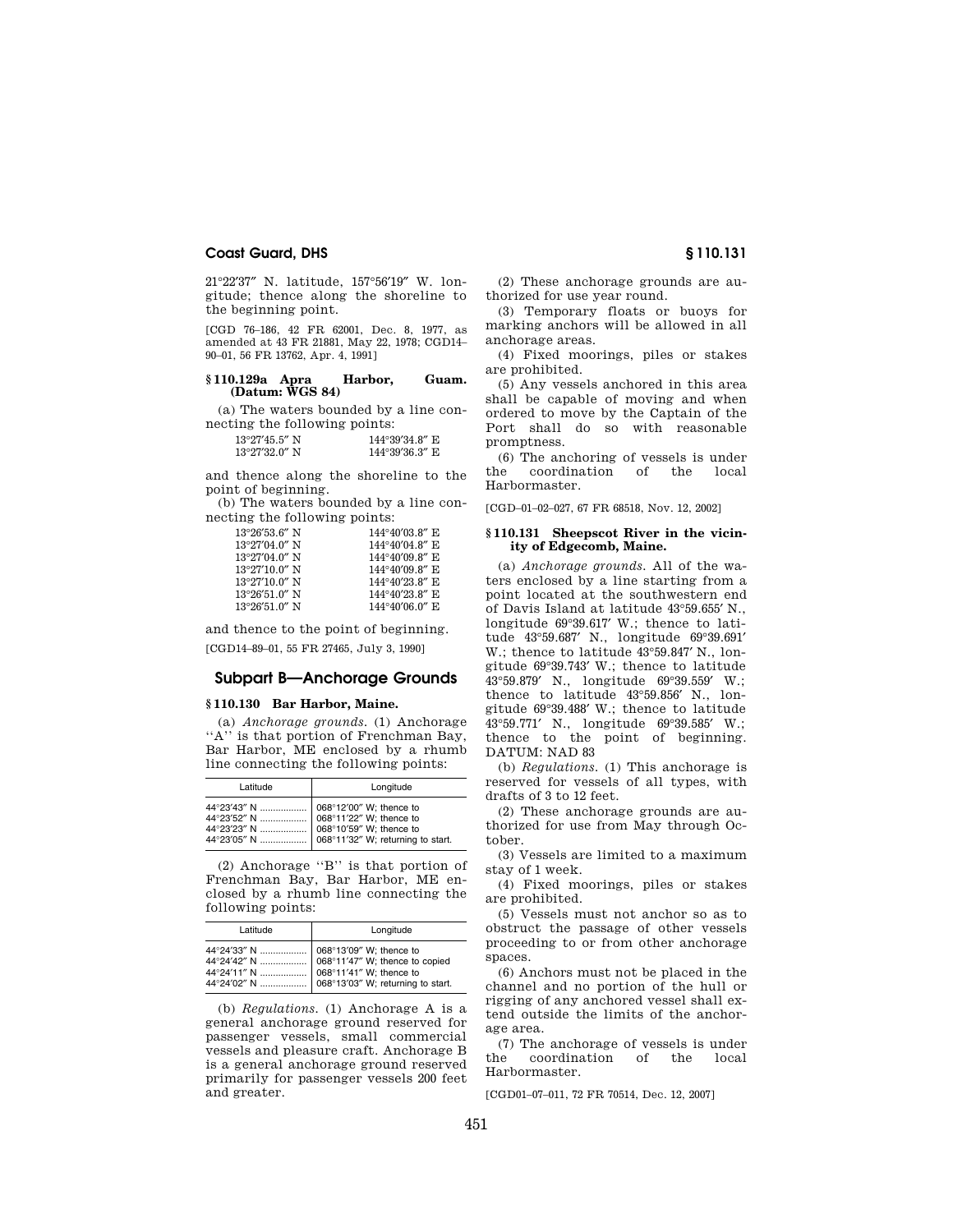21°22′37″ N. latitude, 157°56′19″ W. longitude; thence along the shoreline to the beginning point.

[CGD 76–186, 42 FR 62001, Dec. 8, 1977, as amended at 43 FR 21881, May 22, 1978; CGD14– 90–01, 56 FR 13762, Apr. 4, 1991]

## **§ 110.129a Apra Harbor, Guam. (Datum: WGS 84)**

(a) The waters bounded by a line connecting the following points:

| $13^{\circ}27'45.5''$ N | 144°39'34.8" E |
|-------------------------|----------------|
| $13^{\circ}27'32.0''$ N | 144°39'36.3" E |

and thence along the shoreline to the point of beginning.

(b) The waters bounded by a line connecting the following points:

| $144^{\circ}40'03.8''$ E |
|--------------------------|
| $144^{\circ}40'04.8''$ E |
| $144^{\circ}40'09.8''$ E |
| $144^{\circ}40'09.8''$ E |
| $144^{\circ}40'23.8''$ E |
| $144^{\circ}40'23.8''$ E |
| $144^{\circ}40'06.0''$ E |
|                          |

and thence to the point of beginning. [CGD14–89–01, 55 FR 27465, July 3, 1990]

# **Subpart B—Anchorage Grounds**

# **§ 110.130 Bar Harbor, Maine.**

(a) *Anchorage grounds.* (1) Anchorage "A" is that portion of Frenchman Bay, Bar Harbor, ME enclosed by a rhumb line connecting the following points:

| Latitude | Longitude                                                                                                                            |
|----------|--------------------------------------------------------------------------------------------------------------------------------------|
|          | 44°23'52" N    068°11'22" W; thence to<br>44°23'23" N    068°10'59" W; thence to<br>44°23'05" N    068°11'32" W; returning to start. |

(2) Anchorage ''B'' is that portion of Frenchman Bay, Bar Harbor, ME enclosed by a rhumb line connecting the following points:

| Latitude | Longitude |
|----------|-----------|
|          |           |

(b) *Regulations.* (1) Anchorage A is a general anchorage ground reserved for passenger vessels, small commercial vessels and pleasure craft. Anchorage B is a general anchorage ground reserved primarily for passenger vessels 200 feet and greater.

(2) These anchorage grounds are authorized for use year round.

(3) Temporary floats or buoys for marking anchors will be allowed in all anchorage areas.

(4) Fixed moorings, piles or stakes are prohibited.

(5) Any vessels anchored in this area shall be capable of moving and when ordered to move by the Captain of the Port shall do so with reasonable promptness.

(6) The anchoring of vessels is under the coordination of the local Harbormaster.

[CGD–01–02–027, 67 FR 68518, Nov. 12, 2002]

#### **§ 110.131 Sheepscot River in the vicinity of Edgecomb, Maine.**

(a) *Anchorage grounds.* All of the waters enclosed by a line starting from a point located at the southwestern end of Davis Island at latitude 43°59.655′ N., longitude 69°39.617′ W.; thence to latitude 43°59.687′ N., longitude 69°39.691′ W.; thence to latitude 43°59.847′ N., longitude 69°39.743′ W.; thence to latitude 43°59.879′ N., longitude 69°39.559′ W.; thence to latitude 43°59.856′ N., longitude 69°39.488′ W.; thence to latitude 43°59.771′ N., longitude 69°39.585′ W.; thence to the point of beginning. DATUM: NAD 83

(b) *Regulations.* (1) This anchorage is reserved for vessels of all types, with drafts of 3 to 12 feet.

(2) These anchorage grounds are authorized for use from May through October.

(3) Vessels are limited to a maximum stay of 1 week.

(4) Fixed moorings, piles or stakes are prohibited.

(5) Vessels must not anchor so as to obstruct the passage of other vessels proceeding to or from other anchorage spaces.

(6) Anchors must not be placed in the channel and no portion of the hull or rigging of any anchored vessel shall extend outside the limits of the anchorage area.

(7) The anchorage of vessels is under the coordination of the local Harbormaster.

[CGD01–07–011, 72 FR 70514, Dec. 12, 2007]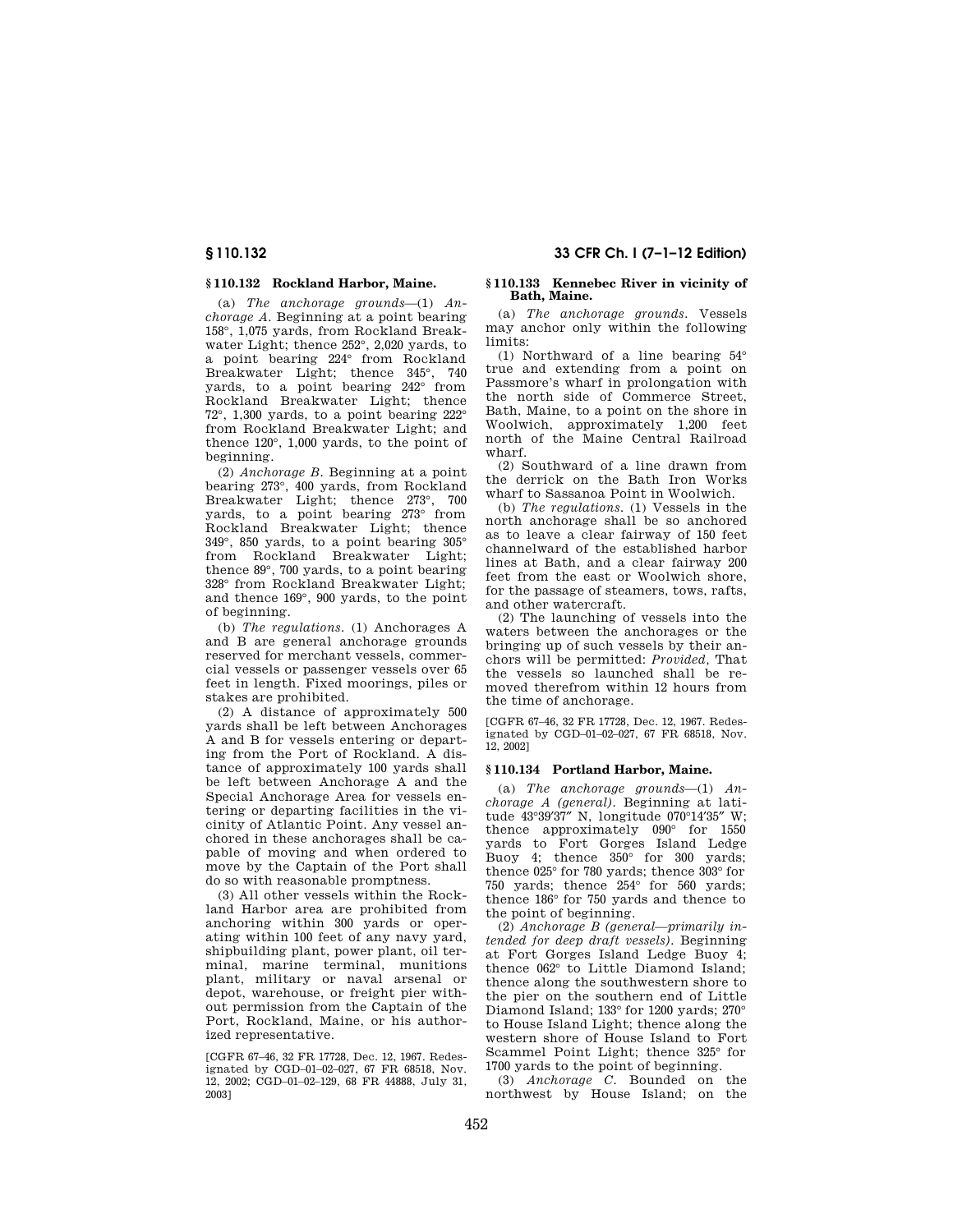# **§ 110.132 Rockland Harbor, Maine.**

(a) *The anchorage grounds*—(1) *Anchorage A.* Beginning at a point bearing 158°, 1,075 yards, from Rockland Breakwater Light; thence 252°, 2,020 yards, to a point bearing 224° from Rockland Breakwater Light; thence 345°, 740 yards, to a point bearing 242° from Rockland Breakwater Light; thence 72°, 1,300 yards, to a point bearing 222° from Rockland Breakwater Light; and thence 120°, 1,000 yards, to the point of beginning.

(2) *Anchorage B.* Beginning at a point bearing 273°, 400 yards, from Rockland Breakwater Light; thence 273°, 700 yards, to a point bearing 273° from Rockland Breakwater Light; thence 349°, 850 yards, to a point bearing 305° from Rockland Breakwater Light; thence 89°, 700 yards, to a point bearing 328° from Rockland Breakwater Light; and thence 169°, 900 yards, to the point of beginning.

(b) *The regulations.* (1) Anchorages A and B are general anchorage grounds reserved for merchant vessels, commercial vessels or passenger vessels over 65 feet in length. Fixed moorings, piles or stakes are prohibited.

(2) A distance of approximately 500 yards shall be left between Anchorages A and B for vessels entering or departing from the Port of Rockland. A distance of approximately 100 yards shall be left between Anchorage A and the Special Anchorage Area for vessels entering or departing facilities in the vicinity of Atlantic Point. Any vessel anchored in these anchorages shall be capable of moving and when ordered to move by the Captain of the Port shall do so with reasonable promptness.

(3) All other vessels within the Rockland Harbor area are prohibited from anchoring within 300 yards or operating within 100 feet of any navy yard, shipbuilding plant, power plant, oil terminal, marine terminal, munitions plant, military or naval arsenal or depot, warehouse, or freight pier without permission from the Captain of the Port, Rockland, Maine, or his authorized representative.

[CGFR 67–46, 32 FR 17728, Dec. 12, 1967. Redesignated by CGD–01–02–027, 67 FR 68518, Nov. 12, 2002; CGD–01–02–129, 68 FR 44888, July 31, 2003]

#### **§ 110.133 Kennebec River in vicinity of Bath, Maine.**

(a) *The anchorage grounds.* Vessels may anchor only within the following limits:

(1) Northward of a line bearing 54° true and extending from a point on Passmore's wharf in prolongation with the north side of Commerce Street, Bath, Maine, to a point on the shore in Woolwich, approximately 1,200 feet north of the Maine Central Railroad wharf.

(2) Southward of a line drawn from the derrick on the Bath Iron Works wharf to Sassanoa Point in Woolwich.

(b) *The regulations.* (1) Vessels in the north anchorage shall be so anchored as to leave a clear fairway of 150 feet channelward of the established harbor lines at Bath, and a clear fairway 200 feet from the east or Woolwich shore, for the passage of steamers, tows, rafts, and other watercraft.

(2) The launching of vessels into the waters between the anchorages or the bringing up of such vessels by their anchors will be permitted: *Provided,* That the vessels so launched shall be removed therefrom within 12 hours from the time of anchorage.

[CGFR 67–46, 32 FR 17728, Dec. 12, 1967. Redesignated by CGD–01–02–027, 67 FR 68518, Nov. 12, 2002]

## **§ 110.134 Portland Harbor, Maine.**

(a) *The anchorage grounds*—(1) *Anchorage A (general).* Beginning at latitude 43°39′37″ N, longitude 070°14′35″ W; thence approximately 090° for 1550 yards to Fort Gorges Island Ledge Buoy 4; thence 350° for 300 yards; thence 025° for 780 yards; thence 303° for 750 yards; thence 254° for 560 yards; thence 186° for 750 yards and thence to the point of beginning.

(2) *Anchorage B (general—primarily intended for deep draft vessels).* Beginning at Fort Gorges Island Ledge Buoy 4; thence 062° to Little Diamond Island; thence along the southwestern shore to the pier on the southern end of Little Diamond Island; 133° for 1200 yards; 270° to House Island Light; thence along the western shore of House Island to Fort Scammel Point Light; thence 325° for 1700 yards to the point of beginning.

(3) *Anchorage C.* Bounded on the northwest by House Island; on the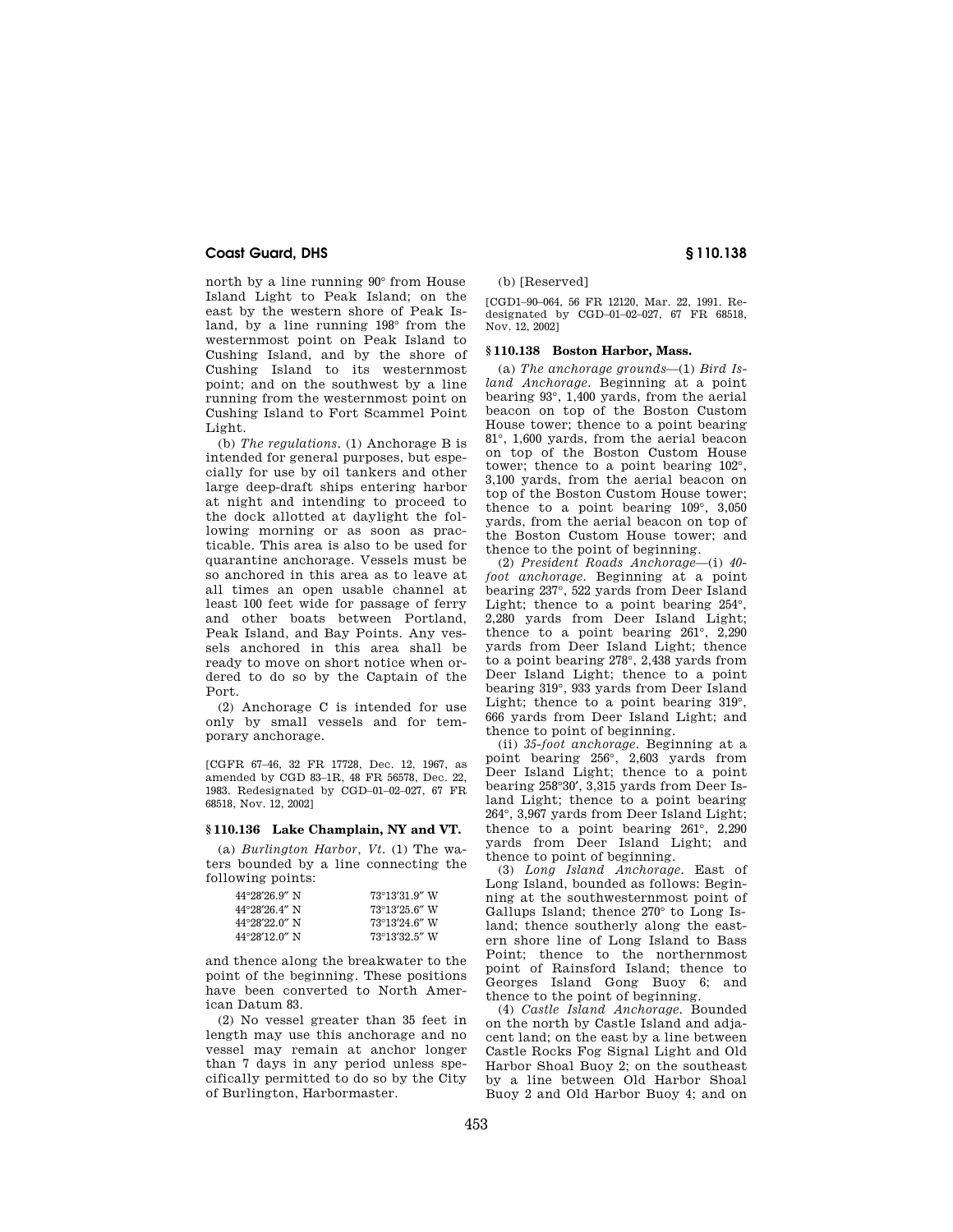north by a line running 90° from House Island Light to Peak Island; on the east by the western shore of Peak Island, by a line running 198° from the westernmost point on Peak Island to Cushing Island, and by the shore of Cushing Island to its westernmost point; and on the southwest by a line running from the westernmost point on Cushing Island to Fort Scammel Point Light.

(b) *The regulations.* (1) Anchorage B is intended for general purposes, but especially for use by oil tankers and other large deep-draft ships entering harbor at night and intending to proceed to the dock allotted at daylight the following morning or as soon as practicable. This area is also to be used for quarantine anchorage. Vessels must be so anchored in this area as to leave at all times an open usable channel at least 100 feet wide for passage of ferry and other boats between Portland, Peak Island, and Bay Points. Any vessels anchored in this area shall be ready to move on short notice when ordered to do so by the Captain of the Port.

(2) Anchorage C is intended for use only by small vessels and for temporary anchorage.

[CGFR 67–46, 32 FR 17728, Dec. 12, 1967, as amended by CGD 83–1R, 48 FR 56578, Dec. 22, 1983. Redesignated by CGD–01–02–027, 67 FR 68518, Nov. 12, 2002]

## **§ 110.136 Lake Champlain, NY and VT.**

(a) *Burlington Harbor, Vt.* (1) The waters bounded by a line connecting the following points:

| $44^{\circ}28'26.9''$ N                      | 73°13'31.9" W           |
|----------------------------------------------|-------------------------|
| $44^{\circ}28^{\prime}26.4^{\prime\prime}$ N | $73^{\circ}13'25.6''$ W |
| $44^{\circ}28^{\prime}22.0^{\prime\prime}$ N | $73^{\circ}13'24.6''$ W |
| $44^{\circ}28'12.0''$ N                      | 73°13'32.5" W           |

and thence along the breakwater to the point of the beginning. These positions have been converted to North American Datum 83.

(2) No vessel greater than 35 feet in length may use this anchorage and no vessel may remain at anchor longer than 7 days in any period unless specifically permitted to do so by the City of Burlington, Harbormaster.

(b) [Reserved]

[CGD1–90–064, 56 FR 12120, Mar. 22, 1991. Redesignated by CGD–01–02–027, 67 FR 68518, Nov. 12, 2002]

#### **§ 110.138 Boston Harbor, Mass.**

(a) *The anchorage grounds*—(1) *Bird Island Anchorage.* Beginning at a point bearing 93°, 1,400 yards, from the aerial beacon on top of the Boston Custom House tower; thence to a point bearing 81°, 1,600 yards, from the aerial beacon on top of the Boston Custom House tower; thence to a point bearing 102°, 3,100 yards, from the aerial beacon on top of the Boston Custom House tower; thence to a point bearing 109°, 3,050 yards, from the aerial beacon on top of the Boston Custom House tower; and thence to the point of beginning.

(2) *President Roads Anchorage*—(i) *40 foot anchorage.* Beginning at a point bearing 237°, 522 yards from Deer Island Light; thence to a point bearing 254°, 2,280 yards from Deer Island Light; thence to a point bearing 261°, 2,290 yards from Deer Island Light; thence to a point bearing 278°, 2,438 yards from Deer Island Light; thence to a point bearing 319°, 933 yards from Deer Island Light; thence to a point bearing 319°, 666 yards from Deer Island Light; and thence to point of beginning.

(ii) *35-foot anchorage.* Beginning at a point bearing 256°, 2,603 yards from Deer Island Light; thence to a point bearing 258°30′, 3,315 yards from Deer Island Light; thence to a point bearing 264°, 3,967 yards from Deer Island Light; thence to a point bearing 261°, 2,290 yards from Deer Island Light; and thence to point of beginning.

(3) *Long Island Anchorage.* East of Long Island, bounded as follows: Beginning at the southwesternmost point of Gallups Island; thence 270° to Long Island; thence southerly along the eastern shore line of Long Island to Bass Point; thence to the northernmost point of Rainsford Island; thence to Georges Island Gong Buoy 6; and thence to the point of beginning.

(4) *Castle Island Anchorage.* Bounded on the north by Castle Island and adjacent land; on the east by a line between Castle Rocks Fog Signal Light and Old Harbor Shoal Buoy 2; on the southeast by a line between Old Harbor Shoal Buoy 2 and Old Harbor Buoy 4; and on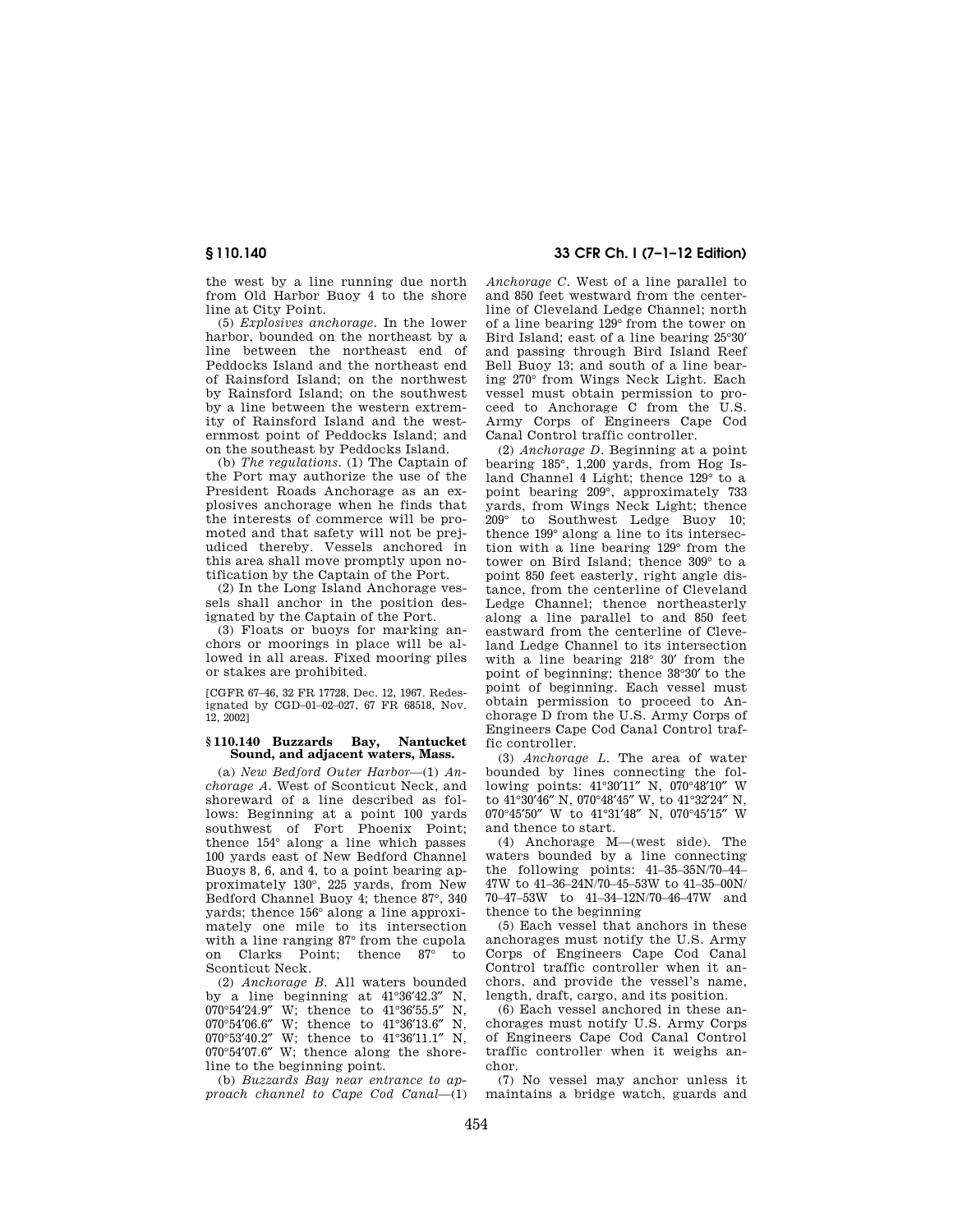the west by a line running due north from Old Harbor Buoy 4 to the shore line at City Point.

(5) *Explosives anchorage.* In the lower harbor, bounded on the northeast by a line between the northeast end of Peddocks Island and the northeast end of Rainsford Island; on the northwest by Rainsford Island; on the southwest by a line between the western extremity of Rainsford Island and the westernmost point of Peddocks Island; and on the southeast by Peddocks Island.

(b) *The regulations.* (1) The Captain of the Port may authorize the use of the President Roads Anchorage as an explosives anchorage when he finds that the interests of commerce will be promoted and that safety will not be prejudiced thereby. Vessels anchored in this area shall move promptly upon notification by the Captain of the Port.

(2) In the Long Island Anchorage vessels shall anchor in the position designated by the Captain of the Port.

(3) Floats or buoys for marking anchors or moorings in place will be allowed in all areas. Fixed mooring piles or stakes are prohibited.

[CGFR 67–46, 32 FR 17728, Dec. 12, 1967. Redesignated by CGD–01–02–027, 67 FR 68518, Nov. 12, 2002]

# **§ 110.140 Buzzards Bay, Nantucket Sound, and adjacent waters, Mass.**

(a) *New Bedford Outer Harbor*—(1) *Anchorage A.* West of Sconticut Neck, and shoreward of a line described as follows: Beginning at a point 100 yards southwest of Fort Phoenix Point; thence 154° along a line which passes 100 yards east of New Bedford Channel Buoys 8, 6, and 4, to a point bearing approximately 130°, 225 yards, from New Bedford Channel Buoy 4; thence 87°, 340 yards; thence 156° along a line approximately one mile to its intersection with a line ranging 87° from the cupola on Clarks Point; thence 87° to Sconticut Neck.

(2) *Anchorage B.* All waters bounded by a line beginning at  $41^{\circ}36'42.3''$  N, 070°54'24.9" W; thence to  $41^{\circ}36'55.5''$  N, W; thence to  $41^{\circ}36'55.5''$ 070°54'06.6" W; thence to 41°36'13.6" N, 070°53′40.2″ W; thence to 41°36′11.1″ N, 070°54′07.6″ W; thence along the shoreline to the beginning point.

(b) *Buzzards Bay near entrance to approach channel to Cape Cod Canal*—(1)

# **§ 110.140 33 CFR Ch. I (7–1–12 Edition)**

*Anchorage C.* West of a line parallel to and 850 feet westward from the centerline of Cleveland Ledge Channel; north of a line bearing 129° from the tower on Bird Island; east of a line bearing 25°30′ and passing through Bird Island Reef Bell Buoy 13; and south of a line bearing 270° from Wings Neck Light. Each vessel must obtain permission to proceed to Anchorage C from the U.S. Army Corps of Engineers Cape Cod Canal Control traffic controller.

(2) *Anchorage D.* Beginning at a point bearing 185°, 1,200 yards, from Hog Island Channel 4 Light; thence 129° to a point bearing 209°, approximately 733 yards, from Wings Neck Light; thence 209° to Southwest Ledge Buoy 10; thence 199° along a line to its intersection with a line bearing 129° from the tower on Bird Island; thence 309° to a point 850 feet easterly, right angle distance, from the centerline of Cleveland Ledge Channel; thence northeasterly along a line parallel to and 850 feet eastward from the centerline of Cleveland Ledge Channel to its intersection with a line bearing 218° 30′ from the point of beginning; thence 38°30′ to the point of beginning. Each vessel must obtain permission to proceed to Anchorage D from the U.S. Army Corps of Engineers Cape Cod Canal Control traffic controller.

(3) *Anchorage L*. The area of water bounded by lines connecting the following points: 41°30′11″ N, 070°48′10″ W to 41°30′46″ N, 070°48′45″ W, to 41°32′24″ N, 070°45′50″ W to 41°31′48″ N, 070°45′15″ W and thence to start.

(4) Anchorage M—(west side). The waters bounded by a line connecting the following points: 41–35–35N/70–44– 47W to 41–36–24N/70–45–53W to 41–35–00N/ 70–47–53W to 41–34–12N/70–46–47W and thence to the beginning

(5) Each vessel that anchors in these anchorages must notify the U.S. Army Corps of Engineers Cape Cod Canal Control traffic controller when it anchors, and provide the vessel's name, length, draft, cargo, and its position.

(6) Each vessel anchored in these anchorages must notify U.S. Army Corps of Engineers Cape Cod Canal Control traffic controller when it weighs anchor.

(7) No vessel may anchor unless it maintains a bridge watch, guards and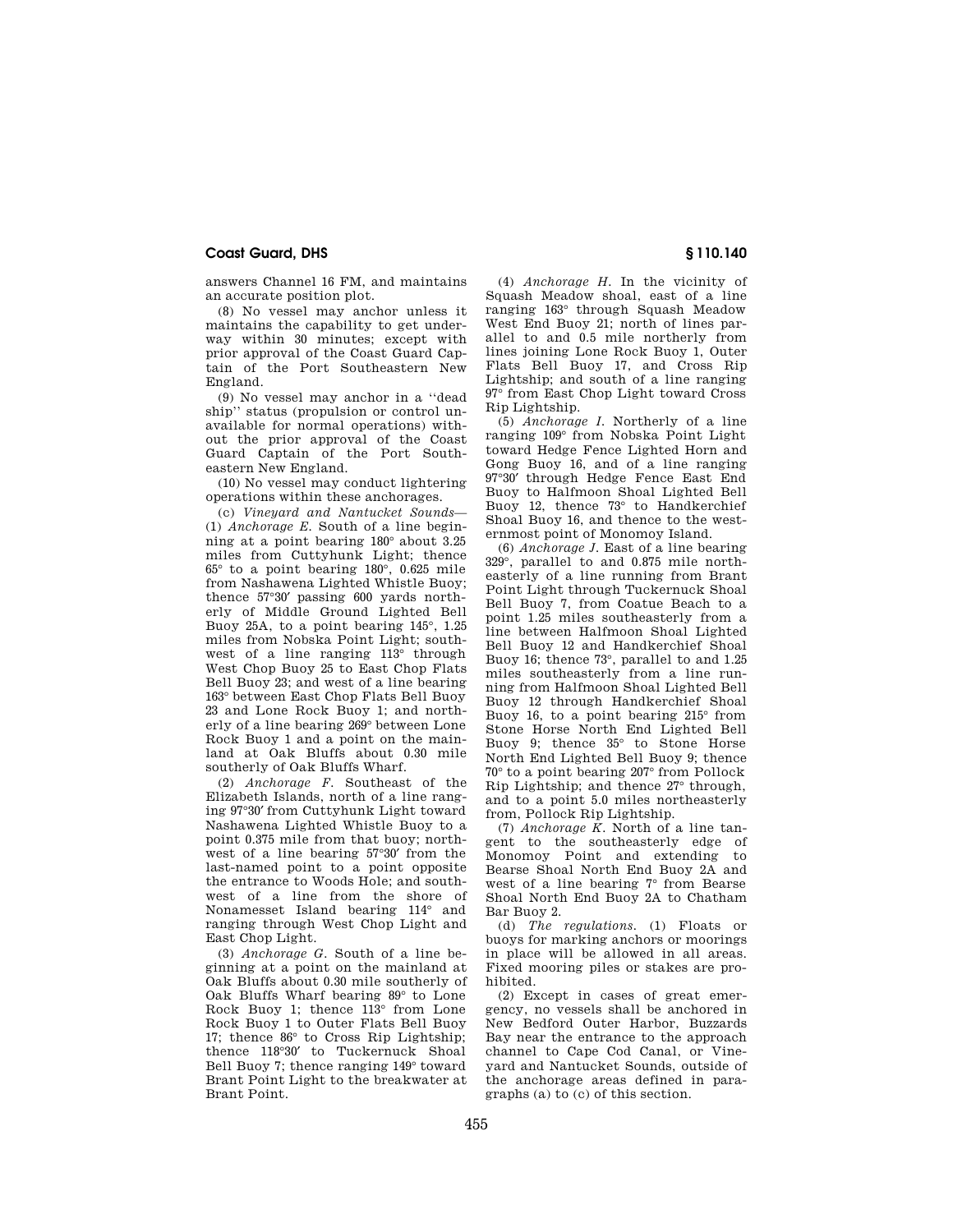answers Channel 16 FM, and maintains an accurate position plot.

(8) No vessel may anchor unless it maintains the capability to get underway within 30 minutes; except with prior approval of the Coast Guard Captain of the Port Southeastern New England.

(9) No vessel may anchor in a ''dead ship'' status (propulsion or control unavailable for normal operations) without the prior approval of the Coast Guard Captain of the Port Southeastern New England.

(10) No vessel may conduct lightering operations within these anchorages.

(c) *Vineyard and Nantucket Sounds*— (1) *Anchorage E.* South of a line beginning at a point bearing 180° about 3.25 miles from Cuttyhunk Light; thence 65° to a point bearing 180°, 0.625 mile from Nashawena Lighted Whistle Buoy; thence 57°30′ passing 600 yards northerly of Middle Ground Lighted Bell Buoy 25A, to a point bearing 145°, 1.25 miles from Nobska Point Light; southwest of a line ranging 113° through West Chop Buoy 25 to East Chop Flats Bell Buoy 23; and west of a line bearing 163° between East Chop Flats Bell Buoy 23 and Lone Rock Buoy 1; and northerly of a line bearing 269° between Lone Rock Buoy 1 and a point on the mainland at Oak Bluffs about 0.30 mile southerly of Oak Bluffs Wharf.

(2) *Anchorage F.* Southeast of the Elizabeth Islands, north of a line ranging 97°30′ from Cuttyhunk Light toward Nashawena Lighted Whistle Buoy to a point 0.375 mile from that buoy; northwest of a line bearing 57°30′ from the last-named point to a point opposite the entrance to Woods Hole; and southwest of a line from the shore of Nonamesset Island bearing 114° and ranging through West Chop Light and East Chop Light.

(3) *Anchorage G.* South of a line beginning at a point on the mainland at Oak Bluffs about 0.30 mile southerly of Oak Bluffs Wharf bearing 89° to Lone Rock Buoy 1; thence 113° from Lone Rock Buoy 1 to Outer Flats Bell Buoy 17; thence 86° to Cross Rip Lightship; thence 118°30′ to Tuckernuck Shoal Bell Buoy 7; thence ranging 149° toward Brant Point Light to the breakwater at Brant Point.

(4) *Anchorage H.* In the vicinity of Squash Meadow shoal, east of a line ranging 163° through Squash Meadow West End Buoy 21; north of lines parallel to and 0.5 mile northerly from lines joining Lone Rock Buoy 1, Outer Flats Bell Buoy 17, and Cross Rip Lightship; and south of a line ranging 97° from East Chop Light toward Cross Rip Lightship.

(5) *Anchorage I.* Northerly of a line ranging 109° from Nobska Point Light toward Hedge Fence Lighted Horn and Gong Buoy 16, and of a line ranging 97°30′ through Hedge Fence East End Buoy to Halfmoon Shoal Lighted Bell Buoy 12, thence 73° to Handkerchief Shoal Buoy 16, and thence to the westernmost point of Monomoy Island.

(6) *Anchorage J.* East of a line bearing 329°, parallel to and 0.875 mile northeasterly of a line running from Brant Point Light through Tuckernuck Shoal Bell Buoy 7, from Coatue Beach to a point 1.25 miles southeasterly from a line between Halfmoon Shoal Lighted Bell Buoy 12 and Handkerchief Shoal Buoy 16; thence 73°, parallel to and 1.25 miles southeasterly from a line running from Halfmoon Shoal Lighted Bell Buoy 12 through Handkerchief Shoal Buoy 16, to a point bearing 215° from Stone Horse North End Lighted Bell Buoy 9; thence 35° to Stone Horse North End Lighted Bell Buoy 9; thence 70° to a point bearing 207° from Pollock Rip Lightship; and thence 27° through, and to a point 5.0 miles northeasterly from, Pollock Rip Lightship.

(7) *Anchorage K.* North of a line tangent to the southeasterly edge of Monomoy Point and extending to Bearse Shoal North End Buoy 2A and west of a line bearing 7° from Bearse Shoal North End Buoy 2A to Chatham Bar Buoy 2.

(d) *The regulations.* (1) Floats or buoys for marking anchors or moorings in place will be allowed in all areas. Fixed mooring piles or stakes are prohibited.

(2) Except in cases of great emergency, no vessels shall be anchored in New Bedford Outer Harbor, Buzzards Bay near the entrance to the approach channel to Cape Cod Canal, or Vineyard and Nantucket Sounds, outside of the anchorage areas defined in paragraphs (a) to  $(c)$  of this section.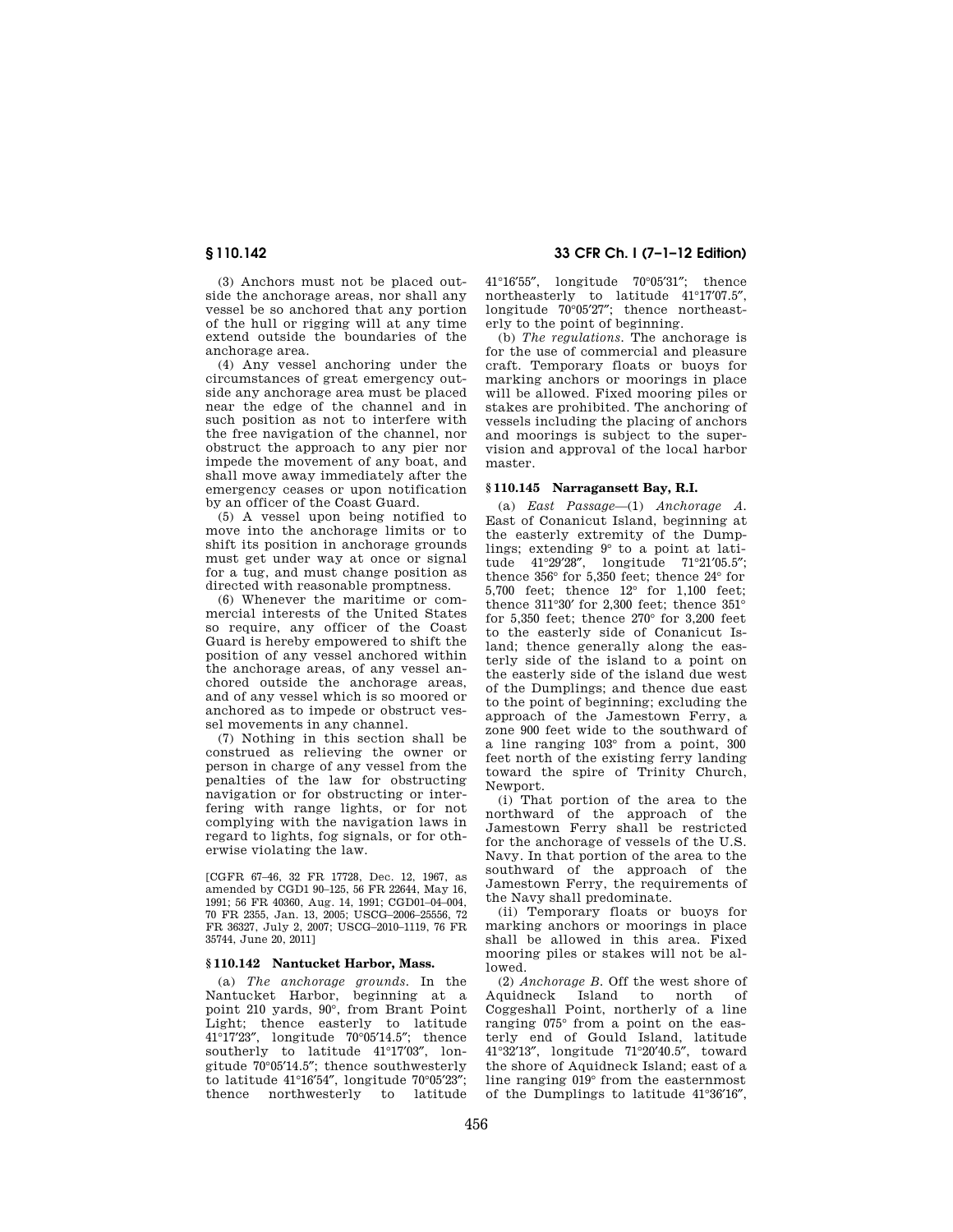(3) Anchors must not be placed outside the anchorage areas, nor shall any vessel be so anchored that any portion of the hull or rigging will at any time extend outside the boundaries of the anchorage area.

(4) Any vessel anchoring under the circumstances of great emergency outside any anchorage area must be placed near the edge of the channel and in such position as not to interfere with the free navigation of the channel, nor obstruct the approach to any pier nor impede the movement of any boat, and shall move away immediately after the emergency ceases or upon notification by an officer of the Coast Guard.

(5) A vessel upon being notified to move into the anchorage limits or to shift its position in anchorage grounds must get under way at once or signal for a tug, and must change position as directed with reasonable promptness.

(6) Whenever the maritime or commercial interests of the United States so require, any officer of the Coast Guard is hereby empowered to shift the position of any vessel anchored within the anchorage areas, of any vessel anchored outside the anchorage areas, and of any vessel which is so moored or anchored as to impede or obstruct vessel movements in any channel.

(7) Nothing in this section shall be construed as relieving the owner or person in charge of any vessel from the penalties of the law for obstructing navigation or for obstructing or interfering with range lights, or for not complying with the navigation laws in regard to lights, fog signals, or for otherwise violating the law.

[CGFR 67–46, 32 FR 17728, Dec. 12, 1967, as amended by CGD1 90–125, 56 FR 22644, May 16, 1991; 56 FR 40360, Aug. 14, 1991; CGD01–04–004, 70 FR 2355, Jan. 13, 2005; USCG–2006–25556, 72 FR 36327, July 2, 2007; USCG–2010–1119, 76 FR 35744, June 20, 2011]

# **§ 110.142 Nantucket Harbor, Mass.**

(a) *The anchorage grounds.* In the Nantucket Harbor, beginning at a point 210 yards, 90°, from Brant Point Light; thence easterly to latitude 41°17′23″, longitude 70°05′14.5″; thence southerly to latitude 41°17′03″, longitude 70°05′14.5″; thence southwesterly to latitude 41°16'54", longitude 70°05'23";<br>thence northwesterly to latitude northwesterly

# **§ 110.142 33 CFR Ch. I (7–1–12 Edition)**

41°16′55″, longitude 70°05′31″; thence northeasterly to latitude 41°17′07.5″, longitude 70°05′27″; thence northeasterly to the point of beginning.

(b) *The regulations.* The anchorage is for the use of commercial and pleasure craft. Temporary floats or buoys for marking anchors or moorings in place will be allowed. Fixed mooring piles or stakes are prohibited. The anchoring of vessels including the placing of anchors and moorings is subject to the supervision and approval of the local harbor master.

## **§ 110.145 Narragansett Bay, R.I.**

(a) *East Passage*—(1) *Anchorage A.*  East of Conanicut Island, beginning at the easterly extremity of the Dumplings; extending 9° to a point at latitude 41°29′28″, longitude 71°21′05.5″; thence 356° for 5,350 feet; thence 24° for 5,700 feet; thence 12° for 1,100 feet; thence 311°30′ for 2,300 feet; thence 351° for 5,350 feet; thence 270° for 3,200 feet to the easterly side of Conanicut Island; thence generally along the easterly side of the island to a point on the easterly side of the island due west of the Dumplings; and thence due east to the point of beginning; excluding the approach of the Jamestown Ferry, a zone 900 feet wide to the southward of a line ranging 103° from a point, 300 feet north of the existing ferry landing toward the spire of Trinity Church, Newport.

(i) That portion of the area to the northward of the approach of the Jamestown Ferry shall be restricted for the anchorage of vessels of the U.S. Navy. In that portion of the area to the southward of the approach of the Jamestown Ferry, the requirements of the Navy shall predominate.

(ii) Temporary floats or buoys for marking anchors or moorings in place shall be allowed in this area. Fixed mooring piles or stakes will not be allowed.

(2) *Anchorage B.* Off the west shore of Aquidneck Island to north of Coggeshall Point, northerly of a line ranging 075° from a point on the easterly end of Gould Island, latitude 41°32′13″, longitude 71°20′40.5″, toward the shore of Aquidneck Island; east of a line ranging 019° from the easternmost of the Dumplings to latitude 41°36′16″,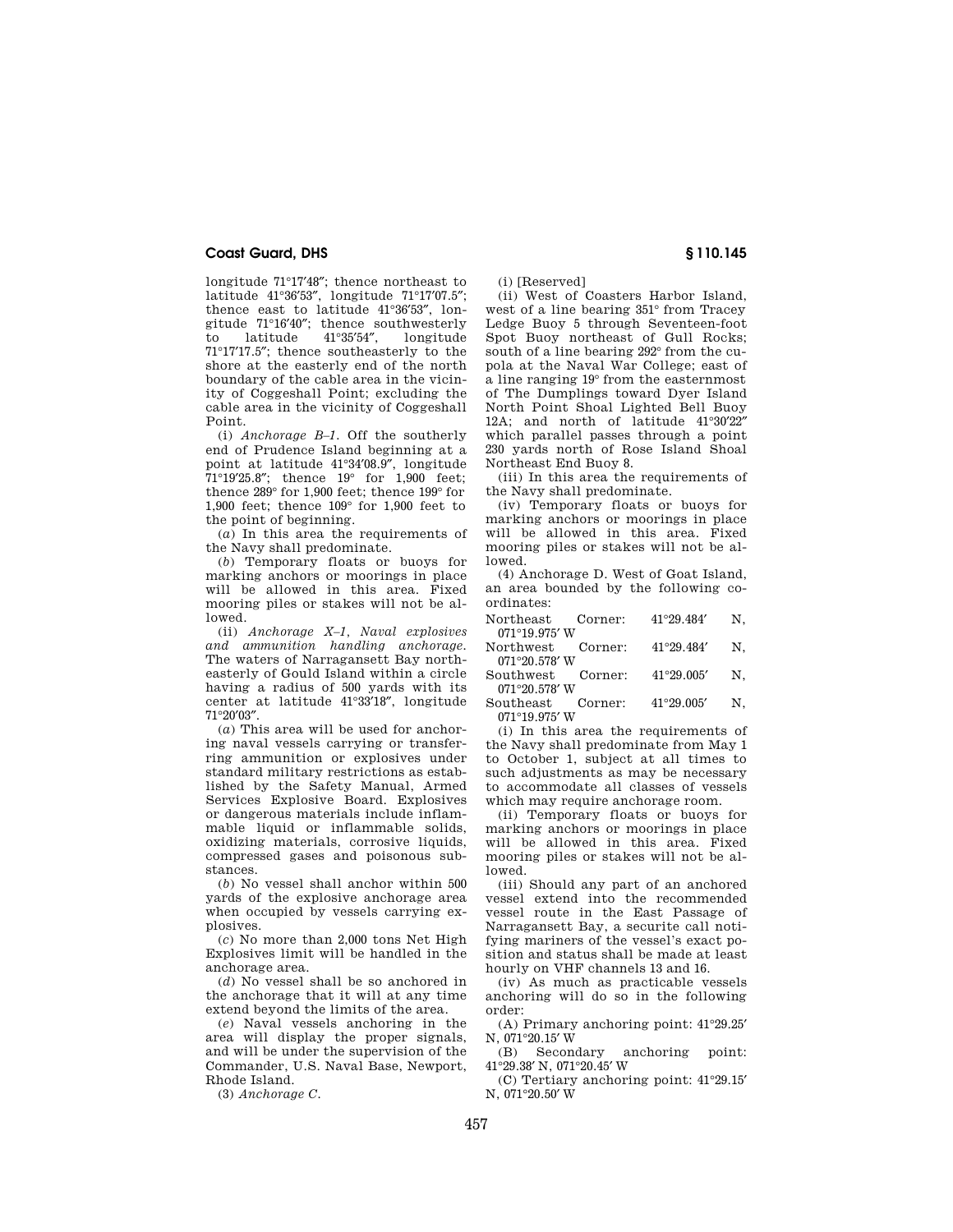longitude 71°17′48″; thence northeast to latitude 41°36′53″, longitude 71°17′07.5″; thence east to latitude 41°36′53″, longitude 71°16′40″; thence southwesterly longitude 71°17′17.5″; thence southeasterly to the shore at the easterly end of the north boundary of the cable area in the vicinity of Coggeshall Point; excluding the cable area in the vicinity of Coggeshall Point.

(i) *Anchorage B–1.* Off the southerly end of Prudence Island beginning at a point at latitude 41°34′08.9″, longitude 71°19′25.8″; thence 19° for 1,900 feet; thence 289° for 1,900 feet; thence 199° for 1,900 feet; thence 109° for 1,900 feet to the point of beginning.

(*a*) In this area the requirements of the Navy shall predominate.

(*b*) Temporary floats or buoys for marking anchors or moorings in place will be allowed in this area. Fixed mooring piles or stakes will not be allowed.

(ii) *Anchorage X–1, Naval explosives and ammunition handling anchorage.*  The waters of Narragansett Bay northeasterly of Gould Island within a circle having a radius of 500 yards with its center at latitude 41°33′18″, longitude 71°20′03″.

(*a*) This area will be used for anchoring naval vessels carrying or transferring ammunition or explosives under standard military restrictions as established by the Safety Manual, Armed Services Explosive Board. Explosives or dangerous materials include inflammable liquid or inflammable solids, oxidizing materials, corrosive liquids, compressed gases and poisonous substances.

(*b*) No vessel shall anchor within 500 yards of the explosive anchorage area when occupied by vessels carrying explosives.

(*c*) No more than 2,000 tons Net High Explosives limit will be handled in the anchorage area.

(*d*) No vessel shall be so anchored in the anchorage that it will at any time extend beyond the limits of the area.

(*e*) Naval vessels anchoring in the area will display the proper signals, and will be under the supervision of the Commander, U.S. Naval Base, Newport, Rhode Island.

(3) *Anchorage C.* 

(i) [Reserved]

(ii) West of Coasters Harbor Island, west of a line bearing 351° from Tracey Ledge Buoy 5 through Seventeen-foot Spot Buoy northeast of Gull Rocks; south of a line bearing 292° from the cupola at the Naval War College; east of a line ranging 19° from the easternmost of The Dumplings toward Dyer Island North Point Shoal Lighted Bell Buoy 12A; and north of latitude 41°30′22″ which parallel passes through a point 230 yards north of Rose Island Shoal Northeast End Buoy 8.

(iii) In this area the requirements of the Navy shall predominate.

(iv) Temporary floats or buoys for marking anchors or moorings in place will be allowed in this area. Fixed mooring piles or stakes will not be allowed.

(4) Anchorage D. West of Goat Island, an area bounded by the following coordinates:

Northeast Corner:  $41^{\circ}29.484'$  N,

 $071^{\circ}19.975' \, \mathrm{W}$  Northwest Corner:  $41°29.484' N$ ,  $071^{\circ}20.578'$  W<br>outhwest Corner

Southwest Corner:  $41^{\circ}29.005'$  N.

071°20.578′ W<br>outheast Corner: Southeast Corner:  $41^{\circ}29.005'$  N, 071°19.975′ W

(i) In this area the requirements of the Navy shall predominate from May 1 to October 1, subject at all times to such adjustments as may be necessary to accommodate all classes of vessels which may require anchorage room.

(ii) Temporary floats or buoys for marking anchors or moorings in place will be allowed in this area. Fixed mooring piles or stakes will not be allowed.

(iii) Should any part of an anchored vessel extend into the recommended vessel route in the East Passage of Narragansett Bay, a securite call notifying mariners of the vessel's exact position and status shall be made at least hourly on VHF channels 13 and 16.

(iv) As much as practicable vessels anchoring will do so in the following order:

(A) Primary anchoring point: 41°29.25′ N, 071°20.15′ W<br>(B) Secondary

anchoring point: 41°29.38′ N, 071°20.45′ W

(C) Tertiary anchoring point: 41°29.15′ N, 071°20.50′ W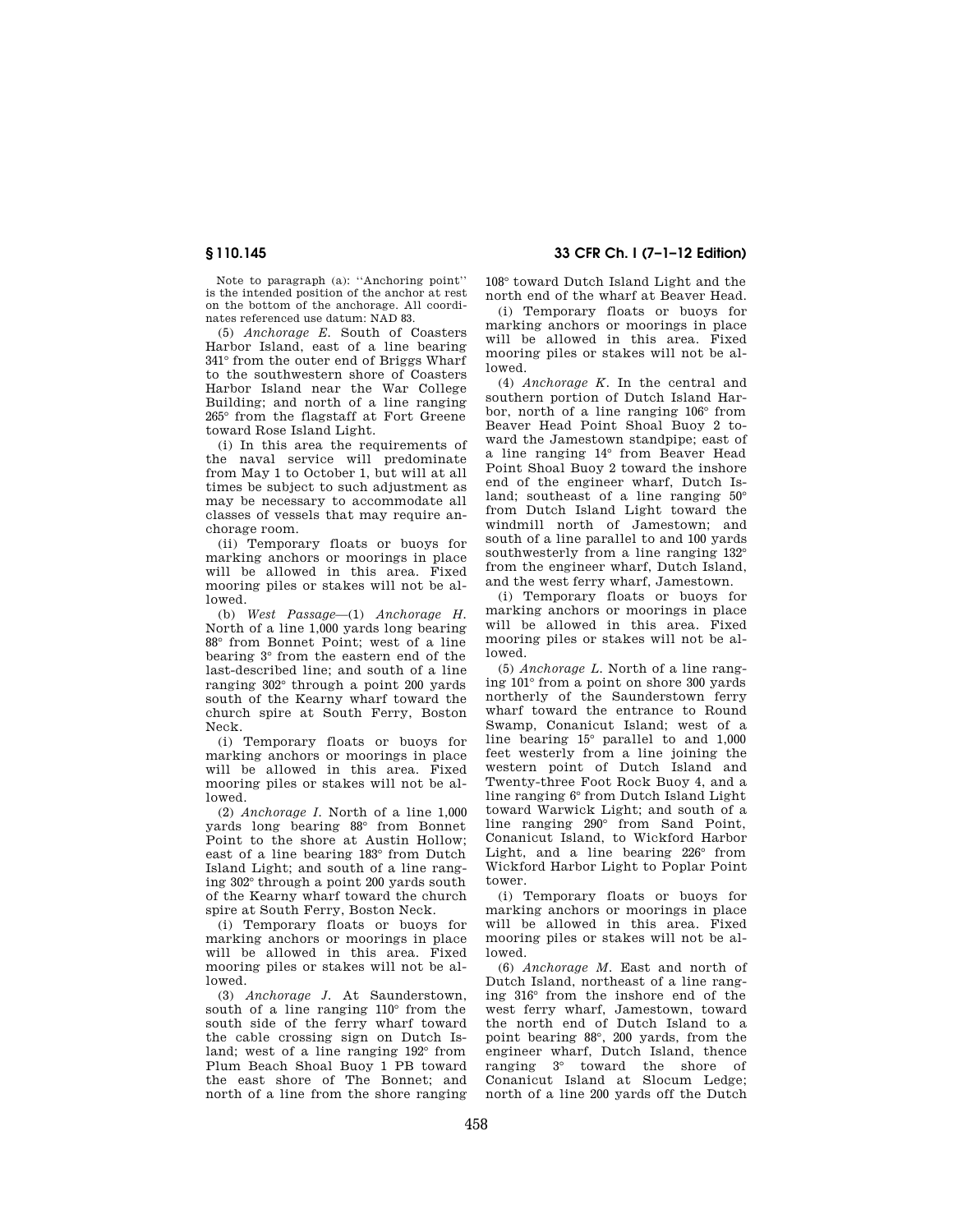Note to paragraph (a): ''Anchoring point'' is the intended position of the anchor at rest on the bottom of the anchorage. All coordinates referenced use datum: NAD 83.

(5) *Anchorage E.* South of Coasters Harbor Island, east of a line bearing 341° from the outer end of Briggs Wharf to the southwestern shore of Coasters Harbor Island near the War College Building; and north of a line ranging 265° from the flagstaff at Fort Greene toward Rose Island Light.

(i) In this area the requirements of the naval service will predominate from May 1 to October 1, but will at all times be subject to such adjustment as may be necessary to accommodate all classes of vessels that may require anchorage room.

(ii) Temporary floats or buoys for marking anchors or moorings in place will be allowed in this area. Fixed mooring piles or stakes will not be allowed.

(b) *West Passage*—(1) *Anchorage H.*  North of a line 1,000 yards long bearing 88° from Bonnet Point; west of a line bearing 3° from the eastern end of the last-described line; and south of a line ranging 302° through a point 200 yards south of the Kearny wharf toward the church spire at South Ferry, Boston Neck.

(i) Temporary floats or buoys for marking anchors or moorings in place will be allowed in this area. Fixed mooring piles or stakes will not be allowed.

(2) *Anchorage I.* North of a line 1,000 yards long bearing 88° from Bonnet Point to the shore at Austin Hollow; east of a line bearing 183° from Dutch Island Light; and south of a line ranging 302° through a point 200 yards south of the Kearny wharf toward the church spire at South Ferry, Boston Neck.

(i) Temporary floats or buoys for marking anchors or moorings in place will be allowed in this area. Fixed mooring piles or stakes will not be allowed.

(3) *Anchorage J.* At Saunderstown, south of a line ranging 110° from the south side of the ferry wharf toward the cable crossing sign on Dutch Island; west of a line ranging 192° from Plum Beach Shoal Buoy 1 PB toward the east shore of The Bonnet; and north of a line from the shore ranging

# **§ 110.145 33 CFR Ch. I (7–1–12 Edition)**

108° toward Dutch Island Light and the north end of the wharf at Beaver Head.

(i) Temporary floats or buoys for marking anchors or moorings in place will be allowed in this area. Fixed mooring piles or stakes will not be allowed.

(4) *Anchorage K.* In the central and southern portion of Dutch Island Harbor, north of a line ranging 106° from Beaver Head Point Shoal Buoy 2 toward the Jamestown standpipe; east of a line ranging 14° from Beaver Head Point Shoal Buoy 2 toward the inshore end of the engineer wharf, Dutch Island; southeast of a line ranging 50° from Dutch Island Light toward the windmill north of Jamestown; and south of a line parallel to and 100 yards southwesterly from a line ranging 132° from the engineer wharf, Dutch Island, and the west ferry wharf, Jamestown.

(i) Temporary floats or buoys for marking anchors or moorings in place will be allowed in this area. Fixed mooring piles or stakes will not be allowed.

(5) *Anchorage L.* North of a line ranging 101° from a point on shore 300 yards northerly of the Saunderstown ferry wharf toward the entrance to Round Swamp, Conanicut Island; west of a line bearing 15° parallel to and 1,000 feet westerly from a line joining the western point of Dutch Island and Twenty-three Foot Rock Buoy 4, and a line ranging 6° from Dutch Island Light toward Warwick Light; and south of a line ranging 290° from Sand Point, Conanicut Island, to Wickford Harbor Light, and a line bearing 226° from Wickford Harbor Light to Poplar Point tower.

(i) Temporary floats or buoys for marking anchors or moorings in place will be allowed in this area. Fixed mooring piles or stakes will not be allowed.

(6) *Anchorage M.* East and north of Dutch Island, northeast of a line ranging 316° from the inshore end of the west ferry wharf, Jamestown, toward the north end of Dutch Island to a point bearing 88°, 200 yards, from the engineer wharf, Dutch Island, thence ranging 3° toward the shore of Conanicut Island at Slocum Ledge; north of a line 200 yards off the Dutch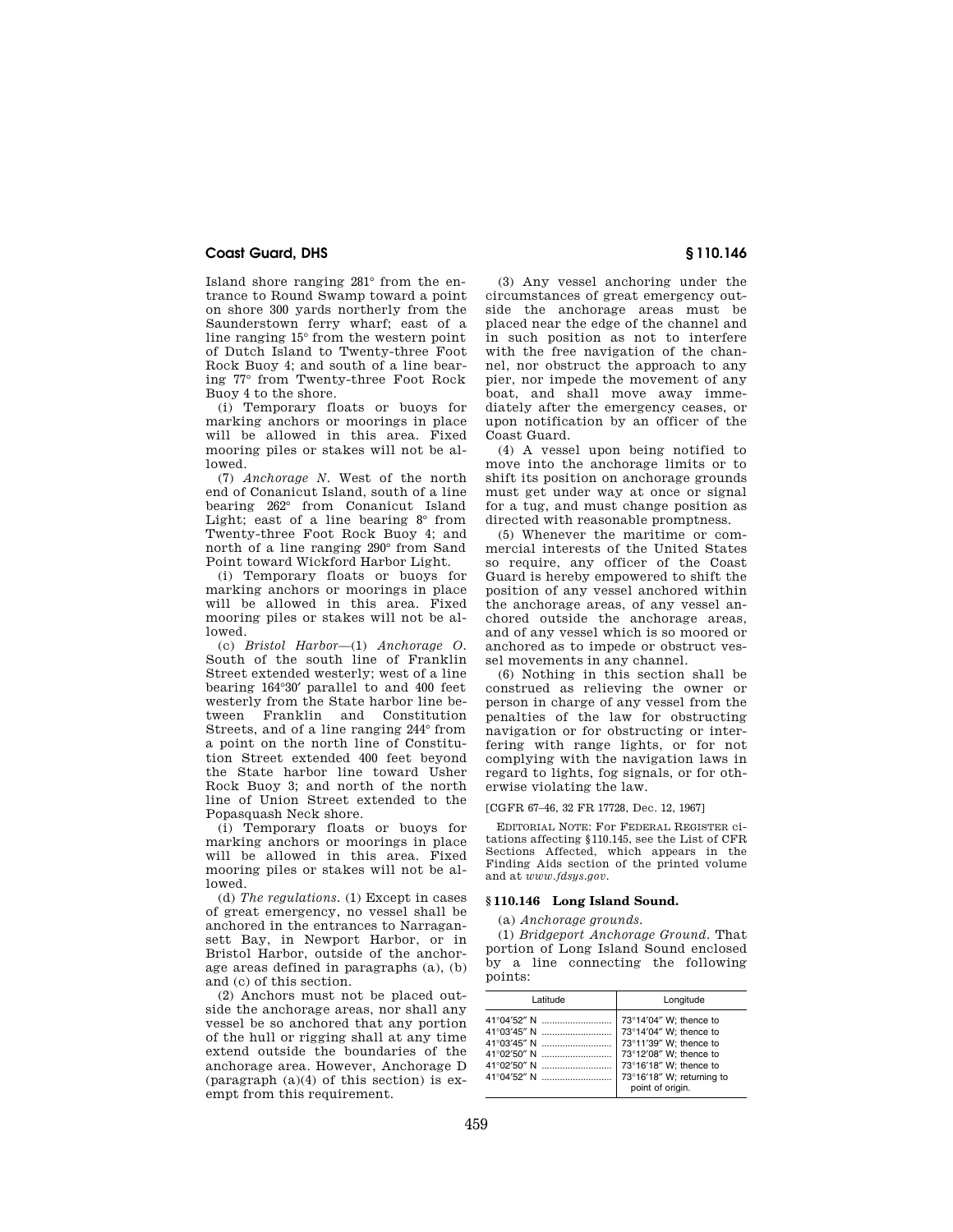Island shore ranging 281° from the entrance to Round Swamp toward a point on shore 300 yards northerly from the Saunderstown ferry wharf; east of a line ranging 15° from the western point of Dutch Island to Twenty-three Foot Rock Buoy 4; and south of a line bearing 77° from Twenty-three Foot Rock Buoy 4 to the shore.

(i) Temporary floats or buoys for marking anchors or moorings in place will be allowed in this area. Fixed mooring piles or stakes will not be allowed.

(7) *Anchorage N.* West of the north end of Conanicut Island, south of a line bearing 262° from Conanicut Island Light; east of a line bearing  $8^\circ$  from Twenty-three Foot Rock Buoy 4; and north of a line ranging 290° from Sand Point toward Wickford Harbor Light.

(i) Temporary floats or buoys for marking anchors or moorings in place will be allowed in this area. Fixed mooring piles or stakes will not be allowed.

(c) *Bristol Harbor*—(1) *Anchorage O.*  South of the south line of Franklin Street extended westerly; west of a line bearing 164°30′ parallel to and 400 feet westerly from the State harbor line between Franklin and Constitution Streets, and of a line ranging 244° from a point on the north line of Constitution Street extended 400 feet beyond the State harbor line toward Usher Rock Buoy 3; and north of the north line of Union Street extended to the Popasquash Neck shore.

(i) Temporary floats or buoys for marking anchors or moorings in place will be allowed in this area. Fixed mooring piles or stakes will not be allowed.

(d) *The regulations.* (1) Except in cases of great emergency, no vessel shall be anchored in the entrances to Narragansett Bay, in Newport Harbor, or in Bristol Harbor, outside of the anchorage areas defined in paragraphs (a), (b) and (c) of this section.

(2) Anchors must not be placed outside the anchorage areas, nor shall any vessel be so anchored that any portion of the hull or rigging shall at any time extend outside the boundaries of the anchorage area. However, Anchorage D (paragraph (a)(4) of this section) is exempt from this requirement.

(3) Any vessel anchoring under the circumstances of great emergency outside the anchorage areas must be placed near the edge of the channel and in such position as not to interfere with the free navigation of the channel, nor obstruct the approach to any pier, nor impede the movement of any boat, and shall move away immediately after the emergency ceases, or upon notification by an officer of the Coast Guard.

(4) A vessel upon being notified to move into the anchorage limits or to shift its position on anchorage grounds must get under way at once or signal for a tug, and must change position as directed with reasonable promptness.

(5) Whenever the maritime or commercial interests of the United States so require, any officer of the Coast Guard is hereby empowered to shift the position of any vessel anchored within the anchorage areas, of any vessel anchored outside the anchorage areas, and of any vessel which is so moored or anchored as to impede or obstruct vessel movements in any channel.

(6) Nothing in this section shall be construed as relieving the owner or person in charge of any vessel from the penalties of the law for obstructing navigation or for obstructing or interfering with range lights, or for not complying with the navigation laws in regard to lights, fog signals, or for otherwise violating the law.

#### [CGFR 67–46, 32 FR 17728, Dec. 12, 1967]

EDITORIAL NOTE: For FEDERAL REGISTER citations affecting §110.145, see the List of CFR Sections Affected, which appears in the Finding Aids section of the printed volume and at *www.fdsys.gov*.

### **§ 110.146 Long Island Sound.**

(a) *Anchorage grounds.* 

(1) *Bridgeport Anchorage Ground.* That portion of Long Island Sound enclosed by a line connecting the following points:

| Latitude    | Longitude                                                                                                                                                                       |
|-------------|---------------------------------------------------------------------------------------------------------------------------------------------------------------------------------|
| 41°02′50″ N | 73°14'04" W: thence to<br>73°14'04" W; thence to<br>73°11'39" W: thence to<br>73°12'08" W; thence to<br>73°16'18" W; thence to<br>73°16'18" W; returning to<br>point of origin. |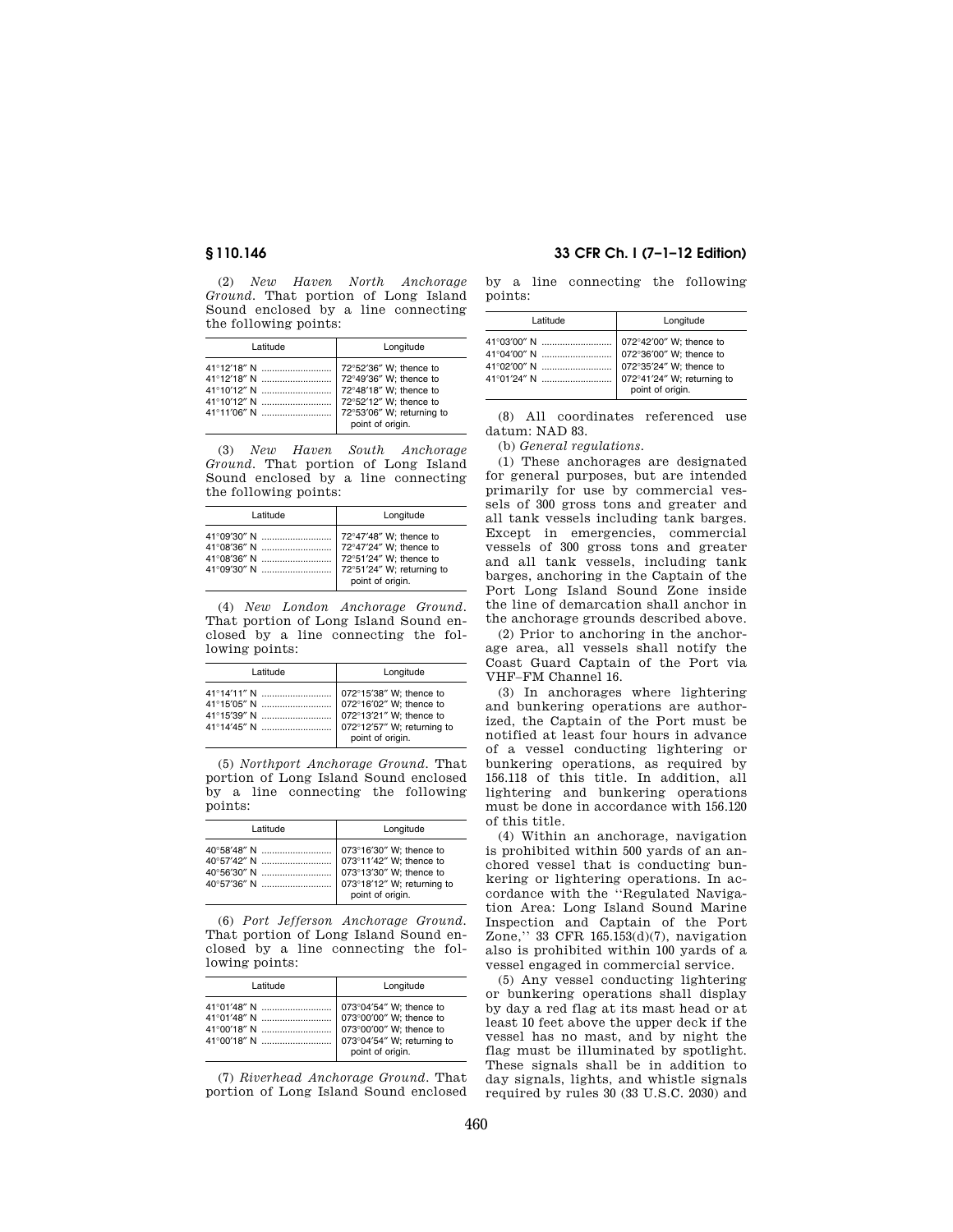(2) *New Haven North Anchorage Ground.* That portion of Long Island Sound enclosed by a line connecting the following points:

| Latitude | Longitude                                                                                                                   |
|----------|-----------------------------------------------------------------------------------------------------------------------------|
|          | 72°52'36" W; thence to<br>72°48'18" W; thence to<br>72°52'12" W; thence to<br>72°53'06" W; returning to<br>point of origin. |

(3) *New Haven South Anchorage Ground.* That portion of Long Island Sound enclosed by a line connecting the following points:

| Latitude | Longitude                 |
|----------|---------------------------|
|          | 72°47'48" W; thence to    |
|          | 72°51'24" W: thence to    |
|          | 72°51'24" W; returning to |
|          | point of origin.          |

(4) *New London Anchorage Ground.*  That portion of Long Island Sound enclosed by a line connecting the following points:

| Latitude | Longitude                                                              |
|----------|------------------------------------------------------------------------|
|          | 072°15'38" W; thence to<br>072°13'21" W; thence to<br>point of origin. |

(5) *Northport Anchorage Ground.* That portion of Long Island Sound enclosed by a line connecting the following points:

| Latitude | Longitude                                                                                                                       |
|----------|---------------------------------------------------------------------------------------------------------------------------------|
|          | 073°16'30" W: thence to<br>073°11'42" W; thence to<br>073°13'30" W; thence to<br>073°18'12" W; returning to<br>point of origin. |

(6) *Port Jefferson Anchorage Ground.*  That portion of Long Island Sound enclosed by a line connecting the following points:

| Latitude | Longitude        |
|----------|------------------|
|          | point of origin. |

(7) *Riverhead Anchorage Ground.* That portion of Long Island Sound enclosed

# **§ 110.146 33 CFR Ch. I (7–1–12 Edition)**

by a line connecting the following points:

| Latitude                                                                                                                                                                 | Longitude        |
|--------------------------------------------------------------------------------------------------------------------------------------------------------------------------|------------------|
| 41°03'00" N    072°42'00" W; thence to<br>41°04'00" N    072°36'00" W; thence to<br>41°02'00" N    072°35'24" W; thence to<br>41°01′24″ N     072°41′24″ W; returning to | point of origin. |

(8) All coordinates referenced use datum: NAD 83.

(b) *General regulations.* 

(1) These anchorages are designated for general purposes, but are intended primarily for use by commercial vessels of 300 gross tons and greater and all tank vessels including tank barges. Except in emergencies, commercial vessels of 300 gross tons and greater and all tank vessels, including tank barges, anchoring in the Captain of the Port Long Island Sound Zone inside the line of demarcation shall anchor in the anchorage grounds described above.

(2) Prior to anchoring in the anchorage area, all vessels shall notify the Coast Guard Captain of the Port via VHF–FM Channel 16.

(3) In anchorages where lightering and bunkering operations are authorized, the Captain of the Port must be notified at least four hours in advance of a vessel conducting lightering or bunkering operations, as required by 156.118 of this title. In addition, all lightering and bunkering operations must be done in accordance with 156.120 of this title.

(4) Within an anchorage, navigation is prohibited within 500 yards of an anchored vessel that is conducting bunkering or lightering operations. In accordance with the ''Regulated Navigation Area: Long Island Sound Marine Inspection and Captain of the Port Zone,'' 33 CFR 165.153(d)(7), navigation also is prohibited within 100 yards of a vessel engaged in commercial service.

(5) Any vessel conducting lightering or bunkering operations shall display by day a red flag at its mast head or at least 10 feet above the upper deck if the vessel has no mast, and by night the flag must be illuminated by spotlight. These signals shall be in addition to day signals, lights, and whistle signals required by rules 30 (33 U.S.C. 2030) and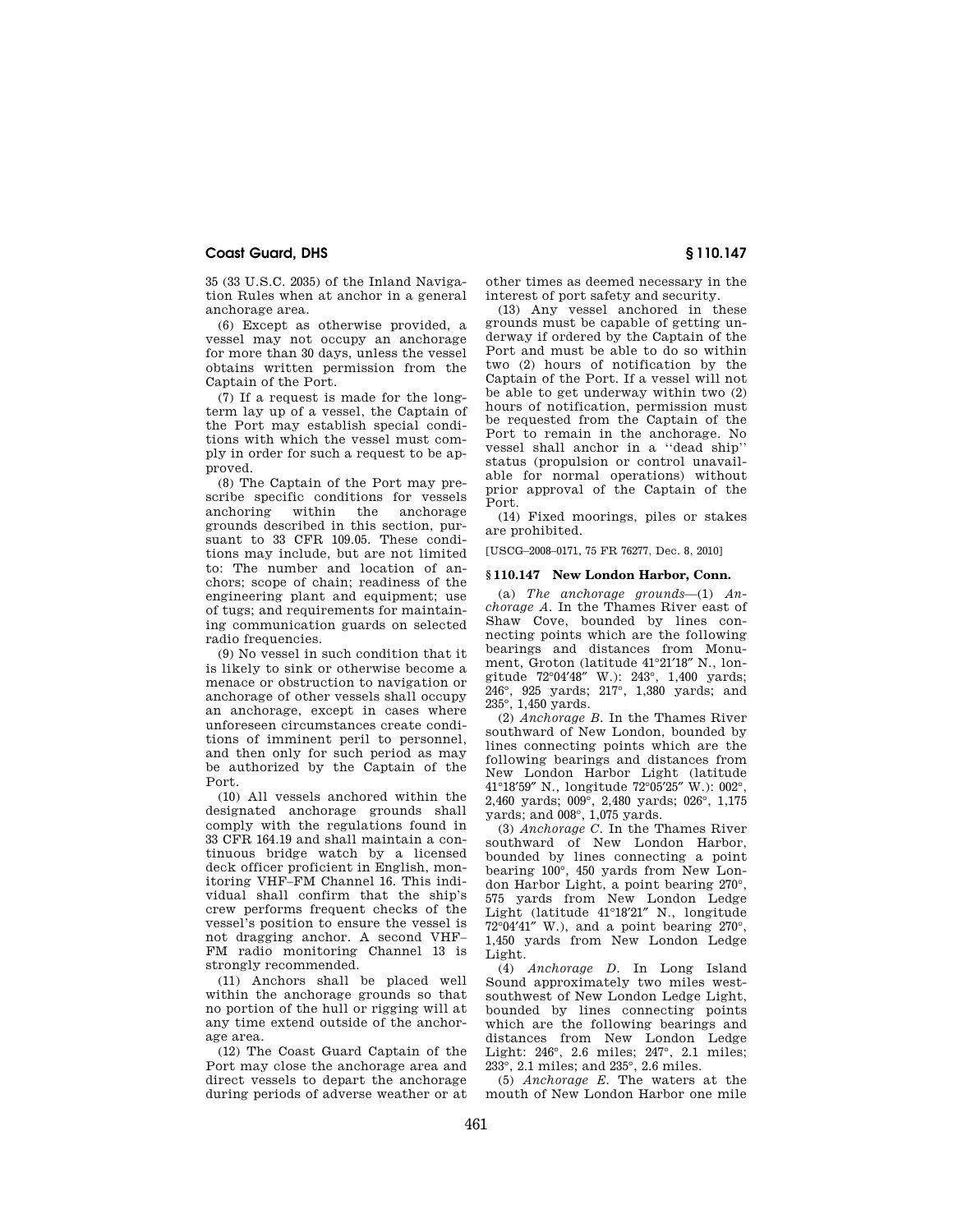35 (33 U.S.C. 2035) of the Inland Navigation Rules when at anchor in a general anchorage area.

(6) Except as otherwise provided, a vessel may not occupy an anchorage for more than 30 days, unless the vessel obtains written permission from the Captain of the Port.

(7) If a request is made for the longterm lay up of a vessel, the Captain of the Port may establish special conditions with which the vessel must comply in order for such a request to be approved.

(8) The Captain of the Port may prescribe specific conditions for vessels<br>anchoring within the anchorage within the grounds described in this section, pursuant to 33 CFR 109.05. These conditions may include, but are not limited to: The number and location of anchors; scope of chain; readiness of the engineering plant and equipment; use of tugs; and requirements for maintaining communication guards on selected radio frequencies.

(9) No vessel in such condition that it is likely to sink or otherwise become a menace or obstruction to navigation or anchorage of other vessels shall occupy an anchorage, except in cases where unforeseen circumstances create conditions of imminent peril to personnel, and then only for such period as may be authorized by the Captain of the Port.

(10) All vessels anchored within the designated anchorage grounds shall comply with the regulations found in 33 CFR 164.19 and shall maintain a continuous bridge watch by a licensed deck officer proficient in English, monitoring VHF–FM Channel 16. This individual shall confirm that the ship's crew performs frequent checks of the vessel's position to ensure the vessel is not dragging anchor. A second VHF– FM radio monitoring Channel 13 is strongly recommended.

(11) Anchors shall be placed well within the anchorage grounds so that no portion of the hull or rigging will at any time extend outside of the anchorage area.

(12) The Coast Guard Captain of the Port may close the anchorage area and direct vessels to depart the anchorage during periods of adverse weather or at other times as deemed necessary in the interest of port safety and security.

(13) Any vessel anchored in these grounds must be capable of getting underway if ordered by the Captain of the Port and must be able to do so within two (2) hours of notification by the Captain of the Port. If a vessel will not be able to get underway within two (2) hours of notification, permission must be requested from the Captain of the Port to remain in the anchorage. No vessel shall anchor in a ''dead ship'' status (propulsion or control unavailable for normal operations) without prior approval of the Captain of the Port.

(14) Fixed moorings, piles or stakes are prohibited.

[USCG–2008–0171, 75 FR 76277, Dec. 8, 2010]

### **§ 110.147 New London Harbor, Conn.**

(a) *The anchorage grounds*—(1) *Anchorage A.* In the Thames River east of Shaw Cove, bounded by lines connecting points which are the following bearings and distances from Monument, Groton (latitude 41°21′18″ N., longitude 72°04′48″ W.): 243°, 1,400 yards; 246°, 925 yards; 217°, 1,380 yards; and 235°, 1,450 yards.

(2) *Anchorage B.* In the Thames River southward of New London, bounded by lines connecting points which are the following bearings and distances from New London Harbor Light (latitude 41°18′59″ N., longitude 72°05′25″ W.): 002°, 2,460 yards; 009°, 2,480 yards; 026°, 1,175 yards; and 008°, 1,075 yards.

(3) *Anchorage C.* In the Thames River southward of New London Harbor, bounded by lines connecting a point bearing 100°, 450 yards from New London Harbor Light, a point bearing 270°, 575 yards from New London Ledge Light (latitude 41°18′21″ N., longitude  $72^{\circ}04'41''$  W.), and a point bearing  $270^{\circ}$ , 1,450 yards from New London Ledge Light.

(4) *Anchorage D.* In Long Island Sound approximately two miles westsouthwest of New London Ledge Light, bounded by lines connecting points which are the following bearings and distances from New London Ledge Light: 246°, 2.6 miles; 247°, 2.1 miles; 233°, 2.1 miles; and 235°, 2.6 miles.

(5) *Anchorage E.* The waters at the mouth of New London Harbor one mile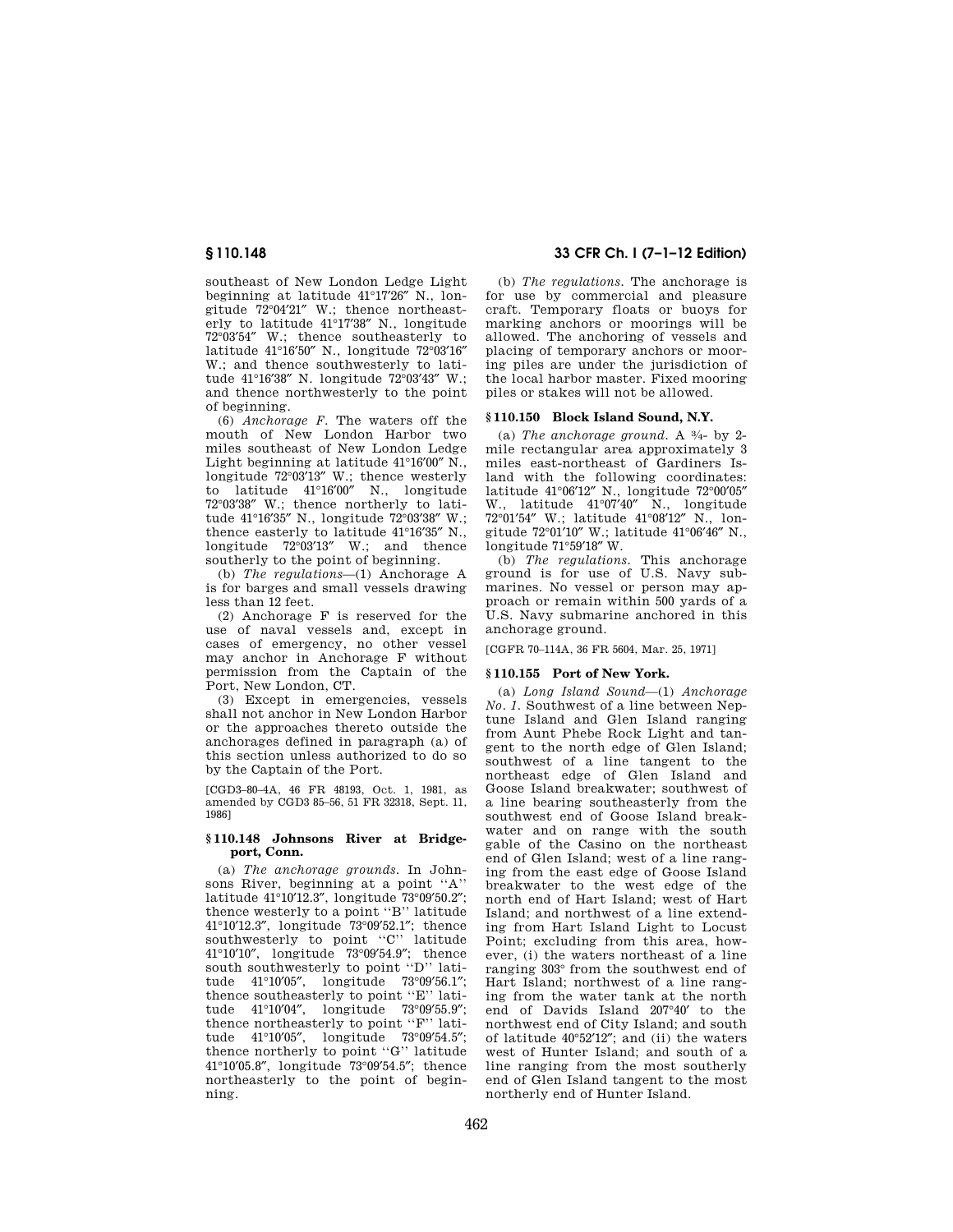southeast of New London Ledge Light beginning at latitude 41°17′26″ N., longitude 72°04′21″ W.; thence northeasterly to latitude 41°17′38″ N., longitude 72°03′54″ W.; thence southeasterly to latitude 41°16′50″ N., longitude 72°03′16″ W.; and thence southwesterly to latitude 41°16′38″ N. longitude 72°03′43″ W.; and thence northwesterly to the point of beginning.

(6) *Anchorage F.* The waters off the mouth of New London Harbor two miles southeast of New London Ledge Light beginning at latitude 41°16′00″ N., longitude 72°03′13″ W.; thence westerly to latitude 41°16′00″ N., longitude 72°03′38″ W.; thence northerly to latitude 41°16′35″ N., longitude 72°03′38″ W.; thence easterly to latitude  $41^{\circ}16'35''$  N. longitude 72°03′13″ W.; and thence southerly to the point of beginning.

(b) *The regulations*—(1) Anchorage A is for barges and small vessels drawing less than 12 feet.

(2) Anchorage F is reserved for the use of naval vessels and, except in cases of emergency, no other vessel may anchor in Anchorage F without permission from the Captain of the Port, New London, CT.

(3) Except in emergencies, vessels shall not anchor in New London Harbor or the approaches thereto outside the anchorages defined in paragraph (a) of this section unless authorized to do so by the Captain of the Port.

[CGD3–80–4A, 46 FR 48193, Oct. 1, 1981, as amended by CGD3 85–56, 51 FR 32318, Sept. 11, 1986]

### **§ 110.148 Johnsons River at Bridgeport, Conn.**

(a) *The anchorage grounds.* In Johnsons River, beginning at a point ''A'' latitude 41°10′12.3″, longitude 73°09′50.2″; thence westerly to a point ''B'' latitude 41°10′12.3″, longitude 73°09′52.1″; thence southwesterly to point ''C'' latitude 41°10′10″, longitude 73°09′54.9″; thence south southwesterly to point "D" latitude 41°10′05″, longitude 73°09′56.1″; thence southeasterly to point "E" latitude 41°10′04″, longitude 73°09′55.9″; thence northeasterly to point ''F'' latitude 41°10′05″, longitude 73°09′54.5″; thence northerly to point ''G'' latitude 41°10′05.8″, longitude 73°09′54.5″; thence northeasterly to the point of beginning.

# **§ 110.148 33 CFR Ch. I (7–1–12 Edition)**

(b) *The regulations.* The anchorage is for use by commercial and pleasure craft. Temporary floats or buoys for marking anchors or moorings will be allowed. The anchoring of vessels and placing of temporary anchors or mooring piles are under the jurisdiction of the local harbor master. Fixed mooring piles or stakes will not be allowed.

## **§ 110.150 Block Island Sound, N.Y.**

(a) *The anchorage ground.* A 3⁄4- by 2 mile rectangular area approximately 3 miles east-northeast of Gardiners Island with the following coordinates: latitude 41°06′12″ N., longitude 72°00′05″ W., latitude 41°07′40″ N., longitude 72°01′54″ W.; latitude 41°08′12″ N., longitude 72°01′10″ W.; latitude 41°06′46″ N., longitude 71°59′18″ W.

(b) *The regulations.* This anchorage ground is for use of U.S. Navy submarines. No vessel or person may approach or remain within 500 yards of a U.S. Navy submarine anchored in this anchorage ground.

[CGFR 70–114A, 36 FR 5604, Mar. 25, 1971]

## **§ 110.155 Port of New York.**

(a) *Long Island Sound*—(1) *Anchorage No. 1.* Southwest of a line between Neptune Island and Glen Island ranging from Aunt Phebe Rock Light and tangent to the north edge of Glen Island; southwest of a line tangent to the northeast edge of Glen Island and Goose Island breakwater; southwest of a line bearing southeasterly from the southwest end of Goose Island breakwater and on range with the south gable of the Casino on the northeast end of Glen Island; west of a line ranging from the east edge of Goose Island breakwater to the west edge of the north end of Hart Island; west of Hart Island; and northwest of a line extending from Hart Island Light to Locust Point; excluding from this area, however, (i) the waters northeast of a line ranging 303° from the southwest end of Hart Island; northwest of a line ranging from the water tank at the north end of Davids Island 207°40′ to the northwest end of City Island; and south of latitude 40°52′12″; and (ii) the waters west of Hunter Island; and south of a line ranging from the most southerly end of Glen Island tangent to the most northerly end of Hunter Island.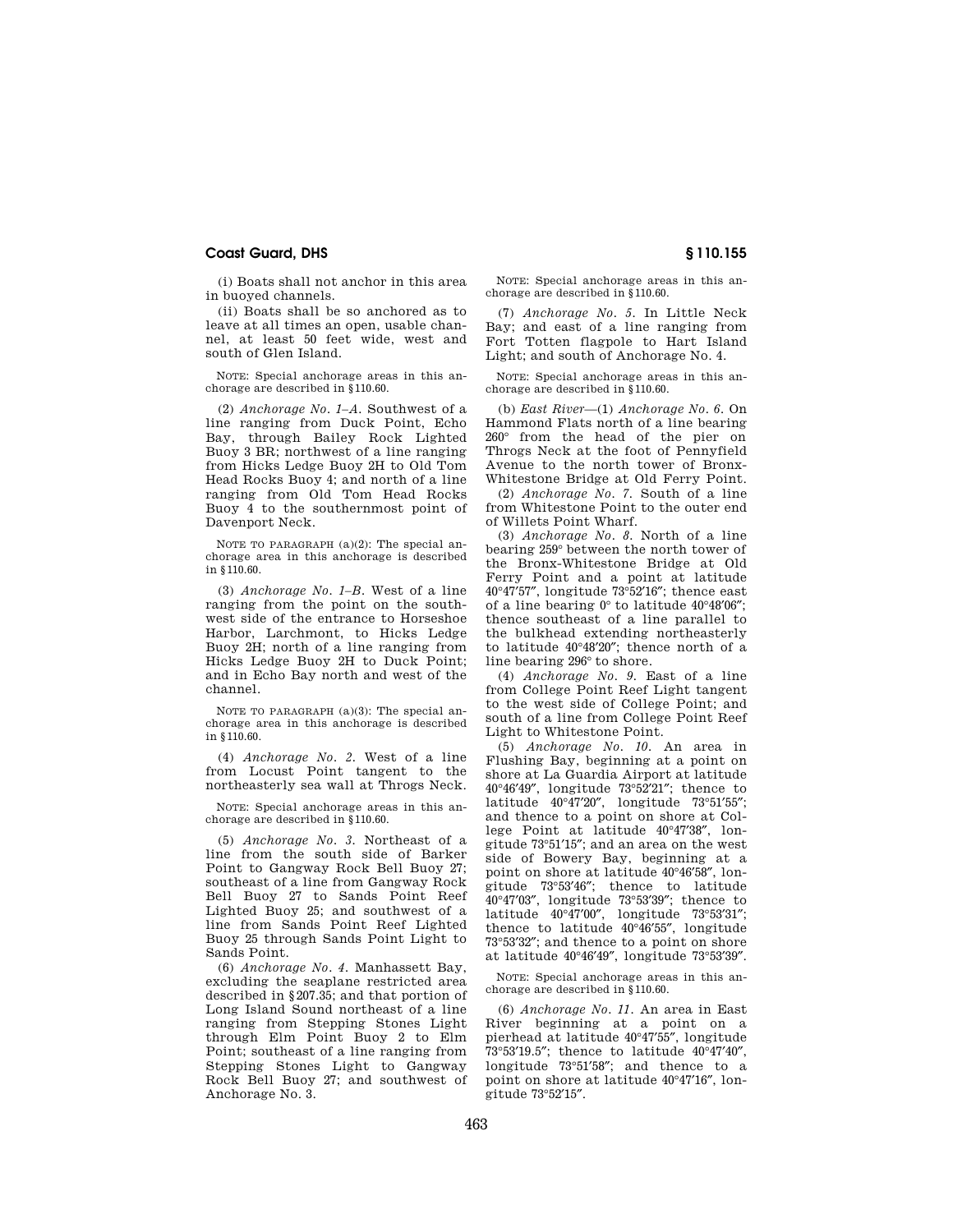(i) Boats shall not anchor in this area in buoyed channels.

(ii) Boats shall be so anchored as to leave at all times an open, usable channel, at least 50 feet wide, west and south of Glen Island.

NOTE: Special anchorage areas in this anchorage are described in §110.60.

(2) *Anchorage No. 1–A.* Southwest of a line ranging from Duck Point, Echo Bay, through Bailey Rock Lighted Buoy 3 BR; northwest of a line ranging from Hicks Ledge Buoy 2H to Old Tom Head Rocks Buoy 4; and north of a line ranging from Old Tom Head Rocks Buoy 4 to the southernmost point of Davenport Neck.

NOTE TO PARAGRAPH (a)(2): The special anchorage area in this anchorage is described in §110.60.

(3) *Anchorage No. 1–B.* West of a line ranging from the point on the southwest side of the entrance to Horseshoe Harbor, Larchmont, to Hicks Ledge Buoy 2H; north of a line ranging from Hicks Ledge Buoy 2H to Duck Point; and in Echo Bay north and west of the channel.

NOTE TO PARAGRAPH (a)(3): The special anchorage area in this anchorage is described in §110.60.

(4) *Anchorage No. 2.* West of a line from Locust Point tangent to the northeasterly sea wall at Throgs Neck.

NOTE: Special anchorage areas in this anchorage are described in §110.60.

(5) *Anchorage No. 3.* Northeast of a line from the south side of Barker Point to Gangway Rock Bell Buoy 27; southeast of a line from Gangway Rock Bell Buoy 27 to Sands Point Reef Lighted Buoy 25; and southwest of a line from Sands Point Reef Lighted Buoy 25 through Sands Point Light to Sands Point.

(6) *Anchorage No. 4.* Manhassett Bay, excluding the seaplane restricted area described in §207.35; and that portion of Long Island Sound northeast of a line ranging from Stepping Stones Light through Elm Point Buoy 2 to Elm Point; southeast of a line ranging from Stepping Stones Light to Gangway Rock Bell Buoy 27; and southwest of Anchorage No. 3.

NOTE: Special anchorage areas in this anchorage are described in §110.60.

(7) *Anchorage No. 5.* In Little Neck Bay; and east of a line ranging from Fort Totten flagpole to Hart Island Light; and south of Anchorage No. 4.

NOTE: Special anchorage areas in this anchorage are described in §110.60.

(b) *East River*—(1) *Anchorage No. 6.* On Hammond Flats north of a line bearing 260° from the head of the pier on Throgs Neck at the foot of Pennyfield Avenue to the north tower of Bronx-Whitestone Bridge at Old Ferry Point.

(2) *Anchorage No. 7.* South of a line from Whitestone Point to the outer end of Willets Point Wharf.

(3) *Anchorage No. 8.* North of a line bearing 259° between the north tower of the Bronx-Whitestone Bridge at Old Ferry Point and a point at latitude  $40^{\circ}47'57''$ , longitude  $73^{\circ}52'16''$ ; thence east of a line bearing 0° to latitude 40°48′06″; thence southeast of a line parallel to the bulkhead extending northeasterly to latitude 40°48′20″; thence north of a line bearing 296° to shore.

(4) *Anchorage No. 9.* East of a line from College Point Reef Light tangent to the west side of College Point; and south of a line from College Point Reef Light to Whitestone Point.

(5) *Anchorage No. 10.* An area in Flushing Bay, beginning at a point on shore at La Guardia Airport at latitude 40°46′49″, longitude 73°52′21″; thence to latitude 40°47′20″, longitude 73°51′55″; and thence to a point on shore at College Point at latitude 40°47′38″, longitude 73°51′15″; and an area on the west side of Bowery Bay, beginning at a point on shore at latitude 40°46′58″, longitude 73°53′46″; thence to latitude 40°47′03″, longitude 73°53′39″; thence to latitude 40°47′00″, longitude 73°53′31″; thence to latitude 40°46′55″, longitude 73°53′32″; and thence to a point on shore at latitude 40°46′49″, longitude 73°53′39″.

NOTE: Special anchorage areas in this anchorage are described in §110.60.

(6) *Anchorage No. 11.* An area in East River beginning at a point on a pierhead at latitude 40°47′55″, longitude 73°53′19.5″; thence to latitude 40°47′40″, longitude 73°51′58″; and thence to a point on shore at latitude 40°47′16″, longitude 73°52′15″.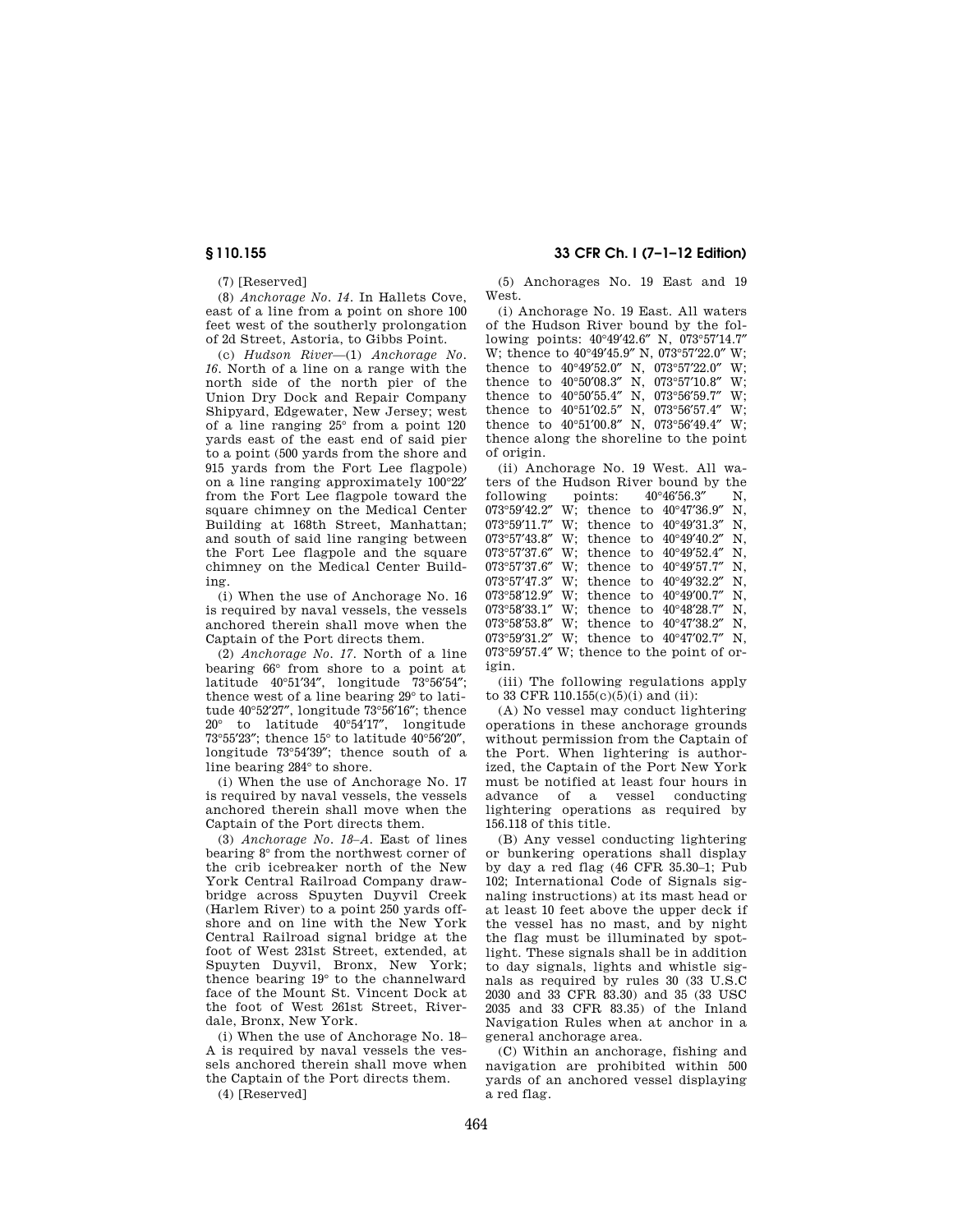(7) [Reserved]

(8) *Anchorage No. 14.* In Hallets Cove, east of a line from a point on shore 100 feet west of the southerly prolongation of 2d Street, Astoria, to Gibbs Point.

(c) *Hudson River*—(1) *Anchorage No. 16.* North of a line on a range with the north side of the north pier of the Union Dry Dock and Repair Company Shipyard, Edgewater, New Jersey; west of a line ranging 25° from a point 120 yards east of the east end of said pier to a point (500 yards from the shore and 915 yards from the Fort Lee flagpole) on a line ranging approximately 100°22′ from the Fort Lee flagpole toward the square chimney on the Medical Center Building at 168th Street, Manhattan; and south of said line ranging between the Fort Lee flagpole and the square chimney on the Medical Center Building.

(i) When the use of Anchorage No. 16 is required by naval vessels, the vessels anchored therein shall move when the Captain of the Port directs them.

(2) *Anchorage No. 17.* North of a line bearing 66° from shore to a point at latitude 40°51′34″, longitude 73°56′54″; thence west of a line bearing 29° to latitude 40°52′27″, longitude 73°56′16″; thence 20° to latitude 40°54′17″, longitude 73°55′23″; thence 15° to latitude 40°56′20″, longitude 73°54′39″; thence south of a line bearing 284° to shore.

(i) When the use of Anchorage No. 17 is required by naval vessels, the vessels anchored therein shall move when the Captain of the Port directs them.

(3) *Anchorage No. 18–A.* East of lines bearing 8° from the northwest corner of the crib icebreaker north of the New York Central Railroad Company drawbridge across Spuyten Duyvil Creek (Harlem River) to a point 250 yards offshore and on line with the New York Central Railroad signal bridge at the foot of West 231st Street, extended, at Spuyten Duyvil, Bronx, New York; thence bearing 19° to the channelward face of the Mount St. Vincent Dock at the foot of West 261st Street, Riverdale, Bronx, New York.

(i) When the use of Anchorage No. 18– A is required by naval vessels the vessels anchored therein shall move when the Captain of the Port directs them.

(4) [Reserved]

# **§ 110.155 33 CFR Ch. I (7–1–12 Edition)**

(5) Anchorages No. 19 East and 19 West.

(i) Anchorage No. 19 East. All waters of the Hudson River bound by the following points: 40°49′42.6″ N, 073°57′14.7″ W; thence to 40°49′45.9″ N, 073°57′22.0″ W; thence to 40°49′52.0″ N, 073°57′22.0″ W; thence to 40°50′08.3″ N, 073°57′10.8″ W; thence to 40°50′55.4″ N, 073°56′59.7″ W; thence to 40°51′02.5″ N, 073°56′57.4″ W; thence to 40°51′00.8″ N, 073°56′49.4″ W; thence along the shoreline to the point of origin.

(ii) Anchorage No. 19 West. All waters of the Hudson River bound by the following points:  $40^{\circ}46'56.3''$  N,<br>073°59'42.2" W: thence to  $40^{\circ}47'36.9''$  N. W; thence to  $40^{\circ}47'36.9''$  N,<br>W: thence to  $40^{\circ}49'31.3''$  N,  $073^{\circ}59'11.7''$  W; thence to  $40^{\circ}49'31.3''$ 073°57′43.8″ W; thence to 40°49′40.2″ N, 073°57′37.6″ W; thence to 40°49′52.4″ N, 073°57′37.6″ W; thence to 40°49′57.7″ N, 073°57′47.3″ W; thence to 40°49′32.2″ N, 073°58′12.9″ W; thence to 40°49′00.7″ N, 073°58′33.1″ W; thence to 40°48′28.7″ N, 073°58′53.8″ W; thence to 40°47′38.2″ N, 073°59′31.2″ W; thence to 40°47′02.7″ N, 073°59′57.4″ W; thence to the point of origin.

(iii) The following regulations apply to 33 CFR 110.155(c)(5)(i) and (ii):

(A) No vessel may conduct lightering operations in these anchorage grounds without permission from the Captain of the Port. When lightering is authorized, the Captain of the Port New York must be notified at least four hours in advance of a vessel conducting lightering operations as required by 156.118 of this title.

(B) Any vessel conducting lightering or bunkering operations shall display by day a red flag (46 CFR 35.30–1; Pub 102; International Code of Signals signaling instructions) at its mast head or at least 10 feet above the upper deck if the vessel has no mast, and by night the flag must be illuminated by spotlight. These signals shall be in addition to day signals, lights and whistle signals as required by rules 30 (33 U.S.C 2030 and 33 CFR 83.30) and 35 (33 USC 2035 and 33 CFR 83.35) of the Inland Navigation Rules when at anchor in a general anchorage area.

(C) Within an anchorage, fishing and navigation are prohibited within 500 yards of an anchored vessel displaying a red flag.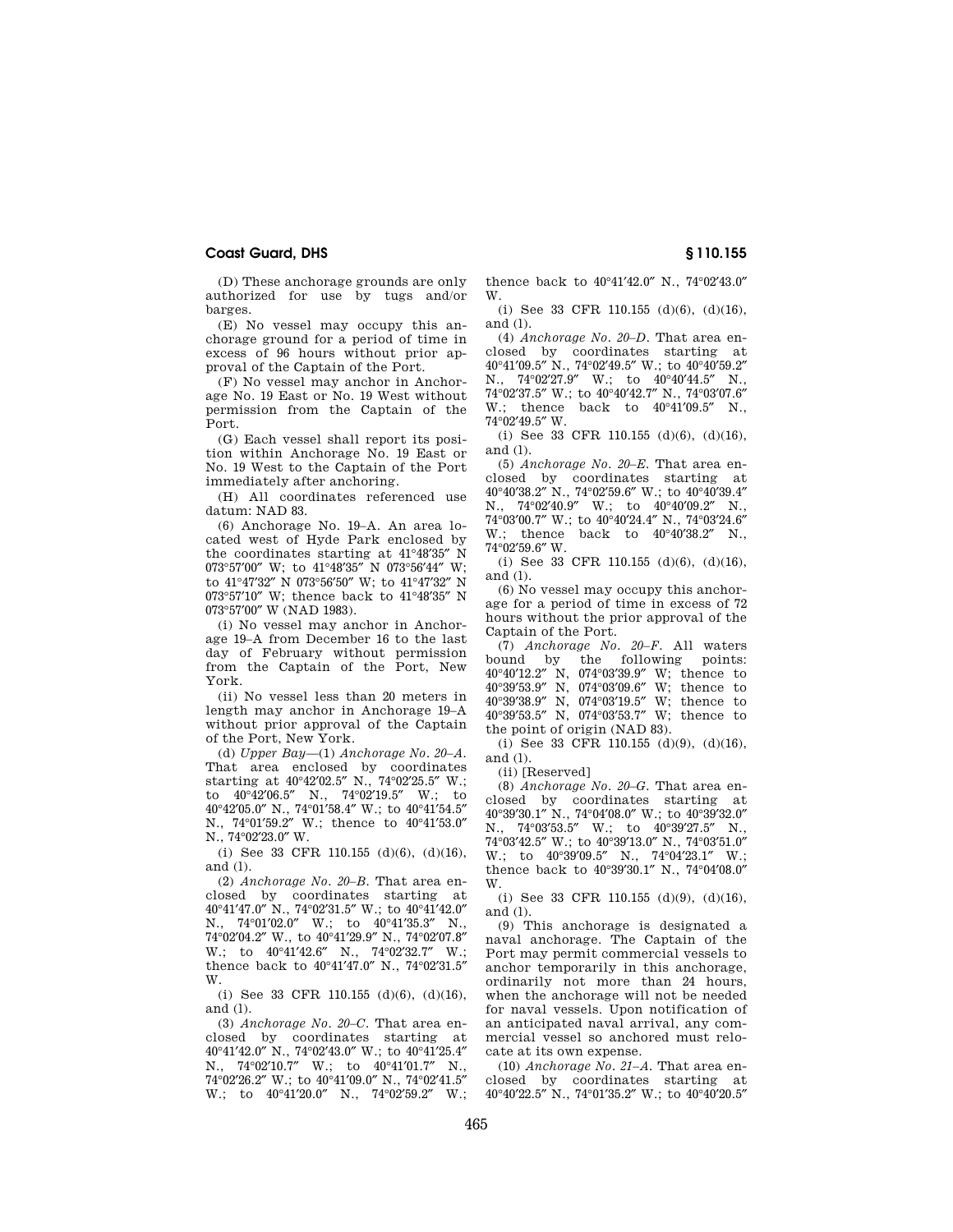(D) These anchorage grounds are only authorized for use by tugs and/or barges.

(E) No vessel may occupy this anchorage ground for a period of time in excess of 96 hours without prior approval of the Captain of the Port.

(F) No vessel may anchor in Anchorage No. 19 East or No. 19 West without permission from the Captain of the Port.

(G) Each vessel shall report its position within Anchorage No. 19 East or No. 19 West to the Captain of the Port immediately after anchoring.

(H) All coordinates referenced use datum: NAD 83.

(6) Anchorage No. 19–A. An area located west of Hyde Park enclosed by the coordinates starting at 41°48′35″ N 073°57′00″ W; to 41°48′35″ N 073°56′44″ W; to 41°47′32″ N 073°56′50″ W; to 41°47′32″ N 073°57′10″ W; thence back to 41°48′35″ N 073°57′00″ W (NAD 1983).

(i) No vessel may anchor in Anchorage 19–A from December 16 to the last day of February without permission from the Captain of the Port, New York.

(ii) No vessel less than 20 meters in length may anchor in Anchorage 19–A without prior approval of the Captain of the Port, New York.

(d) *Upper Bay*—(1) *Anchorage No. 20–A.*  That area enclosed by coordinates starting at 40°42′02.5″ N., 74°02′25.5″ W.; to 40°42′06.5″ N., 74°02′19.5″ W.; to 40°42′05.0″ N., 74°01′58.4″ W.; to 40°41′54.5″ N., 74°01′59.2″ W.; thence to 40°41′53.0″ N., 74°02′23.0″ W.

(i) See 33 CFR 110.155 (d)(6), (d)(16), and (l).

(2) *Anchorage No. 20–B.* That area enclosed by coordinates starting at 40°41′47.0″ N., 74°02′31.5″ W.; to 40°41′42.0″ N., 74°01′02.0″ W.; to 40°41′35.3″ N.,  $74^{\circ}02'04.2''$  W., to  $40^{\circ}41'29.9''$  N.,  $74^{\circ}02'07.8''$ <br>W.: to  $40^{\circ}41'42.6''$  N.,  $74^{\circ}02'32.7''$  W.: W.: to  $40^{\circ}41'42.6''$  N.,  $74^{\circ}02'32.7''$ thence back to 40°41′47.0″ N., 74°02′31.5″ W.

(i) See 33 CFR 110.155 (d)(6), (d)(16), and (l).

(3) *Anchorage No. 20–C.* That area enclosed by coordinates starting at 40°41′42.0″ N., 74°02′43.0″ W.; to 40°41′25.4″ N., 74°02'10.7" W.; to 40°41'01.7" N., 74°02′26.2″ W.; to 40°41′09.0″ N., 74°02′41.5″ W.; to 40°41'20.0" N., 74°02'59.2" W.; thence back to 40°41′42.0″ N., 74°02′43.0″ W.

(i) See 33 CFR 110.155 (d)(6), (d)(16), and (l).

(4) *Anchorage No. 20–D.* That area enclosed by coordinates starting at 40°41′09.5″ N., 74°02′49.5″ W.; to 40°40′59.2″ N., 74°02′27.9″ W.; to 40°40′44.5″ N., 74°02′37.5″ W.; to 40°40′42.7″ N., 74°03′07.6″ W.: thence back to 40°41'09.5" N., 74°02′49.5″ W.

(i) See 33 CFR 110.155 (d)(6), (d)(16), and (l).

(5) *Anchorage No. 20–E.* That area enclosed by coordinates starting at 40°40′38.2″ N., 74°02′59.6″ W.; to 40°40′39.4″ N., 74°02′40.9″ W.; to 40°40′09.2″ N.,  $74^{\circ}03'00.7''$  W.; to  $40^{\circ}40'24.4''$  N.,  $74^{\circ}03'24.6''$ <br>W.: thence back to  $40^{\circ}40'38.2''$  N. W.; thence back to  $40^{\circ}40^{\prime}38.2^{\prime\prime}$ 74°02′59.6″ W.

(i) See 33 CFR 110.155 (d)(6), (d)(16), and (l).

(6) No vessel may occupy this anchorage for a period of time in excess of 72 hours without the prior approval of the Captain of the Port.

(7) *Anchorage No. 20–F.* All waters bound by the following points: 40°40′12.2″ N, 074°03′39.9″ W; thence to 40°39′53.9″ N, 074°03′09.6″ W; thence to 40°39′38.9″ N, 074°03′19.5″ W; thence to 40°39′53.5″ N, 074°03′53.7″ W; thence to the point of origin (NAD 83).

(i) See 33 CFR 110.155 (d)(9), (d)(16), and (l).

(ii) [Reserved]

(8) *Anchorage No. 20–G.* That area enclosed by coordinates starting at 40°39′30.1″ N., 74°04′08.0″ W.; to 40°39′32.0″ N., 74°03′53.5″ W.; to 40°39′27.5″ N., 74°03′42.5″ W.; to 40°39′13.0″ N., 74°03′51.0″ W.; to 40°39'09.5" N., 74°04'23.1" W.; thence back to 40°39′30.1″ N., 74°04′08.0″ W.

(i) See 33 CFR 110.155 (d)(9), (d)(16), and (l).

(9) This anchorage is designated a naval anchorage. The Captain of the Port may permit commercial vessels to anchor temporarily in this anchorage, ordinarily not more than 24 hours, when the anchorage will not be needed for naval vessels. Upon notification of an anticipated naval arrival, any commercial vessel so anchored must relocate at its own expense.

(10) *Anchorage No. 21–A.* That area enclosed by coordinates starting at 40°40′22.5″ N., 74°01′35.2″ W.; to 40°40′20.5″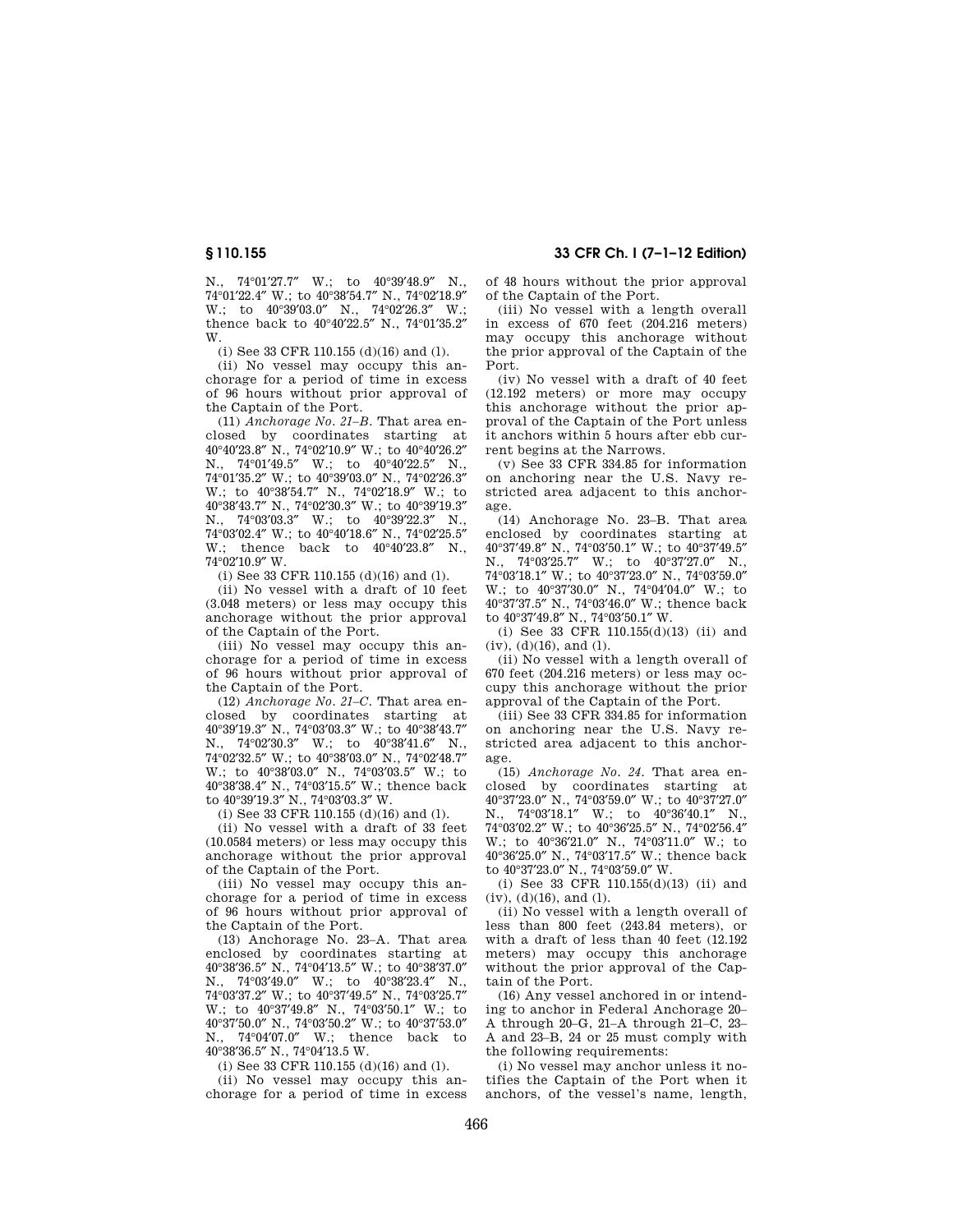N., 74°01′27.7″ W.; to 40°39′48.9″ N., 74°01′22.4″ W.; to 40°38′54.7″ N., 74°02′18.9″ W.; to 40°39'03.0" N., 74°02'26.3" W.; thence back to  $40^{\circ}40^{\prime}22.5^{\prime\prime}$  N.,  $74^{\circ}01^{\prime}35.2^{\prime\prime}$ W.

(i) See 33 CFR 110.155 (d)(16) and (l).

(ii) No vessel may occupy this anchorage for a period of time in excess of 96 hours without prior approval of the Captain of the Port.

(11) *Anchorage No. 21–B.* That area enclosed by coordinates starting at 40°40′23.8″ N., 74°02′10.9″ W.; to 40°40′26.2″ N., 74°01′49.5″ W.; to 40°40′22.5″ N., 74°01′35.2″ W.; to 40°39′03.0″ N., 74°02′26.3″ W.; to 40°38′54.7″ N., 74°02′18.9″ W.; to 40°38′43.7″ N., 74°02′30.3″ W.; to 40°39′19.3″ N., 74°03'03.3" W.; to 40°39'22.3" N. 74°03′02.4″ W.; to 40°40′18.6″ N., 74°02′25.5″ W.; thence back to 40°40′23.8″ N., 74°02′10.9″ W.

(i) See 33 CFR 110.155 (d)(16) and (l).

(ii) No vessel with a draft of 10 feet (3.048 meters) or less may occupy this anchorage without the prior approval of the Captain of the Port.

(iii) No vessel may occupy this anchorage for a period of time in excess of 96 hours without prior approval of the Captain of the Port.

(12) *Anchorage No. 21–C.* That area enclosed by coordinates starting at 40°39′19.3″ N., 74°03′03.3″ W.; to 40°38′43.7″ N., 74°02′30.3″ W.; to 40°38′41.6″ N., 74°02′32.5″ W.; to 40°38′03.0″ N., 74°02′48.7″ W.; to 40°38′03.0″ N., 74°03′03.5″ W.; to 40°38′38.4″ N., 74°03′15.5″ W.; thence back to 40°39′19.3″ N., 74°03′03.3″ W.

(i) See 33 CFR 110.155 (d)(16) and (l).

(ii) No vessel with a draft of 33 feet (10.0584 meters) or less may occupy this anchorage without the prior approval of the Captain of the Port.

(iii) No vessel may occupy this anchorage for a period of time in excess of 96 hours without prior approval of the Captain of the Port.

(13) Anchorage No. 23–A. That area enclosed by coordinates starting at 40°38′36.5″ N., 74°04′13.5″ W.; to 40°38′37.0″ N., 74°03′49.0″ W.; to 40°38′23.4″ N., 74°03′37.2″ W.; to 40°37′49.5″ N., 74°03′25.7″ W.; to 40°37′49.8″ N., 74°03′50.1″ W.; to 40°37′50.0″ N., 74°03′50.2″ W.; to 40°37′53.0″ N., 74°04′07.0″ W.; thence back to 40°38′36.5″ N., 74°04′13.5 W.

(i) See 33 CFR 110.155 (d)(16) and (l).

(ii) No vessel may occupy this anchorage for a period of time in excess

**§ 110.155 33 CFR Ch. I (7–1–12 Edition)** 

of 48 hours without the prior approval of the Captain of the Port.

(iii) No vessel with a length overall in excess of 670 feet (204.216 meters) may occupy this anchorage without the prior approval of the Captain of the Port.

(iv) No vessel with a draft of 40 feet (12.192 meters) or more may occupy this anchorage without the prior approval of the Captain of the Port unless it anchors within 5 hours after ebb current begins at the Narrows.

(v) See 33 CFR 334.85 for information on anchoring near the U.S. Navy restricted area adjacent to this anchorage.

(14) Anchorage No. 23–B. That area enclosed by coordinates starting at 40°37′49.8″ N., 74°03′50.1″ W.; to 40°37′49.5″ N., 74°03′25.7″ W.; to 40°37′27.0″ N., 74°03′18.1″ W.; to 40°37′23.0″ N., 74°03′59.0″ W.; to 40°37′30.0″ N., 74°04′04.0″ W.; to 40°37′37.5″ N., 74°03′46.0″ W.; thence back to 40°37′49.8″ N., 74°03′50.1″ W.

(i) See 33 CFR 110.155(d)(13) (ii) and  $(iv)$ ,  $(d)(16)$ , and  $(l)$ .

(ii) No vessel with a length overall of 670 feet (204.216 meters) or less may occupy this anchorage without the prior approval of the Captain of the Port.

(iii) See 33 CFR 334.85 for information on anchoring near the U.S. Navy restricted area adjacent to this anchorage.

(15) *Anchorage No. 24.* That area enclosed by coordinates starting at 40°37′23.0″ N., 74°03′59.0″ W.; to 40°37′27.0″ N., 74°03′18.1″ W.; to 40°36′40.1″ N., 74°03′02.2″ W.; to 40°36′25.5″ N., 74°02′56.4″ W.; to 40°36′21.0″ N., 74°03′11.0″ W.; to 40°36′25.0″ N., 74°03′17.5″ W.; thence back to 40°37′23.0″ N., 74°03′59.0″ W.

(i) See 33 CFR 110.155(d)(13) (ii) and  $(iv), (d)(16), and (l).$ 

(ii) No vessel with a length overall of less than 800 feet (243.84 meters), or with a draft of less than 40 feet (12.192 meters) may occupy this anchorage without the prior approval of the Captain of the Port.

(16) Any vessel anchored in or intending to anchor in Federal Anchorage 20– A through 20–G, 21–A through 21–C, 23– A and 23–B, 24 or 25 must comply with the following requirements:

(i) No vessel may anchor unless it notifies the Captain of the Port when it anchors, of the vessel's name, length,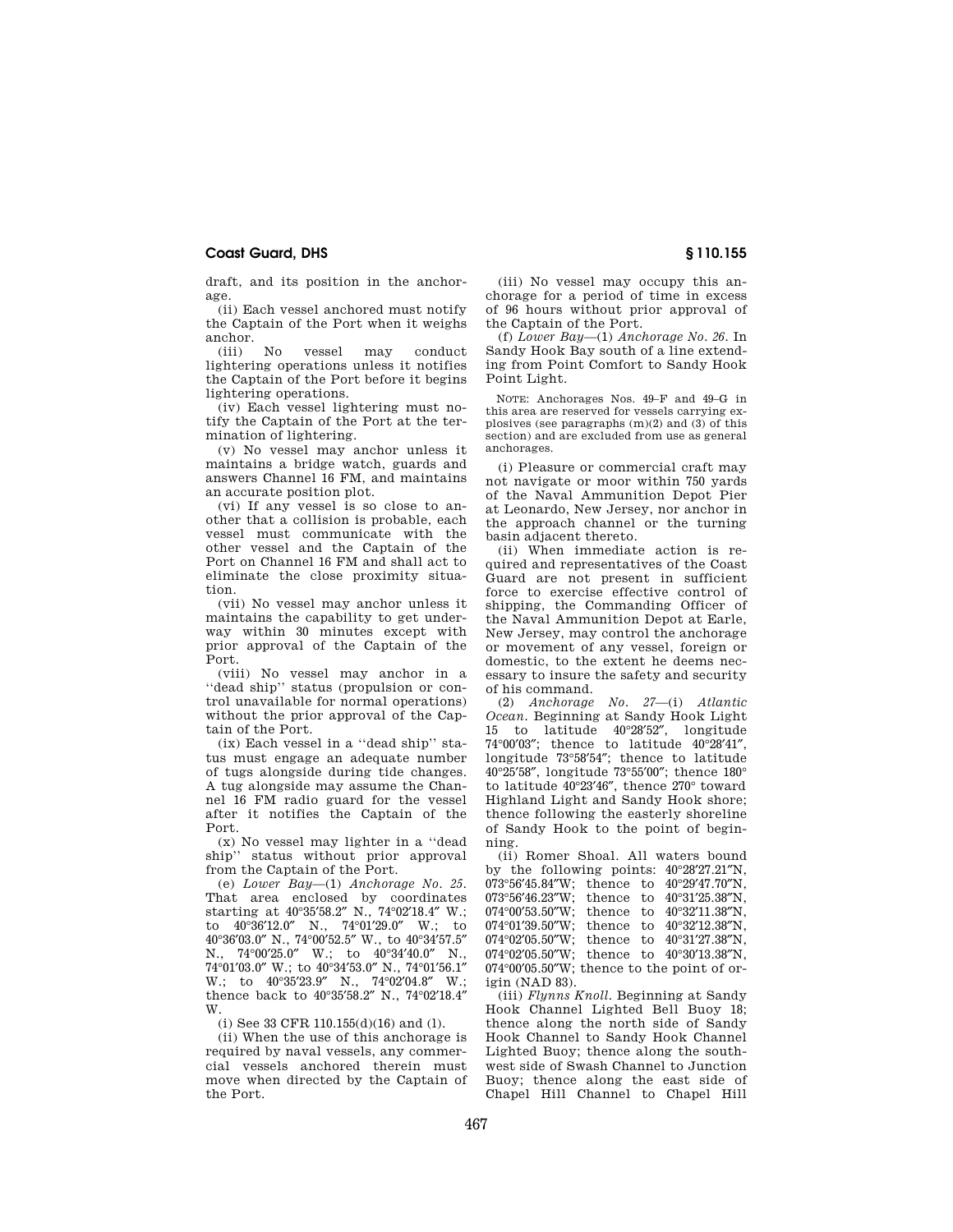draft, and its position in the anchorage.

(ii) Each vessel anchored must notify the Captain of the Port when it weighs anchor.

(iii) No vessel may conduct lightering operations unless it notifies the Captain of the Port before it begins lightering operations.

(iv) Each vessel lightering must notify the Captain of the Port at the termination of lightering.

(v) No vessel may anchor unless it maintains a bridge watch, guards and answers Channel 16 FM, and maintains an accurate position plot.

(vi) If any vessel is so close to another that a collision is probable, each vessel must communicate with the other vessel and the Captain of the Port on Channel 16 FM and shall act to eliminate the close proximity situation.

(vii) No vessel may anchor unless it maintains the capability to get underway within 30 minutes except with prior approval of the Captain of the Port.

(viii) No vessel may anchor in a ''dead ship'' status (propulsion or control unavailable for normal operations) without the prior approval of the Captain of the Port.

(ix) Each vessel in a ''dead ship'' status must engage an adequate number of tugs alongside during tide changes. A tug alongside may assume the Channel 16 FM radio guard for the vessel after it notifies the Captain of the Port.

(x) No vessel may lighter in a ''dead ship'' status without prior approval from the Captain of the Port.

(e) *Lower Bay*—(1) *Anchorage No. 25.*  That area enclosed by coordinates starting at 40°35′58.2″ N., 74°02′18.4″ W.; to 40°36′12.0″ N., 74°01′29.0″ W.; to  $40^{\circ}36'03.0''$  N.,  $74^{\circ}00'52.5''$  W., to  $40^{\circ}34'57.5''$ <br>N  $74^{\circ}00'25.0''$  W to  $40^{\circ}34'40.0''$  N N., 74°00'25.0" W.; to 40°34'40.0" 74°01′03.0″ W.; to 40°34′53.0″ N., 74°01′56.1″ W.; to 40°35'23.9" N., 74°02'04.8" W.; thence back to 40°35′58.2″ N., 74°02′18.4″ W.

(i) See 33 CFR 110.155(d)(16) and (l).

(ii) When the use of this anchorage is required by naval vessels, any commercial vessels anchored therein must move when directed by the Captain of the Port.

(iii) No vessel may occupy this anchorage for a period of time in excess of 96 hours without prior approval of the Captain of the Port.

(f) *Lower Bay*—(1) *Anchorage No. 26.* In Sandy Hook Bay south of a line extending from Point Comfort to Sandy Hook Point Light.

NOTE: Anchorages Nos. 49–F and 49–G in this area are reserved for vessels carrying explosives (see paragraphs  $(m)(2)$  and  $(3)$  of this section) and are excluded from use as general anchorages.

(i) Pleasure or commercial craft may not navigate or moor within 750 yards of the Naval Ammunition Depot Pier at Leonardo, New Jersey, nor anchor in the approach channel or the turning basin adjacent thereto.

(ii) When immediate action is required and representatives of the Coast Guard are not present in sufficient force to exercise effective control of shipping, the Commanding Officer of the Naval Ammunition Depot at Earle, New Jersey, may control the anchorage or movement of any vessel, foreign or domestic, to the extent he deems necessary to insure the safety and security of his command.

(2) *Anchorage No. 27*—(i) *Atlantic Ocean.* Beginning at Sandy Hook Light 15 to latitude 40°28′52″, longitude 74°00′03″; thence to latitude 40°28′41″, longitude 73°58′54″; thence to latitude 40°25′58″, longitude 73°55′00″; thence 180° to latitude 40°23′46″, thence 270° toward Highland Light and Sandy Hook shore; thence following the easterly shoreline of Sandy Hook to the point of beginning.

(ii) Romer Shoal. All waters bound by the following points: 40°28′27.21″N, 073°56′45.84″W; thence to 40°29′47.70″N,  $073^{\circ}56'46.23''W$ ; thence to  $40^{\circ}31'25.38''N$ ,  $074^{\circ}00'53.50''W$ ; thence to  $40^{\circ}32'11.38''N$ , thence to  $40^{\circ}32'11.38''N$ , 074°01′39.50″W; thence to 40°32′12.38″N, 074°02′05.50″W; thence to 40°31′27.38″N, 074°02′05.50″W; thence to 40°30′13.38″N, 074°00′05.50″W; thence to the point of origin (NAD 83).

(iii) *Flynns Knoll.* Beginning at Sandy Hook Channel Lighted Bell Buoy 18; thence along the north side of Sandy Hook Channel to Sandy Hook Channel Lighted Buoy; thence along the southwest side of Swash Channel to Junction Buoy; thence along the east side of Chapel Hill Channel to Chapel Hill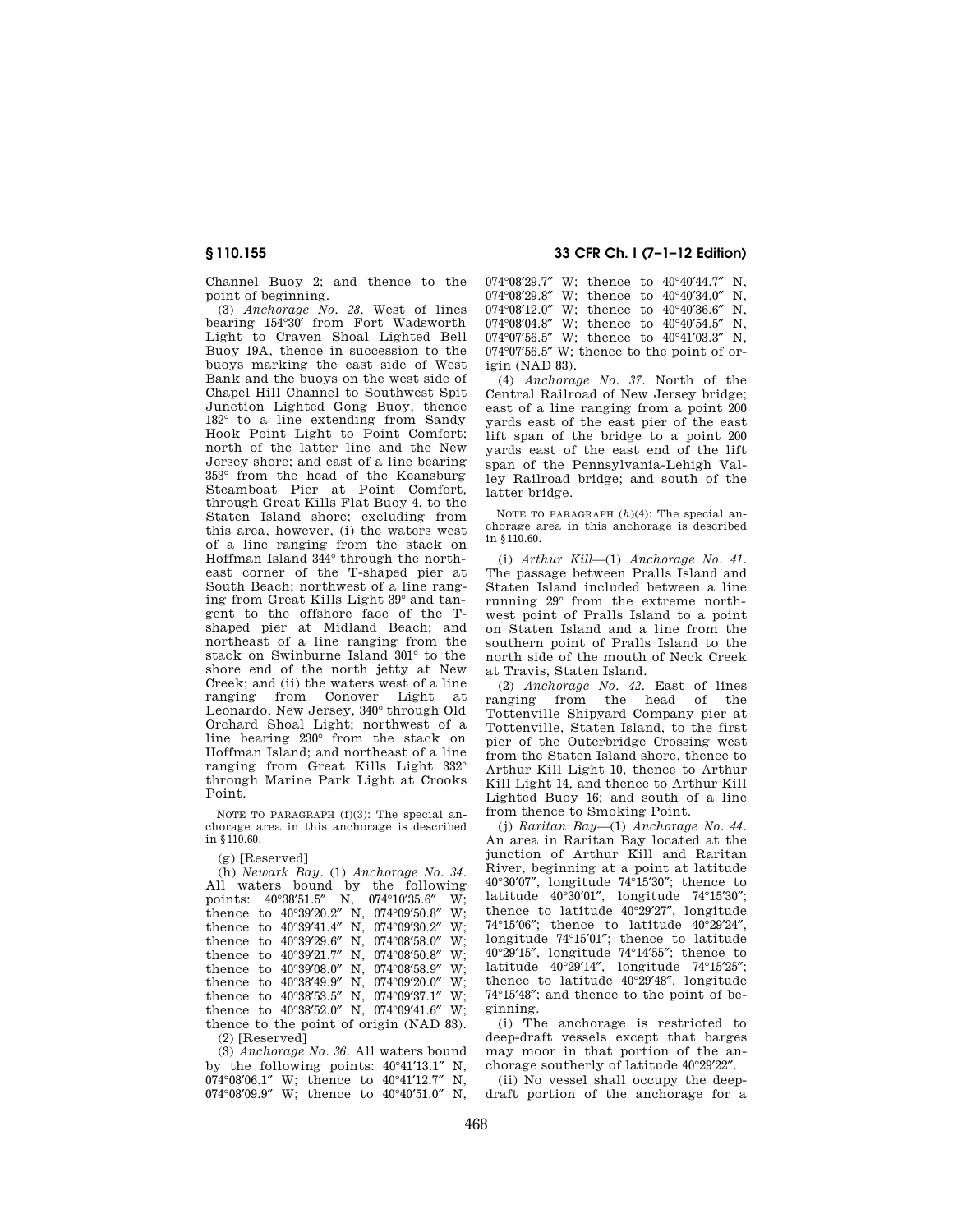Channel Buoy 2; and thence to the point of beginning.

(3) *Anchorage No. 28.* West of lines bearing 154°30′ from Fort Wadsworth Light to Craven Shoal Lighted Bell Buoy 19A, thence in succession to the buoys marking the east side of West Bank and the buoys on the west side of Chapel Hill Channel to Southwest Spit Junction Lighted Gong Buoy, thence 182° to a line extending from Sandy Hook Point Light to Point Comfort; north of the latter line and the New Jersey shore; and east of a line bearing 353° from the head of the Keansburg Steamboat Pier at Point Comfort, through Great Kills Flat Buoy 4, to the Staten Island shore; excluding from this area, however, (i) the waters west of a line ranging from the stack on Hoffman Island 344° through the northeast corner of the T-shaped pier at South Beach; northwest of a line ranging from Great Kills Light 39° and tangent to the offshore face of the Tshaped pier at Midland Beach; and northeast of a line ranging from the stack on Swinburne Island 301° to the shore end of the north jetty at New Creek; and (ii) the waters west of a line ranging from Conover Light at Leonardo, New Jersey, 340° through Old Orchard Shoal Light; northwest of a line bearing 230° from the stack on Hoffman Island; and northeast of a line ranging from Great Kills Light 332° through Marine Park Light at Crooks Point.

NOTE TO PARAGRAPH (f)(3): The special anchorage area in this anchorage is described in §110.60.

(g) [Reserved]

(h) *Newark Bay.* (1) *Anchorage No. 34*. All waters bound by the following points: 40°38′51.5″ N, 074°10′35.6″ W; thence to 40°39′20.2″ N, 074°09′50.8″ W; thence to 40°39′41.4″ N, 074°09′30.2″ W; thence to 40°39′29.6″ N, 074°08′58.0″ W; thence to 40°39′21.7″ N, 074°08′50.8″ W; thence to 40°39′08.0″ N, 074°08′58.9″ W; thence to 40°38′49.9″ N, 074°09′20.0″ W; thence to  $40^{\circ}38'53.5''$  N,  $074^{\circ}09'37.1''$  W; thence to 40°38′52.0″ N, 074°09′41.6″ W; thence to the point of origin (NAD 83). (2) [Reserved]

(3) *Anchorage No. 36*. All waters bound by the following points: 40°41′13.1″ N, 074°08′06.1″ W; thence to 40°41′12.7″ N, 074°08′09.9″ W; thence to 40°40′51.0″ N,

**§ 110.155 33 CFR Ch. I (7–1–12 Edition)** 

 $074^{\circ}08'29.7''$  W; thence to  $40^{\circ}40'44.7''$  N,  $074^{\circ}08'29.8''$  W; thence to  $40^{\circ}40'34.0''$  N 074°08'29.8" W; thence to 40°40'34.0" 074°08′12.0″ W; thence to 40°40′36.6″ N, 074°08′04.8″ W; thence to 40°40′54.5″ N, 074°07′56.5″ W; thence to 40°41′03.3″ N,  $074^{\circ}07'56.5''$  W; thence to the point of origin (NAD 83).

(4) *Anchorage No. 37.* North of the Central Railroad of New Jersey bridge; east of a line ranging from a point 200 yards east of the east pier of the east lift span of the bridge to a point 200 yards east of the east end of the lift span of the Pennsylvania-Lehigh Valley Railroad bridge; and south of the latter bridge.

NOTE TO PARAGRAPH (*h*)(4): The special anchorage area in this anchorage is described in §110.60.

(i) *Arthur Kill*—(1) *Anchorage No. 41.*  The passage between Pralls Island and Staten Island included between a line running 29° from the extreme northwest point of Pralls Island to a point on Staten Island and a line from the southern point of Pralls Island to the north side of the mouth of Neck Creek at Travis, Staten Island.

(2) *Anchorage No. 42.* East of lines ranging from the head of the Tottenville Shipyard Company pier at Tottenville, Staten Island, to the first pier of the Outerbridge Crossing west from the Staten Island shore, thence to Arthur Kill Light 10, thence to Arthur Kill Light 14, and thence to Arthur Kill Lighted Buoy 16; and south of a line from thence to Smoking Point.

(j) *Raritan Bay*—(1) *Anchorage No. 44.*  An area in Raritan Bay located at the junction of Arthur Kill and Raritan River, beginning at a point at latitude 40°30′07″, longitude 74°15′30″; thence to latitude 40°30′01″, longitude 74°15′30″; thence to latitude 40°29′27″, longitude 74°15′06″; thence to latitude 40°29′24″, longitude 74°15′01″; thence to latitude 40°29′15″, longitude 74°14′55″; thence to latitude 40°29′14″, longitude 74°15′25″; thence to latitude 40°29′48″, longitude 74°15′48″; and thence to the point of beginning.

(i) The anchorage is restricted to deep-draft vessels except that barges may moor in that portion of the anchorage southerly of latitude 40°29′22″.

(ii) No vessel shall occupy the deepdraft portion of the anchorage for a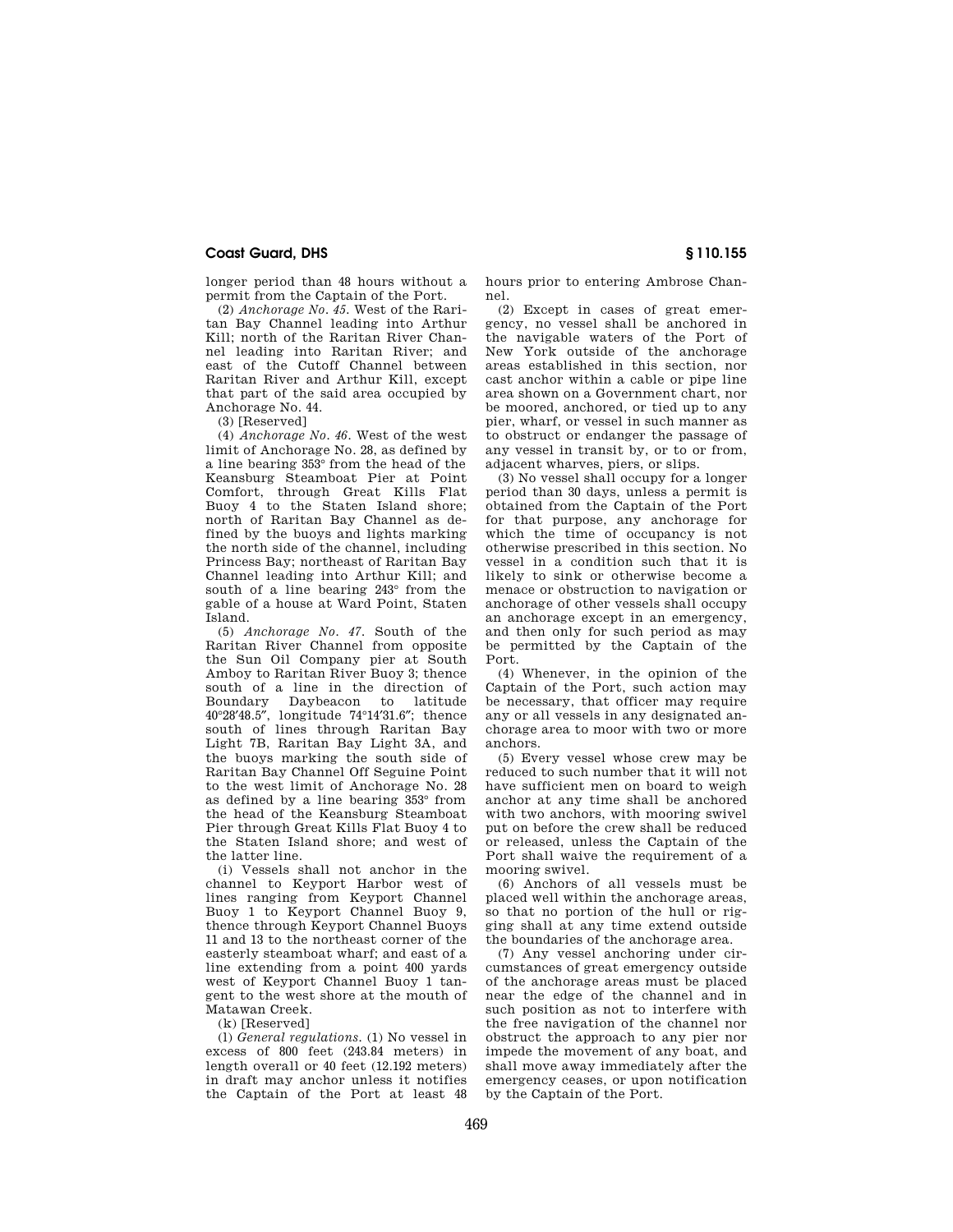longer period than 48 hours without a permit from the Captain of the Port.

(2) *Anchorage No. 45.* West of the Raritan Bay Channel leading into Arthur Kill; north of the Raritan River Channel leading into Raritan River; and east of the Cutoff Channel between Raritan River and Arthur Kill, except that part of the said area occupied by Anchorage No. 44.

(3) [Reserved]

(4) *Anchorage No. 46.* West of the west limit of Anchorage No. 28, as defined by a line bearing 353° from the head of the Keansburg Steamboat Pier at Point Comfort, through Great Kills Flat Buoy 4 to the Staten Island shore; north of Raritan Bay Channel as defined by the buoys and lights marking the north side of the channel, including Princess Bay; northeast of Raritan Bay Channel leading into Arthur Kill; and south of a line bearing 243° from the gable of a house at Ward Point, Staten Island.

(5) *Anchorage No. 47.* South of the Raritan River Channel from opposite the Sun Oil Company pier at South Amboy to Raritan River Buoy 3; thence south of a line in the direction of<br>Boundary Daybeacon to latitude Daybeacon to latitude 40°28′48.5″, longitude 74°14′31.6″; thence south of lines through Raritan Bay Light 7B, Raritan Bay Light 3A, and the buoys marking the south side of Raritan Bay Channel Off Seguine Point to the west limit of Anchorage No. 28 as defined by a line bearing 353° from the head of the Keansburg Steamboat Pier through Great Kills Flat Buoy 4 to the Staten Island shore; and west of the latter line.

(i) Vessels shall not anchor in the channel to Keyport Harbor west of lines ranging from Keyport Channel Buoy 1 to Keyport Channel Buoy 9, thence through Keyport Channel Buoys 11 and 13 to the northeast corner of the easterly steamboat wharf; and east of a line extending from a point 400 yards west of Keyport Channel Buoy 1 tangent to the west shore at the mouth of Matawan Creek.

(k) [Reserved]

(l) *General regulations.* (1) No vessel in excess of 800 feet (243.84 meters) in length overall or 40 feet (12.192 meters) in draft may anchor unless it notifies the Captain of the Port at least 48 hours prior to entering Ambrose Channel.

(2) Except in cases of great emergency, no vessel shall be anchored in the navigable waters of the Port of New York outside of the anchorage areas established in this section, nor cast anchor within a cable or pipe line area shown on a Government chart, nor be moored, anchored, or tied up to any pier, wharf, or vessel in such manner as to obstruct or endanger the passage of any vessel in transit by, or to or from, adjacent wharves, piers, or slips.

(3) No vessel shall occupy for a longer period than 30 days, unless a permit is obtained from the Captain of the Port for that purpose, any anchorage for which the time of occupancy is not otherwise prescribed in this section. No vessel in a condition such that it is likely to sink or otherwise become a menace or obstruction to navigation or anchorage of other vessels shall occupy an anchorage except in an emergency, and then only for such period as may be permitted by the Captain of the Port.

(4) Whenever, in the opinion of the Captain of the Port, such action may be necessary, that officer may require any or all vessels in any designated anchorage area to moor with two or more anchors.

(5) Every vessel whose crew may be reduced to such number that it will not have sufficient men on board to weigh anchor at any time shall be anchored with two anchors, with mooring swivel put on before the crew shall be reduced or released, unless the Captain of the Port shall waive the requirement of a mooring swivel.

(6) Anchors of all vessels must be placed well within the anchorage areas, so that no portion of the hull or rigging shall at any time extend outside the boundaries of the anchorage area.

(7) Any vessel anchoring under circumstances of great emergency outside of the anchorage areas must be placed near the edge of the channel and in such position as not to interfere with the free navigation of the channel nor obstruct the approach to any pier nor impede the movement of any boat, and shall move away immediately after the emergency ceases, or upon notification by the Captain of the Port.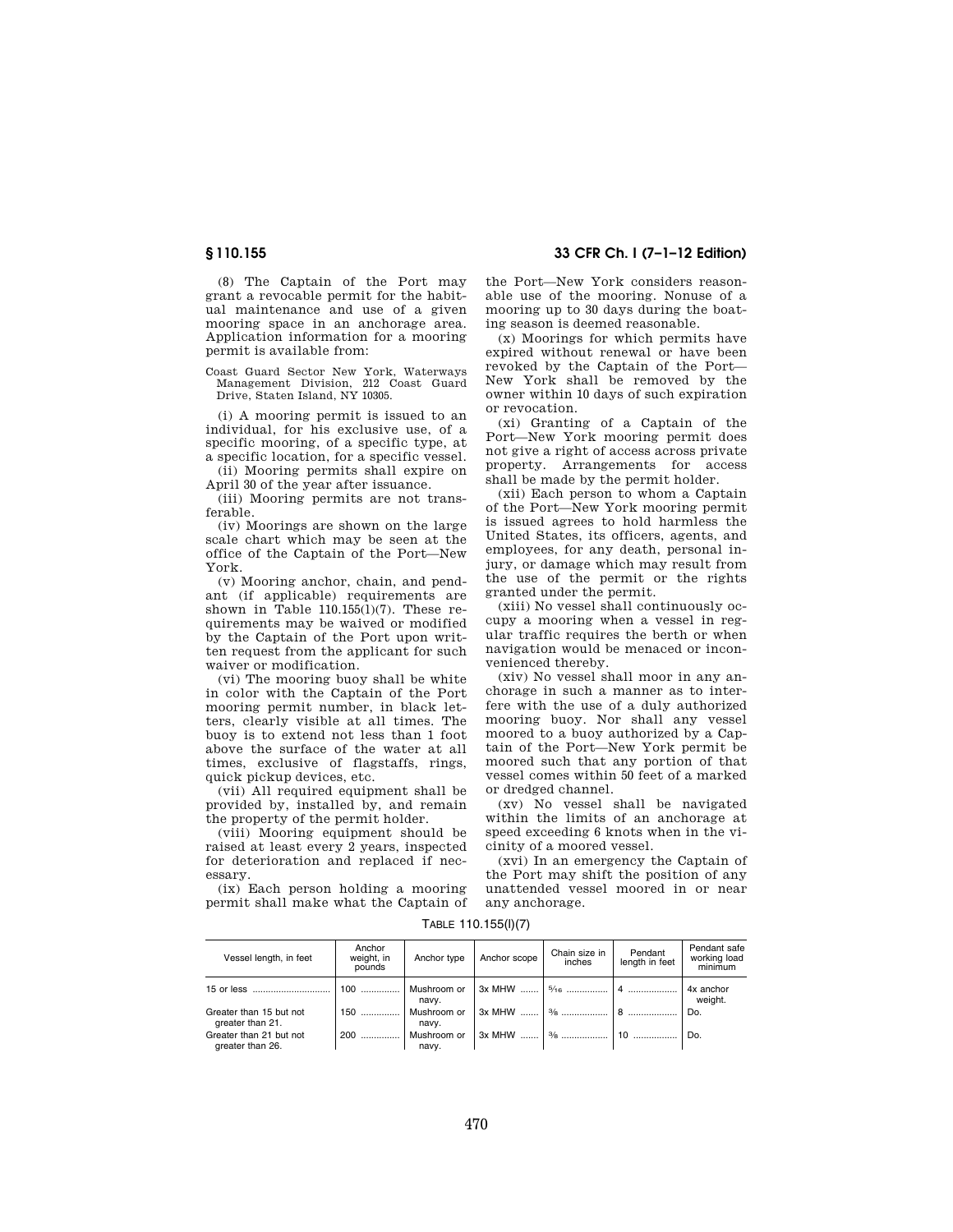(8) The Captain of the Port may grant a revocable permit for the habitual maintenance and use of a given mooring space in an anchorage area. Application information for a mooring permit is available from:

Coast Guard Sector New York, Waterways Management Division, 212 Coast Guard Drive, Staten Island, NY 10305.

(i) A mooring permit is issued to an individual, for his exclusive use, of a specific mooring, of a specific type, at a specific location, for a specific vessel.

(ii) Mooring permits shall expire on April 30 of the year after issuance.

(iii) Mooring permits are not transferable.

(iv) Moorings are shown on the large scale chart which may be seen at the office of the Captain of the Port—New York.

(v) Mooring anchor, chain, and pendant (if applicable) requirements are shown in Table  $110.155(1)(7)$ . These requirements may be waived or modified by the Captain of the Port upon written request from the applicant for such waiver or modification.

(vi) The mooring buoy shall be white in color with the Captain of the Port mooring permit number, in black letters, clearly visible at all times. The buoy is to extend not less than 1 foot above the surface of the water at all times, exclusive of flagstaffs, rings, quick pickup devices, etc.

(vii) All required equipment shall be provided by, installed by, and remain the property of the permit holder.

(viii) Mooring equipment should be raised at least every 2 years, inspected for deterioration and replaced if necessary.

(ix) Each person holding a mooring permit shall make what the Captain of the Port—New York considers reasonable use of the mooring. Nonuse of a mooring up to 30 days during the boating season is deemed reasonable.

(x) Moorings for which permits have expired without renewal or have been revoked by the Captain of the Port— New York shall be removed by the owner within 10 days of such expiration or revocation.

(xi) Granting of a Captain of the Port—New York mooring permit does not give a right of access across private property. Arrangements for access shall be made by the permit holder.

(xii) Each person to whom a Captain of the Port—New York mooring permit is issued agrees to hold harmless the United States, its officers, agents, and employees, for any death, personal injury, or damage which may result from the use of the permit or the rights granted under the permit.

(xiii) No vessel shall continuously occupy a mooring when a vessel in regular traffic requires the berth or when navigation would be menaced or inconvenienced thereby.

(xiv) No vessel shall moor in any anchorage in such a manner as to interfere with the use of a duly authorized mooring buoy. Nor shall any vessel moored to a buoy authorized by a Captain of the Port—New York permit be moored such that any portion of that vessel comes within 50 feet of a marked or dredged channel.

(xv) No vessel shall be navigated within the limits of an anchorage at speed exceeding 6 knots when in the vicinity of a moored vessel.

(xvi) In an emergency the Captain of the Port may shift the position of any unattended vessel moored in or near any anchorage.

| Vessel length, in feet                      | Anchor<br>weight, in<br>pounds | Anchor type          | Anchor scope | Chain size in<br>inches | Pendant<br>length in feet | Pendant safe<br>working load<br>minimum |
|---------------------------------------------|--------------------------------|----------------------|--------------|-------------------------|---------------------------|-----------------------------------------|
|                                             | $100$                          | Mushroom or<br>navy. |              |                         |                           | 4x anchor<br>weight.                    |
| Greater than 15 but not<br>greater than 21. | $150$                          | Mushroom or<br>navy. |              |                         |                           | Do.                                     |
| Greater than 21 but not<br>greater than 26. | $200$                          | Mushroom or<br>navv. |              |                         |                           | Do.                                     |

#### TABLE 110.155(l)(7)

# **§ 110.155 33 CFR Ch. I (7–1–12 Edition)**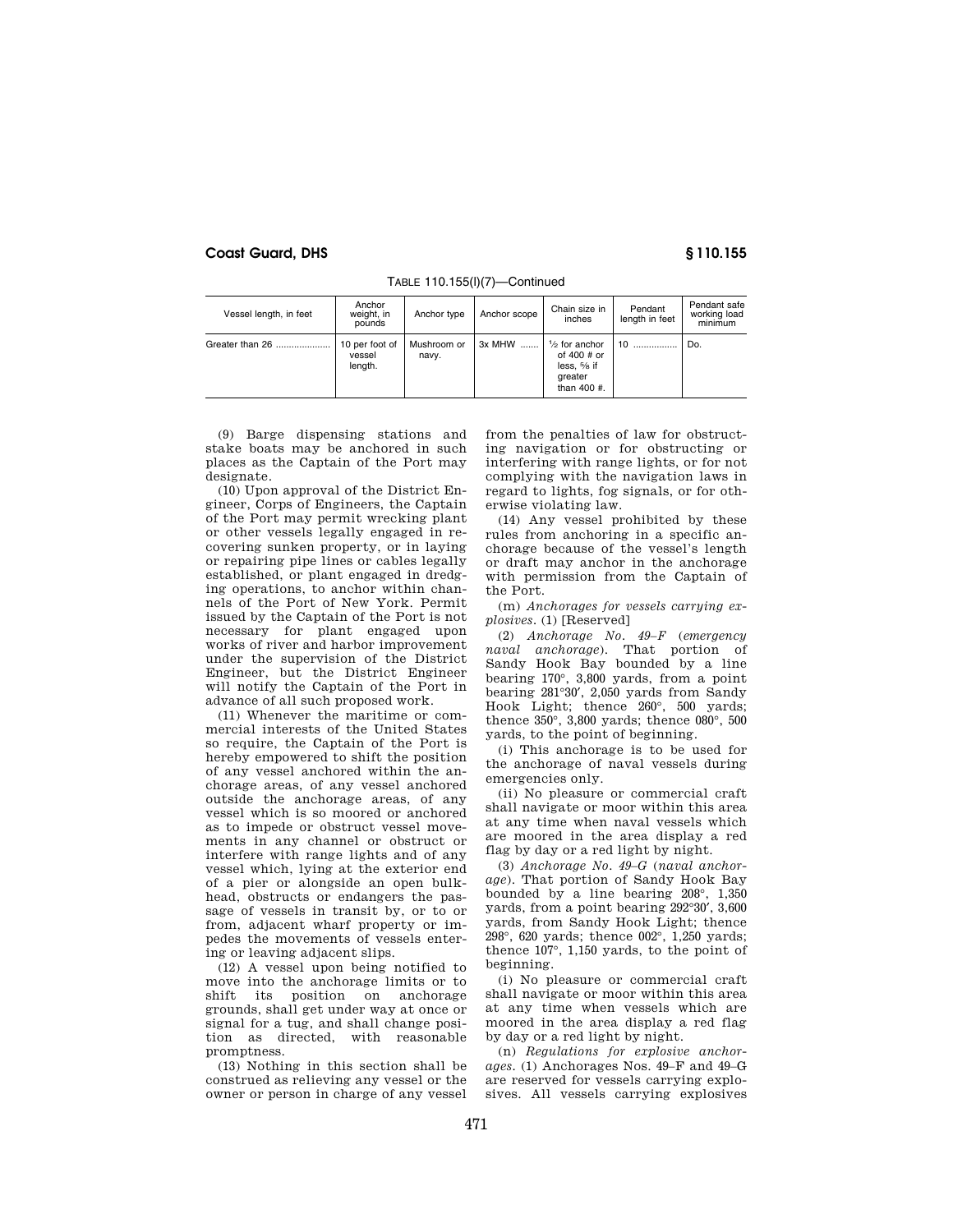| Vessel length, in feet | Anchor<br>weight, in<br>pounds      | Anchor type          | Anchor scope | Chain size in<br>inches                                                                        | Pendant<br>length in feet | Pendant safe<br>working load<br>minimum |
|------------------------|-------------------------------------|----------------------|--------------|------------------------------------------------------------------------------------------------|---------------------------|-----------------------------------------|
| Greater than 26        | 10 per foot of<br>vessel<br>length. | Mushroom or<br>navy. | 3x MHW       | $\frac{1}{2}$ for anchor<br>of 400 $\#$ or<br>less. $\frac{5}{8}$ if<br>greater<br>than 400 #. | 10                        | Do.                                     |

TABLE 110.155(l)(7)—Continued

(9) Barge dispensing stations and stake boats may be anchored in such places as the Captain of the Port may designate.

(10) Upon approval of the District Engineer, Corps of Engineers, the Captain of the Port may permit wrecking plant or other vessels legally engaged in recovering sunken property, or in laying or repairing pipe lines or cables legally established, or plant engaged in dredging operations, to anchor within channels of the Port of New York. Permit issued by the Captain of the Port is not necessary for plant engaged upon works of river and harbor improvement under the supervision of the District Engineer, but the District Engineer will notify the Captain of the Port in advance of all such proposed work.

(11) Whenever the maritime or commercial interests of the United States so require, the Captain of the Port is hereby empowered to shift the position of any vessel anchored within the anchorage areas, of any vessel anchored outside the anchorage areas, of any vessel which is so moored or anchored as to impede or obstruct vessel movements in any channel or obstruct or interfere with range lights and of any vessel which, lying at the exterior end of a pier or alongside an open bulkhead, obstructs or endangers the passage of vessels in transit by, or to or from, adjacent wharf property or impedes the movements of vessels entering or leaving adjacent slips.

(12) A vessel upon being notified to move into the anchorage limits or to shift its position on anchorage grounds, shall get under way at once or signal for a tug, and shall change position as directed, with reasonable promptness.

(13) Nothing in this section shall be construed as relieving any vessel or the owner or person in charge of any vessel from the penalties of law for obstructing navigation or for obstructing or interfering with range lights, or for not complying with the navigation laws in regard to lights, fog signals, or for otherwise violating law.

(14) Any vessel prohibited by these rules from anchoring in a specific anchorage because of the vessel's length or draft may anchor in the anchorage with permission from the Captain of the Port.

(m) *Anchorages for vessels carrying explosives.* (1) [Reserved]

(2) *Anchorage No. 49–F* (*emergency naval anchorage*). That portion of Sandy Hook Bay bounded by a line bearing 170°, 3,800 yards, from a point bearing 281°30′, 2,050 yards from Sandy Hook Light; thence 260°, 500 yards; thence 350°, 3,800 yards; thence 080°, 500 yards, to the point of beginning.

(i) This anchorage is to be used for the anchorage of naval vessels during emergencies only.

(ii) No pleasure or commercial craft shall navigate or moor within this area at any time when naval vessels which are moored in the area display a red flag by day or a red light by night.

(3) *Anchorage No. 49–G* (*naval anchorage*). That portion of Sandy Hook Bay bounded by a line bearing 208°, 1,350 yards, from a point bearing 292°30′, 3,600 yards, from Sandy Hook Light; thence 298°, 620 yards; thence 002°, 1,250 yards; thence 107°, 1,150 yards, to the point of beginning.

(i) No pleasure or commercial craft shall navigate or moor within this area at any time when vessels which are moored in the area display a red flag by day or a red light by night.

(n) *Regulations for explosive anchorages.* (1) Anchorages Nos. 49–F and 49–G are reserved for vessels carrying explosives. All vessels carrying explosives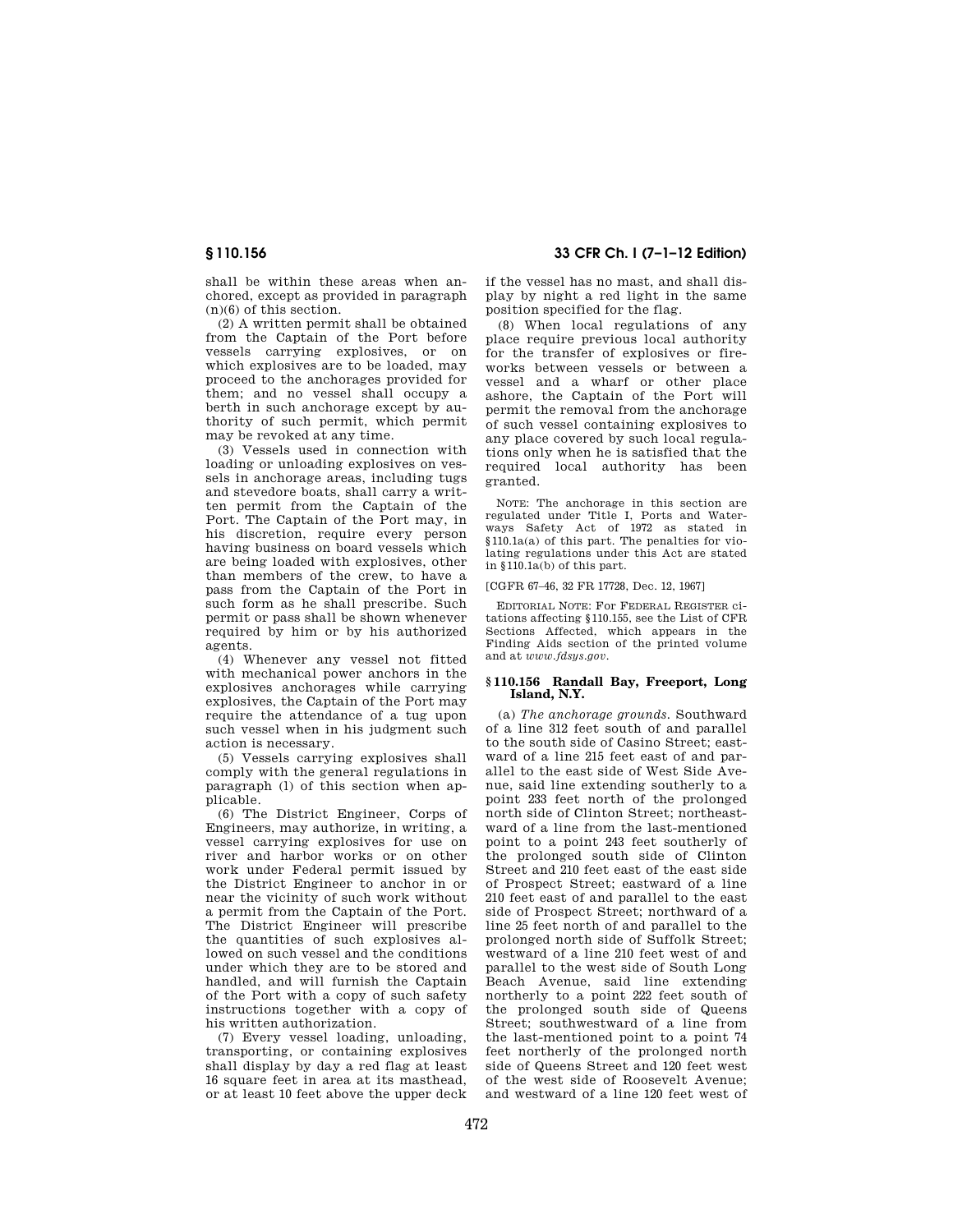shall be within these areas when anchored, except as provided in paragraph  $(n)(6)$  of this section.

(2) A written permit shall be obtained from the Captain of the Port before vessels carrying explosives, or on which explosives are to be loaded, may proceed to the anchorages provided for them; and no vessel shall occupy a berth in such anchorage except by authority of such permit, which permit may be revoked at any time.

(3) Vessels used in connection with loading or unloading explosives on vessels in anchorage areas, including tugs and stevedore boats, shall carry a written permit from the Captain of the Port. The Captain of the Port may, in his discretion, require every person having business on board vessels which are being loaded with explosives, other than members of the crew, to have a pass from the Captain of the Port in such form as he shall prescribe. Such permit or pass shall be shown whenever required by him or by his authorized agents.

(4) Whenever any vessel not fitted with mechanical power anchors in the explosives anchorages while carrying explosives, the Captain of the Port may require the attendance of a tug upon such vessel when in his judgment such action is necessary.

(5) Vessels carrying explosives shall comply with the general regulations in paragraph (l) of this section when applicable.

(6) The District Engineer, Corps of Engineers, may authorize, in writing, a vessel carrying explosives for use on river and harbor works or on other work under Federal permit issued by the District Engineer to anchor in or near the vicinity of such work without a permit from the Captain of the Port. The District Engineer will prescribe the quantities of such explosives allowed on such vessel and the conditions under which they are to be stored and handled, and will furnish the Captain of the Port with a copy of such safety instructions together with a copy of his written authorization.

(7) Every vessel loading, unloading, transporting, or containing explosives shall display by day a red flag at least 16 square feet in area at its masthead, or at least 10 feet above the upper deck

**§ 110.156 33 CFR Ch. I (7–1–12 Edition)** 

if the vessel has no mast, and shall display by night a red light in the same position specified for the flag.

(8) When local regulations of any place require previous local authority for the transfer of explosives or fireworks between vessels or between a vessel and a wharf or other place ashore, the Captain of the Port will permit the removal from the anchorage of such vessel containing explosives to any place covered by such local regulations only when he is satisfied that the required local authority has been granted.

NOTE: The anchorage in this section are regulated under Title I, Ports and Waterways Safety Act of 1972 as stated in §110.1a(a) of this part. The penalties for violating regulations under this Act are stated in §110.1a(b) of this part.

### [CGFR 67–46, 32 FR 17728, Dec. 12, 1967]

EDITORIAL NOTE: For FEDERAL REGISTER citations affecting §110.155, see the List of CFR Sections Affected, which appears in the Finding Aids section of the printed volume and at *www.fdsys.gov*.

## **§ 110.156 Randall Bay, Freeport, Long Island, N.Y.**

(a) *The anchorage grounds.* Southward of a line 312 feet south of and parallel to the south side of Casino Street; eastward of a line 215 feet east of and parallel to the east side of West Side Avenue, said line extending southerly to a point 233 feet north of the prolonged north side of Clinton Street; northeastward of a line from the last-mentioned point to a point 243 feet southerly of the prolonged south side of Clinton Street and 210 feet east of the east side of Prospect Street; eastward of a line 210 feet east of and parallel to the east side of Prospect Street; northward of a line 25 feet north of and parallel to the prolonged north side of Suffolk Street; westward of a line 210 feet west of and parallel to the west side of South Long Beach Avenue, said line extending northerly to a point 222 feet south of the prolonged south side of Queens Street; southwestward of a line from the last-mentioned point to a point 74 feet northerly of the prolonged north side of Queens Street and 120 feet west of the west side of Roosevelt Avenue; and westward of a line 120 feet west of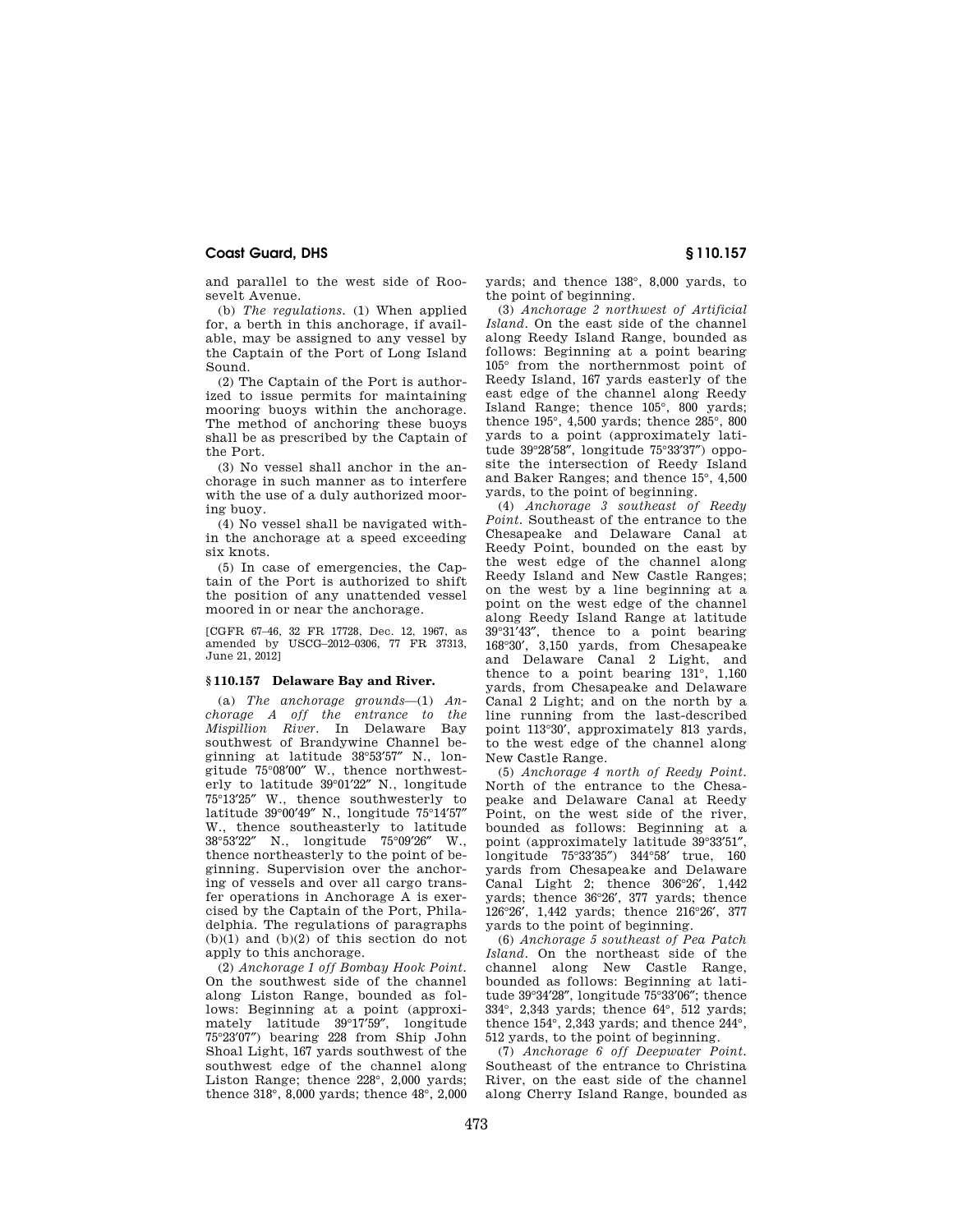and parallel to the west side of Roosevelt Avenue.

(b) *The regulations.* (1) When applied for, a berth in this anchorage, if available, may be assigned to any vessel by the Captain of the Port of Long Island Sound.

(2) The Captain of the Port is authorized to issue permits for maintaining mooring buoys within the anchorage. The method of anchoring these buoys shall be as prescribed by the Captain of the Port.

(3) No vessel shall anchor in the anchorage in such manner as to interfere with the use of a duly authorized mooring buoy.

(4) No vessel shall be navigated within the anchorage at a speed exceeding six knots.

(5) In case of emergencies, the Captain of the Port is authorized to shift the position of any unattended vessel moored in or near the anchorage.

[CGFR 67–46, 32 FR 17728, Dec. 12, 1967, as amended by USCG–2012–0306, 77 FR 37313, June 21, 2012]

## **§ 110.157 Delaware Bay and River.**

(a) *The anchorage grounds*—(1) *Anchorage A off the entrance to the Mispillion River.* In Delaware Bay southwest of Brandywine Channel beginning at latitude 38°53′57″ N., longitude 75°08′00″ W., thence northwesterly to latitude 39°01′22″ N., longitude 75°13′25″ W., thence southwesterly to latitude 39°00′49″ N., longitude 75°14′57″ W., thence southeasterly to latitude 38°53′22″ N., longitude 75°09′26″ W., thence northeasterly to the point of beginning. Supervision over the anchoring of vessels and over all cargo transfer operations in Anchorage A is exercised by the Captain of the Port, Philadelphia. The regulations of paragraphs  $(b)(1)$  and  $(b)(2)$  of this section do not apply to this anchorage.

(2) *Anchorage 1 off Bombay Hook Point.*  On the southwest side of the channel along Liston Range, bounded as follows: Beginning at a point (approximately latitude 39°17′59″, longitude 75°23′07″) bearing 228 from Ship John Shoal Light, 167 yards southwest of the southwest edge of the channel along Liston Range; thence 228°, 2,000 yards; thence 318°, 8,000 yards; thence 48°, 2,000 yards; and thence 138°, 8,000 yards, to the point of beginning.

(3) *Anchorage 2 northwest of Artificial Island.* On the east side of the channel along Reedy Island Range, bounded as follows: Beginning at a point bearing 105° from the northernmost point of Reedy Island, 167 yards easterly of the east edge of the channel along Reedy Island Range; thence 105°, 800 yards; thence 195°, 4,500 yards; thence 285°, 800 yards to a point (approximately latitude 39°28′58″, longitude 75°33′37″) opposite the intersection of Reedy Island and Baker Ranges; and thence 15°, 4,500 yards, to the point of beginning.

(4) *Anchorage 3 southeast of Reedy Point.* Southeast of the entrance to the Chesapeake and Delaware Canal at Reedy Point, bounded on the east by the west edge of the channel along Reedy Island and New Castle Ranges; on the west by a line beginning at a point on the west edge of the channel along Reedy Island Range at latitude 39°31′43″, thence to a point bearing 168°30′, 3,150 yards, from Chesapeake and Delaware Canal 2 Light, and thence to a point bearing 131°, 1,160 yards, from Chesapeake and Delaware Canal 2 Light; and on the north by a line running from the last-described point 113°30′, approximately 813 yards, to the west edge of the channel along New Castle Range.

(5) *Anchorage 4 north of Reedy Point.*  North of the entrance to the Chesapeake and Delaware Canal at Reedy Point, on the west side of the river, bounded as follows: Beginning at a point (approximately latitude 39°33′51″, longitude 75°33′35″) 344°58′ true, 160 yards from Chesapeake and Delaware Canal Light 2; thence 306°26′, 1,442 yards; thence 36°26′, 377 yards; thence 126°26′, 1,442 yards; thence 216°26′, 377 yards to the point of beginning.

(6) *Anchorage 5 southeast of Pea Patch Island.* On the northeast side of the channel along New Castle Range, bounded as follows: Beginning at latitude 39°34′28″, longitude 75°33′06″; thence 334°, 2,343 yards; thence 64°, 512 yards; thence 154°, 2,343 yards; and thence 244°, 512 yards, to the point of beginning.

(7) *Anchorage 6 off Deepwater Point.*  Southeast of the entrance to Christina River, on the east side of the channel along Cherry Island Range, bounded as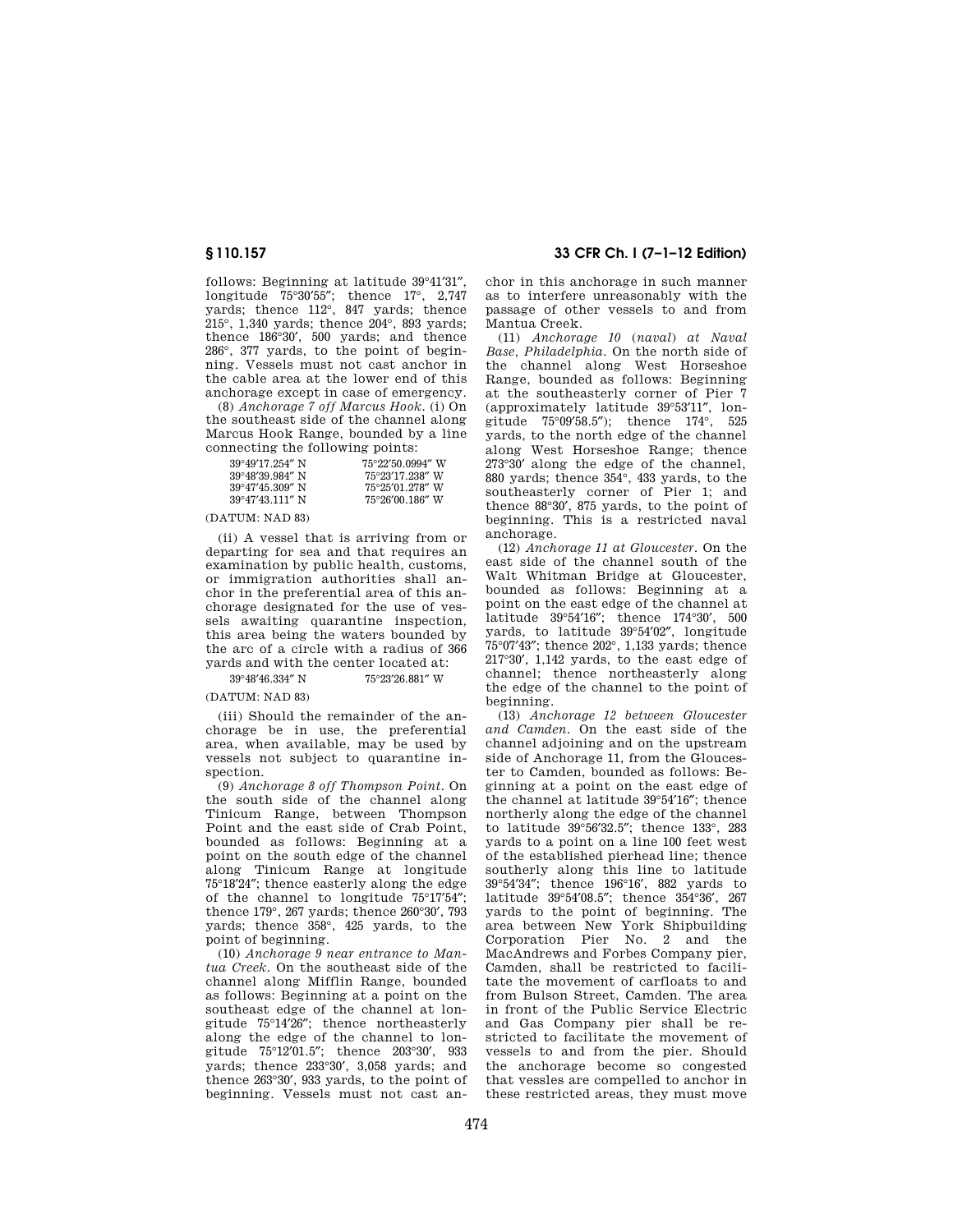follows: Beginning at latitude 39°41′31″, longitude 75°30′55″; thence 17°, 2,747 yards; thence 112°, 847 yards; thence 215°, 1,340 yards; thence 204°, 893 yards; thence 186°30′, 500 yards; and thence 286°, 377 yards, to the point of beginning. Vessels must not cast anchor in the cable area at the lower end of this anchorage except in case of emergency.

(8) *Anchorage 7 off Marcus Hook.* (i) On the southeast side of the channel along Marcus Hook Range, bounded by a line connecting the following points:

| 75°22′50.0994″ W          |
|---------------------------|
| 75°23′17.238″ W           |
| 75°25′01_278″ W           |
| $75^{\circ}26'00.186''$ W |
|                           |

(DATUM: NAD 83)

(ii) A vessel that is arriving from or departing for sea and that requires an examination by public health, customs, or immigration authorities shall anchor in the preferential area of this anchorage designated for the use of vessels awaiting quarantine inspection, this area being the waters bounded by the arc of a circle with a radius of 366 yards and with the center located at:

39°48′46.334″ N 75°23′26.881″ W

(DATUM: NAD 83)

(iii) Should the remainder of the anchorage be in use, the preferential area, when available, may be used by vessels not subject to quarantine inspection.

(9) *Anchorage 8 off Thompson Point.* On the south side of the channel along Tinicum Range, between Thompson Point and the east side of Crab Point, bounded as follows: Beginning at a point on the south edge of the channel along Tinicum Range at longitude 75°18′24″; thence easterly along the edge of the channel to longitude 75°17′54″; thence 179°, 267 yards; thence 260°30′, 793 yards; thence 358°, 425 yards, to the point of beginning.

(10) *Anchorage 9 near entrance to Mantua Creek.* On the southeast side of the channel along Mifflin Range, bounded as follows: Beginning at a point on the southeast edge of the channel at longitude 75°14′26″; thence northeasterly along the edge of the channel to longitude 75°12′01.5″; thence 203°30′, 933 yards; thence 233°30′, 3,058 yards; and thence 263°30′, 933 yards, to the point of beginning. Vessels must not cast an-

**§ 110.157 33 CFR Ch. I (7–1–12 Edition)** 

chor in this anchorage in such manner as to interfere unreasonably with the passage of other vessels to and from Mantua Creek.

(11) *Anchorage 10* (*naval*) *at Naval Base, Philadelphia.* On the north side of the channel along West Horseshoe Range, bounded as follows: Beginning at the southeasterly corner of Pier 7 (approximately latitude 39°53′11″, longitude 75°09′58.5″); thence 174°, 525 yards, to the north edge of the channel along West Horseshoe Range; thence 273°30′ along the edge of the channel, 880 yards; thence 354°, 433 yards, to the southeasterly corner of Pier 1; and thence 88°30′, 875 yards, to the point of beginning. This is a restricted naval anchorage.

(12) *Anchorage 11 at Gloucester.* On the east side of the channel south of the Walt Whitman Bridge at Gloucester, bounded as follows: Beginning at a point on the east edge of the channel at latitude 39°54′16″; thence 174°30′, 500 yards, to latitude 39°54′02″, longitude 75°07′43″; thence 202°, 1,133 yards; thence 217°30′, 1,142 yards, to the east edge of channel; thence northeasterly along the edge of the channel to the point of beginning.

(13) *Anchorage 12 between Gloucester and Camden.* On the east side of the channel adjoining and on the upstream side of Anchorage 11, from the Gloucester to Camden, bounded as follows: Beginning at a point on the east edge of the channel at latitude 39°54′16″; thence northerly along the edge of the channel to latitude 39°56′32.5″; thence 133°, 283 yards to a point on a line 100 feet west of the established pierhead line; thence southerly along this line to latitude 39°54′34″; thence 196°16′, 882 yards to latitude 39°54′08.5″; thence 354°36′, 267 yards to the point of beginning. The area between New York Shipbuilding Corporation Pier No. 2 and the MacAndrews and Forbes Company pier, Camden, shall be restricted to facilitate the movement of carfloats to and from Bulson Street, Camden. The area in front of the Public Service Electric and Gas Company pier shall be restricted to facilitate the movement of vessels to and from the pier. Should the anchorage become so congested that vessles are compelled to anchor in these restricted areas, they must move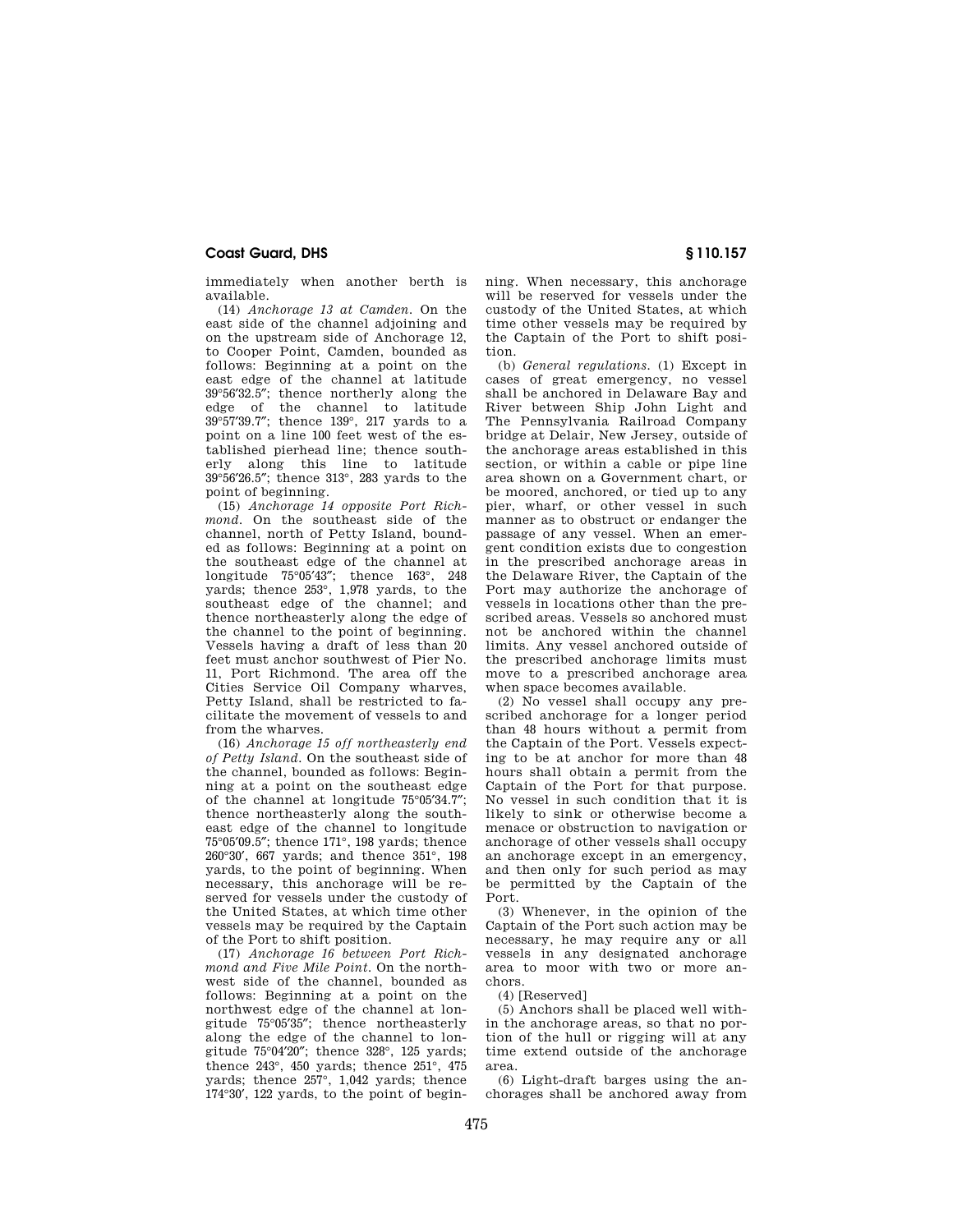immediately when another berth is available.

(14) *Anchorage 13 at Camden.* On the east side of the channel adjoining and on the upstream side of Anchorage 12, to Cooper Point, Camden, bounded as follows: Beginning at a point on the east edge of the channel at latitude 39°56′32.5″; thence northerly along the edge of the channel to latitude 39°57′39.7″; thence 139°, 217 yards to a point on a line 100 feet west of the established pierhead line; thence southerly along this line to latitude 39°56′26.5″; thence 313°, 283 yards to the point of beginning.

(15) *Anchorage 14 opposite Port Richmond.* On the southeast side of the channel, north of Petty Island, bounded as follows: Beginning at a point on the southeast edge of the channel at longitude 75°05′43″; thence 163°, 248 yards; thence 253°, 1,978 yards, to the southeast edge of the channel; and thence northeasterly along the edge of the channel to the point of beginning. Vessels having a draft of less than 20 feet must anchor southwest of Pier No. 11, Port Richmond. The area off the Cities Service Oil Company wharves, Petty Island, shall be restricted to facilitate the movement of vessels to and from the wharves.

(16) *Anchorage 15 off northeasterly end of Petty Island.* On the southeast side of the channel, bounded as follows: Beginning at a point on the southeast edge of the channel at longitude 75°05′34.7″; thence northeasterly along the southeast edge of the channel to longitude 75°05′09.5″; thence 171°, 198 yards; thence 260°30′, 667 yards; and thence 351°, 198 yards, to the point of beginning. When necessary, this anchorage will be reserved for vessels under the custody of the United States, at which time other vessels may be required by the Captain of the Port to shift position.

(17) *Anchorage 16 between Port Richmond and Five Mile Point.* On the northwest side of the channel, bounded as follows: Beginning at a point on the northwest edge of the channel at longitude 75°05′35″; thence northeasterly along the edge of the channel to longitude 75°04′20″; thence 328°, 125 yards; thence 243°, 450 yards; thence 251°, 475 yards; thence 257°, 1,042 yards; thence 174°30′, 122 yards, to the point of beginning. When necessary, this anchorage will be reserved for vessels under the custody of the United States, at which time other vessels may be required by the Captain of the Port to shift position.

(b) *General regulations.* (1) Except in cases of great emergency, no vessel shall be anchored in Delaware Bay and River between Ship John Light and The Pennsylvania Railroad Company bridge at Delair, New Jersey, outside of the anchorage areas established in this section, or within a cable or pipe line area shown on a Government chart, or be moored, anchored, or tied up to any pier, wharf, or other vessel in such manner as to obstruct or endanger the passage of any vessel. When an emergent condition exists due to congestion in the prescribed anchorage areas in the Delaware River, the Captain of the Port may authorize the anchorage of vessels in locations other than the prescribed areas. Vessels so anchored must not be anchored within the channel limits. Any vessel anchored outside of the prescribed anchorage limits must move to a prescribed anchorage area when space becomes available.

(2) No vessel shall occupy any prescribed anchorage for a longer period than 48 hours without a permit from the Captain of the Port. Vessels expecting to be at anchor for more than 48 hours shall obtain a permit from the Captain of the Port for that purpose. No vessel in such condition that it is likely to sink or otherwise become a menace or obstruction to navigation or anchorage of other vessels shall occupy an anchorage except in an emergency, and then only for such period as may be permitted by the Captain of the Port.

(3) Whenever, in the opinion of the Captain of the Port such action may be necessary, he may require any or all vessels in any designated anchorage area to moor with two or more anchors.

(4) [Reserved]

(5) Anchors shall be placed well within the anchorage areas, so that no portion of the hull or rigging will at any time extend outside of the anchorage area.

(6) Light-draft barges using the anchorages shall be anchored away from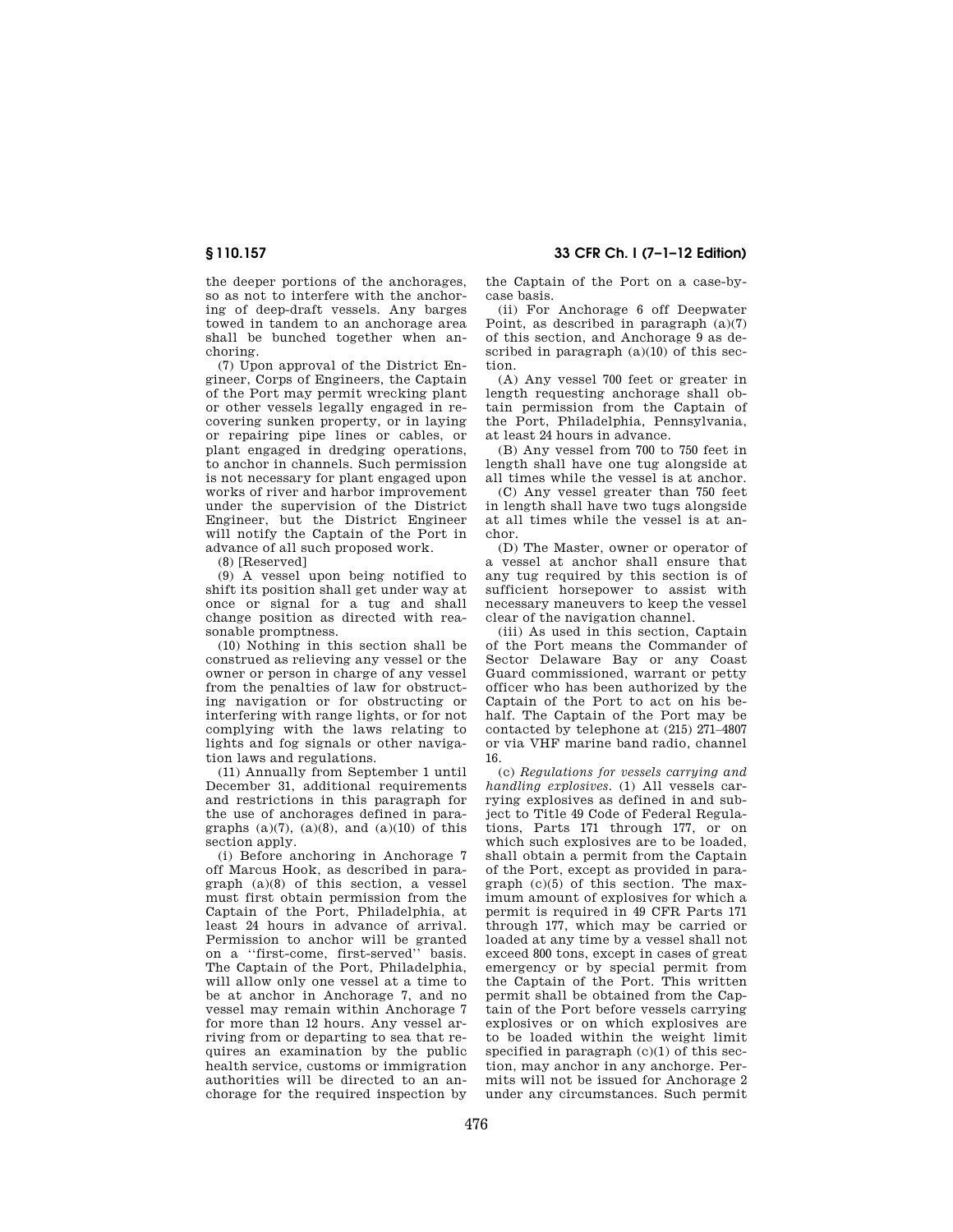the deeper portions of the anchorages, so as not to interfere with the anchoring of deep-draft vessels. Any barges towed in tandem to an anchorage area shall be bunched together when anchoring.

(7) Upon approval of the District Engineer, Corps of Engineers, the Captain of the Port may permit wrecking plant or other vessels legally engaged in recovering sunken property, or in laying or repairing pipe lines or cables, or plant engaged in dredging operations, to anchor in channels. Such permission is not necessary for plant engaged upon works of river and harbor improvement under the supervision of the District Engineer, but the District Engineer will notify the Captain of the Port in advance of all such proposed work.

(8) [Reserved]

(9) A vessel upon being notified to shift its position shall get under way at once or signal for a tug and shall change position as directed with reasonable promptness.

(10) Nothing in this section shall be construed as relieving any vessel or the owner or person in charge of any vessel from the penalties of law for obstructing navigation or for obstructing or interfering with range lights, or for not complying with the laws relating to lights and fog signals or other navigation laws and regulations.

(11) Annually from September 1 until December 31, additional requirements and restrictions in this paragraph for the use of anchorages defined in paragraphs  $(a)(7)$ ,  $(a)(8)$ , and  $(a)(10)$  of this section apply.

(i) Before anchoring in Anchorage 7 off Marcus Hook, as described in paragraph (a)(8) of this section, a vessel must first obtain permission from the Captain of the Port, Philadelphia, at least 24 hours in advance of arrival. Permission to anchor will be granted on a ''first-come, first-served'' basis. The Captain of the Port, Philadelphia, will allow only one vessel at a time to be at anchor in Anchorage 7, and no vessel may remain within Anchorage 7 for more than 12 hours. Any vessel arriving from or departing to sea that requires an examination by the public health service, customs or immigration authorities will be directed to an anchorage for the required inspection by

**§ 110.157 33 CFR Ch. I (7–1–12 Edition)** 

the Captain of the Port on a case-bycase basis.

(ii) For Anchorage 6 off Deepwater Point, as described in paragraph (a)(7) of this section, and Anchorage 9 as described in paragraph  $(a)(10)$  of this section.

(A) Any vessel 700 feet or greater in length requesting anchorage shall obtain permission from the Captain of the Port, Philadelphia, Pennsylvania, at least 24 hours in advance.

(B) Any vessel from 700 to 750 feet in length shall have one tug alongside at all times while the vessel is at anchor.

(C) Any vessel greater than 750 feet in length shall have two tugs alongside at all times while the vessel is at anchor.

(D) The Master, owner or operator of a vessel at anchor shall ensure that any tug required by this section is of sufficient horsepower to assist with necessary maneuvers to keep the vessel clear of the navigation channel.

(iii) As used in this section, Captain of the Port means the Commander of Sector Delaware Bay or any Coast Guard commissioned, warrant or petty officer who has been authorized by the Captain of the Port to act on his behalf. The Captain of the Port may be contacted by telephone at (215) 271–4807 or via VHF marine band radio, channel 16.

(c) *Regulations for vessels carrying and handling explosives.* (1) All vessels carrying explosives as defined in and subject to Title 49 Code of Federal Regulations, Parts 171 through 177, or on which such explosives are to be loaded, shall obtain a permit from the Captain of the Port, except as provided in paragraph (c)(5) of this section. The maximum amount of explosives for which a permit is required in 49 CFR Parts 171 through 177, which may be carried or loaded at any time by a vessel shall not exceed 800 tons, except in cases of great emergency or by special permit from the Captain of the Port. This written permit shall be obtained from the Captain of the Port before vessels carrying explosives or on which explosives are to be loaded within the weight limit specified in paragraph  $(c)(1)$  of this section, may anchor in any anchorge. Permits will not be issued for Anchorage 2 under any circumstances. Such permit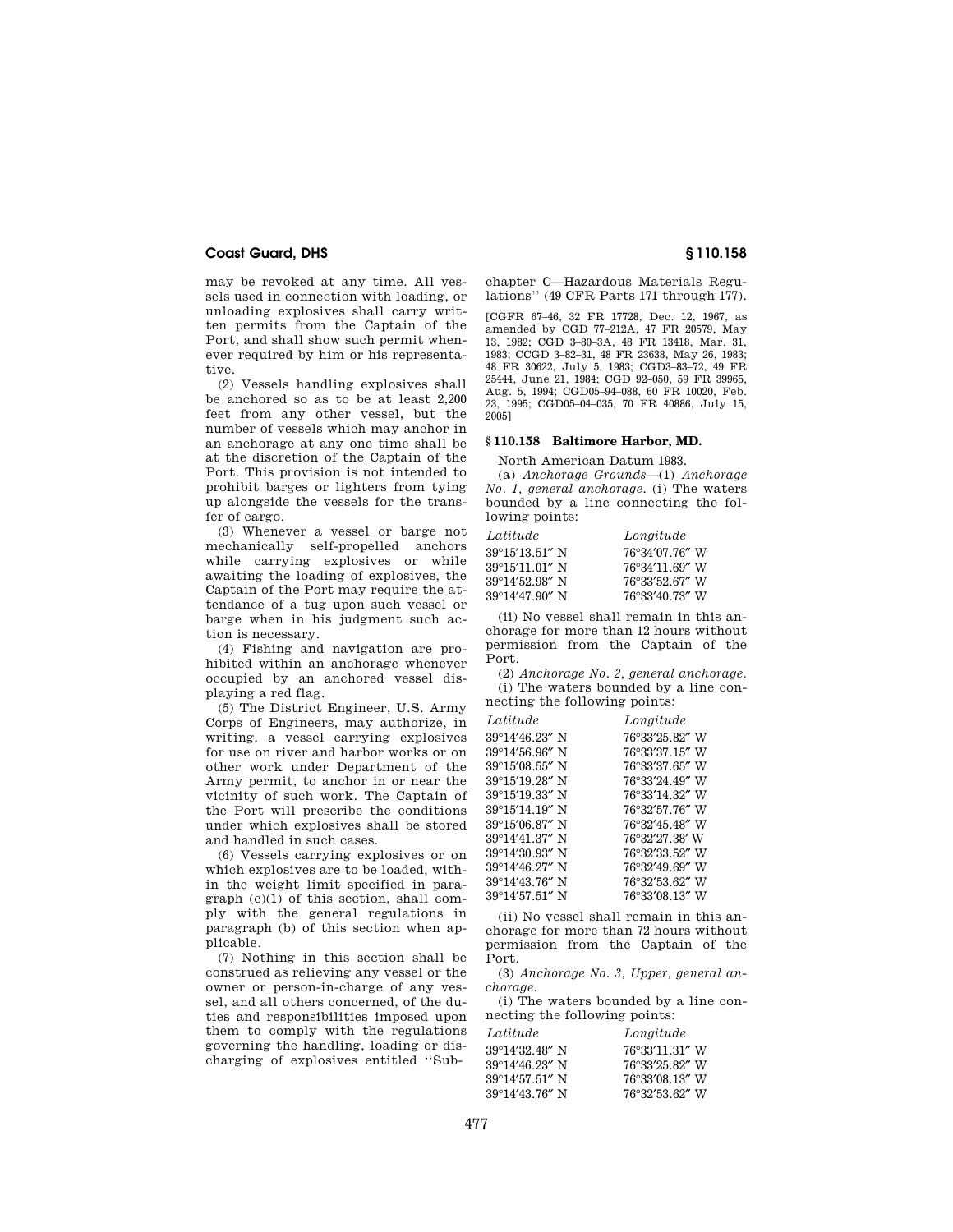may be revoked at any time. All vessels used in connection with loading, or unloading explosives shall carry written permits from the Captain of the Port, and shall show such permit whenever required by him or his representative.

(2) Vessels handling explosives shall be anchored so as to be at least 2,200 feet from any other vessel, but the number of vessels which may anchor in an anchorage at any one time shall be at the discretion of the Captain of the Port. This provision is not intended to prohibit barges or lighters from tying up alongside the vessels for the transfer of cargo.

(3) Whenever a vessel or barge not mechanically self-propelled anchors while carrying explosives or while awaiting the loading of explosives, the Captain of the Port may require the attendance of a tug upon such vessel or barge when in his judgment such action is necessary.

(4) Fishing and navigation are prohibited within an anchorage whenever occupied by an anchored vessel displaying a red flag.

(5) The District Engineer, U.S. Army Corps of Engineers, may authorize, in writing, a vessel carrying explosives for use on river and harbor works or on other work under Department of the Army permit, to anchor in or near the vicinity of such work. The Captain of the Port will prescribe the conditions under which explosives shall be stored and handled in such cases.

(6) Vessels carrying explosives or on which explosives are to be loaded, within the weight limit specified in paragraph (c)(1) of this section, shall comply with the general regulations in paragraph (b) of this section when applicable.

(7) Nothing in this section shall be construed as relieving any vessel or the owner or person-in-charge of any vessel, and all others concerned, of the duties and responsibilities imposed upon them to comply with the regulations governing the handling, loading or discharging of explosives entitled ''Subchapter C—Hazardous Materials Regulations'' (49 CFR Parts 171 through 177).

[CGFR 67–46, 32 FR 17728, Dec. 12, 1967, as amended by CGD 77–212A, 47 FR 20579, May 13, 1982; CGD 3–80–3A, 48 FR 13418, Mar. 31, 1983; CCGD 3–82–31, 48 FR 23638, May 26, 1983; 48 FR 30622, July 5, 1983; CGD3–83–72, 49 FR 25444, June 21, 1984; CGD 92–050, 59 FR 39965, Aug. 5, 1994; CGD05–94–088, 60 FR 10020, Feb. 23, 1995; CGD05–04–035, 70 FR 40886, July 15, 2005]

### **§ 110.158 Baltimore Harbor, MD.**

North American Datum 1983.

(a) *Anchorage Grounds*—(1) *Anchorage No. 1, general anchorage.* (i) The waters bounded by a line connecting the following points:

| Latitude       | Longitude      |
|----------------|----------------|
| 39°15′13.51″ N | 76°34′07.76″ W |
| 39°15'11.01″ N | 76°34'11.69" W |
| 39°14′52.98″ N | 76°33′52.67″ W |
| 39°14′47.90″N  | 76°33′40.73″ W |

(ii) No vessel shall remain in this anchorage for more than 12 hours without permission from the Captain of the Port.

(2) *Anchorage No. 2, general anchorage.*  (i) The waters bounded by a line connecting the following points:

| Latitude                 | Longitude      |
|--------------------------|----------------|
| 39°14'46.23" N           | 76°33'25.82" W |
| 39°14'56.96" N           | 76°33'37.15" W |
| $39^{\circ}15'08.55''$ N | 76°33'37.65" W |
| 39°15'19.28" N           | 76°33'24.49" W |
| 39°15'19.33" N           | 76°33'14.32" W |
| 39°15'14.19" N           | 76°32'57.76" W |
| 39°15'06.87" N           | 76°32'45.48" W |
| 39°14'41.37" N           | 76°32'27.38' W |
| 39°14'30.93" N           | 76°32′33.52″ W |
| 39°14'46.27" N           | 76°32'49.69" W |
| 39°14'43.76" N           | 76°32′53.62″ W |
| $39^{\circ}14'57.51''$ N | 76°33′08.13″ W |

(ii) No vessel shall remain in this anchorage for more than 72 hours without permission from the Captain of the Port.

(3) *Anchorage No. 3, Upper, general anchorage.* 

(i) The waters bounded by a line connecting the following points:

| Latitude                 | Longitude      |
|--------------------------|----------------|
| $39^{\circ}14'32.48''$ N | 76°33'11.31" W |
| $39^{\circ}14'46.23''$ N | 76°33′25.82″ W |
| $39^{\circ}14'57.51''$ N | 76°33'08.13" W |
| $39^{\circ}14'43.76''$ N | 76°32′53.62″ W |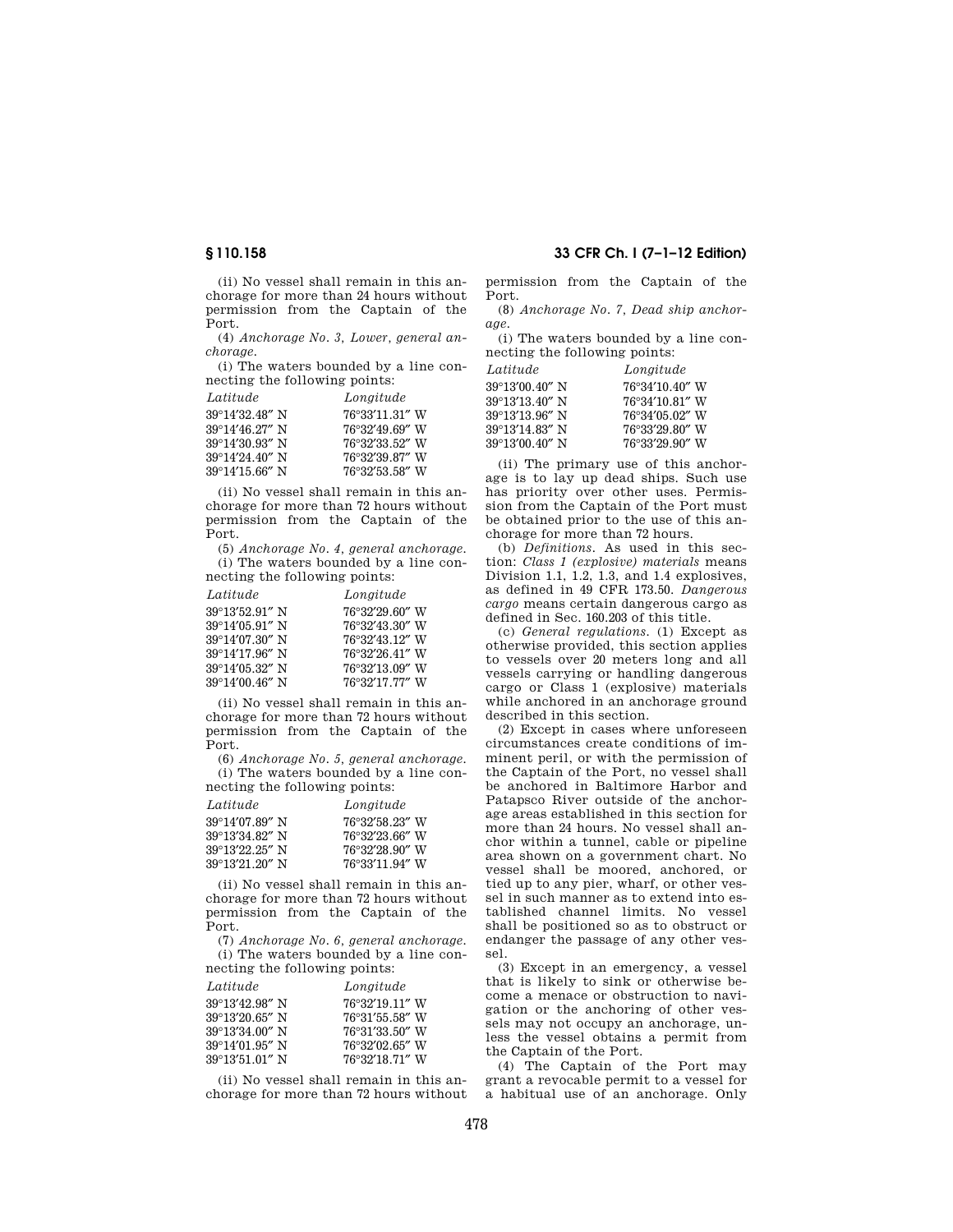(ii) No vessel shall remain in this anchorage for more than 24 hours without permission from the Captain of the Port.

(4) *Anchorage No. 3, Lower, general anchorage.* 

(i) The waters bounded by a line connecting the following points:

| Latitude                 | Longitude      |
|--------------------------|----------------|
| $39^{\circ}14'32.48''$ N | 76°33'11.31" W |
| $39^{\circ}14'46.27''$ N | 76°32'49.69" W |
| $39^{\circ}14'30.93''$ N | 76°32′33.52″ W |
| 39°14'24.40" N           | 76°32′39.87″ W |
| $39^{\circ}14'15.66''$ N | 76°32′53.58″ W |

(ii) No vessel shall remain in this anchorage for more than 72 hours without permission from the Captain of the Port.

(5) *Anchorage No. 4, general anchorage.*  (i) The waters bounded by a line con-

necting the following points: *Latitude Longitude* 

| $10.09$ velocity |
|------------------|
| 76°32′29.60″ W   |
| 76°32′43.30″ W   |
| 76°32′43.12″ W   |
| 76°32′26.41″ W   |
| 76°32'13.09" W   |
| 76°32'17.77" W   |
|                  |

(ii) No vessel shall remain in this anchorage for more than 72 hours without permission from the Captain of the Port.

(6) *Anchorage No. 5, general anchorage.*  (i) The waters bounded by a line connecting the following points:

| Latitude                 | Longitude      |
|--------------------------|----------------|
| 39°14'07.89" N           | 76°32′58.23″ W |
| 39°13'34.82" N           | 76°32′23.66″ W |
| $39^{\circ}13'22.25''$ N | 76°32′28.90″ W |
| $39^{\circ}13'21.20''$ N | 76°33'11.94" W |

(ii) No vessel shall remain in this anchorage for more than 72 hours without permission from the Captain of the Port.

(7) *Anchorage No. 6, general anchorage.*  (i) The waters bounded by a line connecting the following points:

| Latitude       | Longitude      |
|----------------|----------------|
| 39°13′42.98″ N | 76°32'19.11" W |
| 39°13′20.65″ N | 76°31'55.58" W |
| 39°13′34.00″ N | 76°31'33.50" W |
| 39°14′01.95″ N | 76°32′02.65″ W |
| 39°13′51.01″ N | 76°32'18.71" W |

(ii) No vessel shall remain in this anchorage for more than 72 hours without

# **§ 110.158 33 CFR Ch. I (7–1–12 Edition)**

permission from the Captain of the Port.

(8) *Anchorage No. 7, Dead ship anchorage.* 

(i) The waters bounded by a line connecting the following points:

| Latitude                 | Longitude      |
|--------------------------|----------------|
| $39^{\circ}13'00.40''$ N | 76°34'10.40" W |
| 39°13'13.40" N           | 76°34'10.81" W |
| $39^{\circ}13'13.96''$ N | 76°34′05.02″ W |
| $39^{\circ}13'14.83''$ N | 76°33'29.80" W |
| $39^{\circ}13'00.40''$ N | 76°33′29.90″ W |

(ii) The primary use of this anchorage is to lay up dead ships. Such use has priority over other uses. Permission from the Captain of the Port must be obtained prior to the use of this anchorage for more than 72 hours.

(b) *Definitions.* As used in this section: *Class 1 (explosive) materials* means Division 1.1, 1.2, 1.3, and 1.4 explosives, as defined in 49 CFR 173.50. *Dangerous cargo* means certain dangerous cargo as defined in Sec. 160.203 of this title.

(c) *General regulations.* (1) Except as otherwise provided, this section applies to vessels over 20 meters long and all vessels carrying or handling dangerous cargo or Class 1 (explosive) materials while anchored in an anchorage ground described in this section.

(2) Except in cases where unforeseen circumstances create conditions of imminent peril, or with the permission of the Captain of the Port, no vessel shall be anchored in Baltimore Harbor and Patapsco River outside of the anchorage areas established in this section for more than 24 hours. No vessel shall anchor within a tunnel, cable or pipeline area shown on a government chart. No vessel shall be moored, anchored, or tied up to any pier, wharf, or other vessel in such manner as to extend into established channel limits. No vessel shall be positioned so as to obstruct or endanger the passage of any other vessel.

(3) Except in an emergency, a vessel that is likely to sink or otherwise become a menace or obstruction to navigation or the anchoring of other vessels may not occupy an anchorage, unless the vessel obtains a permit from the Captain of the Port.

(4) The Captain of the Port may grant a revocable permit to a vessel for a habitual use of an anchorage. Only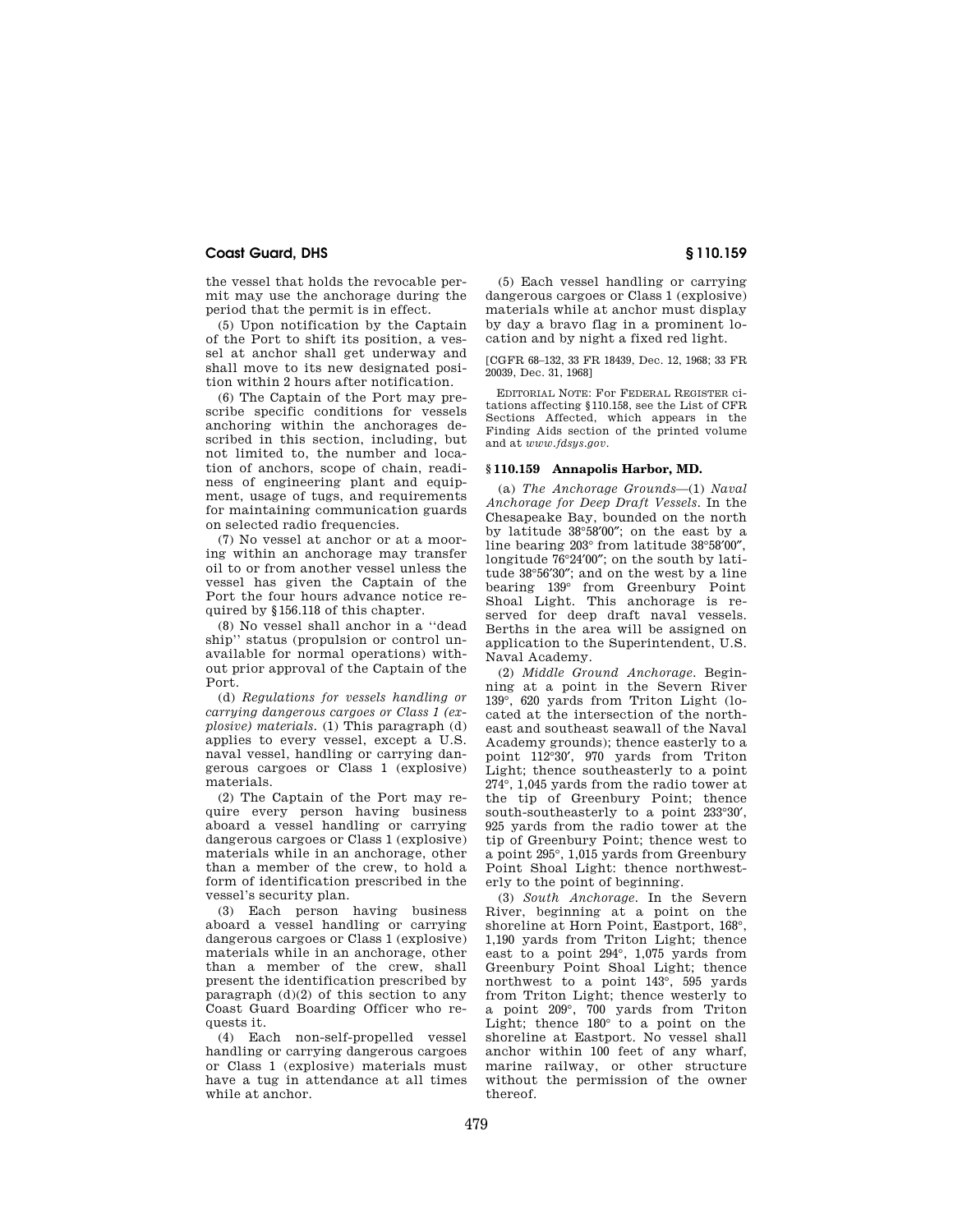the vessel that holds the revocable permit may use the anchorage during the period that the permit is in effect.

(5) Upon notification by the Captain of the Port to shift its position, a vessel at anchor shall get underway and shall move to its new designated position within 2 hours after notification.

(6) The Captain of the Port may prescribe specific conditions for vessels anchoring within the anchorages described in this section, including, but not limited to, the number and location of anchors, scope of chain, readiness of engineering plant and equipment, usage of tugs, and requirements for maintaining communication guards on selected radio frequencies.

(7) No vessel at anchor or at a mooring within an anchorage may transfer oil to or from another vessel unless the vessel has given the Captain of the Port the four hours advance notice required by §156.118 of this chapter.

(8) No vessel shall anchor in a ''dead ship'' status (propulsion or control unavailable for normal operations) without prior approval of the Captain of the Port.

(d) *Regulations for vessels handling or carrying dangerous cargoes or Class 1 (explosive) materials.* (1) This paragraph (d) applies to every vessel, except a U.S. naval vessel, handling or carrying dangerous cargoes or Class 1 (explosive) materials.

(2) The Captain of the Port may require every person having business aboard a vessel handling or carrying dangerous cargoes or Class 1 (explosive) materials while in an anchorage, other than a member of the crew, to hold a form of identification prescribed in the vessel's security plan.

(3) Each person having business aboard a vessel handling or carrying dangerous cargoes or Class 1 (explosive) materials while in an anchorage, other than a member of the crew, shall present the identification prescribed by paragraph  $(d)(2)$  of this section to any Coast Guard Boarding Officer who requests it.

(4) Each non-self-propelled vessel handling or carrying dangerous cargoes or Class 1 (explosive) materials must have a tug in attendance at all times while at anchor.

(5) Each vessel handling or carrying dangerous cargoes or Class 1 (explosive) materials while at anchor must display by day a bravo flag in a prominent location and by night a fixed red light.

[CGFR 68–132, 33 FR 18439, Dec. 12, 1968; 33 FR 20039, Dec. 31, 1968]

EDITORIAL NOTE: For FEDERAL REGISTER citations affecting §110.158, see the List of CFR Sections Affected, which appears in the Finding Aids section of the printed volume and at *www.fdsys.gov*.

# **§ 110.159 Annapolis Harbor, MD.**

(a) *The Anchorage Grounds*—(1) *Naval Anchorage for Deep Draft Vessels.* In the Chesapeake Bay, bounded on the north by latitude 38°58′00″; on the east by a line bearing 203° from latitude 38°58′00″, longitude 76°24′00″; on the south by latitude 38°56′30″; and on the west by a line bearing 139° from Greenbury Point Shoal Light. This anchorage is reserved for deep draft naval vessels. Berths in the area will be assigned on application to the Superintendent, U.S. Naval Academy.

(2) *Middle Ground Anchorage.* Beginning at a point in the Severn River 139°, 620 yards from Triton Light (located at the intersection of the northeast and southeast seawall of the Naval Academy grounds); thence easterly to a point 112°30′, 970 yards from Triton Light; thence southeasterly to a point 274°, 1,045 yards from the radio tower at the tip of Greenbury Point; thence south-southeasterly to a point 233°30′, 925 yards from the radio tower at the tip of Greenbury Point; thence west to a point 295°, 1,015 yards from Greenbury Point Shoal Light: thence northwesterly to the point of beginning.

(3) *South Anchorage.* In the Severn River, beginning at a point on the shoreline at Horn Point, Eastport, 168°, 1,190 yards from Triton Light; thence east to a point 294°, 1,075 yards from Greenbury Point Shoal Light; thence northwest to a point 143°, 595 yards from Triton Light; thence westerly to a point 209°, 700 yards from Triton Light; thence 180° to a point on the shoreline at Eastport. No vessel shall anchor within 100 feet of any wharf, marine railway, or other structure without the permission of the owner thereof.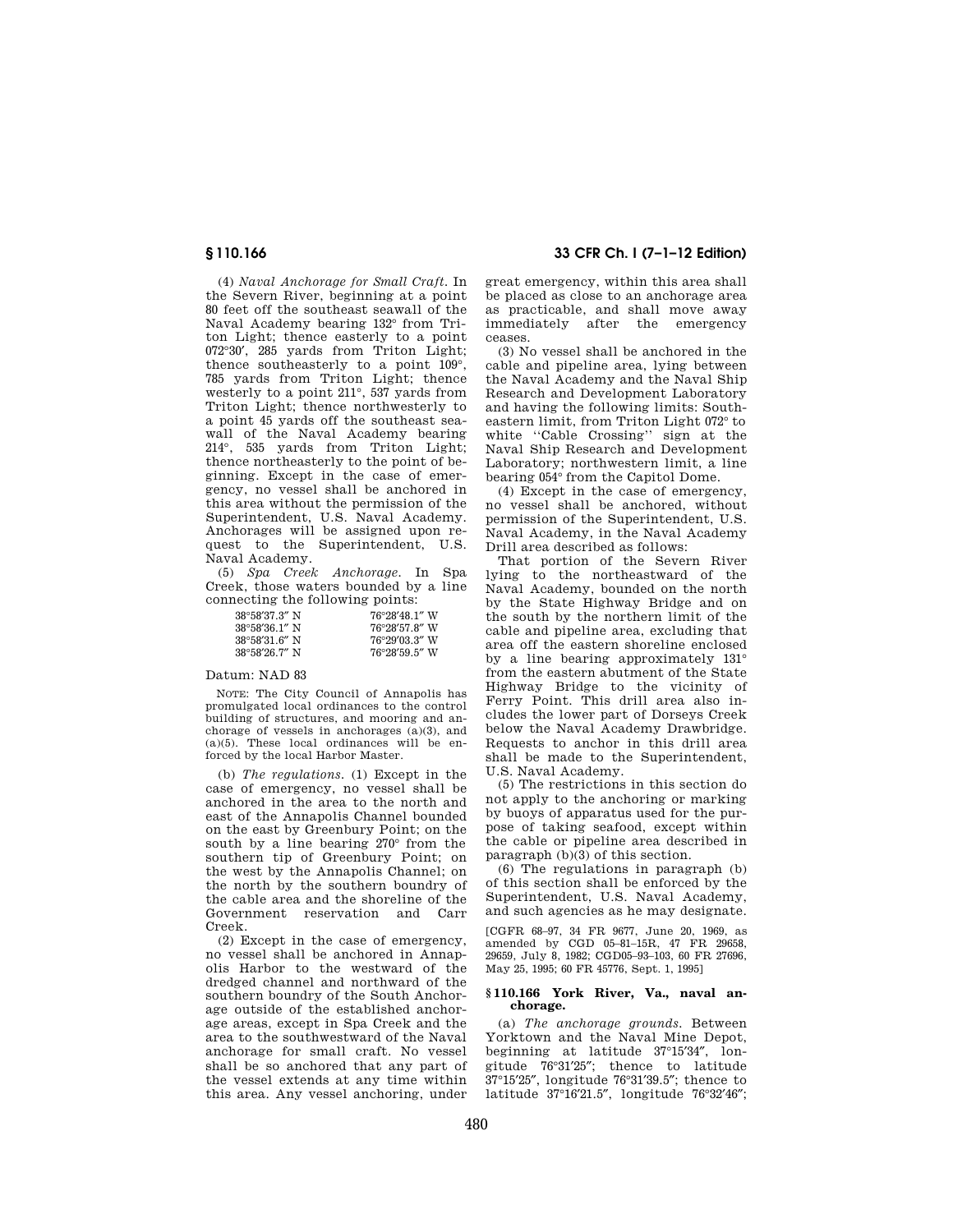(4) *Naval Anchorage for Small Craft.* In the Severn River, beginning at a point 80 feet off the southeast seawall of the Naval Academy bearing 132° from Triton Light; thence easterly to a point 072°30′, 285 yards from Triton Light; thence southeasterly to a point 109°, 785 yards from Triton Light; thence westerly to a point 211°, 537 yards from Triton Light; thence northwesterly to a point 45 yards off the southeast seawall of the Naval Academy bearing 214°, 535 yards from Triton Light; thence northeasterly to the point of beginning. Except in the case of emergency, no vessel shall be anchored in this area without the permission of the Superintendent, U.S. Naval Academy. Anchorages will be assigned upon request to the Superintendent, U.S. Naval Academy.

(5) *Spa Creek Anchorage.* In Spa Creek, those waters bounded by a line connecting the following points:

| $38^{\circ}58'37.3''$ N | $76^{\circ}28'48.1''$ W |
|-------------------------|-------------------------|
| $38^{\circ}58'36.1''$ N | 76°28'57.8" W           |
| $38^{\circ}58'31.6''$ N | 76°29'03.3" W           |
| $38^{\circ}58'26.7''$ N | $76^{\circ}28'59.5''$ W |

# Datum: NAD 83

NOTE: The City Council of Annapolis has promulgated local ordinances to the control building of structures, and mooring and anchorage of vessels in anchorages (a)(3), and  $(a)(5)$ . These local ordinances will be enforced by the local Harbor Master.

(b) *The regulations.* (1) Except in the case of emergency, no vessel shall be anchored in the area to the north and east of the Annapolis Channel bounded on the east by Greenbury Point; on the south by a line bearing 270° from the southern tip of Greenbury Point; on the west by the Annapolis Channel; on the north by the southern boundry of the cable area and the shoreline of the<br>Government reservation and Carr Government reservation and Creek.

(2) Except in the case of emergency, no vessel shall be anchored in Annapolis Harbor to the westward of the dredged channel and northward of the southern boundry of the South Anchorage outside of the established anchorage areas, except in Spa Creek and the area to the southwestward of the Naval anchorage for small craft. No vessel shall be so anchored that any part of the vessel extends at any time within this area. Any vessel anchoring, under

# **§ 110.166 33 CFR Ch. I (7–1–12 Edition)**

great emergency, within this area shall be placed as close to an anchorage area as practicable, and shall move away immediately after the emergency ceases.

(3) No vessel shall be anchored in the cable and pipeline area, lying between the Naval Academy and the Naval Ship Research and Development Laboratory and having the following limits: Southeastern limit, from Triton Light 072° to white ''Cable Crossing'' sign at the Naval Ship Research and Development Laboratory; northwestern limit, a line bearing 054° from the Capitol Dome.

(4) Except in the case of emergency, no vessel shall be anchored, without permission of the Superintendent, U.S. Naval Academy, in the Naval Academy Drill area described as follows:

That portion of the Severn River lying to the northeastward of the Naval Academy, bounded on the north by the State Highway Bridge and on the south by the northern limit of the cable and pipeline area, excluding that area off the eastern shoreline enclosed by a line bearing approximately 131° from the eastern abutment of the State Highway Bridge to the vicinity of Ferry Point. This drill area also includes the lower part of Dorseys Creek below the Naval Academy Drawbridge. Requests to anchor in this drill area shall be made to the Superintendent, U.S. Naval Academy.

(5) The restrictions in this section do not apply to the anchoring or marking by buoys of apparatus used for the purpose of taking seafood, except within the cable or pipeline area described in paragraph (b)(3) of this section.

(6) The regulations in paragraph (b) of this section shall be enforced by the Superintendent, U.S. Naval Academy, and such agencies as he may designate.

[CGFR 68–97, 34 FR 9677, June 20, 1969, as amended by CGD 05–81–15R, 47 FR 29658, 29659, July 8, 1982; CGD05–93–103, 60 FR 27696, May 25, 1995; 60 FR 45776, Sept. 1, 1995]

### **§ 110.166 York River, Va., naval anchorage.**

(a) *The anchorage grounds.* Between Yorktown and the Naval Mine Depot, beginning at latitude 37°15'34", longitude 76°31′25″; thence to latitude 37°15′25″, longitude 76°31′39.5″; thence to latitude 37°16′21.5″, longitude 76°32′46″;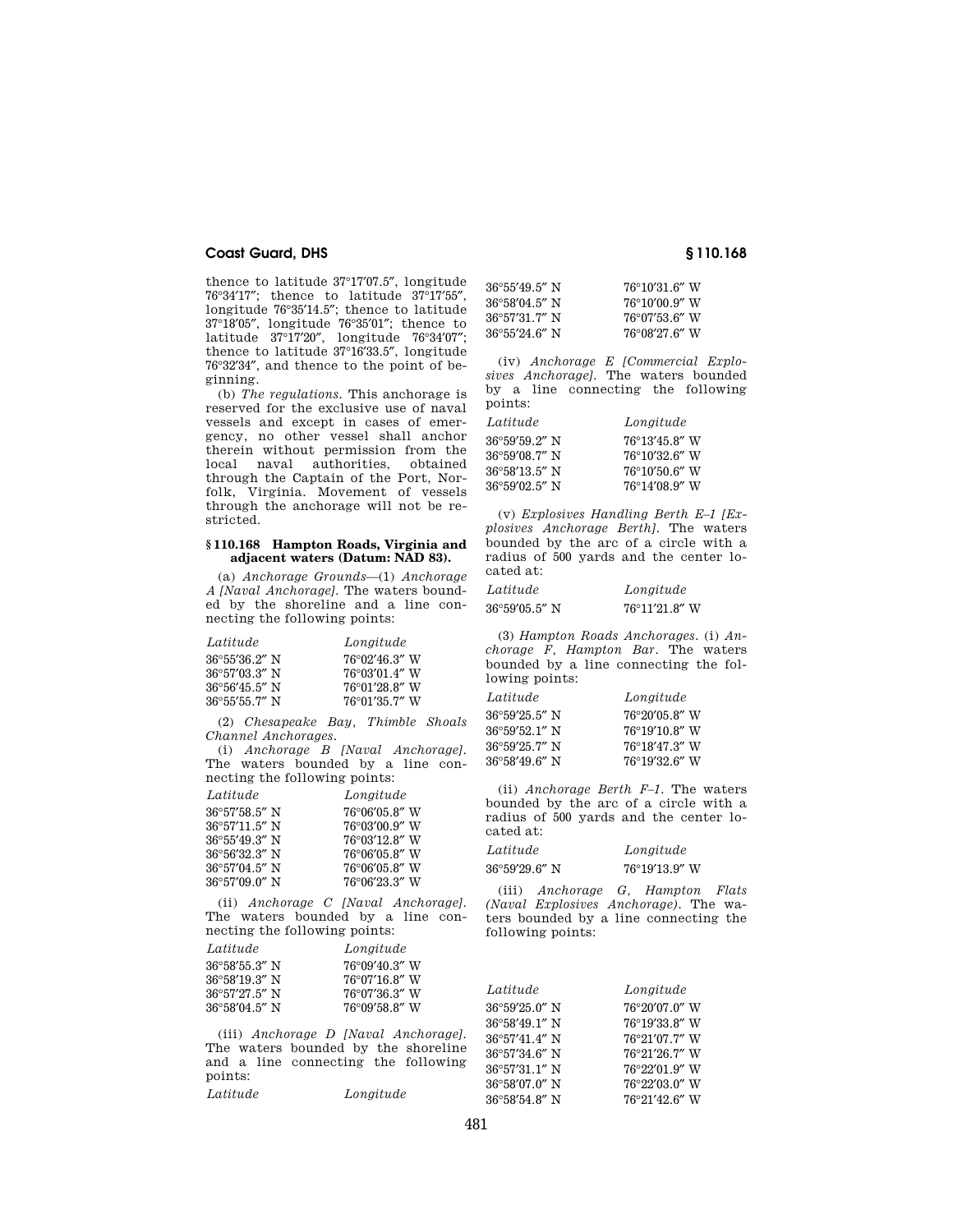thence to latitude 37°17′07.5″, longitude 76°34′17″; thence to latitude 37°17′55″, longitude 76°35'14.5"; thence to latitude 37°18′05″, longitude 76°35′01″; thence to latitude 37°17′20″, longitude 76°34′07″; thence to latitude 37°16′33.5″, longitude 76°32′34″, and thence to the point of beginning.

(b) *The regulations.* This anchorage is reserved for the exclusive use of naval vessels and except in cases of emergency, no other vessel shall anchor therein without permission from the local naval authorities, obtained through the Captain of the Port, Norfolk, Virginia. Movement of vessels through the anchorage will not be restricted.

### **§ 110.168 Hampton Roads, Virginia and adjacent waters (Datum: NAD 83).**

(a) *Anchorage Grounds*—(1) *Anchorage A [Naval Anchorage].* The waters bounded by the shoreline and a line connecting the following points:

| Latitude                | Longitude               |
|-------------------------|-------------------------|
| $36^{\circ}55'36.2''$ N | 76°02′46.3″ W           |
| $36^{\circ}57'03.3''$ N | 76°03′01.4″ W           |
| $36^{\circ}56'45.5''$ N | 76°01′28.8″ W           |
| $36^{\circ}55'55.7''$ N | $76^{\circ}01'35.7''$ W |

(2) *Chesapeake Bay, Thimble Shoals Channel Anchorages*.

(i) *Anchorage B [Naval Anchorage]*. The waters bounded by a line connecting the following points:

| Latitude                | Longitude     |
|-------------------------|---------------|
| 36°57′58.5″ N           | 76°06'05.8" W |
| 36°57′11.5″ N           | 76°03'00.9" W |
| 36°55′49.3″ N           | 76°03'12.8" W |
| 36°56′32.3″ N           | 76°06'05.8" W |
| 36°57′04.5″ N           | 76°06'05.8" W |
| $36^{\circ}57'09.0''$ N | 76°06'23.3" W |

(ii) *Anchorage C [Naval Anchorage]*. The waters bounded by a line connecting the following points:

| Latitude      | Longitude               |
|---------------|-------------------------|
| 36°58′55.3″ N | 76°09'40.3" W           |
| 36°58′19.3″ N | $76^{\circ}07'16.8''$ W |
| 36°57′27.5″ N | 76°07'36.3" W           |
| 36°58′04.5″ N | 76°09'58.8" W           |

(iii) *Anchorage D [Naval Anchorage].*  The waters bounded by the shoreline and a line connecting the following points: *Latitude Longitude* 

| 76°10'31.6" W |
|---------------|
| 76°10′00.9″ W |
| 76°07′53.6″ W |
| 76°08′27.6″ W |
|               |

(iv) *Anchorage E [Commercial Explosives Anchorage].* The waters bounded by a line connecting the following points:

| Latitude                | Longitude               |
|-------------------------|-------------------------|
| $36^{\circ}59'59'2''$ N | $76^{\circ}13'45.8''$ W |
| 36°59′08.7″ N           | 76°10'32.6" W           |
| 36°58′13.5″ N           | 76°10′50.6″ W           |
| 36°59′02.5″ N           | $76^{\circ}14'08.9''$ W |

(v) *Explosives Handling Berth E–1 [Explosives Anchorage Berth].* The waters bounded by the arc of a circle with a radius of 500 yards and the center located at:

| Latitude      | Longitude     |
|---------------|---------------|
| 36°59′05.5″ N | 76°11'21.8" W |

(3) *Hampton Roads Anchorages.* (i) *Anchorage F, Hampton Bar.* The waters bounded by a line connecting the following points:

| Latitude                | Longitude     |
|-------------------------|---------------|
| $36^{\circ}59'25.5''$ N | 76°20'05.8" W |
| $36^{\circ}59'52.1''$ N | 76°19'10.8" W |
| $36^{\circ}59'25.7''$ N | 76°18'47.3" W |
| $36^{\circ}58'49.6''$ N | 76°19'32.6" W |

(ii) *Anchorage Berth F–1.* The waters bounded by the arc of a circle with a radius of 500 yards and the center located at:

| Latitude      | Longitude     |
|---------------|---------------|
| 36°59′29.6″ N | 76°19'13.9" W |

(iii) *Anchorage G, Hampton Flats (Naval Explosives Anchorage).* The waters bounded by a line connecting the following points:

| Latitude                | Longitude     |
|-------------------------|---------------|
| 36°59'25.0" N           | 76°20'07.0" W |
| 36°58'49.1" N           | 76°19'33.8" W |
| $36^{\circ}57'41.4''$ N | 76°21'07.7" W |
| 36°57'34.6" N           | 76°21'26.7" W |
| 36°57'31.1" N           | 76°22'01.9" W |
| 36°58'07.0" N           | 76°22'03.0" W |
| $36^{\circ}58'54.8''$ N | 76°21'42.6" W |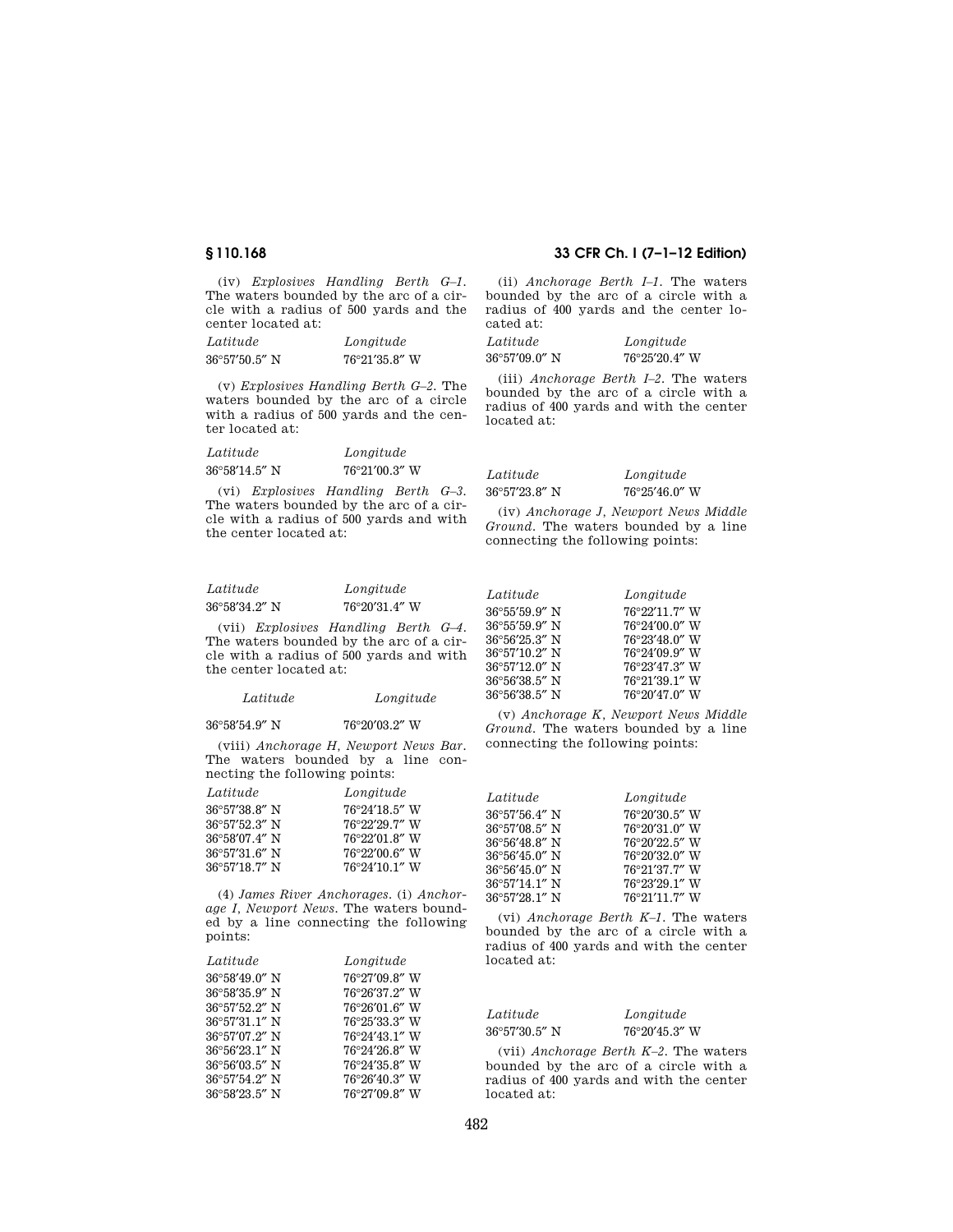(iv) *Explosives Handling Berth G–1.*  The waters bounded by the arc of a circle with a radius of 500 yards and the center located at:

| Latitude                | Longitude               |
|-------------------------|-------------------------|
| $36^{\circ}57'50.5''$ N | $76^{\circ}21'35.8''$ W |

(v) *Explosives Handling Berth G–2.* The waters bounded by the arc of a circle with a radius of 500 yards and the center located at:

| Latitude                | Longitude               |
|-------------------------|-------------------------|
| $36^{\circ}58'14.5''$ N | $76^{\circ}21'00.3''$ W |

(vi) *Explosives Handling Berth G–3.*  The waters bounded by the arc of a circle with a radius of 500 yards and with the center located at:

# *Latitude Longitude*  36°58′34.2″ N 76°20′31.4″ W

(vii) *Explosives Handling Berth G–4.*  The waters bounded by the arc of a circle with a radius of 500 yards and with the center located at:

| Latitude | Longitude |
|----------|-----------|
|----------|-----------|

| 36°58′54.9″ N | 76°20′03.2″ W |
|---------------|---------------|
|               |               |

(viii) *Anchorage H, Newport News Bar.*  The waters bounded by a line connecting the following points:

| Latitude      | Longitude               |
|---------------|-------------------------|
| 36°57′38.8″ N | $76^{\circ}24'18.5''$ W |
| 36°57′52.3″ N | 76°22'29.7" W           |
| 36°58′07.4″ N | 76°22′01.8″ W           |
| 36°57′31.6″ N | $76^{\circ}22'00.6''$ W |
| 36°57′18.7″ N | $76^{\circ}24'10.1''$ W |

(4) *James River Anchorages.* (i) *Anchorage I, Newport News.* The waters bounded by a line connecting the following points:

| Latitude                | Longitude     |
|-------------------------|---------------|
| 36°58′49.0″ N           | 76°27'09.8" W |
| 36°58′35.9″ N           | 76°26'37.2" W |
| $36^{\circ}57'52.2''$ N | 76°26'01.6" W |
| 36°57′31.1″ N           | 76°25'33.3" W |
| $36^{\circ}57'07.2''$ N | 76°24'43.1" W |
| 36°56′23.1″ N           | 76°24'26.8" W |
| 36°56′03.5″ N           | 76°24'35.8" W |
| 36°57′54.2″ N           | 76°26'40.3" W |
| 36°58′23.5″ N           | 76°27'09.8" W |

# **§ 110.168 33 CFR Ch. I (7–1–12 Edition)**

(ii) *Anchorage Berth I–1.* The waters bounded by the arc of a circle with a radius of 400 yards and the center located at:

| Latitude                | Longitude               |
|-------------------------|-------------------------|
| $36^{\circ}57'09.0''$ N | $76^{\circ}25'20.4''$ W |

(iii) *Anchorage Berth I–2.* The waters bounded by the arc of a circle with a radius of 400 yards and with the center located at:

| Latitude                | Longitude               |
|-------------------------|-------------------------|
| $36^{\circ}57'23.8''$ N | $76^{\circ}25'46.0''$ W |

(iv) *Anchorage J, Newport News Middle Ground.* The waters bounded by a line connecting the following points:

| Latitude                | Longitude               |
|-------------------------|-------------------------|
| $36^{\circ}55'59.9''$ N | 76°22'11.7" W           |
| $36^{\circ}55'59.9''$ N | 76°24'00.0" W           |
| $36^{\circ}56'25.3''$ N | 76°23'48.0" W           |
| $36^{\circ}57'10.2''$ N | 76°24'09.9" W           |
| $36^{\circ}57'12.0''$ N | 76°23'47.3" W           |
| $36^{\circ}56'38.5''$ N | 76°21'39.1" W           |
| 36°56′38.5″ N           | $76^{\circ}20'47.0''$ W |

(v) *Anchorage K, Newport News Middle Ground.* The waters bounded by a line connecting the following points:

| Latitude                | Longitude     |
|-------------------------|---------------|
| $36^{\circ}57'56.4''$ N | 76°20'30.5" W |
| $36^{\circ}57'08.5''$ N | 76°20'31.0" W |
| 36°56'48.8" N           | 76°20′22.5″ W |
| 36°56'45.0" N           | 76°20'32.0" W |
| $36^{\circ}56'45.0''$ N | 76°21'37.7" W |
| $36^{\circ}57'14.1''$ N | 76°23'29.1" W |
| $36^{\circ}57'28.1''$ N | 76°21'11.7" W |

(vi) *Anchorage Berth K–1.* The waters bounded by the arc of a circle with a radius of 400 yards and with the center located at:

| Latitude                | Longitude        |
|-------------------------|------------------|
| $36^{\circ}57'30.5''$ N | $76°20'45.3''$ W |

(vii) *Anchorage Berth K–2.* The waters bounded by the arc of a circle with a radius of 400 yards and with the center located at: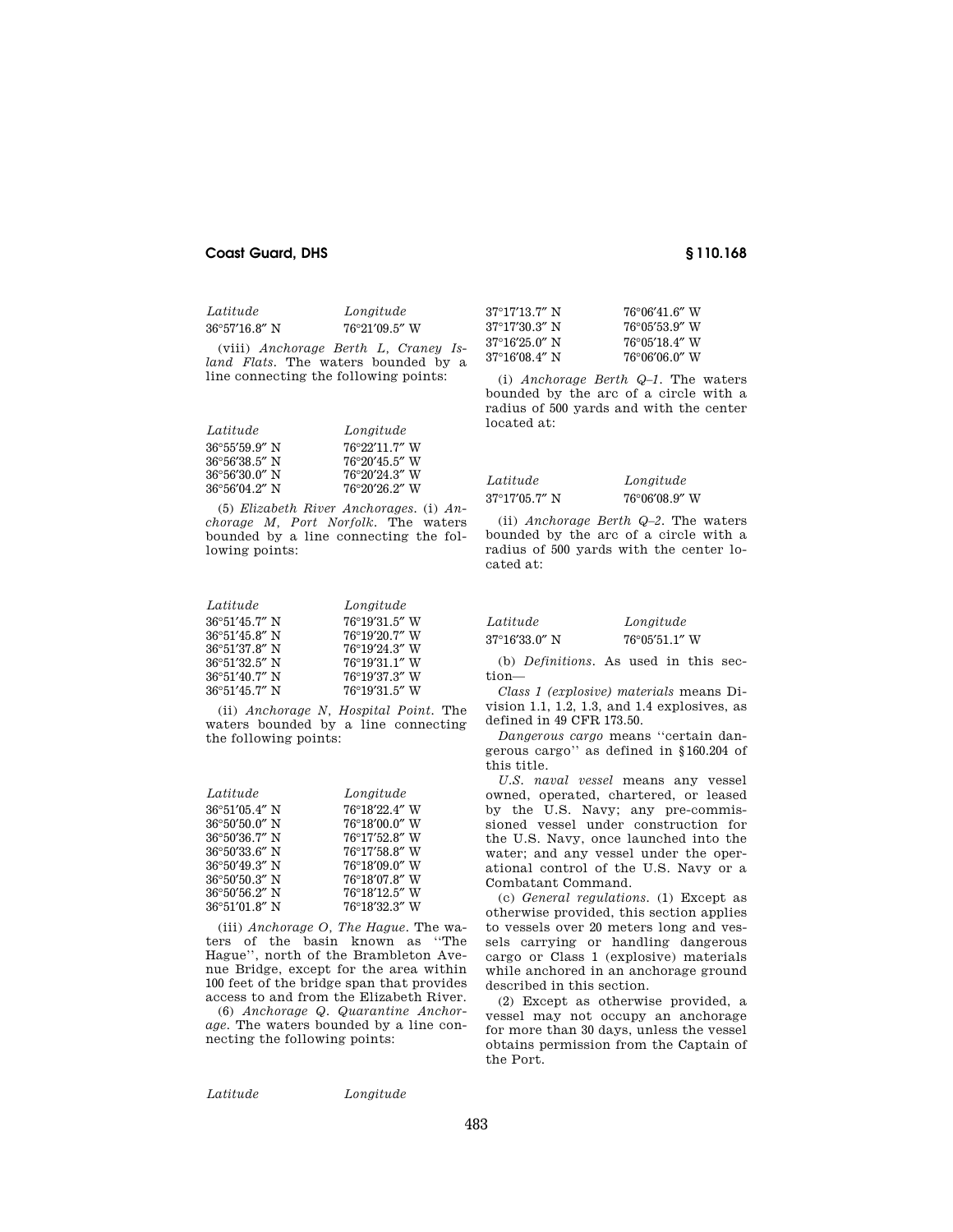| Latitude                | Longitude               |
|-------------------------|-------------------------|
| $36^{\circ}57'16.8''$ N | $76^{\circ}21'09.5''$ W |

(viii) *Anchorage Berth L, Craney Island Flats.* The waters bounded by a line connecting the following points:

| Latitude                | Longitude               |
|-------------------------|-------------------------|
| $36^{\circ}55'59.9''$ N | $76^{\circ}22'11.7''$ W |
| $36^{\circ}56'38.5''$ N | $76^{\circ}20'45.5''$ W |
| $36^{\circ}56'30.0''$ N | 76°20′24.3″ W           |
| $36^{\circ}56'04.2''$ N | 76°20′26.2″ W           |

(5) *Elizabeth River Anchorages.* (i) *Anchorage M, Port Norfolk.* The waters bounded by a line connecting the following points:

| Latitude                | Longitude               |
|-------------------------|-------------------------|
| $36^{\circ}51'45.7''$ N | 76°19'31.5" W           |
| $36^{\circ}51'45.8''$ N | 76°19'20.7" W           |
| 36°51′37.8″ N           | 76°19′24.3″ W           |
| $36^{\circ}51'32.5''$ N | $76^{\circ}19'31.1''$ W |
| 36°51'40.7" N           | 76°19'37.3" W           |
| $36^{\circ}51'45.7''$ N | 76°19'31.5" W           |

(ii) *Anchorage N, Hospital Point.* The waters bounded by a line connecting the following points:

| Latitude                | Longitude     |
|-------------------------|---------------|
| $36^{\circ}51'05.4''$ N | 76°18'22.4" W |
| $36^{\circ}50'50.0''$ N | 76°18'00.0" W |
| $36^{\circ}50'36.7''$ N | 76°17'52.8" W |
| $36^{\circ}50'33.6''$ N | 76°17'58.8" W |
| $36^{\circ}50'49.3''$ N | 76°18′09.0″ W |
| $36^{\circ}50'50.3''$ N | 76°18'07.8" W |
| $36^{\circ}50'56.2''$ N | 76°18'12.5" W |
| $36^{\circ}51'01.8''$ N | 76°18'32.3" W |

(iii) *Anchorage O, The Hague.* The waters of the basin known as ''The Hague'', north of the Brambleton Avenue Bridge, except for the area within 100 feet of the bridge span that provides access to and from the Elizabeth River.

(6) *Anchorage Q. Quarantine Anchorage.* The waters bounded by a line connecting the following points:

| Latitude |  |  |
|----------|--|--|
|          |  |  |
|          |  |  |
|          |  |  |
|          |  |  |

*Latitude Longitude* 

| 37°17′13.7″ N | 76°06′41.6″ W |
|---------------|---------------|
| 37°17′30.3″ N | 76°05′53.9″ W |
| 37°16′25.0″ N | 76°05'18.4" W |
| 37°16′08.4″ N | 76°06′06.0″ W |

(i) *Anchorage Berth Q–1.* The waters bounded by the arc of a circle with a radius of 500 yards and with the center located at:

| Latitude      | Longitude               |
|---------------|-------------------------|
| 37°17′05.7″ N | $76^{\circ}06'08.9''$ W |

(ii) *Anchorage Berth Q–2.* The waters bounded by the arc of a circle with a radius of 500 yards with the center located at:

| Latitude                | Longitude               |
|-------------------------|-------------------------|
| $37^{\circ}16'33.0''$ N | $76^{\circ}05'51.1''$ W |

(b) *Definitions.* As used in this section—

*Class 1 (explosive) materials* means Division 1.1, 1.2, 1.3, and 1.4 explosives, as defined in 49 CFR 173.50.

*Dangerous cargo* means ''certain dangerous cargo'' as defined in §160.204 of this title.

*U.S. naval vessel* means any vessel owned, operated, chartered, or leased by the U.S. Navy; any pre-commissioned vessel under construction for the U.S. Navy, once launched into the water; and any vessel under the operational control of the U.S. Navy or a Combatant Command.

(c) *General regulations.* (1) Except as otherwise provided, this section applies to vessels over 20 meters long and vessels carrying or handling dangerous cargo or Class 1 (explosive) materials while anchored in an anchorage ground described in this section.

(2) Except as otherwise provided, a vessel may not occupy an anchorage for more than 30 days, unless the vessel obtains permission from the Captain of the Port.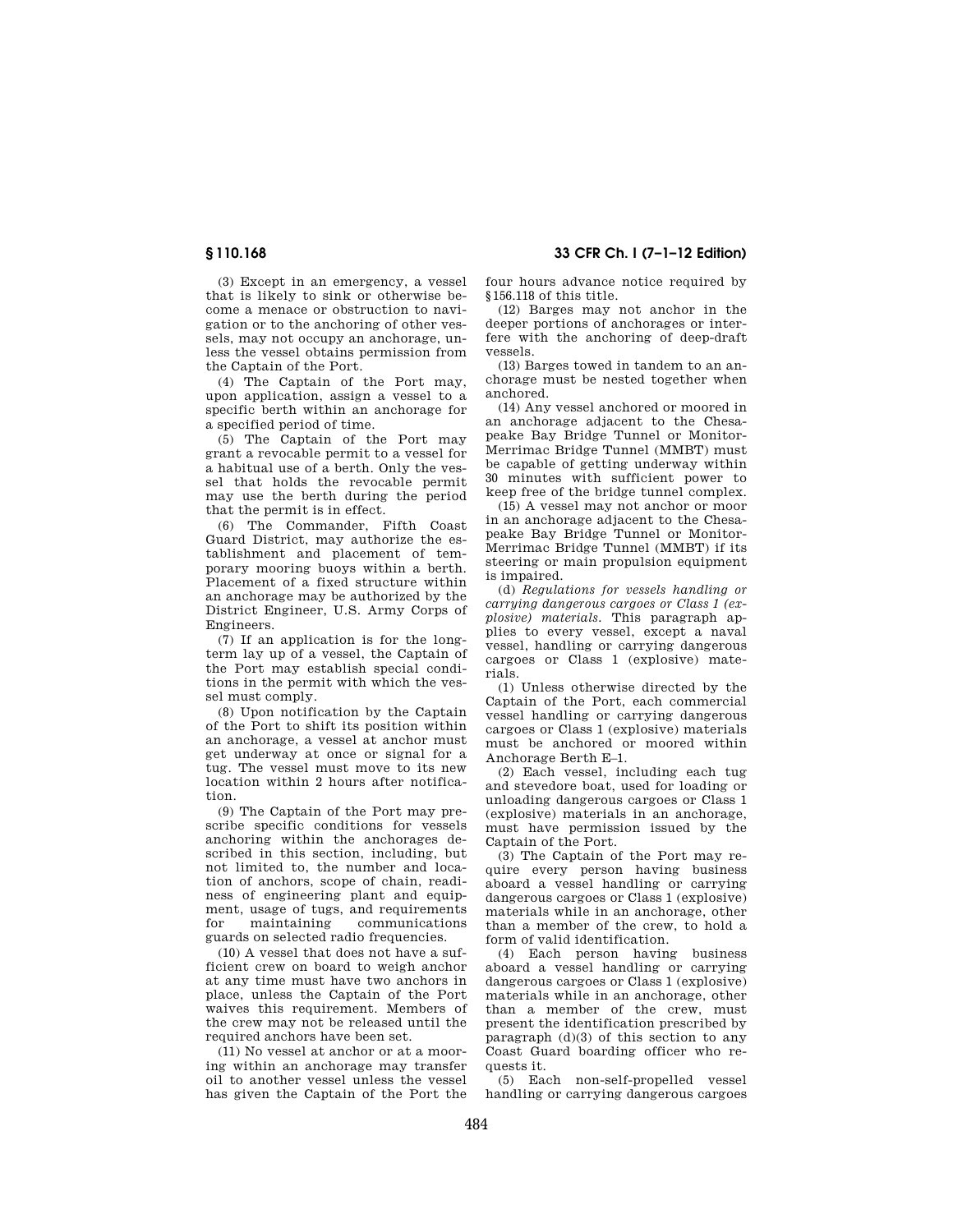(3) Except in an emergency, a vessel that is likely to sink or otherwise become a menace or obstruction to navigation or to the anchoring of other vessels, may not occupy an anchorage, unless the vessel obtains permission from the Captain of the Port.

(4) The Captain of the Port may, upon application, assign a vessel to a specific berth within an anchorage for a specified period of time.

(5) The Captain of the Port may grant a revocable permit to a vessel for a habitual use of a berth. Only the vessel that holds the revocable permit may use the berth during the period that the permit is in effect.

(6) The Commander, Fifth Coast Guard District, may authorize the establishment and placement of temporary mooring buoys within a berth. Placement of a fixed structure within an anchorage may be authorized by the District Engineer, U.S. Army Corps of Engineers.

(7) If an application is for the longterm lay up of a vessel, the Captain of the Port may establish special conditions in the permit with which the vessel must comply.

(8) Upon notification by the Captain of the Port to shift its position within an anchorage, a vessel at anchor must get underway at once or signal for a tug. The vessel must move to its new location within 2 hours after notification.

(9) The Captain of the Port may prescribe specific conditions for vessels anchoring within the anchorages described in this section, including, but not limited to, the number and location of anchors, scope of chain, readiness of engineering plant and equipment, usage of tugs, and requirements<br>for maintaining communications for maintaining communications guards on selected radio frequencies.

(10) A vessel that does not have a sufficient crew on board to weigh anchor at any time must have two anchors in place, unless the Captain of the Port waives this requirement. Members of the crew may not be released until the required anchors have been set.

(11) No vessel at anchor or at a mooring within an anchorage may transfer oil to another vessel unless the vessel has given the Captain of the Port the

**§ 110.168 33 CFR Ch. I (7–1–12 Edition)** 

four hours advance notice required by §156.118 of this title.

(12) Barges may not anchor in the deeper portions of anchorages or interfere with the anchoring of deep-draft vessels.

(13) Barges towed in tandem to an anchorage must be nested together when anchored.

(14) Any vessel anchored or moored in an anchorage adjacent to the Chesapeake Bay Bridge Tunnel or Monitor-Merrimac Bridge Tunnel (MMBT) must be capable of getting underway within 30 minutes with sufficient power to keep free of the bridge tunnel complex.

(15) A vessel may not anchor or moor in an anchorage adjacent to the Chesapeake Bay Bridge Tunnel or Monitor-Merrimac Bridge Tunnel (MMBT) if its steering or main propulsion equipment is impaired.

(d) *Regulations for vessels handling or carrying dangerous cargoes or Class 1 (explosive) materials.* This paragraph applies to every vessel, except a naval vessel, handling or carrying dangerous cargoes or Class 1 (explosive) materials.

(1) Unless otherwise directed by the Captain of the Port, each commercial vessel handling or carrying dangerous cargoes or Class 1 (explosive) materials must be anchored or moored within Anchorage Berth E–1.

(2) Each vessel, including each tug and stevedore boat, used for loading or unloading dangerous cargoes or Class 1 (explosive) materials in an anchorage, must have permission issued by the Captain of the Port.

(3) The Captain of the Port may require every person having business aboard a vessel handling or carrying dangerous cargoes or Class 1 (explosive) materials while in an anchorage, other than a member of the crew, to hold a form of valid identification.

(4) Each person having business aboard a vessel handling or carrying dangerous cargoes or Class 1 (explosive) materials while in an anchorage, other than a member of the crew, must present the identification prescribed by paragraph  $(d)(3)$  of this section to any Coast Guard boarding officer who requests it.

(5) Each non-self-propelled vessel handling or carrying dangerous cargoes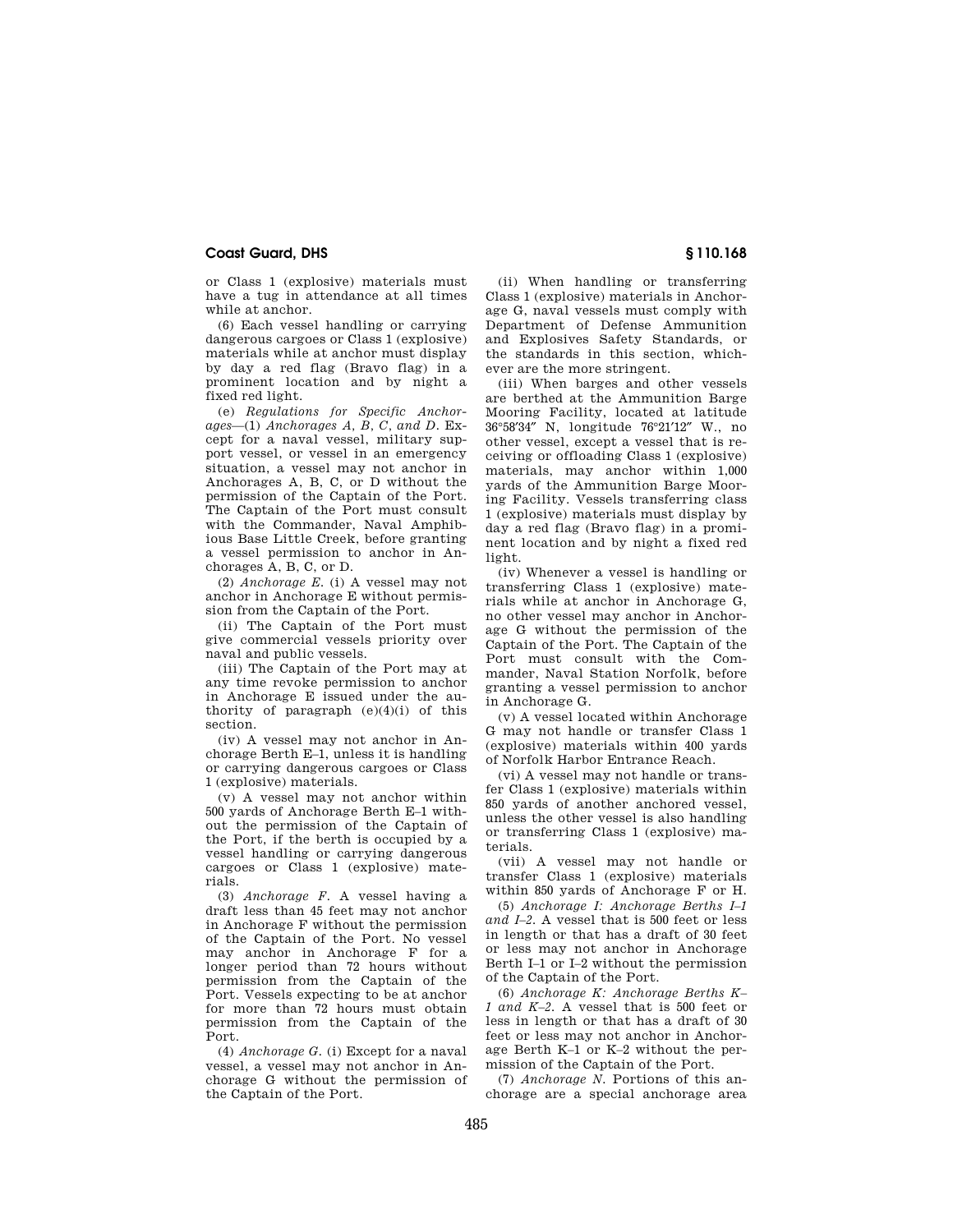or Class 1 (explosive) materials must have a tug in attendance at all times while at anchor.

(6) Each vessel handling or carrying dangerous cargoes or Class 1 (explosive) materials while at anchor must display by day a red flag (Bravo flag) in a prominent location and by night a fixed red light.

(e) *Regulations for Specific Anchorages*—(1) *Anchorages A, B, C, and D.* Except for a naval vessel, military support vessel, or vessel in an emergency situation, a vessel may not anchor in Anchorages A, B, C, or D without the permission of the Captain of the Port. The Captain of the Port must consult with the Commander, Naval Amphibious Base Little Creek, before granting a vessel permission to anchor in Anchorages A, B, C, or D.

(2) *Anchorage E.* (i) A vessel may not anchor in Anchorage E without permission from the Captain of the Port.

(ii) The Captain of the Port must give commercial vessels priority over naval and public vessels.

(iii) The Captain of the Port may at any time revoke permission to anchor in Anchorage E issued under the authority of paragraph  $(e)(4)(i)$  of this section.

(iv) A vessel may not anchor in Anchorage Berth E–1, unless it is handling or carrying dangerous cargoes or Class 1 (explosive) materials.

(v) A vessel may not anchor within 500 yards of Anchorage Berth E–1 without the permission of the Captain of the Port, if the berth is occupied by a vessel handling or carrying dangerous cargoes or Class 1 (explosive) materials.

(3) *Anchorage F.* A vessel having a draft less than 45 feet may not anchor in Anchorage F without the permission of the Captain of the Port. No vessel may anchor in Anchorage F for a longer period than 72 hours without permission from the Captain of the Port. Vessels expecting to be at anchor for more than 72 hours must obtain permission from the Captain of the Port.

(4) *Anchorage G.* (i) Except for a naval vessel, a vessel may not anchor in Anchorage G without the permission of the Captain of the Port.

(ii) When handling or transferring Class 1 (explosive) materials in Anchorage G, naval vessels must comply with Department of Defense Ammunition and Explosives Safety Standards, or the standards in this section, whichever are the more stringent.

(iii) When barges and other vessels are berthed at the Ammunition Barge Mooring Facility, located at latitude 36°58′34″ N, longitude 76°21′12″ W., no other vessel, except a vessel that is receiving or offloading Class 1 (explosive) materials, may anchor within 1,000 yards of the Ammunition Barge Mooring Facility. Vessels transferring class 1 (explosive) materials must display by day a red flag (Bravo flag) in a prominent location and by night a fixed red light.

(iv) Whenever a vessel is handling or transferring Class 1 (explosive) materials while at anchor in Anchorage G, no other vessel may anchor in Anchorage G without the permission of the Captain of the Port. The Captain of the Port must consult with the Commander, Naval Station Norfolk, before granting a vessel permission to anchor in Anchorage G.

(v) A vessel located within Anchorage G may not handle or transfer Class 1 (explosive) materials within 400 yards of Norfolk Harbor Entrance Reach.

(vi) A vessel may not handle or transfer Class 1 (explosive) materials within 850 yards of another anchored vessel, unless the other vessel is also handling or transferring Class 1 (explosive) materials.

(vii) A vessel may not handle or transfer Class 1 (explosive) materials within 850 yards of Anchorage F or H.

(5) *Anchorage I: Anchorage Berths I–1 and I–2.* A vessel that is 500 feet or less in length or that has a draft of 30 feet or less may not anchor in Anchorage Berth I–1 or I–2 without the permission of the Captain of the Port.

(6) *Anchorage K: Anchorage Berths K– 1 and K–2.* A vessel that is 500 feet or less in length or that has a draft of 30 feet or less may not anchor in Anchorage Berth K–1 or K–2 without the permission of the Captain of the Port.

(7) *Anchorage N.* Portions of this anchorage are a special anchorage area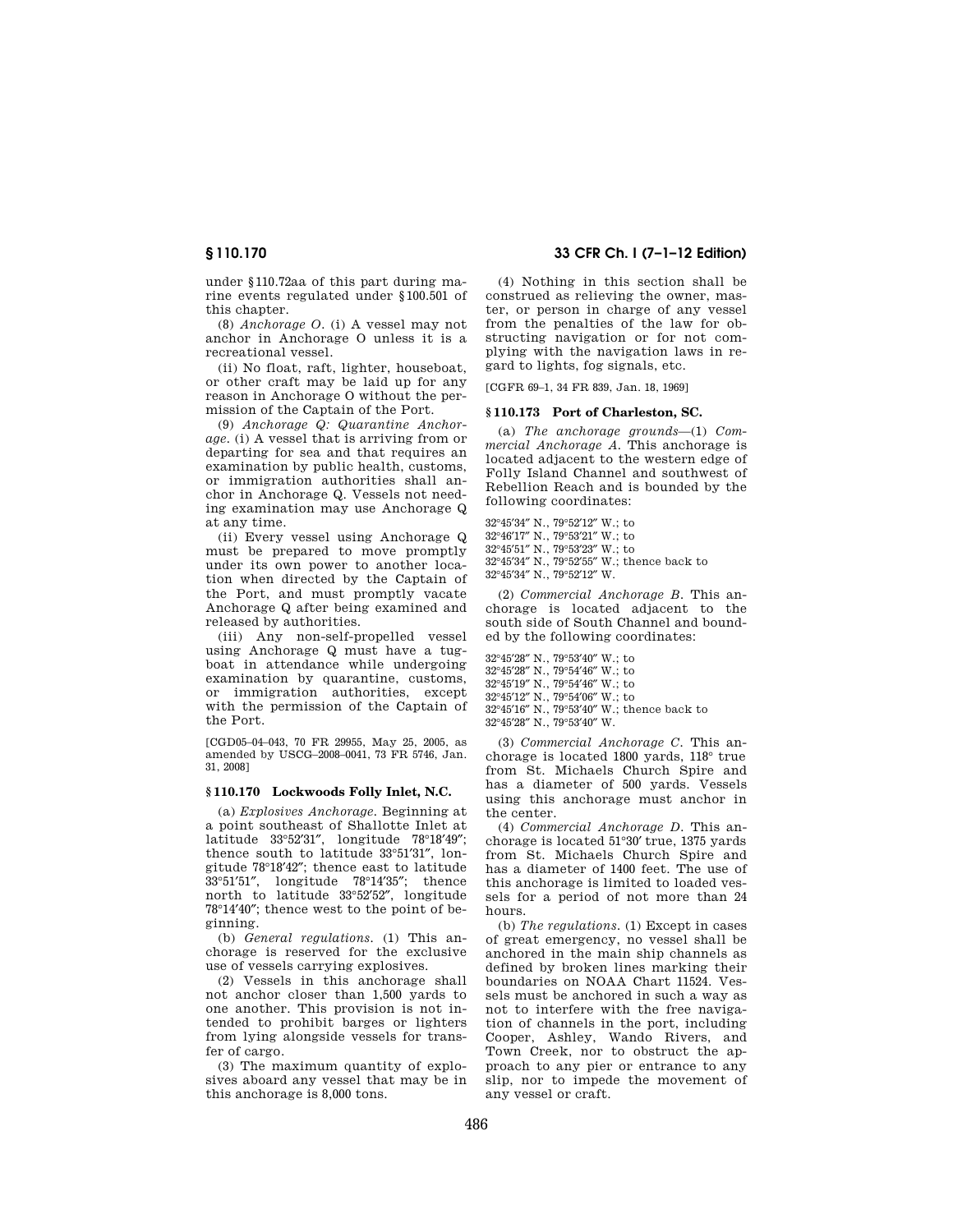under §110.72aa of this part during marine events regulated under §100.501 of this chapter.

(8) *Anchorage O.* (i) A vessel may not anchor in Anchorage O unless it is a recreational vessel.

(ii) No float, raft, lighter, houseboat, or other craft may be laid up for any reason in Anchorage O without the permission of the Captain of the Port.

(9) *Anchorage Q: Quarantine Anchorage.* (i) A vessel that is arriving from or departing for sea and that requires an examination by public health, customs, or immigration authorities shall anchor in Anchorage Q. Vessels not needing examination may use Anchorage Q at any time.

(ii) Every vessel using Anchorage Q must be prepared to move promptly under its own power to another location when directed by the Captain of the Port, and must promptly vacate Anchorage Q after being examined and released by authorities.

(iii) Any non-self-propelled vessel using Anchorage Q must have a tugboat in attendance while undergoing examination by quarantine, customs, or immigration authorities, except with the permission of the Captain of the Port.

[CGD05–04–043, 70 FR 29955, May 25, 2005, as amended by USCG–2008–0041, 73 FR 5746, Jan. 31, 2008]

### **§ 110.170 Lockwoods Folly Inlet, N.C.**

(a) *Explosives Anchorage.* Beginning at a point southeast of Shallotte Inlet at latitude 33°52′31″, longitude 78°18′49″; thence south to latitude 33°51′31″, longitude 78°18′42″; thence east to latitude 33°51′51″, longitude 78°14′35″; thence north to latitude 33°52′52″, longitude 78°14′40″; thence west to the point of beginning.

(b) *General regulations.* (1) This anchorage is reserved for the exclusive use of vessels carrying explosives.

(2) Vessels in this anchorage shall not anchor closer than 1,500 yards to one another. This provision is not intended to prohibit barges or lighters from lying alongside vessels for transfer of cargo.

(3) The maximum quantity of explosives aboard any vessel that may be in this anchorage is 8,000 tons.

# **§ 110.170 33 CFR Ch. I (7–1–12 Edition)**

(4) Nothing in this section shall be construed as relieving the owner, master, or person in charge of any vessel from the penalties of the law for obstructing navigation or for not complying with the navigation laws in regard to lights, fog signals, etc.

[CGFR 69–1, 34 FR 839, Jan. 18, 1969]

#### **§ 110.173 Port of Charleston, SC.**

(a) *The anchorage grounds*—(1) *Commercial Anchorage A.* This anchorage is located adjacent to the western edge of Folly Island Channel and southwest of Rebellion Reach and is bounded by the following coordinates:

°45′34″ N., 79°52′12″ W.; to °46′17″ N., 79°53′21″ W.; to °45′51″ N., 79°53′23″ W.; to °45′34″ N., 79°52′55″ W.; thence back to

32°45′34″ N., 79°52′12″ W.

(2) *Commercial Anchorage B.* This anchorage is located adjacent to the south side of South Channel and bounded by the following coordinates:

°45′28″ N., 79°53′40″ W.; to °45′28″ N., 79°54′46″ W.; to °45′19″ N., 79°54′46″ W.; to °45′12″ N., 79°54′06″ W.; to °45′16″ N., 79°53′40″ W.; thence back to °45′28″ N., 79°53′40″ W.

(3) *Commercial Anchorage C.* This anchorage is located 1800 yards, 118° true from St. Michaels Church Spire and has a diameter of 500 yards. Vessels using this anchorage must anchor in the center.

(4) *Commercial Anchorage D.* This anchorage is located 51°30′ true, 1375 yards from St. Michaels Church Spire and has a diameter of 1400 feet. The use of this anchorage is limited to loaded vessels for a period of not more than 24 hours.

(b) *The regulations.* (1) Except in cases of great emergency, no vessel shall be anchored in the main ship channels as defined by broken lines marking their boundaries on NOAA Chart 11524. Vessels must be anchored in such a way as not to interfere with the free navigation of channels in the port, including Cooper, Ashley, Wando Rivers, and Town Creek, nor to obstruct the approach to any pier or entrance to any slip, nor to impede the movement of any vessel or craft.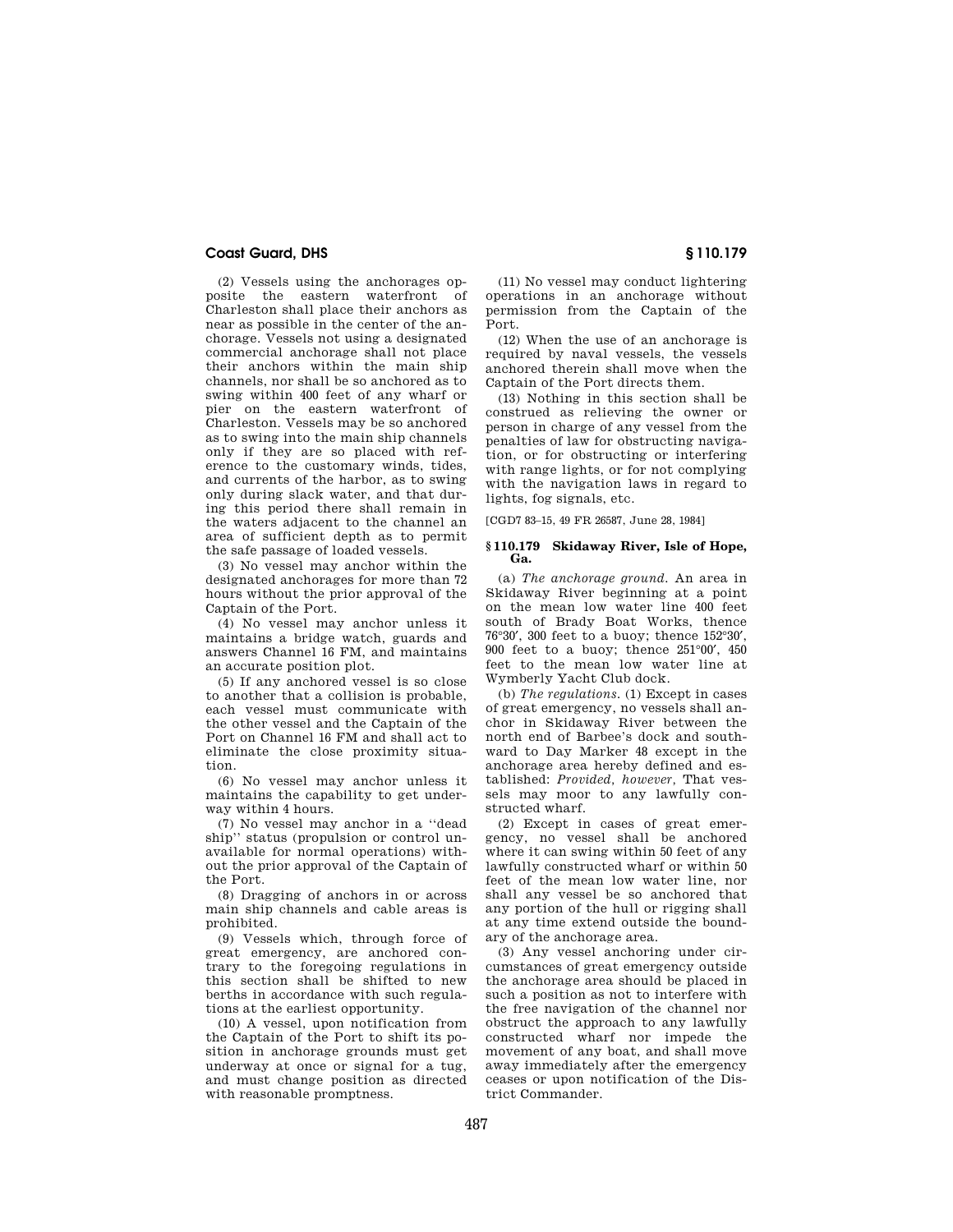(2) Vessels using the anchorages opposite the eastern waterfront of Charleston shall place their anchors as near as possible in the center of the anchorage. Vessels not using a designated commercial anchorage shall not place their anchors within the main ship channels, nor shall be so anchored as to swing within 400 feet of any wharf or pier on the eastern waterfront of Charleston. Vessels may be so anchored as to swing into the main ship channels only if they are so placed with reference to the customary winds, tides, and currents of the harbor, as to swing only during slack water, and that during this period there shall remain in the waters adjacent to the channel an area of sufficient depth as to permit the safe passage of loaded vessels.

(3) No vessel may anchor within the designated anchorages for more than 72 hours without the prior approval of the Captain of the Port.

(4) No vessel may anchor unless it maintains a bridge watch, guards and answers Channel 16 FM, and maintains an accurate position plot.

(5) If any anchored vessel is so close to another that a collision is probable, each vessel must communicate with the other vessel and the Captain of the Port on Channel 16 FM and shall act to eliminate the close proximity situation.

(6) No vessel may anchor unless it maintains the capability to get underway within 4 hours.

(7) No vessel may anchor in a ''dead ship'' status (propulsion or control unavailable for normal operations) without the prior approval of the Captain of the Port.

(8) Dragging of anchors in or across main ship channels and cable areas is prohibited.

(9) Vessels which, through force of great emergency, are anchored contrary to the foregoing regulations in this section shall be shifted to new berths in accordance with such regulations at the earliest opportunity.

(10) A vessel, upon notification from the Captain of the Port to shift its position in anchorage grounds must get underway at once or signal for a tug, and must change position as directed with reasonable promptness.

(11) No vessel may conduct lightering operations in an anchorage without permission from the Captain of the Port.

(12) When the use of an anchorage is required by naval vessels, the vessels anchored therein shall move when the Captain of the Port directs them.

(13) Nothing in this section shall be construed as relieving the owner or person in charge of any vessel from the penalties of law for obstructing navigation, or for obstructing or interfering with range lights, or for not complying with the navigation laws in regard to lights, fog signals, etc.

[CGD7 83–15, 49 FR 26587, June 28, 1984]

#### **§ 110.179 Skidaway River, Isle of Hope, Ga.**

(a) *The anchorage ground.* An area in Skidaway River beginning at a point on the mean low water line 400 feet south of Brady Boat Works, thence 76°30′, 300 feet to a buoy; thence 152°30′, 900 feet to a buoy; thence 251°00′, 450 feet to the mean low water line at Wymberly Yacht Club dock.

(b) *The regulations.* (1) Except in cases of great emergency, no vessels shall anchor in Skidaway River between the north end of Barbee's dock and southward to Day Marker 48 except in the anchorage area hereby defined and established: *Provided, however,* That vessels may moor to any lawfully constructed wharf.

(2) Except in cases of great emergency, no vessel shall be anchored where it can swing within 50 feet of any lawfully constructed wharf or within 50 feet of the mean low water line, nor shall any vessel be so anchored that any portion of the hull or rigging shall at any time extend outside the boundary of the anchorage area.

(3) Any vessel anchoring under circumstances of great emergency outside the anchorage area should be placed in such a position as not to interfere with the free navigation of the channel nor obstruct the approach to any lawfully constructed wharf nor impede the movement of any boat, and shall move away immediately after the emergency ceases or upon notification of the District Commander.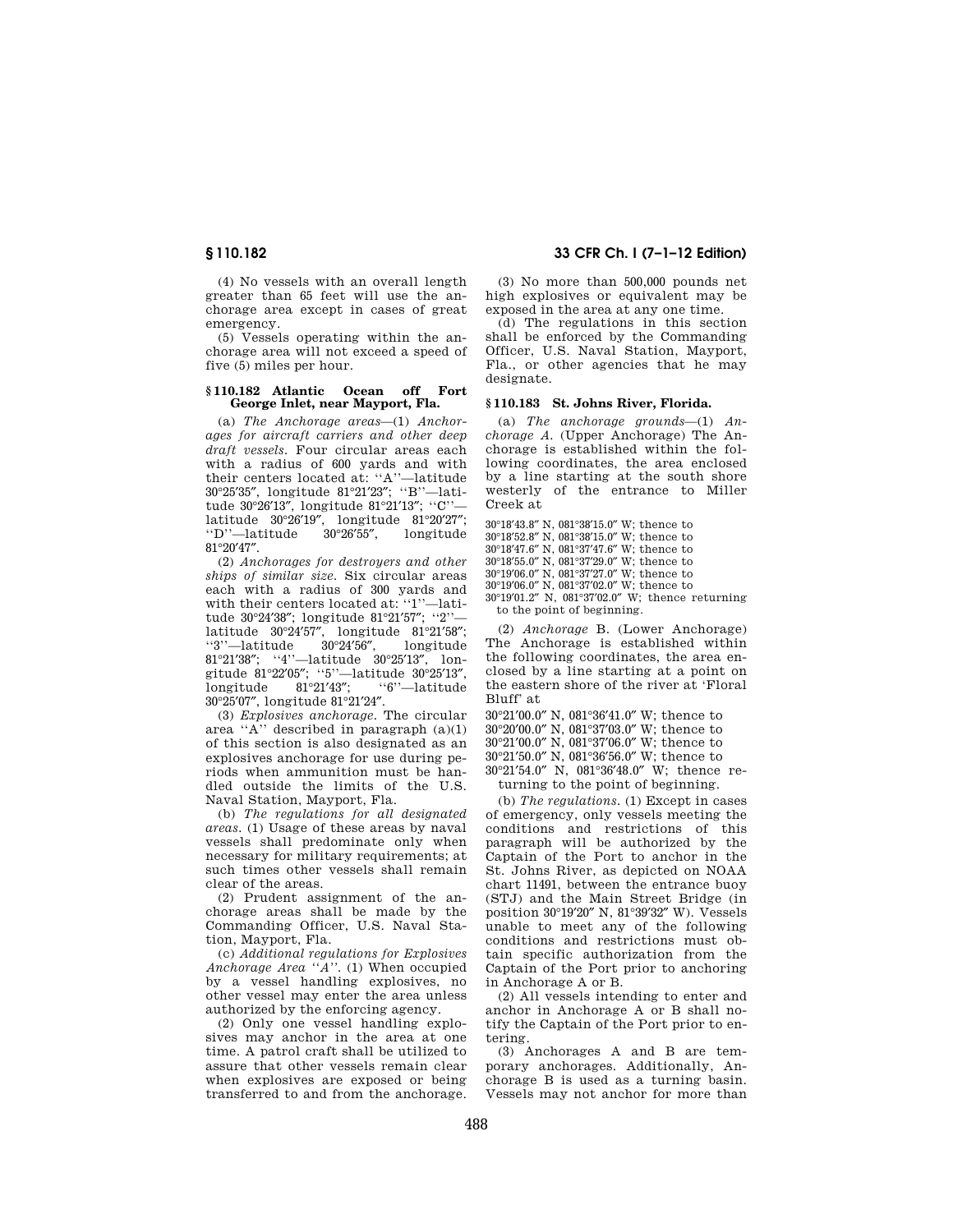(4) No vessels with an overall length greater than 65 feet will use the anchorage area except in cases of great emergency.

(5) Vessels operating within the anchorage area will not exceed a speed of five (5) miles per hour.

#### **§ 110.182 Atlantic Ocean off Fort George Inlet, near Mayport, Fla.**

(a) *The Anchorage areas*—(1) *Anchorages for aircraft carriers and other deep draft vessels.* Four circular areas each with a radius of 600 yards and with their centers located at: ''A''—latitude 30°25′35″, longitude 81°21′23″; ''B''—latitude 30°26′13″, longitude 81°21′13″; ''C'' latitude 30°26'19", longitude 81°20'27";<br>"D''-latitude 30°26'55", longitude ''D''-latitude 81°20′47″.

(2) *Anchorages for destroyers and other ships of similar size.* Six circular areas each with a radius of 300 yards and with their centers located at: ''1''—latitude 30°24′38″; longitude 81°21′57″; ''2'' latitude 30°24′57″, longitude 81°21′58″; ''3''—latitude 81°21′38″; ''4''—latitude 30°25′13″, longitude 81°22'05"; "5"—latitude 30°25'13",<br>longitude 81°21'43": "6"—latitude longitude 81°21′43″; ''6''—latitude 30°25′07″, longitude 81°21′24″.

(3) *Explosives anchorage.* The circular area "A" described in paragraph  $(a)(1)$ of this section is also designated as an explosives anchorage for use during periods when ammunition must be handled outside the limits of the U.S. Naval Station, Mayport, Fla.

(b) *The regulations for all designated areas.* (1) Usage of these areas by naval vessels shall predominate only when necessary for military requirements; at such times other vessels shall remain clear of the areas.

(2) Prudent assignment of the anchorage areas shall be made by the Commanding Officer, U.S. Naval Station, Mayport, Fla.

(c) *Additional regulations for Explosives Anchorage Area ''A''.* (1) When occupied by a vessel handling explosives, no other vessel may enter the area unless authorized by the enforcing agency.

(2) Only one vessel handling explosives may anchor in the area at one time. A patrol craft shall be utilized to assure that other vessels remain clear when explosives are exposed or being transferred to and from the anchorage.

**§ 110.182 33 CFR Ch. I (7–1–12 Edition)** 

(3) No more than 500,000 pounds net high explosives or equivalent may be exposed in the area at any one time.

(d) The regulations in this section shall be enforced by the Commanding Officer, U.S. Naval Station, Mayport, Fla., or other agencies that he may designate.

### **§ 110.183 St. Johns River, Florida.**

(a) *The anchorage grounds*—(1) *Anchorage A.* (Upper Anchorage) The Anchorage is established within the following coordinates, the area enclosed by a line starting at the south shore westerly of the entrance to Miller Creek at

30°18′43.8″ N, 081°38′15.0″ W; thence to 30°18′52.8″ N, 081°38′15.0″ W; thence to 30°18′47.6″ N, 081°37′47.6″ W; thence to

30°18′55.0″ N, 081°37′29.0″ W; thence to 30°19′06.0″ N, 081°37′27.0″ W; thence to

30°19′06.0″ N, 081°37′02.0″ W; thence to

30°19′01.2″ N, 081°37′02.0″ W; thence returning to the point of beginning.

(2) *Anchorage* B. (Lower Anchorage) The Anchorage is established within the following coordinates, the area enclosed by a line starting at a point on the eastern shore of the river at 'Floral Bluff' at

30°21′00.0″ N, 081°36′41.0″ W; thence to

30°20′00.0″ N, 081°37′03.0″ W; thence to

30°21′00.0″ N, 081°37′06.0″ W; thence to

30°21′50.0″ N, 081°36′56.0″ W; thence to

30°21′54.0″ N, 081°36′48.0″ W; thence returning to the point of beginning.

(b) *The regulations.* (1) Except in cases of emergency, only vessels meeting the conditions and restrictions of this paragraph will be authorized by the Captain of the Port to anchor in the St. Johns River, as depicted on NOAA chart 11491, between the entrance buoy (STJ) and the Main Street Bridge (in position 30°19′20″ N, 81°39′32″ W). Vessels unable to meet any of the following conditions and restrictions must obtain specific authorization from the Captain of the Port prior to anchoring in Anchorage A or B.

(2) All vessels intending to enter and anchor in Anchorage A or B shall notify the Captain of the Port prior to entering.

(3) Anchorages A and B are temporary anchorages. Additionally, Anchorage B is used as a turning basin. Vessels may not anchor for more than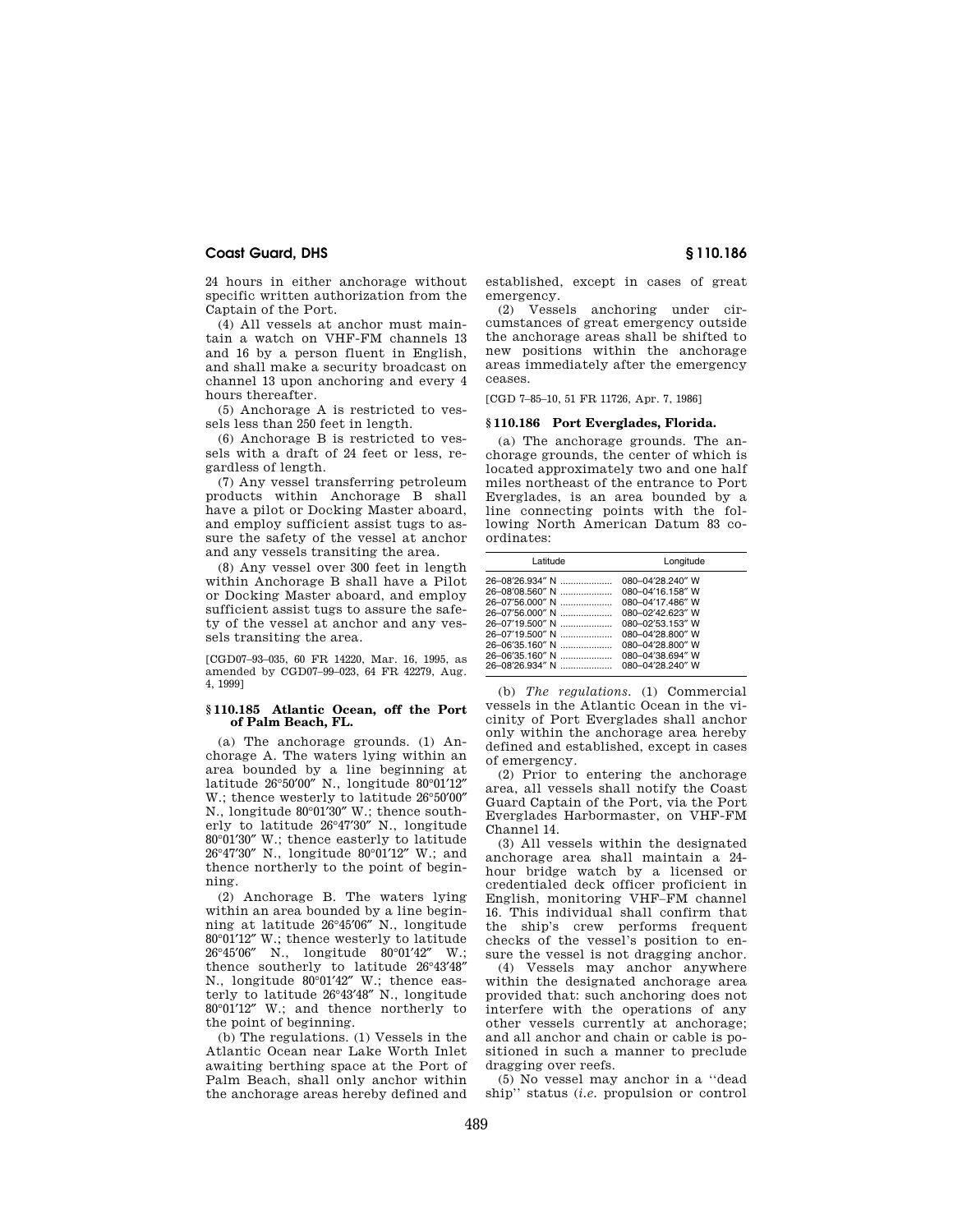24 hours in either anchorage without specific written authorization from the Captain of the Port.

(4) All vessels at anchor must maintain a watch on VHF-FM channels 13 and 16 by a person fluent in English, and shall make a security broadcast on channel 13 upon anchoring and every 4 hours thereafter.

(5) Anchorage A is restricted to vessels less than 250 feet in length.

(6) Anchorage B is restricted to vessels with a draft of 24 feet or less, regardless of length.

(7) Any vessel transferring petroleum products within Anchorage B shall have a pilot or Docking Master aboard, and employ sufficient assist tugs to assure the safety of the vessel at anchor and any vessels transiting the area.

(8) Any vessel over 300 feet in length within Anchorage B shall have a Pilot or Docking Master aboard, and employ sufficient assist tugs to assure the safety of the vessel at anchor and any vessels transiting the area.

[CGD07–93–035, 60 FR 14220, Mar. 16, 1995, as amended by CGD07–99–023, 64 FR 42279, Aug. 4, 1999]

#### **§ 110.185 Atlantic Ocean, off the Port of Palm Beach, FL.**

(a) The anchorage grounds. (1) Anchorage A. The waters lying within an area bounded by a line beginning at latitude 26°50′00″ N., longitude 80°01′12″ W.; thence westerly to latitude 26°50′00″ N., longitude 80°01′30″ W.; thence southerly to latitude 26°47′30″ N., longitude 80°01′30″ W.; thence easterly to latitude 26°47′30″ N., longitude 80°01′12″ W.; and thence northerly to the point of beginning.

(2) Anchorage B. The waters lying within an area bounded by a line beginning at latitude 26°45′06″ N., longitude 80°01′12″ W.; thence westerly to latitude 26°45′06″ N., longitude 80°01′42″ W.; thence southerly to latitude 26°43′48″ N., longitude 80°01′42″ W.; thence easterly to latitude 26°43′48″ N., longitude 80°01′12″ W.; and thence northerly to the point of beginning.

(b) The regulations. (1) Vessels in the Atlantic Ocean near Lake Worth Inlet awaiting berthing space at the Port of Palm Beach, shall only anchor within the anchorage areas hereby defined and

established, except in cases of great emergency.

(2) Vessels anchoring under circumstances of great emergency outside the anchorage areas shall be shifted to new positions within the anchorage areas immediately after the emergency ceases.

[CGD 7–85–10, 51 FR 11726, Apr. 7, 1986]

#### **§ 110.186 Port Everglades, Florida.**

(a) The anchorage grounds. The anchorage grounds, the center of which is located approximately two and one half miles northeast of the entrance to Port Everglades, is an area bounded by a line connecting points with the following North American Datum 83 coordinates:

| Latitude        | Longitude        |
|-----------------|------------------|
| 26-08'26.934" N | 080-04'28.240" W |
| 26-08'08.560" N | 080-04'16.158" W |
|                 | 080-04'17.486" W |
|                 | 080-02'42.623" W |
|                 | 080-02'53.153" W |
|                 | 080-04'28.800" W |
|                 | 080-04'28.800" W |
| 26-06'35.160" N | 080-04'38.694" W |
|                 | 080-04'28.240" W |

(b) *The regulations.* (1) Commercial vessels in the Atlantic Ocean in the vicinity of Port Everglades shall anchor only within the anchorage area hereby defined and established, except in cases of emergency.

(2) Prior to entering the anchorage area, all vessels shall notify the Coast Guard Captain of the Port, via the Port Everglades Harbormaster, on VHF-FM Channel 14.

(3) All vessels within the designated anchorage area shall maintain a 24 hour bridge watch by a licensed or credentialed deck officer proficient in English, monitoring VHF–FM channel 16. This individual shall confirm that the ship's crew performs frequent checks of the vessel's position to ensure the vessel is not dragging anchor.

(4) Vessels may anchor anywhere within the designated anchorage area provided that: such anchoring does not interfere with the operations of any other vessels currently at anchorage; and all anchor and chain or cable is positioned in such a manner to preclude dragging over reefs.

(5) No vessel may anchor in a ''dead ship'' status (*i.e.* propulsion or control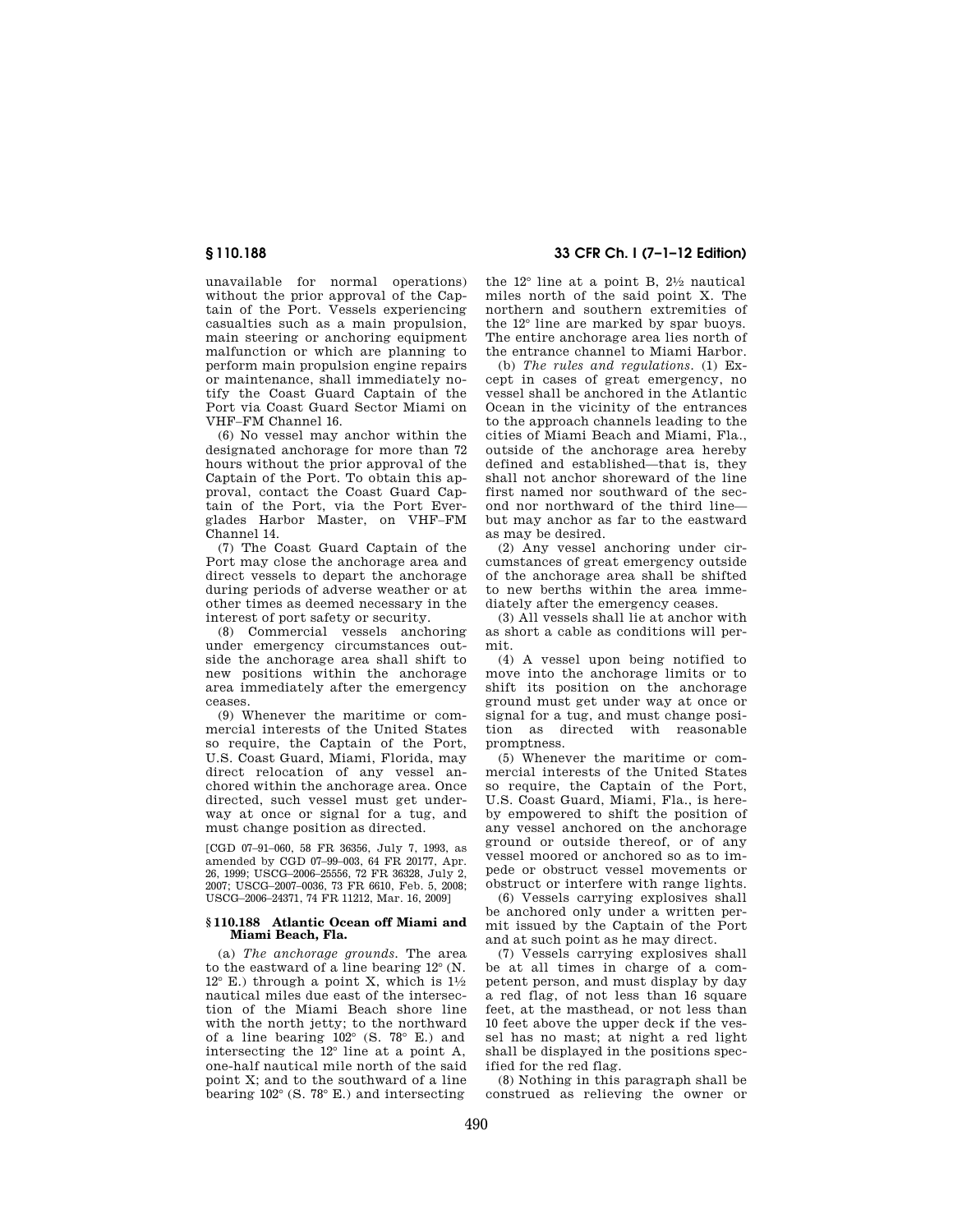unavailable for normal operations) without the prior approval of the Captain of the Port. Vessels experiencing casualties such as a main propulsion, main steering or anchoring equipment malfunction or which are planning to perform main propulsion engine repairs or maintenance, shall immediately notify the Coast Guard Captain of the Port via Coast Guard Sector Miami on VHF–FM Channel 16.

(6) No vessel may anchor within the designated anchorage for more than 72 hours without the prior approval of the Captain of the Port. To obtain this approval, contact the Coast Guard Captain of the Port, via the Port Everglades Harbor Master, on VHF–FM Channel 14.

(7) The Coast Guard Captain of the Port may close the anchorage area and direct vessels to depart the anchorage during periods of adverse weather or at other times as deemed necessary in the interest of port safety or security.

(8) Commercial vessels anchoring under emergency circumstances outside the anchorage area shall shift to new positions within the anchorage area immediately after the emergency ceases.

(9) Whenever the maritime or commercial interests of the United States so require, the Captain of the Port, U.S. Coast Guard, Miami, Florida, may direct relocation of any vessel anchored within the anchorage area. Once directed, such vessel must get underway at once or signal for a tug, and must change position as directed.

[CGD 07–91–060, 58 FR 36356, July 7, 1993, as amended by CGD 07-99-003, 64 FR 20177, Apr. 26, 1999; USCG–2006–25556, 72 FR 36328, July 2, 2007; USCG–2007–0036, 73 FR 6610, Feb. 5, 2008; USCG–2006–24371, 74 FR 11212, Mar. 16, 2009]

#### **§ 110.188 Atlantic Ocean off Miami and Miami Beach, Fla.**

(a) *The anchorage grounds.* The area to the eastward of a line bearing 12° (N.  $12^{\circ}$  E.) through a point X, which is  $1\frac{1}{2}$ nautical miles due east of the intersection of the Miami Beach shore line with the north jetty; to the northward of a line bearing  $102^{\circ}$  (S. 78 $^{\circ}$  E.) and intersecting the 12° line at a point A, one-half nautical mile north of the said point X; and to the southward of a line bearing 102° (S. 78° E.) and intersecting

# **§ 110.188 33 CFR Ch. I (7–1–12 Edition)**

the 12° line at a point B, 21⁄2 nautical miles north of the said point X. The northern and southern extremities of the 12° line are marked by spar buoys. The entire anchorage area lies north of the entrance channel to Miami Harbor.

(b) *The rules and regulations.* (1) Except in cases of great emergency, no vessel shall be anchored in the Atlantic Ocean in the vicinity of the entrances to the approach channels leading to the cities of Miami Beach and Miami, Fla., outside of the anchorage area hereby defined and established—that is, they shall not anchor shoreward of the line first named nor southward of the second nor northward of the third line but may anchor as far to the eastward as may be desired.

(2) Any vessel anchoring under circumstances of great emergency outside of the anchorage area shall be shifted to new berths within the area immediately after the emergency ceases.

(3) All vessels shall lie at anchor with as short a cable as conditions will permit.

(4) A vessel upon being notified to move into the anchorage limits or to shift its position on the anchorage ground must get under way at once or signal for a tug, and must change position as directed with reasonable promptness.

(5) Whenever the maritime or commercial interests of the United States so require, the Captain of the Port, U.S. Coast Guard, Miami, Fla., is hereby empowered to shift the position of any vessel anchored on the anchorage ground or outside thereof, or of any vessel moored or anchored so as to impede or obstruct vessel movements or obstruct or interfere with range lights.

(6) Vessels carrying explosives shall be anchored only under a written permit issued by the Captain of the Port and at such point as he may direct.

(7) Vessels carrying explosives shall be at all times in charge of a competent person, and must display by day a red flag, of not less than 16 square feet, at the masthead, or not less than 10 feet above the upper deck if the vessel has no mast; at night a red light shall be displayed in the positions specified for the red flag.

(8) Nothing in this paragraph shall be construed as relieving the owner or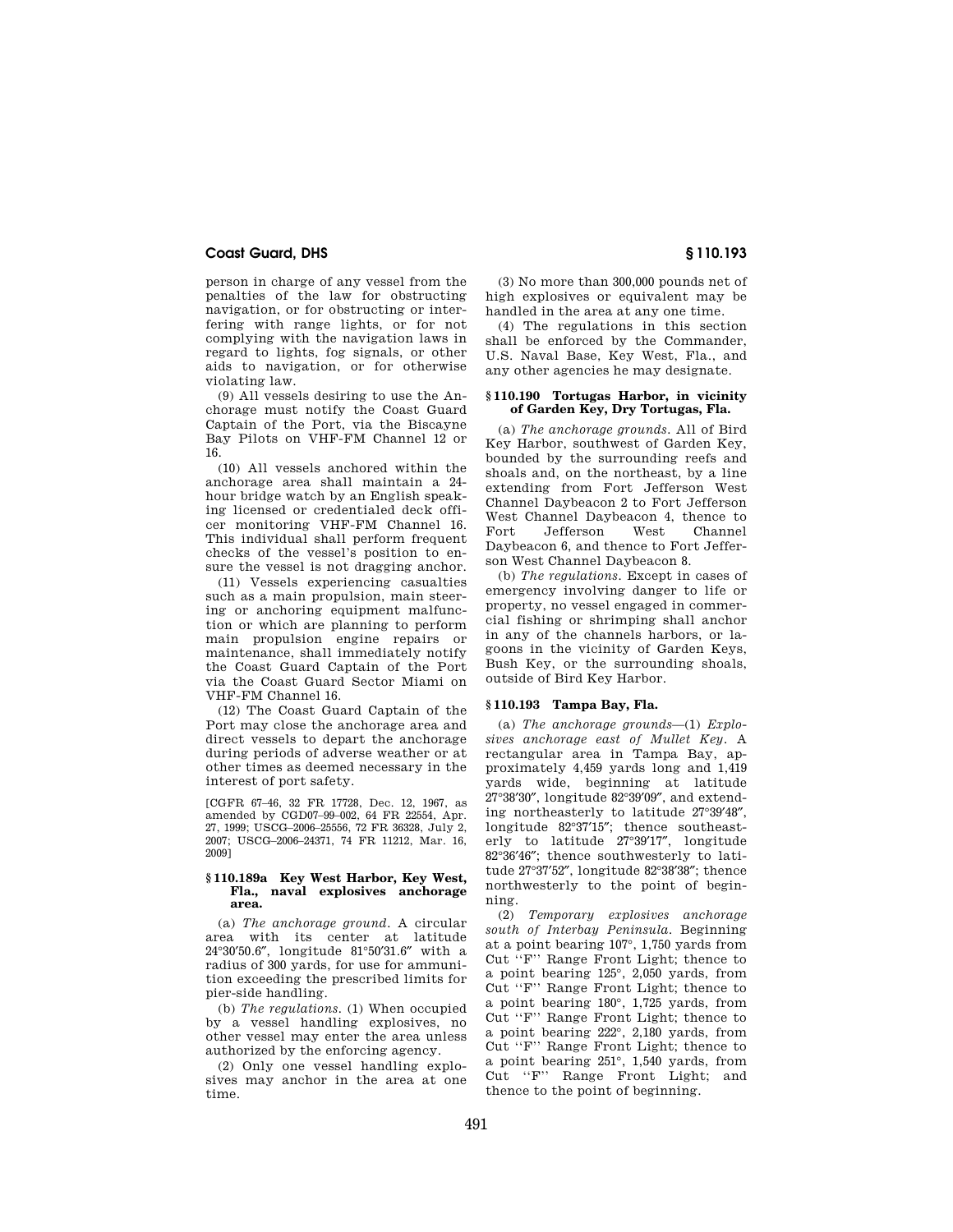person in charge of any vessel from the penalties of the law for obstructing navigation, or for obstructing or interfering with range lights, or for not complying with the navigation laws in regard to lights, fog signals, or other aids to navigation, or for otherwise violating law.

(9) All vessels desiring to use the Anchorage must notify the Coast Guard Captain of the Port, via the Biscayne Bay Pilots on VHF-FM Channel 12 or 16.

(10) All vessels anchored within the anchorage area shall maintain a 24 hour bridge watch by an English speaking licensed or credentialed deck officer monitoring VHF-FM Channel 16. This individual shall perform frequent checks of the vessel's position to ensure the vessel is not dragging anchor.

(11) Vessels experiencing casualties such as a main propulsion, main steering or anchoring equipment malfunction or which are planning to perform main propulsion engine repairs or maintenance, shall immediately notify the Coast Guard Captain of the Port via the Coast Guard Sector Miami on VHF-FM Channel 16.

(12) The Coast Guard Captain of the Port may close the anchorage area and direct vessels to depart the anchorage during periods of adverse weather or at other times as deemed necessary in the interest of port safety.

[CGFR 67–46, 32 FR 17728, Dec. 12, 1967, as amended by CGD07–99–002, 64 FR 22554, Apr. 27, 1999; USCG–2006–25556, 72 FR 36328, July 2, 2007; USCG–2006–24371, 74 FR 11212, Mar. 16, 2009]

#### **§ 110.189a Key West Harbor, Key West, Fla., naval explosives anchorage area.**

(a) *The anchorage ground.* A circular area with its center at latitude 24°30′50.6″, longitude 81°50′31.6″ with a radius of 300 yards, for use for ammunition exceeding the prescribed limits for pier-side handling.

(b) *The regulations.* (1) When occupied by a vessel handling explosives, no other vessel may enter the area unless authorized by the enforcing agency.

(2) Only one vessel handling explosives may anchor in the area at one time.

(3) No more than 300,000 pounds net of high explosives or equivalent may be handled in the area at any one time.

(4) The regulations in this section shall be enforced by the Commander, U.S. Naval Base, Key West, Fla., and any other agencies he may designate.

### **§ 110.190 Tortugas Harbor, in vicinity of Garden Key, Dry Tortugas, Fla.**

(a) *The anchorage grounds.* All of Bird Key Harbor, southwest of Garden Key, bounded by the surrounding reefs and shoals and, on the northeast, by a line extending from Fort Jefferson West Channel Daybeacon 2 to Fort Jefferson West Channel Daybeacon 4, thence to Fort Jefferson West Channel Daybeacon 6, and thence to Fort Jefferson West Channel Daybeacon 8.

(b) *The regulations.* Except in cases of emergency involving danger to life or property, no vessel engaged in commercial fishing or shrimping shall anchor in any of the channels harbors, or lagoons in the vicinity of Garden Keys, Bush Key, or the surrounding shoals, outside of Bird Key Harbor.

#### **§ 110.193 Tampa Bay, Fla.**

(a) *The anchorage grounds*—(1) *Explosives anchorage east of Mullet Key.* A rectangular area in Tampa Bay, approximately 4,459 yards long and 1,419 yards wide, beginning at latitude 27°38′30″, longitude 82°39′09″, and extending northeasterly to latitude 27°39′48″, longitude 82°37′15″; thence southeasterly to latitude 27°39′17″, longitude 82°36′46″; thence southwesterly to latitude 27°37′52″, longitude 82°38′38″; thence northwesterly to the point of beginning.

(2) *Temporary explosives anchorage south of Interbay Peninsula.* Beginning at a point bearing 107°, 1,750 yards from Cut ''F'' Range Front Light; thence to a point bearing 125°, 2,050 yards, from Cut ''F'' Range Front Light; thence to a point bearing 180°, 1,725 yards, from Cut ''F'' Range Front Light; thence to a point bearing 222°, 2,180 yards, from Cut ''F'' Range Front Light; thence to a point bearing 251°, 1,540 yards, from Cut ''F'' Range Front Light; and thence to the point of beginning.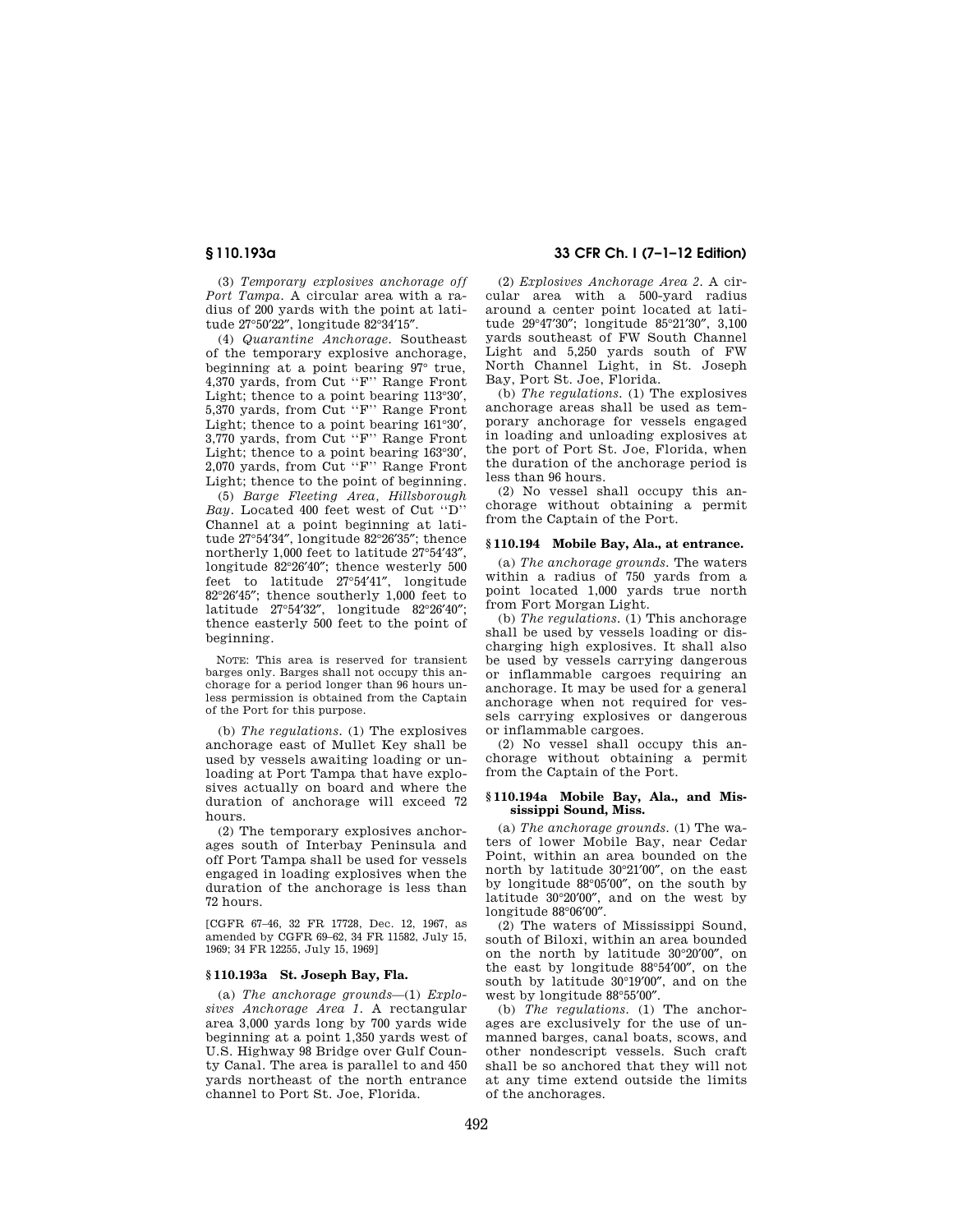(3) *Temporary explosives anchorage off Port Tampa.* A circular area with a radius of 200 yards with the point at latitude 27°50′22″, longitude 82°34′15″.

(4) *Quarantine Anchorage.* Southeast of the temporary explosive anchorage, beginning at a point bearing 97° true, 4,370 yards, from Cut ''F'' Range Front Light; thence to a point bearing 113°30′, 5,370 yards, from Cut ''F'' Range Front Light; thence to a point bearing 161°30′, 3,770 yards, from Cut ''F'' Range Front Light; thence to a point bearing 163°30′, 2,070 yards, from Cut ''F'' Range Front Light; thence to the point of beginning.

(5) *Barge Fleeting Area, Hillsborough Bay.* Located 400 feet west of Cut ''D'' Channel at a point beginning at latitude 27°54′34″, longitude 82°26′35″; thence northerly 1,000 feet to latitude 27°54′43″, longitude 82°26′40″; thence westerly 500 feet to latitude 27°54′41″, longitude 82°26′45″; thence southerly 1,000 feet to latitude 27°54′32″, longitude 82°26′40″; thence easterly 500 feet to the point of beginning.

NOTE: This area is reserved for transient barges only. Barges shall not occupy this anchorage for a period longer than 96 hours unless permission is obtained from the Captain of the Port for this purpose.

(b) *The regulations.* (1) The explosives anchorage east of Mullet Key shall be used by vessels awaiting loading or unloading at Port Tampa that have explosives actually on board and where the duration of anchorage will exceed 72 hours.

(2) The temporary explosives anchorages south of Interbay Peninsula and off Port Tampa shall be used for vessels engaged in loading explosives when the duration of the anchorage is less than 72 hours.

[CGFR 67–46, 32 FR 17728, Dec. 12, 1967, as amended by CGFR 69–62, 34 FR 11582, July 15, 1969; 34 FR 12255, July 15, 1969]

### **§ 110.193a St. Joseph Bay, Fla.**

(a) *The anchorage grounds*—(1) *Explosives Anchorage Area 1.* A rectangular area 3,000 yards long by 700 yards wide beginning at a point 1,350 yards west of U.S. Highway 98 Bridge over Gulf County Canal. The area is parallel to and 450 yards northeast of the north entrance channel to Port St. Joe, Florida.

# **§ 110.193a 33 CFR Ch. I (7–1–12 Edition)**

(2) *Explosives Anchorage Area 2.* A circular area with a 500-yard radius around a center point located at latitude 29°47′30″; longitude 85°21′30″, 3,100 yards southeast of FW South Channel Light and 5,250 yards south of FW North Channel Light, in St. Joseph Bay, Port St. Joe, Florida.

(b) *The regulations.* (1) The explosives anchorage areas shall be used as temporary anchorage for vessels engaged in loading and unloading explosives at the port of Port St. Joe, Florida, when the duration of the anchorage period is less than 96 hours.

(2) No vessel shall occupy this anchorage without obtaining a permit from the Captain of the Port.

#### **§ 110.194 Mobile Bay, Ala., at entrance.**

(a) *The anchorage grounds.* The waters within a radius of 750 yards from a point located 1,000 yards true north from Fort Morgan Light.

(b) *The regulations.* (1) This anchorage shall be used by vessels loading or discharging high explosives. It shall also be used by vessels carrying dangerous or inflammable cargoes requiring an anchorage. It may be used for a general anchorage when not required for vessels carrying explosives or dangerous or inflammable cargoes.

(2) No vessel shall occupy this anchorage without obtaining a permit from the Captain of the Port.

#### **§ 110.194a Mobile Bay, Ala., and Mississippi Sound, Miss.**

(a) *The anchorage grounds.* (1) The waters of lower Mobile Bay, near Cedar Point, within an area bounded on the north by latitude 30°21′00″, on the east by longitude 88°05′00″, on the south by latitude 30°20′00″, and on the west by longitude 88°06′00″.

(2) The waters of Mississippi Sound, south of Biloxi, within an area bounded on the north by latitude 30°20′00″, on the east by longitude 88°54′00″, on the south by latitude 30°19′00″, and on the west by longitude 88°55′00″.

(b) *The regulations.* (1) The anchorages are exclusively for the use of unmanned barges, canal boats, scows, and other nondescript vessels. Such craft shall be so anchored that they will not at any time extend outside the limits of the anchorages.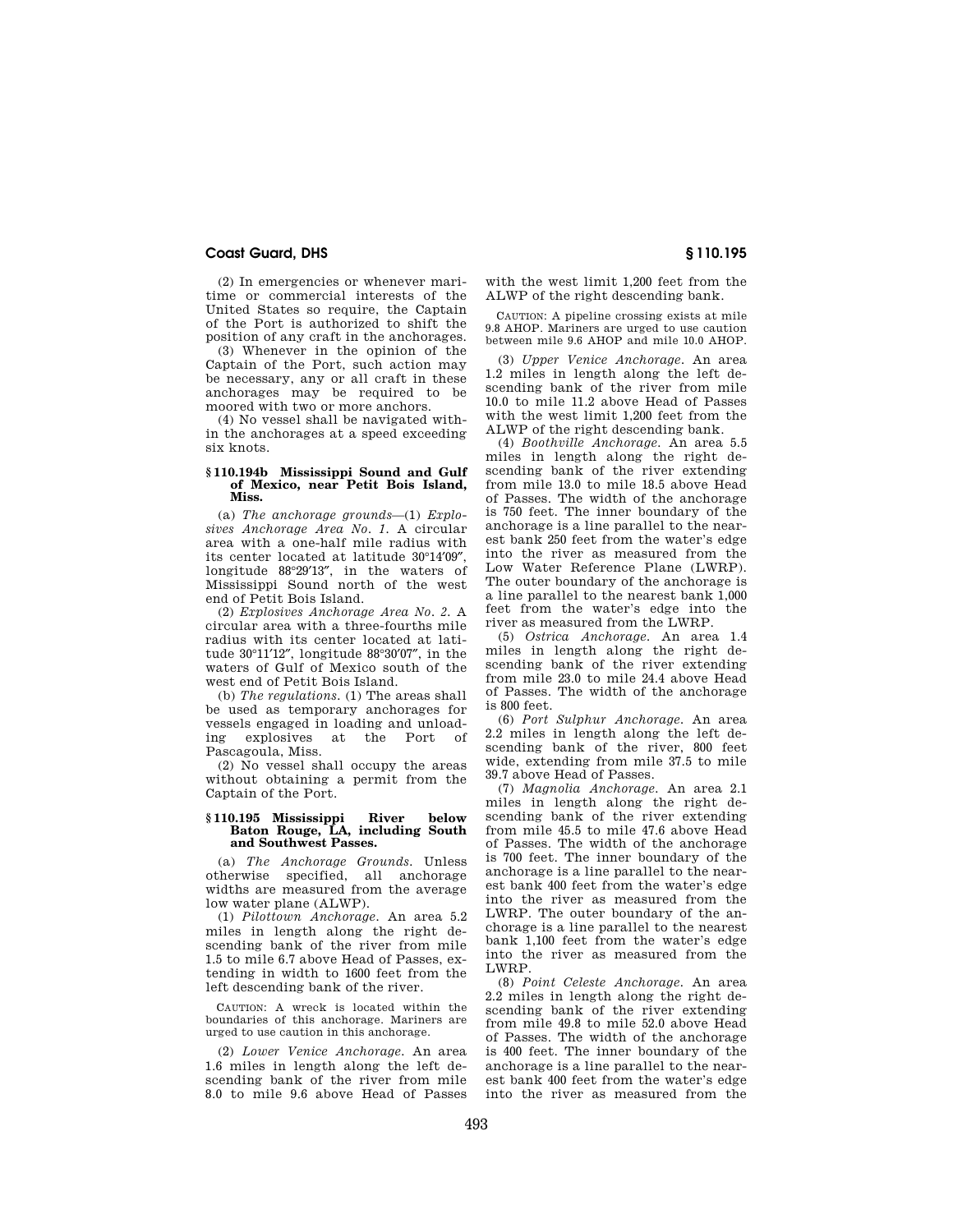(2) In emergencies or whenever maritime or commercial interests of the United States so require, the Captain of the Port is authorized to shift the position of any craft in the anchorages.

(3) Whenever in the opinion of the Captain of the Port, such action may be necessary, any or all craft in these anchorages may be required to be moored with two or more anchors.

(4) No vessel shall be navigated within the anchorages at a speed exceeding six knots.

#### **§ 110.194b Mississippi Sound and Gulf of Mexico, near Petit Bois Island, Miss.**

(a) *The anchorage grounds*—(1) *Explosives Anchorage Area No. 1.* A circular area with a one-half mile radius with its center located at latitude 30°14′09″, longitude 88°29′13″, in the waters of Mississippi Sound north of the west end of Petit Bois Island.

(2) *Explosives Anchorage Area No. 2.* A circular area with a three-fourths mile radius with its center located at latitude 30°11′12″, longitude 88°30′07″, in the waters of Gulf of Mexico south of the west end of Petit Bois Island.

(b) *The regulations.* (1) The areas shall be used as temporary anchorages for vessels engaged in loading and unload-<br>ing explosives at the Port of ing explosives at the Port Pascagoula, Miss.

(2) No vessel shall occupy the areas without obtaining a permit from the Captain of the Port.

#### **§ 110.195 Mississippi River below Baton Rouge, LA, including South and Southwest Passes.**

(a) *The Anchorage Grounds.* Unless otherwise specified, all anchorage widths are measured from the average low water plane (ALWP).

(1) *Pilottown Anchorage.* An area 5.2 miles in length along the right descending bank of the river from mile 1.5 to mile 6.7 above Head of Passes, extending in width to 1600 feet from the left descending bank of the river.

CAUTION: A wreck is located within the boundaries of this anchorage. Mariners are urged to use caution in this anchorage.

(2) *Lower Venice Anchorage.* An area 1.6 miles in length along the left descending bank of the river from mile 8.0 to mile 9.6 above Head of Passes with the west limit 1,200 feet from the ALWP of the right descending bank.

CAUTION: A pipeline crossing exists at mile 9.8 AHOP. Mariners are urged to use caution between mile 9.6 AHOP and mile 10.0 AHOP.

(3) *Upper Venice Anchorage.* An area 1.2 miles in length along the left descending bank of the river from mile 10.0 to mile 11.2 above Head of Passes with the west limit 1,200 feet from the ALWP of the right descending bank.

(4) *Boothville Anchorage.* An area 5.5 miles in length along the right descending bank of the river extending from mile 13.0 to mile 18.5 above Head of Passes. The width of the anchorage is 750 feet. The inner boundary of the anchorage is a line parallel to the nearest bank 250 feet from the water's edge into the river as measured from the Low Water Reference Plane (LWRP). The outer boundary of the anchorage is a line parallel to the nearest bank 1,000 feet from the water's edge into the river as measured from the LWRP.

(5) *Ostrica Anchorage.* An area 1.4 miles in length along the right descending bank of the river extending from mile 23.0 to mile 24.4 above Head of Passes. The width of the anchorage is 800 feet.

(6) *Port Sulphur Anchorage.* An area 2.2 miles in length along the left descending bank of the river, 800 feet wide, extending from mile 37.5 to mile 39.7 above Head of Passes.

(7) *Magnolia Anchorage.* An area 2.1 miles in length along the right descending bank of the river extending from mile 45.5 to mile 47.6 above Head of Passes. The width of the anchorage is 700 feet. The inner boundary of the anchorage is a line parallel to the nearest bank 400 feet from the water's edge into the river as measured from the LWRP. The outer boundary of the anchorage is a line parallel to the nearest bank 1,100 feet from the water's edge into the river as measured from the LWRP.

(8) *Point Celeste Anchorage.* An area 2.2 miles in length along the right descending bank of the river extending from mile 49.8 to mile 52.0 above Head of Passes. The width of the anchorage is 400 feet. The inner boundary of the anchorage is a line parallel to the nearest bank 400 feet from the water's edge into the river as measured from the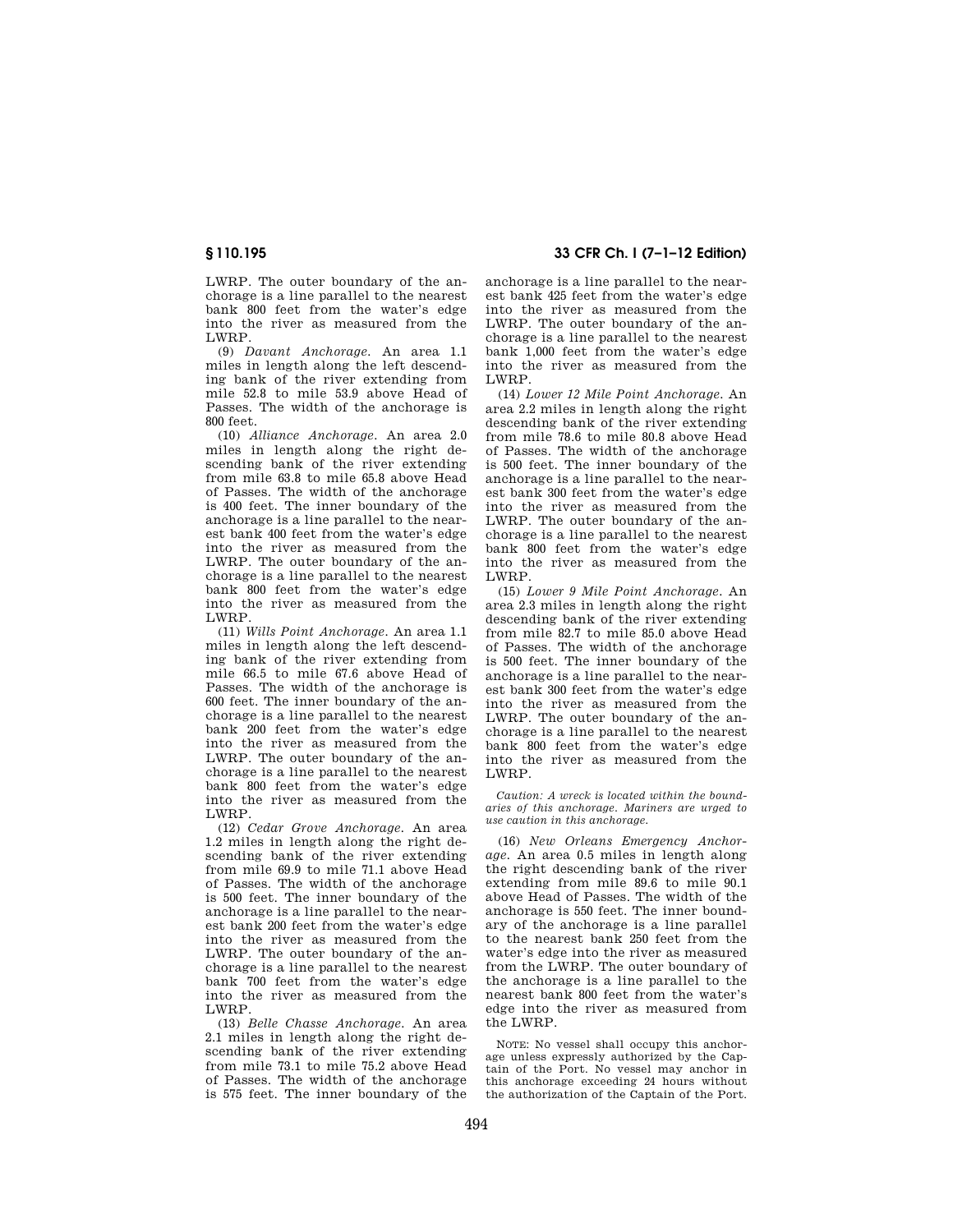LWRP. The outer boundary of the anchorage is a line parallel to the nearest bank 800 feet from the water's edge into the river as measured from the LWRP.

(9) *Davant Anchorage.* An area 1.1 miles in length along the left descending bank of the river extending from mile 52.8 to mile 53.9 above Head of Passes. The width of the anchorage is 800 feet.

(10) *Alliance Anchorage.* An area 2.0 miles in length along the right descending bank of the river extending from mile 63.8 to mile 65.8 above Head of Passes. The width of the anchorage is 400 feet. The inner boundary of the anchorage is a line parallel to the nearest bank 400 feet from the water's edge into the river as measured from the LWRP. The outer boundary of the anchorage is a line parallel to the nearest bank 800 feet from the water's edge into the river as measured from the LWRP.

(11) *Wills Point Anchorage.* An area 1.1 miles in length along the left descending bank of the river extending from mile 66.5 to mile 67.6 above Head of Passes. The width of the anchorage is 600 feet. The inner boundary of the anchorage is a line parallel to the nearest bank 200 feet from the water's edge into the river as measured from the LWRP. The outer boundary of the anchorage is a line parallel to the nearest bank 800 feet from the water's edge into the river as measured from the LWRP.

(12) *Cedar Grove Anchorage.* An area 1.2 miles in length along the right descending bank of the river extending from mile 69.9 to mile 71.1 above Head of Passes. The width of the anchorage is 500 feet. The inner boundary of the anchorage is a line parallel to the nearest bank 200 feet from the water's edge into the river as measured from the LWRP. The outer boundary of the anchorage is a line parallel to the nearest bank 700 feet from the water's edge into the river as measured from the LWRP.

(13) *Belle Chasse Anchorage.* An area 2.1 miles in length along the right descending bank of the river extending from mile 73.1 to mile 75.2 above Head of Passes. The width of the anchorage is 575 feet. The inner boundary of the

**§ 110.195 33 CFR Ch. I (7–1–12 Edition)** 

anchorage is a line parallel to the nearest bank 425 feet from the water's edge into the river as measured from the LWRP. The outer boundary of the anchorage is a line parallel to the nearest bank 1,000 feet from the water's edge into the river as measured from the LWRP.

(14) *Lower 12 Mile Point Anchorage.* An area 2.2 miles in length along the right descending bank of the river extending from mile 78.6 to mile 80.8 above Head of Passes. The width of the anchorage is 500 feet. The inner boundary of the anchorage is a line parallel to the nearest bank 300 feet from the water's edge into the river as measured from the LWRP. The outer boundary of the anchorage is a line parallel to the nearest bank 800 feet from the water's edge into the river as measured from the LWRP.

(15) *Lower 9 Mile Point Anchorage.* An area 2.3 miles in length along the right descending bank of the river extending from mile 82.7 to mile 85.0 above Head of Passes. The width of the anchorage is 500 feet. The inner boundary of the anchorage is a line parallel to the nearest bank 300 feet from the water's edge into the river as measured from the LWRP. The outer boundary of the anchorage is a line parallel to the nearest bank 800 feet from the water's edge into the river as measured from the LWRP.

*Caution: A wreck is located within the boundaries of this anchorage. Mariners are urged to use caution in this anchorage.* 

(16) *New Orleans Emergency Anchorage.* An area 0.5 miles in length along the right descending bank of the river extending from mile 89.6 to mile 90.1 above Head of Passes. The width of the anchorage is 550 feet. The inner boundary of the anchorage is a line parallel to the nearest bank 250 feet from the water's edge into the river as measured from the LWRP. The outer boundary of the anchorage is a line parallel to the nearest bank 800 feet from the water's edge into the river as measured from the LWRP.

NOTE: No vessel shall occupy this anchorage unless expressly authorized by the Captain of the Port. No vessel may anchor in this anchorage exceeding 24 hours without the authorization of the Captain of the Port.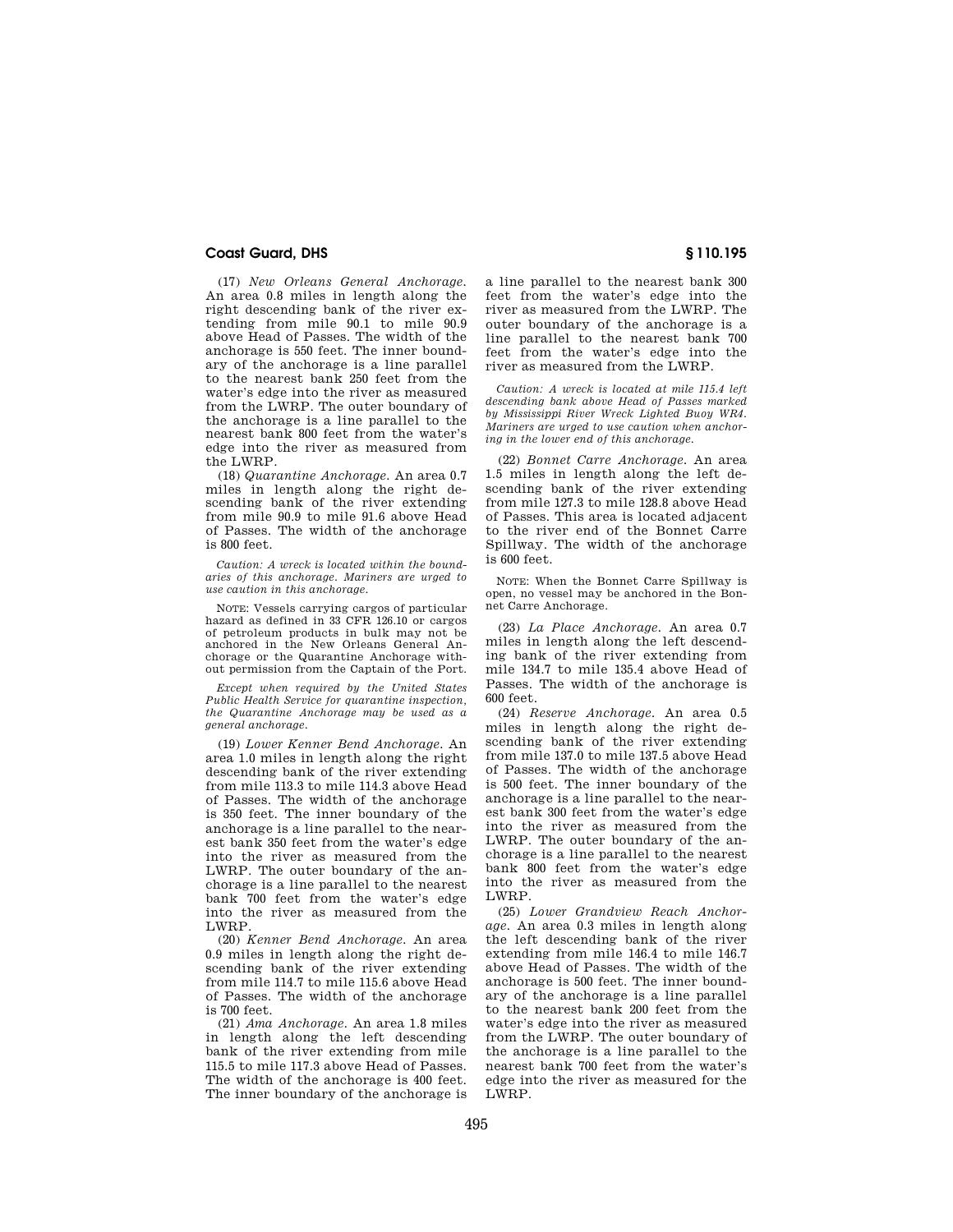(17) *New Orleans General Anchorage.*  An area 0.8 miles in length along the right descending bank of the river extending from mile 90.1 to mile 90.9 above Head of Passes. The width of the anchorage is 550 feet. The inner boundary of the anchorage is a line parallel to the nearest bank 250 feet from the water's edge into the river as measured from the LWRP. The outer boundary of the anchorage is a line parallel to the nearest bank 800 feet from the water's edge into the river as measured from the LWRP.

(18) *Quarantine Anchorage.* An area 0.7 miles in length along the right descending bank of the river extending from mile 90.9 to mile 91.6 above Head of Passes. The width of the anchorage is 800 feet.

*Caution: A wreck is located within the boundaries of this anchorage. Mariners are urged to use caution in this anchorage.* 

NOTE: Vessels carrying cargos of particular hazard as defined in 33 CFR 126.10 or cargos of petroleum products in bulk may not be anchored in the New Orleans General Anchorage or the Quarantine Anchorage without permission from the Captain of the Port.

*Except when required by the United States Public Health Service for quarantine inspection, the Quarantine Anchorage may be used as a general anchorage.* 

(19) *Lower Kenner Bend Anchorage.* An area 1.0 miles in length along the right descending bank of the river extending from mile 113.3 to mile 114.3 above Head of Passes. The width of the anchorage is 350 feet. The inner boundary of the anchorage is a line parallel to the nearest bank 350 feet from the water's edge into the river as measured from the LWRP. The outer boundary of the anchorage is a line parallel to the nearest bank 700 feet from the water's edge into the river as measured from the LWRP.

(20) *Kenner Bend Anchorage.* An area 0.9 miles in length along the right descending bank of the river extending from mile 114.7 to mile 115.6 above Head of Passes. The width of the anchorage is 700 feet.

(21) *Ama Anchorage.* An area 1.8 miles in length along the left descending bank of the river extending from mile 115.5 to mile 117.3 above Head of Passes. The width of the anchorage is 400 feet. The inner boundary of the anchorage is a line parallel to the nearest bank 300 feet from the water's edge into the river as measured from the LWRP. The outer boundary of the anchorage is a line parallel to the nearest bank 700 feet from the water's edge into the river as measured from the LWRP.

*Caution: A wreck is located at mile 115.4 left descending bank above Head of Passes marked by Mississippi River Wreck Lighted Buoy WR4. Mariners are urged to use caution when anchoring in the lower end of this anchorage.* 

(22) *Bonnet Carre Anchorage.* An area 1.5 miles in length along the left descending bank of the river extending from mile 127.3 to mile 128.8 above Head of Passes. This area is located adjacent to the river end of the Bonnet Carre Spillway. The width of the anchorage is 600 feet.

NOTE: When the Bonnet Carre Spillway is open, no vessel may be anchored in the Bonnet Carre Anchorage.

(23) *La Place Anchorage.* An area 0.7 miles in length along the left descending bank of the river extending from mile 134.7 to mile 135.4 above Head of Passes. The width of the anchorage is 600 feet.

(24) *Reserve Anchorage.* An area 0.5 miles in length along the right descending bank of the river extending from mile 137.0 to mile 137.5 above Head of Passes. The width of the anchorage is 500 feet. The inner boundary of the anchorage is a line parallel to the nearest bank 300 feet from the water's edge into the river as measured from the LWRP. The outer boundary of the anchorage is a line parallel to the nearest bank 800 feet from the water's edge into the river as measured from the LWRP.

(25) *Lower Grandview Reach Anchorage.* An area 0.3 miles in length along the left descending bank of the river extending from mile 146.4 to mile 146.7 above Head of Passes. The width of the anchorage is 500 feet. The inner boundary of the anchorage is a line parallel to the nearest bank 200 feet from the water's edge into the river as measured from the LWRP. The outer boundary of the anchorage is a line parallel to the nearest bank 700 feet from the water's edge into the river as measured for the LWRP.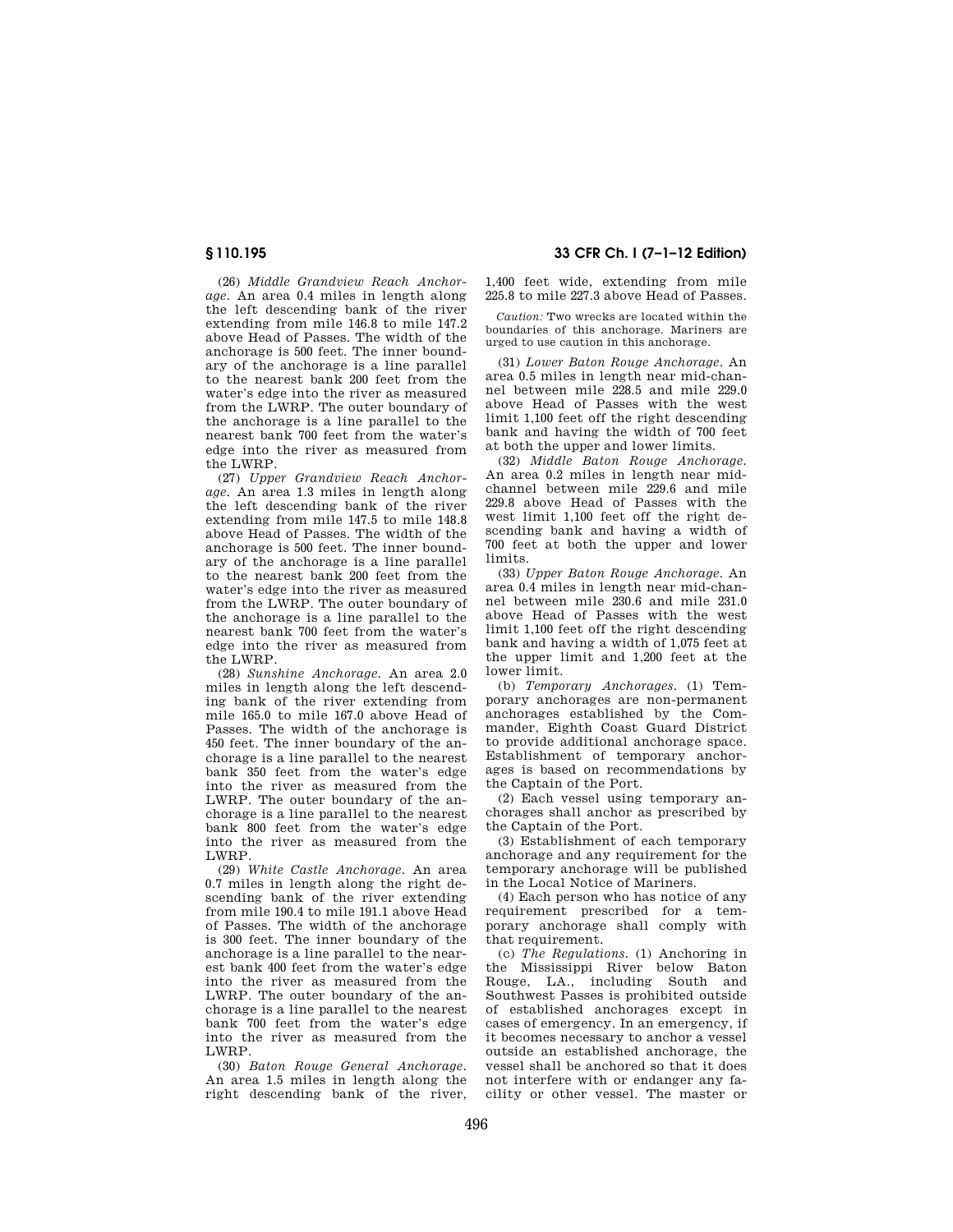(26) *Middle Grandview Reach Anchorage.* An area 0.4 miles in length along the left descending bank of the river extending from mile 146.8 to mile 147.2 above Head of Passes. The width of the anchorage is 500 feet. The inner boundary of the anchorage is a line parallel to the nearest bank 200 feet from the water's edge into the river as measured from the LWRP. The outer boundary of the anchorage is a line parallel to the nearest bank 700 feet from the water's edge into the river as measured from the LWRP.

(27) *Upper Grandview Reach Anchorage.* An area 1.3 miles in length along the left descending bank of the river extending from mile 147.5 to mile 148.8 above Head of Passes. The width of the anchorage is 500 feet. The inner boundary of the anchorage is a line parallel to the nearest bank 200 feet from the water's edge into the river as measured from the LWRP. The outer boundary of the anchorage is a line parallel to the nearest bank 700 feet from the water's edge into the river as measured from the LWRP.

(28) *Sunshine Anchorage.* An area 2.0 miles in length along the left descending bank of the river extending from mile 165.0 to mile 167.0 above Head of Passes. The width of the anchorage is 450 feet. The inner boundary of the anchorage is a line parallel to the nearest bank 350 feet from the water's edge into the river as measured from the LWRP. The outer boundary of the anchorage is a line parallel to the nearest bank 800 feet from the water's edge into the river as measured from the LWRP.

(29) *White Castle Anchorage.* An area 0.7 miles in length along the right descending bank of the river extending from mile 190.4 to mile 191.1 above Head of Passes. The width of the anchorage is 300 feet. The inner boundary of the anchorage is a line parallel to the nearest bank 400 feet from the water's edge into the river as measured from the LWRP. The outer boundary of the anchorage is a line parallel to the nearest bank 700 feet from the water's edge into the river as measured from the LWRP.

(30) *Baton Rouge General Anchorage.*  An area 1.5 miles in length along the right descending bank of the river,

# **§ 110.195 33 CFR Ch. I (7–1–12 Edition)**

1,400 feet wide, extending from mile 225.8 to mile 227.3 above Head of Passes.

*Caution:* Two wrecks are located within the boundaries of this anchorage. Mariners are urged to use caution in this anchorage.

(31) *Lower Baton Rouge Anchorage.* An area 0.5 miles in length near mid-channel between mile 228.5 and mile 229.0 above Head of Passes with the west limit 1,100 feet off the right descending bank and having the width of 700 feet at both the upper and lower limits.

(32) *Middle Baton Rouge Anchorage.*  An area 0.2 miles in length near midchannel between mile 229.6 and mile 229.8 above Head of Passes with the west limit 1,100 feet off the right descending bank and having a width of 700 feet at both the upper and lower limits.

(33) *Upper Baton Rouge Anchorage.* An area 0.4 miles in length near mid-channel between mile 230.6 and mile 231.0 above Head of Passes with the west limit 1,100 feet off the right descending bank and having a width of 1,075 feet at the upper limit and 1,200 feet at the lower limit.

(b) *Temporary Anchorages.* (1) Temporary anchorages are non-permanent anchorages established by the Commander, Eighth Coast Guard District to provide additional anchorage space. Establishment of temporary anchorages is based on recommendations by the Captain of the Port.

(2) Each vessel using temporary anchorages shall anchor as prescribed by the Captain of the Port.

(3) Establishment of each temporary anchorage and any requirement for the temporary anchorage will be published in the Local Notice of Mariners.

(4) Each person who has notice of any requirement prescribed for a temporary anchorage shall comply with that requirement.

(c) *The Regulations.* (1) Anchoring in the Mississippi River below Baton Rouge, LA., including South and Southwest Passes is prohibited outside of established anchorages except in cases of emergency. In an emergency, if it becomes necessary to anchor a vessel outside an established anchorage, the vessel shall be anchored so that it does not interfere with or endanger any facility or other vessel. The master or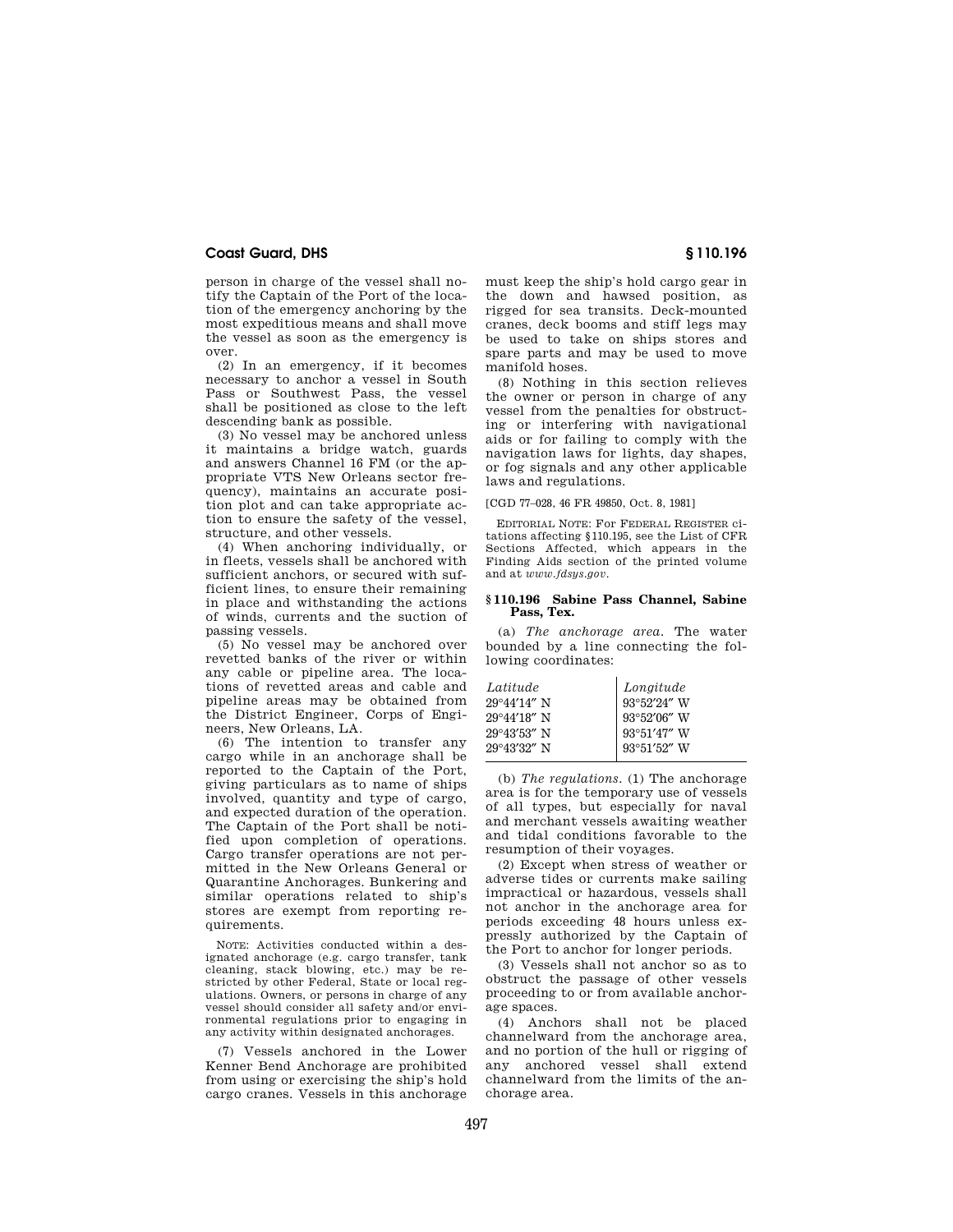person in charge of the vessel shall notify the Captain of the Port of the location of the emergency anchoring by the most expeditious means and shall move the vessel as soon as the emergency is over.

(2) In an emergency, if it becomes necessary to anchor a vessel in South Pass or Southwest Pass, the vessel shall be positioned as close to the left descending bank as possible.

(3) No vessel may be anchored unless it maintains a bridge watch, guards and answers Channel 16 FM (or the appropriate VTS New Orleans sector frequency), maintains an accurate position plot and can take appropriate action to ensure the safety of the vessel, structure, and other vessels.

(4) When anchoring individually, or in fleets, vessels shall be anchored with sufficient anchors, or secured with sufficient lines, to ensure their remaining in place and withstanding the actions of winds, currents and the suction of passing vessels.

(5) No vessel may be anchored over revetted banks of the river or within any cable or pipeline area. The locations of revetted areas and cable and pipeline areas may be obtained from the District Engineer, Corps of Engineers, New Orleans, LA.

(6) The intention to transfer any cargo while in an anchorage shall be reported to the Captain of the Port, giving particulars as to name of ships involved, quantity and type of cargo, and expected duration of the operation. The Captain of the Port shall be notified upon completion of operations. Cargo transfer operations are not permitted in the New Orleans General or Quarantine Anchorages. Bunkering and similar operations related to ship's stores are exempt from reporting requirements.

NOTE: Activities conducted within a designated anchorage (e.g. cargo transfer, tank cleaning, stack blowing, etc.) may be restricted by other Federal, State or local regulations. Owners, or persons in charge of any vessel should consider all safety and/or environmental regulations prior to engaging in any activity within designated anchorages.

(7) Vessels anchored in the Lower Kenner Bend Anchorage are prohibited from using or exercising the ship's hold cargo cranes. Vessels in this anchorage must keep the ship's hold cargo gear in the down and hawsed position, as rigged for sea transits. Deck-mounted cranes, deck booms and stiff legs may be used to take on ships stores and spare parts and may be used to move manifold hoses.

(8) Nothing in this section relieves the owner or person in charge of any vessel from the penalties for obstructing or interfering with navigational aids or for failing to comply with the navigation laws for lights, day shapes, or fog signals and any other applicable laws and regulations.

[CGD 77–028, 46 FR 49850, Oct. 8, 1981]

EDITORIAL NOTE: For FEDERAL REGISTER citations affecting §110.195, see the List of CFR Sections Affected, which appears in the Finding Aids section of the printed volume and at *www.fdsys.gov*.

#### **§ 110.196 Sabine Pass Channel, Sabine Pass, Tex.**

(a) *The anchorage area.* The water bounded by a line connecting the following coordinates:

| Latitude              | Longitude                                  |
|-----------------------|--------------------------------------------|
| $29^{\circ}44'14''$ N | $93^{\circ}52^{\prime}24^{\prime\prime}$ W |
| $29^{\circ}44'18''$ N | $93^{\circ}52'06''$ W                      |
| $29^{\circ}43'53''$ N | 93°51'47" W                                |
| $29^{\circ}43'32''$ N | $93^{\circ}51'52''$ W                      |

(b) *The regulations.* (1) The anchorage area is for the temporary use of vessels of all types, but especially for naval and merchant vessels awaiting weather and tidal conditions favorable to the resumption of their voyages.

(2) Except when stress of weather or adverse tides or currents make sailing impractical or hazardous, vessels shall not anchor in the anchorage area for periods exceeding 48 hours unless expressly authorized by the Captain of the Port to anchor for longer periods.

(3) Vessels shall not anchor so as to obstruct the passage of other vessels proceeding to or from available anchorage spaces.

(4) Anchors shall not be placed channelward from the anchorage area, and no portion of the hull or rigging of any anchored vessel shall extend channelward from the limits of the anchorage area.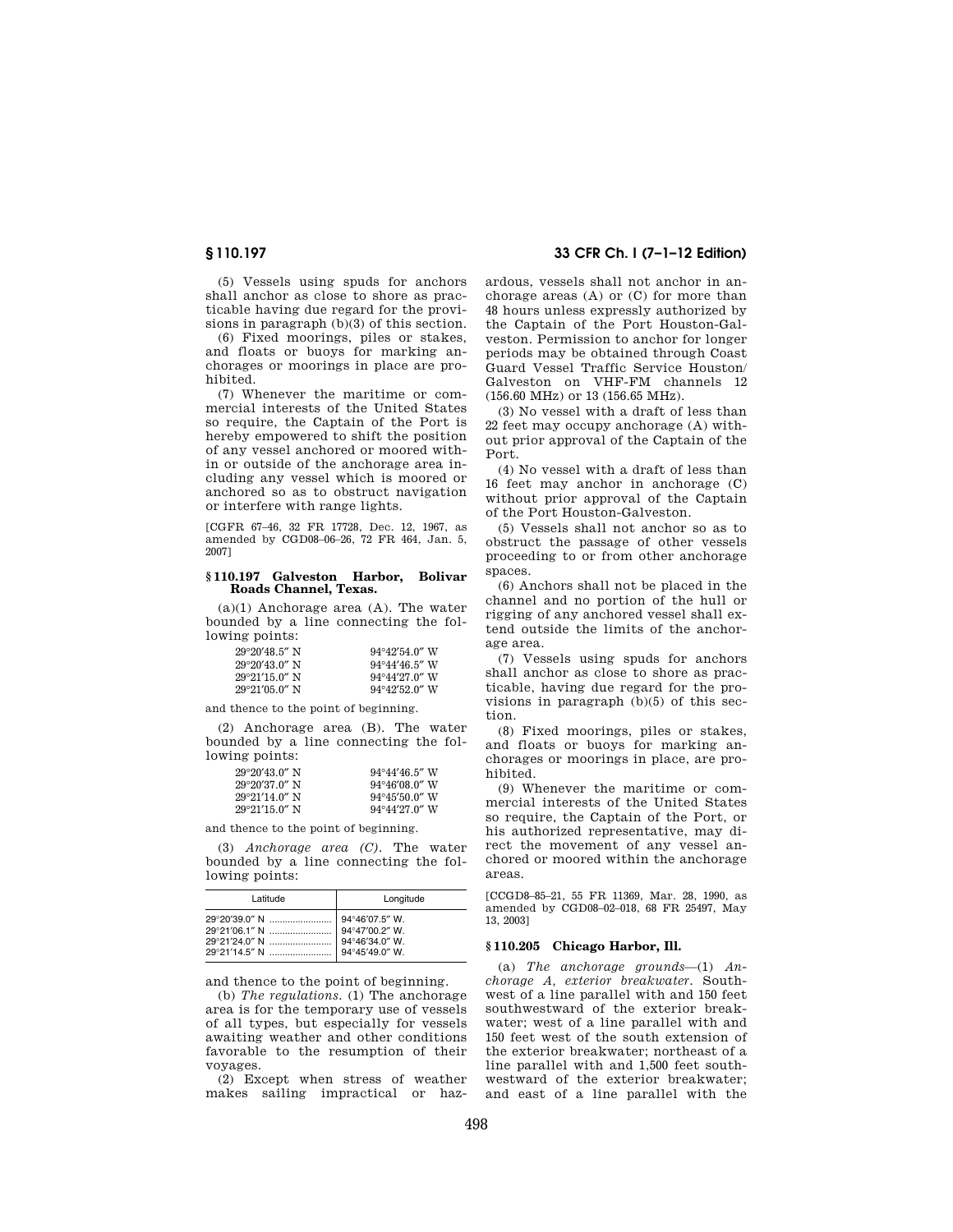(5) Vessels using spuds for anchors shall anchor as close to shore as practicable having due regard for the provisions in paragraph (b)(3) of this section.

(6) Fixed moorings, piles or stakes, and floats or buoys for marking anchorages or moorings in place are prohibited.

(7) Whenever the maritime or commercial interests of the United States so require, the Captain of the Port is hereby empowered to shift the position of any vessel anchored or moored within or outside of the anchorage area including any vessel which is moored or anchored so as to obstruct navigation or interfere with range lights.

[CGFR 67–46, 32 FR 17728, Dec. 12, 1967, as amended by CGD08–06–26, 72 FR 464, Jan. 5, 2007]

#### **§ 110.197 Galveston Harbor, Bolivar Roads Channel, Texas.**

(a)(1) Anchorage area (A). The water bounded by a line connecting the following points:

| $29^{\circ}20'48.5''$ N | $94^{\circ}42'54.0''$ W |
|-------------------------|-------------------------|
| $29^{\circ}20'43.0''$ N | $94^{\circ}44'46.5''$ W |
| $29^{\circ}21'15.0''$ N | $94^{\circ}44'27.0''$ W |
| $29^{\circ}21'05.0''$ N | $94^{\circ}42'52.0''$ W |

and thence to the point of beginning.

(2) Anchorage area (B). The water bounded by a line connecting the following points:

| $29^{\circ}20'43.0''$ N | $94^{\circ}44'46.5''$ W |
|-------------------------|-------------------------|
| $29^{\circ}20'37.0''$ N | $94^{\circ}46'08.0''$ W |
| $29^{\circ}21'14.0''$ N | $94^{\circ}45'50.0''$ W |
| $29^{\circ}21'15.0''$ N | $94^{\circ}44'27.0''$ W |

and thence to the point of beginning.

(3) *Anchorage area (C).* The water bounded by a line connecting the following points:

| Latitude | Longitude      |
|----------|----------------|
|          | 94°46'34.0" W. |

and thence to the point of beginning.

(b) *The regulations.* (1) The anchorage area is for the temporary use of vessels of all types, but especially for vessels awaiting weather and other conditions favorable to the resumption of their voyages.

(2) Except when stress of weather makes sailing impractical or haz-

# **§ 110.197 33 CFR Ch. I (7–1–12 Edition)**

ardous, vessels shall not anchor in anchorage areas (A) or (C) for more than 48 hours unless expressly authorized by the Captain of the Port Houston-Galveston. Permission to anchor for longer periods may be obtained through Coast Guard Vessel Traffic Service Houston/ Galveston on VHF-FM channels 12 (156.60 MHz) or 13 (156.65 MHz).

(3) No vessel with a draft of less than 22 feet may occupy anchorage (A) without prior approval of the Captain of the Port.

(4) No vessel with a draft of less than 16 feet may anchor in anchorage (C) without prior approval of the Captain of the Port Houston-Galveston.

(5) Vessels shall not anchor so as to obstruct the passage of other vessels proceeding to or from other anchorage spaces.

(6) Anchors shall not be placed in the channel and no portion of the hull or rigging of any anchored vessel shall extend outside the limits of the anchorage area.

(7) Vessels using spuds for anchors shall anchor as close to shore as practicable, having due regard for the provisions in paragraph (b)(5) of this section.

(8) Fixed moorings, piles or stakes, and floats or buoys for marking anchorages or moorings in place, are prohibited.

(9) Whenever the maritime or commercial interests of the United States so require, the Captain of the Port, or his authorized representative, may direct the movement of any vessel anchored or moored within the anchorage areas.

[CCGD8–85–21, 55 FR 11369, Mar. 28, 1990, as amended by CGD08–02–018, 68 FR 25497, May 13, 2003]

#### **§ 110.205 Chicago Harbor, Ill.**

(a) *The anchorage grounds*—(1) *Anchorage A, exterior breakwater.* Southwest of a line parallel with and 150 feet southwestward of the exterior breakwater; west of a line parallel with and 150 feet west of the south extension of the exterior breakwater; northeast of a line parallel with and 1,500 feet southwestward of the exterior breakwater; and east of a line parallel with the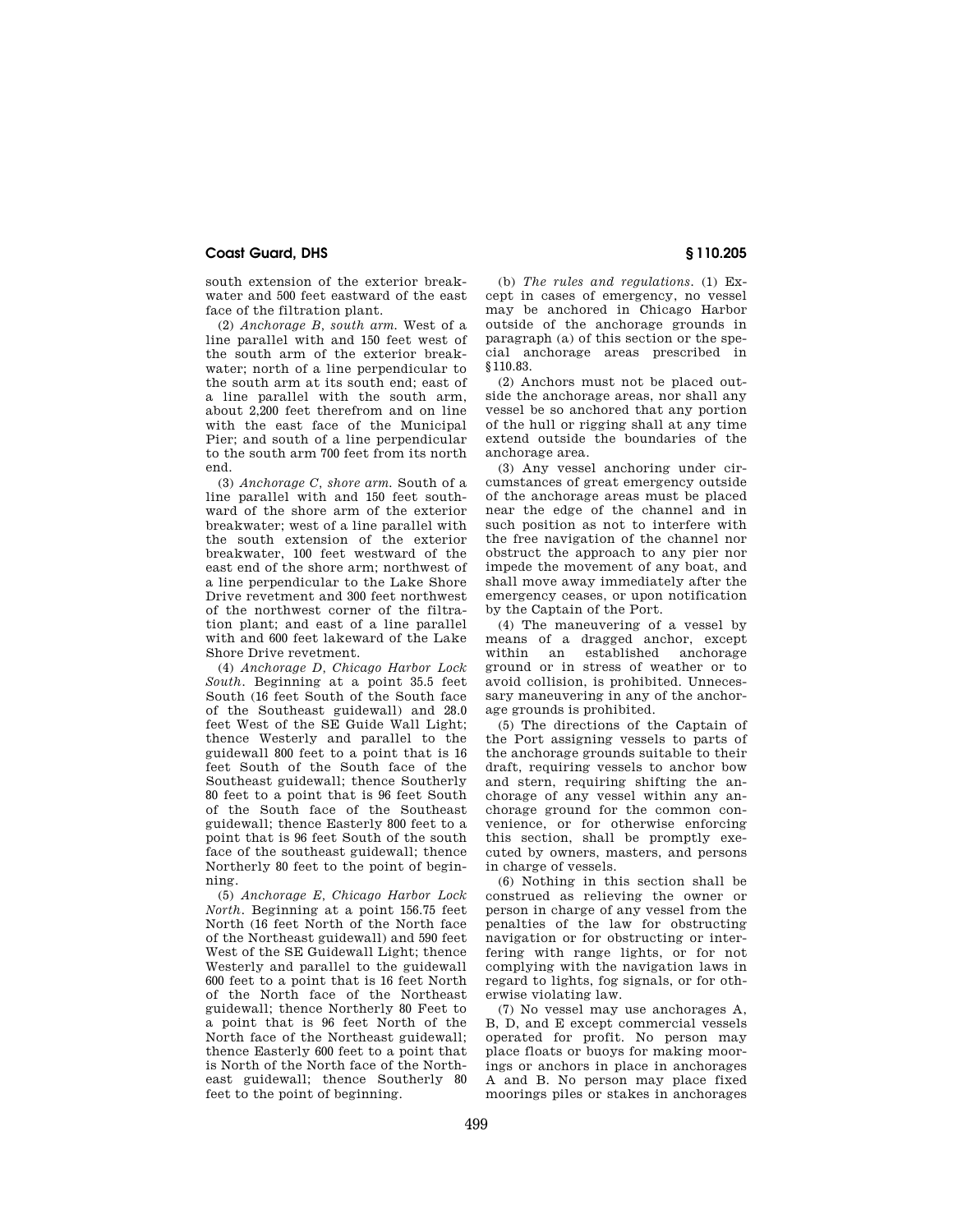south extension of the exterior breakwater and 500 feet eastward of the east face of the filtration plant.

(2) *Anchorage B, south arm.* West of a line parallel with and 150 feet west of the south arm of the exterior breakwater; north of a line perpendicular to the south arm at its south end; east of a line parallel with the south arm, about 2,200 feet therefrom and on line with the east face of the Municipal Pier; and south of a line perpendicular to the south arm 700 feet from its north end.

(3) *Anchorage C, shore arm.* South of a line parallel with and 150 feet southward of the shore arm of the exterior breakwater; west of a line parallel with the south extension of the exterior breakwater, 100 feet westward of the east end of the shore arm; northwest of a line perpendicular to the Lake Shore Drive revetment and 300 feet northwest of the northwest corner of the filtration plant; and east of a line parallel with and 600 feet lakeward of the Lake Shore Drive revetment.

(4) *Anchorage D, Chicago Harbor Lock South.* Beginning at a point 35.5 feet South (16 feet South of the South face of the Southeast guidewall) and 28.0 feet West of the SE Guide Wall Light; thence Westerly and parallel to the guidewall 800 feet to a point that is 16 feet South of the South face of the Southeast guidewall; thence Southerly 80 feet to a point that is 96 feet South of the South face of the Southeast guidewall; thence Easterly 800 feet to a point that is 96 feet South of the south face of the southeast guidewall; thence Northerly 80 feet to the point of beginning.

(5) *Anchorage E, Chicago Harbor Lock North.* Beginning at a point 156.75 feet North (16 feet North of the North face of the Northeast guidewall) and 590 feet West of the SE Guidewall Light; thence Westerly and parallel to the guidewall 600 feet to a point that is 16 feet North of the North face of the Northeast guidewall; thence Northerly 80 Feet to a point that is 96 feet North of the North face of the Northeast guidewall; thence Easterly 600 feet to a point that is North of the North face of the Northeast guidewall; thence Southerly 80 feet to the point of beginning.

(b) *The rules and regulations.* (1) Except in cases of emergency, no vessel may be anchored in Chicago Harbor outside of the anchorage grounds in paragraph (a) of this section or the special anchorage areas prescribed in §110.83.

(2) Anchors must not be placed outside the anchorage areas, nor shall any vessel be so anchored that any portion of the hull or rigging shall at any time extend outside the boundaries of the anchorage area.

(3) Any vessel anchoring under circumstances of great emergency outside of the anchorage areas must be placed near the edge of the channel and in such position as not to interfere with the free navigation of the channel nor obstruct the approach to any pier nor impede the movement of any boat, and shall move away immediately after the emergency ceases, or upon notification by the Captain of the Port.

(4) The maneuvering of a vessel by means of a dragged anchor, except within an established anchorage ground or in stress of weather or to avoid collision, is prohibited. Unnecessary maneuvering in any of the anchorage grounds is prohibited.

(5) The directions of the Captain of the Port assigning vessels to parts of the anchorage grounds suitable to their draft, requiring vessels to anchor bow and stern, requiring shifting the anchorage of any vessel within any anchorage ground for the common convenience, or for otherwise enforcing this section, shall be promptly executed by owners, masters, and persons in charge of vessels.

(6) Nothing in this section shall be construed as relieving the owner or person in charge of any vessel from the penalties of the law for obstructing navigation or for obstructing or interfering with range lights, or for not complying with the navigation laws in regard to lights, fog signals, or for otherwise violating law.

(7) No vessel may use anchorages A, B, D, and E except commercial vessels operated for profit. No person may place floats or buoys for making moorings or anchors in place in anchorages A and B. No person may place fixed moorings piles or stakes in anchorages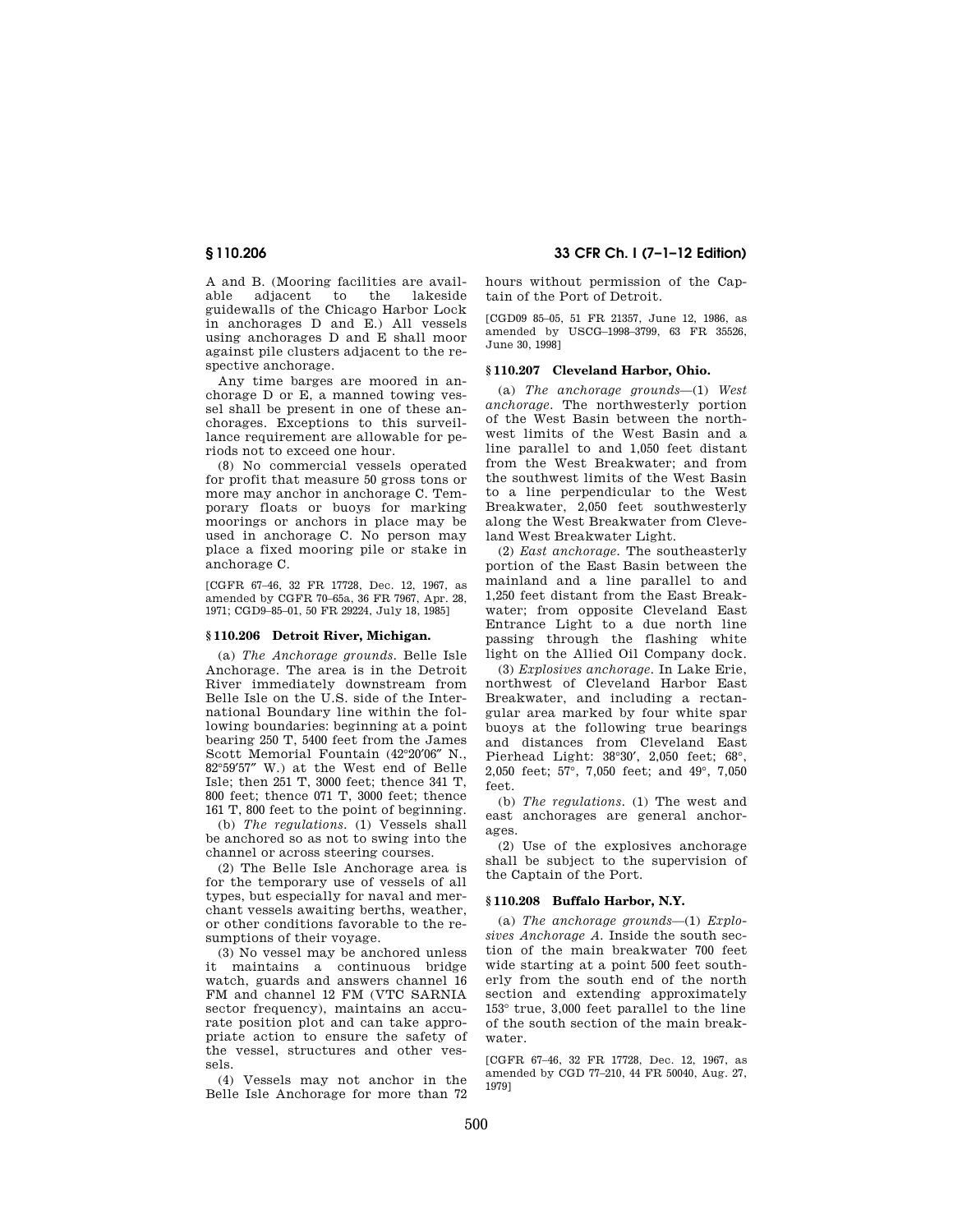A and B. (Mooring facilities are available adjacent to the lakeside guidewalls of the Chicago Harbor Lock in anchorages D and E.) All vessels using anchorages D and E shall moor against pile clusters adjacent to the respective anchorage.

Any time barges are moored in anchorage D or E, a manned towing vessel shall be present in one of these anchorages. Exceptions to this surveillance requirement are allowable for periods not to exceed one hour.

(8) No commercial vessels operated for profit that measure 50 gross tons or more may anchor in anchorage C. Temporary floats or buoys for marking moorings or anchors in place may be used in anchorage C. No person may place a fixed mooring pile or stake in anchorage C.

[CGFR 67–46, 32 FR 17728, Dec. 12, 1967, as amended by CGFR 70–65a, 36 FR 7967, Apr. 28, 1971; CGD9–85–01, 50 FR 29224, July 18, 1985]

### **§ 110.206 Detroit River, Michigan.**

(a) *The Anchorage grounds.* Belle Isle Anchorage. The area is in the Detroit River immediately downstream from Belle Isle on the U.S. side of the International Boundary line within the following boundaries: beginning at a point bearing 250 T, 5400 feet from the James Scott Memorial Fountain (42°20′06″ N., 82°59′57″ W.) at the West end of Belle Isle; then 251 T, 3000 feet; thence 341 T, 800 feet; thence 071 T, 3000 feet; thence 161 T, 800 feet to the point of beginning.

(b) *The regulations.* (1) Vessels shall be anchored so as not to swing into the channel or across steering courses.

(2) The Belle Isle Anchorage area is for the temporary use of vessels of all types, but especially for naval and merchant vessels awaiting berths, weather, or other conditions favorable to the resumptions of their voyage.

(3) No vessel may be anchored unless it maintains a continuous bridge watch, guards and answers channel 16 FM and channel 12 FM (VTC SARNIA sector frequency), maintains an accurate position plot and can take appropriate action to ensure the safety of the vessel, structures and other vessels.

(4) Vessels may not anchor in the Belle Isle Anchorage for more than 72

**§ 110.206 33 CFR Ch. I (7–1–12 Edition)** 

hours without permission of the Captain of the Port of Detroit.

[CGD09 85–05, 51 FR 21357, June 12, 1986, as amended by USCG–1998–3799, 63 FR 35526, June 30, 1998]

#### **§ 110.207 Cleveland Harbor, Ohio.**

(a) *The anchorage grounds*—(1) *West anchorage.* The northwesterly portion of the West Basin between the northwest limits of the West Basin and a line parallel to and 1,050 feet distant from the West Breakwater; and from the southwest limits of the West Basin to a line perpendicular to the West Breakwater, 2,050 feet southwesterly along the West Breakwater from Cleveland West Breakwater Light.

(2) *East anchorage.* The southeasterly portion of the East Basin between the mainland and a line parallel to and 1,250 feet distant from the East Breakwater; from opposite Cleveland East Entrance Light to a due north line passing through the flashing white light on the Allied Oil Company dock.

(3) *Explosives anchorage.* In Lake Erie, northwest of Cleveland Harbor East Breakwater, and including a rectangular area marked by four white spar buoys at the following true bearings and distances from Cleveland East Pierhead Light: 38°30′, 2,050 feet; 68°, 2,050 feet; 57°, 7,050 feet; and 49°, 7,050 feet.

(b) *The regulations.* (1) The west and east anchorages are general anchorages.

(2) Use of the explosives anchorage shall be subject to the supervision of the Captain of the Port.

#### **§ 110.208 Buffalo Harbor, N.Y.**

(a) *The anchorage grounds*—(1) *Explosives Anchorage A.* Inside the south section of the main breakwater 700 feet wide starting at a point 500 feet southerly from the south end of the north section and extending approximately 153° true, 3,000 feet parallel to the line of the south section of the main breakwater.

[CGFR 67–46, 32 FR 17728, Dec. 12, 1967, as amended by CGD 77–210, 44 FR 50040, Aug. 27, 1979]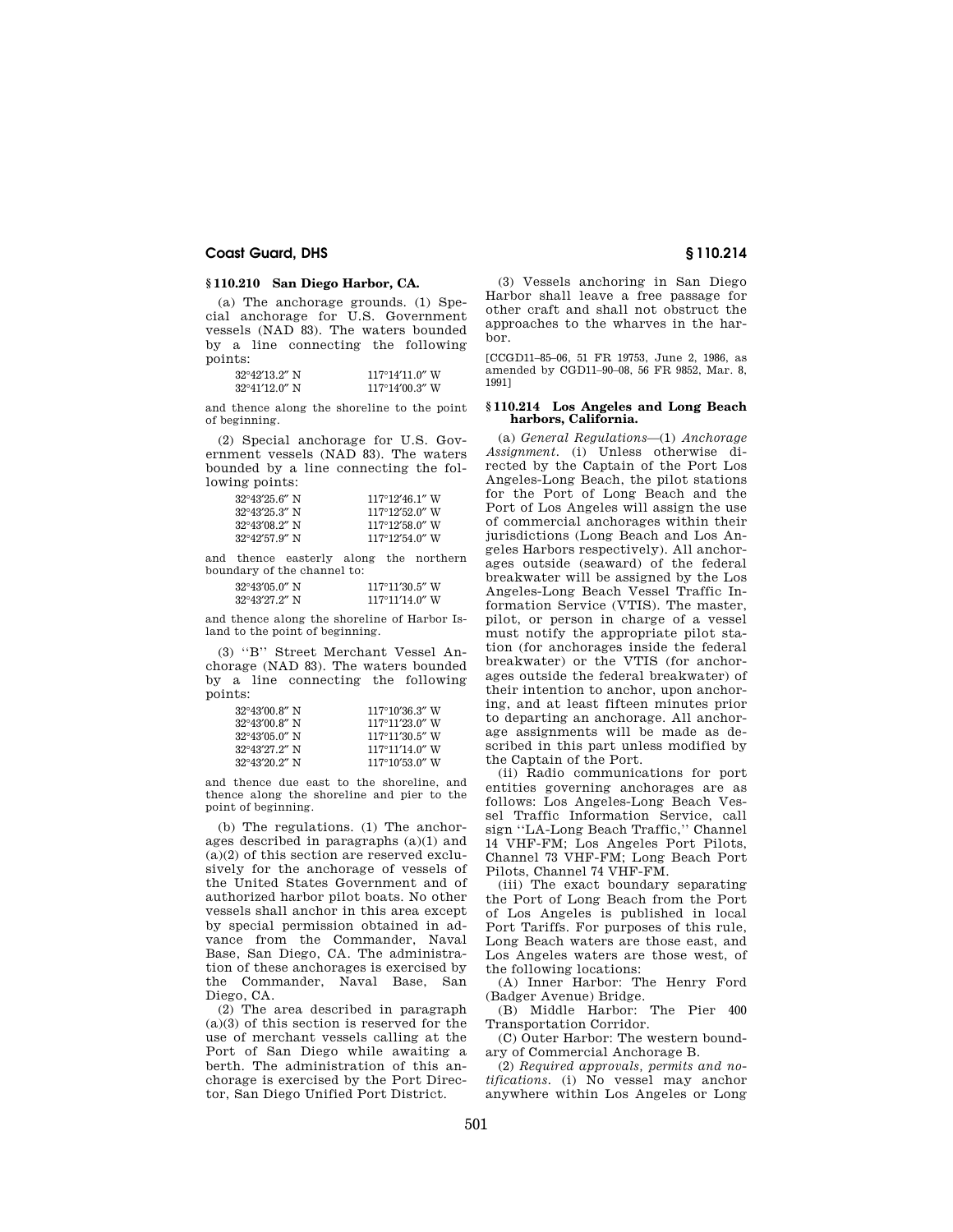### **§ 110.210 San Diego Harbor, CA.**

(a) The anchorage grounds. (1) Special anchorage for U.S. Government vessels (NAD 83). The waters bounded by a line connecting the following points:

| $32^{\circ}42'13.2''$ N | $117^{\circ}14'11.0''$ W |
|-------------------------|--------------------------|
| $32^{\circ}41'12.0''$ N | $117^{\circ}14'00.3''$ W |

and thence along the shoreline to the point of beginning.

(2) Special anchorage for U.S. Government vessels (NAD 83). The waters bounded by a line connecting the following points:

| $32^{\circ}43'25.6''$ N | $117^{\circ}12'46.1''$ W |
|-------------------------|--------------------------|
| $32^{\circ}43'25.3''$ N | $117^{\circ}12'52.0''$ W |
| $32^{\circ}43'08.2''$ N | $117^{\circ}12'58$ 0" W  |
| $32^{\circ}42'57.9''$ N | $117^{\circ}12'54$ 0" W  |

and thence easterly along the northern boundary of the channel to:

| $32^{\circ}43'05.0''$ N | $117^{\circ}11'30.5''$ W |
|-------------------------|--------------------------|
| $32^{\circ}43'27.2''$ N | $117^{\circ}11'14.0''$ W |

and thence along the shoreline of Harbor Island to the point of beginning.

(3) ''B'' Street Merchant Vessel Anchorage (NAD 83). The waters bounded by a line connecting the following points:

| $32^{\circ}43'00.8''$ N | $117^{\circ}10'36.3''$ W |
|-------------------------|--------------------------|
| $32^{\circ}43'00.8''$ N | $117^{\circ}11'23.0''$ W |
| $32^{\circ}43'05.0''$ N | $117^{\circ}11'30.5''$ W |
| $32^{\circ}43'27.2''$ N | $117^{\circ}11'14.0''$ W |
| $32^{\circ}43'20$ 2" N  | $117^{\circ}10'53.0''$ W |

and thence due east to the shoreline, and thence along the shoreline and pier to the point of beginning.

(b) The regulations. (1) The anchorages described in paragraphs (a)(1) and  $(a)(2)$  of this section are reserved exclusively for the anchorage of vessels of the United States Government and of authorized harbor pilot boats. No other vessels shall anchor in this area except by special permission obtained in advance from the Commander, Naval Base, San Diego, CA. The administration of these anchorages is exercised by the Commander, Naval Base, San Diego, CA.

(2) The area described in paragraph (a)(3) of this section is reserved for the use of merchant vessels calling at the Port of San Diego while awaiting a berth. The administration of this anchorage is exercised by the Port Director, San Diego Unified Port District.

(3) Vessels anchoring in San Diego Harbor shall leave a free passage for other craft and shall not obstruct the approaches to the wharves in the harbor.

[CCGD11–85–06, 51 FR 19753, June 2, 1986, as amended by CGD11–90–08, 56 FR 9852, Mar. 8, 1991]

#### **§ 110.214 Los Angeles and Long Beach harbors, California.**

(a) *General Regulations*—(1) *Anchorage Assignment.* (i) Unless otherwise directed by the Captain of the Port Los Angeles-Long Beach, the pilot stations for the Port of Long Beach and the Port of Los Angeles will assign the use of commercial anchorages within their jurisdictions (Long Beach and Los Angeles Harbors respectively). All anchorages outside (seaward) of the federal breakwater will be assigned by the Los Angeles-Long Beach Vessel Traffic Information Service (VTIS). The master, pilot, or person in charge of a vessel must notify the appropriate pilot station (for anchorages inside the federal breakwater) or the VTIS (for anchorages outside the federal breakwater) of their intention to anchor, upon anchoring, and at least fifteen minutes prior to departing an anchorage. All anchorage assignments will be made as described in this part unless modified by the Captain of the Port.

(ii) Radio communications for port entities governing anchorages are as follows: Los Angeles-Long Beach Vessel Traffic Information Service, call sign ''LA-Long Beach Traffic,'' Channel 14 VHF-FM; Los Angeles Port Pilots, Channel 73 VHF-FM; Long Beach Port Pilots, Channel 74 VHF-FM.

(iii) The exact boundary separating the Port of Long Beach from the Port of Los Angeles is published in local Port Tariffs. For purposes of this rule, Long Beach waters are those east, and Los Angeles waters are those west, of the following locations:

(A) Inner Harbor: The Henry Ford (Badger Avenue) Bridge.

(B) Middle Harbor: The Pier 400 Transportation Corridor.

(C) Outer Harbor: The western boundary of Commercial Anchorage B.

(2) *Required approvals, permits and notifications.* (i) No vessel may anchor anywhere within Los Angeles or Long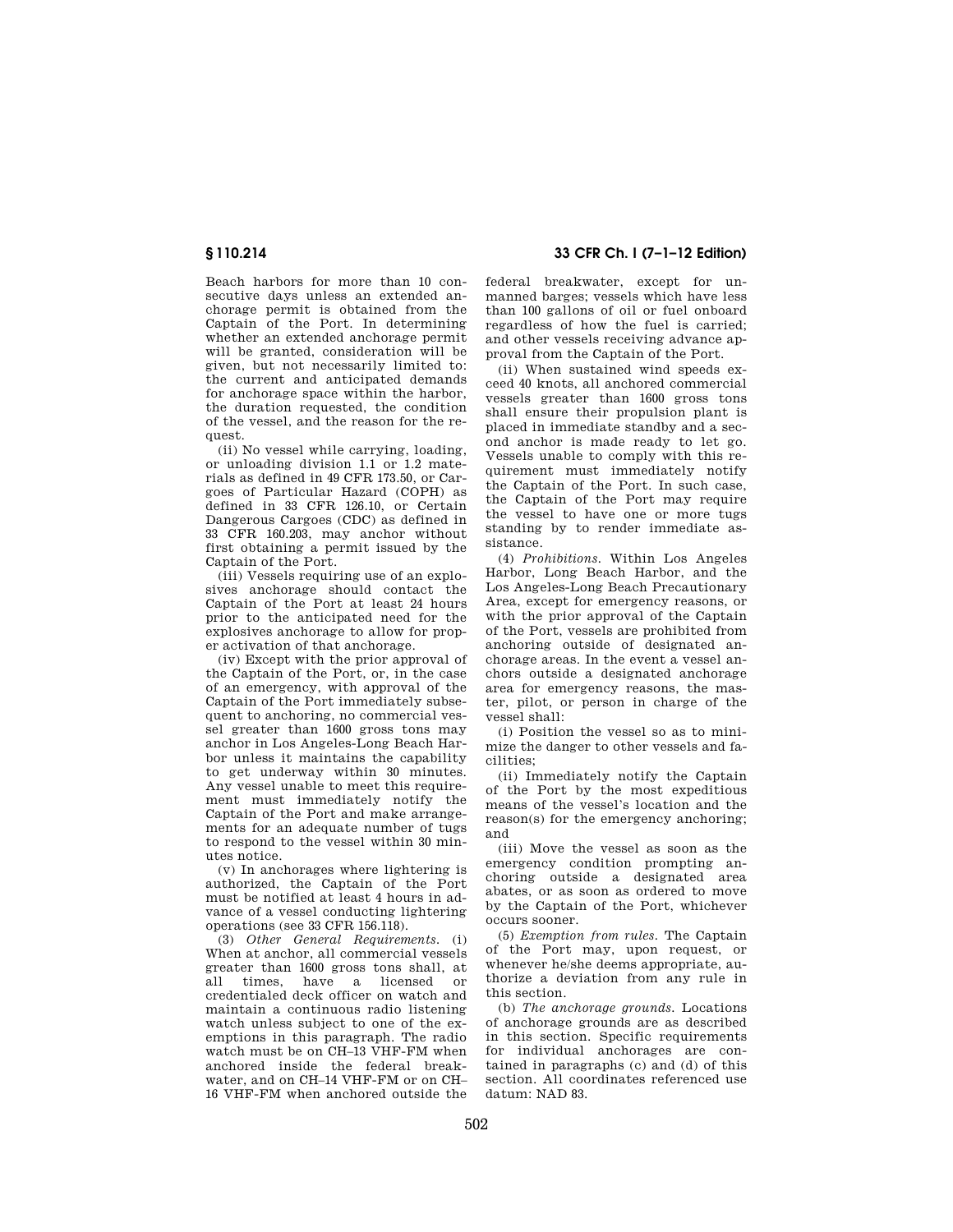Beach harbors for more than 10 consecutive days unless an extended anchorage permit is obtained from the Captain of the Port. In determining whether an extended anchorage permit will be granted, consideration will be given, but not necessarily limited to: the current and anticipated demands for anchorage space within the harbor, the duration requested, the condition of the vessel, and the reason for the request.

(ii) No vessel while carrying, loading, or unloading division 1.1 or 1.2 materials as defined in 49 CFR 173.50, or Cargoes of Particular Hazard (COPH) as defined in 33 CFR 126.10, or Certain Dangerous Cargoes (CDC) as defined in 33 CFR 160.203, may anchor without first obtaining a permit issued by the Captain of the Port.

(iii) Vessels requiring use of an explosives anchorage should contact the Captain of the Port at least 24 hours prior to the anticipated need for the explosives anchorage to allow for proper activation of that anchorage.

(iv) Except with the prior approval of the Captain of the Port, or, in the case of an emergency, with approval of the Captain of the Port immediately subsequent to anchoring, no commercial vessel greater than 1600 gross tons may anchor in Los Angeles-Long Beach Harbor unless it maintains the capability to get underway within 30 minutes. Any vessel unable to meet this requirement must immediately notify the Captain of the Port and make arrangements for an adequate number of tugs to respond to the vessel within 30 minutes notice.

(v) In anchorages where lightering is authorized, the Captain of the Port must be notified at least 4 hours in advance of a vessel conducting lightering operations (see 33 CFR 156.118).

(3) *Other General Requirements.* (i) When at anchor, all commercial vessels greater than 1600 gross tons shall, at all times, have a licensed or credentialed deck officer on watch and maintain a continuous radio listening watch unless subject to one of the exemptions in this paragraph. The radio watch must be on CH-13 VHF-FM when anchored inside the federal breakwater, and on CH–14 VHF-FM or on CH– 16 VHF-FM when anchored outside the

**§ 110.214 33 CFR Ch. I (7–1–12 Edition)** 

federal breakwater, except for unmanned barges; vessels which have less than 100 gallons of oil or fuel onboard regardless of how the fuel is carried; and other vessels receiving advance approval from the Captain of the Port.

(ii) When sustained wind speeds exceed 40 knots, all anchored commercial vessels greater than 1600 gross tons shall ensure their propulsion plant is placed in immediate standby and a second anchor is made ready to let go. Vessels unable to comply with this requirement must immediately notify the Captain of the Port. In such case, the Captain of the Port may require the vessel to have one or more tugs standing by to render immediate assistance.

(4) *Prohibitions.* Within Los Angeles Harbor, Long Beach Harbor, and the Los Angeles-Long Beach Precautionary Area, except for emergency reasons, or with the prior approval of the Captain of the Port, vessels are prohibited from anchoring outside of designated anchorage areas. In the event a vessel anchors outside a designated anchorage area for emergency reasons, the master, pilot, or person in charge of the vessel shall:

(i) Position the vessel so as to minimize the danger to other vessels and facilities;

(ii) Immediately notify the Captain of the Port by the most expeditious means of the vessel's location and the reason(s) for the emergency anchoring; and

(iii) Move the vessel as soon as the emergency condition prompting anchoring outside a designated area abates, or as soon as ordered to move by the Captain of the Port, whichever occurs sooner.

(5) *Exemption from rules.* The Captain of the Port may, upon request, or whenever he/she deems appropriate, authorize a deviation from any rule in this section.

(b) *The anchorage grounds.* Locations of anchorage grounds are as described in this section. Specific requirements for individual anchorages are contained in paragraphs (c) and (d) of this section. All coordinates referenced use datum: NAD 83.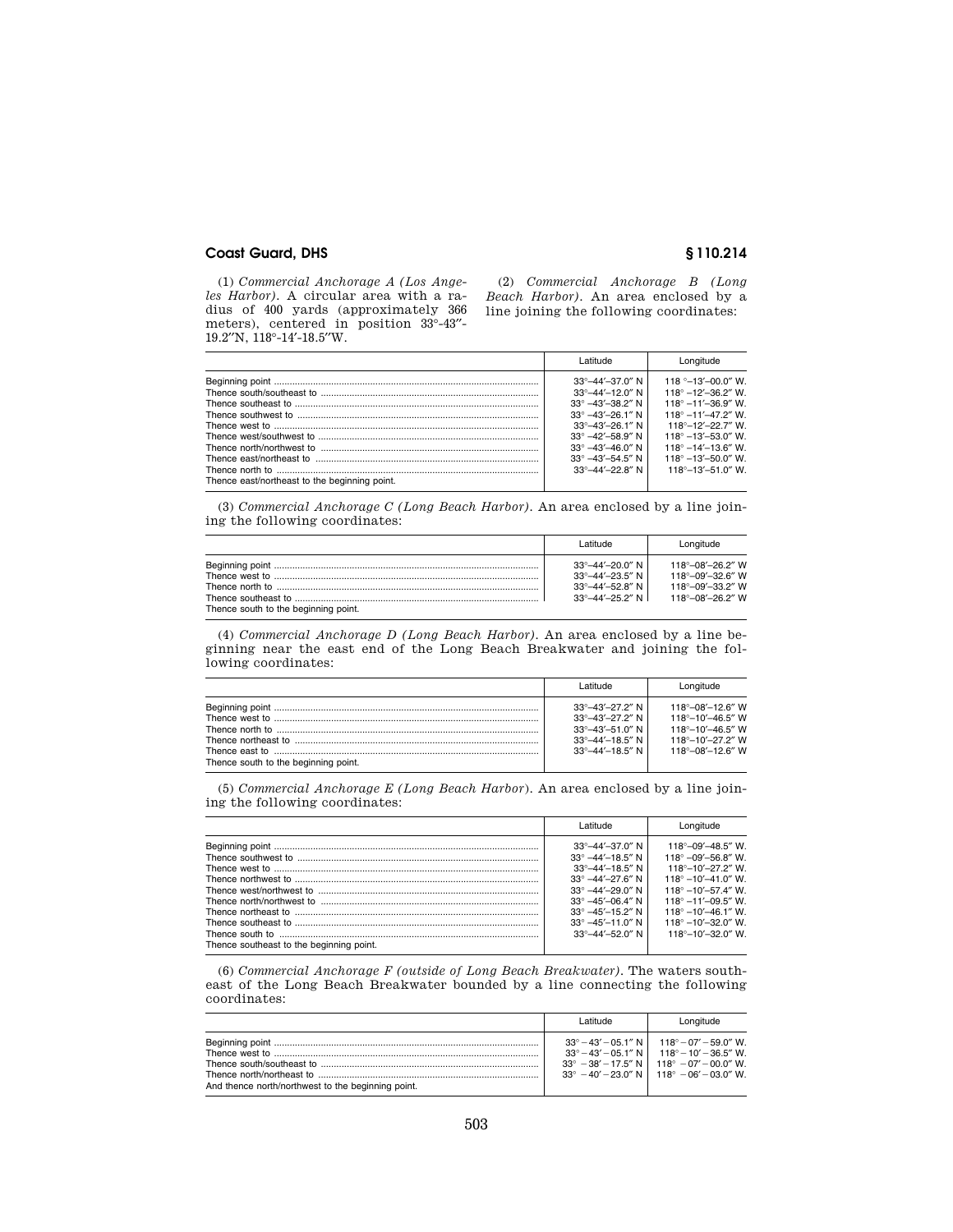(1) *Commercial Anchorage A (Los Angeles Harbor).* A circular area with a radius of 400 yards (approximately 366 meters), centered in position  $33^{\circ}$ -43"-19.2′′N, 118°-14′-18.5′′W.

(2) *Commercial Anchorage B (Long Beach Harbor)*. An area enclosed by a line joining the following coordinates:

|                                               | l atitude.                                                                                                                                                | Lonaitude                                                                                                                                                           |
|-----------------------------------------------|-----------------------------------------------------------------------------------------------------------------------------------------------------------|---------------------------------------------------------------------------------------------------------------------------------------------------------------------|
|                                               | $33^{\circ} - 44' - 37.0''$ N<br>$33^{\circ} - 44' - 12.0''$ N<br>$33^{\circ}$ -43'-38.2" N<br>$33^{\circ}$ -43'-26.1" N<br>$33^{\circ} - 43' - 26.1''$ N | 118 $^{\circ}$ -13'-00.0" W.<br>$118^{\circ} - 12' - 36.2''$ W.<br>$118^{\circ} - 11' - 36.9''$ W.<br>$118^{\circ} - 11' - 47$ 2" W<br>$118^{\circ} - 12' - 227'$ W |
|                                               | $33^{\circ}$ -42'-58.9" N                                                                                                                                 | $118^\circ - 13' - 53.0''$ W.                                                                                                                                       |
| Thence east/northeast to the beginning point. | $33^{\circ}$ -43'-46.0" N<br>$33^{\circ}$ -43'-54.5" N<br>$33^{\circ} - 44' - 228'$ N                                                                     | $118^{\circ} - 14' - 136'$ W<br>$118^{\circ} - 13' - 50.0''$ W.<br>$118^\circ - 13' - 51.0''$ W.                                                                    |

(3) *Commercial Anchorage C (Long Beach Harbor).* An area enclosed by a line joining the following coordinates:

|                                      | l atitude                                                                                                                        | Longitude                                                                                                              |
|--------------------------------------|----------------------------------------------------------------------------------------------------------------------------------|------------------------------------------------------------------------------------------------------------------------|
| Thence south to the beginning point. | $33^{\circ} - 44' - 20.0''$ N<br>$33^{\circ} - 44' - 23.5''$ N<br>$33^{\circ} - 44' - 52.8''$ N<br>$33^{\circ} - 44' - 25.2''$ N | $118^{\circ} - 08' - 26.2''$ W<br>$118^{\circ} - 09' - 32.6''$ W<br>$118^{\circ} - 09' - 33.2''$ W<br>118°–08′–26.2″ W |

(4) *Commercial Anchorage D (Long Beach Harbor).* An area enclosed by a line beginning near the east end of the Long Beach Breakwater and joining the following coordinates:

|                                      | ebutite I                                                                                                                                                         | Longitude                                                                                                                                 |
|--------------------------------------|-------------------------------------------------------------------------------------------------------------------------------------------------------------------|-------------------------------------------------------------------------------------------------------------------------------------------|
| Thence south to the beginning point. | $33^{\circ} - 43' - 27.2''$ N<br>$33^{\circ} - 43' - 27.2''$ N<br>$33^{\circ} - 43' - 51.0''$ N<br>$33^{\circ} - 44' - 18.5''$ N<br>$33^{\circ} - 44' - 18.5''$ N | $118^{\circ} - 08' - 12.6''$ W<br>$118^{\circ} - 10' - 46.5''$ W<br>118°-10′-46.5″ W<br>118°-10′-272″ W<br>$118^{\circ} - 08' - 12.6''$ W |

(5) *Commercial Anchorage E (Long Beach Harbor*). An area enclosed by a line joining the following coordinates:

|                                          | l atitude.                                                                                                                                                                                                                                                                  | Longitude                                                                                                                                                                                                                                                                                       |
|------------------------------------------|-----------------------------------------------------------------------------------------------------------------------------------------------------------------------------------------------------------------------------------------------------------------------------|-------------------------------------------------------------------------------------------------------------------------------------------------------------------------------------------------------------------------------------------------------------------------------------------------|
| Thence southeast to the beginning point. | $33^{\circ} - 44' - 37.0''$ N<br>$33^{\circ}$ -44'-18.5" N<br>$33^{\circ} - 44' - 18.5''$ N<br>$33^{\circ}$ -44'-27.6" N<br>$33^{\circ}$ -44'-29.0" N<br>$33^{\circ}$ -45'-06.4" N<br>$33^{\circ}$ -45'-15.2" N<br>$33^{\circ}$ -45'-11.0" N<br>$33^{\circ} - 44' - 520'$ N | $118^{\circ} - 09' - 48.5''$ W.<br>$118^{\circ} - 09' - 56.8''$ W.<br>118°-10'-27.2" W.<br>$118^{\circ} - 10' - 41.0''$ W.<br>$118^\circ - 10' - 57.4''$ W.<br>$118^{\circ}$ -11'-09.5" W.<br>$118^\circ - 10' - 46.1''$ W.<br>$118^\circ - 10' - 32.0''$ W.<br>$118^{\circ} - 10' - 32.0''$ W. |
|                                          |                                                                                                                                                                                                                                                                             |                                                                                                                                                                                                                                                                                                 |

(6) *Commercial Anchorage F (outside of Long Beach Breakwater).* The waters southeast of the Long Beach Breakwater bounded by a line connecting the following coordinates:

|                                                    | l atitude | Longitude                                                                                                                                                                                                                                |
|----------------------------------------------------|-----------|------------------------------------------------------------------------------------------------------------------------------------------------------------------------------------------------------------------------------------------|
| And thence north/northwest to the beginning point. |           | $33^{\circ} - 43' - 05.1''$ N   118° - 07' - 59.0" W.<br>$33^{\circ} - 43' - 05.1''$ N   118° - 10′ - 36.5″ W.<br>$33^{\circ} - 38' - 17.5''$ N   118° $-07' - 00.0''$ W.<br>$33^{\circ}$ -40' - 23.0" N   118 $^{\circ}$ -06' -03.0" W. |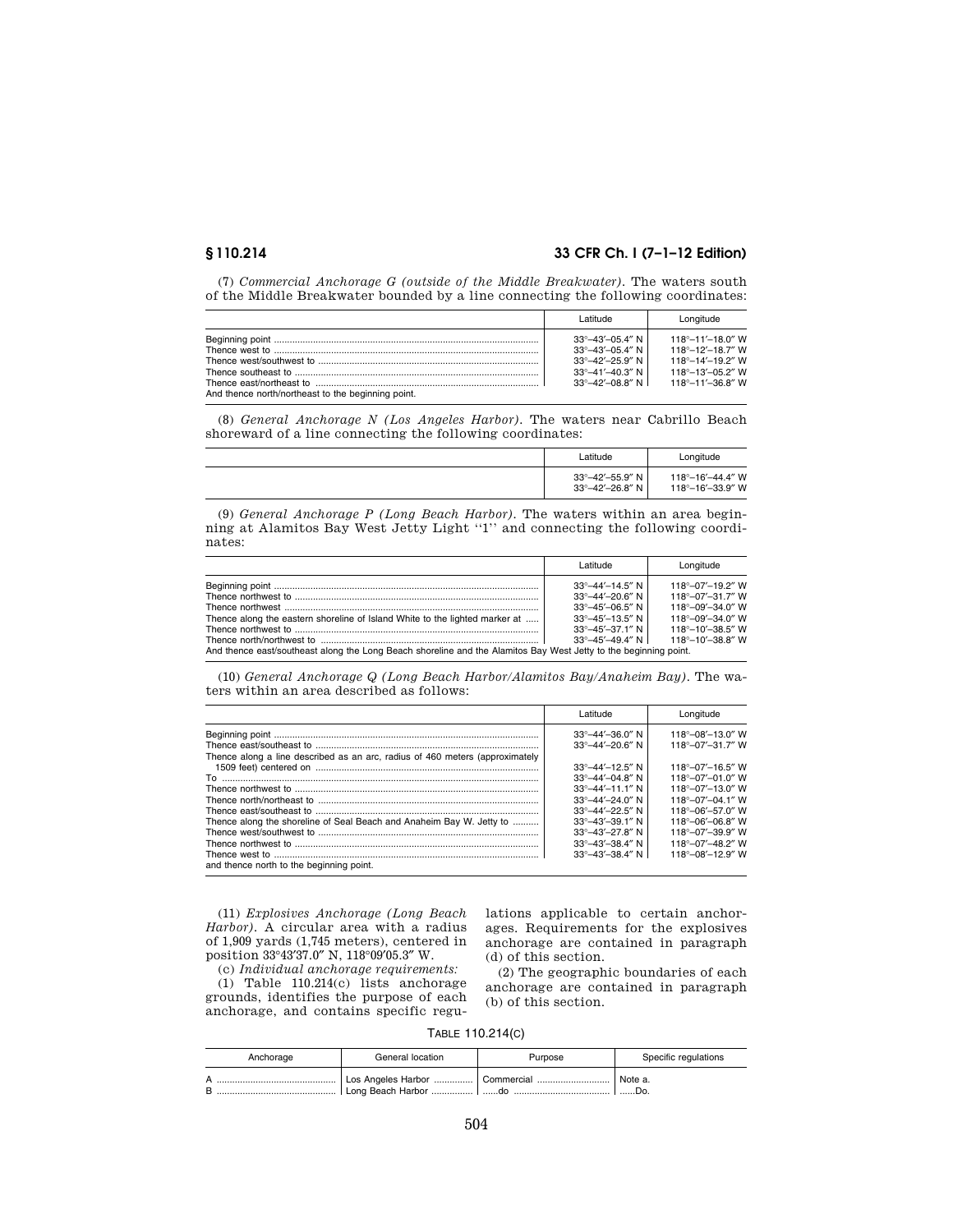# **§ 110.214 33 CFR Ch. I (7–1–12 Edition)**

(7) *Commercial Anchorage G (outside of the Middle Breakwater).* The waters south of the Middle Breakwater bounded by a line connecting the following coordinates:

|                                                    | l atitude                                                                                                                                                           | Longitude                                                                                                                                            |
|----------------------------------------------------|---------------------------------------------------------------------------------------------------------------------------------------------------------------------|------------------------------------------------------------------------------------------------------------------------------------------------------|
| And thence north/northeast to the beginning point. | $33^{\circ} - 43' - 05.4''$ N<br>$33^{\circ} - 43' - 05.4''$ N  <br>$33^{\circ} - 42' - 25.9''$ N<br>$33^{\circ} - 41' - 40.3''$ N  <br>$33^{\circ} - 42' - 088'$ N | $118^\circ - 11' - 18.0''$ W<br>$118^{\circ} - 12' - 187''$ W<br>$118^{\circ} - 14' - 19.2''$ W<br>118°-13'-05.2" W<br>$118^{\circ} - 11' - 368''$ W |

(8) *General Anchorage N (Los Angeles Harbor).* The waters near Cabrillo Beach shoreward of a line connecting the following coordinates:

| Latitude                           | Longitude                            |
|------------------------------------|--------------------------------------|
| 33°–42′–55.9″ N<br>33°–42′–26.8″ N | 118°-16'-44.4" W<br>118°-16'-33.9" W |

(9) *General Anchorage P (Long Beach Harbor).* The waters within an area beginning at Alamitos Bay West Jetty Light ''1'' and connecting the following coordinates:

|                                                                                                                  | Latitude                      | Longitude                      |
|------------------------------------------------------------------------------------------------------------------|-------------------------------|--------------------------------|
|                                                                                                                  | $33^{\circ} - 44' - 14.5''$ N | $118^{\circ} - 07' - 19.2''$ W |
|                                                                                                                  | $33^{\circ} - 44' - 20.6''$ N | 118°-07'-31.7" W               |
|                                                                                                                  | $33^{\circ} - 45' - 06.5''$ N | 118°-09'-34.0" W               |
| Thence along the eastern shoreline of Island White to the lighted marker at                                      | $33^{\circ} - 45' - 13.5''$ N | 118°-09'-34.0" W               |
|                                                                                                                  | $33^{\circ} - 45' - 37.1''$ N | $118^{\circ} - 10' - 38.5''$ W |
|                                                                                                                  | $33^{\circ} - 45' - 49.4''$ N | $118^\circ - 10' - 38.8''$ W   |
| And thence east/southeast along the Long Beach shoreline and the Alamitos Bay West Jetty to the beginning point. |                               |                                |

(10) *General Anchorage Q (Long Beach Harbor/Alamitos Bay/Anaheim Bay).* The waters within an area described as follows:

|                                                                              | atitude                       | Longitude                      |
|------------------------------------------------------------------------------|-------------------------------|--------------------------------|
|                                                                              | $33^{\circ} - 44' - 36.0''$ N | $118^{\circ} - 08' - 13.0''$ W |
|                                                                              | $33^{\circ} - 44' - 20.6''$ N | $118^{\circ} - 07' - 31.7''$ W |
| Thence along a line described as an arc, radius of 460 meters (approximately |                               |                                |
|                                                                              | $33^{\circ} - 44' - 12.5''$ N | $118^{\circ} - 07' - 16.5''$ W |
|                                                                              | $33^{\circ} - 44' - 04.8''$ N | $118^{\circ} - 07' - 01.0''$ W |
|                                                                              | $33^{\circ} - 44' - 11.1''$ N | 118°-07'-13.0" W               |
|                                                                              | $33^{\circ} - 44' - 24.0''$ N | $118^{\circ} - 07' - 04.1''$ W |
|                                                                              | $33^{\circ} - 44' - 22.5''$ N | 118°-06'-57.0" W               |
| Thence along the shoreline of Seal Beach and Anaheim Bay W. Jetty to         | $33^{\circ} - 43' - 39.1''$ N | $118^{\circ} - 06' - 06.8''$ W |
|                                                                              | $33^{\circ} - 43' - 27.8''$ N | $118^{\circ} - 07' - 39.9''$ W |
|                                                                              | $33^{\circ} - 43' - 38.4''$ N | 118°-07'-48.2" W               |
|                                                                              | $33^{\circ} - 43' - 38.4''$ N | $118^{\circ} - 08' - 12.9''$ W |
| and thence north to the beginning point.                                     |                               |                                |

(11) *Explosives Anchorage (Long Beach Harbor).* A circular area with a radius of 1,909 yards (1,745 meters), centered in position 33°43′37.0″ N, 118°09′05.3″ W.

(c) *Individual anchorage requirements:*  (1) Table 110.214(c) lists anchorage grounds, identifies the purpose of each anchorage, and contains specific regulations applicable to certain anchorages. Requirements for the explosives anchorage are contained in paragraph (d) of this section.

(2) The geographic boundaries of each anchorage are contained in paragraph (b) of this section.

### TABLE 110.214(C)

| Anchorage | General location                              | Purpose | Specific regulations |
|-----------|-----------------------------------------------|---------|----------------------|
|           | Los Angeles Harbor     Commercial     Note a. |         |                      |
| в         |                                               |         |                      |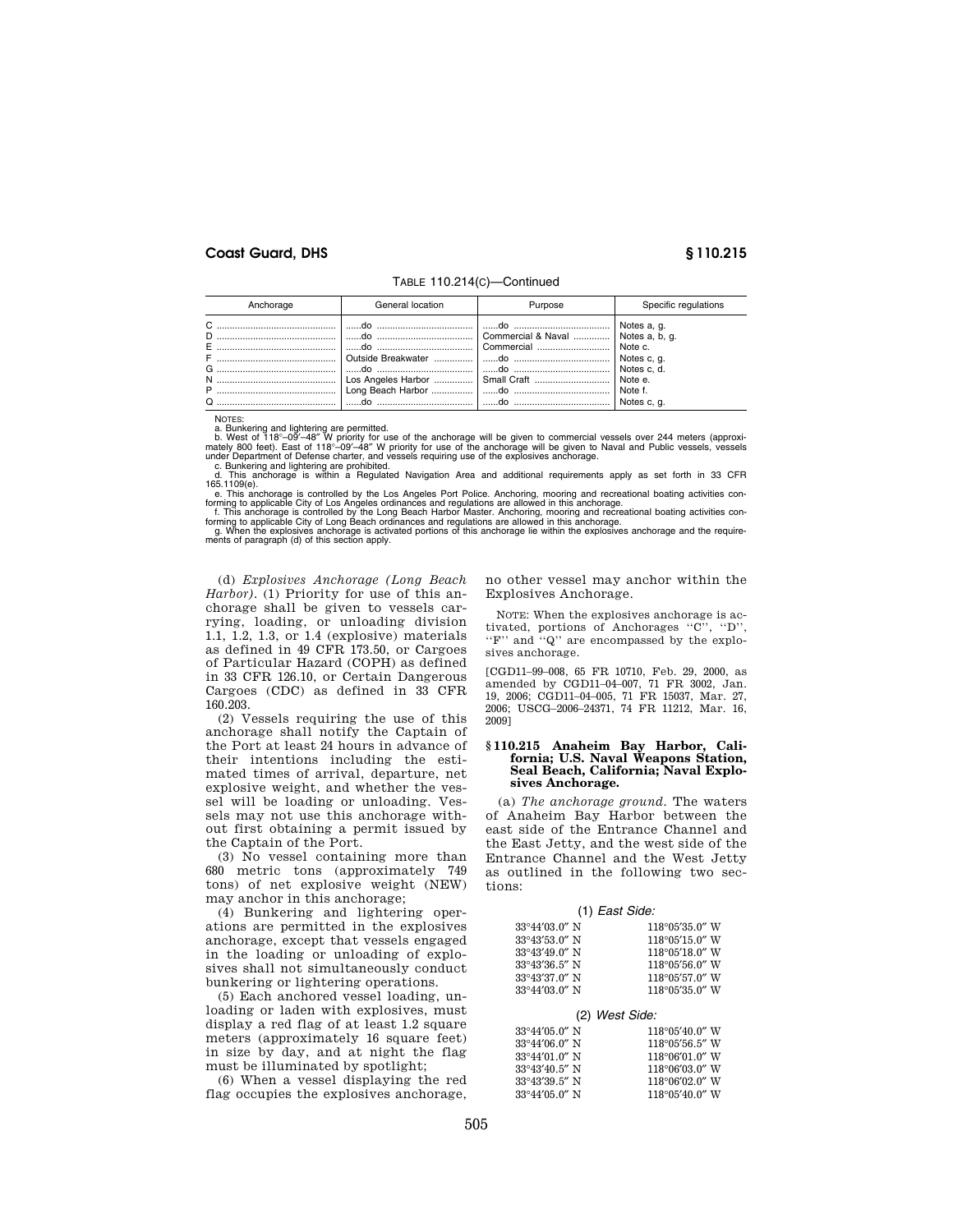| Anchorage | General location | Purpose                                                                 | Specific regulations                                                                      |
|-----------|------------------|-------------------------------------------------------------------------|-------------------------------------------------------------------------------------------|
| $\Omega$  |                  | Commercial & Naval  Notes a, b, q.<br>Los Angeles Harbor    Small Craft | Notes a. g.<br>Note c.<br>Notes c, q.<br>Notes c. d.<br>Note e.<br>Note f.<br>Notes c. a. |

TABLE 110.214(C)—Continued

NOTES:

a. Bunkering and lightering are permitted.<br>b. West of 118°-09'-48" W priority for use of the anchorage will be given to commercial vessels over 244 meters (approxi-<br>mately 800 feet). East of 118°-09'-48" W priority for use

c. Bunkering and lightering are prohibited. d. This anchorage is within a Regulated Navigation Area and additional requirements apply as set forth in 33 CFR 165.1109(e).

e. This anchorage is controlled by the Los Angeles Port Police. Anchoring, mooring and recreational boating activities con-

forming to applicable City of Los Angeles ordinances and regulations are allowed in this anchorage.<br>
f. This anchorage is controlled by the Long Beach Harbor Master. Anchoring, mooring and recreational boating activities c

(d) *Explosives Anchorage (Long Beach Harbor).* (1) Priority for use of this anchorage shall be given to vessels carrying, loading, or unloading division 1.1, 1.2, 1.3, or 1.4 (explosive) materials as defined in 49 CFR 173.50, or Cargoes of Particular Hazard (COPH) as defined in 33 CFR 126.10, or Certain Dangerous Cargoes (CDC) as defined in 33 CFR 160.203.

(2) Vessels requiring the use of this anchorage shall notify the Captain of the Port at least 24 hours in advance of their intentions including the estimated times of arrival, departure, net explosive weight, and whether the vessel will be loading or unloading. Vessels may not use this anchorage without first obtaining a permit issued by the Captain of the Port.

(3) No vessel containing more than 680 metric tons (approximately 749 tons) of net explosive weight (NEW) may anchor in this anchorage;

(4) Bunkering and lightering operations are permitted in the explosives anchorage, except that vessels engaged in the loading or unloading of explosives shall not simultaneously conduct bunkering or lightering operations.

(5) Each anchored vessel loading, unloading or laden with explosives, must display a red flag of at least 1.2 square meters (approximately 16 square feet) in size by day, and at night the flag must be illuminated by spotlight;

(6) When a vessel displaying the red flag occupies the explosives anchorage, no other vessel may anchor within the Explosives Anchorage.

NOTE: When the explosives anchorage is activated, portions of Anchorages ''C'', ''D'', "F" and "Q" are encompassed by the explosives anchorage.

[CGD11–99–008, 65 FR 10710, Feb. 29, 2000, as amended by CGD11–04–007, 71 FR 3002, Jan. 19, 2006; CGD11–04–005, 71 FR 15037, Mar. 27, 2006; USCG–2006–24371, 74 FR 11212, Mar. 16, 2009]

#### **§ 110.215 Anaheim Bay Harbor, California; U.S. Naval Weapons Station, Seal Beach, California; Naval Explosives Anchorage.**

(a) *The anchorage ground.* The waters of Anaheim Bay Harbor between the east side of the Entrance Channel and the East Jetty, and the west side of the Entrance Channel and the West Jetty as outlined in the following two sections:

#### (1) *East Side:*

| 33°44′03.0″ N           | $118^{\circ}05'35.0''$ W |
|-------------------------|--------------------------|
| 33°43'53.0" N           | $118^{\circ}05'15.0''$ W |
| $33^{\circ}43'49.0''$ N | $118^{\circ}05'18.0''$ W |
| 33°43′36.5″ N           | $118^{\circ}05'56.0''$ W |
| 33°43'37.0" N           | $118^{\circ}05'57.0''$ W |
| $33^{\circ}44'03.0''$ N | $118^{\circ}05'35.0''$ W |

(2) *West Side:* 

| $33^{\circ}44'05.0''$ N | $118^{\circ}05'40.0''$ W |
|-------------------------|--------------------------|
| $33^{\circ}44'06.0''$ N | $118^{\circ}05'56.5''$ W |
| $33^{\circ}44'01.0''$ N | $118^{\circ}06'01.0''$ W |
| $33^{\circ}43'40.5''$ N | $118^{\circ}06'03.0''$ W |
| 33°43'39.5" N           | $118^{\circ}06'02.0''$ W |
| $33^{\circ}44'05.0''$ N | $118^{\circ}05'40.0''$ W |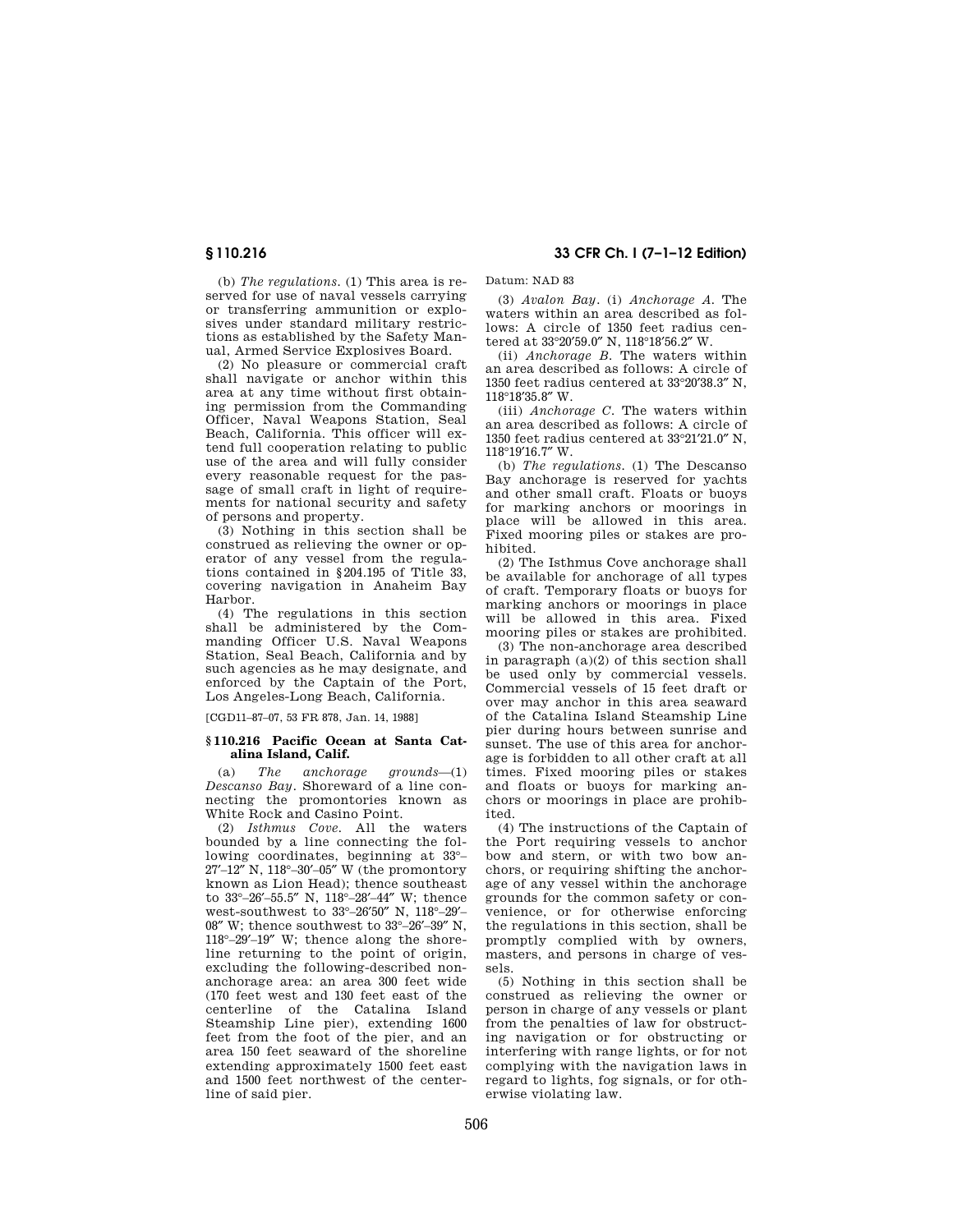**§ 110.216 33 CFR Ch. I (7–1–12 Edition)** 

(b) *The regulations.* (1) This area is reserved for use of naval vessels carrying or transferring ammunition or explosives under standard military restrictions as established by the Safety Manual, Armed Service Explosives Board.

(2) No pleasure or commercial craft shall navigate or anchor within this area at any time without first obtaining permission from the Commanding Officer, Naval Weapons Station, Seal Beach, California. This officer will extend full cooperation relating to public use of the area and will fully consider every reasonable request for the passage of small craft in light of requirements for national security and safety of persons and property.

(3) Nothing in this section shall be construed as relieving the owner or operator of any vessel from the regulations contained in §204.195 of Title 33, covering navigation in Anaheim Bay Harbor.

(4) The regulations in this section shall be administered by the Commanding Officer U.S. Naval Weapons Station, Seal Beach, California and by such agencies as he may designate, and enforced by the Captain of the Port, Los Angeles-Long Beach, California.

[CGD11–87–07, 53 FR 878, Jan. 14, 1988]

### **§ 110.216 Pacific Ocean at Santa Catalina Island, Calif.**

(a) *The anchorage grounds*—(1) *Descanso Bay.* Shoreward of a line connecting the promontories known as White Rock and Casino Point.

(2) *Isthmus Cove.* All the waters bounded by a line connecting the following coordinates, beginning at 33°– 27′–12″ N, 118°–30′–05″ W (the promontory known as Lion Head); thence southeast to 33°–26′–55.5″ N, 118°–28′–44″ W; thence west-southwest to 33°–26′50″ N, 118°–29′–  $08''$  W; thence southwest to  $33^{\circ}-26'$ - $39''$  N 118°–29′–19″ W; thence along the shoreline returning to the point of origin, excluding the following-described nonanchorage area: an area 300 feet wide (170 feet west and 130 feet east of the centerline of the Catalina Island Steamship Line pier), extending 1600 feet from the foot of the pier, and an area 150 feet seaward of the shoreline extending approximately 1500 feet east and 1500 feet northwest of the centerline of said pier.

(3) *Avalon Bay.* (i) *Anchorage A.* The waters within an area described as follows: A circle of 1350 feet radius centered at 33°20′59.0″ N, 118°18′56.2″ W.

Datum: NAD 83

(ii) *Anchorage B.* The waters within an area described as follows: A circle of 1350 feet radius centered at 33°20′38.3″ N, 118°18′35.8″ W.

(iii) *Anchorage C.* The waters within an area described as follows: A circle of 1350 feet radius centered at 33°21′21.0″ N, 118°19′16.7″ W.

(b) *The regulations.* (1) The Descanso Bay anchorage is reserved for yachts and other small craft. Floats or buoys for marking anchors or moorings in place will be allowed in this area. Fixed mooring piles or stakes are prohibited.

(2) The Isthmus Cove anchorage shall be available for anchorage of all types of craft. Temporary floats or buoys for marking anchors or moorings in place will be allowed in this area. Fixed mooring piles or stakes are prohibited.

(3) The non-anchorage area described in paragraph (a)(2) of this section shall be used only by commercial vessels. Commercial vessels of 15 feet draft or over may anchor in this area seaward of the Catalina Island Steamship Line pier during hours between sunrise and sunset. The use of this area for anchorage is forbidden to all other craft at all times. Fixed mooring piles or stakes and floats or buoys for marking anchors or moorings in place are prohibited.

(4) The instructions of the Captain of the Port requiring vessels to anchor bow and stern, or with two bow anchors, or requiring shifting the anchorage of any vessel within the anchorage grounds for the common safety or convenience, or for otherwise enforcing the regulations in this section, shall be promptly complied with by owners, masters, and persons in charge of vessels.

(5) Nothing in this section shall be construed as relieving the owner or person in charge of any vessels or plant from the penalties of law for obstructing navigation or for obstructing or interfering with range lights, or for not complying with the navigation laws in regard to lights, fog signals, or for otherwise violating law.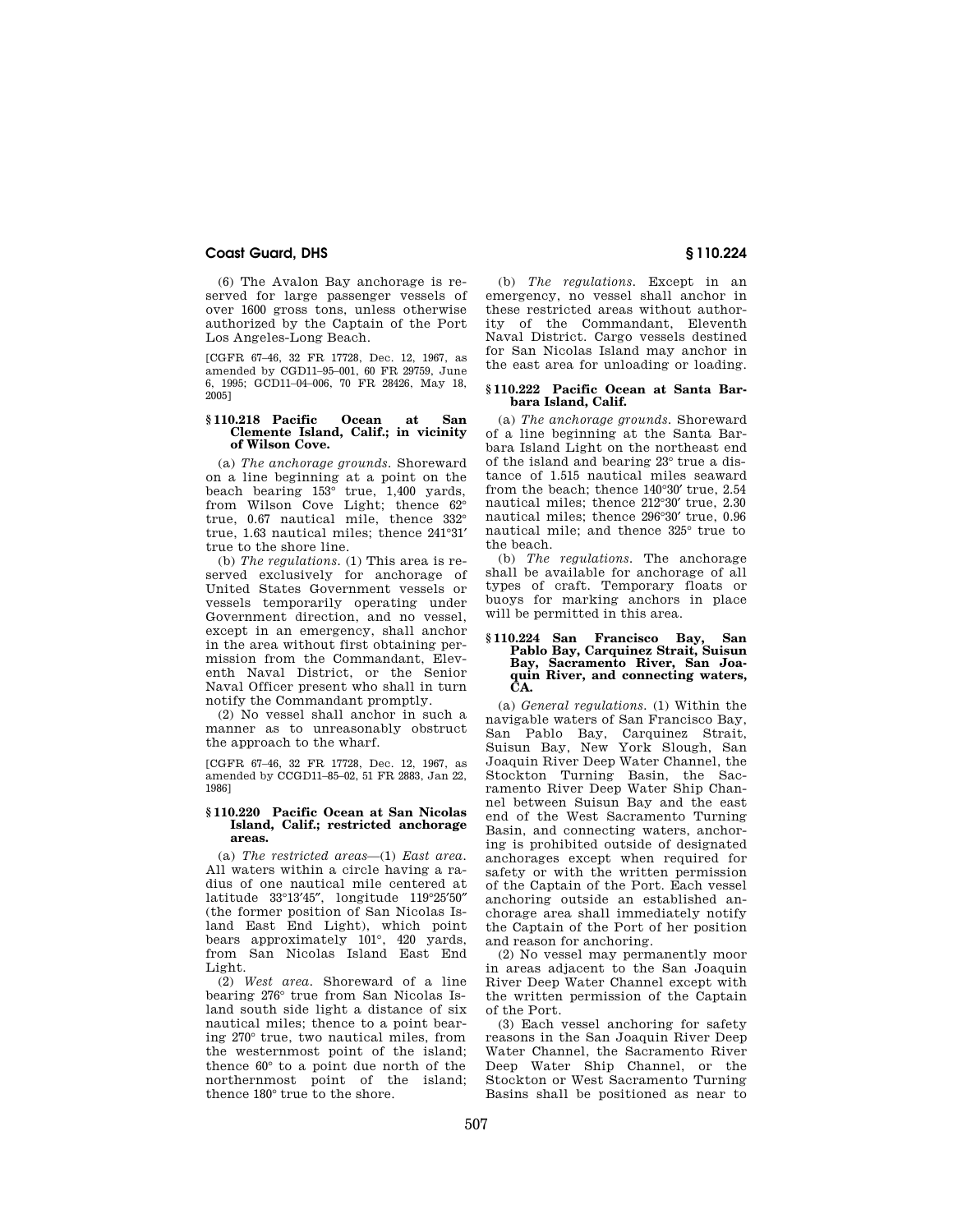(6) The Avalon Bay anchorage is reserved for large passenger vessels of over 1600 gross tons, unless otherwise authorized by the Captain of the Port Los Angeles-Long Beach.

[CGFR 67–46, 32 FR 17728, Dec. 12, 1967, as amended by CGD11–95–001, 60 FR 29759, June 6, 1995; GCD11–04–006, 70 FR 28426, May 18, 2005]

#### **§ 110.218 Pacific Ocean at San Clemente Island, Calif.; in vicinity of Wilson Cove.**

(a) *The anchorage grounds.* Shoreward on a line beginning at a point on the beach bearing  $153^\circ$  true, 1,400 yards, from Wilson Cove Light; thence 62° true, 0.67 nautical mile, thence 332° true, 1.63 nautical miles; thence 241°31′ true to the shore line.

(b) *The regulations.* (1) This area is reserved exclusively for anchorage of United States Government vessels or vessels temporarily operating under Government direction, and no vessel, except in an emergency, shall anchor in the area without first obtaining permission from the Commandant, Eleventh Naval District, or the Senior Naval Officer present who shall in turn notify the Commandant promptly.

(2) No vessel shall anchor in such a manner as to unreasonably obstruct the approach to the wharf.

[CGFR 67–46, 32 FR 17728, Dec. 12, 1967, as amended by CCGD11–85–02, 51 FR 2883, Jan 22, 1986]

#### **§ 110.220 Pacific Ocean at San Nicolas Island, Calif.; restricted anchorage areas.**

(a) *The restricted areas*—(1) *East area.*  All waters within a circle having a radius of one nautical mile centered at latitude 33°13′45″, longitude 119°25′50″ (the former position of San Nicolas Island East End Light), which point bears approximately 101°, 420 yards, from San Nicolas Island East End Light.

(2) *West area.* Shoreward of a line bearing 276° true from San Nicolas Island south side light a distance of six nautical miles; thence to a point bearing 270° true, two nautical miles, from the westernmost point of the island; thence 60° to a point due north of the northernmost point of the island; thence 180° true to the shore.

(b) *The regulations.* Except in an emergency, no vessel shall anchor in these restricted areas without authority of the Commandant, Eleventh Naval District. Cargo vessels destined for San Nicolas Island may anchor in the east area for unloading or loading.

#### **§ 110.222 Pacific Ocean at Santa Barbara Island, Calif.**

(a) *The anchorage grounds.* Shoreward of a line beginning at the Santa Barbara Island Light on the northeast end of the island and bearing 23° true a distance of 1.515 nautical miles seaward from the beach; thence 140°30′ true, 2.54 nautical miles; thence 212°30′ true, 2.30 nautical miles; thence 296°30′ true, 0.96 nautical mile; and thence 325° true to the beach.

(b) *The regulations.* The anchorage shall be available for anchorage of all types of craft. Temporary floats or buoys for marking anchors in place will be permitted in this area.

# **§ 110.224 San Francisco Bay, San Pablo Bay, Carquinez Strait, Suisun Bay, Sacramento River, San Joaquin River, and connecting waters, CA.**

(a) *General regulations.* (1) Within the navigable waters of San Francisco Bay, San Pablo Bay, Carquinez Strait, Suisun Bay, New York Slough, San Joaquin River Deep Water Channel, the Stockton Turning Basin, the Sacramento River Deep Water Ship Channel between Suisun Bay and the east end of the West Sacramento Turning Basin, and connecting waters, anchoring is prohibited outside of designated anchorages except when required for safety or with the written permission of the Captain of the Port. Each vessel anchoring outside an established anchorage area shall immediately notify the Captain of the Port of her position and reason for anchoring.

(2) No vessel may permanently moor in areas adjacent to the San Joaquin River Deep Water Channel except with the written permission of the Captain of the Port.

(3) Each vessel anchoring for safety reasons in the San Joaquin River Deep Water Channel, the Sacramento River Deep Water Ship Channel, or the Stockton or West Sacramento Turning Basins shall be positioned as near to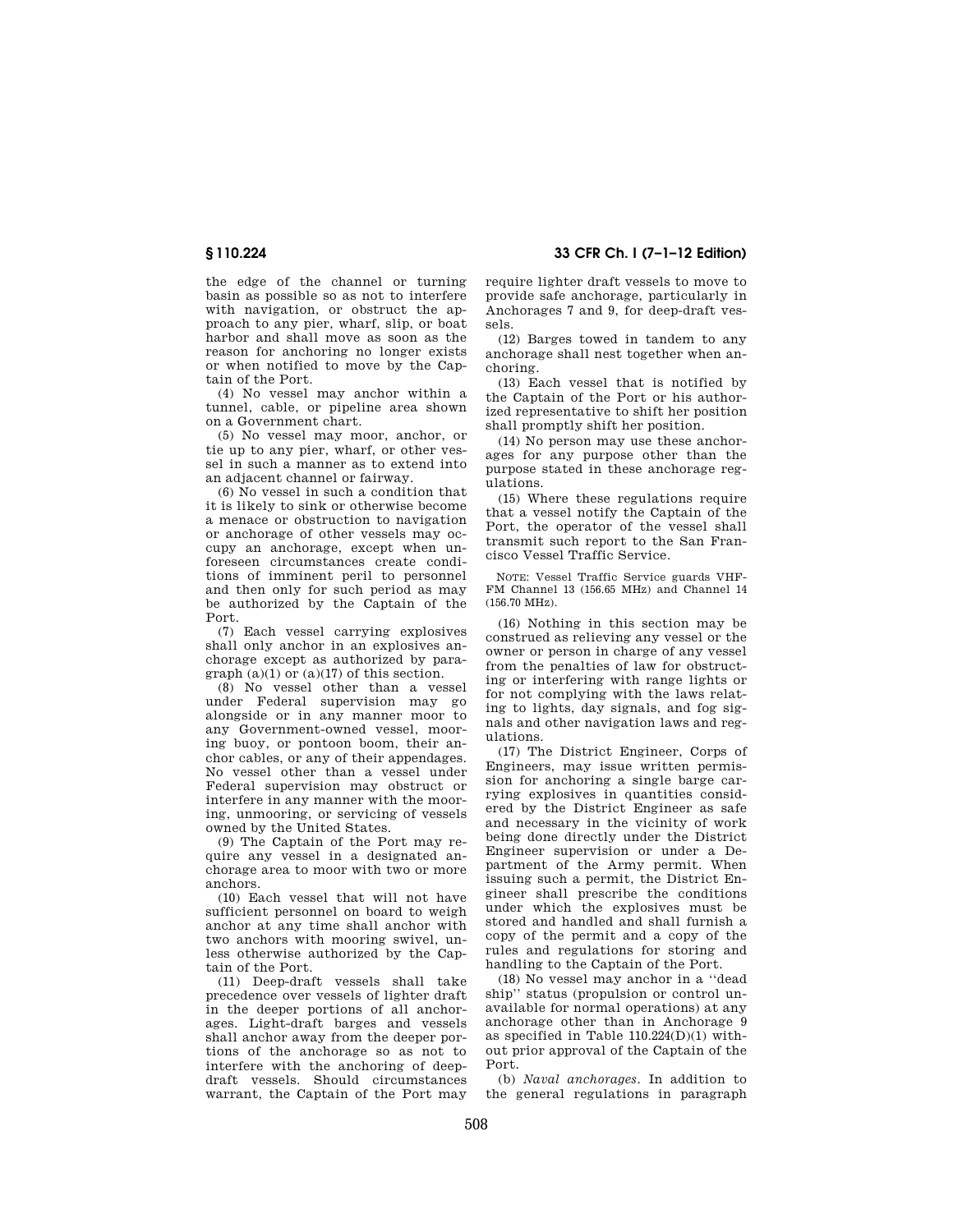the edge of the channel or turning basin as possible so as not to interfere with navigation, or obstruct the approach to any pier, wharf, slip, or boat harbor and shall move as soon as the reason for anchoring no longer exists or when notified to move by the Captain of the Port.

(4) No vessel may anchor within a tunnel, cable, or pipeline area shown on a Government chart.

(5) No vessel may moor, anchor, or tie up to any pier, wharf, or other vessel in such a manner as to extend into an adjacent channel or fairway.

(6) No vessel in such a condition that it is likely to sink or otherwise become a menace or obstruction to navigation or anchorage of other vessels may occupy an anchorage, except when unforeseen circumstances create conditions of imminent peril to personnel and then only for such period as may be authorized by the Captain of the Port.

(7) Each vessel carrying explosives shall only anchor in an explosives anchorage except as authorized by paragraph  $(a)(1)$  or  $(a)(17)$  of this section.

(8) No vessel other than a vessel under Federal supervision may go alongside or in any manner moor to any Government-owned vessel, mooring buoy, or pontoon boom, their anchor cables, or any of their appendages. No vessel other than a vessel under Federal supervision may obstruct or interfere in any manner with the mooring, unmooring, or servicing of vessels owned by the United States.

(9) The Captain of the Port may require any vessel in a designated anchorage area to moor with two or more anchors.

(10) Each vessel that will not have sufficient personnel on board to weigh anchor at any time shall anchor with two anchors with mooring swivel, unless otherwise authorized by the Captain of the Port.

(11) Deep-draft vessels shall take precedence over vessels of lighter draft in the deeper portions of all anchorages. Light-draft barges and vessels shall anchor away from the deeper portions of the anchorage so as not to interfere with the anchoring of deepdraft vessels. Should circumstances warrant, the Captain of the Port may

**§ 110.224 33 CFR Ch. I (7–1–12 Edition)** 

require lighter draft vessels to move to provide safe anchorage, particularly in Anchorages 7 and 9, for deep-draft vessels.

(12) Barges towed in tandem to any anchorage shall nest together when anchoring.

(13) Each vessel that is notified by the Captain of the Port or his authorized representative to shift her position shall promptly shift her position.

(14) No person may use these anchorages for any purpose other than the purpose stated in these anchorage regulations.

(15) Where these regulations require that a vessel notify the Captain of the Port, the operator of the vessel shall transmit such report to the San Francisco Vessel Traffic Service.

NOTE: Vessel Traffic Service guards VHF-FM Channel 13 (156.65 MHz) and Channel 14 (156.70 MHz).

(16) Nothing in this section may be construed as relieving any vessel or the owner or person in charge of any vessel from the penalties of law for obstructing or interfering with range lights or for not complying with the laws relating to lights, day signals, and fog signals and other navigation laws and regulations.

(17) The District Engineer, Corps of Engineers, may issue written permission for anchoring a single barge carrying explosives in quantities considered by the District Engineer as safe and necessary in the vicinity of work being done directly under the District Engineer supervision or under a Department of the Army permit. When issuing such a permit, the District Engineer shall prescribe the conditions under which the explosives must be stored and handled and shall furnish a copy of the permit and a copy of the rules and regulations for storing and handling to the Captain of the Port.

(18) No vessel may anchor in a ''dead ship'' status (propulsion or control unavailable for normal operations) at any anchorage other than in Anchorage 9 as specified in Table 110.224(D)(1) without prior approval of the Captain of the Port.

(b) *Naval anchorages.* In addition to the general regulations in paragraph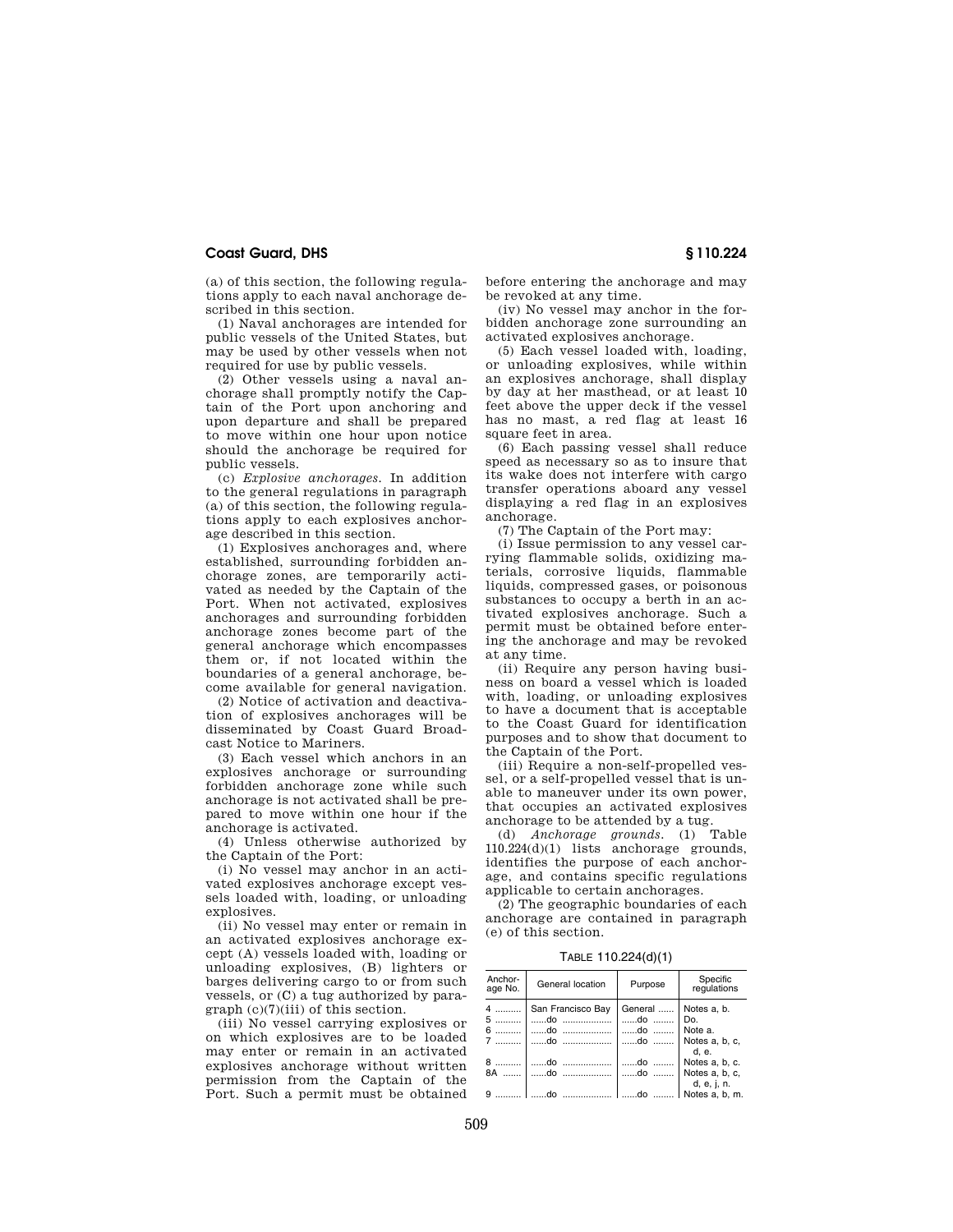(a) of this section, the following regulations apply to each naval anchorage described in this section.

(1) Naval anchorages are intended for public vessels of the United States, but may be used by other vessels when not required for use by public vessels.

(2) Other vessels using a naval anchorage shall promptly notify the Captain of the Port upon anchoring and upon departure and shall be prepared to move within one hour upon notice should the anchorage be required for public vessels.

(c) *Explosive anchorages.* In addition to the general regulations in paragraph (a) of this section, the following regulations apply to each explosives anchorage described in this section.

(1) Explosives anchorages and, where established, surrounding forbidden anchorage zones, are temporarily activated as needed by the Captain of the Port. When not activated, explosives anchorages and surrounding forbidden anchorage zones become part of the general anchorage which encompasses them or, if not located within the boundaries of a general anchorage, become available for general navigation.

(2) Notice of activation and deactivation of explosives anchorages will be disseminated by Coast Guard Broadcast Notice to Mariners.

(3) Each vessel which anchors in an explosives anchorage or surrounding forbidden anchorage zone while such anchorage is not activated shall be prepared to move within one hour if the anchorage is activated.

(4) Unless otherwise authorized by the Captain of the Port:

(i) No vessel may anchor in an activated explosives anchorage except vessels loaded with, loading, or unloading explosives.

(ii) No vessel may enter or remain in an activated explosives anchorage except (A) vessels loaded with, loading or unloading explosives, (B) lighters or barges delivering cargo to or from such vessels, or (C) a tug authorized by paragraph (c)(7)(iii) of this section.

(iii) No vessel carrying explosives or on which explosives are to be loaded may enter or remain in an activated explosives anchorage without written permission from the Captain of the Port. Such a permit must be obtained before entering the anchorage and may be revoked at any time.

(iv) No vessel may anchor in the forbidden anchorage zone surrounding an activated explosives anchorage.

(5) Each vessel loaded with, loading, or unloading explosives, while within an explosives anchorage, shall display by day at her masthead, or at least 10 feet above the upper deck if the vessel has no mast, a red flag at least 16 square feet in area.

(6) Each passing vessel shall reduce speed as necessary so as to insure that its wake does not interfere with cargo transfer operations aboard any vessel displaying a red flag in an explosives anchorage.

(7) The Captain of the Port may:

(i) Issue permission to any vessel carrying flammable solids, oxidizing materials, corrosive liquids, flammable liquids, compressed gases, or poisonous substances to occupy a berth in an activated explosives anchorage. Such a permit must be obtained before entering the anchorage and may be revoked at any time.

(ii) Require any person having business on board a vessel which is loaded with, loading, or unloading explosives to have a document that is acceptable to the Coast Guard for identification purposes and to show that document to the Captain of the Port.

(iii) Require a non-self-propelled vessel, or a self-propelled vessel that is unable to maneuver under its own power, that occupies an activated explosives anchorage to be attended by a tug.

(d) *Anchorage grounds.* (1) Table 110.224(d)(1) lists anchorage grounds, identifies the purpose of each anchorage, and contains specific regulations applicable to certain anchorages.

(2) The geographic boundaries of each anchorage are contained in paragraph (e) of this section.

TABLE 110.224(d)(1)

| General location              | Purpose             | Specific<br>regulations                                           |
|-------------------------------|---------------------|-------------------------------------------------------------------|
| San Francisco Bay<br>do<br>do | General<br>do<br>do | Notes a. b.<br>Do.<br>Note a.<br>Notes a, b, c,<br>d. e.          |
|                               | do<br>do<br>do      | Notes a, b, c,<br>Notes a, b, c,<br>d, e, j, n.<br>Notes a, b. m. |
|                               |                     | do  I                                                             |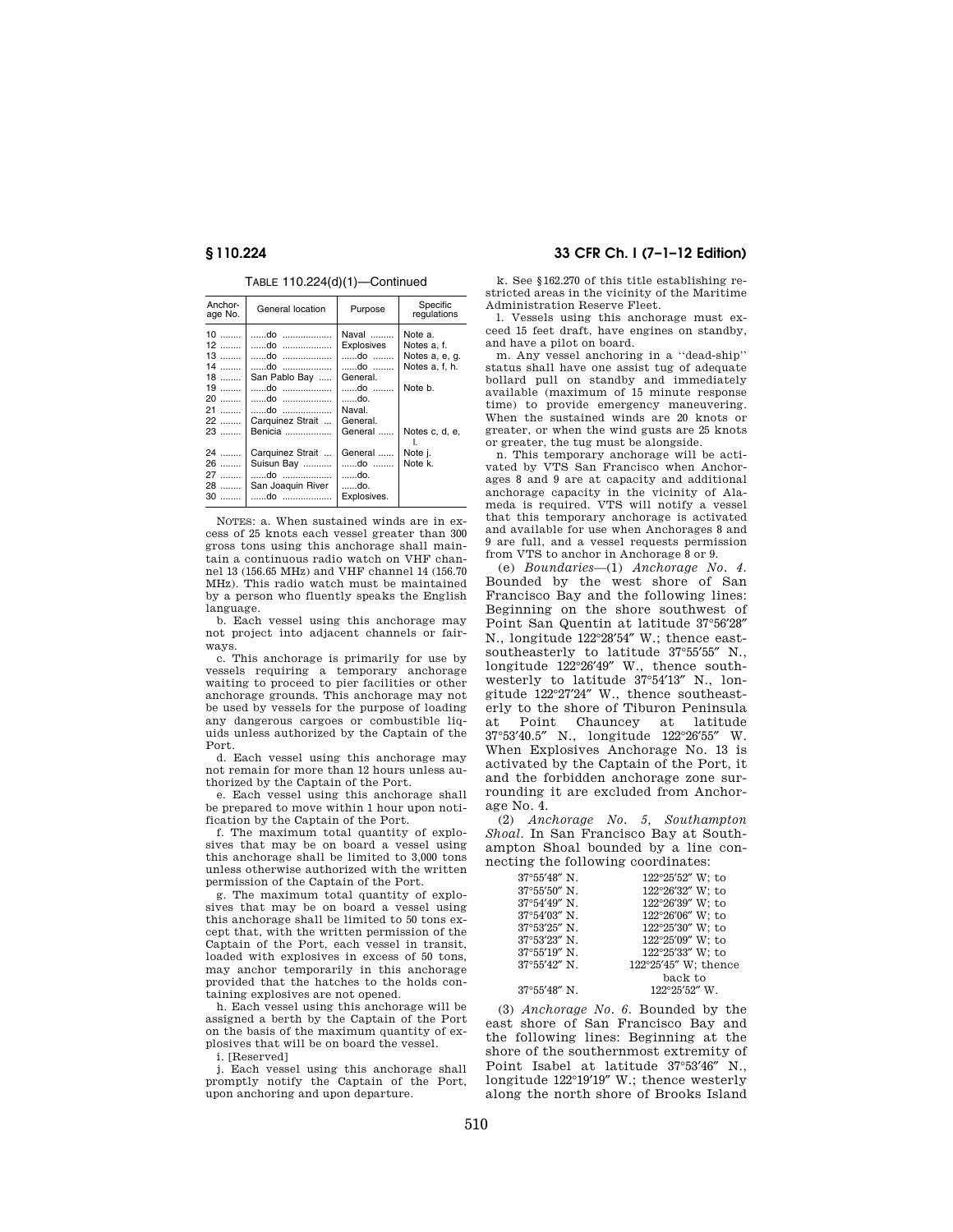TABLE 110.224(d)(1)—Continued

| Anchor-<br>age No.                                                         | General location                                                           | Purpose                                                                                   | Specific<br>regulations                                                                 |
|----------------------------------------------------------------------------|----------------------------------------------------------------------------|-------------------------------------------------------------------------------------------|-----------------------------------------------------------------------------------------|
| $10$<br>$12$<br>$13$<br>$14$<br>$18$<br>$19$<br>$20$<br>21<br>$22$<br>$23$ | do<br>do<br>do<br>do<br>San Pablo Bay<br>do<br>Carquinez Strait<br>Benicia | Naval<br>Explosives<br>do<br>do<br>General.<br>do<br>do.<br>Naval.<br>General.<br>General | Note a.<br>Notes a, f.<br>Notes a, e, g.<br>Notes a, f, h.<br>Note b.<br>Notes c, d, e, |
| 24<br>26<br>27<br>$28$<br>$30$                                             | Carquinez Strait<br>Suisun Bay<br>do<br>San Joaquin River<br>do            | General<br>do<br>do.<br>do.<br>Explosives.                                                | Note j.<br>Note k.                                                                      |

NOTES: a. When sustained winds are in excess of 25 knots each vessel greater than 300 gross tons using this anchorage shall maintain a continuous radio watch on VHF channel 13 (156.65 MHz) and VHF channel 14 (156.70 MHz). This radio watch must be maintained by a person who fluently speaks the English language.

b. Each vessel using this anchorage may not project into adjacent channels or fairways.

c. This anchorage is primarily for use by vessels requiring a temporary anchorage waiting to proceed to pier facilities or other anchorage grounds. This anchorage may not be used by vessels for the purpose of loading any dangerous cargoes or combustible liquids unless authorized by the Captain of the Port.

d. Each vessel using this anchorage may not remain for more than 12 hours unless authorized by the Captain of the Port.

e. Each vessel using this anchorage shall be prepared to move within 1 hour upon notification by the Captain of the Port.

f. The maximum total quantity of explosives that may be on board a vessel using this anchorage shall be limited to 3,000 tons unless otherwise authorized with the written permission of the Captain of the Port.

g. The maximum total quantity of explosives that may be on board a vessel using this anchorage shall be limited to 50 tons except that, with the written permission of the Captain of the Port, each vessel in transit, loaded with explosives in excess of 50 tons, may anchor temporarily in this anchorage provided that the hatches to the holds containing explosives are not opened.

h. Each vessel using this anchorage will be assigned a berth by the Captain of the Port on the basis of the maximum quantity of explosives that will be on board the vessel.

i. [Reserved]

j. Each vessel using this anchorage shall promptly notify the Captain of the Port, upon anchoring and upon departure.

# **§ 110.224 33 CFR Ch. I (7–1–12 Edition)**

k. See §162.270 of this title establishing restricted areas in the vicinity of the Maritime Administration Reserve Fleet.

l. Vessels using this anchorage must exceed 15 feet draft, have engines on standby, and have a pilot on board.

m. Any vessel anchoring in a ''dead-ship'' status shall have one assist tug of adequate bollard pull on standby and immediately available (maximum of 15 minute response time) to provide emergency maneuvering. When the sustained winds are 20 knots or greater, or when the wind gusts are 25 knots or greater, the tug must be alongside.

n. This temporary anchorage will be activated by VTS San Francisco when Anchorages 8 and 9 are at capacity and additional anchorage capacity in the vicinity of Alameda is required. VTS will notify a vessel that this temporary anchorage is activated and available for use when Anchorages 8 and 9 are full, and a vessel requests permission from VTS to anchor in Anchorage 8 or 9.

(e) *Boundaries*—(1) *Anchorage No. 4.*  Bounded by the west shore of San Francisco Bay and the following lines: Beginning on the shore southwest of Point San Quentin at latitude 37°56′28″ N., longitude 122°28′54″ W.; thence eastsoutheasterly to latitude 37°55′55″ N., longitude 122°26′49″ W., thence southwesterly to latitude 37°54′13″ N., longitude 122°27′24″ W., thence southeasterly to the shore of Tiburon Peninsula at Point Chauncey at latitude 37°53′40.5″ N., longitude 122°26′55″ W. When Explosives Anchorage No. 13 is activated by the Captain of the Port, it and the forbidden anchorage zone surrounding it are excluded from Anchorage No. 4.

(2) *Anchorage No. 5, Southampton Shoal.* In San Francisco Bay at Southampton Shoal bounded by a line connecting the following coordinates:

| 37°55'48" N.           | 122°25'52" W; to     |
|------------------------|----------------------|
| $37^{\circ}55'50''$ N. | 122°26'32" W; to     |
| $37^{\circ}54'49''$ N. | 122°26'39" W: to     |
| $37^{\circ}54'03''$ N. | 122°26'06" W; to     |
| 37°53'25" N.           | 122°25'30" W; to     |
| 37°53'23" N.           | 122°25'09" W; to     |
| 37°55'19" N.           | 122°25'33" W: to     |
| 37°55'42" N.           | 122°25'45" W; thence |
|                        | back to              |
| $37^{\circ}55'48''$ N. | 122°25'52" W.        |

(3) *Anchorage No. 6.* Bounded by the east shore of San Francisco Bay and the following lines: Beginning at the shore of the southernmost extremity of Point Isabel at latitude 37°53′46″ N., longitude 122°19′19″ W.; thence westerly along the north shore of Brooks Island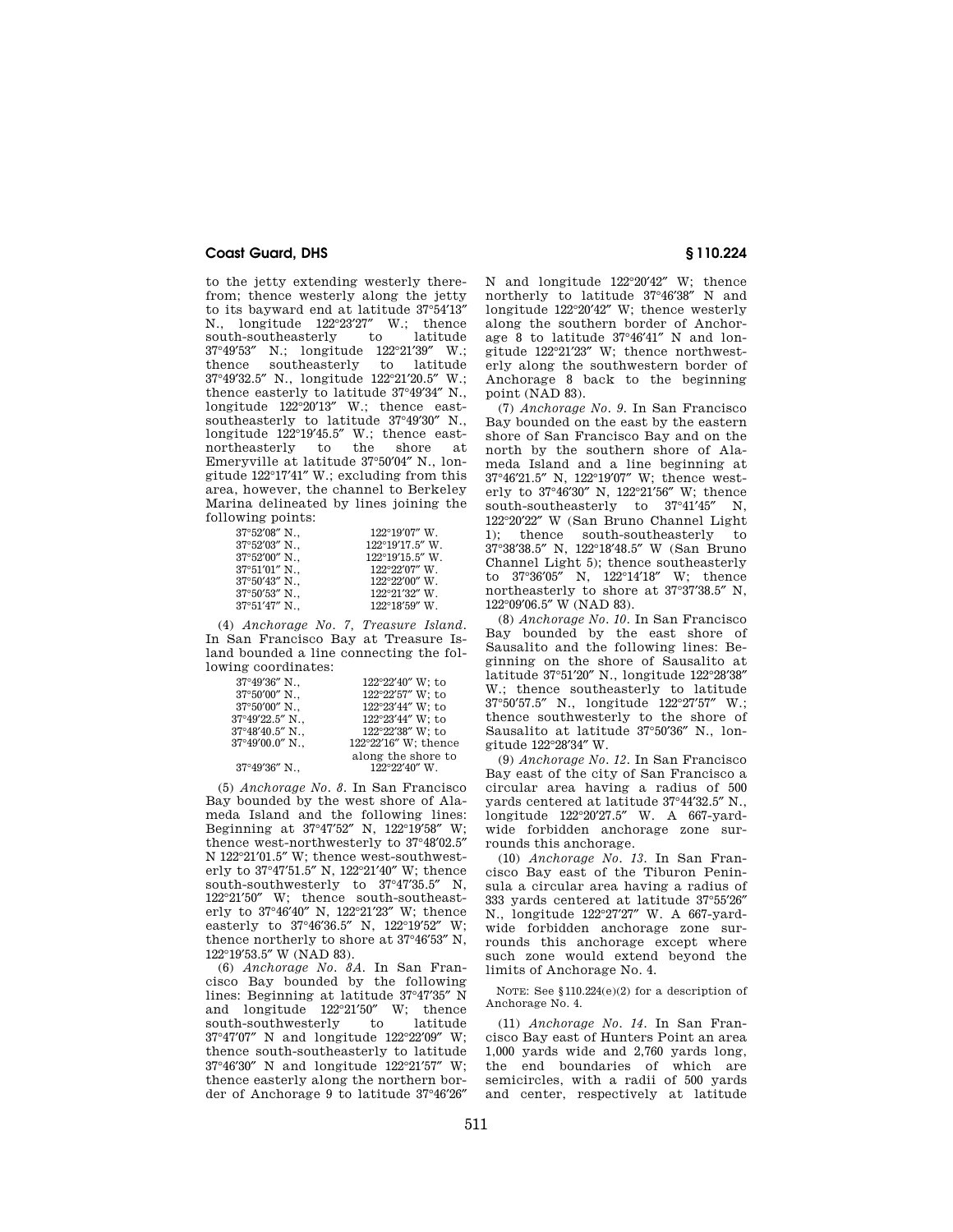to the jetty extending westerly therefrom; thence westerly along the jetty to its bayward end at latitude 37°54′13″ N., longitude 122°23'27" W.; thence<br>south-southeasterly to latitude south-southeasterly to 37°49′53″ N.; longitude 122°21′39″ W.;<br>thence southeasterly to latitude southeasterly 37°49′32.5″ N., longitude 122°21′20.5″ W.; thence easterly to latitude 37°49′34″ N., longitude 122°20′13″ W.; thence eastsoutheasterly to latitude 37°49′30″ N., longitude  $122^{\circ}19'45.5''$  W.; thence east-<br>northeasterly to the shore at northeasterly to the Emeryville at latitude 37°50′04″ N., longitude 122°17′41″ W.; excluding from this area, however, the channel to Berkeley Marina delineated by lines joining the following points:

| $37^{\circ}52'08''$ N.  | $122^{\circ}19'07''$ W.   |
|-------------------------|---------------------------|
| $37^{\circ}52'03''$ N., | $122^{\circ}19'17.5''$ W. |
| $37^{\circ}52'00''$ N., | $122^{\circ}19'15.5''$ W. |
| 37°51'01" N.,           | $122^{\circ}22'07''$ W.   |
| $37^{\circ}50'43''$ N.  | $122^{\circ}22'00''$ W.   |
| $37^{\circ}50'53''$ N.  | $122^{\circ}21'32''$ W.   |
| $37^{\circ}51'47''$ N.  | $122^{\circ}18'59''$ W.   |
|                         |                           |

(4) *Anchorage No. 7, Treasure Island.*  In San Francisco Bay at Treasure Island bounded a line connecting the following coordinates:

| $37^{\circ}49'36''$ N.,   | 122°22'40" W; to     |
|---------------------------|----------------------|
| $37^{\circ}50'00''$ N.    | 122°22'57" W; to     |
| $37^{\circ}50'00''$ N.,   | 122°23'44" W; to     |
| 37°49′22.5″ N.,           | 122°23'44" W; to     |
| $37^{\circ}48'40.5''$ N., | 122°22'38" W; to     |
| $37^{\circ}49'00.0''$ N   | 122°22'16" W; thence |
|                           | along the shore to   |
| 37°49'36" N.,             | 122°22'40" W.        |

(5) *Anchorage No. 8.* In San Francisco Bay bounded by the west shore of Alameda Island and the following lines: Beginning at 37°47′52″ N, 122°19′58″ W; thence west-northwesterly to 37°48′02.5″ N 122°21′01.5″ W; thence west-southwesterly to 37°47′51.5″ N, 122°21′40″ W; thence south-southwesterly to  $37^{\circ}47'35.5''$  N, 122°21′50″ W; thence south-southeasterly to 37°46′40″ N, 122°21′23″ W; thence easterly to 37°46′36.5″ N, 122°19′52″ W; thence northerly to shore at 37°46′53″ N,  $122^{\circ}19'53.5''$  W (NAD 83).

(6) *Anchorage No. 8A.* In San Francisco Bay bounded by the following lines: Beginning at latitude  $37^{\circ}47'35''$  N<br>and longitude  $122^{\circ}21'50''$  W; thence and longitude 122°21′50″ W; thence south-southwesterly 37°47′07″ N and longitude 122°22′09″ W; thence south-southeasterly to latitude 37°46′30″ N and longitude 122°21′57″ W; thence easterly along the northern border of Anchorage 9 to latitude 37°46′26″

N and longitude 122°20′42″ W; thence northerly to latitude 37°46′38″ N and longitude 122°20′42″ W; thence westerly along the southern border of Anchorage 8 to latitude 37°46′41″ N and longitude 122°21′23″ W; thence northwesterly along the southwestern border of Anchorage 8 back to the beginning point (NAD 83).

(7) *Anchorage No. 9.* In San Francisco Bay bounded on the east by the eastern shore of San Francisco Bay and on the north by the southern shore of Alameda Island and a line beginning at 37°46′21.5″ N, 122°19′07″ W; thence westerly to 37°46′30″ N, 122°21′56″ W; thence south-southeasterly to  $37^{\circ}41'45''$  N, 122°20′22″ W (San Bruno Channel Light<br>1): thence south-southeasterly to south-southeasterly to 37°38′38.5″ N, 122°18′48.5″ W (San Bruno Channel Light 5); thence southeasterly to 37°36′05″ N, 122°14′18″ W; thence northeasterly to shore at 37°37′38.5″ N, 122°09′06.5″ W (NAD 83).

(8) *Anchorage No. 10.* In San Francisco Bay bounded by the east shore of Sausalito and the following lines: Beginning on the shore of Sausalito at latitude 37°51′20″ N., longitude 122°28′38″ W.; thence southeasterly to latitude 37°50′57.5″ N., longitude 122°27′57″ W.; thence southwesterly to the shore of Sausalito at latitude 37°50′36″ N., longitude 122°28′34″ W.

(9) *Anchorage No. 12.* In San Francisco Bay east of the city of San Francisco a circular area having a radius of 500 yards centered at latitude 37°44′32.5″ N., longitude 122°20′27.5″ W. A 667-yardwide forbidden anchorage zone surrounds this anchorage.

(10) *Anchorage No. 13.* In San Francisco Bay east of the Tiburon Peninsula a circular area having a radius of 333 yards centered at latitude 37°55′26″ N., longitude 122°27′27″ W. A 667-yardwide forbidden anchorage zone surrounds this anchorage except where such zone would extend beyond the limits of Anchorage No. 4.

NOTE: See §110.224(e)(2) for a description of Anchorage No. 4.

(11) *Anchorage No. 14.* In San Francisco Bay east of Hunters Point an area 1,000 yards wide and 2,760 yards long, the end boundaries of which are semicircles, with a radii of 500 yards and center, respectively at latitude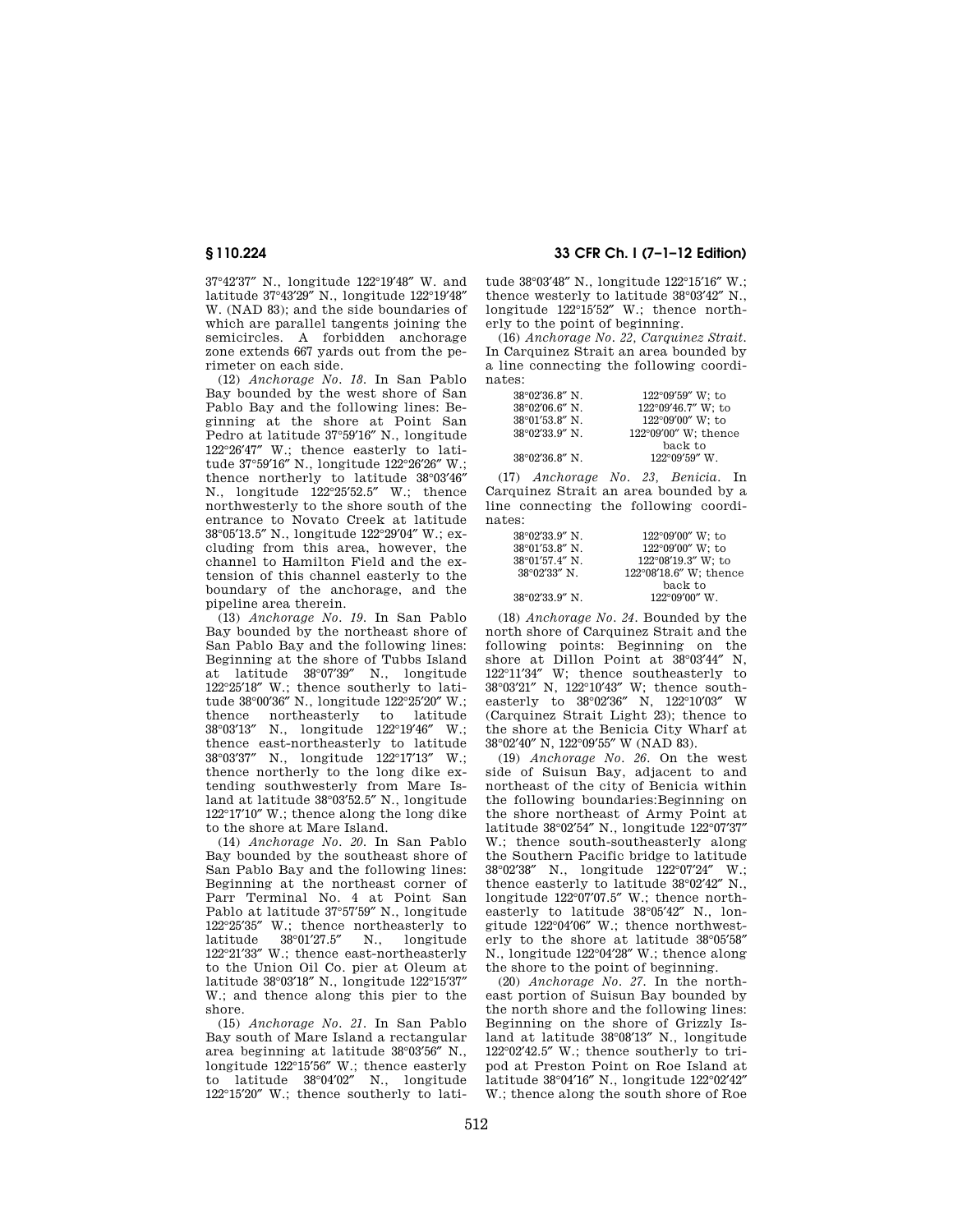37°42′37″ N., longitude 122°19′48″ W. and latitude 37°43′29″ N., longitude 122°19′48″ W. (NAD 83); and the side boundaries of which are parallel tangents joining the semicircles. A forbidden anchorage zone extends 667 yards out from the perimeter on each side.

(12) *Anchorage No. 18.* In San Pablo Bay bounded by the west shore of San Pablo Bay and the following lines: Beginning at the shore at Point San Pedro at latitude 37°59′16″ N., longitude 122°26′47″ W.; thence easterly to latitude 37°59′16″ N., longitude 122°26′26″ W.; thence northerly to latitude 38°03′46″ N., longitude 122°25′52.5″ W.; thence northwesterly to the shore south of the entrance to Novato Creek at latitude 38°05′13.5″ N., longitude 122°29′04″ W.; excluding from this area, however, the channel to Hamilton Field and the extension of this channel easterly to the boundary of the anchorage, and the pipeline area therein.

(13) *Anchorage No. 19.* In San Pablo Bay bounded by the northeast shore of San Pablo Bay and the following lines: Beginning at the shore of Tubbs Island at latitude 38°07′39″ N., longitude 122°25′18″ W.; thence southerly to latitude 38°00′36″ N., longitude 122°25′20″ W.;<br>thence northeasterly to latitude thence northeasterly to latitude 38°03′13″ N., longitude 122°19′46″ W.; thence east-northeasterly to latitude 38°03′37″ N., longitude 122°17′13″ W.; thence northerly to the long dike extending southwesterly from Mare Island at latitude 38°03′52.5″ N., longitude 122°17′10″ W.; thence along the long dike to the shore at Mare Island.

(14) *Anchorage No. 20.* In San Pablo Bay bounded by the southeast shore of San Pablo Bay and the following lines: Beginning at the northeast corner of Parr Terminal No. 4 at Point San Pablo at latitude 37°57′59″ N., longitude  $122^{\circ}25'35''$  W.; thence northeasterly to latitude  $38^{\circ}01'27.5''$  N., longitude N., longitude 122°21′33″ W.; thence east-northeasterly to the Union Oil Co. pier at Oleum at latitude 38°03′18″ N., longitude 122°15′37″ W.; and thence along this pier to the shore.

(15) *Anchorage No. 21.* In San Pablo Bay south of Mare Island a rectangular area beginning at latitude 38°03′56″ N., longitude 122°15′56″ W.; thence easterly to latitude 38°04′02″ N., longitude 122°15′20″ W.; thence southerly to lati-

**§ 110.224 33 CFR Ch. I (7–1–12 Edition)** 

tude 38°03′48″ N., longitude 122°15′16″ W.; thence westerly to latitude 38°03′42″ N., longitude 122°15′52″ W.; thence northerly to the point of beginning.

(16) *Anchorage No. 22, Carquinez Strait.*  In Carquinez Strait an area bounded by a line connecting the following coordinates:

| $38^{\circ}02'36.8''$ N. | $122^{\circ}09'59''$ W; to |
|--------------------------|----------------------------|
| $38^{\circ}02'06.6''$ N. | 122°09'46.7" W; to         |
| $38^{\circ}01'53.8''$ N. | 122°09'00" W: to           |
| $38^{\circ}02'33.9''$ N. | 122°09'00" W; thence       |
|                          | back to                    |
| $38^{\circ}02'36.8''$ N. | $122^{\circ}09'59''$ W.    |

(17) *Anchorage No. 23, Benicia.* In Carquinez Strait an area bounded by a line connecting the following coordinates:

| $38^{\circ}02'33.9''$ N. | $122^{\circ}09'00''$ W: to   |
|--------------------------|------------------------------|
| $38^{\circ}01'53.8''$ N. | 122°09'00" W: to             |
| 38°01'57.4" N.           | $122^{\circ}08'19.3''$ W; to |
| $38^{\circ}02'33''$ N.   | 122°08'18.6" W; thence       |
|                          | back to                      |
| $38^{\circ}02'33.9''$ N. | $122^{\circ}09'00''$ W.      |

(18) *Anchorage No. 24.* Bounded by the north shore of Carquinez Strait and the following points: Beginning on the shore at Dillon Point at 38°03′44″ N, 122°11′34″ W; thence southeasterly to 38°03′21″ N, 122°10′43″ W; thence southeasterly to 38°02′36″ N, 122°10′03″ W (Carquinez Strait Light 23); thence to the shore at the Benicia City Wharf at 38°02′40″ N, 122°09′55″ W (NAD 83).

(19) *Anchorage No. 26.* On the west side of Suisun Bay, adjacent to and northeast of the city of Benicia within the following boundaries:Beginning on the shore northeast of Army Point at latitude 38°02′54″ N., longitude 122°07′37″ W.; thence south-southeasterly along the Southern Pacific bridge to latitude 38°02′38″ N., longitude 122°07′24″ W.; thence easterly to latitude 38°02′42″ N., longitude 122°07′07.5″ W.; thence northeasterly to latitude 38°05′42″ N., longitude 122°04′06″ W.; thence northwesterly to the shore at latitude 38°05′58″ N., longitude 122°04′28″ W.; thence along the shore to the point of beginning.

(20) *Anchorage No. 27.* In the northeast portion of Suisun Bay bounded by the north shore and the following lines: Beginning on the shore of Grizzly Island at latitude 38°08′13″ N., longitude 122°02′42.5″ W.; thence southerly to tripod at Preston Point on Roe Island at latitude 38°04′16″ N., longitude 122°02′42″ W.; thence along the south shore of Roe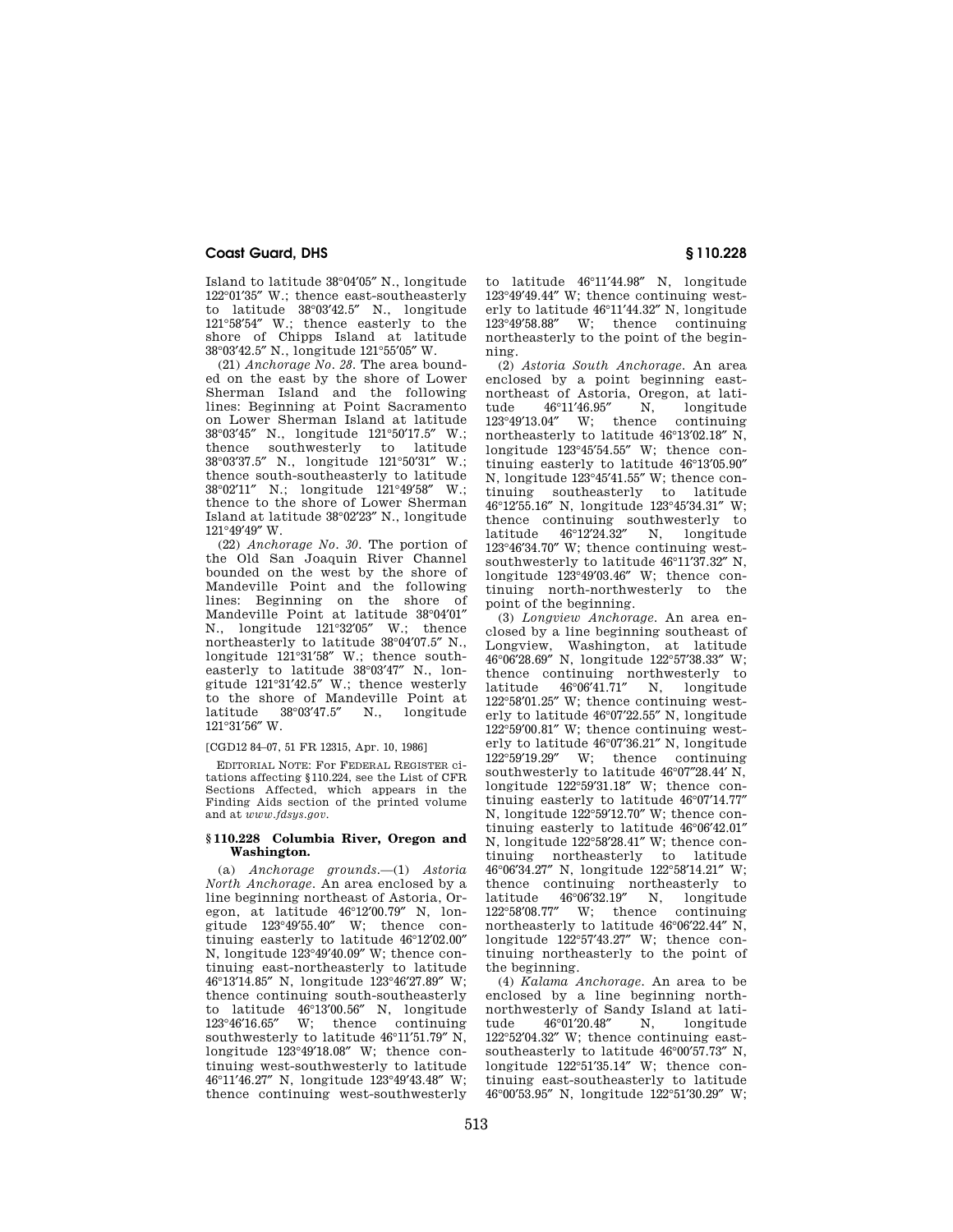Island to latitude 38°04′05″ N., longitude 122°01′35″ W.; thence east-southeasterly to latitude 38°03′42.5″ N., longitude 121°58′54″ W.; thence easterly to the shore of Chipps Island at latitude 38°03′42.5″ N., longitude 121°55′05″ W.

(21) *Anchorage No. 28.* The area bounded on the east by the shore of Lower Sherman Island and the following lines: Beginning at Point Sacramento on Lower Sherman Island at latitude 38°03′45″ N., longitude 121°50′17.5″ W.; thence southwesterly to latitude 38°03′37.5″ N., longitude 121°50′31″ W.; thence south-southeasterly to latitude 38°02′11″ N.; longitude 121°49′58″ W.; thence to the shore of Lower Sherman Island at latitude 38°02′23″ N., longitude 121°49′49″ W.

(22) *Anchorage No. 30.* The portion of the Old San Joaquin River Channel bounded on the west by the shore of Mandeville Point and the following lines: Beginning on the shore of Mandeville Point at latitude 38°04′01″ N., longitude 121°32′05″ W.; thence northeasterly to latitude 38°04′07.5″ N., longitude 121°31′58″ W.; thence southeasterly to latitude 38°03′47″ N., longitude 121°31′42.5″ W.; thence westerly to the shore of Mandeville Point at latitude 38°03′47.5″ N., longitude 121°31′56″ W.

### [CGD12 84–07, 51 FR 12315, Apr. 10, 1986]

EDITORIAL NOTE: For FEDERAL REGISTER citations affecting §110.224, see the List of CFR Sections Affected, which appears in the Finding Aids section of the printed volume and at *www.fdsys.gov*.

#### **§ 110.228 Columbia River, Oregon and Washington.**

(a) *Anchorage grounds.*—(1) *Astoria North Anchorage.* An area enclosed by a line beginning northeast of Astoria, Oregon, at latitude 46°12′00.79″ N, longitude 123°49′55.40″ W; thence continuing easterly to latitude 46°12′02.00″ N, longitude 123°49′40.09″ W; thence continuing east-northeasterly to latitude 46°13′14.85″ N, longitude 123°46′27.89″ W; thence continuing south-southeasterly to latitude 46°13'00.56" N, longitude 123°46'16.65" W: thence continuing W: thence southwesterly to latitude 46°11′51.79″ N, longitude 123°49′18.08″ W; thence continuing west-southwesterly to latitude 46°11′46.27″ N, longitude 123°49′43.48″ W; thence continuing west-southwesterly

to latitude 46°11′44.98″ N, longitude 123°49′49.44″ W; thence continuing westerly to latitude 46°11′44.32″ N, longitude 123°49′58.88″ W; thence continuing northeasterly to the point of the beginning.

(2) *Astoria South Anchorage.* An area enclosed by a point beginning eastnortheast of Astoria, Oregon, at lati-<br>tude 46°11'46.95" N. longitude tude 46°11'46.95" N, longitude<br>123°49'13.04" W; thence continuing W; thence northeasterly to latitude 46°13′02.18″ N, longitude 123°45′54.55″ W; thence continuing easterly to latitude 46°13′05.90″ N, longitude 123°45′41.55″ W; thence continuing southeasterly to latitude 46°12′55.16″ N, longitude 123°45′34.31″ W; thence continuing southwesterly to latitude 46°12′24.32″ N, longitude 123°46′34.70″ W; thence continuing westsouthwesterly to latitude 46°11′37.32″ N, longitude 123°49′03.46″ W; thence continuing north-northwesterly to the point of the beginning.

(3) *Longview Anchorage.* An area enclosed by a line beginning southeast of Longview, Washington, at latitude 46°06′28.69″ N, longitude 122°57′38.33″ W; thence continuing northwesterly to latitude 46°06′41.71″ N, longitude 122°58′01.25″ W; thence continuing westerly to latitude 46°07′22.55″ N, longitude 122°59′00.81″ W; thence continuing westerly to latitude  $46^{\circ}07'36.21''$  N, longitude  $122^{\circ}59'19.29''$  W; thence continuing W; thence continuing southwesterly to latitude 46°07″28.44′ N, longitude 122°59′31.18″ W; thence continuing easterly to latitude 46°07′14.77″ N, longitude 122°59′12.70″ W; thence continuing easterly to latitude 46°06′42.01″ N, longitude 122°58′28.41″ W; thence continuing northeasterly to latitude 46°06′34.27″ N, longitude 122°58′14.21″ W; thence continuing northeasterly to latitude 46°06'32.19" N, longitude<br>122°58'08.77" W; thence continuing  $122^{\circ}58'08.77''$  W; thence northeasterly to latitude 46°06′22.44″ N, longitude 122°57′43.27″ W; thence continuing northeasterly to the point of the beginning.

(4) *Kalama Anchorage.* An area to be enclosed by a line beginning northnorthwesterly of Sandy Island at lati-<br>tude 46°01′20.48″ N. longitude  $46°01'20.48''$ 122°52′04.32″ W; thence continuing eastsoutheasterly to latitude 46°00′57.73″ N, longitude 122°51′35.14″ W; thence continuing east-southeasterly to latitude 46°00′53.95″ N, longitude 122°51′30.29″ W;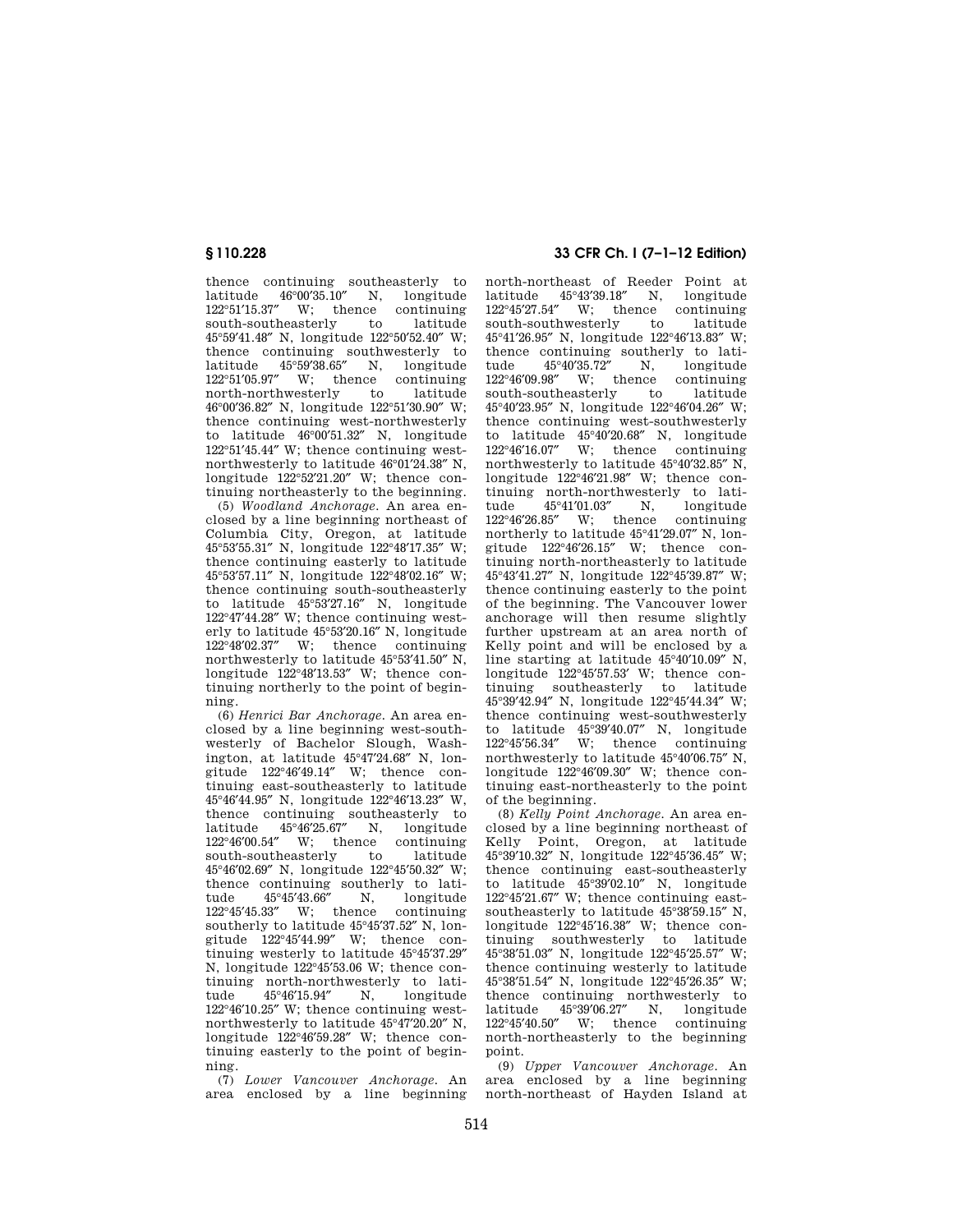thence continuing southeasterly to latitude 46°00′35.10″ N, longitude 122°51′15.37″ W; thence continuing south-southeasterly 45°59′41.48″ N, longitude 122°50′52.40″ W; thence continuing southwesterly to latitude 45°59′38.65″ N, longitude 122°51′05.97″ W; thence continuing north-northwesterly 46°00′36.82″ N, longitude 122°51′30.90″ W; thence continuing west-northwesterly to latitude 46°00′51.32″ N, longitude 122°51′45.44″ W; thence continuing westnorthwesterly to latitude 46°01′24.38″ N, longitude 122°52′21.20″ W; thence continuing northeasterly to the beginning.

(5) *Woodland Anchorage.* An area enclosed by a line beginning northeast of Columbia City, Oregon, at latitude 45°53′55.31″ N, longitude 122°48′17.35″ W; thence continuing easterly to latitude 45°53′57.11″ N, longitude 122°48′02.16″ W; thence continuing south-southeasterly to latitude 45°53′27.16″ N, longitude 122°47′44.28″ W; thence continuing westerly to latitude 45°53′20.16″ N, longitude 122°48′02.37″ W; thence continuing northwesterly to latitude 45°53′41.50″ N, longitude 122°48′13.53″ W; thence continuing northerly to the point of beginning.

(6) *Henrici Bar Anchorage.* An area enclosed by a line beginning west-southwesterly of Bachelor Slough, Washington, at latitude 45°47′24.68″ N, longitude 122°46′49.14″ W; thence continuing east-southeasterly to latitude 45°46′44.95″ N, longitude 122°46′13.23″ W, thence continuing southeasterly to latitude 45°46′25.67″ N, longitude 122°46′00.54″ W; thence continuing<br>south-southeasterly to latitude south-southeasterly 45°46′02.69″ N, longitude 122°45′50.32″ W; thence continuing southerly to lati-<br>tude 45°45′43.66″ N, longitude  $45^{\circ}45'43.66''$  N, longitude<br>33″ W; thence continuing 122°45'45.33" W; thence southerly to latitude 45°45′37.52″ N, longitude 122°45′44.99″ W; thence continuing westerly to latitude 45°45′37.29″ N, longitude 122°45′53.06 W; thence continuing north-northwesterly to lati-<br>tude 45°46'15.94" N longitude tude 45°46′15.94″ N, longitude 122°46′10.25″ W; thence continuing westnorthwesterly to latitude 45°47′20.20″ N, longitude 122°46′59.28″ W; thence continuing easterly to the point of beginning.

(7) *Lower Vancouver Anchorage.* An area enclosed by a line beginning

# **§ 110.228 33 CFR Ch. I (7–1–12 Edition)**

north-northeast of Reeder Point at latitude 45°43′39.18″ N, longitude 122°45′27.54″ W; thence continuing south-southwesterly 45°41′26.95″ N, longitude 122°46′13.83″ W; thence continuing southerly to lati-<br>tude 45°40′35.72″ N, longitude  $45^{\circ}40'35.72''$ 122°46′09.98″ W; thence continuing south-southeasterly 45°40′23.95″ N, longitude 122°46′04.26″ W; thence continuing west-southwesterly to latitude 45°40′20.68″ N, longitude 122°46′16.07″ W; thence continuing northwesterly to latitude 45°40′32.85″ N, longitude 122°46′21.98″ W; thence continuing north-northwesterly to lati-<br>tude  $45^{\circ}41'01.03''$  N, longitude  $45^{\circ}41'01.03''$  N, longitude<br>85" W; thence continuing  $122^{\circ}46'26.85''$  W: thence northerly to latitude 45°41′29.07″ N, longitude  $122^{\circ}46'26.15''$  W; thence continuing north-northeasterly to latitude 45°43′41.27″ N, longitude 122°45′39.87″ W; thence continuing easterly to the point of the beginning. The Vancouver lower anchorage will then resume slightly further upstream at an area north of Kelly point and will be enclosed by a line starting at latitude 45°40′10.09″ N, longitude 122°45′57.53′ W; thence continuing southeasterly to latitude 45°39′42.94″ N, longitude 122°45′44.34″ W; thence continuing west-southwesterly to latitude 45°39′40.07″ N, longitude 122°45′56.34″ W; thence continuing northwesterly to latitude 45°40′06.75″ N, longitude 122°46′09.30″ W; thence continuing east-northeasterly to the point of the beginning.

(8) *Kelly Point Anchorage.* An area enclosed by a line beginning northeast of Kelly Point, Oregon, at latitude 45°39′10.32″ N, longitude 122°45′36.45″ W; thence continuing east-southeasterly to latitude 45°39′02.10″ N, longitude 122°45′21.67″ W; thence continuing eastsoutheasterly to latitude 45°38′59.15″ N, longitude 122°45′16.38″ W; thence continuing southwesterly to latitude 45°38′51.03″ N, longitude 122°45′25.57″ W; thence continuing westerly to latitude 45°38′51.54″ N, longitude 122°45′26.35″ W; thence continuing northwesterly to latitude 45°39′06.27″ N, longitude 122°45′40.50″ W; thence continuing north-northeasterly to the beginning point.

(9) *Upper Vancouver Anchorage.* An area enclosed by a line beginning north-northeast of Hayden Island at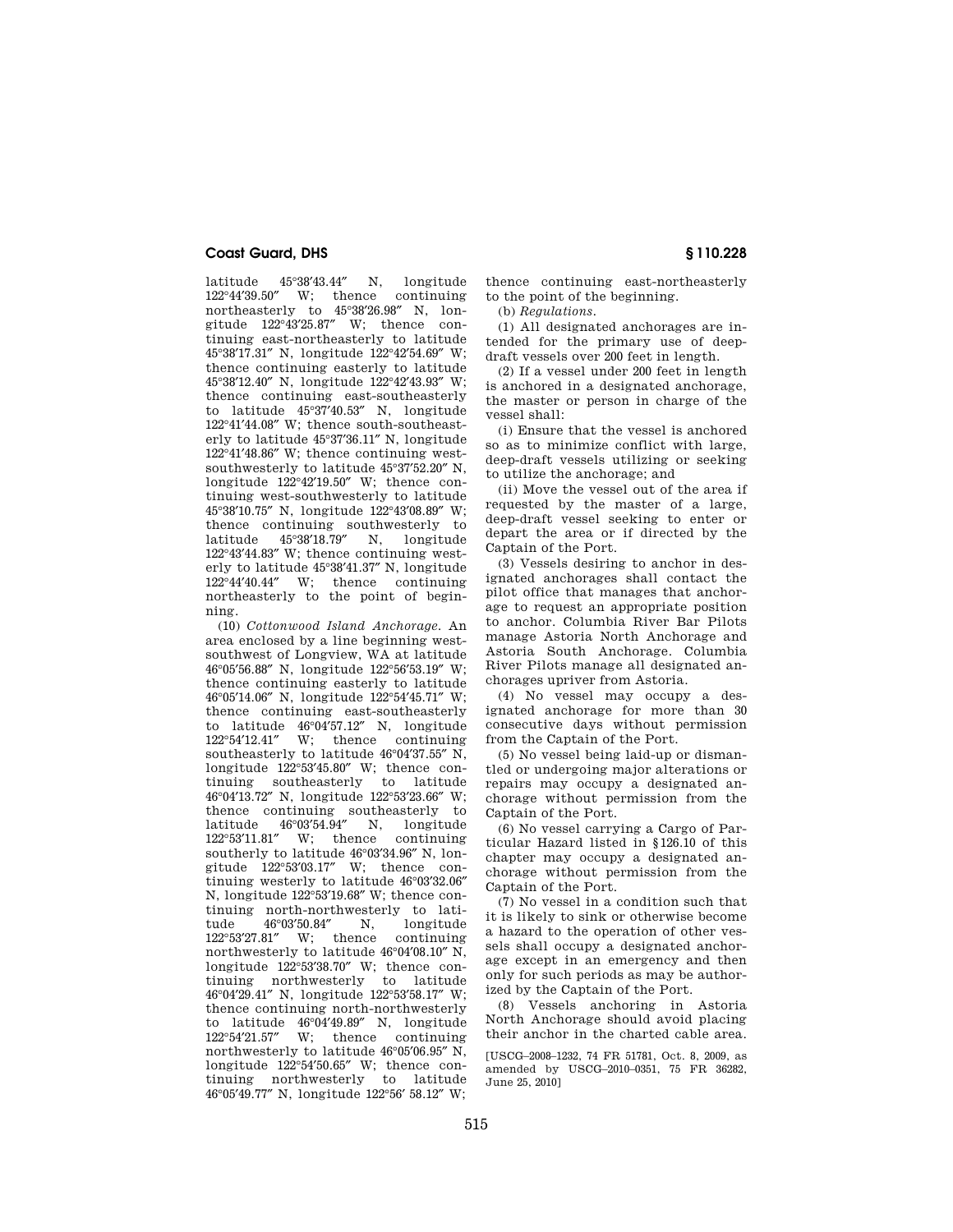latitude  $45^{\circ}38'43.44''$  N, longitude  $122^{\circ}44'39.50''$  W; thence continuing  $122^{\circ}44'39.50''$  W; thence northeasterly to 45°38′26.98″ N, longitude 122°43′25.87″ W; thence continuing east-northeasterly to latitude 45°38′17.31″ N, longitude 122°42′54.69″ W; thence continuing easterly to latitude 45°38′12.40″ N, longitude 122°42′43.93″ W; thence continuing east-southeasterly to latitude 45°37′40.53″ N, longitude 122°41′44.08″ W; thence south-southeasterly to latitude 45°37′36.11″ N, longitude 122°41′48.86″ W; thence continuing westsouthwesterly to latitude 45°37′52.20″ N, longitude 122°42′19.50″ W; thence continuing west-southwesterly to latitude 45°38′10.75″ N, longitude 122°43′08.89″ W; thence continuing southwesterly to latitude 45°38′18.79″ N, longitude 122°43′44.83″ W; thence continuing westerly to latitude 45°38′41.37″ N, longitude 122°44′40.44″ W; thence continuing northeasterly to the point of beginning.

(10) *Cottonwood Island Anchorage.* An area enclosed by a line beginning westsouthwest of Longview, WA at latitude 46°05′56.88″ N, longitude 122°56′53.19″ W; thence continuing easterly to latitude 46°05′14.06″ N, longitude 122°54′45.71″ W; thence continuing east-southeasterly to latitude 46°04'57.12" N, longitude<br>122°54'12.41" W: thence continuing W; thence continuing southeasterly to latitude 46°04′37.55″ N, longitude 122°53′45.80″ W; thence continuing southeasterly to latitude 46°04′13.72″ N, longitude 122°53′23.66″ W; thence continuing southeasterly to<br>latitude  $46^{\circ}03'54.94''$  N, longitude latitude 46°03′54.94″ N, longitude 122°53′11.81″ W; thence continuing southerly to latitude 46°03′34.96″ N, longitude 122°53′03.17″ W; thence continuing westerly to latitude 46°03′32.06″ N, longitude 122°53′19.68″ W; thence continuing north-northwesterly to lati-<br>tude  $46^{\circ}03'50.84''$  N, longitude tude 46°03′50.84″ N, longitude W; thence northwesterly to latitude 46°04′08.10″ N, longitude 122°53′38.70″ W; thence continuing northwesterly to latitude 46°04′29.41″ N, longitude 122°53′58.17″ W; thence continuing north-northwesterly to latitude 46°04′49.89″ N, longitude 122°54′21.57″ W; thence continuing northwesterly to latitude 46°05′06.95″ N, longitude 122°54′50.65″ W; thence continuing northwesterly to latitude 46°05′49.77″ N, longitude 122°56′ 58.12″ W;

thence continuing east-northeasterly to the point of the beginning.

(b) *Regulations.* 

(1) All designated anchorages are intended for the primary use of deepdraft vessels over 200 feet in length.

(2) If a vessel under 200 feet in length is anchored in a designated anchorage, the master or person in charge of the vessel shall:

(i) Ensure that the vessel is anchored so as to minimize conflict with large, deep-draft vessels utilizing or seeking to utilize the anchorage; and

(ii) Move the vessel out of the area if requested by the master of a large, deep-draft vessel seeking to enter or depart the area or if directed by the Captain of the Port.

(3) Vessels desiring to anchor in designated anchorages shall contact the pilot office that manages that anchorage to request an appropriate position to anchor. Columbia River Bar Pilots manage Astoria North Anchorage and Astoria South Anchorage. Columbia River Pilots manage all designated anchorages upriver from Astoria.

(4) No vessel may occupy a designated anchorage for more than 30 consecutive days without permission from the Captain of the Port.

(5) No vessel being laid-up or dismantled or undergoing major alterations or repairs may occupy a designated anchorage without permission from the Captain of the Port.

(6) No vessel carrying a Cargo of Particular Hazard listed in §126.10 of this chapter may occupy a designated anchorage without permission from the Captain of the Port.

(7) No vessel in a condition such that it is likely to sink or otherwise become a hazard to the operation of other vessels shall occupy a designated anchorage except in an emergency and then only for such periods as may be authorized by the Captain of the Port.

(8) Vessels anchoring in Astoria North Anchorage should avoid placing their anchor in the charted cable area.

[USCG–2008–1232, 74 FR 51781, Oct. 8, 2009, as amended by USCG–2010–0351, 75 FR 36282, June 25, 2010]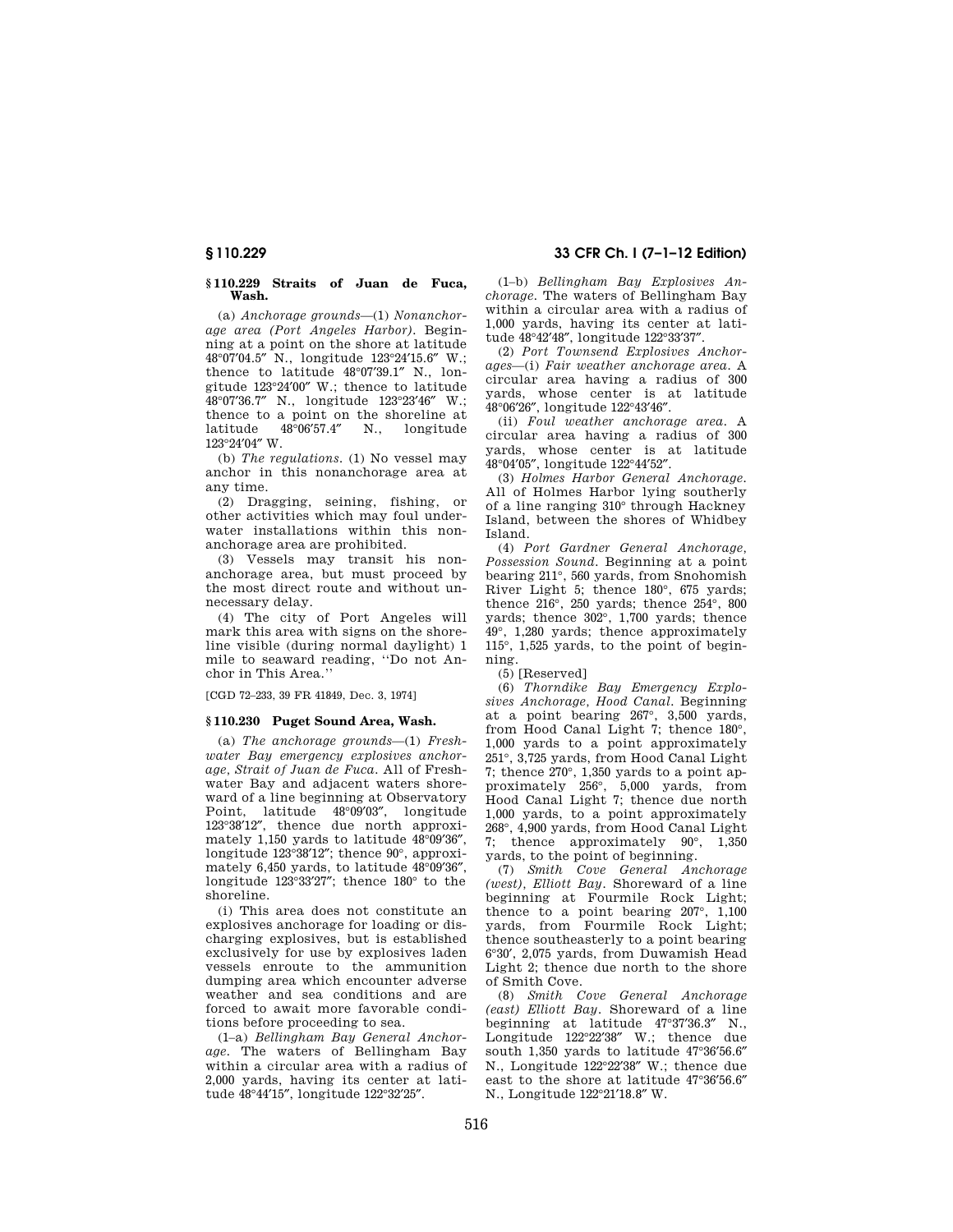# **§ 110.229 33 CFR Ch. I (7–1–12 Edition)**

#### **§ 110.229 Straits of Juan de Fuca, Wash.**

(a) *Anchorage grounds*—(1) *Nonanchorage area (Port Angeles Harbor).* Beginning at a point on the shore at latitude 48°07′04.5″ N., longitude 123°24′15.6″ W.; thence to latitude 48°07′39.1″ N., longitude 123°24′00″ W.; thence to latitude 48°07′36.7″ N., longitude 123°23′46″ W.; thence to a point on the shoreline at latitude 48°06′57.4″ N., longitude 123°24′04″ W.

(b) *The regulations.* (1) No vessel may anchor in this nonanchorage area at any time.

(2) Dragging, seining, fishing, or other activities which may foul underwater installations within this nonanchorage area are prohibited.

(3) Vessels may transit his nonanchorage area, but must proceed by the most direct route and without unnecessary delay.

(4) The city of Port Angeles will mark this area with signs on the shoreline visible (during normal daylight) 1 mile to seaward reading, ''Do not Anchor in This Area.''

[CGD 72–233, 39 FR 41849, Dec. 3, 1974]

#### **§ 110.230 Puget Sound Area, Wash.**

(a) *The anchorage grounds*—(1) *Freshwater Bay emergency explosives anchorage, Strait of Juan de Fuca.* All of Freshwater Bay and adjacent waters shoreward of a line beginning at Observatory Point, latitude 48°09′03″, longitude 123°38′12″, thence due north approximately 1,150 yards to latitude 48°09′36″, longitude 123°38′12″; thence 90°, approximately 6,450 yards, to latitude 48°09′36″, longitude 123°33′27″; thence 180° to the shoreline.

(i) This area does not constitute an explosives anchorage for loading or discharging explosives, but is established exclusively for use by explosives laden vessels enroute to the ammunition dumping area which encounter adverse weather and sea conditions and are forced to await more favorable conditions before proceeding to sea.

(1–a) *Bellingham Bay General Anchorage.* The waters of Bellingham Bay within a circular area with a radius of 2,000 yards, having its center at latitude 48°44′15″, longitude 122°32′25″.

(1–b) *Bellingham Bay Explosives Anchorage.* The waters of Bellingham Bay within a circular area with a radius of 1,000 yards, having its center at latitude 48°42′48″, longitude 122°33′37″.

(2) *Port Townsend Explosives Anchorages*—(i) *Fair weather anchorage area.* A circular area having a radius of 300 yards, whose center is at latitude 48°06′26″, longitude 122°43′46″.

(ii) *Foul weather anchorage area.* A circular area having a radius of 300 yards, whose center is at latitude 48°04′05″, longitude 122°44′52″.

(3) *Holmes Harbor General Anchorage.*  All of Holmes Harbor lying southerly of a line ranging 310° through Hackney Island, between the shores of Whidbey Island.

(4) *Port Gardner General Anchorage, Possession Sound.* Beginning at a point bearing 211°, 560 yards, from Snohomish River Light 5; thence 180°, 675 yards; thence 216°, 250 yards; thence 254°, 800 yards; thence 302°, 1,700 yards; thence 49°, 1,280 yards; thence approximately 115°, 1,525 yards, to the point of beginning.

(5) [Reserved]

(6) *Thorndike Bay Emergency Explosives Anchorage, Hood Canal.* Beginning at a point bearing 267°, 3,500 yards, from Hood Canal Light 7; thence 180°, 1,000 yards to a point approximately 251°, 3,725 yards, from Hood Canal Light 7; thence 270°, 1,350 yards to a point approximately 256°, 5,000 yards, from Hood Canal Light 7; thence due north 1,000 yards, to a point approximately 268°, 4,900 yards, from Hood Canal Light 7; thence approximately 90°, 1,350 yards, to the point of beginning.

(7) *Smith Cove General Anchorage (west), Elliott Bay.* Shoreward of a line beginning at Fourmile Rock Light; thence to a point bearing 207°, 1,100 yards, from Fourmile Rock Light; thence southeasterly to a point bearing 6°30′, 2,075 yards, from Duwamish Head Light 2; thence due north to the shore of Smith Cove.

(8) *Smith Cove General Anchorage (east) Elliott Bay.* Shoreward of a line beginning at latitude 47°37′36.3″ N., Longitude 122°22′38″ W.; thence due south 1,350 yards to latitude 47°36′56.6″ N., Longitude 122°22′38″ W.; thence due east to the shore at latitude 47°36′56.6″ N., Longitude 122°21′18.8″ W.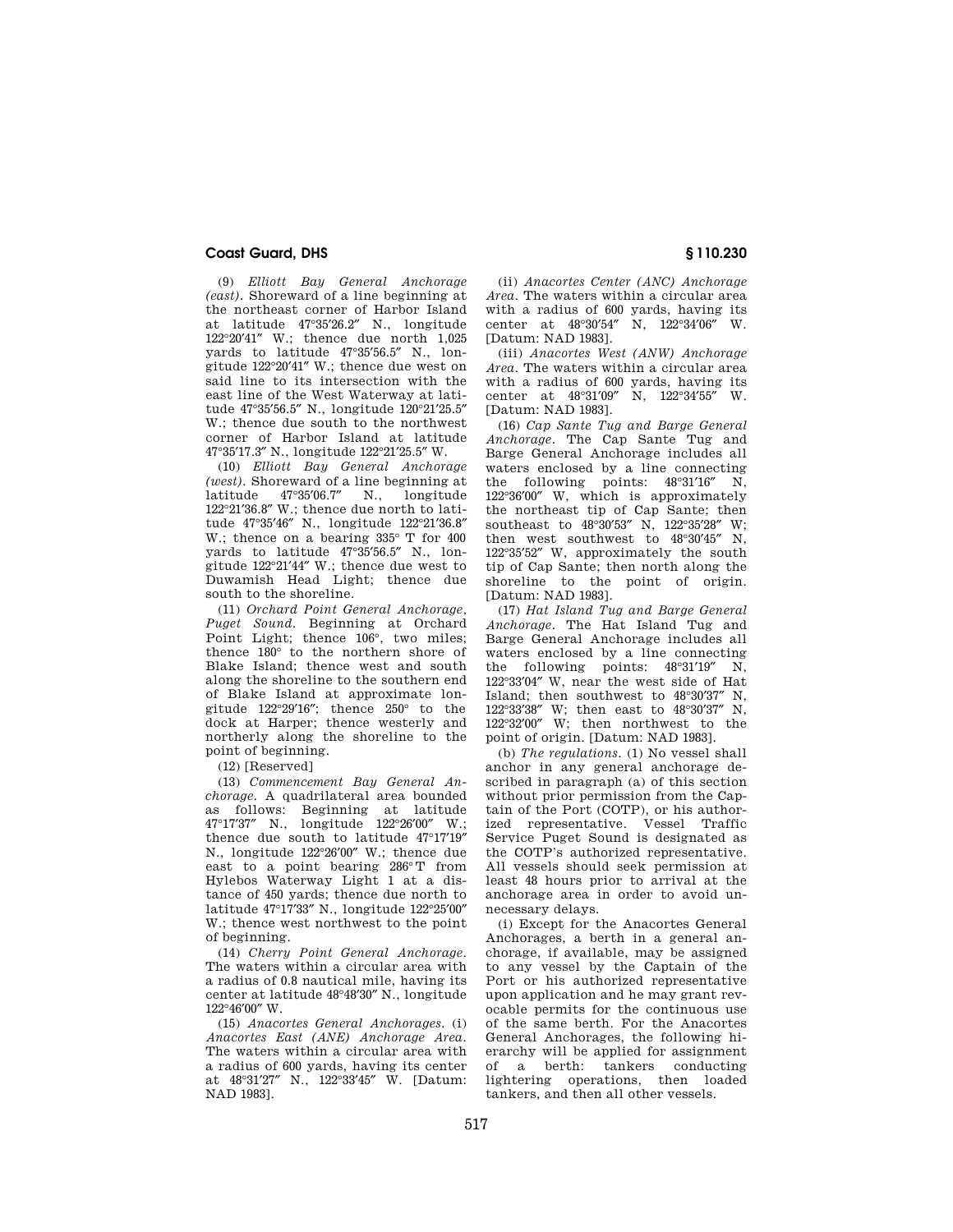(9) *Elliott Bay General Anchorage (east).* Shoreward of a line beginning at the northeast corner of Harbor Island at latitude 47°35′26.2″ N., longitude 122°20′41″ W.; thence due north 1,025 yards to latitude 47°35′56.5″ N., longitude 122°20′41″ W.; thence due west on said line to its intersection with the east line of the West Waterway at latitude 47°35′56.5″ N., longitude 120°21′25.5″ W.; thence due south to the northwest corner of Harbor Island at latitude 47°35′17.3″ N., longitude 122°21′25.5″ W.

(10) *Elliott Bay General Anchorage (west).* Shoreward of a line beginning at<br>latitude  $47^{\circ}35'067''$  N longitude latitude 47°35′06.7″ N., longitude 122°21′36.8″ W.; thence due north to latitude 47°35′46″ N., longitude 122°21′36.8″ W.; thence on a bearing 335° T for 400 yards to latitude 47°35′56.5″ N., longitude 122°21′44″ W.; thence due west to Duwamish Head Light; thence due south to the shoreline.

(11) *Orchard Point General Anchorage, Puget Sound.* Beginning at Orchard Point Light; thence 106°, two miles; thence 180° to the northern shore of Blake Island; thence west and south along the shoreline to the southern end of Blake Island at approximate longitude 122°29′16″; thence 250° to the dock at Harper; thence westerly and northerly along the shoreline to the point of beginning.

(12) [Reserved]

(13) *Commencement Bay General Anchorage.* A quadrilateral area bounded as follows: Beginning at latitude 47°17′37″ N., longitude 122°26′00″ W.; thence due south to latitude 47°17′19″ N., longitude 122°26′00″ W.; thence due east to a point bearing 286° T from Hylebos Waterway Light 1 at a distance of 450 yards; thence due north to latitude 47°17′33″ N., longitude 122°25′00″ W.; thence west northwest to the point of beginning.

(14) *Cherry Point General Anchorage.*  The waters within a circular area with a radius of 0.8 nautical mile, having its center at latitude 48°48′30″ N., longitude 122°46′00″ W.

(15) *Anacortes General Anchorages.* (i) *Anacortes East (ANE) Anchorage Area.*  The waters within a circular area with a radius of 600 yards, having its center at 48°31′27″ N., 122°33′45″ W. [Datum: NAD 1983].

(ii) *Anacortes Center (ANC) Anchorage Area.* The waters within a circular area with a radius of 600 yards, having its center at 48°30′54″ N, 122°34′06″ W. [Datum: NAD 1983].

(iii) *Anacortes West (ANW) Anchorage Area.* The waters within a circular area with a radius of 600 yards, having its<br>center at  $48^{\circ}31'09''$  N.  $122^{\circ}34'55''$  W. center at  $48^{\circ}31'09''$ [Datum: NAD 1983].

(16) *Cap Sante Tug and Barge General Anchorage.* The Cap Sante Tug and Barge General Anchorage includes all waters enclosed by a line connecting the following points:  $48^{\circ}31'16''$  N, 122°36′00″ W, which is approximately the northeast tip of Cap Sante; then southeast to 48°30'53" N, 122°35'28" W; then west southwest to 48°30′45″ N, 122°35′52″ W, approximately the south tip of Cap Sante; then north along the shoreline to the point of origin. [Datum: NAD 1983].

(17) *Hat Island Tug and Barge General Anchorage.* The Hat Island Tug and Barge General Anchorage includes all waters enclosed by a line connecting the following points: 48°31′19″ N, 122°33′04″ W, near the west side of Hat Island; then southwest to 48°30′37″ N, 122°33′38″ W; then east to 48°30′37″ N, 122°32′00″ W; then northwest to the point of origin. [Datum: NAD 1983].

(b) *The regulations.* (1) No vessel shall anchor in any general anchorage described in paragraph (a) of this section without prior permission from the Captain of the Port (COTP), or his authorized representative. Vessel Traffic Service Puget Sound is designated as the COTP's authorized representative. All vessels should seek permission at least 48 hours prior to arrival at the anchorage area in order to avoid unnecessary delays.

(i) Except for the Anacortes General Anchorages, a berth in a general anchorage, if available, may be assigned to any vessel by the Captain of the Port or his authorized representative upon application and he may grant revocable permits for the continuous use of the same berth. For the Anacortes General Anchorages, the following hierarchy will be applied for assignment of a berth: tankers conducting lightering operations, then loaded tankers, and then all other vessels.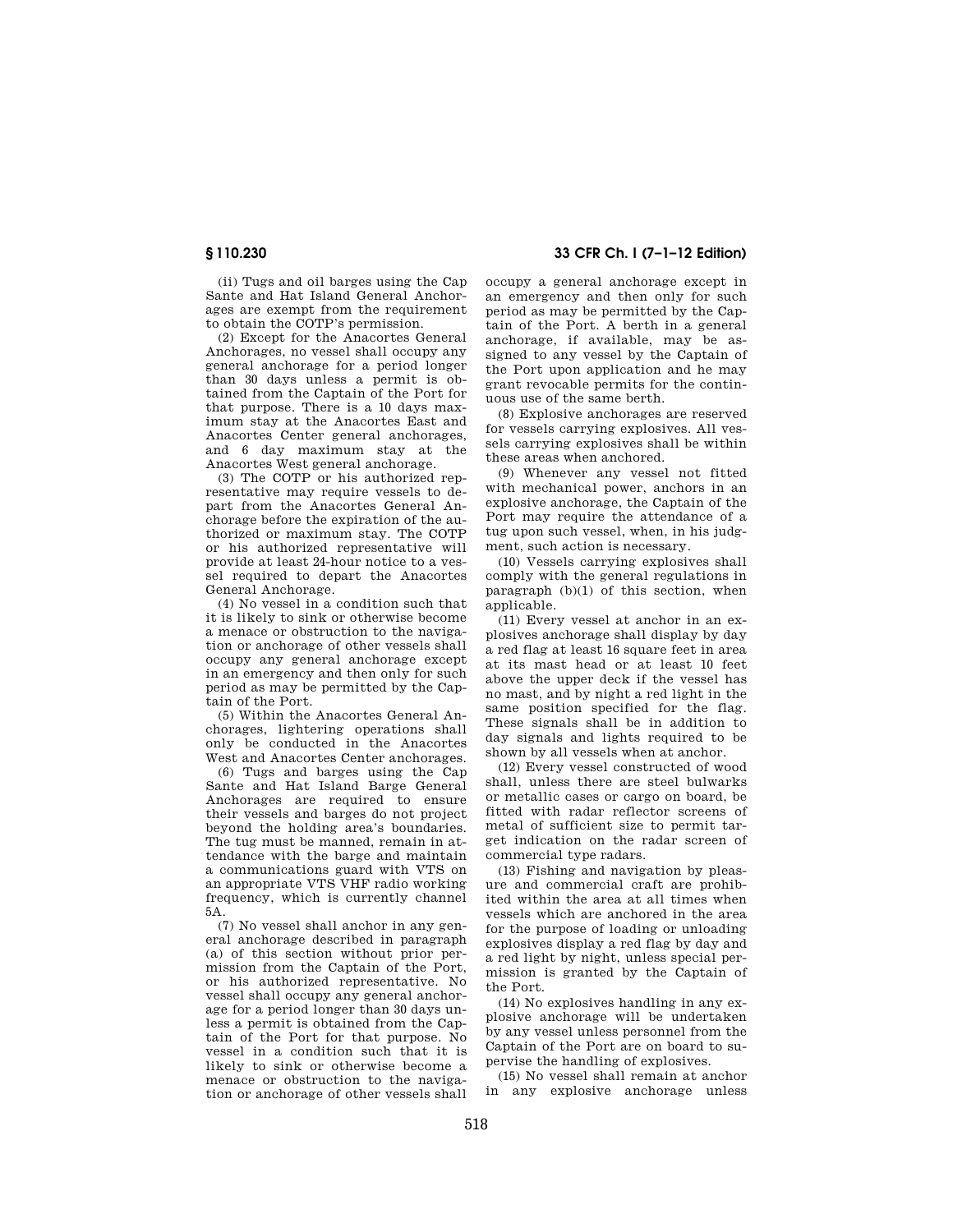(ii) Tugs and oil barges using the Cap Sante and Hat Island General Anchorages are exempt from the requirement to obtain the COTP's permission.

(2) Except for the Anacortes General Anchorages, no vessel shall occupy any general anchorage for a period longer than 30 days unless a permit is obtained from the Captain of the Port for that purpose. There is a 10 days maximum stay at the Anacortes East and Anacortes Center general anchorages, and 6 day maximum stay at the Anacortes West general anchorage.

(3) The COTP or his authorized representative may require vessels to depart from the Anacortes General Anchorage before the expiration of the authorized or maximum stay. The COTP or his authorized representative will provide at least 24-hour notice to a vessel required to depart the Anacortes General Anchorage.

(4) No vessel in a condition such that it is likely to sink or otherwise become a menace or obstruction to the navigation or anchorage of other vessels shall occupy any general anchorage except in an emergency and then only for such period as may be permitted by the Captain of the Port.

(5) Within the Anacortes General Anchorages, lightering operations shall only be conducted in the Anacortes West and Anacortes Center anchorages.

(6) Tugs and barges using the Cap Sante and Hat Island Barge General Anchorages are required to ensure their vessels and barges do not project beyond the holding area's boundaries. The tug must be manned, remain in attendance with the barge and maintain a communications guard with VTS on an appropriate VTS VHF radio working frequency, which is currently channel 5A.

(7) No vessel shall anchor in any general anchorage described in paragraph (a) of this section without prior permission from the Captain of the Port, or his authorized representative. No vessel shall occupy any general anchorage for a period longer than 30 days unless a permit is obtained from the Captain of the Port for that purpose. No vessel in a condition such that it is likely to sink or otherwise become a menace or obstruction to the navigation or anchorage of other vessels shall

**§ 110.230 33 CFR Ch. I (7–1–12 Edition)** 

occupy a general anchorage except in an emergency and then only for such period as may be permitted by the Captain of the Port. A berth in a general anchorage, if available, may be assigned to any vessel by the Captain of the Port upon application and he may grant revocable permits for the continuous use of the same berth.

(8) Explosive anchorages are reserved for vessels carrying explosives. All vessels carrying explosives shall be within these areas when anchored.

(9) Whenever any vessel not fitted with mechanical power, anchors in an explosive anchorage, the Captain of the Port may require the attendance of a tug upon such vessel, when, in his judgment, such action is necessary.

(10) Vessels carrying explosives shall comply with the general regulations in paragraph (b)(1) of this section, when applicable.

(11) Every vessel at anchor in an explosives anchorage shall display by day a red flag at least 16 square feet in area at its mast head or at least 10 feet above the upper deck if the vessel has no mast, and by night a red light in the same position specified for the flag. These signals shall be in addition to day signals and lights required to be shown by all vessels when at anchor.

(12) Every vessel constructed of wood shall, unless there are steel bulwarks or metallic cases or cargo on board, be fitted with radar reflector screens of metal of sufficient size to permit target indication on the radar screen of commercial type radars.

(13) Fishing and navigation by pleasure and commercial craft are prohibited within the area at all times when vessels which are anchored in the area for the purpose of loading or unloading explosives display a red flag by day and a red light by night, unless special permission is granted by the Captain of the Port.

(14) No explosives handling in any explosive anchorage will be undertaken by any vessel unless personnel from the Captain of the Port are on board to supervise the handling of explosives.

(15) No vessel shall remain at anchor in any explosive anchorage unless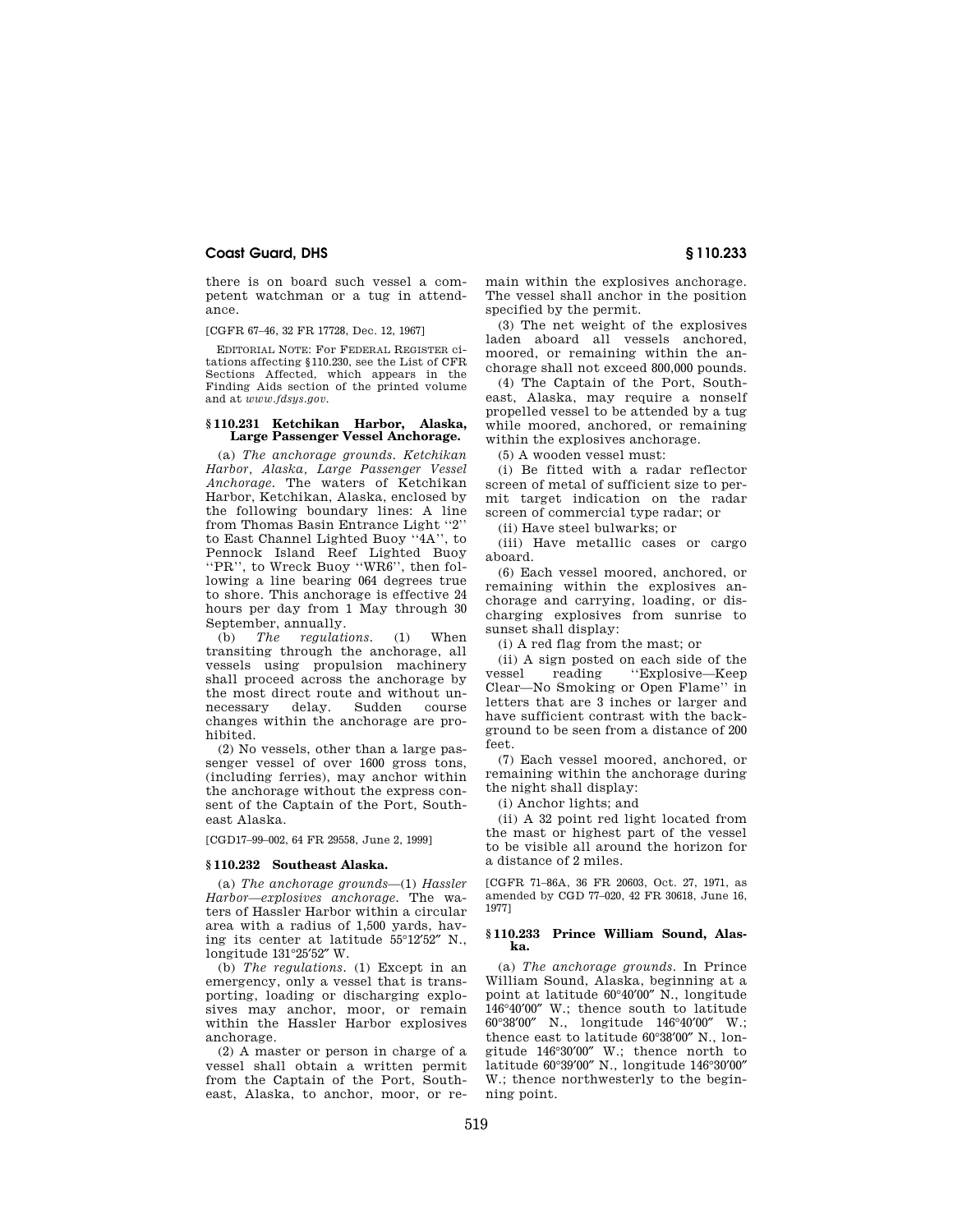### **Coast Guard, DHS § 110.233**

there is on board such vessel a competent watchman or a tug in attendance.

[CGFR 67–46, 32 FR 17728, Dec. 12, 1967]

EDITORIAL NOTE: For FEDERAL REGISTER citations affecting §110.230, see the List of CFR Sections Affected, which appears in the Finding Aids section of the printed volume and at *www.fdsys.gov*.

#### **§ 110.231 Ketchikan Harbor, Alaska, Large Passenger Vessel Anchorage.**

(a) *The anchorage grounds. Ketchikan Harbor, Alaska, Large Passenger Vessel Anchorage.* The waters of Ketchikan Harbor, Ketchikan, Alaska, enclosed by the following boundary lines: A line from Thomas Basin Entrance Light ''2'' to East Channel Lighted Buoy ''4A'', to Pennock Island Reef Lighted Buoy ''PR'', to Wreck Buoy ''WR6'', then following a line bearing 064 degrees true to shore. This anchorage is effective 24 hours per day from 1 May through 30 September, annually.

(b) *The regulations.* (1) When transiting through the anchorage, all vessels using propulsion machinery shall proceed across the anchorage by the most direct route and without unnecessary delay. Sudden course changes within the anchorage are prohibited.

(2) No vessels, other than a large passenger vessel of over 1600 gross tons, (including ferries), may anchor within the anchorage without the express consent of the Captain of the Port, Southeast Alaska.

[CGD17–99–002, 64 FR 29558, June 2, 1999]

#### **§ 110.232 Southeast Alaska.**

(a) *The anchorage grounds*—(1) *Hassler Harbor—explosives anchorage.* The waters of Hassler Harbor within a circular area with a radius of 1,500 yards, having its center at latitude 55°12′52″ N., longitude 131°25′52″ W.

(b) *The regulations.* (1) Except in an emergency, only a vessel that is transporting, loading or discharging explosives may anchor, moor, or remain within the Hassler Harbor explosives anchorage.

(2) A master or person in charge of a vessel shall obtain a written permit from the Captain of the Port, Southeast, Alaska, to anchor, moor, or remain within the explosives anchorage. The vessel shall anchor in the position specified by the permit.

(3) The net weight of the explosives laden aboard all vessels anchored, moored, or remaining within the anchorage shall not exceed 800,000 pounds.

(4) The Captain of the Port, Southeast, Alaska, may require a nonself propelled vessel to be attended by a tug while moored, anchored, or remaining within the explosives anchorage.

(5) A wooden vessel must:

(i) Be fitted with a radar reflector screen of metal of sufficient size to permit target indication on the radar screen of commercial type radar; or

(ii) Have steel bulwarks; or

(iii) Have metallic cases or cargo aboard.

(6) Each vessel moored, anchored, or remaining within the explosives anchorage and carrying, loading, or discharging explosives from sunrise to sunset shall display:

(i) A red flag from the mast; or

(ii) A sign posted on each side of the<br>
vessel reading "Explosive—Keep ''Explosive—Keep Clear—No Smoking or Open Flame'' in letters that are 3 inches or larger and have sufficient contrast with the background to be seen from a distance of 200 feet.

(7) Each vessel moored, anchored, or remaining within the anchorage during the night shall display:

(i) Anchor lights; and

(ii) A 32 point red light located from the mast or highest part of the vessel to be visible all around the horizon for a distance of 2 miles.

[CGFR 71–86A, 36 FR 20603, Oct. 27, 1971, as amended by CGD 77–020, 42 FR 30618, June 16, 1977]

#### **§ 110.233 Prince William Sound, Alaska.**

(a) *The anchorage grounds.* In Prince William Sound, Alaska, beginning at a point at latitude 60°40′00″ N., longitude 146°40′00″ W.; thence south to latitude 60°38′00″ N., longitude 146°40′00″ W.; thence east to latitude 60°38′00″ N., longitude 146°30′00″ W.; thence north to latitude 60°39′00″ N., longitude 146°30′00″ W.; thence northwesterly to the beginning point.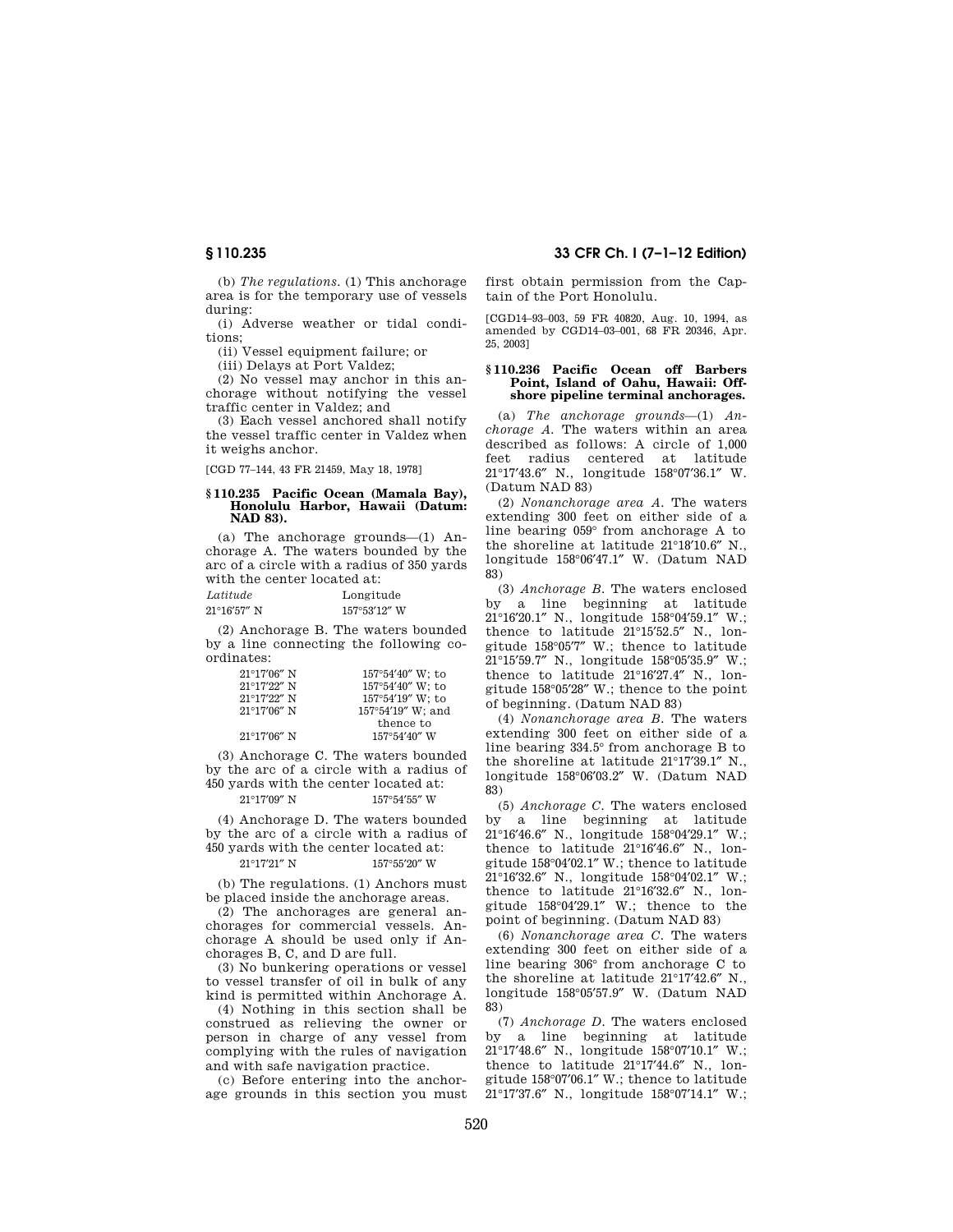(b) *The regulations.* (1) This anchorage area is for the temporary use of vessels during:

(i) Adverse weather or tidal conditions;

(ii) Vessel equipment failure; or

(iii) Delays at Port Valdez;

(2) No vessel may anchor in this anchorage without notifying the vessel traffic center in Valdez; and

(3) Each vessel anchored shall notify the vessel traffic center in Valdez when it weighs anchor.

[CGD 77–144, 43 FR 21459, May 18, 1978]

#### **§ 110.235 Pacific Ocean (Mamala Bay), Honolulu Harbor, Hawaii (Datum: NAD 83).**

(a) The anchorage grounds—(1) Anchorage A. The waters bounded by the arc of a circle with a radius of 350 yards with the center located at:

| Latitude              | Longitude    |
|-----------------------|--------------|
| $21^{\circ}16'57''$ N | 157°53'12" W |

(2) Anchorage B. The waters bounded by a line connecting the following coordinates:

| $21^{\circ}17'06''$ N | $157^{\circ}54'40''$ W; to |
|-----------------------|----------------------------|
| $21^{\circ}17'22''$ N | $157^{\circ}54'40''$ W; to |
| $21^{\circ}17'22''$ N | $157^{\circ}54'19''$ W; to |
| $21^{\circ}17'06''$ N | 157°54'19" W; and          |
|                       | thence to                  |
| $21^{\circ}17'06''$ N | $157^{\circ}54'40''$ W     |

(3) Anchorage C. The waters bounded by the arc of a circle with a radius of 450 yards with the center located at: 21°17'09" N 157°54'55" W

(4) Anchorage D. The waters bounded by the arc of a circle with a radius of 450 yards with the center located at:

# $21^{\circ}17'21''$  N  $157^{\circ}55'20''$  W

(b) The regulations. (1) Anchors must be placed inside the anchorage areas.

(2) The anchorages are general anchorages for commercial vessels. Anchorage A should be used only if Anchorages B, C, and D are full.

(3) No bunkering operations or vessel to vessel transfer of oil in bulk of any kind is permitted within Anchorage A.

(4) Nothing in this section shall be construed as relieving the owner or person in charge of any vessel from complying with the rules of navigation and with safe navigation practice.

(c) Before entering into the anchorage grounds in this section you must

## **§ 110.235 33 CFR Ch. I (7–1–12 Edition)**

first obtain permission from the Captain of the Port Honolulu.

[CGD14–93–003, 59 FR 40820, Aug. 10, 1994, as amended by CGD14–03–001, 68 FR 20346, Apr. 25, 2003]

#### **§ 110.236 Pacific Ocean off Barbers Point, Island of Oahu, Hawaii: Offshore pipeline terminal anchorages.**

(a) *The anchorage grounds*—(1) *Anchorage A.* The waters within an area described as follows: A circle of 1,000 feet radius centered at latitude 21°17′43.6″ N., longitude 158°07′36.1″ W. (Datum NAD 83)

(2) *Nonanchorage area A.* The waters extending 300 feet on either side of a line bearing 059° from anchorage A to the shoreline at latitude 21°18′10.6″ N., longitude 158°06′47.1″ W. (Datum NAD 83)

(3) *Anchorage B.* The waters enclosed by a line beginning at latitude 21°16′20.1″ N., longitude 158°04′59.1″ W.; thence to latitude 21°15′52.5″ N., longitude 158°05′7″ W.; thence to latitude 21°15′59.7″ N., longitude 158°05′35.9″ W.; thence to latitude 21°16′27.4″ N., longitude 158°05′28″ W.; thence to the point of beginning. (Datum NAD 83)

(4) *Nonanchorage area B.* The waters extending 300 feet on either side of a line bearing 334.5° from anchorage B to the shoreline at latitude 21°17′39.1″ N., longitude 158°06′03.2″ W. (Datum NAD 83)

(5) *Anchorage C.* The waters enclosed by a line beginning at latitude 21°16′46.6″ N., longitude 158°04′29.1″ W.; thence to latitude 21°16′46.6″ N., longitude 158°04′02.1″ W.; thence to latitude 21°16′32.6″ N., longitude 158°04′02.1″ W.; thence to latitude 21°16′32.6″ N., longitude 158°04′29.1″ W.; thence to the point of beginning. (Datum NAD 83)

(6) *Nonanchorage area C.* The waters extending 300 feet on either side of a line bearing 306° from anchorage C to the shoreline at latitude 21°17′42.6″ N., longitude 158°05′57.9″ W. (Datum NAD 83)

(7) *Anchorage D.* The waters enclosed by a line beginning at latitude 21°17′48.6″ N., longitude 158°07′10.1″ W.; thence to latitude 21°17′44.6″ N., longitude 158°07′06.1″ W.; thence to latitude 21°17′37.6″ N., longitude 158°07′14.1″ W.;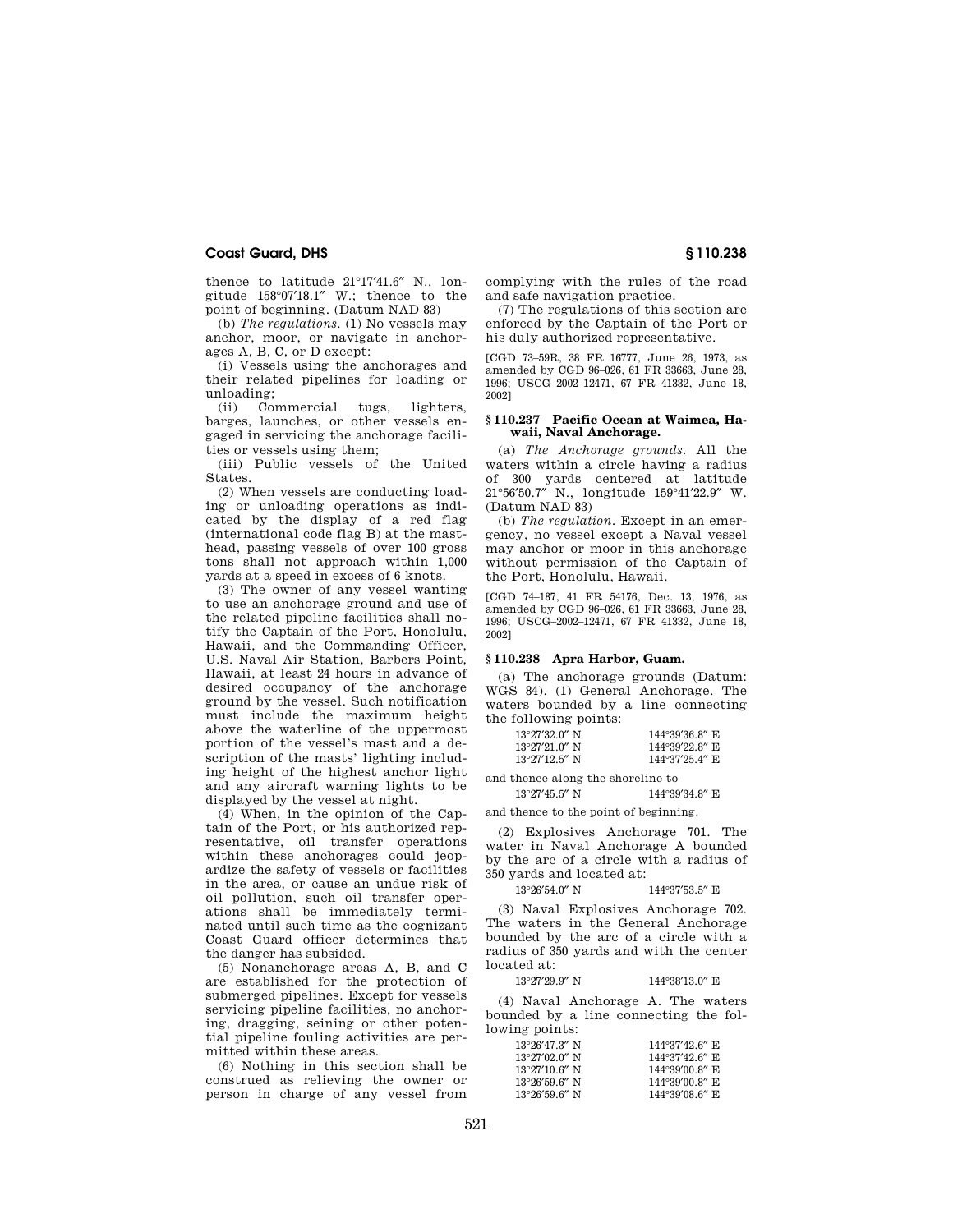#### **Coast Guard, DHS § 110.238**

thence to latitude 21°17′41.6″ N., longitude 158°07′18.1″ W.; thence to the point of beginning. (Datum NAD 83)

(b) *The regulations.* (1) No vessels may anchor, moor, or navigate in anchorages A, B, C, or D except:

(i) Vessels using the anchorages and their related pipelines for loading or unloading;

(ii) Commercial tugs, lighters barges, launches, or other vessels engaged in servicing the anchorage facilities or vessels using them;

(iii) Public vessels of the United States.

(2) When vessels are conducting loading or unloading operations as indicated by the display of a red flag (international code flag B) at the masthead, passing vessels of over 100 gross tons shall not approach within 1,000 yards at a speed in excess of 6 knots.

(3) The owner of any vessel wanting to use an anchorage ground and use of the related pipeline facilities shall notify the Captain of the Port, Honolulu, Hawaii, and the Commanding Officer, U.S. Naval Air Station, Barbers Point, Hawaii, at least 24 hours in advance of desired occupancy of the anchorage ground by the vessel. Such notification must include the maximum height above the waterline of the uppermost portion of the vessel's mast and a description of the masts' lighting including height of the highest anchor light and any aircraft warning lights to be displayed by the vessel at night.

(4) When, in the opinion of the Captain of the Port, or his authorized representative, oil transfer operations within these anchorages could jeopardize the safety of vessels or facilities in the area, or cause an undue risk of oil pollution, such oil transfer operations shall be immediately terminated until such time as the cognizant Coast Guard officer determines that the danger has subsided.

(5) Nonanchorage areas A, B, and C are established for the protection of submerged pipelines. Except for vessels servicing pipeline facilities, no anchoring, dragging, seining or other potential pipeline fouling activities are permitted within these areas.

(6) Nothing in this section shall be construed as relieving the owner or person in charge of any vessel from complying with the rules of the road and safe navigation practice.

(7) The regulations of this section are enforced by the Captain of the Port or his duly authorized representative.

[CGD 73–59R, 38 FR 16777, June 26, 1973, as amended by CGD 96–026, 61 FR 33663, June 28, 1996; USCG–2002–12471, 67 FR 41332, June 18, 2002]

#### **§ 110.237 Pacific Ocean at Waimea, Hawaii, Naval Anchorage.**

(a) *The Anchorage grounds.* All the waters within a circle having a radius of 300 yards centered at latitude 21°56′50.7″ N., longitude 159°41′22.9″ W. (Datum NAD 83)

(b) *The regulation.* Except in an emergency, no vessel except a Naval vessel may anchor or moor in this anchorage without permission of the Captain of the Port, Honolulu, Hawaii.

[CGD 74–187, 41 FR 54176, Dec. 13, 1976, as amended by CGD 96–026, 61 FR 33663, June 28, 1996; USCG–2002–12471, 67 FR 41332, June 18, 2002]

#### **§ 110.238 Apra Harbor, Guam.**

(a) The anchorage grounds (Datum: WGS 84). (1) General Anchorage. The waters bounded by a line connecting the following points:

| $144^{\circ}39'36.8''$ E |
|--------------------------|
| $144^{\circ}39'22.8''$ E |
| $144^{\circ}37'25.4''$ E |
|                          |

and thence along the shoreline to

 $13^{\circ}27'45.5''$  N  $144^{\circ}39'34.8''$  E

and thence to the point of beginning.

(2) Explosives Anchorage 701. The water in Naval Anchorage A bounded by the arc of a circle with a radius of 350 yards and located at:

#### 13°26′54.0″ N 144°37′53.5″ E

(3) Naval Explosives Anchorage 702. The waters in the General Anchorage bounded by the arc of a circle with a radius of 350 yards and with the center located at:

13°27'29.9" N 144°38'13.0" E

(4) Naval Anchorage A. The waters bounded by a line connecting the following points:

| $13^{\circ}26'47.3''$ N | $144^{\circ}37'426''$ E  |
|-------------------------|--------------------------|
| $13^{\circ}27'02.0''$ N | 144°37'42.6" E           |
| $13^{\circ}27'10$ 6" N  | $144^{\circ}39'00.8''$ E |
| $13^{\circ}26'59.6''$ N | 144°39′00.8″ E           |
| $13^{\circ}26'59.6''$ N | 144°39'08.6" E           |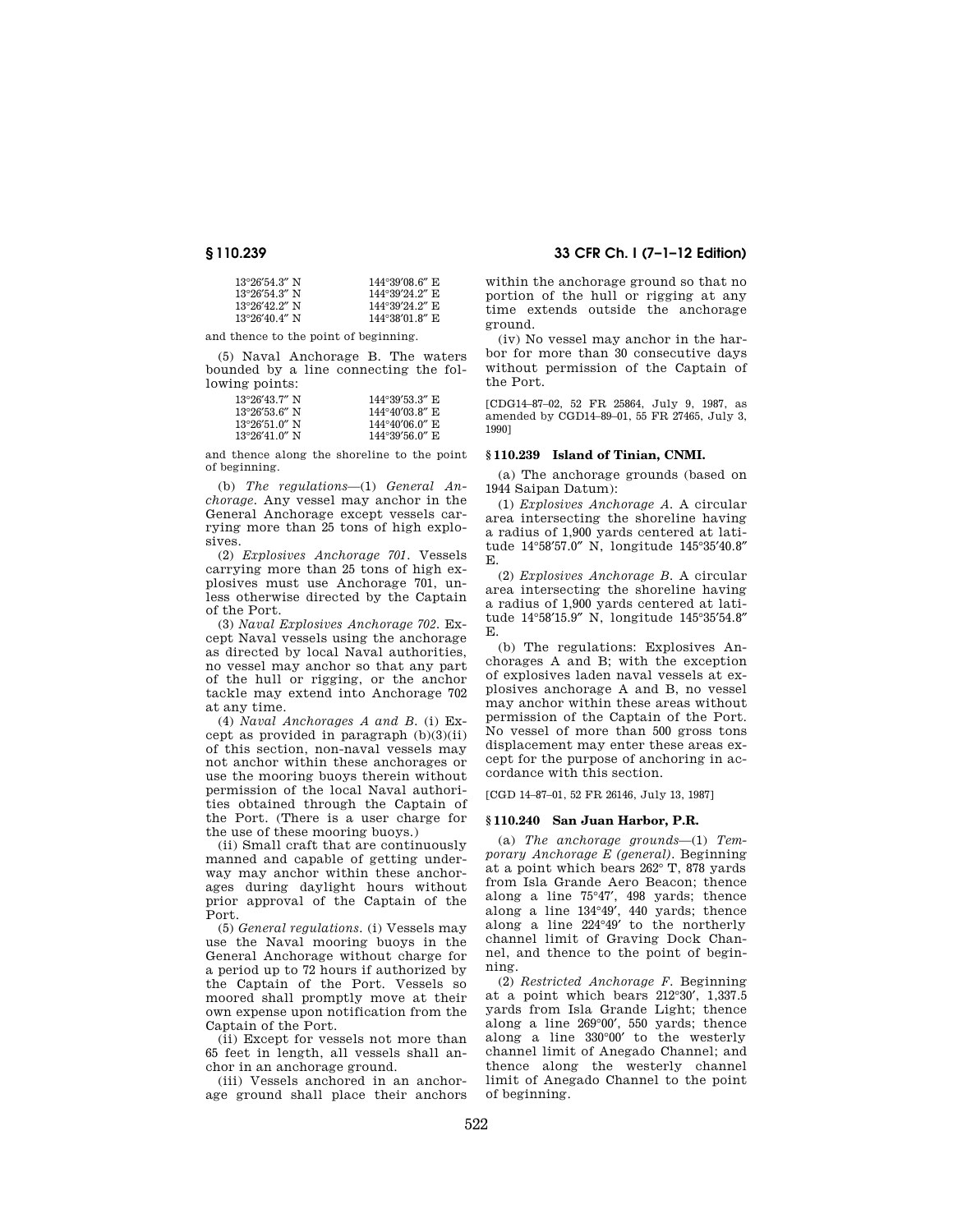| $13^{\circ}26'54.3''$ N | $144^{\circ}39'08.6''$ E |
|-------------------------|--------------------------|
| $13^{\circ}26'54.3''$ N | 144°39′24.2″ E           |
| $13^{\circ}26'42.2''$ N | 144°39'24.2" E           |
| $13^{\circ}26'40.4''$ N | 144°38′01.8″E            |

and thence to the point of beginning.

(5) Naval Anchorage B. The waters bounded by a line connecting the following points:

| $13^{\circ}26'43$ 7" N  | $144^{\circ}39'53.3''$ E |
|-------------------------|--------------------------|
| $13^{\circ}26'53.6''$ N | 144°40′03.8″ E           |
| $13^{\circ}26'51.0''$ N | 144°40′06.0″ E           |
| $13^{\circ}26'41.0''$ N | $144^{\circ}39'56.0''$ E |

and thence along the shoreline to the point of beginning.

(b) *The regulations*—(1) *General Anchorage.* Any vessel may anchor in the General Anchorage except vessels carrying more than 25 tons of high explosives.

(2) *Explosives Anchorage 701.* Vessels carrying more than 25 tons of high explosives must use Anchorage 701, unless otherwise directed by the Captain of the Port.

(3) *Naval Explosives Anchorage 702.* Except Naval vessels using the anchorage as directed by local Naval authorities, no vessel may anchor so that any part of the hull or rigging, or the anchor tackle may extend into Anchorage 702 at any time.

(4) *Naval Anchorages A and B.* (i) Except as provided in paragraph  $(b)(3)(ii)$ of this section, non-naval vessels may not anchor within these anchorages or use the mooring buoys therein without permission of the local Naval authorities obtained through the Captain of the Port. (There is a user charge for the use of these mooring buoys.)

(ii) Small craft that are continuously manned and capable of getting underway may anchor within these anchorages during daylight hours without prior approval of the Captain of the Port.

(5) *General regulations.* (i) Vessels may use the Naval mooring buoys in the General Anchorage without charge for a period up to 72 hours if authorized by the Captain of the Port. Vessels so moored shall promptly move at their own expense upon notification from the Captain of the Port.

(ii) Except for vessels not more than 65 feet in length, all vessels shall anchor in an anchorage ground.

(iii) Vessels anchored in an anchorage ground shall place their anchors

### **§ 110.239 33 CFR Ch. I (7–1–12 Edition)**

within the anchorage ground so that no portion of the hull or rigging at any time extends outside the anchorage ground.

(iv) No vessel may anchor in the harbor for more than 30 consecutive days without permission of the Captain of the Port.

[CDG14–87–02, 52 FR 25864, July 9, 1987, as amended by CGD14–89–01, 55 FR 27465, July 3, 1990]

#### **§ 110.239 Island of Tinian, CNMI.**

(a) The anchorage grounds (based on 1944 Saipan Datum):

(1) *Explosives Anchorage A.* A circular area intersecting the shoreline having a radius of 1,900 yards centered at latitude 14°58′57.0″ N, longitude 145°35′40.8″ E.

(2) *Explosives Anchorage B.* A circular area intersecting the shoreline having a radius of 1,900 yards centered at latitude 14°58′15.9″ N, longitude 145°35′54.8″ E.

(b) The regulations: Explosives Anchorages A and B; with the exception of explosives laden naval vessels at explosives anchorage A and B, no vessel may anchor within these areas without permission of the Captain of the Port. No vessel of more than 500 gross tons displacement may enter these areas except for the purpose of anchoring in accordance with this section.

[CGD 14–87–01, 52 FR 26146, July 13, 1987]

#### **§ 110.240 San Juan Harbor, P.R.**

(a) *The anchorage grounds*—(1) *Temporary Anchorage E (general).* Beginning at a point which bears 262° T, 878 yards from Isla Grande Aero Beacon; thence along a line 75°47′, 498 yards; thence along a line 134°49′, 440 yards; thence along a line 224°49′ to the northerly channel limit of Graving Dock Channel, and thence to the point of beginning.

(2) *Restricted Anchorage F.* Beginning at a point which bears 212°30′, 1,337.5 yards from Isla Grande Light; thence along a line 269°00′, 550 yards; thence along a line 330°00′ to the westerly channel limit of Anegado Channel; and thence along the westerly channel limit of Anegado Channel to the point of beginning.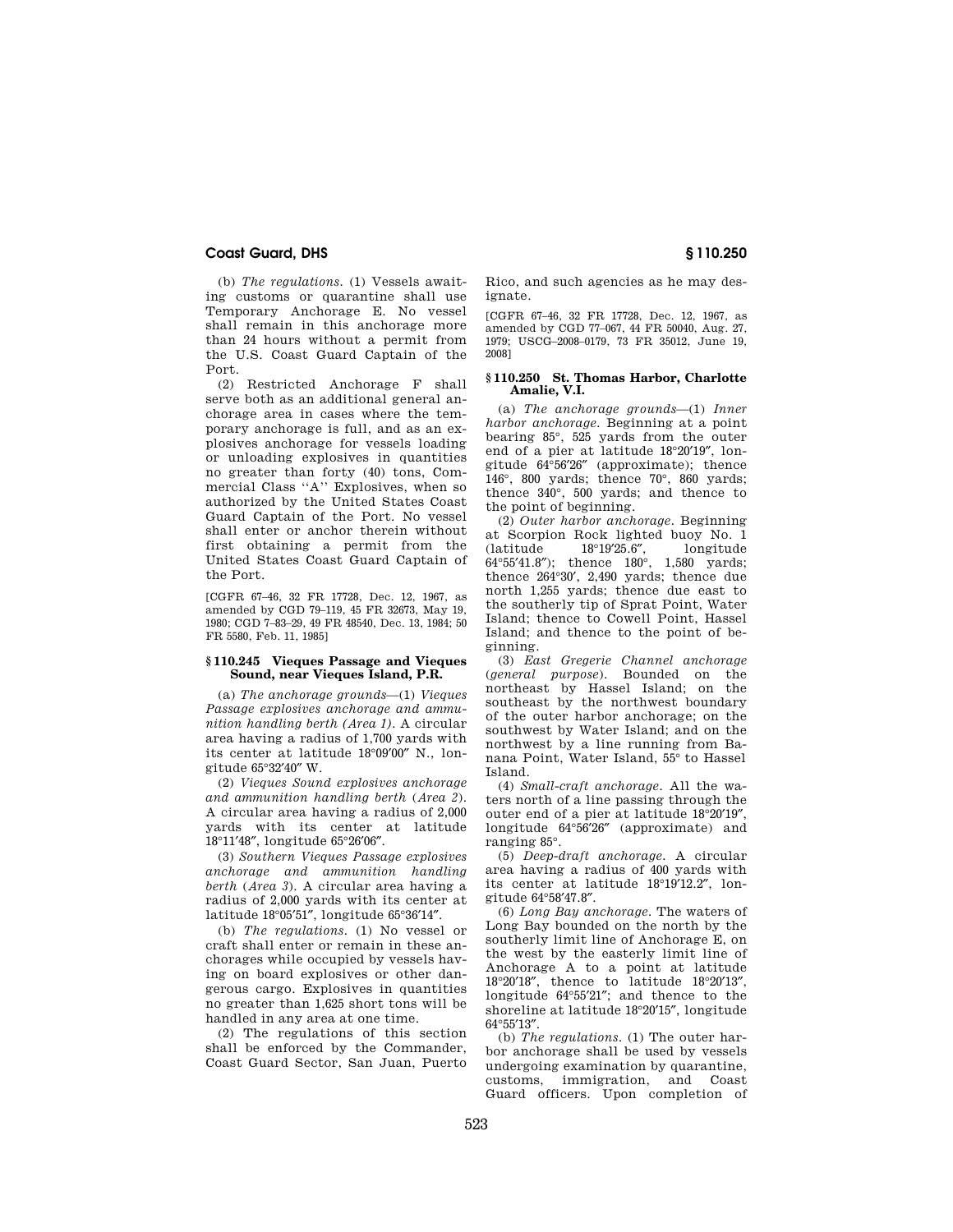### **Coast Guard, DHS § 110.250**

(b) *The regulations.* (1) Vessels awaiting customs or quarantine shall use Temporary Anchorage E. No vessel shall remain in this anchorage more than 24 hours without a permit from the U.S. Coast Guard Captain of the Port.

(2) Restricted Anchorage F shall serve both as an additional general anchorage area in cases where the temporary anchorage is full, and as an explosives anchorage for vessels loading or unloading explosives in quantities no greater than forty (40) tons, Commercial Class ''A'' Explosives, when so authorized by the United States Coast Guard Captain of the Port. No vessel shall enter or anchor therein without first obtaining a permit from the United States Coast Guard Captain of the Port.

[CGFR 67–46, 32 FR 17728, Dec. 12, 1967, as amended by CGD 79–119, 45 FR 32673, May 19, 1980; CGD 7–83–29, 49 FR 48540, Dec. 13, 1984; 50 FR 5580, Feb. 11, 1985]

#### **§ 110.245 Vieques Passage and Vieques Sound, near Vieques Island, P.R.**

(a) *The anchorage grounds*—(1) *Vieques Passage explosives anchorage and ammunition handling berth (Area 1).* A circular area having a radius of 1,700 yards with its center at latitude 18°09′00″ N., longitude 65°32′40″ W.

(2) *Vieques Sound explosives anchorage and ammunition handling berth* (*Area 2*). A circular area having a radius of 2,000 yards with its center at latitude 18°11′48″, longitude 65°26′06″.

(3) *Southern Vieques Passage explosives anchorage and ammunition handling berth* (*Area 3*). A circular area having a radius of 2,000 yards with its center at latitude 18°05′51″, longitude 65°36′14″.

(b) *The regulations.* (1) No vessel or craft shall enter or remain in these anchorages while occupied by vessels having on board explosives or other dangerous cargo. Explosives in quantities no greater than 1,625 short tons will be handled in any area at one time.

(2) The regulations of this section shall be enforced by the Commander, Coast Guard Sector, San Juan, Puerto Rico, and such agencies as he may designate.

[CGFR 67–46, 32 FR 17728, Dec. 12, 1967, as amended by CGD 77–067, 44 FR 50040, Aug. 27, 1979; USCG–2008–0179, 73 FR 35012, June 19, 2008]

#### **§ 110.250 St. Thomas Harbor, Charlotte Amalie, V.I.**

(a) *The anchorage grounds*—(1) *Inner harbor anchorage.* Beginning at a point bearing 85°, 525 yards from the outer end of a pier at latitude 18°20′19″, longitude 64°56′26″ (approximate); thence 146°, 800 yards; thence 70°, 860 yards; thence 340°, 500 yards; and thence to the point of beginning.

(2) *Outer harbor anchorage.* Beginning at Scorpion Rock lighted buoy No. 1 (latitude 18°19′25.6″, longitude 64°55′41.8″); thence 180°, 1,580 yards; thence 264°30′, 2,490 yards; thence due north 1,255 yards; thence due east to the southerly tip of Sprat Point, Water Island; thence to Cowell Point, Hassel Island; and thence to the point of beginning.

(3) *East Gregerie Channel anchorage*  (*general purpose*). Bounded on the northeast by Hassel Island; on the southeast by the northwest boundary of the outer harbor anchorage; on the southwest by Water Island; and on the northwest by a line running from Banana Point, Water Island, 55° to Hassel Island.

(4) *Small-craft anchorage.* All the waters north of a line passing through the outer end of a pier at latitude 18°20′19″, longitude 64°56′26″ (approximate) and ranging 85°.

(5) *Deep-draft anchorage.* A circular area having a radius of 400 yards with its center at latitude 18°19′12.2″, longitude 64°58′47.8″.

(6) *Long Bay anchorage.* The waters of Long Bay bounded on the north by the southerly limit line of Anchorage E, on the west by the easterly limit line of Anchorage A to a point at latitude 18°20′18″, thence to latitude 18°20′13″, longitude 64°55′21″; and thence to the shoreline at latitude 18°20′15″, longitude 64°55′13″.

(b) *The regulations.* (1) The outer harbor anchorage shall be used by vessels undergoing examination by quarantine, customs, immigration, and Coast Guard officers. Upon completion of